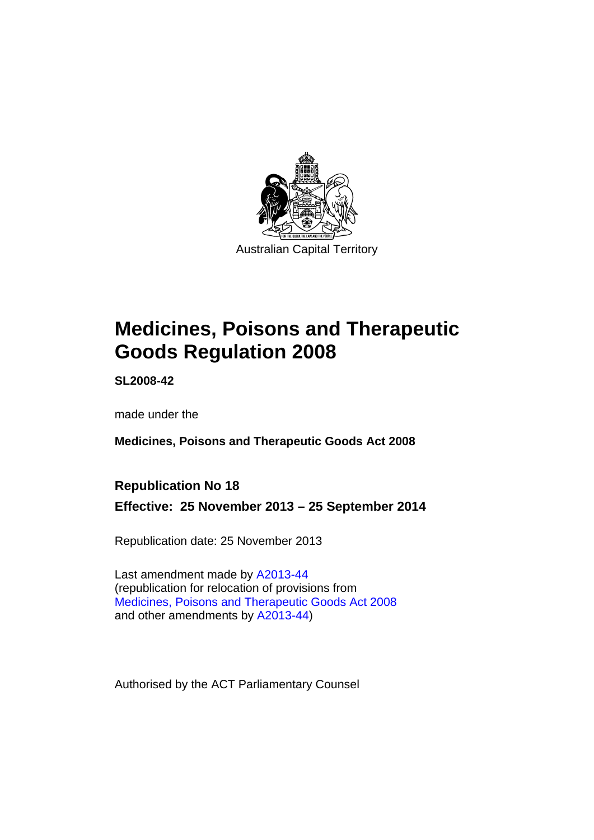

# **Medicines, Poisons and Therapeutic Goods Regulation 2008**

**SL2008-42** 

made under the

**Medicines, Poisons and Therapeutic Goods Act 2008** 

### **Republication No 18**

**Effective: 25 November 2013 – 25 September 2014** 

Republication date: 25 November 2013

Last amendment made by [A2013-44](http://www.legislation.act.gov.au/a/2013-44) (republication for relocation of provisions from [Medicines, Poisons and Therapeutic Goods Act 2008](http://www.legislation.act.gov.au/a/2008-26/default.asp) and other amendments by [A2013-44\)](http://www.legislation.act.gov.au/a/2013-44)

Authorised by the ACT Parliamentary Counsel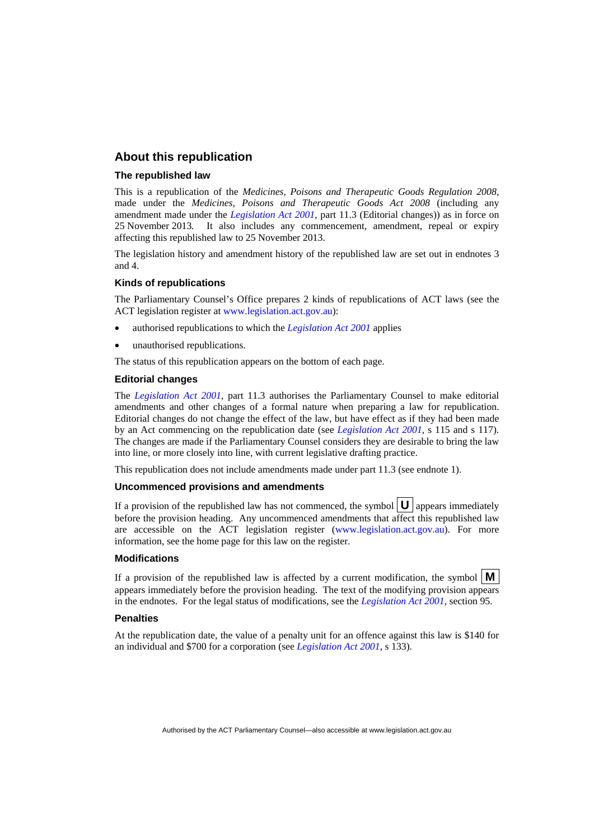#### **About this republication**

#### **The republished law**

This is a republication of the *Medicines, Poisons and Therapeutic Goods Regulation 2008*, made under the *Medicines, Poisons and Therapeutic Goods Act 2008* (including any amendment made under the *[Legislation Act 2001](http://www.legislation.act.gov.au/a/2001-14)*, part 11.3 (Editorial changes)) as in force on 25 November 2013*.* It also includes any commencement, amendment, repeal or expiry affecting this republished law to 25 November 2013.

The legislation history and amendment history of the republished law are set out in endnotes 3 and 4.

#### **Kinds of republications**

The Parliamentary Counsel's Office prepares 2 kinds of republications of ACT laws (see the ACT legislation register at [www.legislation.act.gov.au](http://www.legislation.act.gov.au/)):

- authorised republications to which the *[Legislation Act 2001](http://www.legislation.act.gov.au/a/2001-14)* applies
- unauthorised republications.

The status of this republication appears on the bottom of each page.

#### **Editorial changes**

The *[Legislation Act 2001](http://www.legislation.act.gov.au/a/2001-14)*, part 11.3 authorises the Parliamentary Counsel to make editorial amendments and other changes of a formal nature when preparing a law for republication. Editorial changes do not change the effect of the law, but have effect as if they had been made by an Act commencing on the republication date (see *[Legislation Act 2001](http://www.legislation.act.gov.au/a/2001-14)*, s 115 and s 117). The changes are made if the Parliamentary Counsel considers they are desirable to bring the law into line, or more closely into line, with current legislative drafting practice.

This republication does not include amendments made under part 11.3 (see endnote 1).

#### **Uncommenced provisions and amendments**

If a provision of the republished law has not commenced, the symbol  $\mathbf{U}$  appears immediately before the provision heading. Any uncommenced amendments that affect this republished law are accessible on the ACT legislation register [\(www.legislation.act.gov.au\)](http://www.legislation.act.gov.au/). For more information, see the home page for this law on the register.

#### **Modifications**

If a provision of the republished law is affected by a current modification, the symbol  $\mathbf{M}$ appears immediately before the provision heading. The text of the modifying provision appears in the endnotes. For the legal status of modifications, see the *[Legislation Act 2001](http://www.legislation.act.gov.au/a/2001-14)*, section 95.

#### **Penalties**

At the republication date, the value of a penalty unit for an offence against this law is \$140 for an individual and \$700 for a corporation (see *[Legislation Act 2001](http://www.legislation.act.gov.au/a/2001-14)*, s 133).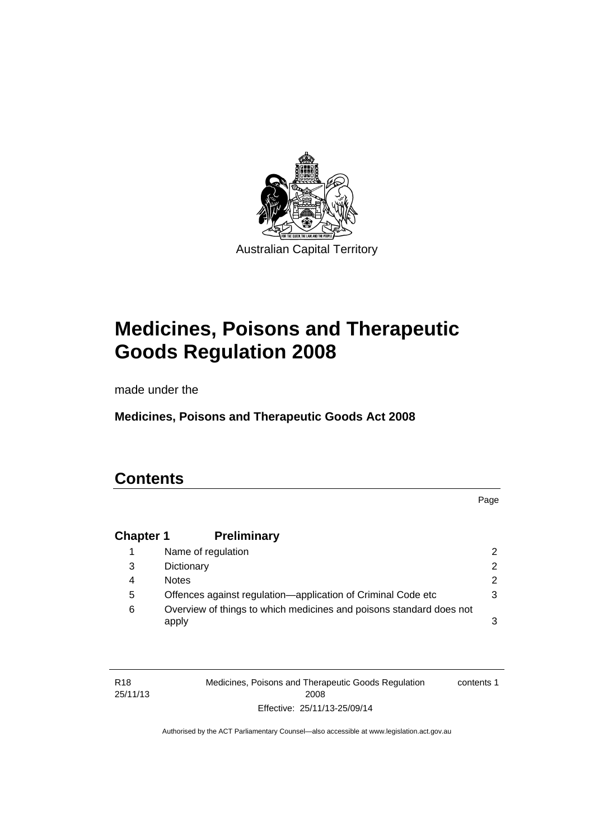

# **Medicines, Poisons and Therapeutic Goods Regulation 2008**

made under the

**Medicines, Poisons and Therapeutic Goods Act 2008** 

### **Contents**

Page

### **Chapter 1 [Preliminary](#page-25-0)**

|   | Name of regulation                                                           |   |
|---|------------------------------------------------------------------------------|---|
| 3 | Dictionary                                                                   |   |
| 4 | <b>Notes</b>                                                                 | 2 |
| 5 | Offences against regulation-application of Criminal Code etc                 |   |
| 6 | Overview of things to which medicines and poisons standard does not<br>apply |   |

| R <sub>18</sub> | Medicines, Poisons and Therapeutic Goods Regulation | contents 1 |
|-----------------|-----------------------------------------------------|------------|
| 25/11/13        | 2008                                                |            |
|                 | Effective: 25/11/13-25/09/14                        |            |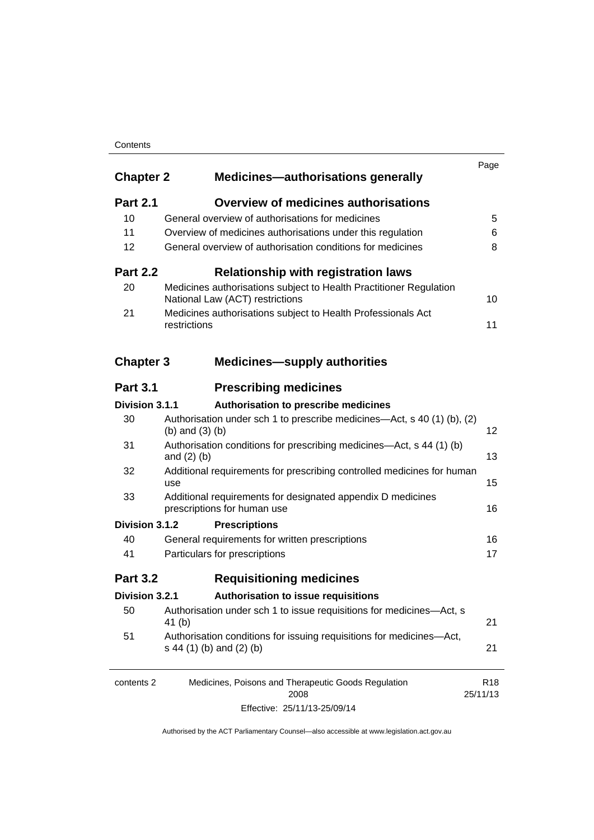#### **Contents**

| <b>Chapter 2</b> | <b>Medicines-authorisations generally</b>                                                             | Page                        |
|------------------|-------------------------------------------------------------------------------------------------------|-----------------------------|
| <b>Part 2.1</b>  | <b>Overview of medicines authorisations</b>                                                           |                             |
| 10               | General overview of authorisations for medicines                                                      | 5                           |
| 11               | Overview of medicines authorisations under this regulation                                            | 6                           |
| 12               | General overview of authorisation conditions for medicines                                            | 8                           |
| <b>Part 2.2</b>  | <b>Relationship with registration laws</b>                                                            |                             |
| 20               | Medicines authorisations subject to Health Practitioner Regulation<br>National Law (ACT) restrictions | 10                          |
| 21               | Medicines authorisations subject to Health Professionals Act<br>restrictions                          | 11                          |
| <b>Chapter 3</b> | <b>Medicines-supply authorities</b>                                                                   |                             |
| <b>Part 3.1</b>  | <b>Prescribing medicines</b>                                                                          |                             |
| Division 3.1.1   | Authorisation to prescribe medicines                                                                  |                             |
| 30               | Authorisation under sch 1 to prescribe medicines—Act, s 40 (1) (b), (2)<br>(b) and $(3)$ (b)          | 12                          |
| 31               | Authorisation conditions for prescribing medicines—Act, s 44 (1) (b)<br>and $(2)$ $(b)$               | 13                          |
| 32               | Additional requirements for prescribing controlled medicines for human<br>use                         | 15                          |
| 33               | Additional requirements for designated appendix D medicines<br>prescriptions for human use            | 16                          |
| Division 3.1.2   | <b>Prescriptions</b>                                                                                  |                             |
| 40               | General requirements for written prescriptions                                                        | 16                          |
| 41               | Particulars for prescriptions                                                                         | 17                          |
| <b>Part 3.2</b>  | <b>Requisitioning medicines</b>                                                                       |                             |
| Division 3.2.1   | Authorisation to issue requisitions                                                                   |                             |
| 50               | Authorisation under sch 1 to issue requisitions for medicines-Act, s<br>41 (b)                        | 21                          |
| 51               | Authorisation conditions for issuing requisitions for medicines-Act,<br>s 44 (1) (b) and (2) (b)      | 21                          |
| contents 2       | Medicines, Poisons and Therapeutic Goods Regulation<br>2008                                           | R <sub>18</sub><br>25/11/13 |

Effective: 25/11/13-25/09/14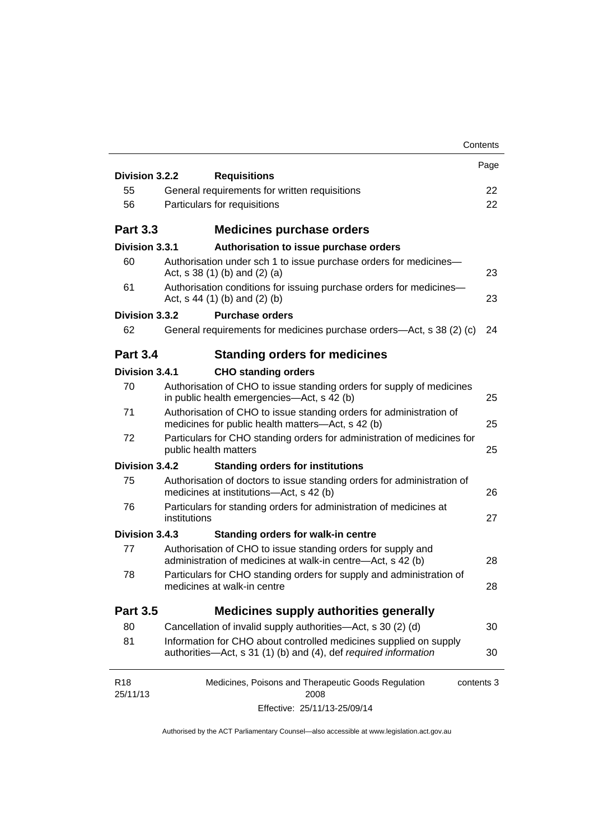| Contents                                                                                                                             |                                                                                                                                |
|--------------------------------------------------------------------------------------------------------------------------------------|--------------------------------------------------------------------------------------------------------------------------------|
|                                                                                                                                      | Page                                                                                                                           |
|                                                                                                                                      | 22                                                                                                                             |
|                                                                                                                                      | 22                                                                                                                             |
|                                                                                                                                      |                                                                                                                                |
| <b>Medicines purchase orders</b>                                                                                                     |                                                                                                                                |
| Division 3.3.1<br>Authorisation to issue purchase orders                                                                             |                                                                                                                                |
| Authorisation under sch 1 to issue purchase orders for medicines-<br>Act, $s$ 38 (1) (b) and (2) (a)                                 | 23                                                                                                                             |
| Authorisation conditions for issuing purchase orders for medicines-<br>Act, $s$ 44 (1) (b) and (2) (b)                               | 23                                                                                                                             |
| Division 3.3.2<br><b>Purchase orders</b>                                                                                             |                                                                                                                                |
| General requirements for medicines purchase orders—Act, s 38 (2) (c)                                                                 | 24                                                                                                                             |
| <b>Standing orders for medicines</b>                                                                                                 |                                                                                                                                |
| Division 3.4.1<br><b>CHO standing orders</b>                                                                                         |                                                                                                                                |
| Authorisation of CHO to issue standing orders for supply of medicines<br>in public health emergencies—Act, s 42 (b)                  | 25                                                                                                                             |
| Authorisation of CHO to issue standing orders for administration of<br>medicines for public health matters-Act, s 42 (b)             | 25                                                                                                                             |
| Particulars for CHO standing orders for administration of medicines for<br>public health matters                                     | 25                                                                                                                             |
| Division 3.4.2<br><b>Standing orders for institutions</b>                                                                            |                                                                                                                                |
| Authorisation of doctors to issue standing orders for administration of<br>medicines at institutions-Act, s 42 (b)                   | 26                                                                                                                             |
| Particulars for standing orders for administration of medicines at<br>institutions                                                   | 27                                                                                                                             |
| Division 3.4.3<br><b>Standing orders for walk-in centre</b>                                                                          |                                                                                                                                |
| Authorisation of CHO to issue standing orders for supply and<br>administration of medicines at walk-in centre-Act, s 42 (b)          | 28                                                                                                                             |
| Particulars for CHO standing orders for supply and administration of<br>medicines at walk-in centre                                  | 28                                                                                                                             |
| <b>Medicines supply authorities generally</b>                                                                                        |                                                                                                                                |
| Cancellation of invalid supply authorities—Act, s 30 (2) (d)                                                                         | 30                                                                                                                             |
| Information for CHO about controlled medicines supplied on supply<br>authorities-Act, s 31 (1) (b) and (4), def required information | 30                                                                                                                             |
| Medicines, Poisons and Therapeutic Goods Regulation<br>contents 3                                                                    |                                                                                                                                |
| Effective: 25/11/13-25/09/14                                                                                                         |                                                                                                                                |
|                                                                                                                                      | Division 3.2.2<br><b>Requisitions</b><br>General requirements for written requisitions<br>Particulars for requisitions<br>2008 |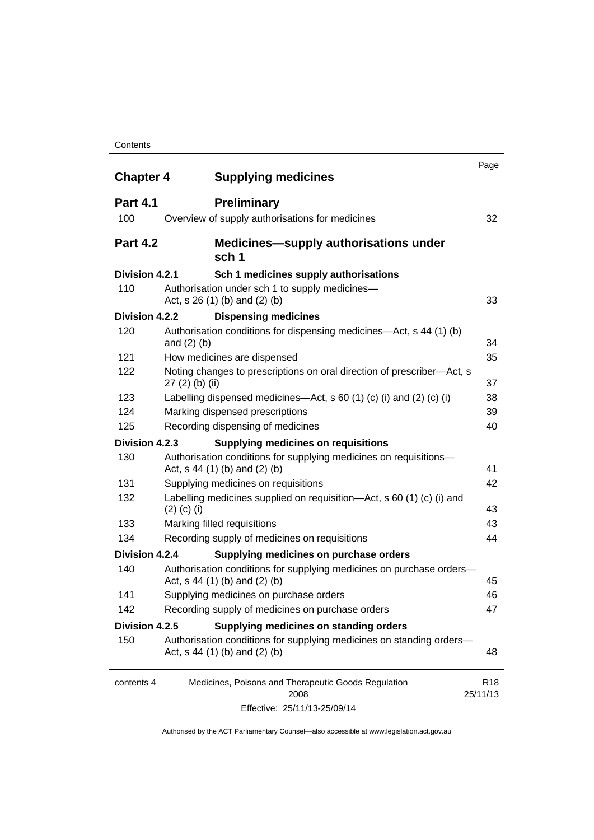#### **Contents**

| <b>Chapter 4</b> | <b>Supplying medicines</b>                                                                              | Page                        |
|------------------|---------------------------------------------------------------------------------------------------------|-----------------------------|
| <b>Part 4.1</b>  | <b>Preliminary</b>                                                                                      |                             |
| 100              | Overview of supply authorisations for medicines                                                         | 32                          |
| <b>Part 4.2</b>  | <b>Medicines—supply authorisations under</b><br>sch 1                                                   |                             |
| Division 4.2.1   | Sch 1 medicines supply authorisations                                                                   |                             |
| 110              | Authorisation under sch 1 to supply medicines-<br>Act, s 26 (1) (b) and (2) (b)                         | 33                          |
| Division 4.2.2   | <b>Dispensing medicines</b>                                                                             |                             |
| 120              | Authorisation conditions for dispensing medicines—Act, s 44 (1) (b)<br>and $(2)$ $(b)$                  | 34                          |
| 121              | How medicines are dispensed                                                                             | 35                          |
| 122              | Noting changes to prescriptions on oral direction of prescriber-Act, s<br>$27(2)$ (b) (ii)              | 37                          |
| 123              | Labelling dispensed medicines—Act, s 60 (1) (c) (i) and (2) (c) (i)                                     | 38                          |
| 124              | Marking dispensed prescriptions                                                                         | 39                          |
| 125              | Recording dispensing of medicines                                                                       | 40                          |
| Division 4.2.3   | <b>Supplying medicines on requisitions</b>                                                              |                             |
| 130              | Authorisation conditions for supplying medicines on requisitions-<br>Act, $s$ 44 (1) (b) and (2) (b)    | 41                          |
| 131              | Supplying medicines on requisitions                                                                     | 42                          |
| 132              | Labelling medicines supplied on requisition—Act, s 60 (1) (c) (i) and<br>$(2)$ (c) (i)                  | 43                          |
| 133              | Marking filled requisitions                                                                             | 43                          |
| 134              | Recording supply of medicines on requisitions                                                           | 44                          |
| Division 4.2.4   | Supplying medicines on purchase orders                                                                  |                             |
| 140              | Authorisation conditions for supplying medicines on purchase orders-<br>Act, $s$ 44 (1) (b) and (2) (b) | 45                          |
| 141              | Supplying medicines on purchase orders                                                                  | 46                          |
| 142              | Recording supply of medicines on purchase orders                                                        | 47                          |
| Division 4.2.5   | Supplying medicines on standing orders                                                                  |                             |
| 150              | Authorisation conditions for supplying medicines on standing orders-<br>Act, $s$ 44 (1) (b) and (2) (b) | 48                          |
| contents 4       | Medicines, Poisons and Therapeutic Goods Regulation<br>2008                                             | R <sub>18</sub><br>25/11/13 |
|                  | Effective: 25/11/13-25/09/14                                                                            |                             |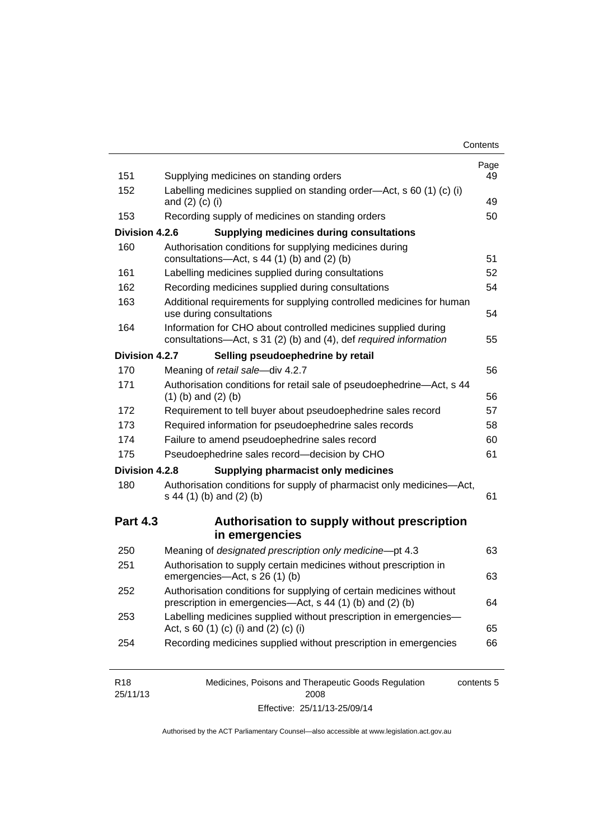| Contents |
|----------|
|----------|

| 151<br>152<br>153<br>Division 4.2.6<br>160<br>161<br>162<br>163<br>164<br>Division 4.2.7<br>170 | Supplying medicines on standing orders<br>Labelling medicines supplied on standing order-Act, s 60 (1) (c) (i)<br>and $(2)$ $(c)$ $(i)$<br>Recording supply of medicines on standing orders<br><b>Supplying medicines during consultations</b><br>Authorisation conditions for supplying medicines during<br>consultations-Act, s 44 (1) (b) and (2) (b)<br>Labelling medicines supplied during consultations<br>Recording medicines supplied during consultations<br>Additional requirements for supplying controlled medicines for human<br>use during consultations<br>Information for CHO about controlled medicines supplied during<br>consultations-Act, s 31 (2) (b) and (4), def required information<br>Selling pseudoephedrine by retail<br>Meaning of retail sale-div 4.2.7 | 49<br>50<br>51<br>52<br>54<br>54<br>55<br>56 |
|-------------------------------------------------------------------------------------------------|----------------------------------------------------------------------------------------------------------------------------------------------------------------------------------------------------------------------------------------------------------------------------------------------------------------------------------------------------------------------------------------------------------------------------------------------------------------------------------------------------------------------------------------------------------------------------------------------------------------------------------------------------------------------------------------------------------------------------------------------------------------------------------------|----------------------------------------------|
|                                                                                                 |                                                                                                                                                                                                                                                                                                                                                                                                                                                                                                                                                                                                                                                                                                                                                                                        |                                              |
|                                                                                                 |                                                                                                                                                                                                                                                                                                                                                                                                                                                                                                                                                                                                                                                                                                                                                                                        |                                              |
|                                                                                                 |                                                                                                                                                                                                                                                                                                                                                                                                                                                                                                                                                                                                                                                                                                                                                                                        |                                              |
|                                                                                                 |                                                                                                                                                                                                                                                                                                                                                                                                                                                                                                                                                                                                                                                                                                                                                                                        |                                              |
|                                                                                                 |                                                                                                                                                                                                                                                                                                                                                                                                                                                                                                                                                                                                                                                                                                                                                                                        |                                              |
|                                                                                                 |                                                                                                                                                                                                                                                                                                                                                                                                                                                                                                                                                                                                                                                                                                                                                                                        |                                              |
|                                                                                                 |                                                                                                                                                                                                                                                                                                                                                                                                                                                                                                                                                                                                                                                                                                                                                                                        |                                              |
|                                                                                                 |                                                                                                                                                                                                                                                                                                                                                                                                                                                                                                                                                                                                                                                                                                                                                                                        |                                              |
|                                                                                                 |                                                                                                                                                                                                                                                                                                                                                                                                                                                                                                                                                                                                                                                                                                                                                                                        |                                              |
|                                                                                                 |                                                                                                                                                                                                                                                                                                                                                                                                                                                                                                                                                                                                                                                                                                                                                                                        |                                              |
| 171                                                                                             | Authorisation conditions for retail sale of pseudoephedrine-Act, s 44<br>$(1)$ (b) and $(2)$ (b)                                                                                                                                                                                                                                                                                                                                                                                                                                                                                                                                                                                                                                                                                       | 56                                           |
| 172                                                                                             | Requirement to tell buyer about pseudoephedrine sales record                                                                                                                                                                                                                                                                                                                                                                                                                                                                                                                                                                                                                                                                                                                           | 57                                           |
| 173                                                                                             | Required information for pseudoephedrine sales records                                                                                                                                                                                                                                                                                                                                                                                                                                                                                                                                                                                                                                                                                                                                 | 58                                           |
| 174                                                                                             | Failure to amend pseudoephedrine sales record                                                                                                                                                                                                                                                                                                                                                                                                                                                                                                                                                                                                                                                                                                                                          | 60                                           |
| 175                                                                                             | Pseudoephedrine sales record-decision by CHO                                                                                                                                                                                                                                                                                                                                                                                                                                                                                                                                                                                                                                                                                                                                           | 61                                           |
| Division 4.2.8                                                                                  | <b>Supplying pharmacist only medicines</b>                                                                                                                                                                                                                                                                                                                                                                                                                                                                                                                                                                                                                                                                                                                                             |                                              |
| 180                                                                                             | Authorisation conditions for supply of pharmacist only medicines-Act,<br>s 44 (1) (b) and (2) (b)                                                                                                                                                                                                                                                                                                                                                                                                                                                                                                                                                                                                                                                                                      | 61                                           |
| <b>Part 4.3</b>                                                                                 | Authorisation to supply without prescription<br>in emergencies                                                                                                                                                                                                                                                                                                                                                                                                                                                                                                                                                                                                                                                                                                                         |                                              |
| 250                                                                                             | Meaning of designated prescription only medicine-pt 4.3                                                                                                                                                                                                                                                                                                                                                                                                                                                                                                                                                                                                                                                                                                                                | 63                                           |
| 251                                                                                             | Authorisation to supply certain medicines without prescription in<br>emergencies-Act, s 26 (1) (b)                                                                                                                                                                                                                                                                                                                                                                                                                                                                                                                                                                                                                                                                                     | 63                                           |
| 252                                                                                             | Authorisation conditions for supplying of certain medicines without<br>prescription in emergencies—Act, s 44 (1) (b) and (2) (b)                                                                                                                                                                                                                                                                                                                                                                                                                                                                                                                                                                                                                                                       | 64                                           |
| 253                                                                                             | Labelling medicines supplied without prescription in emergencies-<br>Act, s 60 (1) (c) (i) and (2) (c) (i)                                                                                                                                                                                                                                                                                                                                                                                                                                                                                                                                                                                                                                                                             | 65                                           |
| 254                                                                                             | Recording medicines supplied without prescription in emergencies                                                                                                                                                                                                                                                                                                                                                                                                                                                                                                                                                                                                                                                                                                                       | 66                                           |

| R <sub>18</sub> | Medicines, Poisons and Therapeutic Goods Regulation | contents 5 |
|-----------------|-----------------------------------------------------|------------|
| 25/11/13        | 2008                                                |            |
|                 | Effective: 25/11/13-25/09/14                        |            |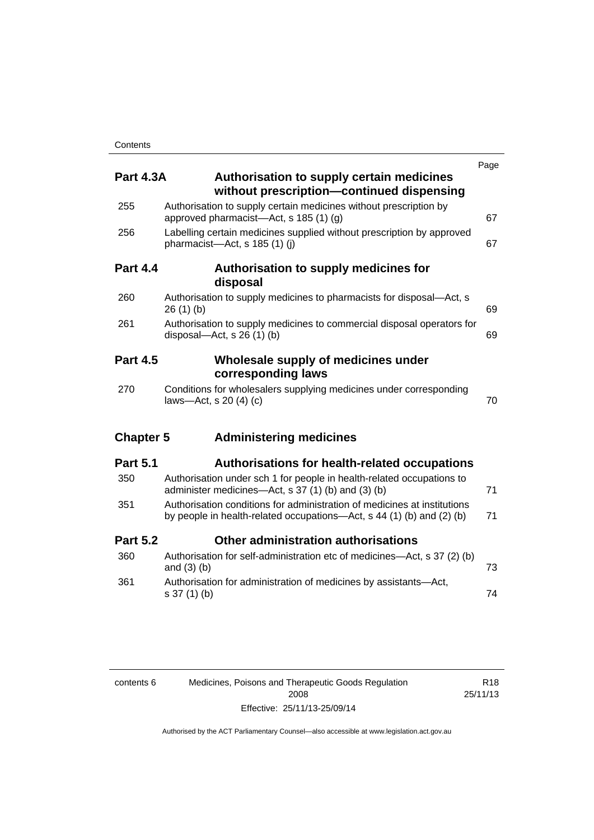| <b>Part 4.3A</b> | <b>Authorisation to supply certain medicines</b>                                                                                                  | Page |
|------------------|---------------------------------------------------------------------------------------------------------------------------------------------------|------|
|                  | without prescription-continued dispensing                                                                                                         |      |
| 255              | Authorisation to supply certain medicines without prescription by<br>approved pharmacist—Act, s $185(1)(g)$                                       | 67   |
| 256              | Labelling certain medicines supplied without prescription by approved<br>pharmacist-Act, s 185 (1) (i)                                            | 67   |
| <b>Part 4.4</b>  | Authorisation to supply medicines for<br>disposal                                                                                                 |      |
| 260              | Authorisation to supply medicines to pharmacists for disposal—Act, s<br>26(1)(b)                                                                  | 69   |
| 261              | Authorisation to supply medicines to commercial disposal operators for<br>disposal—Act, s $26(1)(b)$                                              | 69   |
| <b>Part 4.5</b>  | Wholesale supply of medicines under                                                                                                               |      |
|                  | corresponding laws                                                                                                                                |      |
| 270              | Conditions for wholesalers supplying medicines under corresponding<br>laws-Act, s 20 (4) (c)                                                      | 70   |
| <b>Chapter 5</b> | <b>Administering medicines</b>                                                                                                                    |      |
| <b>Part 5.1</b>  | Authorisations for health-related occupations                                                                                                     |      |
| 350              | Authorisation under sch 1 for people in health-related occupations to<br>administer medicines-Act, s 37 (1) (b) and (3) (b)                       | 71   |
| 351              | Authorisation conditions for administration of medicines at institutions<br>by people in health-related occupations—Act, s 44 (1) (b) and (2) (b) | 71   |
| <b>Part 5.2</b>  | Other administration authorisations                                                                                                               |      |
| 360              | Authorisation for self-administration etc of medicines-Act, s 37 (2) (b)<br>and $(3)$ $(b)$                                                       | 73   |
| 361              | Authorisation for administration of medicines by assistants-Act,<br>s 37 (1) (b)                                                                  | 74   |

| contents 6 | Medicines, Poisons and Therapeutic Goods Regulation |
|------------|-----------------------------------------------------|
|            | 2008                                                |
|            | Effective: 25/11/13-25/09/14                        |

R18 25/11/13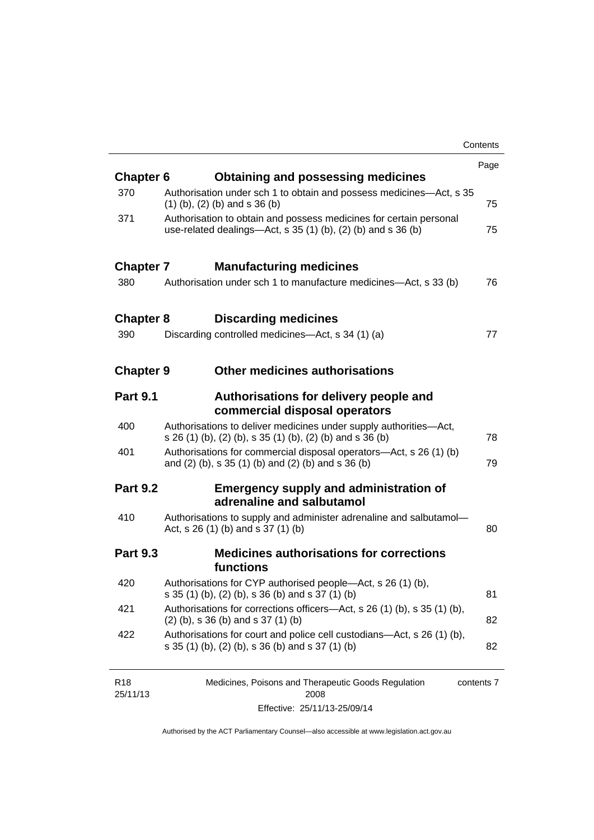|                  |                                                                                                                                       | Contents |
|------------------|---------------------------------------------------------------------------------------------------------------------------------------|----------|
|                  |                                                                                                                                       | Page     |
| <b>Chapter 6</b> | <b>Obtaining and possessing medicines</b>                                                                                             |          |
| 370              | Authorisation under sch 1 to obtain and possess medicines—Act, s 35<br>$(1)$ (b), (2) (b) and s 36 (b)                                | 75       |
| 371              | Authorisation to obtain and possess medicines for certain personal<br>use-related dealings—Act, s $35(1)(b)$ , $(2)(b)$ and s $36(b)$ | 75       |
| <b>Chapter 7</b> | <b>Manufacturing medicines</b>                                                                                                        |          |
| 380              | Authorisation under sch 1 to manufacture medicines—Act, s 33 (b)                                                                      | 76       |
| <b>Chapter 8</b> | <b>Discarding medicines</b>                                                                                                           |          |
| 390              | Discarding controlled medicines—Act, s 34 (1) (a)                                                                                     | 77       |
| <b>Chapter 9</b> | <b>Other medicines authorisations</b>                                                                                                 |          |
| <b>Part 9.1</b>  | Authorisations for delivery people and<br>commercial disposal operators                                                               |          |
| 400              | Authorisations to deliver medicines under supply authorities-Act,<br>s 26 (1) (b), (2) (b), s 35 (1) (b), (2) (b) and s 36 (b)        | 78       |
| 401              | Authorisations for commercial disposal operators-Act, s 26 (1) (b)<br>and (2) (b), s 35 (1) (b) and (2) (b) and s 36 (b)              | 79       |
| <b>Part 9.2</b>  | <b>Emergency supply and administration of</b><br>adrenaline and salbutamol                                                            |          |
| 410              | Authorisations to supply and administer adrenaline and salbutamol-<br>Act, s 26 (1) (b) and s 37 (1) (b)                              | 80       |
| <b>Part 9.3</b>  | <b>Medicines authorisations for corrections</b><br>functions                                                                          |          |
| 420              | Authorisations for CYP authorised people-Act, s 26 (1) (b),<br>s 35 (1) (b), (2) (b), s 36 (b) and s 37 (1) (b)                       | 81       |
| 421              | Authorisations for corrections officers-Act, s 26 (1) (b), s 35 (1) (b),<br>$(2)$ (b), s 36 (b) and s 37 (1) (b)                      | 82       |
| 422              | Authorisations for court and police cell custodians—Act, s 26 (1) (b),<br>s 35 (1) (b), (2) (b), s 36 (b) and s 37 (1) (b)            | 82       |
|                  |                                                                                                                                       |          |

| R <sub>18</sub> | Medicines, Poisons and Therapeutic Goods Regulation | contents 7 |
|-----------------|-----------------------------------------------------|------------|
| 25/11/13        | 2008                                                |            |
|                 | Effective: 25/11/13-25/09/14                        |            |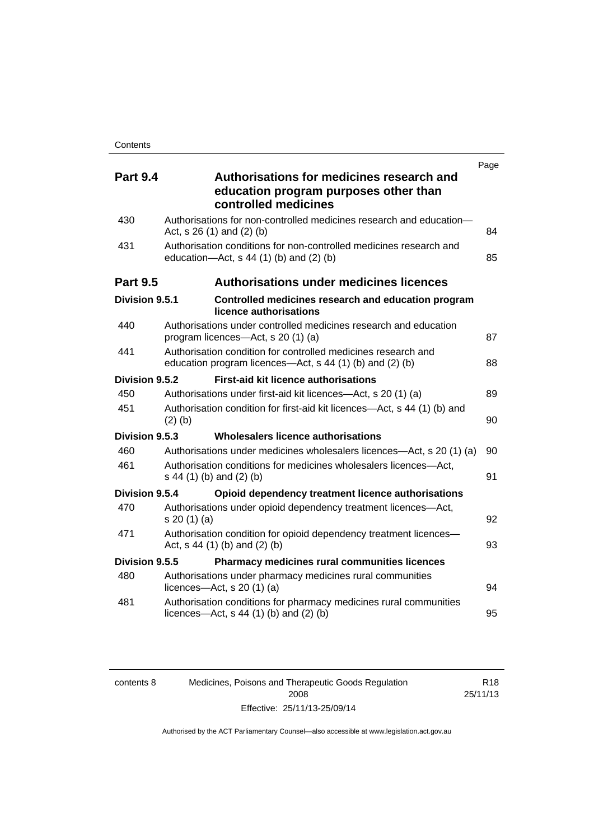| <b>Part 9.4</b> | Page<br>Authorisations for medicines research and                                                                         |    |
|-----------------|---------------------------------------------------------------------------------------------------------------------------|----|
|                 | education program purposes other than<br>controlled medicines                                                             |    |
| 430             | Authorisations for non-controlled medicines research and education-<br>Act, $s$ 26 (1) and (2) (b)                        | 84 |
| 431             | Authorisation conditions for non-controlled medicines research and<br>education- $Act$ , s 44 (1) (b) and (2) (b)         | 85 |
| <b>Part 9.5</b> | <b>Authorisations under medicines licences</b>                                                                            |    |
| Division 9.5.1  | Controlled medicines research and education program<br>licence authorisations                                             |    |
| 440             | Authorisations under controlled medicines research and education<br>program licences—Act, s 20 (1) (a)                    | 87 |
| 441             | Authorisation condition for controlled medicines research and<br>education program licences—Act, s 44 (1) (b) and (2) (b) | 88 |
| Division 9.5.2  | <b>First-aid kit licence authorisations</b>                                                                               |    |
| 450             | Authorisations under first-aid kit licences—Act, s 20 (1) (a)                                                             | 89 |
| 451             | Authorisation condition for first-aid kit licences—Act, s 44 (1) (b) and<br>$(2)$ (b)                                     | 90 |
| Division 9.5.3  | Wholesalers licence authorisations                                                                                        |    |
| 460             | Authorisations under medicines wholesalers licences—Act, s 20 (1) (a)                                                     | 90 |
| 461             | Authorisation conditions for medicines wholesalers licences-Act,<br>s 44 (1) (b) and (2) (b)                              | 91 |
| Division 9.5.4  | Opioid dependency treatment licence authorisations                                                                        |    |
| 470             | Authorisations under opioid dependency treatment licences-Act,<br>s 20 (1) (a)                                            | 92 |
| 471             | Authorisation condition for opioid dependency treatment licences-<br>Act, s 44 (1) (b) and (2) (b)                        | 93 |
| Division 9.5.5  | <b>Pharmacy medicines rural communities licences</b>                                                                      |    |
| 480             | Authorisations under pharmacy medicines rural communities<br>licences- $-\text{Act}$ , s 20 (1) (a)                       | 94 |
| 481             | Authorisation conditions for pharmacy medicines rural communities<br>licences—Act, $s$ 44 (1) (b) and (2) (b)             | 95 |

| contents 8 | Medicines, Poisons and Therapeutic Goods Regulation | R <sub>18</sub> |
|------------|-----------------------------------------------------|-----------------|
|            | 2008                                                | 25/11/13        |
|            | Effective: 25/11/13-25/09/14                        |                 |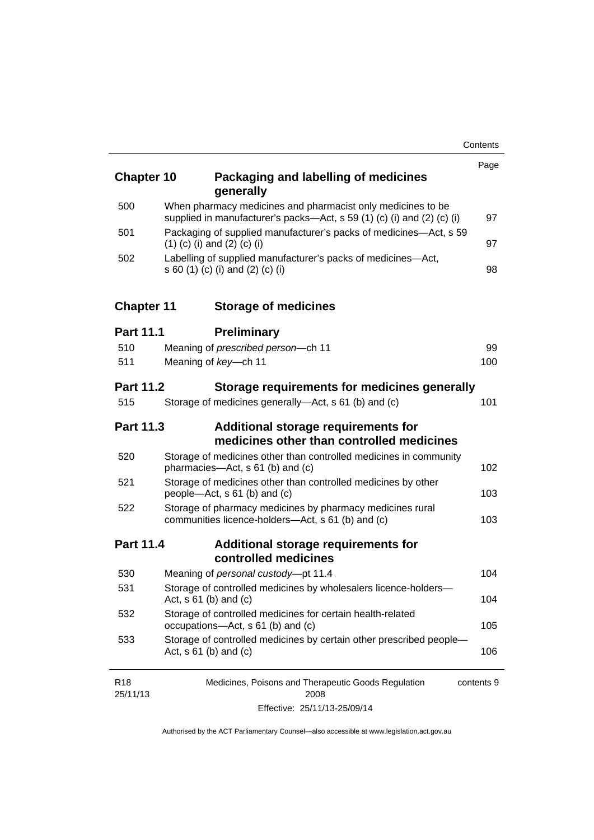| <b>Chapter 10</b>           | Packaging and labelling of medicines                                                                                                  | Page       |
|-----------------------------|---------------------------------------------------------------------------------------------------------------------------------------|------------|
|                             | generally                                                                                                                             |            |
| 500                         | When pharmacy medicines and pharmacist only medicines to be<br>supplied in manufacturer's packs-Act, s 59 (1) (c) (i) and (2) (c) (i) | 97         |
| 501                         | Packaging of supplied manufacturer's packs of medicines—Act, s 59<br>$(1)$ (c) (i) and (2) (c) (i)                                    | 97         |
| 502                         | Labelling of supplied manufacturer's packs of medicines-Act,<br>s 60 (1) (c) (i) and (2) (c) (i)                                      | 98         |
| <b>Chapter 11</b>           | <b>Storage of medicines</b>                                                                                                           |            |
| <b>Part 11.1</b>            | <b>Preliminary</b>                                                                                                                    |            |
| 510                         | Meaning of prescribed person-ch 11                                                                                                    | 99         |
| 511                         | Meaning of key-ch 11                                                                                                                  | 100        |
| <b>Part 11.2</b>            | Storage requirements for medicines generally                                                                                          |            |
| 515                         | Storage of medicines generally—Act, s 61 (b) and (c)                                                                                  | 101        |
| <b>Part 11.3</b>            | <b>Additional storage requirements for</b><br>medicines other than controlled medicines                                               |            |
| 520                         | Storage of medicines other than controlled medicines in community<br>pharmacies-Act, s 61 (b) and (c)                                 | 102        |
| 521                         | Storage of medicines other than controlled medicines by other<br>people-Act, s 61 (b) and (c)                                         | 103        |
| 522                         | Storage of pharmacy medicines by pharmacy medicines rural<br>communities licence-holders-Act, s 61 (b) and (c)                        | 103        |
| <b>Part 11.4</b>            | Additional storage requirements for<br>controlled medicines                                                                           |            |
| 530                         | Meaning of personal custody-pt 11.4                                                                                                   | 104        |
| 531                         | Storage of controlled medicines by wholesalers licence-holders-<br>Act, $s \ 61$ (b) and (c)                                          | 104        |
| 532                         | Storage of controlled medicines for certain health-related<br>occupations-Act, s 61 (b) and (c)                                       | 105        |
| 533                         | Storage of controlled medicines by certain other prescribed people-<br>Act, $s 61$ (b) and (c)                                        | 106        |
| R <sub>18</sub><br>25/11/13 | Medicines, Poisons and Therapeutic Goods Regulation<br>2008                                                                           | contents 9 |
|                             |                                                                                                                                       |            |

Effective: 25/11/13-25/09/14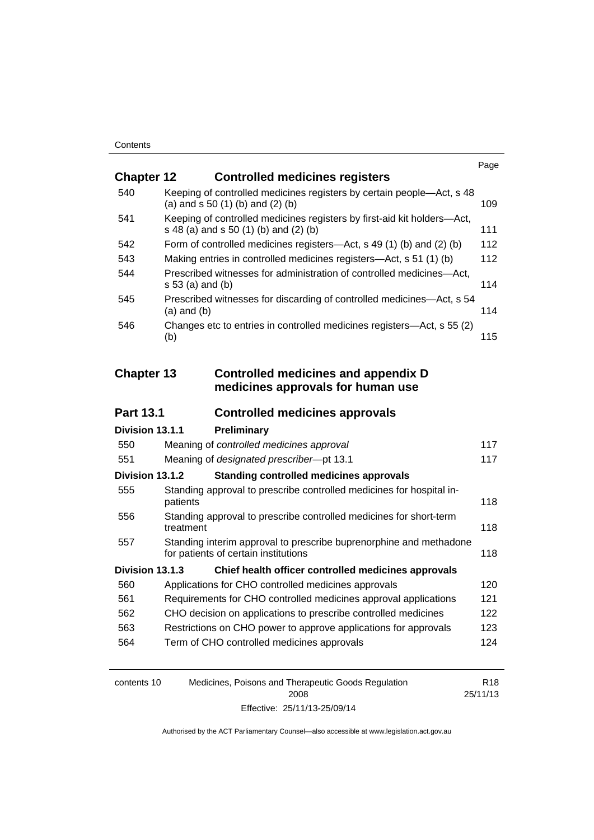|                   |                                                                                                                  | Page |
|-------------------|------------------------------------------------------------------------------------------------------------------|------|
| <b>Chapter 12</b> | <b>Controlled medicines registers</b>                                                                            |      |
| 540               | Keeping of controlled medicines registers by certain people—Act, s 48<br>(a) and $s$ 50 (1) (b) and (2) (b)      | 109  |
| 541               | Keeping of controlled medicines registers by first-aid kit holders-Act,<br>s 48 (a) and s 50 (1) (b) and (2) (b) | 111  |
| 542               | Form of controlled medicines registers—Act, s 49 (1) (b) and (2) (b)                                             | 112  |
| 543               | Making entries in controlled medicines registers-Act, s 51 (1) (b)                                               | 112  |
| 544               | Prescribed witnesses for administration of controlled medicines-Act,<br>s 53 (a) and (b)                         | 114  |
| 545               | Prescribed witnesses for discarding of controlled medicines-Act, s 54<br>$(a)$ and $(b)$                         | 114  |
| 546               | Changes etc to entries in controlled medicines registers-Act, s 55 (2)<br>(b)                                    | 115  |
| <b>Chapter 13</b> | <b>Controlled medicines and appendix D</b>                                                                       |      |
|                   | medicines approvals for human use                                                                                |      |
| <b>Part 13.1</b>  | <b>Controlled medicines approvals</b>                                                                            |      |
| Division 13.1.1   | Preliminary                                                                                                      |      |
| 550               | Meaning of controlled medicines approval                                                                         | 117  |
| 551               | Meaning of designated prescriber-pt 13.1                                                                         | 117  |
| Division 13.1.2   | <b>Standing controlled medicines approvals</b>                                                                   |      |
| 555               | Standing approval to prescribe controlled medicines for hospital in-<br>patients                                 | 118  |
| 556               | Standing approval to prescribe controlled medicines for short-term<br>treatment                                  | 118  |
| 557               | Standing interim approval to prescribe buprenorphine and methadone<br>for patients of certain institutions       | 118  |
| Division 13.1.3   | Chief health officer controlled medicines approvals                                                              |      |
| 560               | Applications for CHO controlled medicines approvals                                                              | 120  |
| 561               | Requirements for CHO controlled medicines approval applications                                                  | 121  |
| 562               | CHO decision on applications to prescribe controlled medicines                                                   | 122  |
| 563               | Restrictions on CHO power to approve applications for approvals                                                  | 123  |
| 564               | Term of CHO controlled medicines approvals                                                                       | 124  |
|                   |                                                                                                                  |      |

| contents 10 | Medicines, Poisons and Therapeutic Goods Regulation | R <sub>18</sub> |
|-------------|-----------------------------------------------------|-----------------|
|             | 2008                                                | 25/11/13        |
|             | Effective: 25/11/13-25/09/14                        |                 |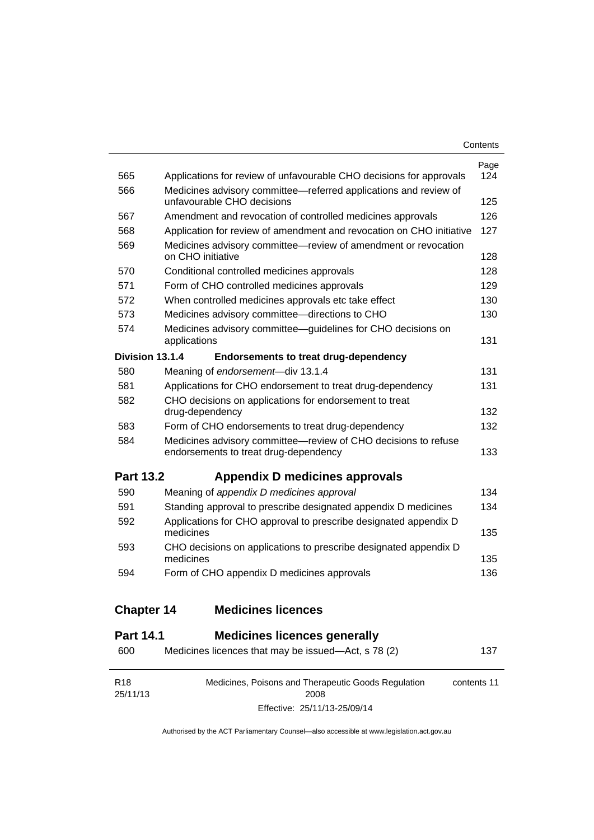| Contents |
|----------|
|----------|

| 565               | Applications for review of unfavourable CHO decisions for approvals                                     | Page<br>124 |
|-------------------|---------------------------------------------------------------------------------------------------------|-------------|
| 566               | Medicines advisory committee—referred applications and review of<br>unfavourable CHO decisions          | 125         |
| 567               | Amendment and revocation of controlled medicines approvals                                              | 126         |
| 568               | Application for review of amendment and revocation on CHO initiative                                    | 127         |
| 569               | Medicines advisory committee-review of amendment or revocation<br>on CHO initiative                     | 128         |
| 570               | Conditional controlled medicines approvals                                                              | 128         |
| 571               | Form of CHO controlled medicines approvals                                                              | 129         |
| 572               | When controlled medicines approvals etc take effect                                                     | 130         |
| 573               | Medicines advisory committee-directions to CHO                                                          | 130         |
| 574               | Medicines advisory committee—guidelines for CHO decisions on<br>applications                            | 131         |
| Division 13.1.4   | <b>Endorsements to treat drug-dependency</b>                                                            |             |
| 580               | Meaning of endorsement-div 13.1.4                                                                       | 131         |
| 581               | Applications for CHO endorsement to treat drug-dependency                                               | 131         |
| 582               | CHO decisions on applications for endorsement to treat<br>drug-dependency                               | 132         |
| 583               | Form of CHO endorsements to treat drug-dependency                                                       | 132         |
| 584               | Medicines advisory committee-review of CHO decisions to refuse<br>endorsements to treat drug-dependency | 133         |
| <b>Part 13.2</b>  | Appendix D medicines approvals                                                                          |             |
| 590               | Meaning of appendix D medicines approval                                                                | 134         |
| 591               | Standing approval to prescribe designated appendix D medicines                                          | 134         |
| 592               | Applications for CHO approval to prescribe designated appendix D<br>medicines                           | 135         |
| 593               | CHO decisions on applications to prescribe designated appendix D<br>medicines                           | 135         |
| 594               | Form of CHO appendix D medicines approvals                                                              | 136         |
| <b>Chapter 14</b> | <b>Medicines licences</b>                                                                               |             |

### **Part 14.1 [Medicines licences generally](#page-160-1)**

| 600                         | Medicines licences that may be issued—Act, s 78 (2)         | 137         |
|-----------------------------|-------------------------------------------------------------|-------------|
| R <sub>18</sub><br>25/11/13 | Medicines, Poisons and Therapeutic Goods Regulation<br>2008 | contents 11 |
|                             | Effective: 25/11/13-25/09/14                                |             |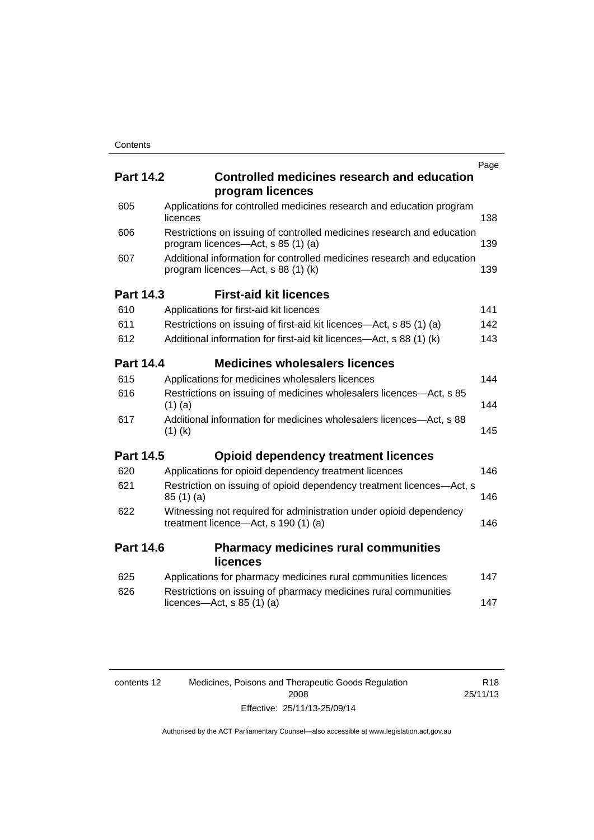|                  |                                                                                                              | Page |
|------------------|--------------------------------------------------------------------------------------------------------------|------|
| <b>Part 14.2</b> | <b>Controlled medicines research and education</b><br>program licences                                       |      |
| 605              | Applications for controlled medicines research and education program<br>licences                             | 138  |
| 606              | Restrictions on issuing of controlled medicines research and education<br>program licences—Act, s 85 (1) (a) | 139  |
| 607              | Additional information for controlled medicines research and education<br>program licences—Act, s 88 (1) (k) | 139  |
| <b>Part 14.3</b> | <b>First-aid kit licences</b>                                                                                |      |
| 610              | Applications for first-aid kit licences                                                                      | 141  |
| 611              | Restrictions on issuing of first-aid kit licences—Act, s 85 (1) (a)                                          | 142  |
| 612              | Additional information for first-aid kit licences-Act, s 88 (1) (k)                                          | 143  |
| <b>Part 14.4</b> | <b>Medicines wholesalers licences</b>                                                                        |      |
| 615              | Applications for medicines wholesalers licences                                                              | 144  |
| 616              | Restrictions on issuing of medicines wholesalers licences—Act, s 85<br>$(1)$ (a)                             | 144  |
| 617              | Additional information for medicines wholesalers licences—Act, s 88<br>$(1)$ (k)                             | 145  |
| <b>Part 14.5</b> | <b>Opioid dependency treatment licences</b>                                                                  |      |
| 620              | Applications for opioid dependency treatment licences                                                        | 146  |
| 621              | Restriction on issuing of opioid dependency treatment licences-Act, s<br>85(1)(a)                            | 146  |
| 622              | Witnessing not required for administration under opioid dependency<br>treatment licence—Act, s 190 (1) (a)   | 146  |
| <b>Part 14.6</b> | <b>Pharmacy medicines rural communities</b><br>licences                                                      |      |
| 625              | Applications for pharmacy medicines rural communities licences                                               | 147  |
| 626              | Restrictions on issuing of pharmacy medicines rural communities<br>licences—Act, $s$ 85 (1) (a)              | 147  |
|                  |                                                                                                              |      |

| contents 12 | Medicines, Poisons and Therapeutic Goods Regulation | R <sub>18</sub> |
|-------------|-----------------------------------------------------|-----------------|
|             | 2008                                                | 25/11/13        |
|             | Effective: 25/11/13-25/09/14                        |                 |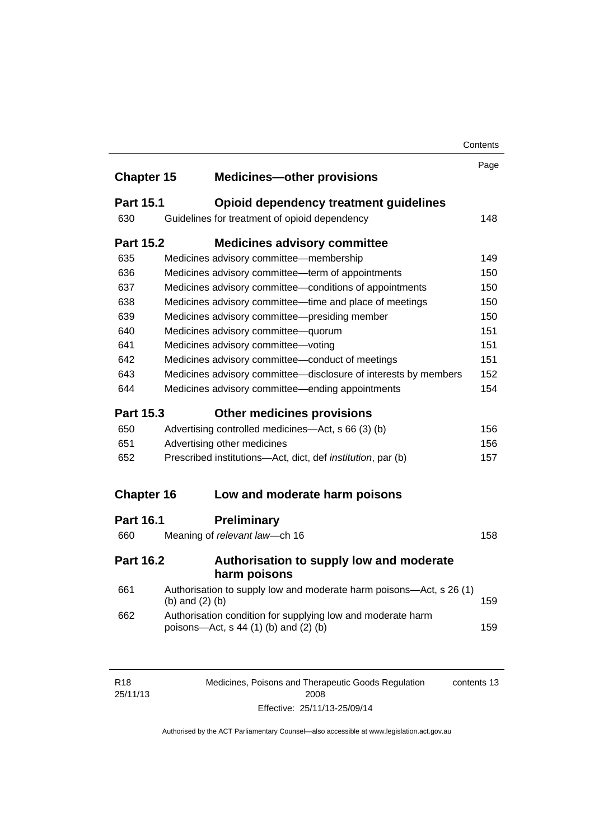|                   |                             |                                                                                                        | Contents |
|-------------------|-----------------------------|--------------------------------------------------------------------------------------------------------|----------|
|                   |                             |                                                                                                        | Page     |
| <b>Chapter 15</b> |                             | <b>Medicines-other provisions</b>                                                                      |          |
| <b>Part 15.1</b>  |                             | Opioid dependency treatment guidelines                                                                 |          |
| 630               |                             | Guidelines for treatment of opioid dependency                                                          | 148      |
| <b>Part 15.2</b>  |                             | <b>Medicines advisory committee</b>                                                                    |          |
| 635               |                             | Medicines advisory committee-membership                                                                | 149      |
| 636               |                             | Medicines advisory committee-term of appointments                                                      | 150      |
| 637               |                             | Medicines advisory committee-conditions of appointments                                                | 150      |
| 638               |                             | Medicines advisory committee-time and place of meetings                                                | 150      |
| 639               |                             | Medicines advisory committee-presiding member                                                          | 150      |
| 640               |                             | Medicines advisory committee-quorum                                                                    | 151      |
| 641               |                             | Medicines advisory committee-voting                                                                    | 151      |
| 642               |                             | Medicines advisory committee-conduct of meetings                                                       | 151      |
| 643               |                             | Medicines advisory committee-disclosure of interests by members                                        | 152      |
| 644               |                             | Medicines advisory committee—ending appointments                                                       | 154      |
| <b>Part 15.3</b>  |                             | <b>Other medicines provisions</b>                                                                      |          |
| 650               |                             | Advertising controlled medicines—Act, s 66 (3) (b)                                                     | 156      |
| 651               | Advertising other medicines |                                                                                                        | 156      |
| 652               |                             | Prescribed institutions-Act, dict, def <i>institution</i> , par (b)                                    | 157      |
| <b>Chapter 16</b> |                             | Low and moderate harm poisons                                                                          |          |
|                   |                             |                                                                                                        |          |
| <b>Part 16.1</b>  |                             | <b>Preliminary</b>                                                                                     |          |
| 660               |                             | Meaning of relevant law-ch 16                                                                          | 158      |
| <b>Part 16.2</b>  |                             | Authorisation to supply low and moderate<br>harm poisons                                               |          |
| 661               | (b) and $(2)$ (b)           | Authorisation to supply low and moderate harm poisons-Act, s 26 (1)                                    | 159      |
| 662               |                             | Authorisation condition for supplying low and moderate harm<br>poisons-Act, $s$ 44 (1) (b) and (2) (b) | 159      |
|                   |                             |                                                                                                        |          |
|                   |                             |                                                                                                        |          |

| R18      | Medicines, Poisons and Therapeutic Goods Regulation | contents 13 |
|----------|-----------------------------------------------------|-------------|
| 25/11/13 | 2008                                                |             |
|          | Effective: 25/11/13-25/09/14                        |             |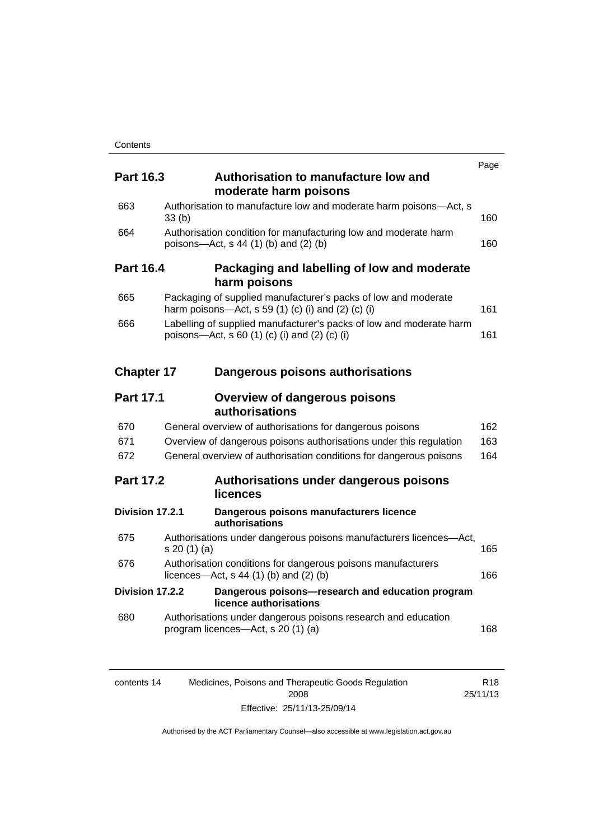|                   |              |                                                                                                                                  | Page |
|-------------------|--------------|----------------------------------------------------------------------------------------------------------------------------------|------|
| <b>Part 16.3</b>  |              | Authorisation to manufacture low and<br>moderate harm poisons                                                                    |      |
| 663               | 33(b)        | Authorisation to manufacture low and moderate harm poisons-Act, s                                                                | 160  |
| 664               |              | Authorisation condition for manufacturing low and moderate harm<br>poisons-Act, s 44 (1) (b) and (2) (b)                         | 160  |
| <b>Part 16.4</b>  |              | Packaging and labelling of low and moderate<br>harm poisons                                                                      |      |
| 665               |              | Packaging of supplied manufacturer's packs of low and moderate<br>harm poisons—Act, s 59 $(1)$ $(c)$ $(i)$ and $(2)$ $(c)$ $(i)$ | 161  |
| 666               |              | Labelling of supplied manufacturer's packs of low and moderate harm<br>poisons—Act, s 60 (1) (c) (i) and (2) (c) (i)             | 161  |
| <b>Chapter 17</b> |              | Dangerous poisons authorisations                                                                                                 |      |
| <b>Part 17.1</b>  |              | <b>Overview of dangerous poisons</b><br>authorisations                                                                           |      |
| 670               |              | General overview of authorisations for dangerous poisons                                                                         | 162  |
| 671               |              | Overview of dangerous poisons authorisations under this regulation                                                               | 163  |
| 672               |              | General overview of authorisation conditions for dangerous poisons                                                               | 164  |
| <b>Part 17.2</b>  |              | Authorisations under dangerous poisons<br>licences                                                                               |      |
| Division 17.2.1   |              | Dangerous poisons manufacturers licence<br>authorisations                                                                        |      |
| 675               | s 20 (1) (a) | Authorisations under dangerous poisons manufacturers licences-Act,                                                               | 165  |
| 676               |              | Authorisation conditions for dangerous poisons manufacturers<br>licences- $-\text{Act}$ , s 44 (1) (b) and (2) (b)               | 166  |
| Division 17.2.2   |              | Dangerous poisons-research and education program<br>licence authorisations                                                       |      |
| 680               |              | Authorisations under dangerous poisons research and education<br>program licences-Act, s 20 (1) (a)                              | 168  |
|                   |              |                                                                                                                                  |      |

| contents 14 | Medicines, Poisons and Therapeutic Goods Regulation | R <sub>18</sub> |
|-------------|-----------------------------------------------------|-----------------|
|             | 2008                                                | 25/11/13        |
|             | Effective: 25/11/13-25/09/14                        |                 |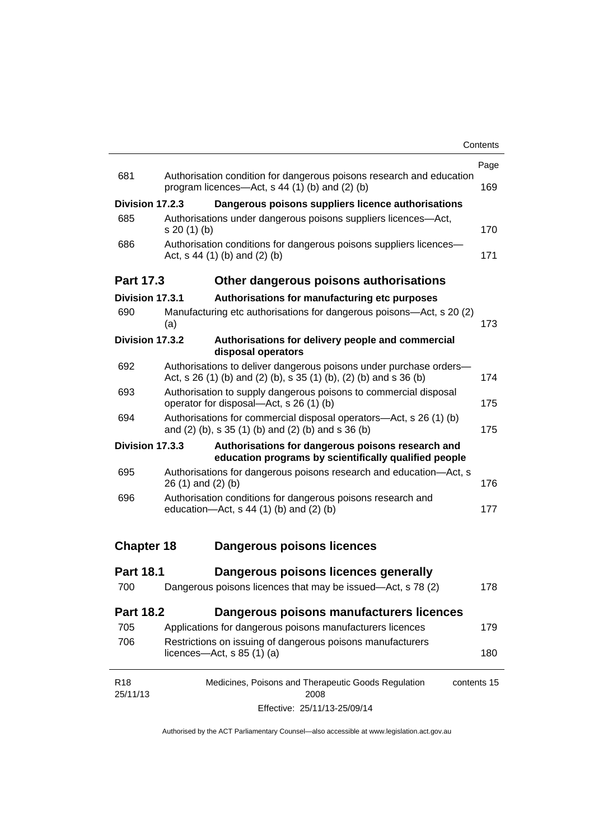|                             |                                                                                                                                         | Page |
|-----------------------------|-----------------------------------------------------------------------------------------------------------------------------------------|------|
| 681                         | Authorisation condition for dangerous poisons research and education<br>program licences—Act, $s$ 44 (1) (b) and (2) (b)                | 169  |
| Division 17.2.3             | Dangerous poisons suppliers licence authorisations                                                                                      |      |
| 685                         | Authorisations under dangerous poisons suppliers licences—Act,<br>$s 20(1)$ (b)                                                         | 170  |
| 686                         | Authorisation conditions for dangerous poisons suppliers licences-<br>Act, $s$ 44 (1) (b) and (2) (b)                                   | 171  |
| <b>Part 17.3</b>            | Other dangerous poisons authorisations                                                                                                  |      |
| Division 17.3.1             | Authorisations for manufacturing etc purposes                                                                                           |      |
| 690                         | Manufacturing etc authorisations for dangerous poisons-Act, s 20 (2)<br>(a)                                                             | 173  |
| Division 17.3.2             | Authorisations for delivery people and commercial<br>disposal operators                                                                 |      |
| 692                         | Authorisations to deliver dangerous poisons under purchase orders-<br>Act, s 26 (1) (b) and (2) (b), s 35 (1) (b), (2) (b) and s 36 (b) | 174  |
| 693                         | Authorisation to supply dangerous poisons to commercial disposal<br>operator for disposal-Act, s 26 (1) (b)                             | 175  |
| 694                         | Authorisations for commercial disposal operators—Act, s 26 (1) (b)<br>and (2) (b), s 35 (1) (b) and (2) (b) and s 36 (b)                | 175  |
| Division 17.3.3             | Authorisations for dangerous poisons research and<br>education programs by scientifically qualified people                              |      |
| 695                         | Authorisations for dangerous poisons research and education-Act, s<br>$26(1)$ and $(2)(b)$                                              | 176  |
| 696                         | Authorisation conditions for dangerous poisons research and<br>education- $Act$ , s 44 (1) (b) and (2) (b)                              | 177  |
| <b>Chapter 18</b>           | <b>Dangerous poisons licences</b>                                                                                                       |      |
| <b>Part 18.1</b>            | Dangerous poisons licences generally                                                                                                    |      |
| 700                         | Dangerous poisons licences that may be issued-Act, s 78 (2)                                                                             | 178  |
| <b>Part 18.2</b>            | Dangerous poisons manufacturers licences                                                                                                |      |
| 705                         | Applications for dangerous poisons manufacturers licences                                                                               | 179  |
| 706                         | Restrictions on issuing of dangerous poisons manufacturers<br>licences- $-\text{Act}, s 85 (1) (a)$                                     | 180  |
| R <sub>18</sub><br>25/11/13 | Medicines, Poisons and Therapeutic Goods Regulation<br>contents 15<br>2008                                                              |      |

Effective: 25/11/13-25/09/14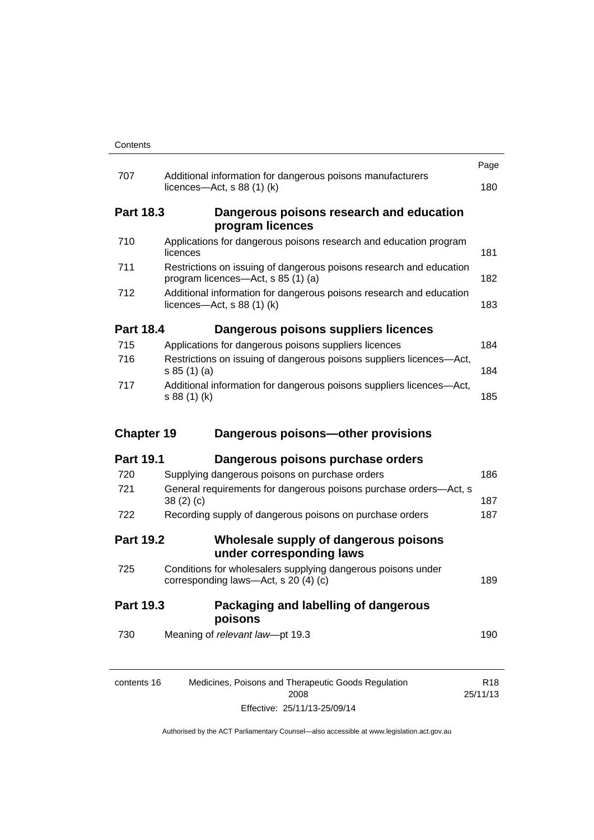|                   |                                                                                                           | Page |
|-------------------|-----------------------------------------------------------------------------------------------------------|------|
| 707               | Additional information for dangerous poisons manufacturers<br>licences- $-\text{Act}$ , s 88 (1) (k)      | 180  |
| <b>Part 18.3</b>  | Dangerous poisons research and education<br>program licences                                              |      |
| 710               | Applications for dangerous poisons research and education program<br>licences                             | 181  |
| 711               | Restrictions on issuing of dangerous poisons research and education<br>program licences—Act, s 85 (1) (a) | 182  |
| 712               | Additional information for dangerous poisons research and education<br>licences—Act, $s$ 88 (1) (k)       | 183  |
| <b>Part 18.4</b>  | Dangerous poisons suppliers licences                                                                      |      |
| 715               | Applications for dangerous poisons suppliers licences                                                     | 184  |
| 716               | Restrictions on issuing of dangerous poisons suppliers licences-Act,<br>s 85(1)(a)                        | 184  |
| 717               | Additional information for dangerous poisons suppliers licences-Act,<br>s 88 (1) (k)                      | 185  |
| <b>Chapter 19</b> | Dangerous poisons-other provisions                                                                        |      |
| <b>Part 19.1</b>  | Dangerous poisons purchase orders                                                                         |      |
| 720               | Supplying dangerous poisons on purchase orders                                                            | 186  |
| 721               | General requirements for dangerous poisons purchase orders-Act, s<br>38(2)(c)                             | 187  |
| 722               | Recording supply of dangerous poisons on purchase orders                                                  | 187  |
| <b>Part 19.2</b>  | Wholesale supply of dangerous poisons<br>under corresponding laws                                         |      |
| 725               |                                                                                                           |      |
|                   | Conditions for wholesalers supplying dangerous poisons under<br>corresponding laws-Act, s 20 (4) (c)      | 189  |
| Part 19.3         | Packaging and labelling of dangerous<br>poisons                                                           |      |
| 730               | Meaning of relevant law-pt 19.3                                                                           | 190  |

Effective: 25/11/13-25/09/14

25/11/13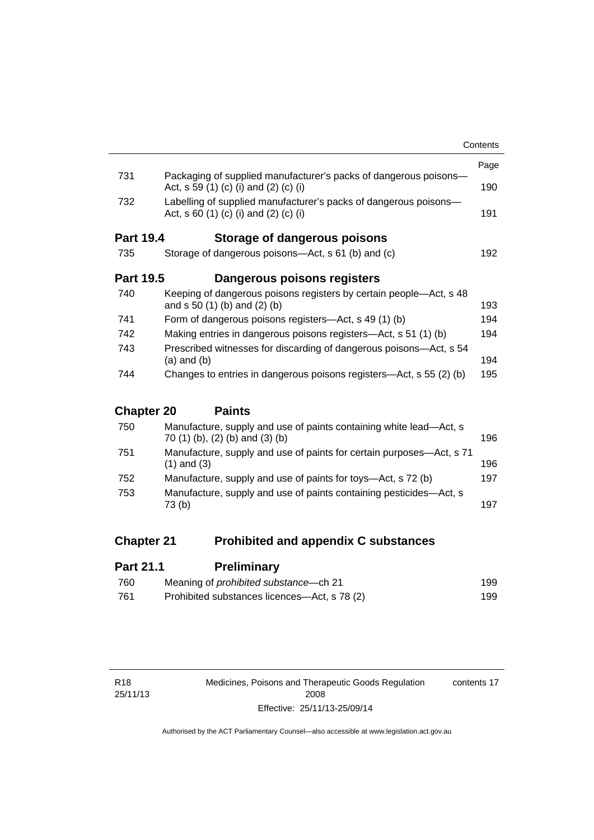|                                                                                                             | Contents                                                                                                                                                                     |
|-------------------------------------------------------------------------------------------------------------|------------------------------------------------------------------------------------------------------------------------------------------------------------------------------|
|                                                                                                             | Page                                                                                                                                                                         |
| Act, s 59 (1) (c) (i) and (2) (c) (i)                                                                       | 190                                                                                                                                                                          |
| Labelling of supplied manufacturer's packs of dangerous poisons-<br>Act, s $60$ (1) (c) (i) and (2) (c) (i) | 191                                                                                                                                                                          |
| <b>Part 19.4</b><br>Storage of dangerous poisons                                                            |                                                                                                                                                                              |
| Storage of dangerous poisons—Act, s 61 (b) and (c)                                                          | 192                                                                                                                                                                          |
| <b>Part 19.5</b><br>Dangerous poisons registers                                                             |                                                                                                                                                                              |
| Keeping of dangerous poisons registers by certain people—Act, s 48<br>and $s 50 (1) (b)$ and $(2) (b)$      | 193                                                                                                                                                                          |
| Form of dangerous poisons registers—Act, s 49 (1) (b)                                                       | 194                                                                                                                                                                          |
| Making entries in dangerous poisons registers—Act, s 51 (1) (b)                                             | 194                                                                                                                                                                          |
| Prescribed witnesses for discarding of dangerous poisons—Act, s 54<br>$(a)$ and $(b)$                       | 194                                                                                                                                                                          |
| Changes to entries in dangerous poisons registers—Act, s 55 (2) (b)                                         | 195                                                                                                                                                                          |
|                                                                                                             |                                                                                                                                                                              |
|                                                                                                             |                                                                                                                                                                              |
|                                                                                                             | Packaging of supplied manufacturer's packs of dangerous poisons-<br><b>Chapter 20</b><br><b>Paints</b><br>Manufacture, supply and use of paints containing white lead—Act, s |

| Manufacture, supply and use of paints containing white lead—Act, s<br>70 (1) (b), (2) (b) and (3) (b) | 196 |
|-------------------------------------------------------------------------------------------------------|-----|
| Manufacture, supply and use of paints for certain purposes—Act, s 71<br>$(1)$ and $(3)$               | 196 |
| Manufacture, supply and use of paints for toys—Act, s 72 (b)                                          | 197 |
| Manufacture, supply and use of paints containing pesticides—Act, s<br>73 (b)                          | 197 |
|                                                                                                       |     |

### **Chapter 21 [Prohibited and appendix C substances](#page-222-0)**

| <b>Part 21.1</b> | <b>Preliminary</b>                           |     |
|------------------|----------------------------------------------|-----|
| 760              | Meaning of <i>prohibited</i> substance—ch 21 | 199 |
| -761             | Prohibited substances licences—Act, s 78 (2) | 199 |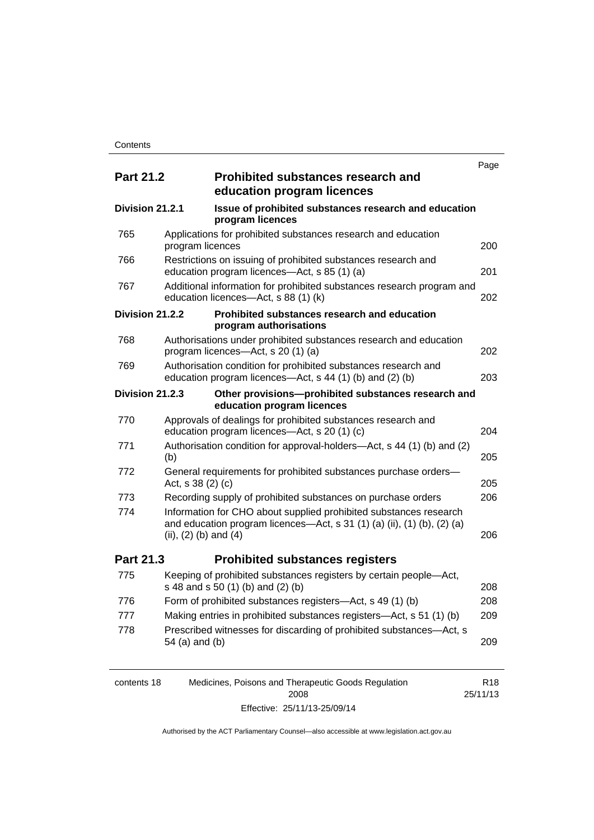|                  |                           |                                                                                                                                              | Page |
|------------------|---------------------------|----------------------------------------------------------------------------------------------------------------------------------------------|------|
| <b>Part 21.2</b> |                           | <b>Prohibited substances research and</b><br>education program licences                                                                      |      |
| Division 21.2.1  |                           | Issue of prohibited substances research and education<br>program licences                                                                    |      |
| 765              | program licences          | Applications for prohibited substances research and education                                                                                | 200  |
| 766              |                           | Restrictions on issuing of prohibited substances research and<br>education program licences-Act, s 85 (1) (a)                                | 201  |
| 767              |                           | Additional information for prohibited substances research program and<br>education licences-Act, s 88 (1) (k)                                | 202  |
| Division 21.2.2  |                           | Prohibited substances research and education<br>program authorisations                                                                       |      |
| 768              |                           | Authorisations under prohibited substances research and education<br>program licences-Act, s 20 (1) (a)                                      | 202  |
| 769              |                           | Authorisation condition for prohibited substances research and<br>education program licences—Act, s 44 (1) (b) and (2) (b)                   | 203  |
| Division 21.2.3  |                           | Other provisions-prohibited substances research and<br>education program licences                                                            |      |
| 770              |                           | Approvals of dealings for prohibited substances research and<br>education program licences-Act, s 20 (1) (c)                                 | 204  |
| 771              | (b)                       | Authorisation condition for approval-holders—Act, s 44 (1) (b) and (2)                                                                       | 205  |
| 772              | Act, s 38 (2) (c)         | General requirements for prohibited substances purchase orders-                                                                              | 205  |
| 773              |                           | Recording supply of prohibited substances on purchase orders                                                                                 | 206  |
| 774              | (ii), $(2)$ (b) and $(4)$ | Information for CHO about supplied prohibited substances research<br>and education program licences—Act, s 31 (1) (a) (ii), (1) (b), (2) (a) | 206  |
| <b>Part 21.3</b> |                           | <b>Prohibited substances registers</b>                                                                                                       |      |
| 775              |                           | Keeping of prohibited substances registers by certain people-Act,<br>s 48 and s 50 (1) (b) and (2) (b)                                       | 208  |
| 776              |                           | Form of prohibited substances registers-Act, s 49 (1) (b)                                                                                    | 208  |
| 777              |                           | Making entries in prohibited substances registers—Act, s 51 (1) (b)                                                                          | 209  |
| 778              | 54 (a) and (b)            | Prescribed witnesses for discarding of prohibited substances-Act, s                                                                          | 209  |
|                  |                           |                                                                                                                                              |      |

| contents 18 | Medicines, Poisons and Therapeutic Goods Regulation | R <sub>18</sub> |
|-------------|-----------------------------------------------------|-----------------|
|             | 2008                                                | 25/11/13        |
|             | Effective: 25/11/13-25/09/14                        |                 |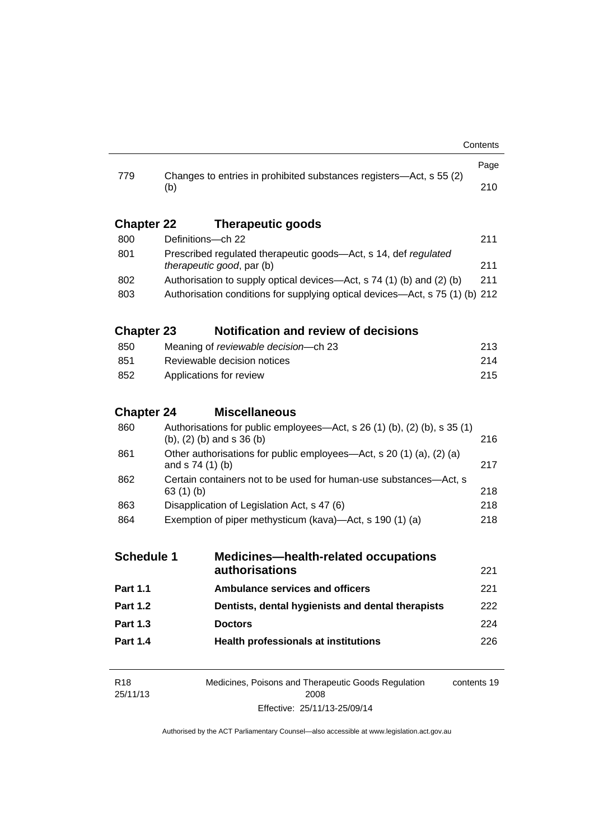| 779               | Changes to entries in prohibited substances registers-Act, s 55 (2)                                                |                                                                               |             |  |  |
|-------------------|--------------------------------------------------------------------------------------------------------------------|-------------------------------------------------------------------------------|-------------|--|--|
|                   | (b)                                                                                                                |                                                                               |             |  |  |
| <b>Chapter 22</b> |                                                                                                                    | <b>Therapeutic goods</b>                                                      |             |  |  |
| 800               |                                                                                                                    | Definitions-ch 22                                                             |             |  |  |
| 801               | Prescribed regulated therapeutic goods-Act, s 14, def regulated<br><i>therapeutic good, par (b)</i>                |                                                                               |             |  |  |
| 802               |                                                                                                                    | Authorisation to supply optical devices—Act, s 74 (1) (b) and (2) (b)         |             |  |  |
| 803               |                                                                                                                    | Authorisation conditions for supplying optical devices—Act, s 75 (1) (b) 212  |             |  |  |
| <b>Chapter 23</b> |                                                                                                                    | <b>Notification and review of decisions</b>                                   |             |  |  |
| 850               |                                                                                                                    | Meaning of reviewable decision--- ch 23                                       |             |  |  |
| 851               |                                                                                                                    | Reviewable decision notices                                                   |             |  |  |
| 852               | Applications for review                                                                                            |                                                                               |             |  |  |
| <b>Chapter 24</b> |                                                                                                                    | <b>Miscellaneous</b>                                                          |             |  |  |
| 860               | Authorisations for public employees—Act, s $26(1)(b)$ , $(2)(b)$ , s $35(1)$<br>$(b)$ , $(2)$ $(b)$ and s 36 $(b)$ |                                                                               |             |  |  |
| 861               | Other authorisations for public employees—Act, s 20 (1) (a), (2) (a)<br>and s 74 (1) (b)                           |                                                                               | 217         |  |  |
| 862               |                                                                                                                    | Certain containers not to be used for human-use substances—Act, s<br>63(1)(b) |             |  |  |
| 863               |                                                                                                                    | Disapplication of Legislation Act, s 47 (6)                                   |             |  |  |
| 864               | Exemption of piper methysticum (kava)—Act, s 190 (1) (a)                                                           |                                                                               | 218         |  |  |
| <b>Schedule 1</b> |                                                                                                                    | <b>Medicines—health-related occupations</b>                                   |             |  |  |
|                   |                                                                                                                    | authorisations                                                                | 221         |  |  |
| Part 1.1          |                                                                                                                    | <b>Ambulance services and officers</b>                                        | 221         |  |  |
| <b>Part 1.2</b>   |                                                                                                                    | Dentists, dental hygienists and dental therapists                             | 222         |  |  |
| <b>Part 1.3</b>   |                                                                                                                    | <b>Doctors</b>                                                                | 224         |  |  |
| <b>Part 1.4</b>   |                                                                                                                    | <b>Health professionals at institutions</b>                                   | 226         |  |  |
| R <sub>18</sub>   |                                                                                                                    | Medicines, Poisons and Therapeutic Goods Regulation                           | contents 19 |  |  |

25/11/13 Medicines, Poisons and Therapeutic Goods Regulation  $2008$ Effective: 25/11/13-25/09/14 contents 19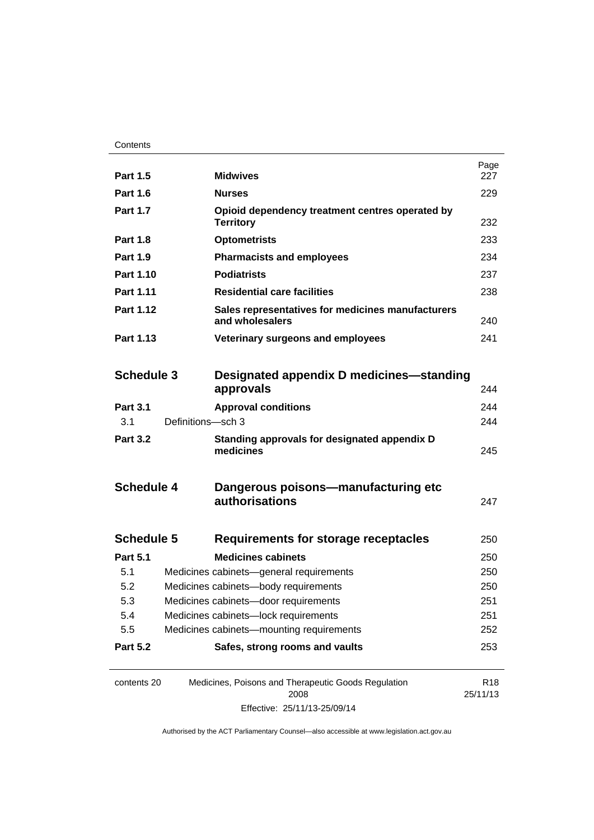| <b>Part 1.5</b>   |                                      | <b>Midwives</b>                                                      | Page<br>227                 |
|-------------------|--------------------------------------|----------------------------------------------------------------------|-----------------------------|
| <b>Part 1.6</b>   |                                      | <b>Nurses</b>                                                        | 229                         |
| <b>Part 1.7</b>   |                                      | Opioid dependency treatment centres operated by<br><b>Territory</b>  | 232                         |
| <b>Part 1.8</b>   |                                      | <b>Optometrists</b>                                                  | 233                         |
| <b>Part 1.9</b>   |                                      | <b>Pharmacists and employees</b>                                     | 234                         |
| Part 1.10         |                                      | <b>Podiatrists</b>                                                   | 237                         |
| <b>Part 1.11</b>  |                                      | <b>Residential care facilities</b>                                   | 238                         |
| Part 1.12         |                                      | Sales representatives for medicines manufacturers<br>and wholesalers |                             |
| Part 1.13         |                                      | Veterinary surgeons and employees                                    | 241                         |
|                   |                                      |                                                                      |                             |
| <b>Schedule 3</b> |                                      | Designated appendix D medicines—standing                             |                             |
|                   |                                      | approvals                                                            | 244                         |
| <b>Part 3.1</b>   |                                      | <b>Approval conditions</b>                                           | 244                         |
| 3.1               | Definitions-sch 3                    |                                                                      | 244                         |
| <b>Part 3.2</b>   |                                      | Standing approvals for designated appendix D<br>medicines            | 245                         |
| <b>Schedule 4</b> |                                      | Dangerous poisons-manufacturing etc<br>authorisations                | 247                         |
| <b>Schedule 5</b> |                                      | Requirements for storage receptacles                                 | 250                         |
| <b>Part 5.1</b>   |                                      | <b>Medicines cabinets</b>                                            | 250                         |
| 5.1               |                                      | Medicines cabinets-general requirements                              | 250                         |
| 5.2               | Medicines cabinets-body requirements |                                                                      | 250                         |
| 5.3               | Medicines cabinets-door requirements |                                                                      | 251                         |
| 5.4               | Medicines cabinets-lock requirements |                                                                      | 251                         |
| 5.5               |                                      | Medicines cabinets-mounting requirements                             | 252                         |
| <b>Part 5.2</b>   |                                      | Safes, strong rooms and vaults                                       | 253                         |
| contents 20       |                                      | Medicines, Poisons and Therapeutic Goods Regulation<br>2008          | R <sub>18</sub><br>25/11/13 |

Effective: 25/11/13-25/09/14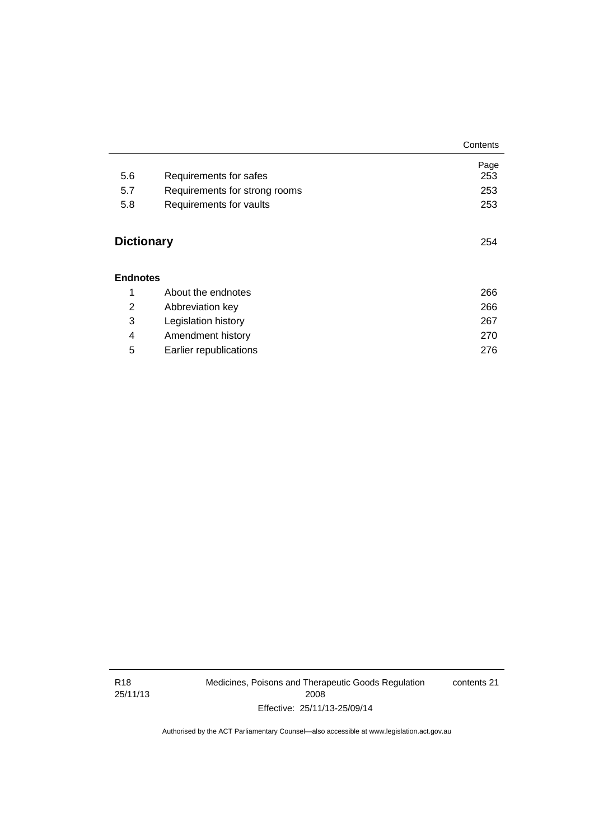|                   |                               | Contents |
|-------------------|-------------------------------|----------|
|                   |                               | Page     |
| 5.6               | Requirements for safes        | 253      |
| 5.7               | Requirements for strong rooms | 253      |
| 5.8               | Requirements for vaults       | 253      |
| <b>Dictionary</b> |                               | 254      |
| <b>Endnotes</b>   |                               |          |
| 1                 | About the endnotes            | 266      |
| 2                 | Abbreviation key              | 266      |
| 3                 | Legislation history           | 267      |
| 4                 | Amendment history             | 270      |
| 5                 | Earlier republications        | 276      |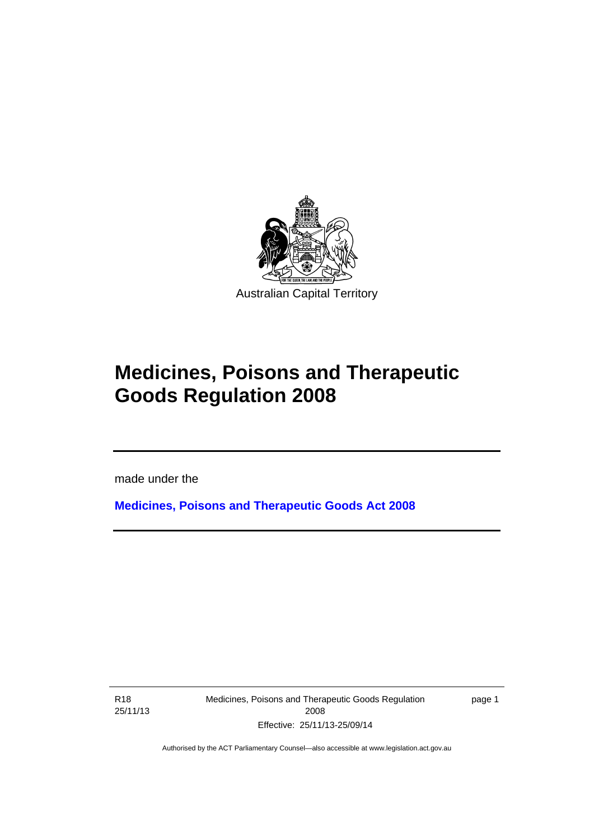

# **Medicines, Poisons and Therapeutic Goods Regulation 2008**

made under the

**[Medicines, Poisons and Therapeutic Goods Act 2008](http://www.legislation.act.gov.au/a/2008-26)**

R18 25/11/13

l

Medicines, Poisons and Therapeutic Goods Regulation 2008 Effective: 25/11/13-25/09/14

page 1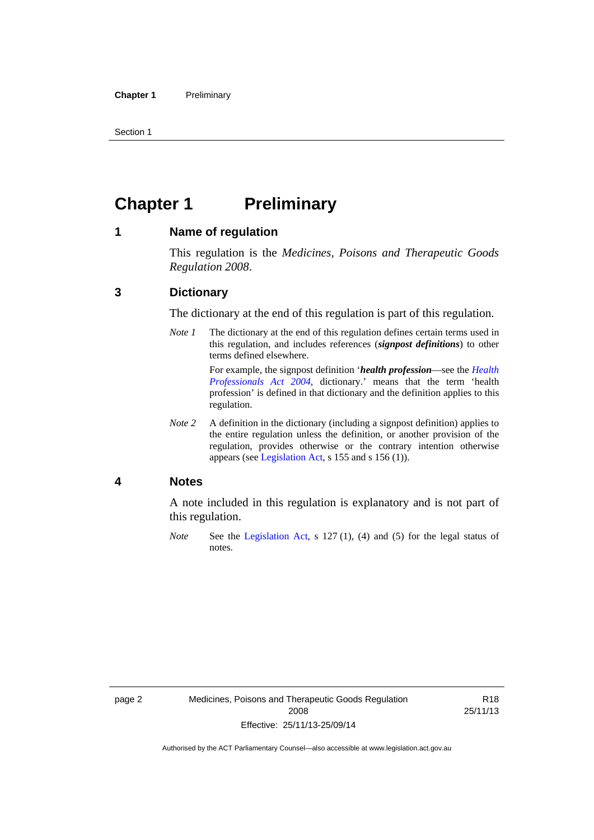Section 1

### <span id="page-25-0"></span>**Chapter 1** Preliminary

#### <span id="page-25-1"></span>**1 Name of regulation**

This regulation is the *Medicines, Poisons and Therapeutic Goods Regulation 2008*.

#### <span id="page-25-2"></span>**3 Dictionary**

The dictionary at the end of this regulation is part of this regulation.

*Note 1* The dictionary at the end of this regulation defines certain terms used in this regulation, and includes references (*signpost definitions*) to other terms defined elsewhere. For example, the signpost definition '*health profession*—see the *[Health](http://www.legislation.act.gov.au/a/2004-38)* 

*[Professionals Act 2004](http://www.legislation.act.gov.au/a/2004-38)*, dictionary.' means that the term 'health profession' is defined in that dictionary and the definition applies to this regulation.

*Note 2* A definition in the dictionary (including a signpost definition) applies to the entire regulation unless the definition, or another provision of the regulation, provides otherwise or the contrary intention otherwise appears (see [Legislation Act,](http://www.legislation.act.gov.au/a/2001-14) s 155 and s 156 (1)).

#### <span id="page-25-3"></span>**4 Notes**

A note included in this regulation is explanatory and is not part of this regulation.

*Note* See the [Legislation Act,](http://www.legislation.act.gov.au/a/2001-14) s 127 (1), (4) and (5) for the legal status of notes.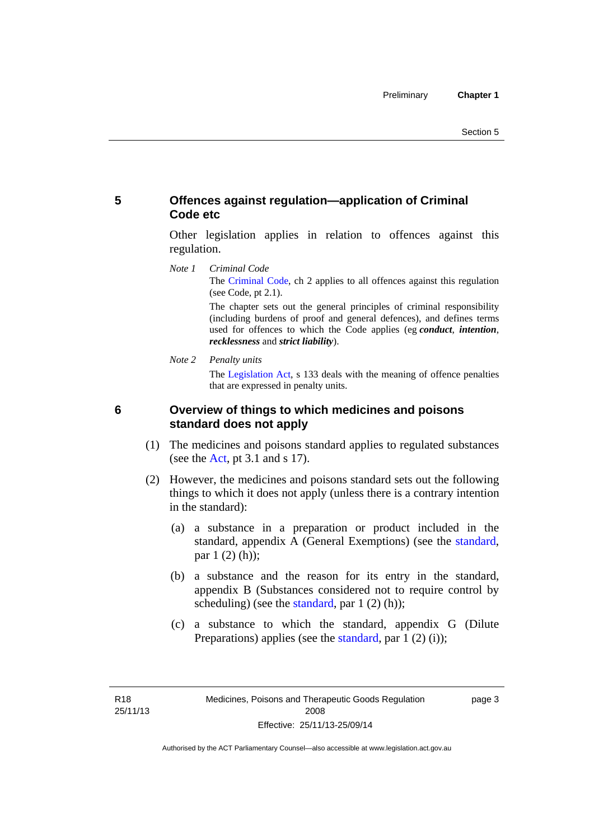#### <span id="page-26-0"></span>**5 Offences against regulation—application of Criminal Code etc**

Other legislation applies in relation to offences against this regulation.

*Note 1 Criminal Code* The [Criminal Code](http://www.legislation.act.gov.au/a/2002-51), ch 2 applies to all offences against this regulation (see Code, pt 2.1).

> The chapter sets out the general principles of criminal responsibility (including burdens of proof and general defences), and defines terms used for offences to which the Code applies (eg *conduct*, *intention*, *recklessness* and *strict liability*).

*Note 2 Penalty units* 

The [Legislation Act](http://www.legislation.act.gov.au/a/2001-14), s 133 deals with the meaning of offence penalties that are expressed in penalty units.

<span id="page-26-1"></span>

#### **6 Overview of things to which medicines and poisons standard does not apply**

- (1) The medicines and poisons standard applies to regulated substances (see the  $Act$ , pt 3.1 and s 17).
- (2) However, the medicines and poisons standard sets out the following things to which it does not apply (unless there is a contrary intention in the standard):
	- (a) a substance in a preparation or product included in the standard, appendix A (General Exemptions) (see the [standard](http://www.comlaw.gov.au/Series/F2012L01200), par 1 (2) (h));
	- (b) a substance and the reason for its entry in the standard, appendix B (Substances considered not to require control by scheduling) (see the [standard,](http://www.comlaw.gov.au/Series/F2012L01200) par  $1(2)(h)$ );
	- (c) a substance to which the standard, appendix G (Dilute Preparations) applies (see the [standard,](http://www.comlaw.gov.au/Series/F2012L01200) par 1 (2) (i));

page 3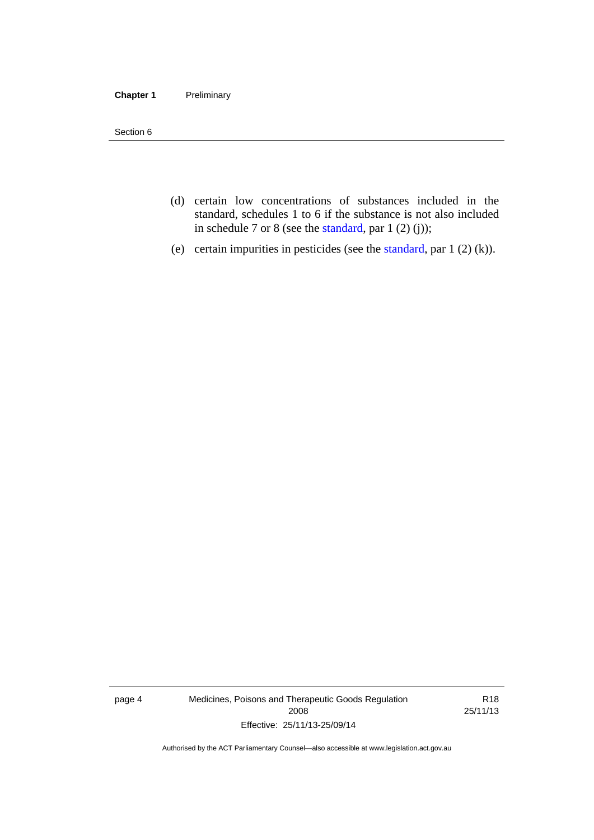#### **Chapter 1** Preliminary

Section 6

- (d) certain low concentrations of substances included in the standard, schedules 1 to 6 if the substance is not also included in schedule 7 or 8 (see the [standard,](http://www.comlaw.gov.au/Series/F2012L01200) par 1 (2) (j));
- (e) certain impurities in pesticides (see the [standard,](http://www.comlaw.gov.au/Series/F2012L01200) par  $1(2)(k)$ ).

page 4 Medicines, Poisons and Therapeutic Goods Regulation 2008 Effective: 25/11/13-25/09/14

R18 25/11/13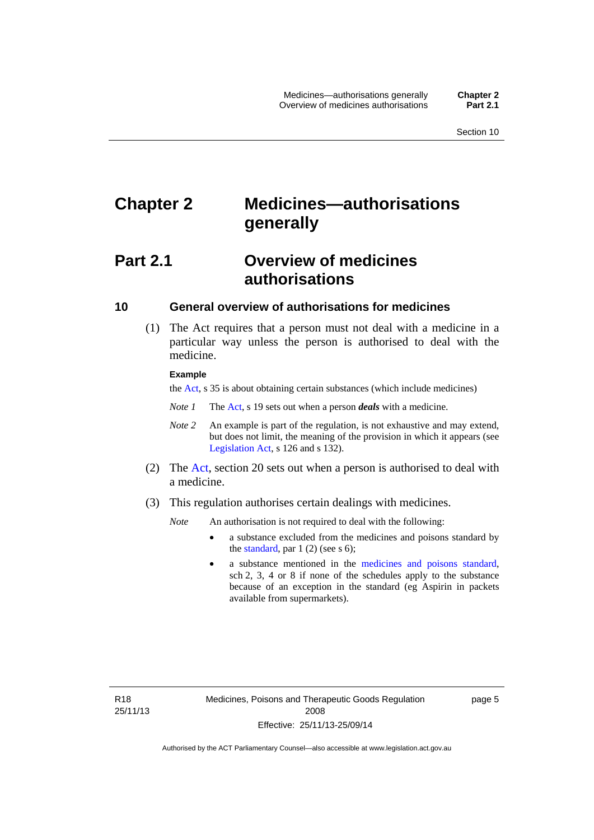## <span id="page-28-0"></span>**Chapter 2 Medicines—authorisations generally**

### <span id="page-28-1"></span>**Part 2.1 Overview of medicines authorisations**

#### <span id="page-28-2"></span>**10 General overview of authorisations for medicines**

 (1) The Act requires that a person must not deal with a medicine in a particular way unless the person is authorised to deal with the medicine.

#### **Example**

the [Act](http://www.legislation.act.gov.au/a/2008-26/default.asp), s 35 is about obtaining certain substances (which include medicines)

- *Note 1* The [Act,](http://www.legislation.act.gov.au/a/2008-26/default.asp) s 19 sets out when a person *deals* with a medicine.
- *Note 2* An example is part of the regulation, is not exhaustive and may extend, but does not limit, the meaning of the provision in which it appears (see [Legislation Act,](http://www.legislation.act.gov.au/a/2001-14) s 126 and s 132).
- (2) The [Act](http://www.legislation.act.gov.au/a/2008-26/default.asp), section 20 sets out when a person is authorised to deal with a medicine.
- (3) This regulation authorises certain dealings with medicines.

*Note* An authorisation is not required to deal with the following:

- a substance excluded from the medicines and poisons standard by the [standard,](http://www.comlaw.gov.au/Series/F2012L01200) par  $1(2)$  (see s 6);
- a substance mentioned in the [medicines and poisons standard,](http://www.comlaw.gov.au/Series/F2012L01200) sch 2, 3, 4 or 8 if none of the schedules apply to the substance because of an exception in the standard (eg Aspirin in packets available from supermarkets).

R18 25/11/13 page 5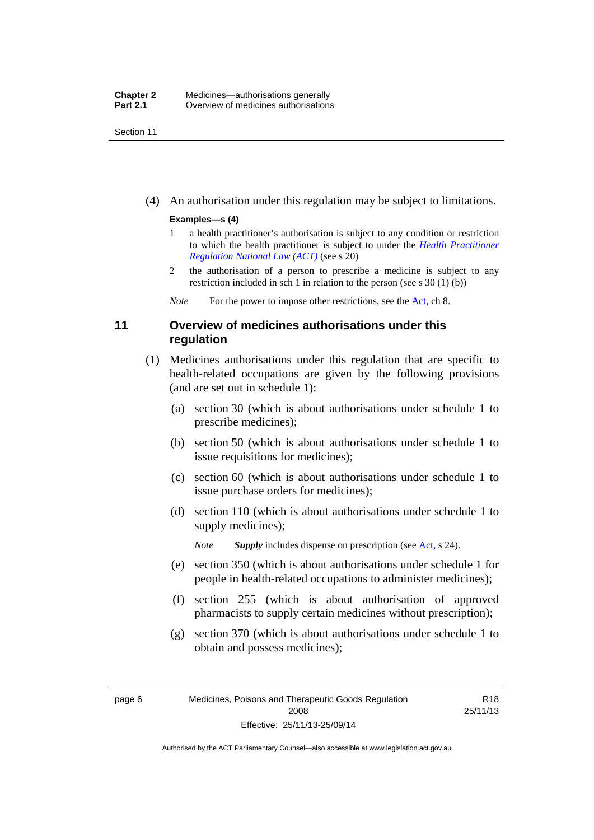Section 11

(4) An authorisation under this regulation may be subject to limitations.

#### **Examples—s (4)**

- 1 a health practitioner's authorisation is subject to any condition or restriction to which the health practitioner is subject to under the *[Health Practitioner](http://www.legislation.act.gov.au/a/db_39269/default.asp)  [Regulation National Law \(ACT\)](http://www.legislation.act.gov.au/a/db_39269/default.asp)* (see s 20)
- 2 the authorisation of a person to prescribe a medicine is subject to any restriction included in sch 1 in relation to the person (see s 30 (1) (b))

*Note* For the power to impose other restrictions, see the [Act](http://www.legislation.act.gov.au/a/2008-26/default.asp), ch 8.

#### <span id="page-29-0"></span>**11 Overview of medicines authorisations under this regulation**

- (1) Medicines authorisations under this regulation that are specific to health-related occupations are given by the following provisions (and are set out in schedule 1):
	- (a) section 30 (which is about authorisations under schedule 1 to prescribe medicines);
	- (b) section 50 (which is about authorisations under schedule 1 to issue requisitions for medicines);
	- (c) section 60 (which is about authorisations under schedule 1 to issue purchase orders for medicines);
	- (d) section 110 (which is about authorisations under schedule 1 to supply medicines);

*Note Supply* includes dispense on prescription (see [Act,](http://www.legislation.act.gov.au/a/2008-26/default.asp) s 24).

- (e) section 350 (which is about authorisations under schedule 1 for people in health-related occupations to administer medicines);
- (f) section 255 (which is about authorisation of approved pharmacists to supply certain medicines without prescription);
- (g) section 370 (which is about authorisations under schedule 1 to obtain and possess medicines);

R18 25/11/13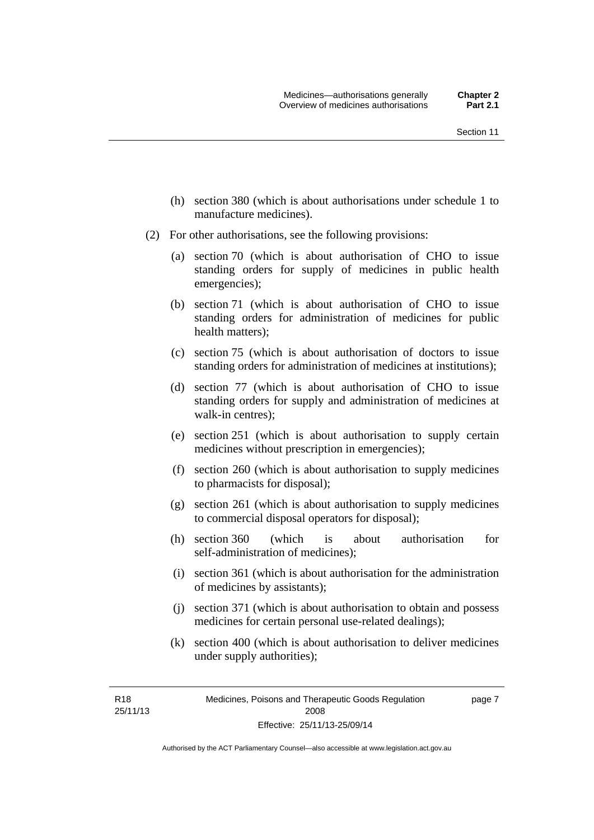- (h) section 380 (which is about authorisations under schedule 1 to manufacture medicines).
- (2) For other authorisations, see the following provisions:
	- (a) section 70 (which is about authorisation of CHO to issue standing orders for supply of medicines in public health emergencies);
	- (b) section 71 (which is about authorisation of CHO to issue standing orders for administration of medicines for public health matters);
	- (c) section 75 (which is about authorisation of doctors to issue standing orders for administration of medicines at institutions);
	- (d) section 77 (which is about authorisation of CHO to issue standing orders for supply and administration of medicines at walk-in centres);
	- (e) section 251 (which is about authorisation to supply certain medicines without prescription in emergencies);
	- (f) section 260 (which is about authorisation to supply medicines to pharmacists for disposal);
	- (g) section 261 (which is about authorisation to supply medicines to commercial disposal operators for disposal);
	- (h) section 360 (which is about authorisation for self-administration of medicines);
	- (i) section 361 (which is about authorisation for the administration of medicines by assistants);
	- (j) section 371 (which is about authorisation to obtain and possess medicines for certain personal use-related dealings);
	- (k) section 400 (which is about authorisation to deliver medicines under supply authorities);

R18 25/11/13 page 7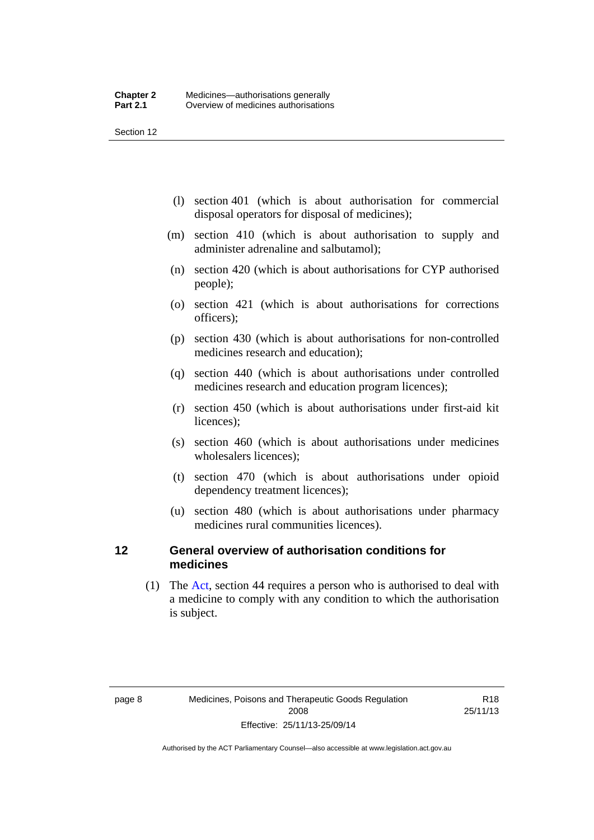Section 12

- (l) section 401 (which is about authorisation for commercial disposal operators for disposal of medicines);
- (m) section 410 (which is about authorisation to supply and administer adrenaline and salbutamol);
- (n) section 420 (which is about authorisations for CYP authorised people);
- (o) section 421 (which is about authorisations for corrections officers);
- (p) section 430 (which is about authorisations for non-controlled medicines research and education);
- (q) section 440 (which is about authorisations under controlled medicines research and education program licences);
- (r) section 450 (which is about authorisations under first-aid kit licences);
- (s) section 460 (which is about authorisations under medicines wholesalers licences);
- (t) section 470 (which is about authorisations under opioid dependency treatment licences);
- (u) section 480 (which is about authorisations under pharmacy medicines rural communities licences).

#### <span id="page-31-0"></span>**12 General overview of authorisation conditions for medicines**

 (1) The [Act](http://www.legislation.act.gov.au/a/2008-26/default.asp), section 44 requires a person who is authorised to deal with a medicine to comply with any condition to which the authorisation is subject.

R18 25/11/13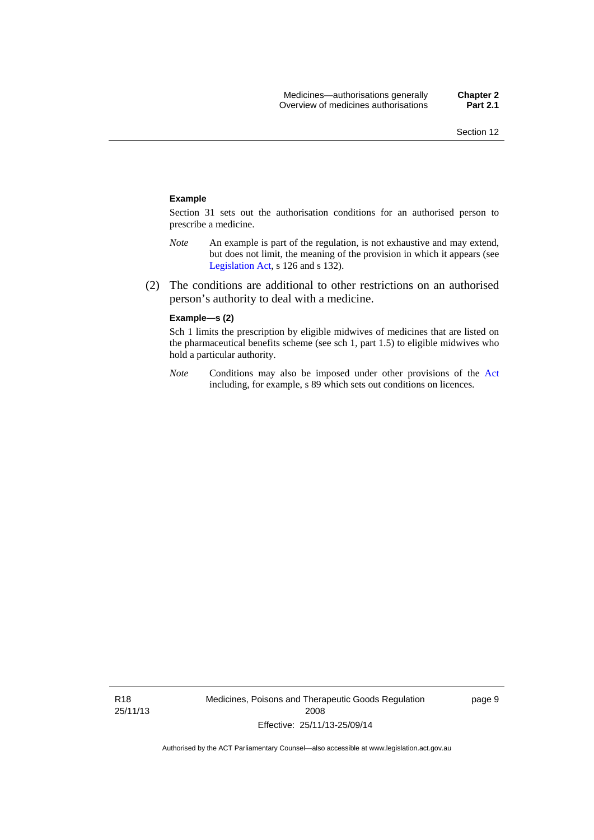#### **Example**

Section 31 sets out the authorisation conditions for an authorised person to prescribe a medicine.

- *Note* An example is part of the regulation, is not exhaustive and may extend, but does not limit, the meaning of the provision in which it appears (see [Legislation Act,](http://www.legislation.act.gov.au/a/2001-14) s 126 and s 132).
- (2) The conditions are additional to other restrictions on an authorised person's authority to deal with a medicine.

#### **Example—s (2)**

Sch 1 limits the prescription by eligible midwives of medicines that are listed on the pharmaceutical benefits scheme (see sch 1, part 1.5) to eligible midwives who hold a particular authority.

*Note* Conditions may also be imposed under other provisions of the [Act](http://www.legislation.act.gov.au/a/2008-26/default.asp) including, for example, s 89 which sets out conditions on licences.

Medicines, Poisons and Therapeutic Goods Regulation 2008 Effective: 25/11/13-25/09/14

page 9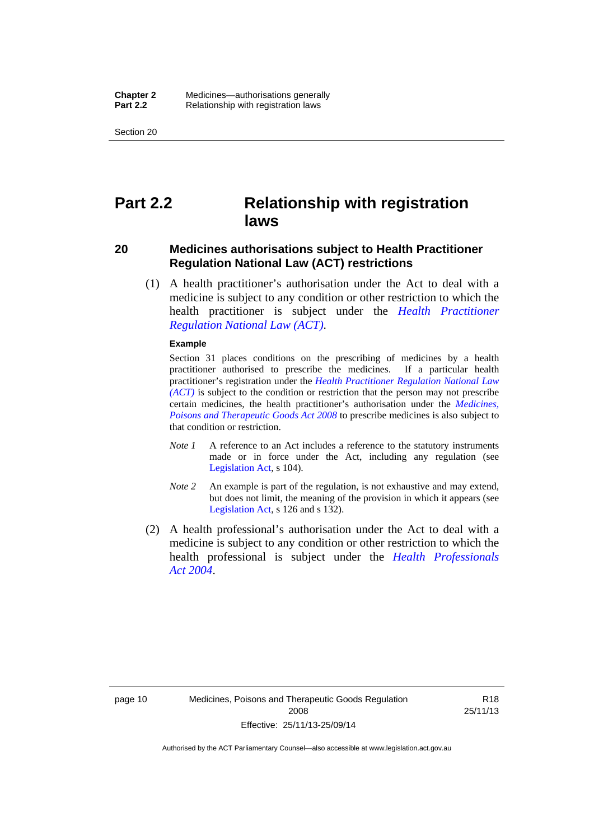Section 20

### <span id="page-33-0"></span>**Part 2.2 Relationship with registration laws**

#### <span id="page-33-1"></span>**20 Medicines authorisations subject to Health Practitioner Regulation National Law (ACT) restrictions**

 (1) A health practitioner's authorisation under the Act to deal with a medicine is subject to any condition or other restriction to which the health practitioner is subject under the *[Health Practitioner](http://www.legislation.act.gov.au/a/db_39269/default.asp)  [Regulation National Law \(ACT\)](http://www.legislation.act.gov.au/a/db_39269/default.asp)*.

#### **Example**

Section 31 places conditions on the prescribing of medicines by a health practitioner authorised to prescribe the medicines. If a particular health practitioner's registration under the *[Health Practitioner Regulation National Law](http://www.legislation.act.gov.au/a/db_39269/default.asp)  [\(ACT\)](http://www.legislation.act.gov.au/a/db_39269/default.asp)* is subject to the condition or restriction that the person may not prescribe certain medicines, the health practitioner's authorisation under the *[Medicines,](http://www.legislation.act.gov.au/a/2008-26)  [Poisons and Therapeutic Goods Act 2008](http://www.legislation.act.gov.au/a/2008-26)* to prescribe medicines is also subject to that condition or restriction.

- *Note 1* A reference to an Act includes a reference to the statutory instruments made or in force under the Act, including any regulation (see [Legislation Act,](http://www.legislation.act.gov.au/a/2001-14) s 104).
- *Note 2* An example is part of the regulation, is not exhaustive and may extend, but does not limit, the meaning of the provision in which it appears (see [Legislation Act,](http://www.legislation.act.gov.au/a/2001-14) s 126 and s 132).
- (2) A health professional's authorisation under the Act to deal with a medicine is subject to any condition or other restriction to which the health professional is subject under the *[Health Professionals](http://www.legislation.act.gov.au/a/2004-38)  [Act 2004](http://www.legislation.act.gov.au/a/2004-38)*.

R18 25/11/13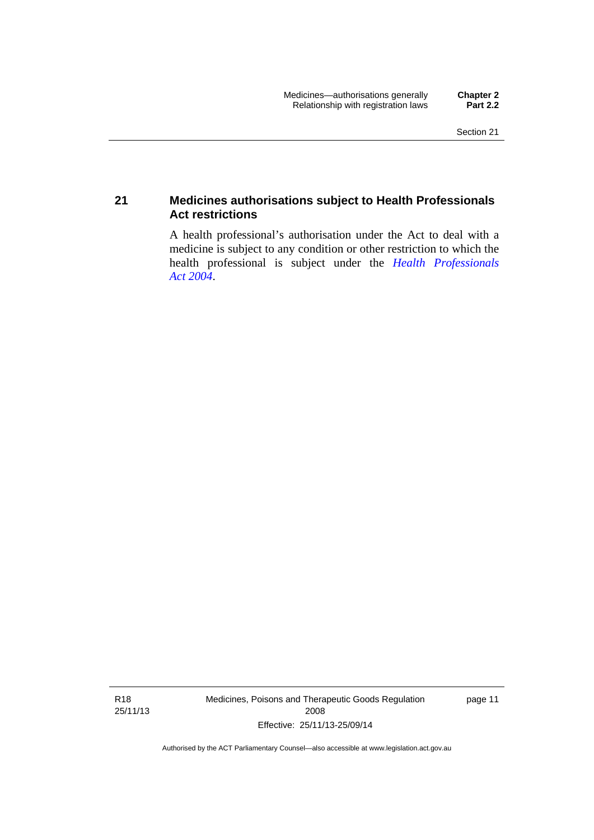#### <span id="page-34-0"></span>**21 Medicines authorisations subject to Health Professionals Act restrictions**

A health professional's authorisation under the Act to deal with a medicine is subject to any condition or other restriction to which the health professional is subject under the *[Health Professionals](http://www.legislation.act.gov.au/a/2004-38)  [Act 2004](http://www.legislation.act.gov.au/a/2004-38)*.

R18 25/11/13 Medicines, Poisons and Therapeutic Goods Regulation 2008 Effective: 25/11/13-25/09/14

page 11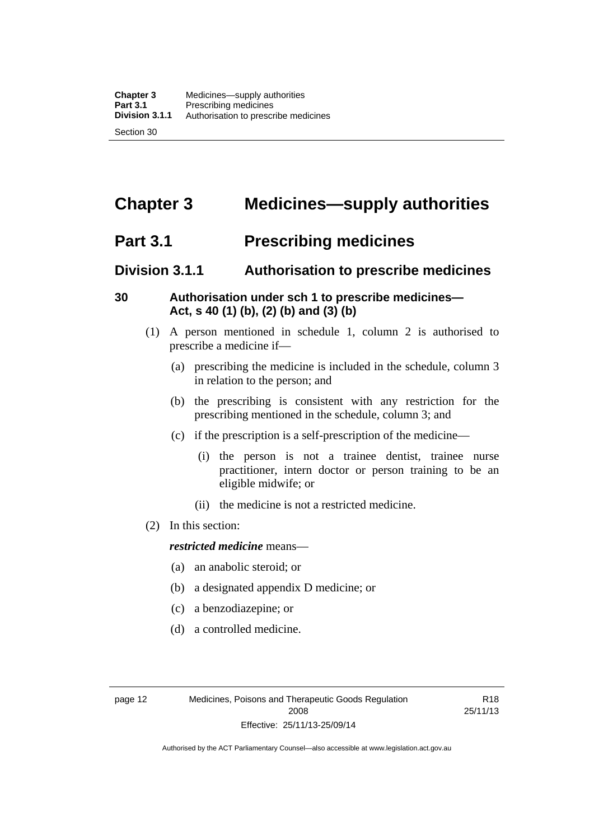### <span id="page-35-0"></span>**Chapter 3 Medicines—supply authorities**

### <span id="page-35-1"></span>**Part 3.1 Prescribing medicines**

### <span id="page-35-2"></span>**Division 3.1.1 Authorisation to prescribe medicines**

#### <span id="page-35-3"></span>**30 Authorisation under sch 1 to prescribe medicines— Act, s 40 (1) (b), (2) (b) and (3) (b)**

- (1) A person mentioned in schedule 1, column 2 is authorised to prescribe a medicine if—
	- (a) prescribing the medicine is included in the schedule, column 3 in relation to the person; and
	- (b) the prescribing is consistent with any restriction for the prescribing mentioned in the schedule, column 3; and
	- (c) if the prescription is a self-prescription of the medicine—
		- (i) the person is not a trainee dentist, trainee nurse practitioner, intern doctor or person training to be an eligible midwife; or
		- (ii) the medicine is not a restricted medicine.
- (2) In this section:

#### *restricted medicine* means—

- (a) an anabolic steroid; or
- (b) a designated appendix D medicine; or
- (c) a benzodiazepine; or
- (d) a controlled medicine.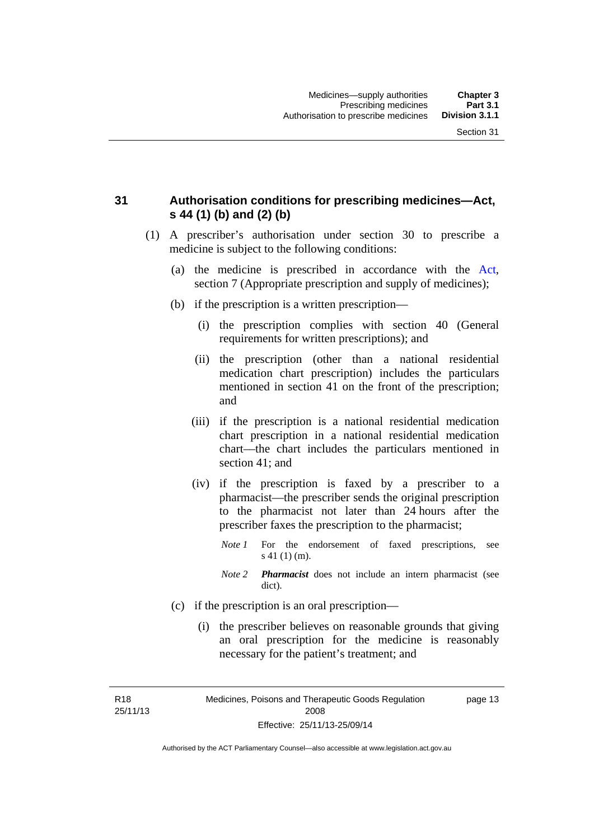### **31 Authorisation conditions for prescribing medicines—Act, s 44 (1) (b) and (2) (b)**

- (1) A prescriber's authorisation under section 30 to prescribe a medicine is subject to the following conditions:
	- (a) the medicine is prescribed in accordance with the [Act](http://www.legislation.act.gov.au/a/2008-26/default.asp), section 7 (Appropriate prescription and supply of medicines);
	- (b) if the prescription is a written prescription—
		- (i) the prescription complies with section 40 (General requirements for written prescriptions); and
		- (ii) the prescription (other than a national residential medication chart prescription) includes the particulars mentioned in section 41 on the front of the prescription; and
		- (iii) if the prescription is a national residential medication chart prescription in a national residential medication chart––the chart includes the particulars mentioned in section 41; and
		- (iv) if the prescription is faxed by a prescriber to a pharmacist—the prescriber sends the original prescription to the pharmacist not later than 24 hours after the prescriber faxes the prescription to the pharmacist;
			- *Note 1* For the endorsement of faxed prescriptions, see s 41 (1) (m).
			- *Note 2 Pharmacist* does not include an intern pharmacist (see dict).
	- (c) if the prescription is an oral prescription—
		- (i) the prescriber believes on reasonable grounds that giving an oral prescription for the medicine is reasonably necessary for the patient's treatment; and

R18 25/11/13 Medicines, Poisons and Therapeutic Goods Regulation 2008 Effective: 25/11/13-25/09/14 page 13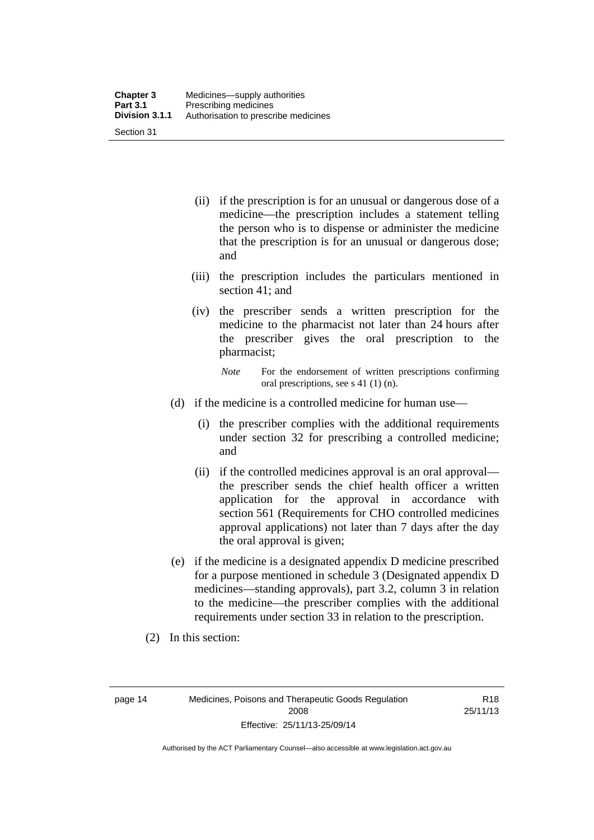| <b>Chapter 3</b> | Medicines—supply authorities         |
|------------------|--------------------------------------|
| <b>Part 3.1</b>  | Prescribing medicines                |
| Division 3.1.1   | Authorisation to prescribe medicines |
| Section 31       |                                      |

- (ii) if the prescription is for an unusual or dangerous dose of a medicine—the prescription includes a statement telling the person who is to dispense or administer the medicine that the prescription is for an unusual or dangerous dose; and
- (iii) the prescription includes the particulars mentioned in section 41; and
- (iv) the prescriber sends a written prescription for the medicine to the pharmacist not later than 24 hours after the prescriber gives the oral prescription to the pharmacist;

*Note* For the endorsement of written prescriptions confirming oral prescriptions, see s 41 (1) (n).

- (d) if the medicine is a controlled medicine for human use—
	- (i) the prescriber complies with the additional requirements under section 32 for prescribing a controlled medicine; and
	- (ii) if the controlled medicines approval is an oral approval the prescriber sends the chief health officer a written application for the approval in accordance with section 561 (Requirements for CHO controlled medicines approval applications) not later than 7 days after the day the oral approval is given;
- (e) if the medicine is a designated appendix D medicine prescribed for a purpose mentioned in schedule 3 (Designated appendix D medicines—standing approvals), part 3.2, column 3 in relation to the medicine—the prescriber complies with the additional requirements under section 33 in relation to the prescription.
- (2) In this section:

page 14 Medicines, Poisons and Therapeutic Goods Regulation 2008 Effective: 25/11/13-25/09/14

R18 25/11/13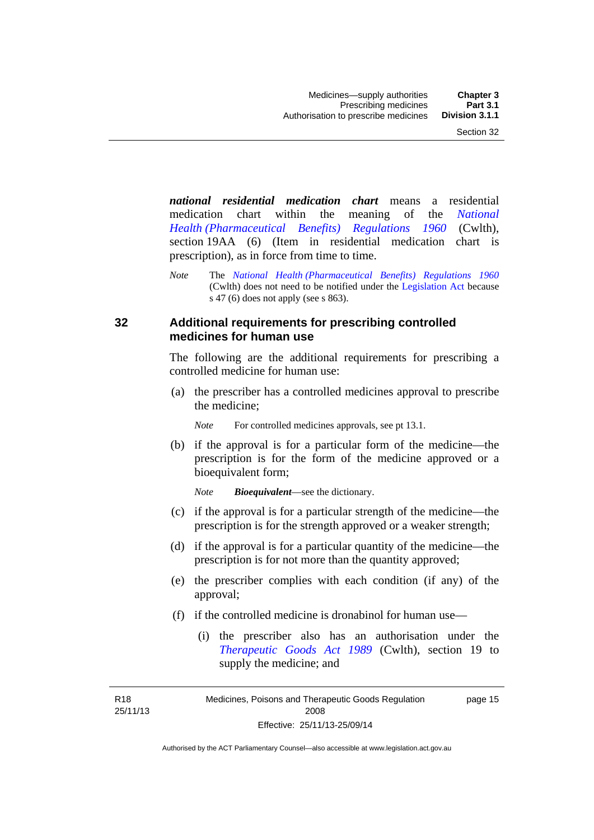*national residential medication chart* means a residential medication chart within the meaning of the *[National](http://www.comlaw.gov.au/Series/F1996B02844)  [Health \(Pharmaceutical Benefits\) Regulations 1960](http://www.comlaw.gov.au/Series/F1996B02844)* (Cwlth), section 19AA (6) (Item in residential medication chart is prescription), as in force from time to time.

*Note* The *[National Health \(Pharmaceutical Benefits\) Regulations 1960](http://www.comlaw.gov.au/Series/F1996B02844)* (Cwlth) does not need to be notified under the [Legislation Act](http://www.legislation.act.gov.au/a/2001-14) because s 47 (6) does not apply (see s 863).

### **32 Additional requirements for prescribing controlled medicines for human use**

The following are the additional requirements for prescribing a controlled medicine for human use:

 (a) the prescriber has a controlled medicines approval to prescribe the medicine;

*Note* For controlled medicines approvals, see pt 13.1.

 (b) if the approval is for a particular form of the medicine—the prescription is for the form of the medicine approved or a bioequivalent form;

*Note Bioequivalent*—see the dictionary.

- (c) if the approval is for a particular strength of the medicine—the prescription is for the strength approved or a weaker strength;
- (d) if the approval is for a particular quantity of the medicine—the prescription is for not more than the quantity approved;
- (e) the prescriber complies with each condition (if any) of the approval;
- (f) if the controlled medicine is dronabinol for human use—
	- (i) the prescriber also has an authorisation under the *[Therapeutic Goods Act 1989](http://www.comlaw.gov.au/Series/C2004A03952)* (Cwlth), section 19 to supply the medicine; and

R18 25/11/13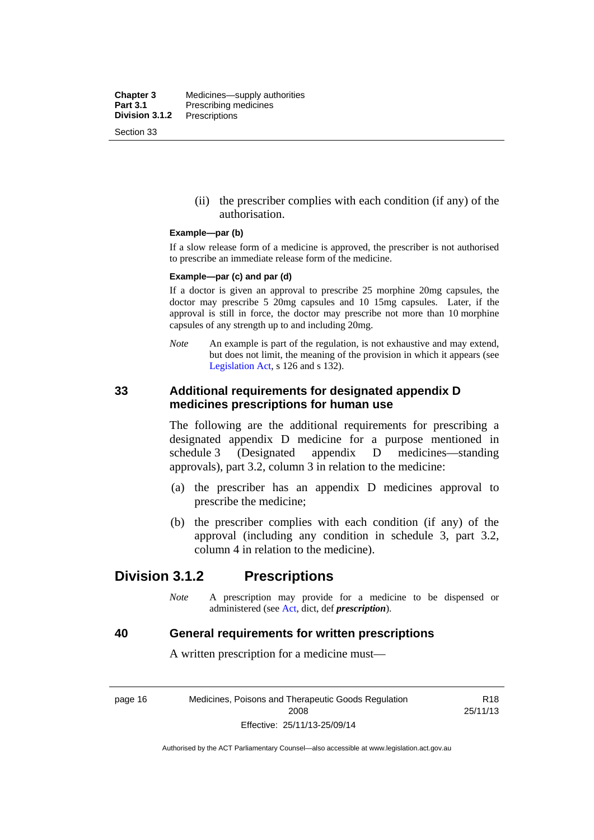**Chapter 3** Medicines—supply authorities<br>**Part 3.1** Prescribing medicines **Part 3.1** Prescribing medicines<br>**Division 3.1.2** Prescriptions **Division 3.1.2** Prescriptions Section 33

> (ii) the prescriber complies with each condition (if any) of the authorisation.

#### **Example—par (b)**

If a slow release form of a medicine is approved, the prescriber is not authorised to prescribe an immediate release form of the medicine.

#### **Example—par (c) and par (d)**

If a doctor is given an approval to prescribe 25 morphine 20mg capsules, the doctor may prescribe 5 20mg capsules and 10 15mg capsules. Later, if the approval is still in force, the doctor may prescribe not more than 10 morphine capsules of any strength up to and including 20mg.

*Note* An example is part of the regulation, is not exhaustive and may extend, but does not limit, the meaning of the provision in which it appears (see [Legislation Act,](http://www.legislation.act.gov.au/a/2001-14) s 126 and s 132).

### **33 Additional requirements for designated appendix D medicines prescriptions for human use**

The following are the additional requirements for prescribing a designated appendix D medicine for a purpose mentioned in schedule 3 (Designated appendix D medicines—standing approvals), part 3.2, column 3 in relation to the medicine:

- (a) the prescriber has an appendix D medicines approval to prescribe the medicine;
- (b) the prescriber complies with each condition (if any) of the approval (including any condition in schedule 3, part 3.2, column 4 in relation to the medicine).

## **Division 3.1.2 Prescriptions**

*Note* A prescription may provide for a medicine to be dispensed or administered (see [Act](http://www.legislation.act.gov.au/a/2008-26/default.asp), dict, def *prescription*).

### **40 General requirements for written prescriptions**

A written prescription for a medicine must—

page 16 Medicines, Poisons and Therapeutic Goods Regulation 2008 Effective: 25/11/13-25/09/14

R18 25/11/13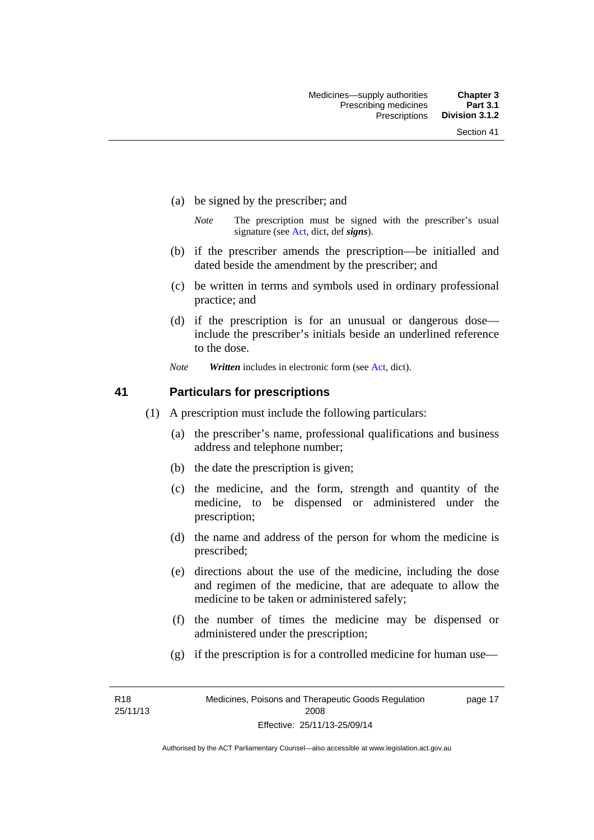- (a) be signed by the prescriber; and
	- *Note* The prescription must be signed with the prescriber's usual signature (see [Act](http://www.legislation.act.gov.au/a/2008-26/default.asp), dict, def *signs*).
- (b) if the prescriber amends the prescription—be initialled and dated beside the amendment by the prescriber; and
- (c) be written in terms and symbols used in ordinary professional practice; and
- (d) if the prescription is for an unusual or dangerous dose include the prescriber's initials beside an underlined reference to the dose.
- *Note Written* includes in electronic form (see [Act,](http://www.legislation.act.gov.au/a/2008-26/default.asp) dict).

### **41 Particulars for prescriptions**

- (1) A prescription must include the following particulars:
	- (a) the prescriber's name, professional qualifications and business address and telephone number;
	- (b) the date the prescription is given;
	- (c) the medicine, and the form, strength and quantity of the medicine, to be dispensed or administered under the prescription;
	- (d) the name and address of the person for whom the medicine is prescribed;
	- (e) directions about the use of the medicine, including the dose and regimen of the medicine, that are adequate to allow the medicine to be taken or administered safely;
	- (f) the number of times the medicine may be dispensed or administered under the prescription;
	- (g) if the prescription is for a controlled medicine for human use—

R18 25/11/13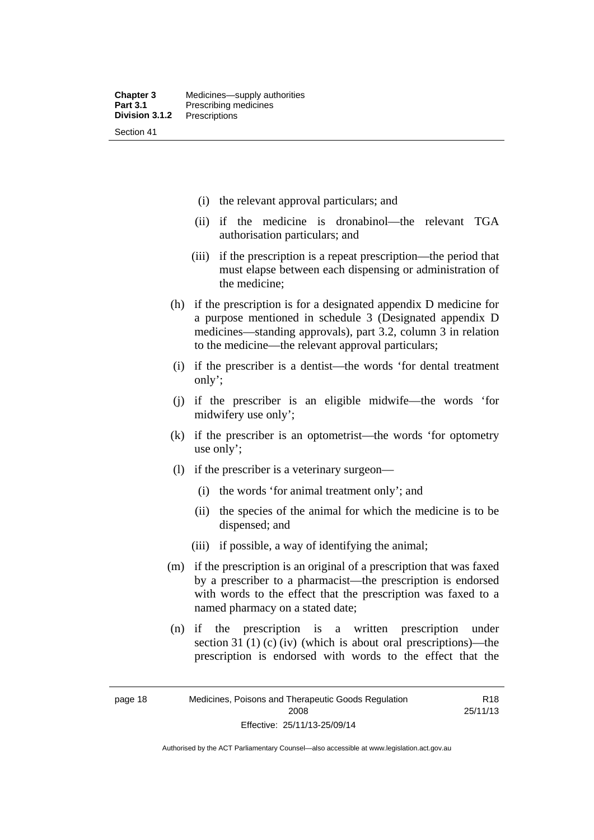- (i) the relevant approval particulars; and
- (ii) if the medicine is dronabinol—the relevant TGA authorisation particulars; and
- (iii) if the prescription is a repeat prescription—the period that must elapse between each dispensing or administration of the medicine;
- (h) if the prescription is for a designated appendix D medicine for a purpose mentioned in schedule 3 (Designated appendix D medicines—standing approvals), part 3.2, column 3 in relation to the medicine—the relevant approval particulars;
- (i) if the prescriber is a dentist—the words 'for dental treatment only';
- (j) if the prescriber is an eligible midwife—the words 'for midwifery use only';
- (k) if the prescriber is an optometrist—the words 'for optometry use only';
- (l) if the prescriber is a veterinary surgeon—
	- (i) the words 'for animal treatment only'; and
	- (ii) the species of the animal for which the medicine is to be dispensed; and
	- (iii) if possible, a way of identifying the animal;
- (m) if the prescription is an original of a prescription that was faxed by a prescriber to a pharmacist—the prescription is endorsed with words to the effect that the prescription was faxed to a named pharmacy on a stated date;
- (n) if the prescription is a written prescription under section 31 (1) (c) (iv) (which is about oral prescriptions)—the prescription is endorsed with words to the effect that the

R18 25/11/13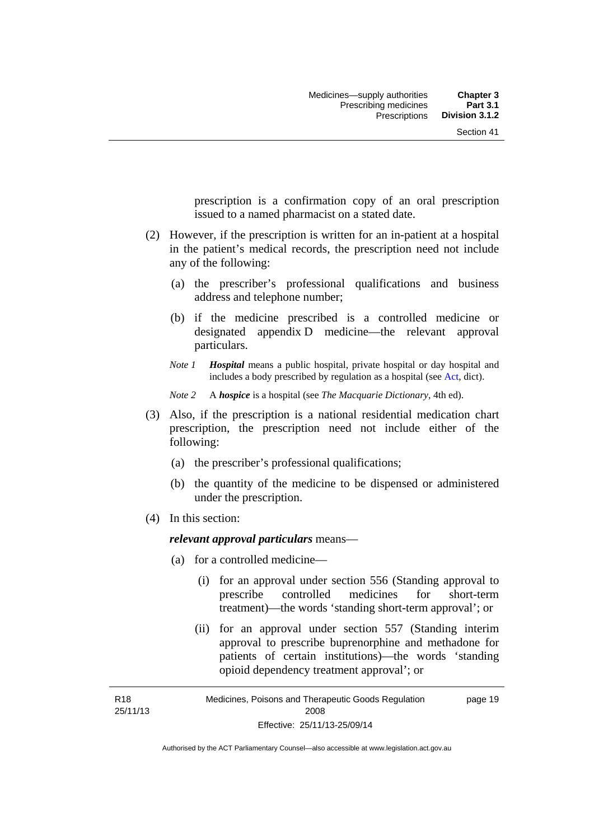prescription is a confirmation copy of an oral prescription issued to a named pharmacist on a stated date.

- (2) However, if the prescription is written for an in-patient at a hospital in the patient's medical records, the prescription need not include any of the following:
	- (a) the prescriber's professional qualifications and business address and telephone number;
	- (b) if the medicine prescribed is a controlled medicine or designated appendix D medicine—the relevant approval particulars.
	- *Note 1 Hospital* means a public hospital, private hospital or day hospital and includes a body prescribed by regulation as a hospital (see [Act,](http://www.legislation.act.gov.au/a/2008-26/default.asp) dict).

*Note 2* A *hospice* is a hospital (see *The Macquarie Dictionary*, 4th ed).

- (3) Also, if the prescription is a national residential medication chart prescription, the prescription need not include either of the following:
	- (a) the prescriber's professional qualifications;
	- (b) the quantity of the medicine to be dispensed or administered under the prescription.
- (4) In this section:

R18

### *relevant approval particulars* means—

- (a) for a controlled medicine—
	- (i) for an approval under section 556 (Standing approval to prescribe controlled medicines for short-term treatment)—the words 'standing short-term approval'; or
	- (ii) for an approval under section 557 (Standing interim approval to prescribe buprenorphine and methadone for patients of certain institutions)—the words 'standing opioid dependency treatment approval'; or

25/11/13 Medicines, Poisons and Therapeutic Goods Regulation 2008 Effective: 25/11/13-25/09/14 page 19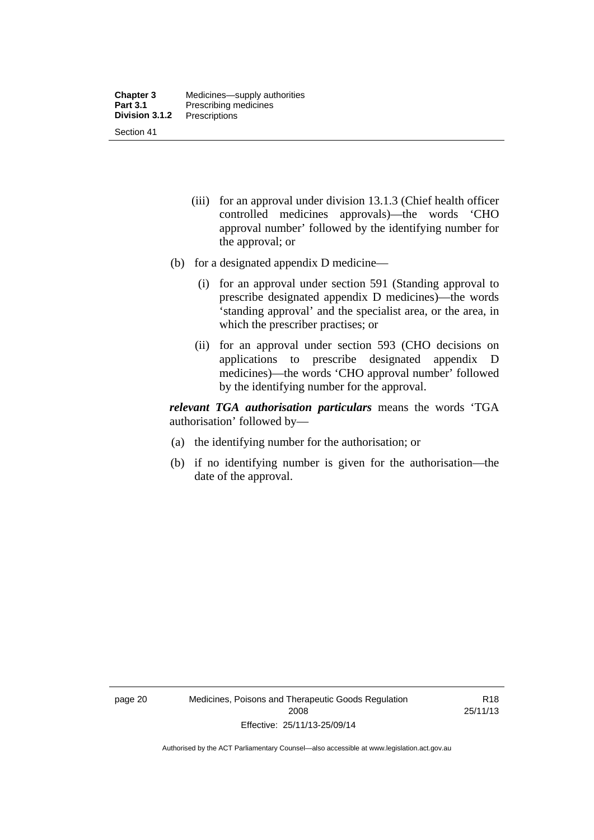- (iii) for an approval under division 13.1.3 (Chief health officer controlled medicines approvals)—the words 'CHO approval number' followed by the identifying number for the approval; or
- (b) for a designated appendix D medicine—
	- (i) for an approval under section 591 (Standing approval to prescribe designated appendix D medicines)—the words 'standing approval' and the specialist area, or the area, in which the prescriber practises; or
	- (ii) for an approval under section 593 (CHO decisions on applications to prescribe designated appendix D medicines)—the words 'CHO approval number' followed by the identifying number for the approval.

*relevant TGA authorisation particulars* means the words 'TGA authorisation' followed by—

- (a) the identifying number for the authorisation; or
- (b) if no identifying number is given for the authorisation—the date of the approval.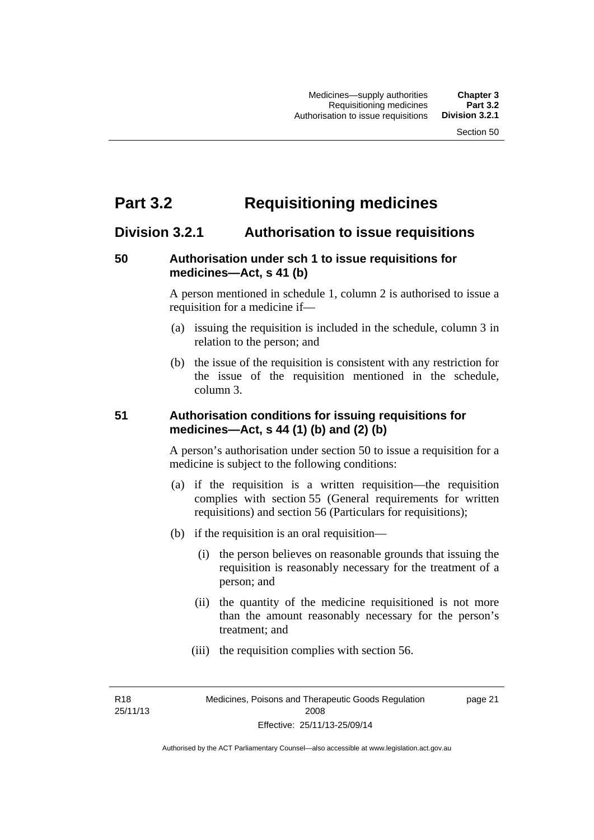# **Part 3.2 Requisitioning medicines**

## **Division 3.2.1 Authorisation to issue requisitions**

### **50 Authorisation under sch 1 to issue requisitions for medicines—Act, s 41 (b)**

A person mentioned in schedule 1, column 2 is authorised to issue a requisition for a medicine if—

- (a) issuing the requisition is included in the schedule, column 3 in relation to the person; and
- (b) the issue of the requisition is consistent with any restriction for the issue of the requisition mentioned in the schedule, column 3.

### **51 Authorisation conditions for issuing requisitions for medicines—Act, s 44 (1) (b) and (2) (b)**

A person's authorisation under section 50 to issue a requisition for a medicine is subject to the following conditions:

- (a) if the requisition is a written requisition—the requisition complies with section 55 (General requirements for written requisitions) and section 56 (Particulars for requisitions);
- (b) if the requisition is an oral requisition—
	- (i) the person believes on reasonable grounds that issuing the requisition is reasonably necessary for the treatment of a person; and
	- (ii) the quantity of the medicine requisitioned is not more than the amount reasonably necessary for the person's treatment; and
	- (iii) the requisition complies with section 56.

R18 25/11/13 page 21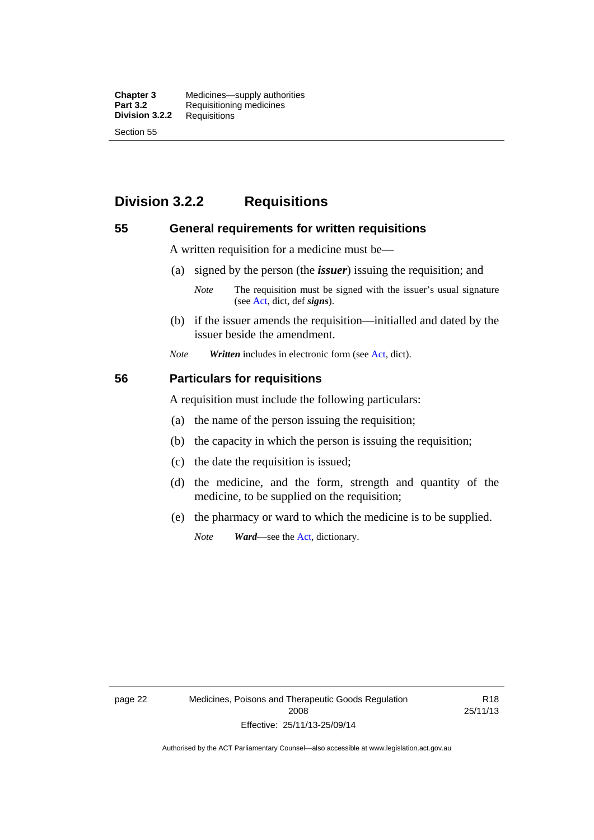**Chapter 3** Medicines—supply authorities<br>**Part 3.2** Requisitioning medicines **Requisitioning medicines**<br>Requisitions **Division 3.2.2** Section 55

## **Division 3.2.2 Requisitions**

### **55 General requirements for written requisitions**

A written requisition for a medicine must be—

(a) signed by the person (the *issuer*) issuing the requisition; and

 (b) if the issuer amends the requisition—initialled and dated by the issuer beside the amendment.

*Note Written* includes in electronic form (see [Act,](http://www.legislation.act.gov.au/a/2008-26/default.asp) dict).

### **56 Particulars for requisitions**

A requisition must include the following particulars:

- (a) the name of the person issuing the requisition;
- (b) the capacity in which the person is issuing the requisition;
- (c) the date the requisition is issued;
- (d) the medicine, and the form, strength and quantity of the medicine, to be supplied on the requisition;
- (e) the pharmacy or ward to which the medicine is to be supplied.

*Note Ward*—see the [Act](http://www.legislation.act.gov.au/a/2008-26/default.asp), dictionary.

*Note* The requisition must be signed with the issuer's usual signature (see [Act](http://www.legislation.act.gov.au/a/2008-26/default.asp), dict, def *signs*).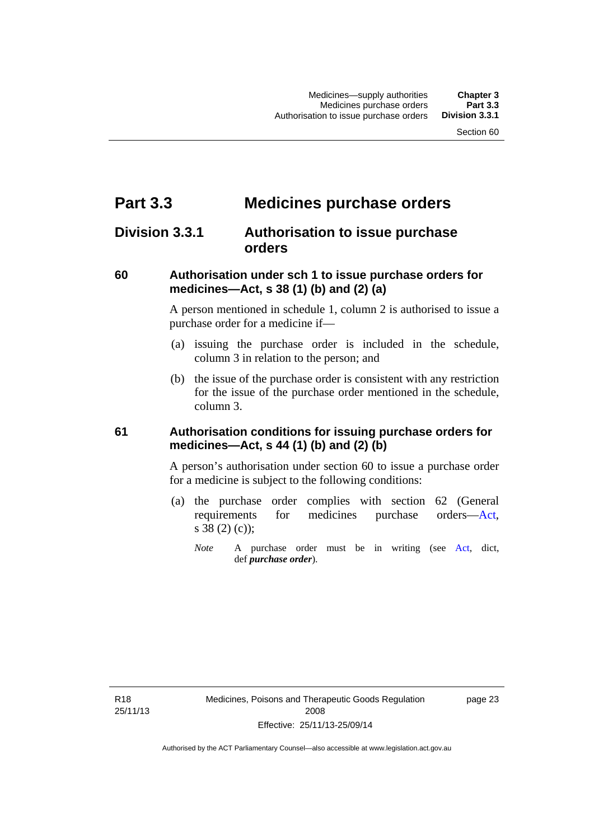# **Part 3.3 Medicines purchase orders**

## **Division 3.3.1 Authorisation to issue purchase orders**

### **60 Authorisation under sch 1 to issue purchase orders for medicines—Act, s 38 (1) (b) and (2) (a)**

A person mentioned in schedule 1, column 2 is authorised to issue a purchase order for a medicine if—

- (a) issuing the purchase order is included in the schedule, column 3 in relation to the person; and
- (b) the issue of the purchase order is consistent with any restriction for the issue of the purchase order mentioned in the schedule, column 3.

### **61 Authorisation conditions for issuing purchase orders for medicines—Act, s 44 (1) (b) and (2) (b)**

A person's authorisation under section 60 to issue a purchase order for a medicine is subject to the following conditions:

- (a) the purchase order complies with section 62 (General requirements for medicines purchase orders[—Act](http://www.legislation.act.gov.au/a/2008-26/default.asp), s 38 (2) (c));
	- *Note* A purchase order must be in writing (see [Act,](http://www.legislation.act.gov.au/a/2008-26/default.asp) dict, def *purchase order*).

R18 25/11/13 page 23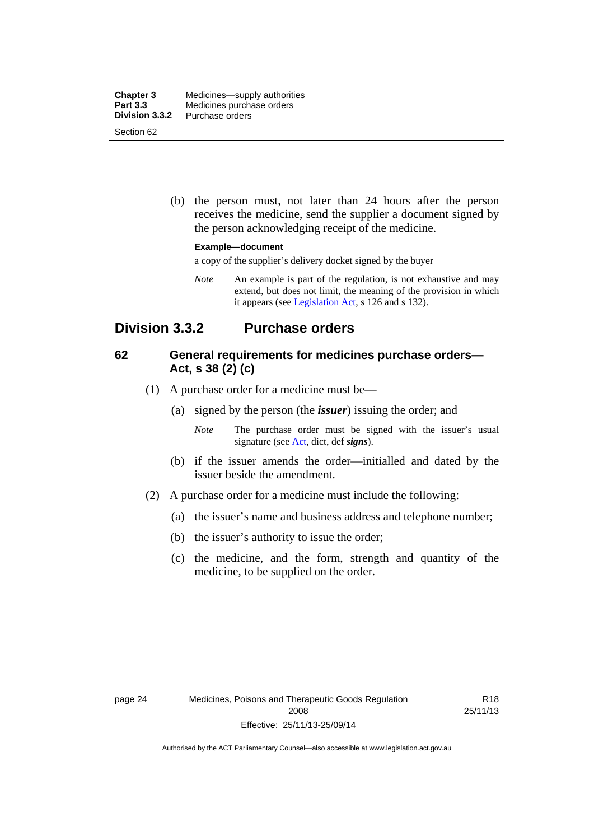| <b>Chapter 3</b> | Medicines—supply authorities |
|------------------|------------------------------|
| Part 3.3         | Medicines purchase orders    |
| Division 3.3.2   | Purchase orders              |
| Section 62       |                              |

 (b) the person must, not later than 24 hours after the person receives the medicine, send the supplier a document signed by the person acknowledging receipt of the medicine.

#### **Example—document**

a copy of the supplier's delivery docket signed by the buyer

*Note* An example is part of the regulation, is not exhaustive and may extend, but does not limit, the meaning of the provision in which it appears (see [Legislation Act,](http://www.legislation.act.gov.au/a/2001-14) s 126 and s 132).

## **Division 3.3.2 Purchase orders**

### **62 General requirements for medicines purchase orders— Act, s 38 (2) (c)**

- (1) A purchase order for a medicine must be—
	- (a) signed by the person (the *issuer*) issuing the order; and
		- *Note* The purchase order must be signed with the issuer's usual signature (see [Act](http://www.legislation.act.gov.au/a/2008-26/default.asp), dict, def *signs*).
	- (b) if the issuer amends the order—initialled and dated by the issuer beside the amendment.
- (2) A purchase order for a medicine must include the following:
	- (a) the issuer's name and business address and telephone number;
	- (b) the issuer's authority to issue the order;
	- (c) the medicine, and the form, strength and quantity of the medicine, to be supplied on the order.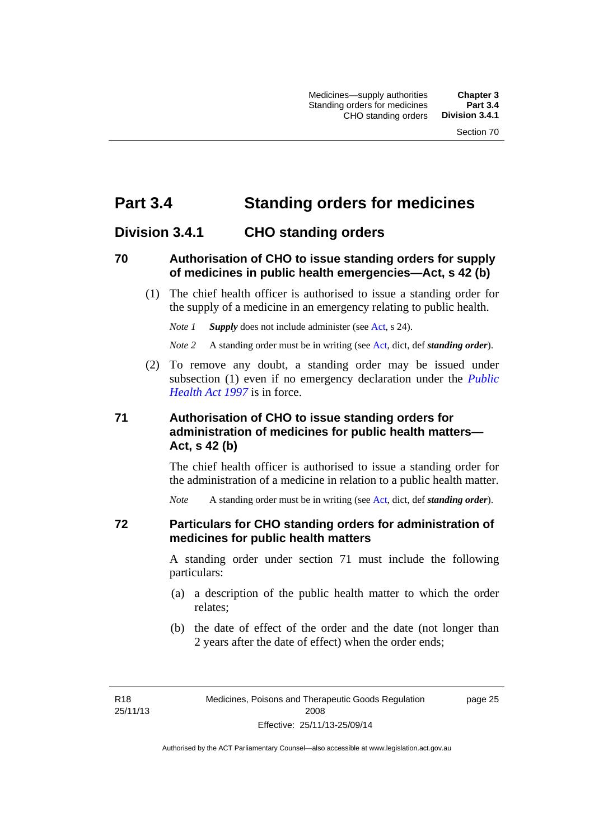# **Part 3.4 Standing orders for medicines**

## **Division 3.4.1 CHO standing orders**

### **70 Authorisation of CHO to issue standing orders for supply of medicines in public health emergencies—Act, s 42 (b)**

 (1) The chief health officer is authorised to issue a standing order for the supply of a medicine in an emergency relating to public health.

*Note 1 Supply* does not include administer (see [Act,](http://www.legislation.act.gov.au/a/2008-26/default.asp) s 24).

*Note 2* A standing order must be in writing (see [Act](http://www.legislation.act.gov.au/a/2008-26/default.asp), dict, def *standing order*).

 (2) To remove any doubt, a standing order may be issued under subsection (1) even if no emergency declaration under the *[Public](http://www.legislation.act.gov.au/a/1997-69)  [Health Act 1997](http://www.legislation.act.gov.au/a/1997-69)* is in force.

### **71 Authorisation of CHO to issue standing orders for administration of medicines for public health matters— Act, s 42 (b)**

The chief health officer is authorised to issue a standing order for the administration of a medicine in relation to a public health matter.

*Note* A standing order must be in writing (see [Act](http://www.legislation.act.gov.au/a/2008-26/default.asp), dict, def *standing order*).

### **72 Particulars for CHO standing orders for administration of medicines for public health matters**

A standing order under section 71 must include the following particulars:

- (a) a description of the public health matter to which the order relates;
- (b) the date of effect of the order and the date (not longer than 2 years after the date of effect) when the order ends;

R18 25/11/13 page 25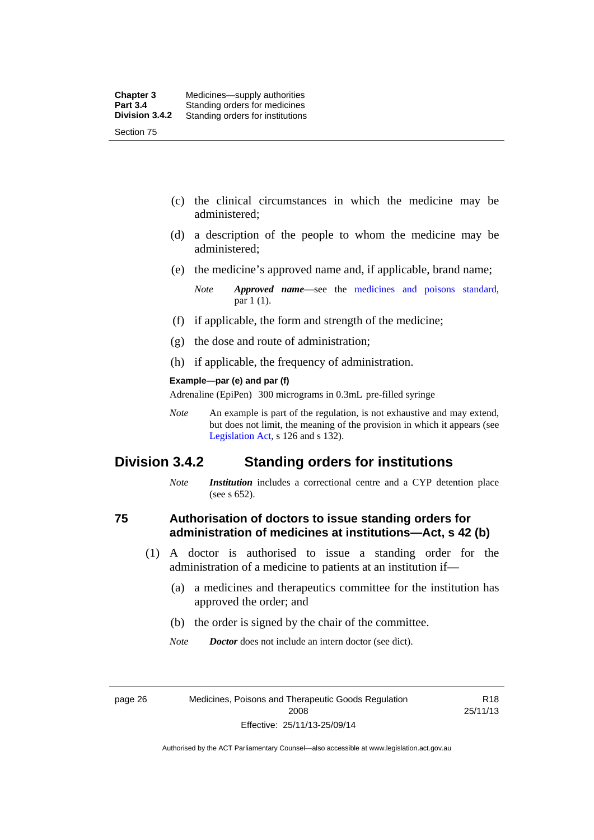- (c) the clinical circumstances in which the medicine may be administered;
- (d) a description of the people to whom the medicine may be administered;
- (e) the medicine's approved name and, if applicable, brand name;

- (f) if applicable, the form and strength of the medicine;
- (g) the dose and route of administration;
- (h) if applicable, the frequency of administration.

#### **Example—par (e) and par (f)**

Adrenaline (EpiPen) 300 micrograms in 0.3mL pre-filled syringe

*Note* An example is part of the regulation, is not exhaustive and may extend, but does not limit, the meaning of the provision in which it appears (see [Legislation Act,](http://www.legislation.act.gov.au/a/2001-14) s 126 and s 132).

### **Division 3.4.2 Standing orders for institutions**

*Note Institution* includes a correctional centre and a CYP detention place (see s 652).

### **75 Authorisation of doctors to issue standing orders for administration of medicines at institutions—Act, s 42 (b)**

- (1) A doctor is authorised to issue a standing order for the administration of a medicine to patients at an institution if—
	- (a) a medicines and therapeutics committee for the institution has approved the order; and
	- (b) the order is signed by the chair of the committee.
	- *Note Doctor* does not include an intern doctor (see dict).

R18 25/11/13

*Note Approved name*—see the [medicines and poisons standard,](http://www.comlaw.gov.au/Series/F2012L01200) par 1 (1).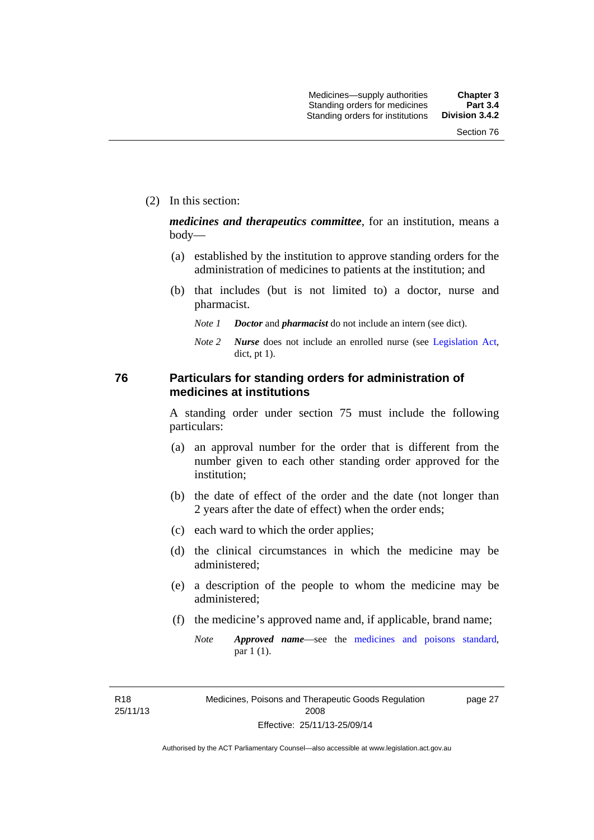(2) In this section:

*medicines and therapeutics committee*, for an institution, means a body—

- (a) established by the institution to approve standing orders for the administration of medicines to patients at the institution; and
- (b) that includes (but is not limited to) a doctor, nurse and pharmacist.
	- *Note 1 Doctor* and *pharmacist* do not include an intern (see dict).
	- *Note 2 Nurse* does not include an enrolled nurse (see [Legislation Act,](http://www.legislation.act.gov.au/a/2001-14) dict, pt 1).

### **76 Particulars for standing orders for administration of medicines at institutions**

A standing order under section 75 must include the following particulars:

- (a) an approval number for the order that is different from the number given to each other standing order approved for the institution;
- (b) the date of effect of the order and the date (not longer than 2 years after the date of effect) when the order ends;
- (c) each ward to which the order applies;
- (d) the clinical circumstances in which the medicine may be administered;
- (e) a description of the people to whom the medicine may be administered;
- (f) the medicine's approved name and, if applicable, brand name;
	- *Note Approved name*—see the [medicines and poisons standard,](http://www.comlaw.gov.au/Series/F2012L01200) par 1 (1).

R18 25/11/13 page 27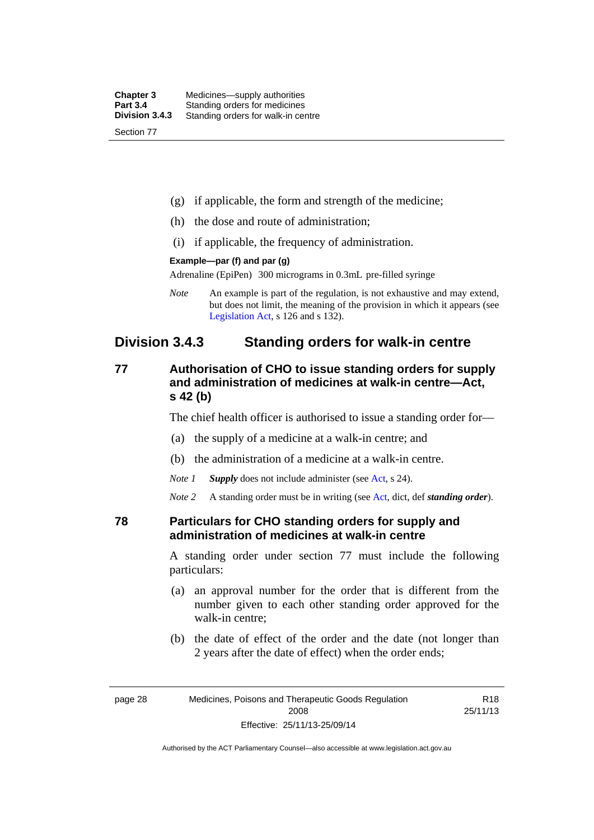| <b>Chapter 3</b> | Medicines—supply authorities       |
|------------------|------------------------------------|
| <b>Part 3.4</b>  | Standing orders for medicines      |
| Division 3.4.3   | Standing orders for walk-in centre |
| Section 77       |                                    |

- (g) if applicable, the form and strength of the medicine;
- (h) the dose and route of administration;
- (i) if applicable, the frequency of administration.

#### **Example—par (f) and par (g)**

Adrenaline (EpiPen) 300 micrograms in 0.3mL pre-filled syringe

*Note* An example is part of the regulation, is not exhaustive and may extend, but does not limit, the meaning of the provision in which it appears (see [Legislation Act,](http://www.legislation.act.gov.au/a/2001-14) s 126 and s 132).

## **Division 3.4.3 Standing orders for walk-in centre**

### **77 Authorisation of CHO to issue standing orders for supply and administration of medicines at walk-in centre—Act, s 42 (b)**

The chief health officer is authorised to issue a standing order for—

- (a) the supply of a medicine at a walk-in centre; and
- (b) the administration of a medicine at a walk-in centre.

*Note 1 Supply* does not include administer (see [Act,](http://www.legislation.act.gov.au/a/2008-26/default.asp) s 24).

*Note 2* A standing order must be in writing (see [Act](http://www.legislation.act.gov.au/a/2008-26/default.asp), dict, def *standing order*).

### **78 Particulars for CHO standing orders for supply and administration of medicines at walk-in centre**

A standing order under section 77 must include the following particulars:

- (a) an approval number for the order that is different from the number given to each other standing order approved for the walk-in centre;
- (b) the date of effect of the order and the date (not longer than 2 years after the date of effect) when the order ends;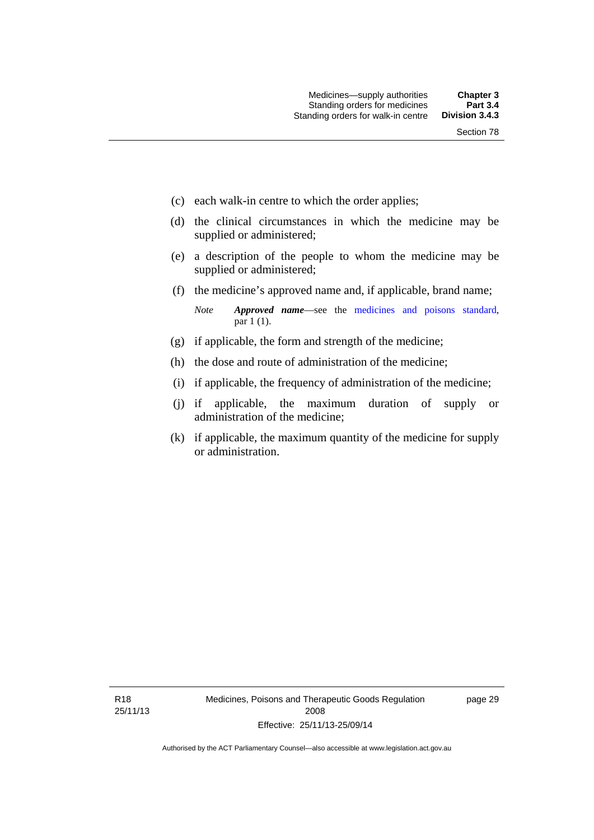- (c) each walk-in centre to which the order applies;
- (d) the clinical circumstances in which the medicine may be supplied or administered;
- (e) a description of the people to whom the medicine may be supplied or administered;
- (f) the medicine's approved name and, if applicable, brand name;

*Note Approved name*—see the [medicines and poisons standard,](http://www.comlaw.gov.au/Series/F2012L01200) par 1 (1).

- (g) if applicable, the form and strength of the medicine;
- (h) the dose and route of administration of the medicine;
- (i) if applicable, the frequency of administration of the medicine;
- (j) if applicable, the maximum duration of supply or administration of the medicine;
- (k) if applicable, the maximum quantity of the medicine for supply or administration.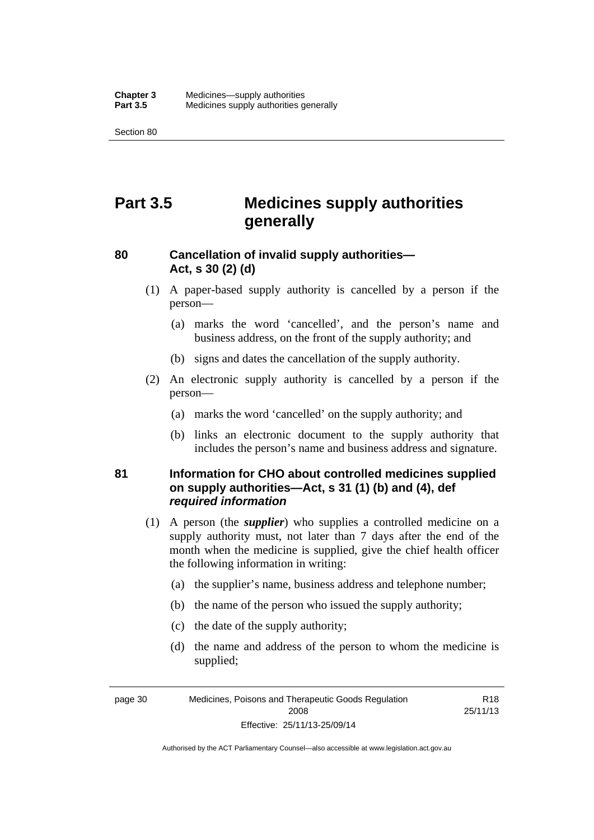Section 80

# **Part 3.5 Medicines supply authorities generally**

## **80 Cancellation of invalid supply authorities— Act, s 30 (2) (d)**

- (1) A paper-based supply authority is cancelled by a person if the person—
	- (a) marks the word 'cancelled', and the person's name and business address, on the front of the supply authority; and
	- (b) signs and dates the cancellation of the supply authority.
- (2) An electronic supply authority is cancelled by a person if the person—
	- (a) marks the word 'cancelled' on the supply authority; and
	- (b) links an electronic document to the supply authority that includes the person's name and business address and signature.

### **81 Information for CHO about controlled medicines supplied on supply authorities—Act, s 31 (1) (b) and (4), def**  *required information*

- (1) A person (the *supplier*) who supplies a controlled medicine on a supply authority must, not later than 7 days after the end of the month when the medicine is supplied, give the chief health officer the following information in writing:
	- (a) the supplier's name, business address and telephone number;
	- (b) the name of the person who issued the supply authority;
	- (c) the date of the supply authority;
	- (d) the name and address of the person to whom the medicine is supplied;

R18 25/11/13

page 30 Medicines, Poisons and Therapeutic Goods Regulation 2008 Effective: 25/11/13-25/09/14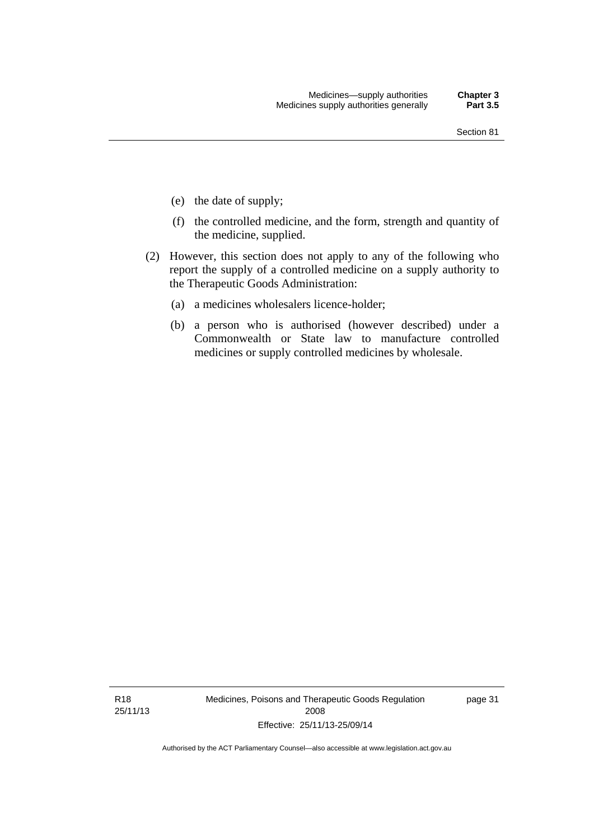- (e) the date of supply;
- (f) the controlled medicine, and the form, strength and quantity of the medicine, supplied.
- (2) However, this section does not apply to any of the following who report the supply of a controlled medicine on a supply authority to the Therapeutic Goods Administration:
	- (a) a medicines wholesalers licence-holder;
	- (b) a person who is authorised (however described) under a Commonwealth or State law to manufacture controlled medicines or supply controlled medicines by wholesale.

R18 25/11/13 Medicines, Poisons and Therapeutic Goods Regulation 2008 Effective: 25/11/13-25/09/14

page 31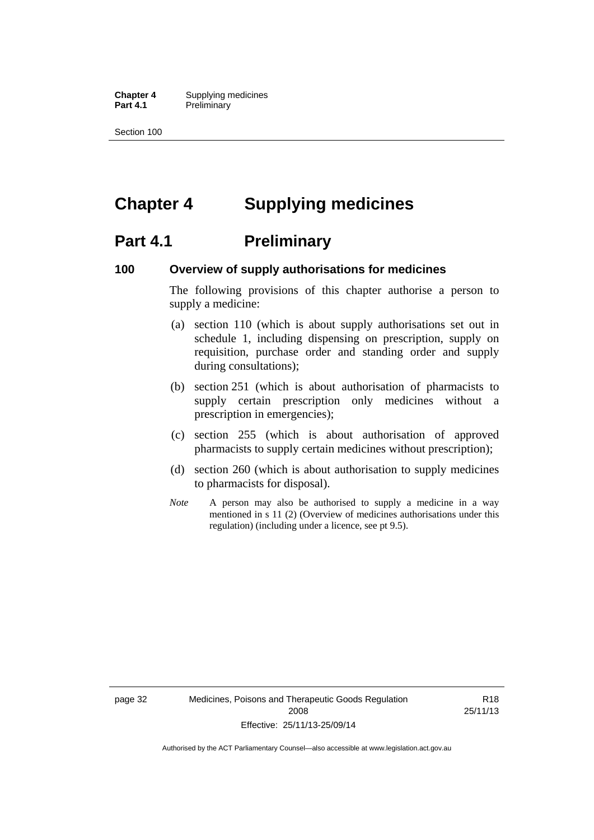**Chapter 4** Supplying medicines **Part 4.1** Preliminary

Section 100

# **Chapter 4 Supplying medicines**

## **Part 4.1** Preliminary

### **100 Overview of supply authorisations for medicines**

The following provisions of this chapter authorise a person to supply a medicine:

- (a) section 110 (which is about supply authorisations set out in schedule 1, including dispensing on prescription, supply on requisition, purchase order and standing order and supply during consultations);
- (b) section 251 (which is about authorisation of pharmacists to supply certain prescription only medicines without a prescription in emergencies);
- (c) section 255 (which is about authorisation of approved pharmacists to supply certain medicines without prescription);
- (d) section 260 (which is about authorisation to supply medicines to pharmacists for disposal).
- *Note* A person may also be authorised to supply a medicine in a way mentioned in s 11 (2) (Overview of medicines authorisations under this regulation) (including under a licence, see pt 9.5).

page 32 Medicines, Poisons and Therapeutic Goods Regulation 2008 Effective: 25/11/13-25/09/14

R18 25/11/13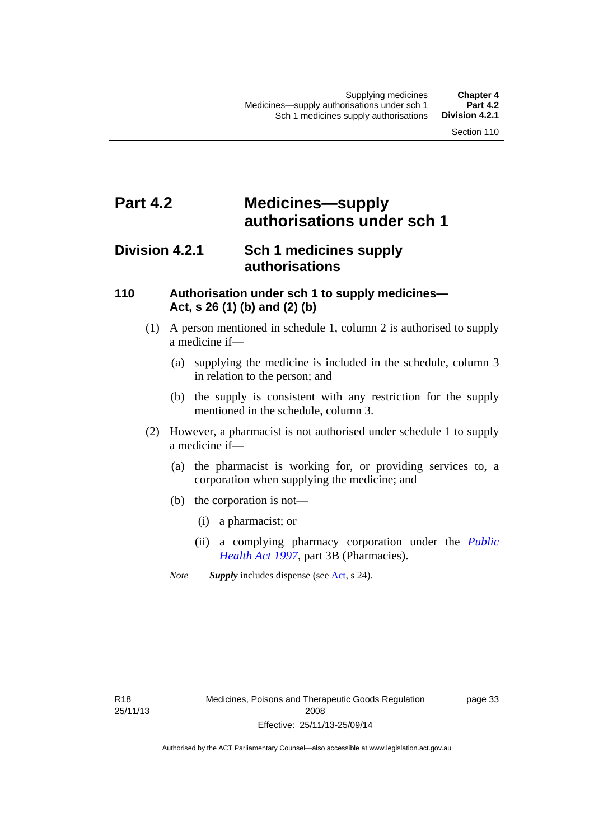# **Part 4.2 Medicines—supply authorisations under sch 1**

## **Division 4.2.1 Sch 1 medicines supply authorisations**

### **110 Authorisation under sch 1 to supply medicines— Act, s 26 (1) (b) and (2) (b)**

- (1) A person mentioned in schedule 1, column 2 is authorised to supply a medicine if—
	- (a) supplying the medicine is included in the schedule, column 3 in relation to the person; and
	- (b) the supply is consistent with any restriction for the supply mentioned in the schedule, column 3.
- (2) However, a pharmacist is not authorised under schedule 1 to supply a medicine if—
	- (a) the pharmacist is working for, or providing services to, a corporation when supplying the medicine; and
	- (b) the corporation is not—
		- (i) a pharmacist; or
		- (ii) a complying pharmacy corporation under the *[Public](http://www.legislation.act.gov.au/a/1997-69)  [Health Act 1997](http://www.legislation.act.gov.au/a/1997-69)*, part 3B (Pharmacies).
	- *Note Supply* includes dispense (see [Act,](http://www.legislation.act.gov.au/a/2008-26/default.asp) s 24).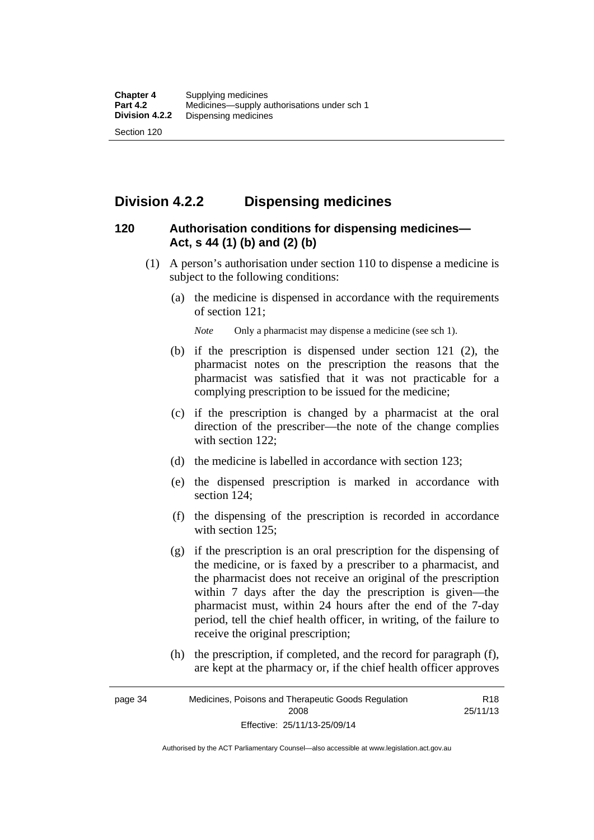## **Division 4.2.2 Dispensing medicines**

### **120 Authorisation conditions for dispensing medicines— Act, s 44 (1) (b) and (2) (b)**

- (1) A person's authorisation under section 110 to dispense a medicine is subject to the following conditions:
	- (a) the medicine is dispensed in accordance with the requirements of section 121;

*Note* Only a pharmacist may dispense a medicine (see sch 1).

- (b) if the prescription is dispensed under section 121 (2), the pharmacist notes on the prescription the reasons that the pharmacist was satisfied that it was not practicable for a complying prescription to be issued for the medicine;
- (c) if the prescription is changed by a pharmacist at the oral direction of the prescriber—the note of the change complies with section 122:
- (d) the medicine is labelled in accordance with section 123;
- (e) the dispensed prescription is marked in accordance with section 124;
- (f) the dispensing of the prescription is recorded in accordance with section 125:
- (g) if the prescription is an oral prescription for the dispensing of the medicine, or is faxed by a prescriber to a pharmacist, and the pharmacist does not receive an original of the prescription within 7 days after the day the prescription is given—the pharmacist must, within 24 hours after the end of the 7-day period, tell the chief health officer, in writing, of the failure to receive the original prescription;
- (h) the prescription, if completed, and the record for paragraph (f), are kept at the pharmacy or, if the chief health officer approves

Authorised by the ACT Parliamentary Counsel—also accessible at www.legislation.act.gov.au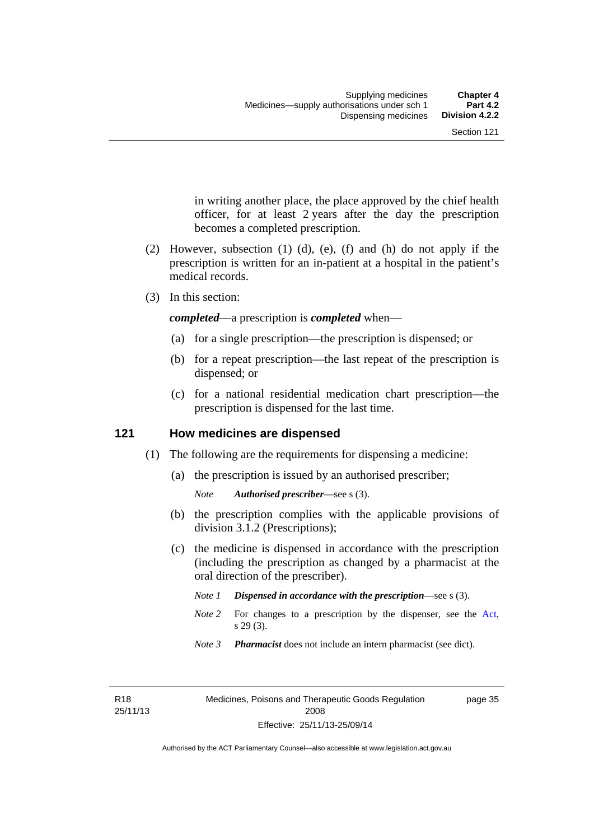in writing another place, the place approved by the chief health officer, for at least 2 years after the day the prescription becomes a completed prescription.

- (2) However, subsection (1) (d), (e), (f) and (h) do not apply if the prescription is written for an in-patient at a hospital in the patient's medical records.
- (3) In this section:

*completed*—a prescription is *completed* when—

- (a) for a single prescription—the prescription is dispensed; or
- (b) for a repeat prescription—the last repeat of the prescription is dispensed; or
- (c) for a national residential medication chart prescription––the prescription is dispensed for the last time.

### **121 How medicines are dispensed**

- (1) The following are the requirements for dispensing a medicine:
	- (a) the prescription is issued by an authorised prescriber;

- (b) the prescription complies with the applicable provisions of division 3.1.2 (Prescriptions);
- (c) the medicine is dispensed in accordance with the prescription (including the prescription as changed by a pharmacist at the oral direction of the prescriber).
	- *Note 1 Dispensed in accordance with the prescription*—see s (3).
	- *Note* 2 For changes to a prescription by the dispenser, see the [Act,](http://www.legislation.act.gov.au/a/2008-26/default.asp) s 29 (3).
	- *Note 3 Pharmacist* does not include an intern pharmacist (see dict).

R18 25/11/13 page 35

*Note Authorised prescriber*—see s (3).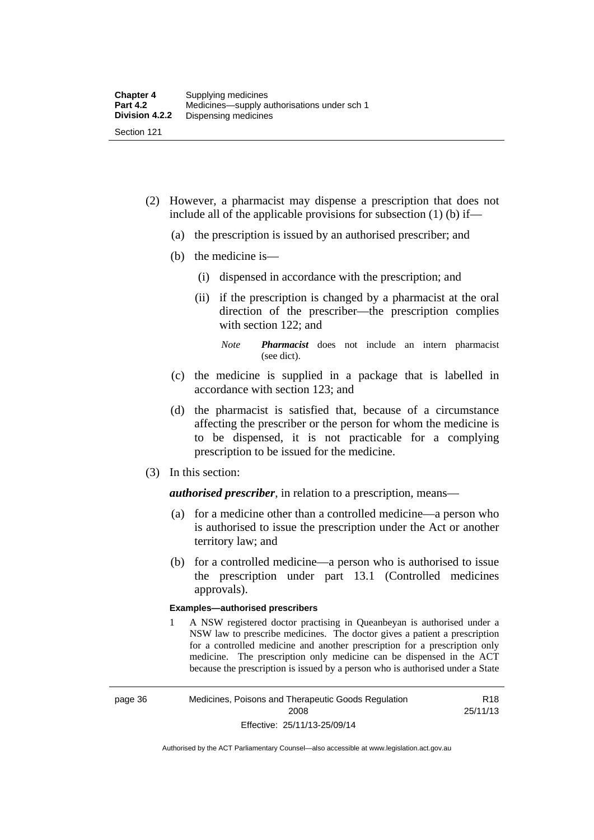- (2) However, a pharmacist may dispense a prescription that does not include all of the applicable provisions for subsection (1) (b) if—
	- (a) the prescription is issued by an authorised prescriber; and
	- (b) the medicine is—
		- (i) dispensed in accordance with the prescription; and
		- (ii) if the prescription is changed by a pharmacist at the oral direction of the prescriber—the prescription complies with section 122; and

*Note Pharmacist* does not include an intern pharmacist (see dict).

- (c) the medicine is supplied in a package that is labelled in accordance with section 123; and
- (d) the pharmacist is satisfied that, because of a circumstance affecting the prescriber or the person for whom the medicine is to be dispensed, it is not practicable for a complying prescription to be issued for the medicine.
- (3) In this section:

*authorised prescriber*, in relation to a prescription, means—

- (a) for a medicine other than a controlled medicine—a person who is authorised to issue the prescription under the Act or another territory law; and
- (b) for a controlled medicine—a person who is authorised to issue the prescription under part 13.1 (Controlled medicines approvals).

#### **Examples—authorised prescribers**

1 A NSW registered doctor practising in Queanbeyan is authorised under a NSW law to prescribe medicines. The doctor gives a patient a prescription for a controlled medicine and another prescription for a prescription only medicine. The prescription only medicine can be dispensed in the ACT because the prescription is issued by a person who is authorised under a State

R18 25/11/13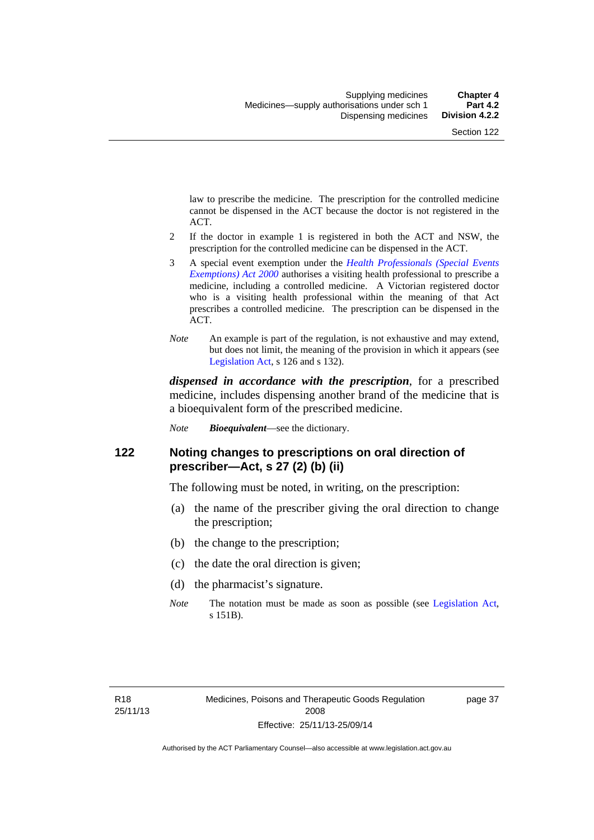law to prescribe the medicine. The prescription for the controlled medicine cannot be dispensed in the ACT because the doctor is not registered in the ACT.

- 2 If the doctor in example 1 is registered in both the ACT and NSW, the prescription for the controlled medicine can be dispensed in the ACT.
- 3 A special event exemption under the *[Health Professionals \(Special Events](http://www.legislation.act.gov.au/a/2000-25)  [Exemptions\) Act 2000](http://www.legislation.act.gov.au/a/2000-25)* authorises a visiting health professional to prescribe a medicine, including a controlled medicine. A Victorian registered doctor who is a visiting health professional within the meaning of that Act prescribes a controlled medicine. The prescription can be dispensed in the ACT.
- *Note* An example is part of the regulation, is not exhaustive and may extend, but does not limit, the meaning of the provision in which it appears (see [Legislation Act,](http://www.legislation.act.gov.au/a/2001-14) s 126 and s 132).

*dispensed in accordance with the prescription*, for a prescribed medicine, includes dispensing another brand of the medicine that is a bioequivalent form of the prescribed medicine.

*Note Bioequivalent*—see the dictionary.

### **122 Noting changes to prescriptions on oral direction of prescriber—Act, s 27 (2) (b) (ii)**

The following must be noted, in writing, on the prescription:

- (a) the name of the prescriber giving the oral direction to change the prescription;
- (b) the change to the prescription;
- (c) the date the oral direction is given;
- (d) the pharmacist's signature.
- *Note* The notation must be made as soon as possible (see [Legislation Act,](http://www.legislation.act.gov.au/a/2001-14) s 151B).

page 37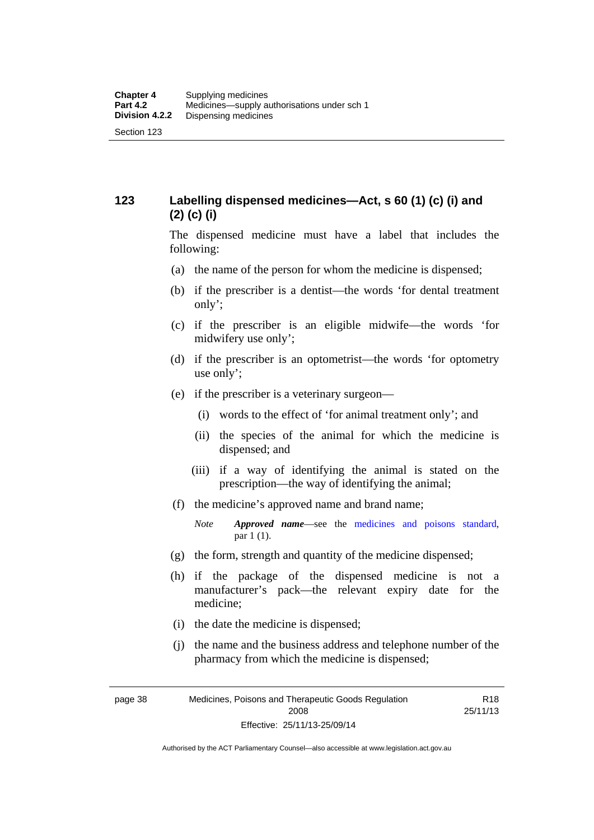## **123 Labelling dispensed medicines—Act, s 60 (1) (c) (i) and (2) (c) (i)**

The dispensed medicine must have a label that includes the following:

- (a) the name of the person for whom the medicine is dispensed;
- (b) if the prescriber is a dentist—the words 'for dental treatment only';
- (c) if the prescriber is an eligible midwife—the words 'for midwifery use only';
- (d) if the prescriber is an optometrist—the words 'for optometry use only';
- (e) if the prescriber is a veterinary surgeon—
	- (i) words to the effect of 'for animal treatment only'; and
	- (ii) the species of the animal for which the medicine is dispensed; and
	- (iii) if a way of identifying the animal is stated on the prescription—the way of identifying the animal;
- (f) the medicine's approved name and brand name;
	- *Note Approved name*—see the [medicines and poisons standard,](http://www.comlaw.gov.au/Series/F2012L01200) par 1 (1).
- (g) the form, strength and quantity of the medicine dispensed;
- (h) if the package of the dispensed medicine is not a manufacturer's pack—the relevant expiry date for the medicine;
- (i) the date the medicine is dispensed;
- (j) the name and the business address and telephone number of the pharmacy from which the medicine is dispensed;

R18 25/11/13

page 38 Medicines, Poisons and Therapeutic Goods Regulation 2008 Effective: 25/11/13-25/09/14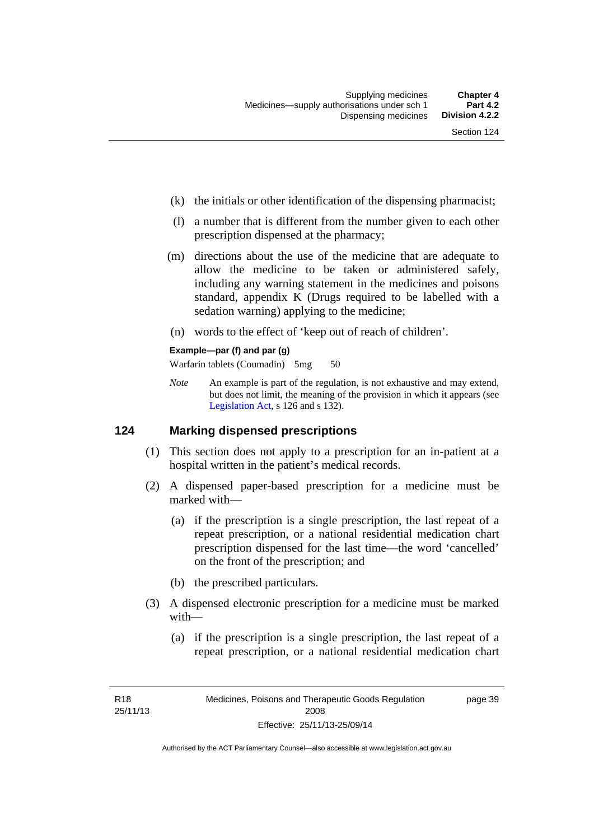- (k) the initials or other identification of the dispensing pharmacist;
- (l) a number that is different from the number given to each other prescription dispensed at the pharmacy;
- (m) directions about the use of the medicine that are adequate to allow the medicine to be taken or administered safely, including any warning statement in the medicines and poisons standard, appendix K (Drugs required to be labelled with a sedation warning) applying to the medicine;
- (n) words to the effect of 'keep out of reach of children'.

### **Example—par (f) and par (g)**

Warfarin tablets (Coumadin) 5mg 50

*Note* An example is part of the regulation, is not exhaustive and may extend, but does not limit, the meaning of the provision in which it appears (see [Legislation Act,](http://www.legislation.act.gov.au/a/2001-14) s 126 and s 132).

### **124 Marking dispensed prescriptions**

- (1) This section does not apply to a prescription for an in-patient at a hospital written in the patient's medical records.
- (2) A dispensed paper-based prescription for a medicine must be marked with—
	- (a) if the prescription is a single prescription, the last repeat of a repeat prescription, or a national residential medication chart prescription dispensed for the last time––the word 'cancelled' on the front of the prescription; and
	- (b) the prescribed particulars.
- (3) A dispensed electronic prescription for a medicine must be marked with—
	- (a) if the prescription is a single prescription, the last repeat of a repeat prescription, or a national residential medication chart

page 39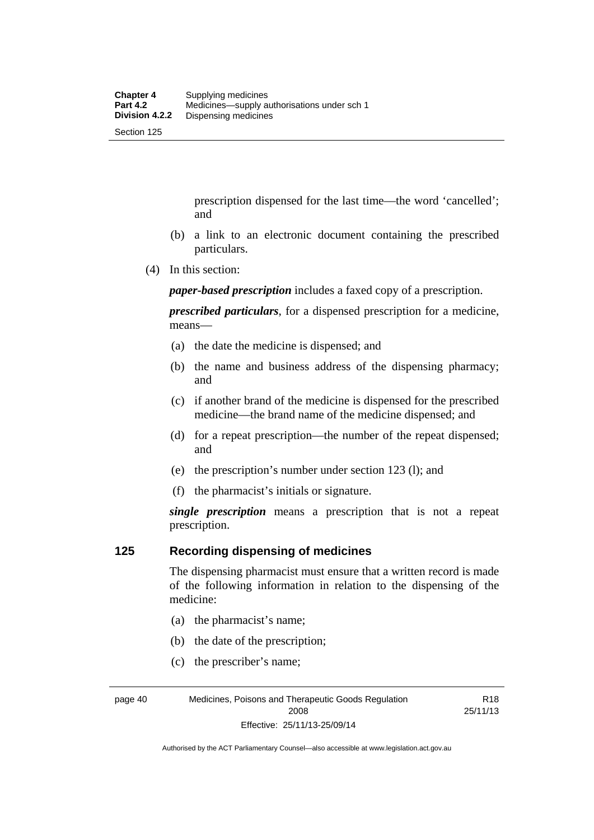prescription dispensed for the last time––the word 'cancelled'; and

- (b) a link to an electronic document containing the prescribed particulars.
- (4) In this section:

*paper-based prescription* includes a faxed copy of a prescription.

*prescribed particulars*, for a dispensed prescription for a medicine, means—

- (a) the date the medicine is dispensed; and
- (b) the name and business address of the dispensing pharmacy; and
- (c) if another brand of the medicine is dispensed for the prescribed medicine—the brand name of the medicine dispensed; and
- (d) for a repeat prescription—the number of the repeat dispensed; and
- (e) the prescription's number under section 123 (l); and
- (f) the pharmacist's initials or signature.

*single prescription* means a prescription that is not a repeat prescription.

### **125 Recording dispensing of medicines**

The dispensing pharmacist must ensure that a written record is made of the following information in relation to the dispensing of the medicine:

- (a) the pharmacist's name;
- (b) the date of the prescription;
- (c) the prescriber's name;

R18 25/11/13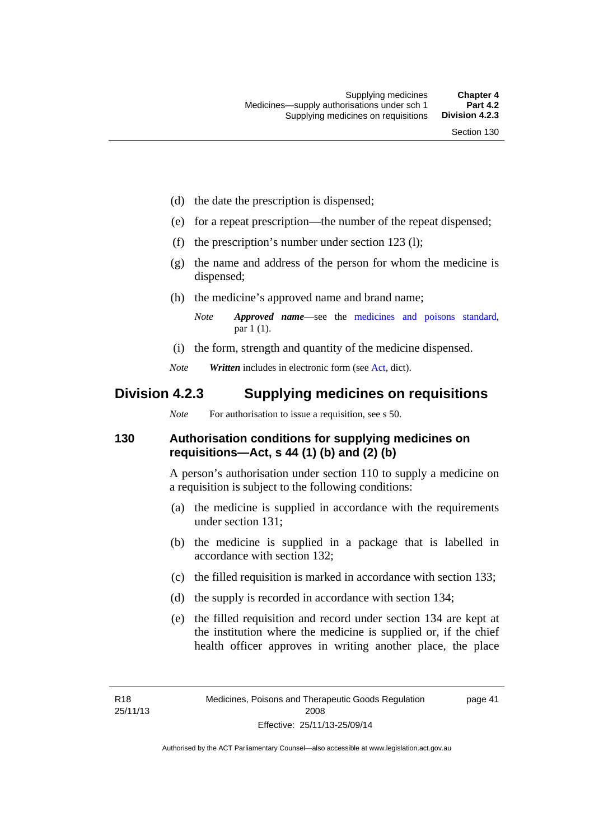- (d) the date the prescription is dispensed;
- (e) for a repeat prescription—the number of the repeat dispensed;
- (f) the prescription's number under section 123 (l);
- (g) the name and address of the person for whom the medicine is dispensed;
- (h) the medicine's approved name and brand name;
	- *Note Approved name*—see the [medicines and poisons standard,](http://www.comlaw.gov.au/Series/F2012L01200) par 1 (1).
- (i) the form, strength and quantity of the medicine dispensed.
- *Note Written* includes in electronic form (see [Act,](http://www.legislation.act.gov.au/a/2008-26/default.asp) dict).

## **Division 4.2.3 Supplying medicines on requisitions**

*Note* For authorisation to issue a requisition, see s 50.

### **130 Authorisation conditions for supplying medicines on requisitions—Act, s 44 (1) (b) and (2) (b)**

A person's authorisation under section 110 to supply a medicine on a requisition is subject to the following conditions:

- (a) the medicine is supplied in accordance with the requirements under section 131;
- (b) the medicine is supplied in a package that is labelled in accordance with section 132;
- (c) the filled requisition is marked in accordance with section 133;
- (d) the supply is recorded in accordance with section 134;
- (e) the filled requisition and record under section 134 are kept at the institution where the medicine is supplied or, if the chief health officer approves in writing another place, the place

page 41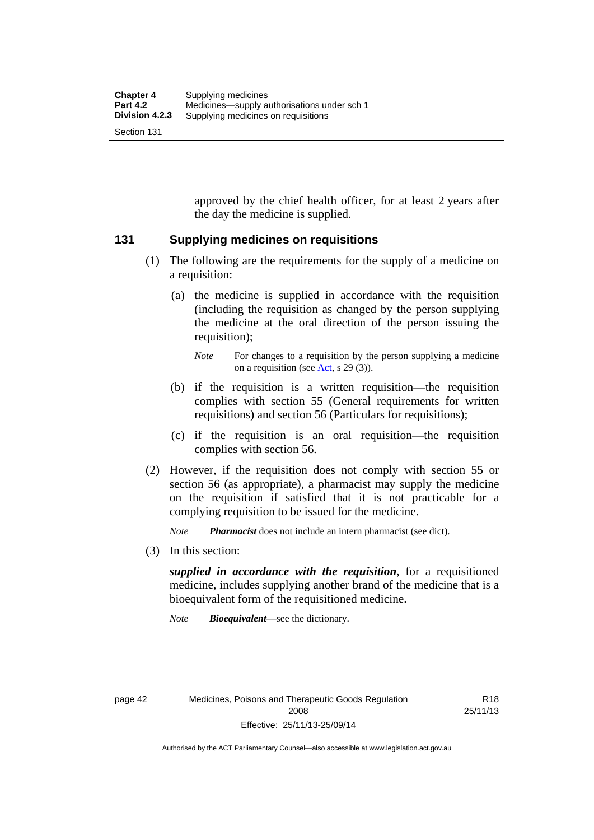approved by the chief health officer, for at least 2 years after the day the medicine is supplied.

### **131 Supplying medicines on requisitions**

- (1) The following are the requirements for the supply of a medicine on a requisition:
	- (a) the medicine is supplied in accordance with the requisition (including the requisition as changed by the person supplying the medicine at the oral direction of the person issuing the requisition);

- (b) if the requisition is a written requisition—the requisition complies with section 55 (General requirements for written requisitions) and section 56 (Particulars for requisitions);
- (c) if the requisition is an oral requisition—the requisition complies with section 56.
- (2) However, if the requisition does not comply with section 55 or section 56 (as appropriate), a pharmacist may supply the medicine on the requisition if satisfied that it is not practicable for a complying requisition to be issued for the medicine.

*Note Pharmacist* does not include an intern pharmacist (see dict).

(3) In this section:

*supplied in accordance with the requisition*, for a requisitioned medicine, includes supplying another brand of the medicine that is a bioequivalent form of the requisitioned medicine.

*Note Bioequivalent*—see the dictionary.

R18 25/11/13

*Note* For changes to a requisition by the person supplying a medicine on a requisition (see [Act,](http://www.legislation.act.gov.au/a/2008-26/default.asp) s 29 (3)).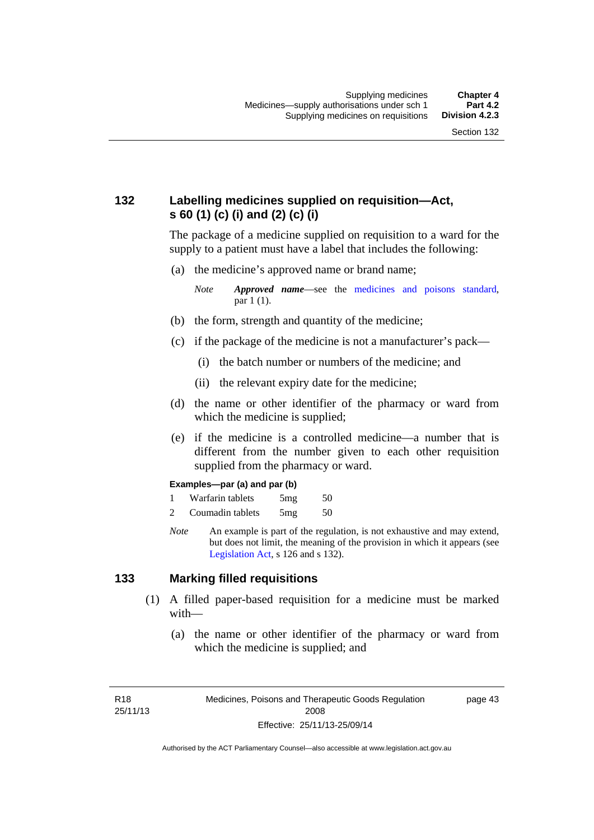## **132 Labelling medicines supplied on requisition—Act, s 60 (1) (c) (i) and (2) (c) (i)**

The package of a medicine supplied on requisition to a ward for the supply to a patient must have a label that includes the following:

(a) the medicine's approved name or brand name;

*Note Approved name*—see the [medicines and poisons standard,](http://www.comlaw.gov.au/Series/F2012L01200) par 1 (1).

- (b) the form, strength and quantity of the medicine;
- (c) if the package of the medicine is not a manufacturer's pack—
	- (i) the batch number or numbers of the medicine; and
	- (ii) the relevant expiry date for the medicine;
- (d) the name or other identifier of the pharmacy or ward from which the medicine is supplied;
- (e) if the medicine is a controlled medicine—a number that is different from the number given to each other requisition supplied from the pharmacy or ward.

#### **Examples—par (a) and par (b)**

- 1 Warfarin tablets 5mg 50
- 2 Coumadin tablets 5mg 50
- *Note* An example is part of the regulation, is not exhaustive and may extend, but does not limit, the meaning of the provision in which it appears (see [Legislation Act,](http://www.legislation.act.gov.au/a/2001-14) s 126 and s 132).

### **133 Marking filled requisitions**

- (1) A filled paper-based requisition for a medicine must be marked with—
	- (a) the name or other identifier of the pharmacy or ward from which the medicine is supplied; and

R18 25/11/13 page 43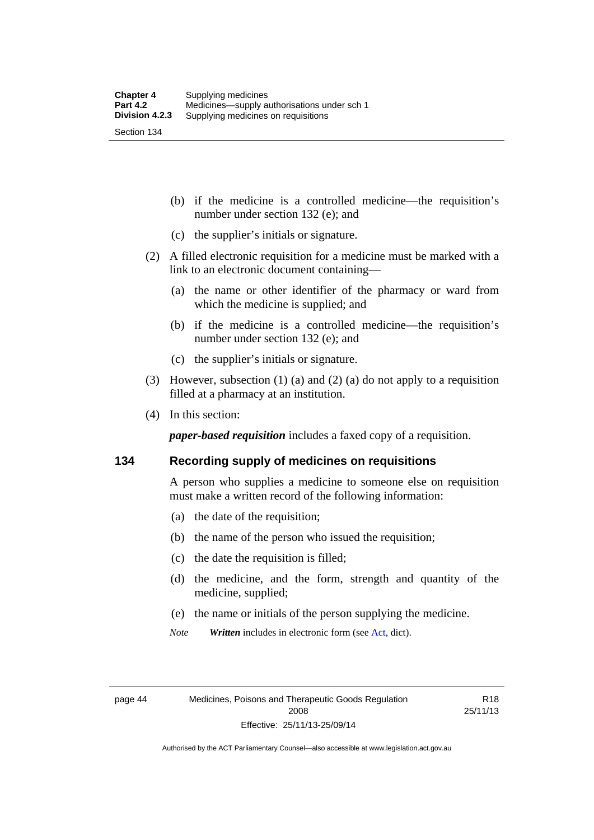(b) if the medicine is a controlled medicine—the requisition's number under section 132 (e); and

- (c) the supplier's initials or signature.
- (2) A filled electronic requisition for a medicine must be marked with a link to an electronic document containing—
	- (a) the name or other identifier of the pharmacy or ward from which the medicine is supplied; and
	- (b) if the medicine is a controlled medicine—the requisition's number under section 132 (e); and
	- (c) the supplier's initials or signature.
- (3) However, subsection (1) (a) and (2) (a) do not apply to a requisition filled at a pharmacy at an institution.
- (4) In this section:

*paper-based requisition* includes a faxed copy of a requisition.

### **134 Recording supply of medicines on requisitions**

A person who supplies a medicine to someone else on requisition must make a written record of the following information:

- (a) the date of the requisition;
- (b) the name of the person who issued the requisition;
- (c) the date the requisition is filled;
- (d) the medicine, and the form, strength and quantity of the medicine, supplied;
- (e) the name or initials of the person supplying the medicine.
- *Note Written* includes in electronic form (see [Act,](http://www.legislation.act.gov.au/a/2008-26/default.asp) dict).

R18 25/11/13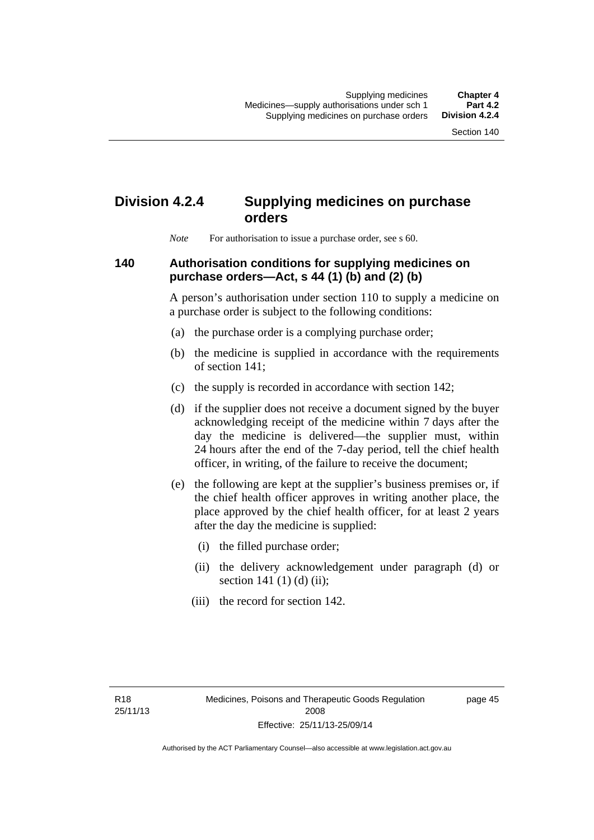# **Division 4.2.4 Supplying medicines on purchase orders**

*Note* For authorisation to issue a purchase order, see s 60.

### **140 Authorisation conditions for supplying medicines on purchase orders—Act, s 44 (1) (b) and (2) (b)**

A person's authorisation under section 110 to supply a medicine on a purchase order is subject to the following conditions:

- (a) the purchase order is a complying purchase order;
- (b) the medicine is supplied in accordance with the requirements of section 141;
- (c) the supply is recorded in accordance with section 142;
- (d) if the supplier does not receive a document signed by the buyer acknowledging receipt of the medicine within 7 days after the day the medicine is delivered—the supplier must, within 24 hours after the end of the 7-day period, tell the chief health officer, in writing, of the failure to receive the document;
- (e) the following are kept at the supplier's business premises or, if the chief health officer approves in writing another place, the place approved by the chief health officer, for at least 2 years after the day the medicine is supplied:
	- (i) the filled purchase order;
	- (ii) the delivery acknowledgement under paragraph (d) or section 141 $(1)$  $(d)$  $(ii)$ ;
	- (iii) the record for section 142.

page 45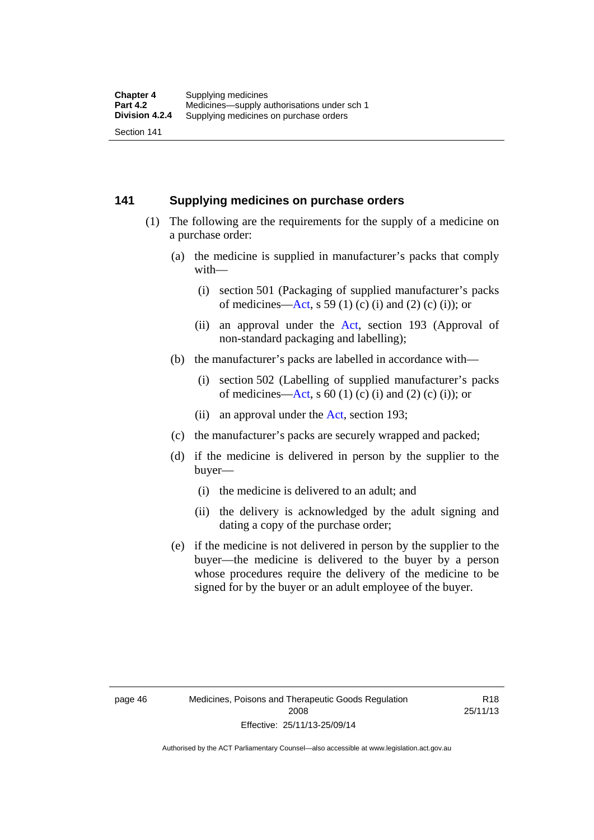### **141 Supplying medicines on purchase orders**

- (1) The following are the requirements for the supply of a medicine on a purchase order:
	- (a) the medicine is supplied in manufacturer's packs that comply with—
		- (i) section 501 (Packaging of supplied manufacturer's packs of medicines—[Act](http://www.legislation.act.gov.au/a/2008-26/default.asp), s 59 (1) (c) (i) and (2) (c) (i)); or
		- (ii) an approval under the [Act](http://www.legislation.act.gov.au/a/2008-26/default.asp), section 193 (Approval of non-standard packaging and labelling);
	- (b) the manufacturer's packs are labelled in accordance with—
		- (i) section 502 (Labelling of supplied manufacturer's packs of medicines—[Act](http://www.legislation.act.gov.au/a/2008-26/default.asp), s  $60(1)$  (c) (i) and (2) (c) (i)); or
		- (ii) an approval under the [Act,](http://www.legislation.act.gov.au/a/2008-26/default.asp) section 193;
	- (c) the manufacturer's packs are securely wrapped and packed;
	- (d) if the medicine is delivered in person by the supplier to the buyer—
		- (i) the medicine is delivered to an adult; and
		- (ii) the delivery is acknowledged by the adult signing and dating a copy of the purchase order;
	- (e) if the medicine is not delivered in person by the supplier to the buyer—the medicine is delivered to the buyer by a person whose procedures require the delivery of the medicine to be signed for by the buyer or an adult employee of the buyer.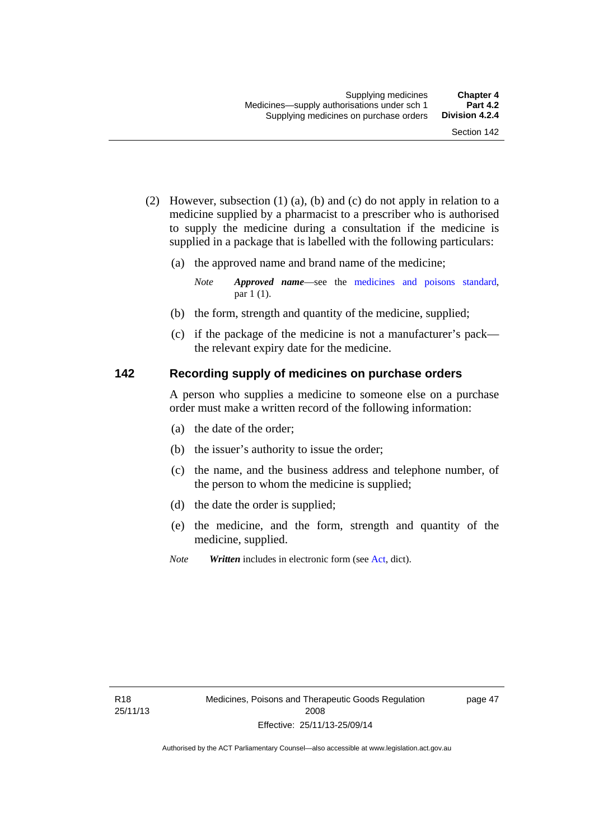- (2) However, subsection (1) (a), (b) and (c) do not apply in relation to a medicine supplied by a pharmacist to a prescriber who is authorised to supply the medicine during a consultation if the medicine is supplied in a package that is labelled with the following particulars:
	- (a) the approved name and brand name of the medicine;

*Note Approved name*—see the [medicines and poisons standard,](http://www.comlaw.gov.au/Series/F2012L01200) par 1 (1).

- (b) the form, strength and quantity of the medicine, supplied;
- (c) if the package of the medicine is not a manufacturer's pack the relevant expiry date for the medicine.

### **142 Recording supply of medicines on purchase orders**

A person who supplies a medicine to someone else on a purchase order must make a written record of the following information:

- (a) the date of the order;
- (b) the issuer's authority to issue the order;
- (c) the name, and the business address and telephone number, of the person to whom the medicine is supplied;
- (d) the date the order is supplied;
- (e) the medicine, and the form, strength and quantity of the medicine, supplied.
- *Note Written* includes in electronic form (see [Act,](http://www.legislation.act.gov.au/a/2008-26/default.asp) dict).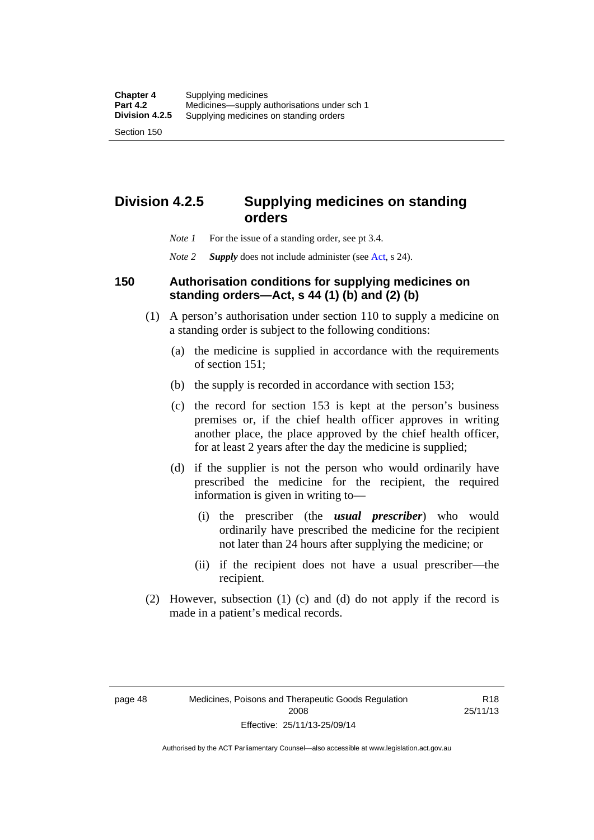**Division 4.2.5 Supplying medicines on standing** 

### *Note 1* For the issue of a standing order, see pt 3.4.

**orders** 

*Note 2 Supply* does not include administer (see [Act,](http://www.legislation.act.gov.au/a/2008-26/default.asp) s 24).

### **150 Authorisation conditions for supplying medicines on standing orders—Act, s 44 (1) (b) and (2) (b)**

- (1) A person's authorisation under section 110 to supply a medicine on a standing order is subject to the following conditions:
	- (a) the medicine is supplied in accordance with the requirements of section 151;
	- (b) the supply is recorded in accordance with section 153;
	- (c) the record for section 153 is kept at the person's business premises or, if the chief health officer approves in writing another place, the place approved by the chief health officer, for at least 2 years after the day the medicine is supplied;
	- (d) if the supplier is not the person who would ordinarily have prescribed the medicine for the recipient, the required information is given in writing to—
		- (i) the prescriber (the *usual prescriber*) who would ordinarily have prescribed the medicine for the recipient not later than 24 hours after supplying the medicine; or
		- (ii) if the recipient does not have a usual prescriber—the recipient.
- (2) However, subsection (1) (c) and (d) do not apply if the record is made in a patient's medical records.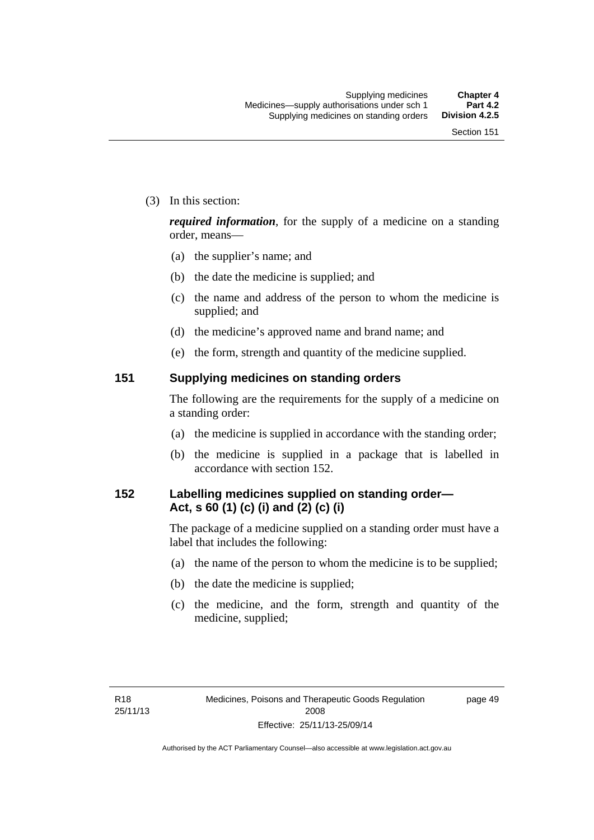(3) In this section:

*required information*, for the supply of a medicine on a standing order, means—

- (a) the supplier's name; and
- (b) the date the medicine is supplied; and
- (c) the name and address of the person to whom the medicine is supplied; and
- (d) the medicine's approved name and brand name; and
- (e) the form, strength and quantity of the medicine supplied.

### **151 Supplying medicines on standing orders**

The following are the requirements for the supply of a medicine on a standing order:

- (a) the medicine is supplied in accordance with the standing order;
- (b) the medicine is supplied in a package that is labelled in accordance with section 152.

## **152 Labelling medicines supplied on standing order— Act, s 60 (1) (c) (i) and (2) (c) (i)**

The package of a medicine supplied on a standing order must have a label that includes the following:

- (a) the name of the person to whom the medicine is to be supplied;
- (b) the date the medicine is supplied;
- (c) the medicine, and the form, strength and quantity of the medicine, supplied;

page 49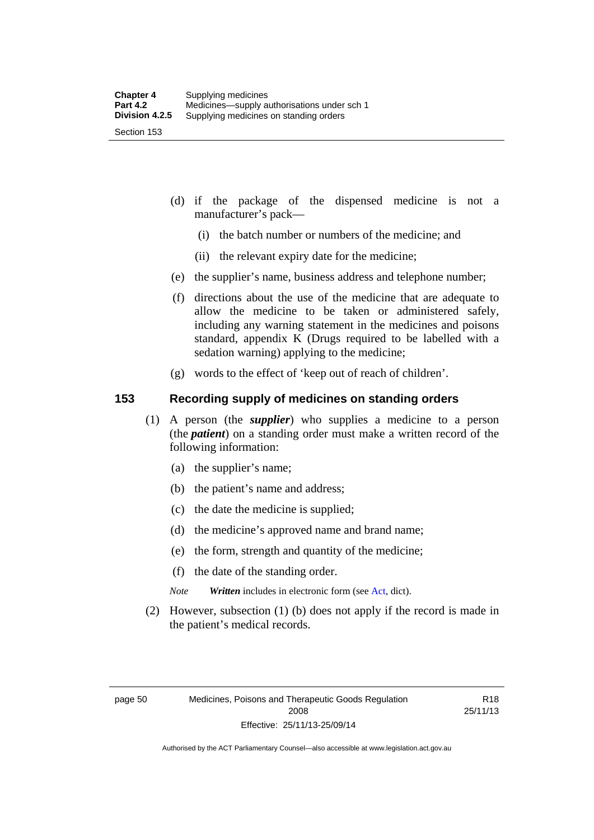- (d) if the package of the dispensed medicine is not a manufacturer's pack—
	- (i) the batch number or numbers of the medicine; and
	- (ii) the relevant expiry date for the medicine;
- (e) the supplier's name, business address and telephone number;
- (f) directions about the use of the medicine that are adequate to allow the medicine to be taken or administered safely, including any warning statement in the medicines and poisons standard, appendix K (Drugs required to be labelled with a sedation warning) applying to the medicine;
- (g) words to the effect of 'keep out of reach of children'.

### **153 Recording supply of medicines on standing orders**

- (1) A person (the *supplier*) who supplies a medicine to a person (the *patient*) on a standing order must make a written record of the following information:
	- (a) the supplier's name;
	- (b) the patient's name and address;
	- (c) the date the medicine is supplied;
	- (d) the medicine's approved name and brand name;
	- (e) the form, strength and quantity of the medicine;
	- (f) the date of the standing order.
	- *Note Written* includes in electronic form (see [Act,](http://www.legislation.act.gov.au/a/2008-26/default.asp) dict).
- (2) However, subsection (1) (b) does not apply if the record is made in the patient's medical records.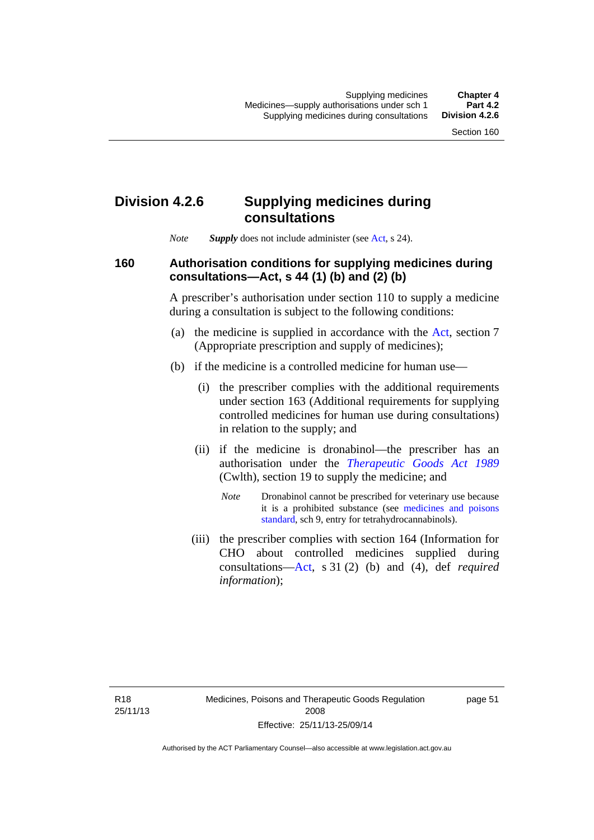## **Division 4.2.6 Supplying medicines during consultations**

*Note Supply* does not include administer (see [Act,](http://www.legislation.act.gov.au/a/2008-26/default.asp) s 24).

### **160 Authorisation conditions for supplying medicines during consultations—Act, s 44 (1) (b) and (2) (b)**

A prescriber's authorisation under section 110 to supply a medicine during a consultation is subject to the following conditions:

- (a) the medicine is supplied in accordance with the [Act](http://www.legislation.act.gov.au/a/2008-26/default.asp), section 7 (Appropriate prescription and supply of medicines);
- (b) if the medicine is a controlled medicine for human use—
	- (i) the prescriber complies with the additional requirements under section 163 (Additional requirements for supplying controlled medicines for human use during consultations) in relation to the supply; and
	- (ii) if the medicine is dronabinol—the prescriber has an authorisation under the *[Therapeutic Goods Act 1989](http://www.comlaw.gov.au/Series/C2004A03952)* (Cwlth), section 19 to supply the medicine; and
		- *Note* Dronabinol cannot be prescribed for veterinary use because it is a prohibited substance (see [medicines and poisons](http://www.comlaw.gov.au/Series/F2012L01200)  [standard,](http://www.comlaw.gov.au/Series/F2012L01200) sch 9, entry for tetrahydrocannabinols).
	- (iii) the prescriber complies with section 164 (Information for CHO about controlled medicines supplied during consultations[—Act,](http://www.legislation.act.gov.au/a/2008-26/default.asp) s 31 (2) (b) and (4), def *required information*);

page 51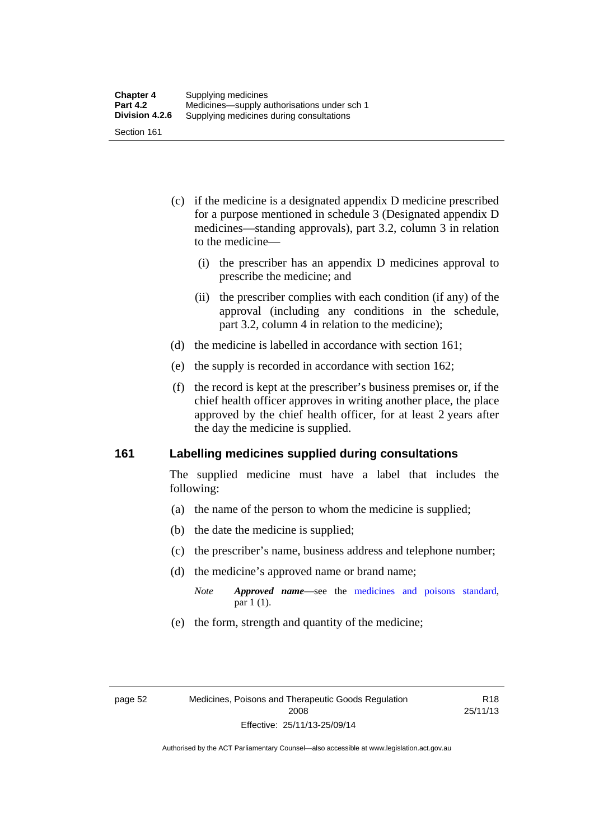- (c) if the medicine is a designated appendix D medicine prescribed for a purpose mentioned in schedule 3 (Designated appendix D medicines—standing approvals), part 3.2, column 3 in relation to the medicine—
	- (i) the prescriber has an appendix D medicines approval to prescribe the medicine; and
	- (ii) the prescriber complies with each condition (if any) of the approval (including any conditions in the schedule, part 3.2, column 4 in relation to the medicine);
- (d) the medicine is labelled in accordance with section 161;
- (e) the supply is recorded in accordance with section 162;
- (f) the record is kept at the prescriber's business premises or, if the chief health officer approves in writing another place, the place approved by the chief health officer, for at least 2 years after the day the medicine is supplied.

### **161 Labelling medicines supplied during consultations**

The supplied medicine must have a label that includes the following:

- (a) the name of the person to whom the medicine is supplied;
- (b) the date the medicine is supplied;
- (c) the prescriber's name, business address and telephone number;
- (d) the medicine's approved name or brand name;
	- *Note Approved name*—see the [medicines and poisons standard,](http://www.comlaw.gov.au/Series/F2012L01200) par 1 (1).
- (e) the form, strength and quantity of the medicine;

R18 25/11/13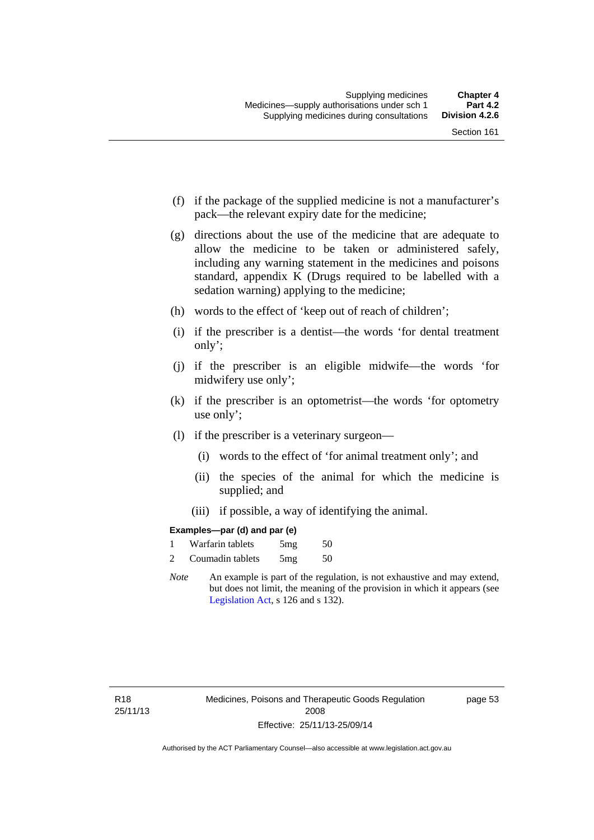- (f) if the package of the supplied medicine is not a manufacturer's pack—the relevant expiry date for the medicine;
- (g) directions about the use of the medicine that are adequate to allow the medicine to be taken or administered safely, including any warning statement in the medicines and poisons standard, appendix K (Drugs required to be labelled with a sedation warning) applying to the medicine;
- (h) words to the effect of 'keep out of reach of children';
- (i) if the prescriber is a dentist—the words 'for dental treatment only';
- (j) if the prescriber is an eligible midwife—the words 'for midwifery use only';
- (k) if the prescriber is an optometrist—the words 'for optometry use only';
- (l) if the prescriber is a veterinary surgeon—
	- (i) words to the effect of 'for animal treatment only'; and
	- (ii) the species of the animal for which the medicine is supplied; and
	- (iii) if possible, a way of identifying the animal.

### **Examples—par (d) and par (e)**

| Warfarin tablets | 5mg | 50 |
|------------------|-----|----|
| Coumadin tablets | 5mg | 50 |

*Note* An example is part of the regulation, is not exhaustive and may extend, but does not limit, the meaning of the provision in which it appears (see [Legislation Act,](http://www.legislation.act.gov.au/a/2001-14) s 126 and s 132).

page 53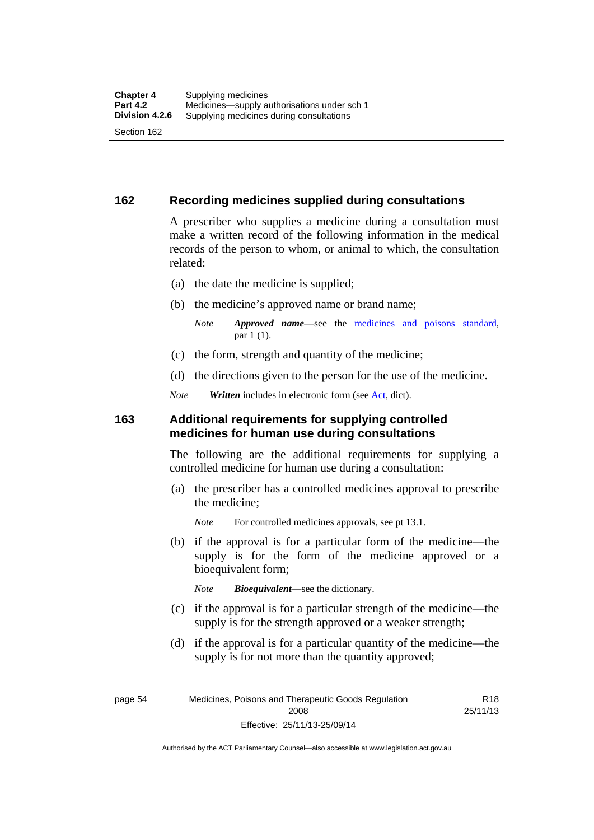### **162 Recording medicines supplied during consultations**

A prescriber who supplies a medicine during a consultation must make a written record of the following information in the medical records of the person to whom, or animal to which, the consultation related:

- (a) the date the medicine is supplied;
- (b) the medicine's approved name or brand name;

*Note Approved name*—see the [medicines and poisons standard,](http://www.comlaw.gov.au/Series/F2012L01200) par 1 (1).

- (c) the form, strength and quantity of the medicine;
- (d) the directions given to the person for the use of the medicine.

*Note Written* includes in electronic form (see [Act,](http://www.legislation.act.gov.au/a/2008-26/default.asp) dict).

### **163 Additional requirements for supplying controlled medicines for human use during consultations**

The following are the additional requirements for supplying a controlled medicine for human use during a consultation:

- (a) the prescriber has a controlled medicines approval to prescribe the medicine;
	- *Note* For controlled medicines approvals, see pt 13.1.
- (b) if the approval is for a particular form of the medicine—the supply is for the form of the medicine approved or a bioequivalent form;

*Note Bioequivalent*—see the dictionary.

- (c) if the approval is for a particular strength of the medicine—the supply is for the strength approved or a weaker strength;
- (d) if the approval is for a particular quantity of the medicine—the supply is for not more than the quantity approved;

page 54 Medicines, Poisons and Therapeutic Goods Regulation 2008 Effective: 25/11/13-25/09/14

R18 25/11/13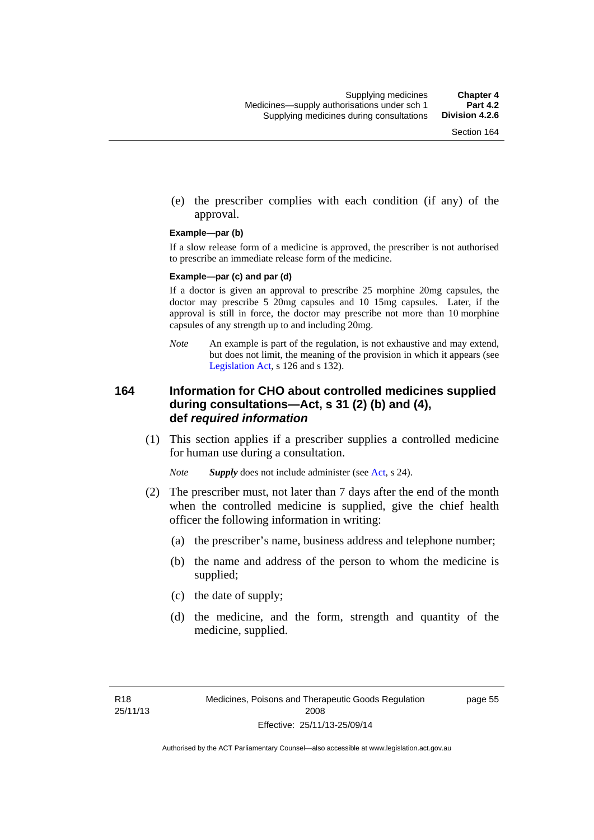(e) the prescriber complies with each condition (if any) of the approval.

#### **Example—par (b)**

If a slow release form of a medicine is approved, the prescriber is not authorised to prescribe an immediate release form of the medicine.

#### **Example—par (c) and par (d)**

If a doctor is given an approval to prescribe 25 morphine 20mg capsules, the doctor may prescribe 5 20mg capsules and 10 15mg capsules. Later, if the approval is still in force, the doctor may prescribe not more than 10 morphine capsules of any strength up to and including 20mg.

*Note* An example is part of the regulation, is not exhaustive and may extend, but does not limit, the meaning of the provision in which it appears (see [Legislation Act,](http://www.legislation.act.gov.au/a/2001-14) s 126 and s 132).

### **164 Information for CHO about controlled medicines supplied during consultations—Act, s 31 (2) (b) and (4), def** *required information*

 (1) This section applies if a prescriber supplies a controlled medicine for human use during a consultation.

*Note Supply* does not include administer (see [Act,](http://www.legislation.act.gov.au/a/2008-26/default.asp) s 24).

- (2) The prescriber must, not later than 7 days after the end of the month when the controlled medicine is supplied, give the chief health officer the following information in writing:
	- (a) the prescriber's name, business address and telephone number;
	- (b) the name and address of the person to whom the medicine is supplied;
	- (c) the date of supply;
	- (d) the medicine, and the form, strength and quantity of the medicine, supplied.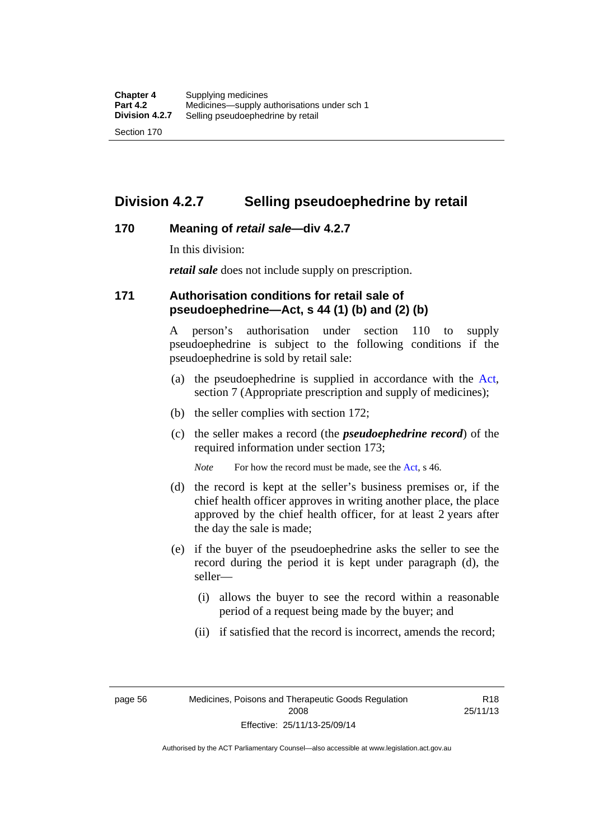## **Division 4.2.7 Selling pseudoephedrine by retail**

### **170 Meaning of** *retail sale***—div 4.2.7**

In this division:

*retail sale* does not include supply on prescription.

### **171 Authorisation conditions for retail sale of pseudoephedrine—Act, s 44 (1) (b) and (2) (b)**

A person's authorisation under section 110 to supply pseudoephedrine is subject to the following conditions if the pseudoephedrine is sold by retail sale:

- (a) the pseudoephedrine is supplied in accordance with the [Act](http://www.legislation.act.gov.au/a/2008-26/default.asp), section 7 (Appropriate prescription and supply of medicines);
- (b) the seller complies with section 172;
- (c) the seller makes a record (the *pseudoephedrine record*) of the required information under section 173;

*Note* For how the record must be made, see the [Act,](http://www.legislation.act.gov.au/a/2008-26/default.asp) s 46.

- (d) the record is kept at the seller's business premises or, if the chief health officer approves in writing another place, the place approved by the chief health officer, for at least 2 years after the day the sale is made;
- (e) if the buyer of the pseudoephedrine asks the seller to see the record during the period it is kept under paragraph (d), the seller—
	- (i) allows the buyer to see the record within a reasonable period of a request being made by the buyer; and
	- (ii) if satisfied that the record is incorrect, amends the record;

page 56 Medicines, Poisons and Therapeutic Goods Regulation 2008 Effective: 25/11/13-25/09/14

R18 25/11/13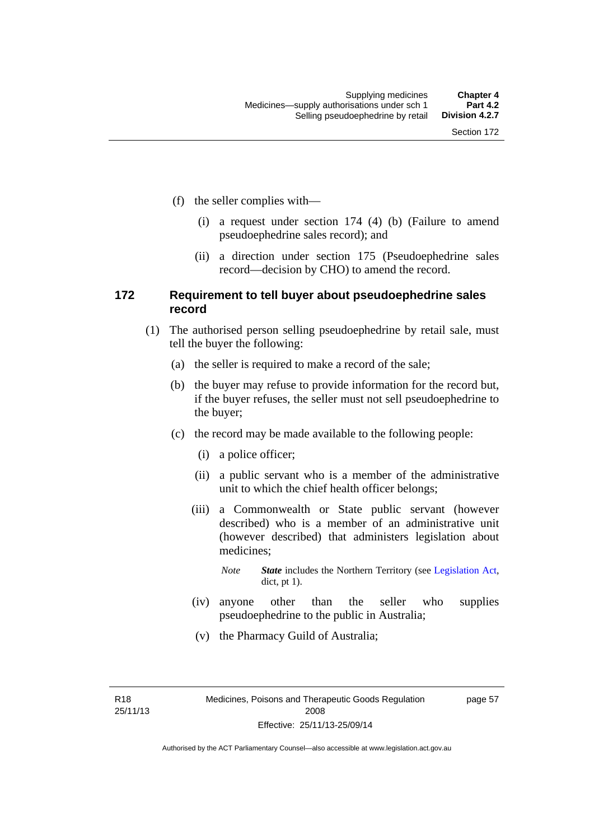- (f) the seller complies with—
	- (i) a request under section 174 (4) (b) (Failure to amend pseudoephedrine sales record); and
	- (ii) a direction under section 175 (Pseudoephedrine sales record—decision by CHO) to amend the record.

### **172 Requirement to tell buyer about pseudoephedrine sales record**

- (1) The authorised person selling pseudoephedrine by retail sale, must tell the buyer the following:
	- (a) the seller is required to make a record of the sale;
	- (b) the buyer may refuse to provide information for the record but, if the buyer refuses, the seller must not sell pseudoephedrine to the buyer;
	- (c) the record may be made available to the following people:
		- (i) a police officer;
		- (ii) a public servant who is a member of the administrative unit to which the chief health officer belongs;
		- (iii) a Commonwealth or State public servant (however described) who is a member of an administrative unit (however described) that administers legislation about medicines;
			- *Note State* includes the Northern Territory (see [Legislation Act,](http://www.legislation.act.gov.au/a/2001-14) dict, pt 1).
		- (iv) anyone other than the seller who supplies pseudoephedrine to the public in Australia;
		- (v) the Pharmacy Guild of Australia;

R18 25/11/13 page 57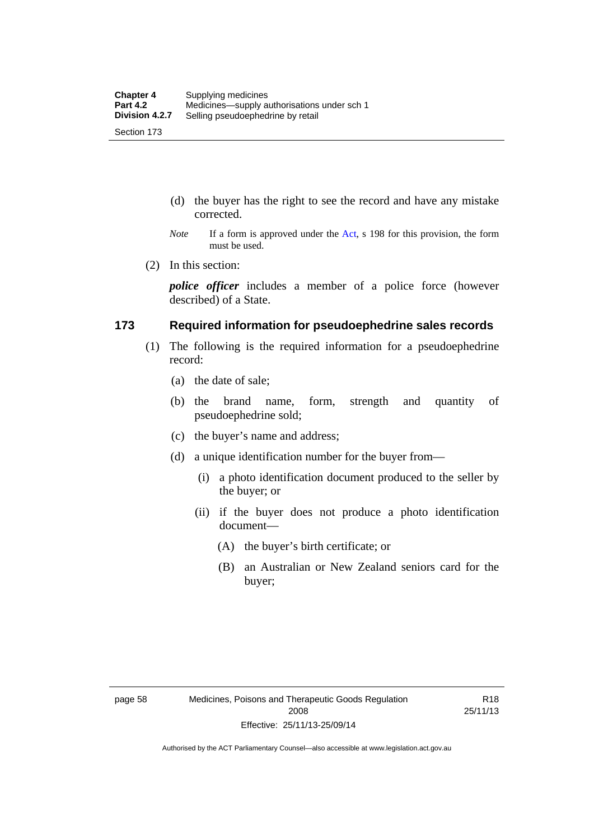- (d) the buyer has the right to see the record and have any mistake corrected.
- *Note* If a form is approved under the [Act](http://www.legislation.act.gov.au/a/2008-26/default.asp), s 198 for this provision, the form must be used.
- (2) In this section:

*police officer* includes a member of a police force (however described) of a State.

### **173 Required information for pseudoephedrine sales records**

- (1) The following is the required information for a pseudoephedrine record:
	- (a) the date of sale;
	- (b) the brand name, form, strength and quantity of pseudoephedrine sold;
	- (c) the buyer's name and address;
	- (d) a unique identification number for the buyer from—
		- (i) a photo identification document produced to the seller by the buyer; or
		- (ii) if the buyer does not produce a photo identification document—
			- (A) the buyer's birth certificate; or
			- (B) an Australian or New Zealand seniors card for the buyer;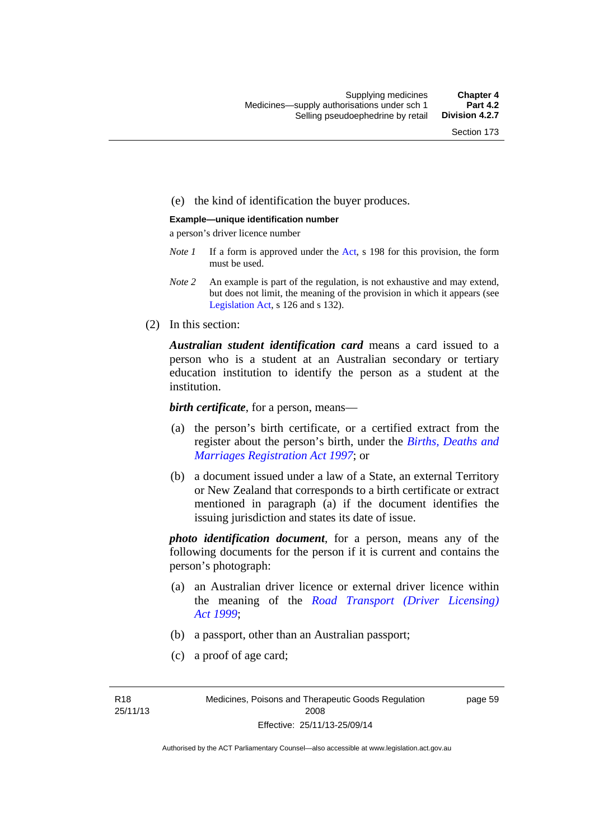### (e) the kind of identification the buyer produces.

#### **Example—unique identification number**

a person's driver licence number

- *Note 1* If a form is approved under the [Act](http://www.legislation.act.gov.au/a/2008-26/default.asp), s 198 for this provision, the form must be used.
- *Note 2* An example is part of the regulation, is not exhaustive and may extend, but does not limit, the meaning of the provision in which it appears (see [Legislation Act,](http://www.legislation.act.gov.au/a/2001-14) s 126 and s 132).
- (2) In this section:

*Australian student identification card* means a card issued to a person who is a student at an Australian secondary or tertiary education institution to identify the person as a student at the institution.

*birth certificate*, for a person, means—

- (a) the person's birth certificate, or a certified extract from the register about the person's birth, under the *[Births, Deaths and](http://www.legislation.act.gov.au/a/1997-112)  [Marriages Registration Act 1997](http://www.legislation.act.gov.au/a/1997-112)*; or
- (b) a document issued under a law of a State, an external Territory or New Zealand that corresponds to a birth certificate or extract mentioned in paragraph (a) if the document identifies the issuing jurisdiction and states its date of issue.

*photo identification document*, for a person, means any of the following documents for the person if it is current and contains the person's photograph:

- (a) an Australian driver licence or external driver licence within the meaning of the *[Road Transport \(Driver Licensing\)](http://www.legislation.act.gov.au/a/1999-78)  [Act 1999](http://www.legislation.act.gov.au/a/1999-78)*;
- (b) a passport, other than an Australian passport;
- (c) a proof of age card;

R18 25/11/13 page 59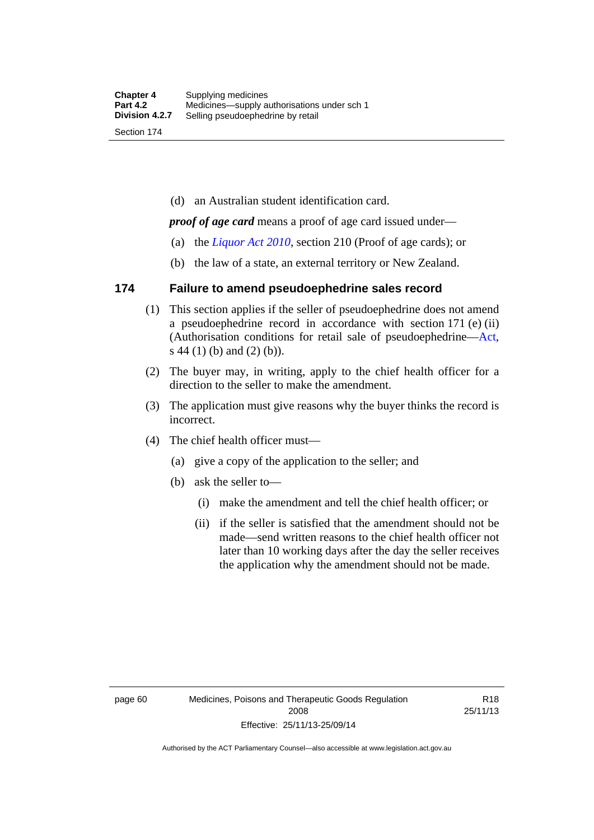(d) an Australian student identification card.

*proof of age card* means a proof of age card issued under—

- (a) the *[Liquor Act 2010](http://www.legislation.act.gov.au/a/2010-35)*, section 210 (Proof of age cards); or
- (b) the law of a state, an external territory or New Zealand.

### **174 Failure to amend pseudoephedrine sales record**

- (1) This section applies if the seller of pseudoephedrine does not amend a pseudoephedrine record in accordance with section 171 (e) (ii) (Authorisation conditions for retail sale of pseudoephedrine—[Act](http://www.legislation.act.gov.au/a/2008-26/default.asp), s 44 (1) (b) and (2) (b)).
- (2) The buyer may, in writing, apply to the chief health officer for a direction to the seller to make the amendment.
- (3) The application must give reasons why the buyer thinks the record is incorrect.
- (4) The chief health officer must—
	- (a) give a copy of the application to the seller; and
	- (b) ask the seller to—
		- (i) make the amendment and tell the chief health officer; or
		- (ii) if the seller is satisfied that the amendment should not be made—send written reasons to the chief health officer not later than 10 working days after the day the seller receives the application why the amendment should not be made.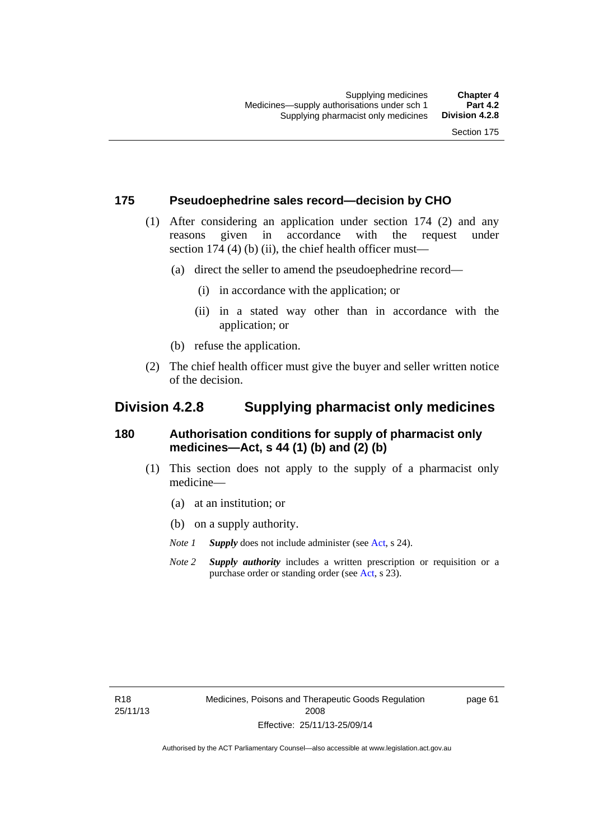### **175 Pseudoephedrine sales record—decision by CHO**

- (1) After considering an application under section 174 (2) and any reasons given in accordance with the request under section 174  $(4)$  (b)  $(ii)$ , the chief health officer must—
	- (a) direct the seller to amend the pseudoephedrine record—
		- (i) in accordance with the application; or
		- (ii) in a stated way other than in accordance with the application; or
	- (b) refuse the application.
- (2) The chief health officer must give the buyer and seller written notice of the decision.

## **Division 4.2.8 Supplying pharmacist only medicines**

### **180 Authorisation conditions for supply of pharmacist only medicines—Act, s 44 (1) (b) and (2) (b)**

- (1) This section does not apply to the supply of a pharmacist only medicine—
	- (a) at an institution; or
	- (b) on a supply authority.
	- *Note 1 Supply* does not include administer (see [Act,](http://www.legislation.act.gov.au/a/2008-26/default.asp) s 24).
	- *Note 2 Supply authority* includes a written prescription or requisition or a purchase order or standing order (see [Act,](http://www.legislation.act.gov.au/a/2008-26/default.asp) s 23).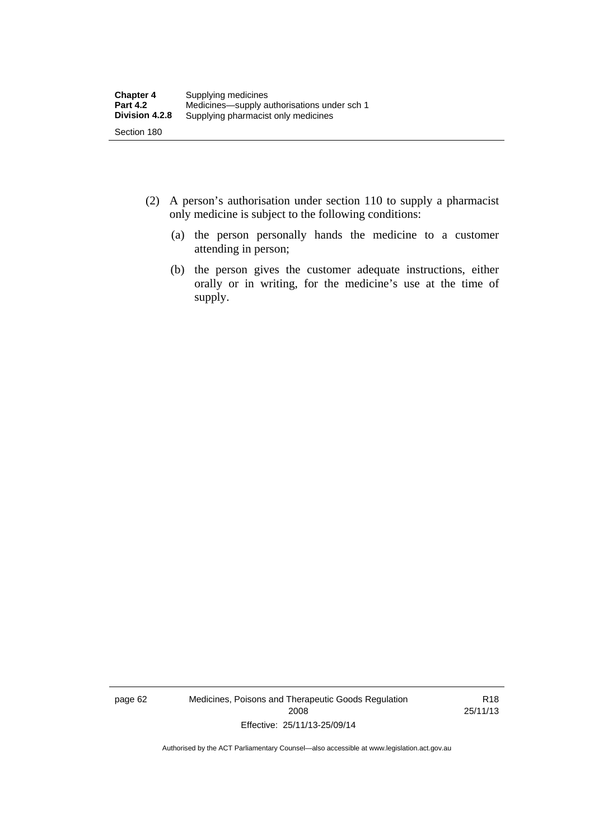- (2) A person's authorisation under section 110 to supply a pharmacist only medicine is subject to the following conditions:
	- (a) the person personally hands the medicine to a customer attending in person;
	- (b) the person gives the customer adequate instructions, either orally or in writing, for the medicine's use at the time of supply.

page 62 Medicines, Poisons and Therapeutic Goods Regulation 2008 Effective: 25/11/13-25/09/14

R18 25/11/13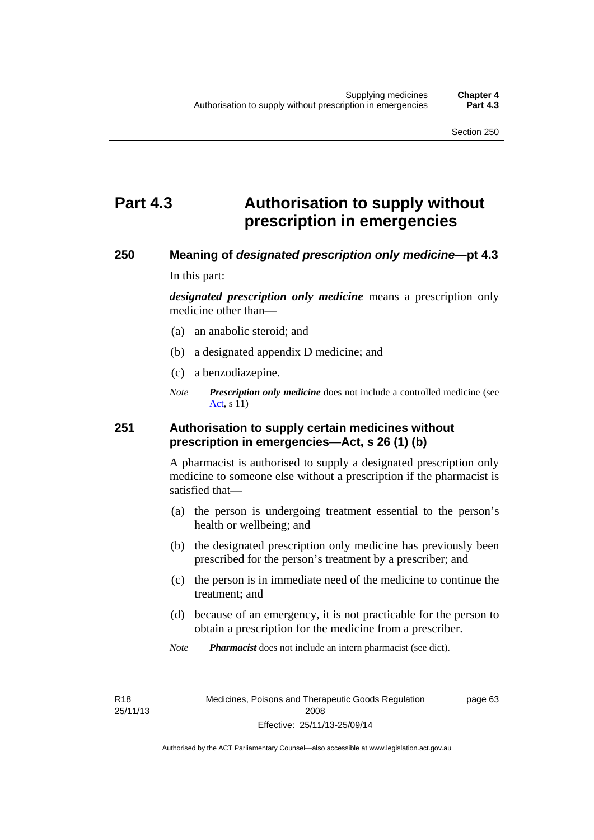# **Part 4.3 Authorisation to supply without prescription in emergencies**

### **250 Meaning of** *designated prescription only medicine***—pt 4.3**

In this part:

*designated prescription only medicine* means a prescription only medicine other than—

- (a) an anabolic steroid; and
- (b) a designated appendix D medicine; and
- (c) a benzodiazepine.
- *Note Prescription only medicine* does not include a controlled medicine (see [Act](http://www.legislation.act.gov.au/a/2008-26/default.asp), s 11)

### **251 Authorisation to supply certain medicines without prescription in emergencies—Act, s 26 (1) (b)**

A pharmacist is authorised to supply a designated prescription only medicine to someone else without a prescription if the pharmacist is satisfied that—

- (a) the person is undergoing treatment essential to the person's health or wellbeing; and
- (b) the designated prescription only medicine has previously been prescribed for the person's treatment by a prescriber; and
- (c) the person is in immediate need of the medicine to continue the treatment; and
- (d) because of an emergency, it is not practicable for the person to obtain a prescription for the medicine from a prescriber.
- *Note Pharmacist* does not include an intern pharmacist (see dict).

R18 25/11/13 page 63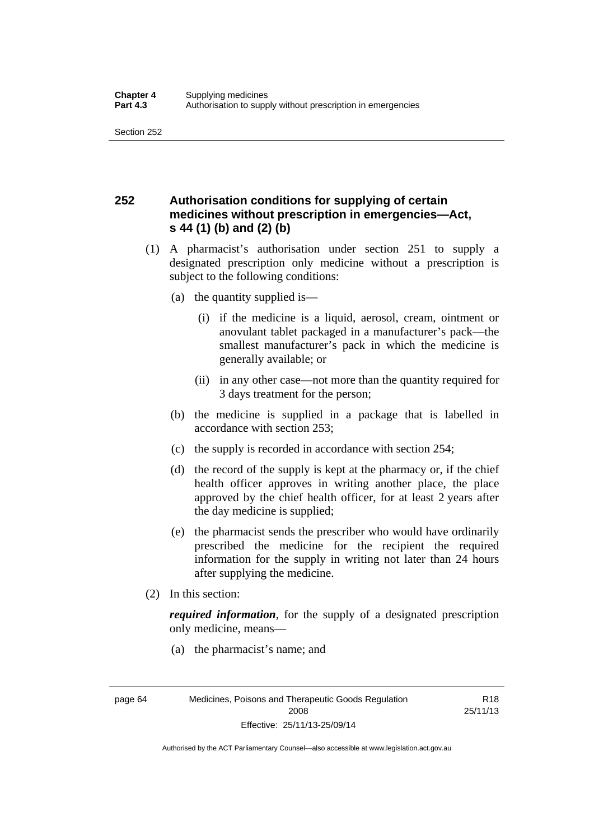## **252 Authorisation conditions for supplying of certain medicines without prescription in emergencies—Act, s 44 (1) (b) and (2) (b)**

- (1) A pharmacist's authorisation under section 251 to supply a designated prescription only medicine without a prescription is subject to the following conditions:
	- (a) the quantity supplied is—
		- (i) if the medicine is a liquid, aerosol, cream, ointment or anovulant tablet packaged in a manufacturer's pack—the smallest manufacturer's pack in which the medicine is generally available; or
		- (ii) in any other case—not more than the quantity required for 3 days treatment for the person;
	- (b) the medicine is supplied in a package that is labelled in accordance with section 253;
	- (c) the supply is recorded in accordance with section 254;
	- (d) the record of the supply is kept at the pharmacy or, if the chief health officer approves in writing another place, the place approved by the chief health officer, for at least 2 years after the day medicine is supplied;
	- (e) the pharmacist sends the prescriber who would have ordinarily prescribed the medicine for the recipient the required information for the supply in writing not later than 24 hours after supplying the medicine.
- (2) In this section:

*required information*, for the supply of a designated prescription only medicine, means—

(a) the pharmacist's name; and

R18 25/11/13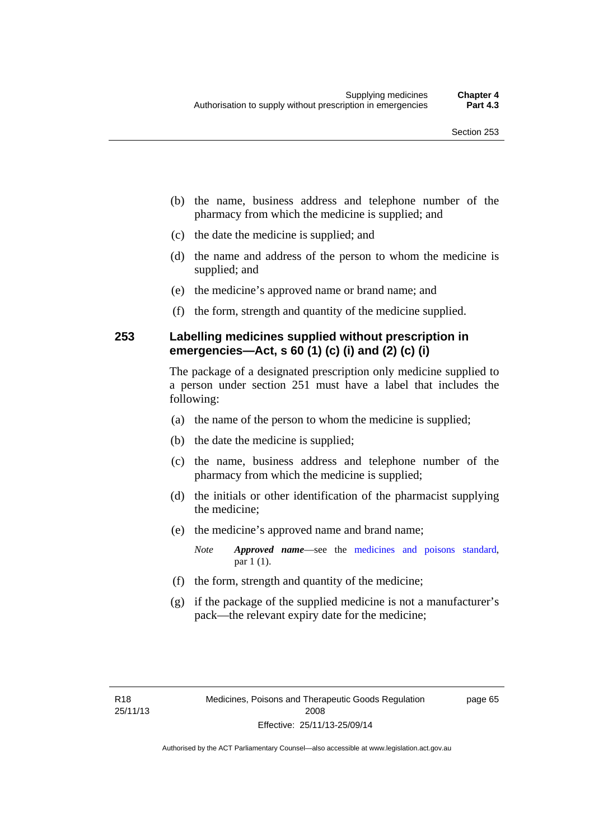- (b) the name, business address and telephone number of the pharmacy from which the medicine is supplied; and
- (c) the date the medicine is supplied; and
- (d) the name and address of the person to whom the medicine is supplied; and
- (e) the medicine's approved name or brand name; and
- (f) the form, strength and quantity of the medicine supplied.

### **253 Labelling medicines supplied without prescription in emergencies—Act, s 60 (1) (c) (i) and (2) (c) (i)**

The package of a designated prescription only medicine supplied to a person under section 251 must have a label that includes the following:

- (a) the name of the person to whom the medicine is supplied;
- (b) the date the medicine is supplied;
- (c) the name, business address and telephone number of the pharmacy from which the medicine is supplied;
- (d) the initials or other identification of the pharmacist supplying the medicine;
- (e) the medicine's approved name and brand name;

*Note Approved name*—see the [medicines and poisons standard,](http://www.comlaw.gov.au/Series/F2012L01200) par 1 (1).

- (f) the form, strength and quantity of the medicine;
- (g) if the package of the supplied medicine is not a manufacturer's pack—the relevant expiry date for the medicine;

page 65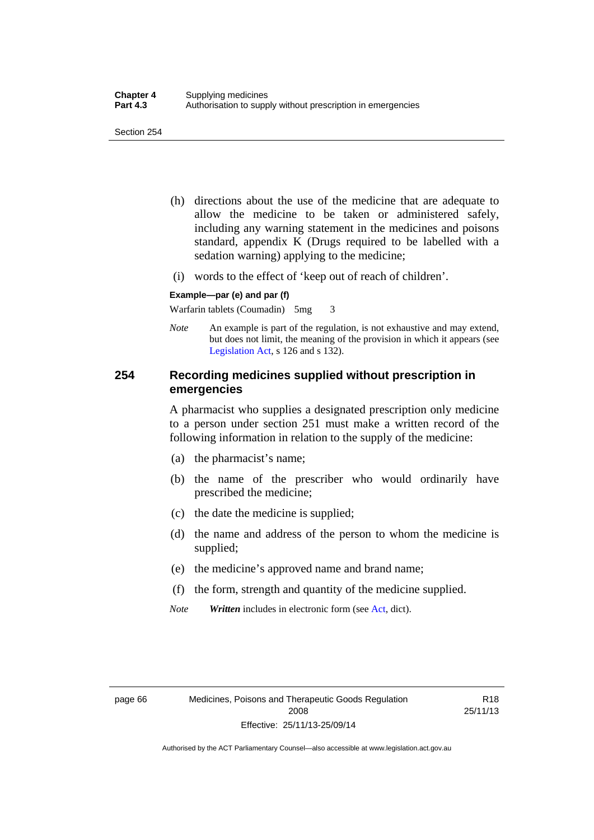- (h) directions about the use of the medicine that are adequate to allow the medicine to be taken or administered safely, including any warning statement in the medicines and poisons standard, appendix K (Drugs required to be labelled with a sedation warning) applying to the medicine;
- (i) words to the effect of 'keep out of reach of children'.

#### **Example—par (e) and par (f)**

Warfarin tablets (Coumadin) 5mg 3

*Note* An example is part of the regulation, is not exhaustive and may extend, but does not limit, the meaning of the provision in which it appears (see [Legislation Act,](http://www.legislation.act.gov.au/a/2001-14) s 126 and s 132).

### **254 Recording medicines supplied without prescription in emergencies**

A pharmacist who supplies a designated prescription only medicine to a person under section 251 must make a written record of the following information in relation to the supply of the medicine:

- (a) the pharmacist's name;
- (b) the name of the prescriber who would ordinarily have prescribed the medicine;
- (c) the date the medicine is supplied;
- (d) the name and address of the person to whom the medicine is supplied;
- (e) the medicine's approved name and brand name;
- (f) the form, strength and quantity of the medicine supplied.
- *Note Written* includes in electronic form (see [Act,](http://www.legislation.act.gov.au/a/2008-26/default.asp) dict).

R18 25/11/13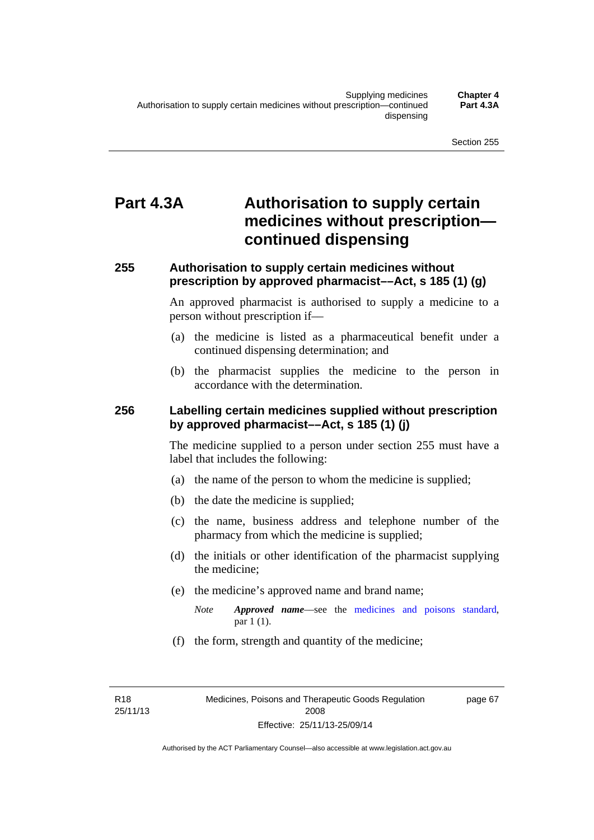# **Part 4.3A Authorisation to supply certain medicines without prescription continued dispensing**

### **255 Authorisation to supply certain medicines without prescription by approved pharmacist––Act, s 185 (1) (g)**

An approved pharmacist is authorised to supply a medicine to a person without prescription if––

- (a) the medicine is listed as a pharmaceutical benefit under a continued dispensing determination; and
- (b) the pharmacist supplies the medicine to the person in accordance with the determination.

### **256 Labelling certain medicines supplied without prescription by approved pharmacist––Act, s 185 (1) (j)**

The medicine supplied to a person under section 255 must have a label that includes the following:

- (a) the name of the person to whom the medicine is supplied;
- (b) the date the medicine is supplied;
- (c) the name, business address and telephone number of the pharmacy from which the medicine is supplied;
- (d) the initials or other identification of the pharmacist supplying the medicine;
- (e) the medicine's approved name and brand name;
	- *Note Approved name––*see the [medicines and poisons standard,](http://www.comlaw.gov.au/Series/F2012L01200) par 1 (1).
- (f) the form, strength and quantity of the medicine;

R18 25/11/13 page 67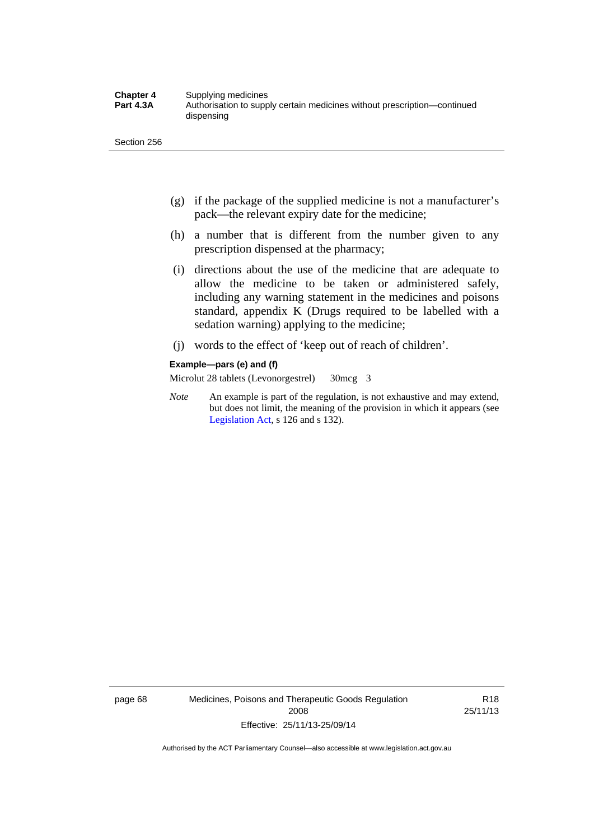- (g) if the package of the supplied medicine is not a manufacturer's pack—the relevant expiry date for the medicine;
- (h) a number that is different from the number given to any prescription dispensed at the pharmacy;
- (i) directions about the use of the medicine that are adequate to allow the medicine to be taken or administered safely, including any warning statement in the medicines and poisons standard, appendix K (Drugs required to be labelled with a sedation warning) applying to the medicine;
- (j) words to the effect of 'keep out of reach of children'.

#### **Example—pars (e) and (f)**

Microlut 28 tablets (Levonorgestrel) 30mcg 3

*Note* An example is part of the regulation, is not exhaustive and may extend, but does not limit, the meaning of the provision in which it appears (see [Legislation Act,](http://www.legislation.act.gov.au/a/2001-14) s 126 and s 132).

page 68 Medicines, Poisons and Therapeutic Goods Regulation 2008 Effective: 25/11/13-25/09/14

R18 25/11/13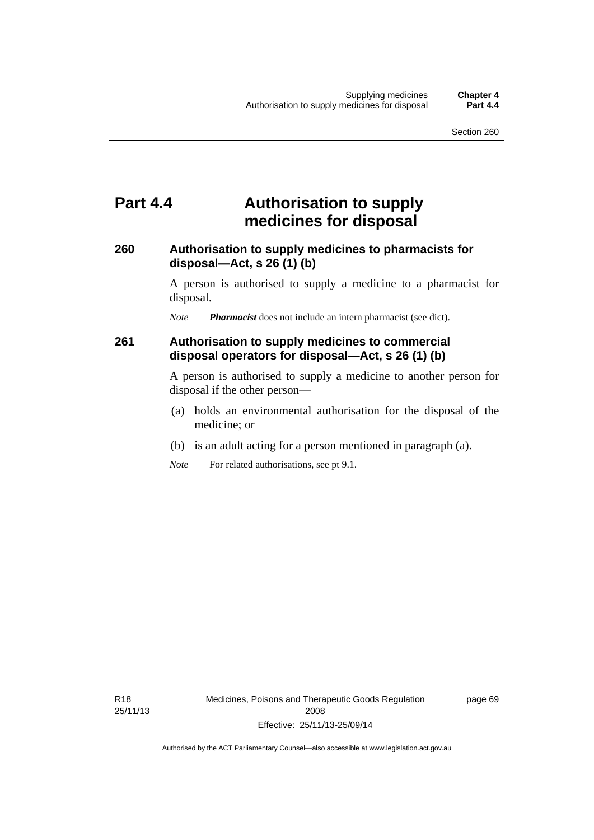# **Part 4.4 Authorisation to supply medicines for disposal**

### **260 Authorisation to supply medicines to pharmacists for disposal—Act, s 26 (1) (b)**

A person is authorised to supply a medicine to a pharmacist for disposal.

*Note Pharmacist* does not include an intern pharmacist (see dict).

### **261 Authorisation to supply medicines to commercial disposal operators for disposal—Act, s 26 (1) (b)**

A person is authorised to supply a medicine to another person for disposal if the other person—

- (a) holds an environmental authorisation for the disposal of the medicine; or
- (b) is an adult acting for a person mentioned in paragraph (a).
- *Note* For related authorisations, see pt 9.1.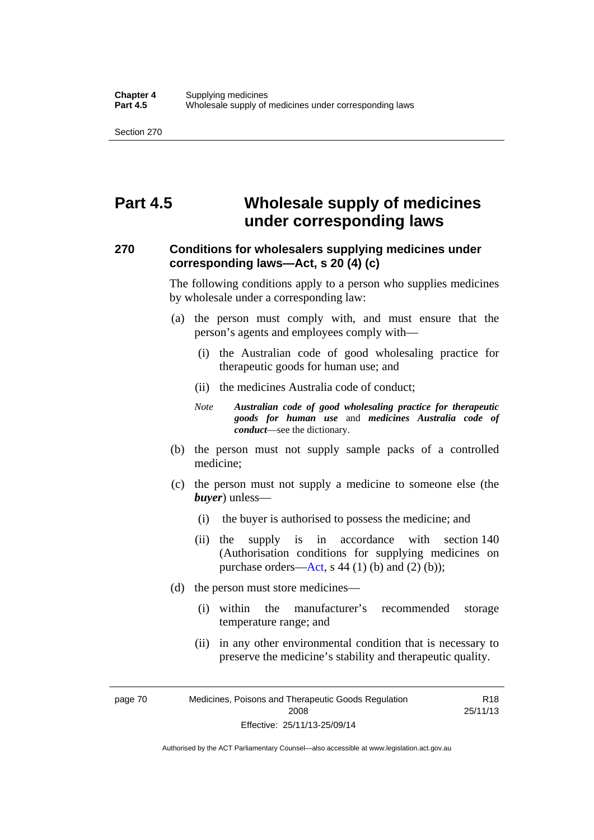# **Part 4.5 Wholesale supply of medicines under corresponding laws**

### **270 Conditions for wholesalers supplying medicines under corresponding laws—Act, s 20 (4) (c)**

The following conditions apply to a person who supplies medicines by wholesale under a corresponding law:

- (a) the person must comply with, and must ensure that the person's agents and employees comply with—
	- (i) the Australian code of good wholesaling practice for therapeutic goods for human use; and
	- (ii) the medicines Australia code of conduct;
	- *Note Australian code of good wholesaling practice for therapeutic goods for human use* and *medicines Australia code of conduct*—see the dictionary.
- (b) the person must not supply sample packs of a controlled medicine;
- (c) the person must not supply a medicine to someone else (the *buyer*) unless—
	- (i) the buyer is authorised to possess the medicine; and
	- (ii) the supply is in accordance with section 140 (Authorisation conditions for supplying medicines on purchase orders—[Act,](http://www.legislation.act.gov.au/a/2008-26/default.asp) s 44 (1) (b) and (2) (b));
- (d) the person must store medicines—
	- (i) within the manufacturer's recommended storage temperature range; and
	- (ii) in any other environmental condition that is necessary to preserve the medicine's stability and therapeutic quality.

R18 25/11/13

page 70 Medicines, Poisons and Therapeutic Goods Regulation 2008 Effective: 25/11/13-25/09/14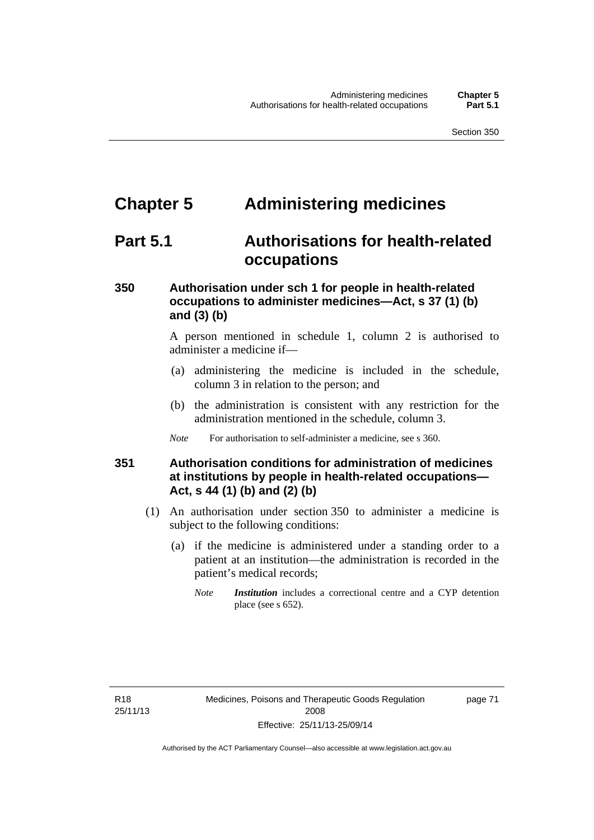# **Chapter 5 Administering medicines**

# **Part 5.1 Authorisations for health-related occupations**

## **350 Authorisation under sch 1 for people in health-related occupations to administer medicines—Act, s 37 (1) (b) and (3) (b)**

A person mentioned in schedule 1, column 2 is authorised to administer a medicine if—

- (a) administering the medicine is included in the schedule, column 3 in relation to the person; and
- (b) the administration is consistent with any restriction for the administration mentioned in the schedule, column 3.
- *Note* For authorisation to self-administer a medicine, see s 360.

## **351 Authorisation conditions for administration of medicines at institutions by people in health-related occupations— Act, s 44 (1) (b) and (2) (b)**

- (1) An authorisation under section 350 to administer a medicine is subject to the following conditions:
	- (a) if the medicine is administered under a standing order to a patient at an institution—the administration is recorded in the patient's medical records;
		- *Note Institution* includes a correctional centre and a CYP detention place (see s 652).

page 71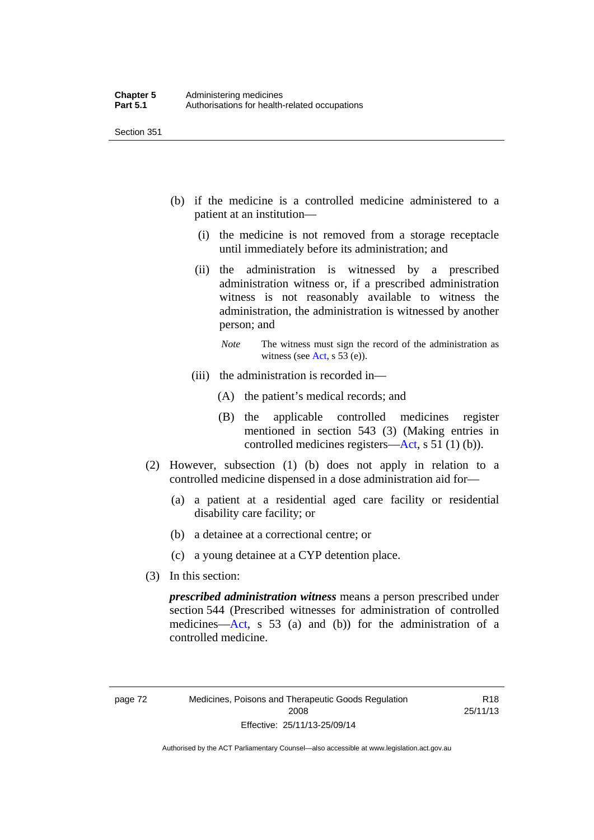- (b) if the medicine is a controlled medicine administered to a patient at an institution—
	- (i) the medicine is not removed from a storage receptacle until immediately before its administration; and
	- (ii) the administration is witnessed by a prescribed administration witness or, if a prescribed administration witness is not reasonably available to witness the administration, the administration is witnessed by another person; and
		- *Note* The witness must sign the record of the administration as witness (see [Act,](http://www.legislation.act.gov.au/a/2008-26/default.asp) s 53 (e)).
	- (iii) the administration is recorded in—
		- (A) the patient's medical records; and
		- (B) the applicable controlled medicines register mentioned in section 543 (3) (Making entries in controlled medicines registers[—Act](http://www.legislation.act.gov.au/a/2008-26/default.asp), s 51 (1) (b)).
- (2) However, subsection (1) (b) does not apply in relation to a controlled medicine dispensed in a dose administration aid for—
	- (a) a patient at a residential aged care facility or residential disability care facility; or
	- (b) a detainee at a correctional centre; or
	- (c) a young detainee at a CYP detention place.
- (3) In this section:

*prescribed administration witness* means a person prescribed under section 544 (Prescribed witnesses for administration of controlled medicines—[Act](http://www.legislation.act.gov.au/a/2008-26/default.asp), s 53 (a) and (b)) for the administration of a controlled medicine.

R18 25/11/13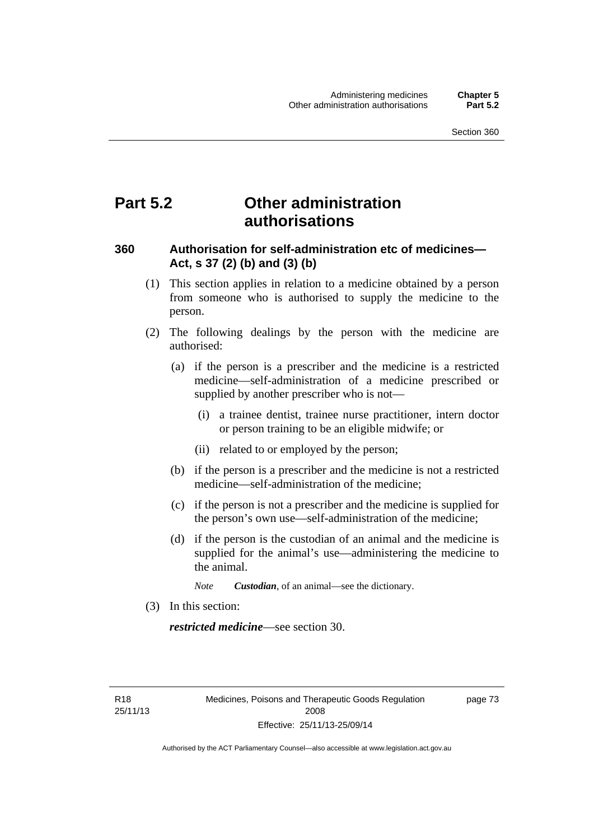# **Part 5.2 Other administration authorisations**

### **360 Authorisation for self-administration etc of medicines— Act, s 37 (2) (b) and (3) (b)**

- (1) This section applies in relation to a medicine obtained by a person from someone who is authorised to supply the medicine to the person.
- (2) The following dealings by the person with the medicine are authorised:
	- (a) if the person is a prescriber and the medicine is a restricted medicine—self-administration of a medicine prescribed or supplied by another prescriber who is not—
		- (i) a trainee dentist, trainee nurse practitioner, intern doctor or person training to be an eligible midwife; or
		- (ii) related to or employed by the person;
	- (b) if the person is a prescriber and the medicine is not a restricted medicine—self-administration of the medicine;
	- (c) if the person is not a prescriber and the medicine is supplied for the person's own use—self-administration of the medicine;
	- (d) if the person is the custodian of an animal and the medicine is supplied for the animal's use—administering the medicine to the animal.
		- *Note Custodian*, of an animal—see the dictionary.
- (3) In this section:

*restricted medicine*—see section 30.

R18 25/11/13 page 73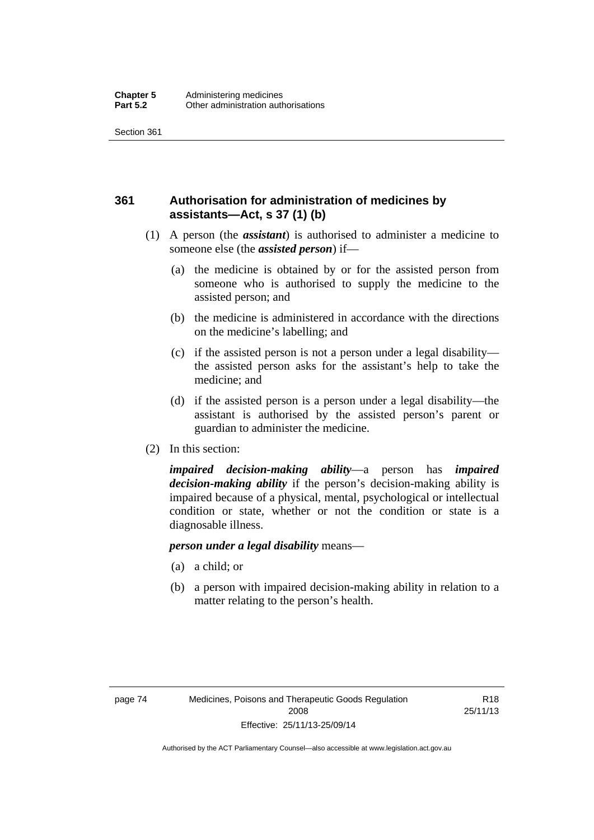## **361 Authorisation for administration of medicines by assistants—Act, s 37 (1) (b)**

- (1) A person (the *assistant*) is authorised to administer a medicine to someone else (the *assisted person*) if—
	- (a) the medicine is obtained by or for the assisted person from someone who is authorised to supply the medicine to the assisted person; and
	- (b) the medicine is administered in accordance with the directions on the medicine's labelling; and
	- (c) if the assisted person is not a person under a legal disability the assisted person asks for the assistant's help to take the medicine; and
	- (d) if the assisted person is a person under a legal disability—the assistant is authorised by the assisted person's parent or guardian to administer the medicine.
- (2) In this section:

*impaired decision-making ability*—a person has *impaired decision-making ability* if the person's decision-making ability is impaired because of a physical, mental, psychological or intellectual condition or state, whether or not the condition or state is a diagnosable illness.

### *person under a legal disability* means—

- (a) a child; or
- (b) a person with impaired decision-making ability in relation to a matter relating to the person's health.

R18 25/11/13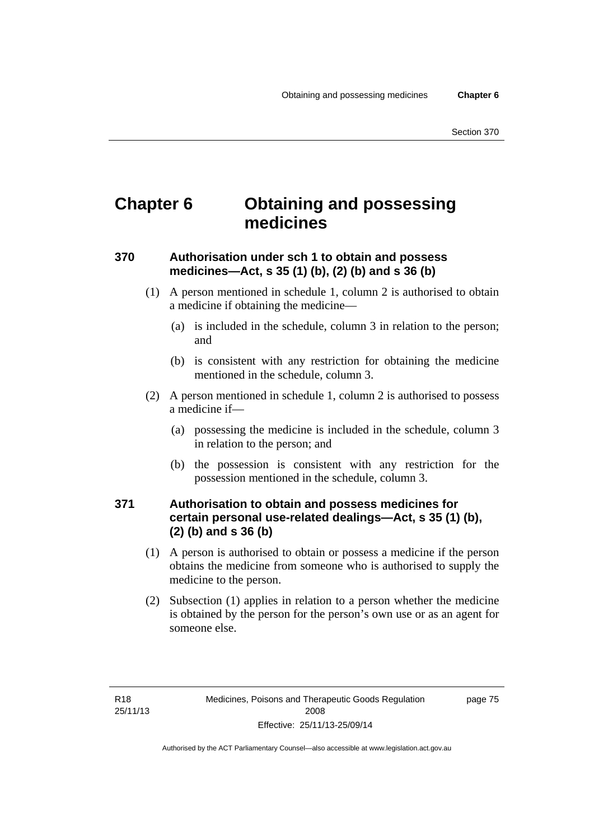# **Chapter 6 Obtaining and possessing medicines**

## **370 Authorisation under sch 1 to obtain and possess medicines—Act, s 35 (1) (b), (2) (b) and s 36 (b)**

- (1) A person mentioned in schedule 1, column 2 is authorised to obtain a medicine if obtaining the medicine—
	- (a) is included in the schedule, column 3 in relation to the person; and
	- (b) is consistent with any restriction for obtaining the medicine mentioned in the schedule, column 3.
- (2) A person mentioned in schedule 1, column 2 is authorised to possess a medicine if—
	- (a) possessing the medicine is included in the schedule, column 3 in relation to the person; and
	- (b) the possession is consistent with any restriction for the possession mentioned in the schedule, column 3.

### **371 Authorisation to obtain and possess medicines for certain personal use-related dealings—Act, s 35 (1) (b), (2) (b) and s 36 (b)**

- (1) A person is authorised to obtain or possess a medicine if the person obtains the medicine from someone who is authorised to supply the medicine to the person.
- (2) Subsection (1) applies in relation to a person whether the medicine is obtained by the person for the person's own use or as an agent for someone else.

page 75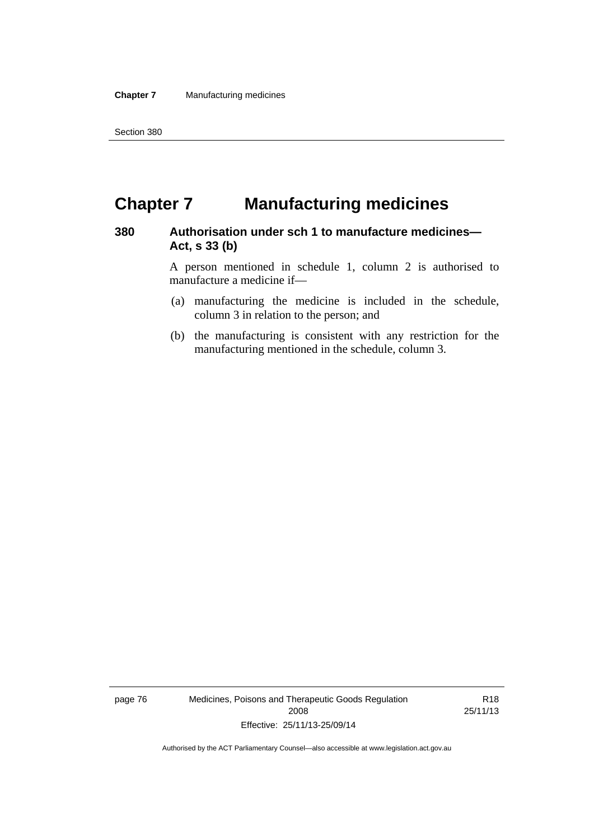# **Chapter 7 Manufacturing medicines**

### **380 Authorisation under sch 1 to manufacture medicines— Act, s 33 (b)**

A person mentioned in schedule 1, column 2 is authorised to manufacture a medicine if—

- (a) manufacturing the medicine is included in the schedule, column 3 in relation to the person; and
- (b) the manufacturing is consistent with any restriction for the manufacturing mentioned in the schedule, column 3.

page 76 Medicines, Poisons and Therapeutic Goods Regulation 2008 Effective: 25/11/13-25/09/14

R18 25/11/13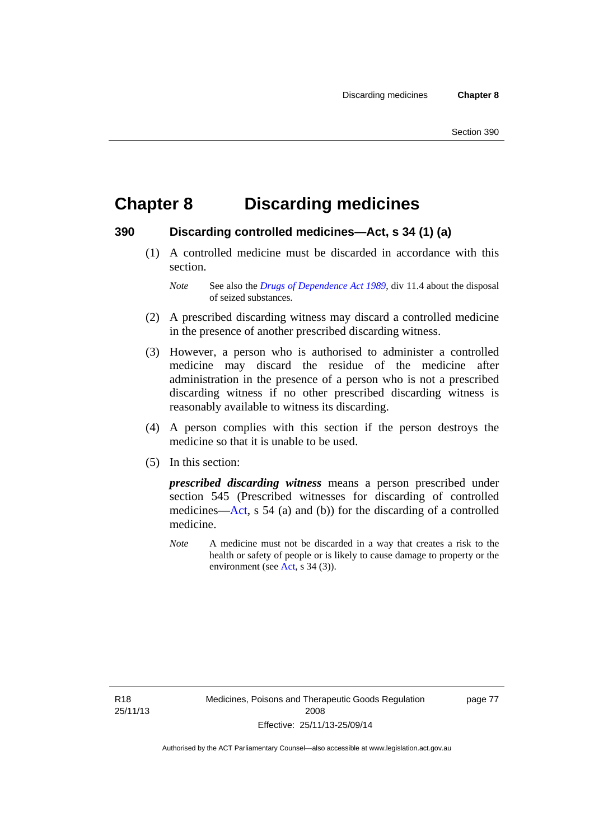# **Chapter 8 Discarding medicines**

### **390 Discarding controlled medicines—Act, s 34 (1) (a)**

 (1) A controlled medicine must be discarded in accordance with this section.

*Note* See also the *[Drugs of Dependence Act 1989](http://www.legislation.act.gov.au/a/alt_a1989-11co)*, div 11.4 about the disposal of seized substances.

- (2) A prescribed discarding witness may discard a controlled medicine in the presence of another prescribed discarding witness.
- (3) However, a person who is authorised to administer a controlled medicine may discard the residue of the medicine after administration in the presence of a person who is not a prescribed discarding witness if no other prescribed discarding witness is reasonably available to witness its discarding.
- (4) A person complies with this section if the person destroys the medicine so that it is unable to be used.
- (5) In this section:

*prescribed discarding witness* means a person prescribed under section 545 (Prescribed witnesses for discarding of controlled medicines—[Act](http://www.legislation.act.gov.au/a/2008-26/default.asp), s 54 (a) and (b)) for the discarding of a controlled medicine.

*Note* A medicine must not be discarded in a way that creates a risk to the health or safety of people or is likely to cause damage to property or the environment (see [Act](http://www.legislation.act.gov.au/a/2008-26/default.asp), s 34 (3)).

R18 25/11/13 page 77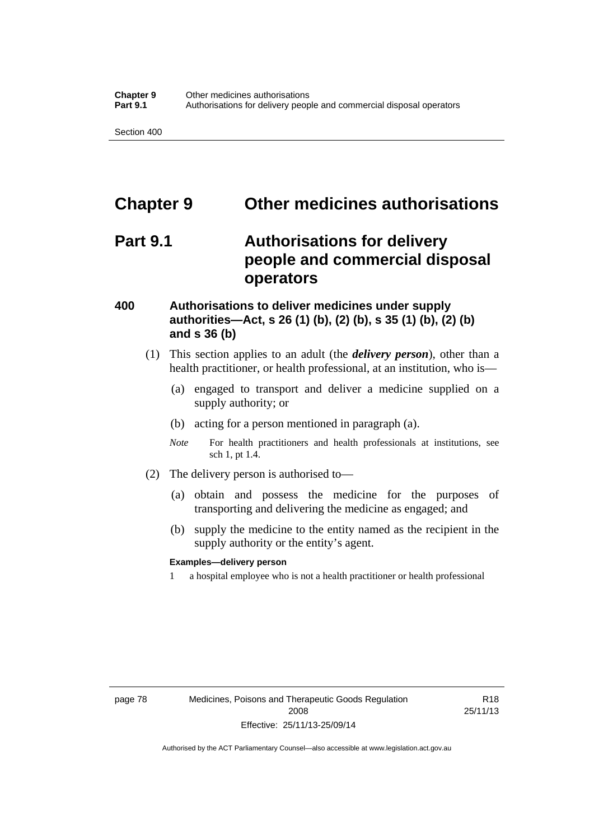# **Chapter 9 Other medicines authorisations**

# **Part 9.1 Authorisations for delivery people and commercial disposal operators**

### **400 Authorisations to deliver medicines under supply authorities—Act, s 26 (1) (b), (2) (b), s 35 (1) (b), (2) (b) and s 36 (b)**

- (1) This section applies to an adult (the *delivery person*), other than a health practitioner, or health professional, at an institution, who is—
	- (a) engaged to transport and deliver a medicine supplied on a supply authority; or
	- (b) acting for a person mentioned in paragraph (a).
	- *Note* For health practitioners and health professionals at institutions, see sch 1, pt 1.4.
- (2) The delivery person is authorised to—
	- (a) obtain and possess the medicine for the purposes of transporting and delivering the medicine as engaged; and
	- (b) supply the medicine to the entity named as the recipient in the supply authority or the entity's agent.

### **Examples—delivery person**

1 a hospital employee who is not a health practitioner or health professional

R18 25/11/13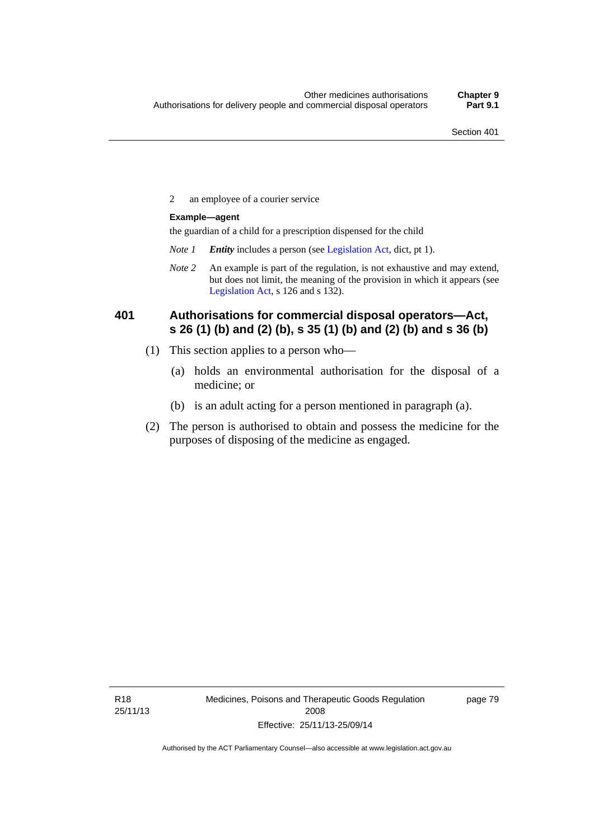2 an employee of a courier service

### **Example—agent**

the guardian of a child for a prescription dispensed for the child

- *Note 1 Entity* includes a person (see [Legislation Act,](http://www.legislation.act.gov.au/a/2001-14) dict, pt 1).
- *Note 2* An example is part of the regulation, is not exhaustive and may extend, but does not limit, the meaning of the provision in which it appears (see [Legislation Act,](http://www.legislation.act.gov.au/a/2001-14) s 126 and s 132).

### **401 Authorisations for commercial disposal operators—Act, s 26 (1) (b) and (2) (b), s 35 (1) (b) and (2) (b) and s 36 (b)**

- (1) This section applies to a person who—
	- (a) holds an environmental authorisation for the disposal of a medicine; or
	- (b) is an adult acting for a person mentioned in paragraph (a).
- (2) The person is authorised to obtain and possess the medicine for the purposes of disposing of the medicine as engaged.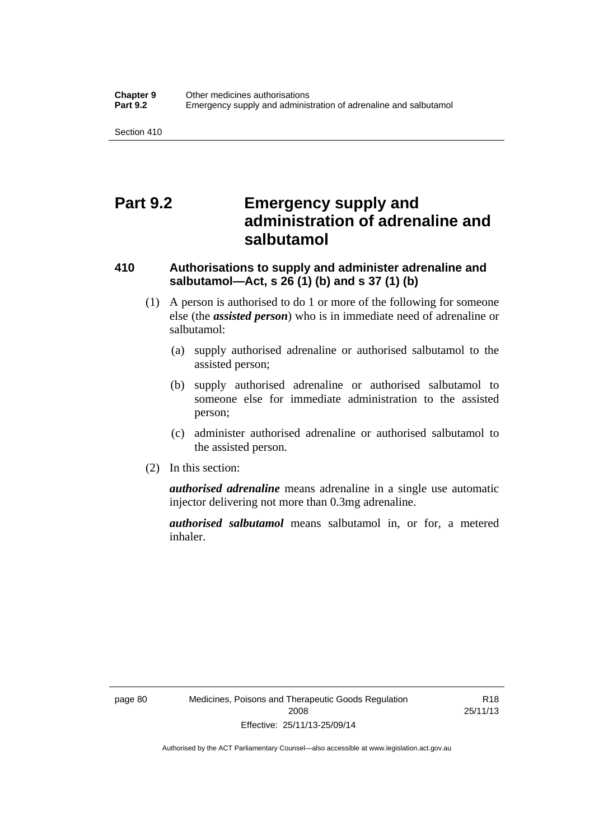# **Part 9.2 Emergency supply and administration of adrenaline and salbutamol**

## **410 Authorisations to supply and administer adrenaline and salbutamol—Act, s 26 (1) (b) and s 37 (1) (b)**

- (1) A person is authorised to do 1 or more of the following for someone else (the *assisted person*) who is in immediate need of adrenaline or salbutamol:
	- (a) supply authorised adrenaline or authorised salbutamol to the assisted person;
	- (b) supply authorised adrenaline or authorised salbutamol to someone else for immediate administration to the assisted person;
	- (c) administer authorised adrenaline or authorised salbutamol to the assisted person.
- (2) In this section:

*authorised adrenaline* means adrenaline in a single use automatic injector delivering not more than 0.3mg adrenaline.

*authorised salbutamol* means salbutamol in, or for, a metered inhaler.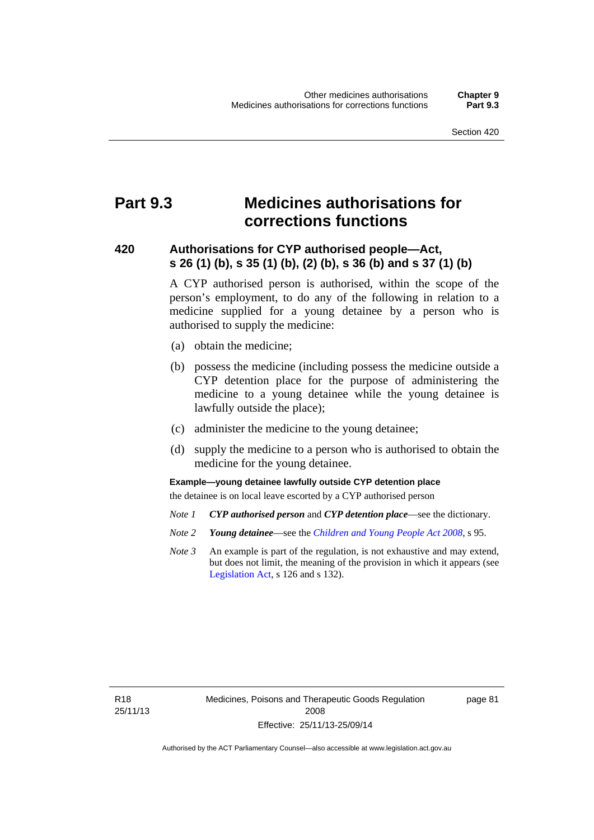# **Part 9.3 Medicines authorisations for corrections functions**

### **420 Authorisations for CYP authorised people—Act, s 26 (1) (b), s 35 (1) (b), (2) (b), s 36 (b) and s 37 (1) (b)**

A CYP authorised person is authorised, within the scope of the person's employment, to do any of the following in relation to a medicine supplied for a young detainee by a person who is authorised to supply the medicine:

- (a) obtain the medicine;
- (b) possess the medicine (including possess the medicine outside a CYP detention place for the purpose of administering the medicine to a young detainee while the young detainee is lawfully outside the place);
- (c) administer the medicine to the young detainee;
- (d) supply the medicine to a person who is authorised to obtain the medicine for the young detainee.

### **Example—young detainee lawfully outside CYP detention place**

the detainee is on local leave escorted by a CYP authorised person

- *Note 1 CYP authorised person* and *CYP detention place*—see the dictionary.
- *Note 2 Young detainee*—see the *[Children and Young People Act 2008](http://www.legislation.act.gov.au/a/2008-19)*, s 95.
- *Note 3* An example is part of the regulation, is not exhaustive and may extend, but does not limit, the meaning of the provision in which it appears (see [Legislation Act,](http://www.legislation.act.gov.au/a/2001-14) s 126 and s 132).

R18 25/11/13 page 81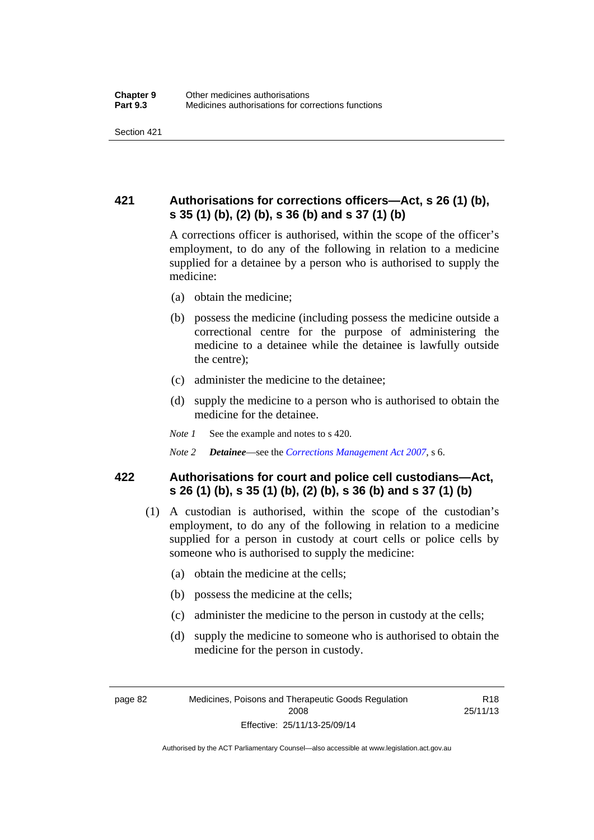## **421 Authorisations for corrections officers—Act, s 26 (1) (b), s 35 (1) (b), (2) (b), s 36 (b) and s 37 (1) (b)**

A corrections officer is authorised, within the scope of the officer's employment, to do any of the following in relation to a medicine supplied for a detainee by a person who is authorised to supply the medicine:

- (a) obtain the medicine;
- (b) possess the medicine (including possess the medicine outside a correctional centre for the purpose of administering the medicine to a detainee while the detainee is lawfully outside the centre);
- (c) administer the medicine to the detainee;
- (d) supply the medicine to a person who is authorised to obtain the medicine for the detainee.
- *Note 1* See the example and notes to s 420.
- *Note 2 Detainee*—see the *[Corrections Management Act 2007](http://www.legislation.act.gov.au/a/2007-15)*, s 6.

### **422 Authorisations for court and police cell custodians—Act, s 26 (1) (b), s 35 (1) (b), (2) (b), s 36 (b) and s 37 (1) (b)**

- (1) A custodian is authorised, within the scope of the custodian's employment, to do any of the following in relation to a medicine supplied for a person in custody at court cells or police cells by someone who is authorised to supply the medicine:
	- (a) obtain the medicine at the cells;
	- (b) possess the medicine at the cells;
	- (c) administer the medicine to the person in custody at the cells;
	- (d) supply the medicine to someone who is authorised to obtain the medicine for the person in custody.

R18 25/11/13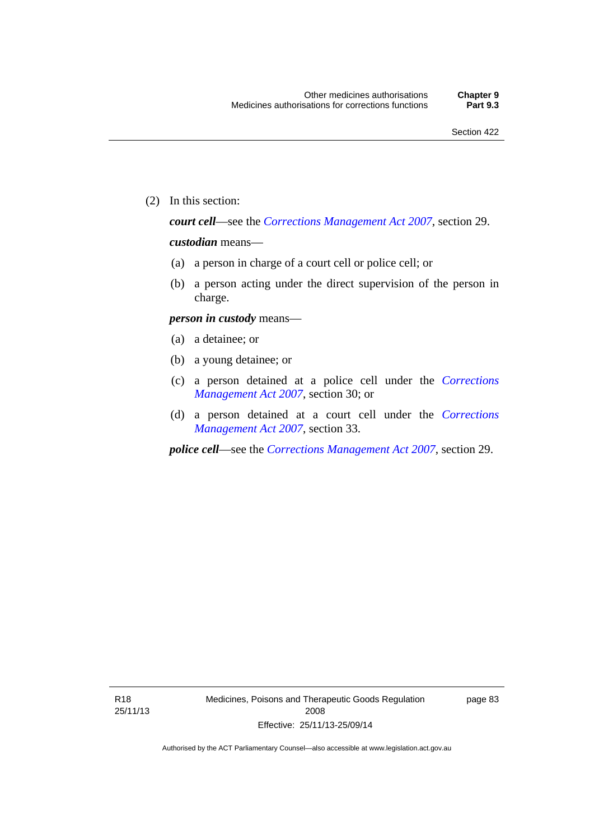(2) In this section:

*court cell*—see the *[Corrections Management Act 2007](http://www.legislation.act.gov.au/a/2007-15)*, section 29.

### *custodian* means—

- (a) a person in charge of a court cell or police cell; or
- (b) a person acting under the direct supervision of the person in charge.

### *person in custody* means—

- (a) a detainee; or
- (b) a young detainee; or
- (c) a person detained at a police cell under the *[Corrections](http://www.legislation.act.gov.au/a/2007-15)  [Management Act 2007](http://www.legislation.act.gov.au/a/2007-15)*, section 30; or
- (d) a person detained at a court cell under the *[Corrections](http://www.legislation.act.gov.au/a/2007-15)  [Management Act 2007](http://www.legislation.act.gov.au/a/2007-15)*, section 33.

*police cell*—see the *[Corrections Management Act 2007](http://www.legislation.act.gov.au/a/2007-15)*, section 29.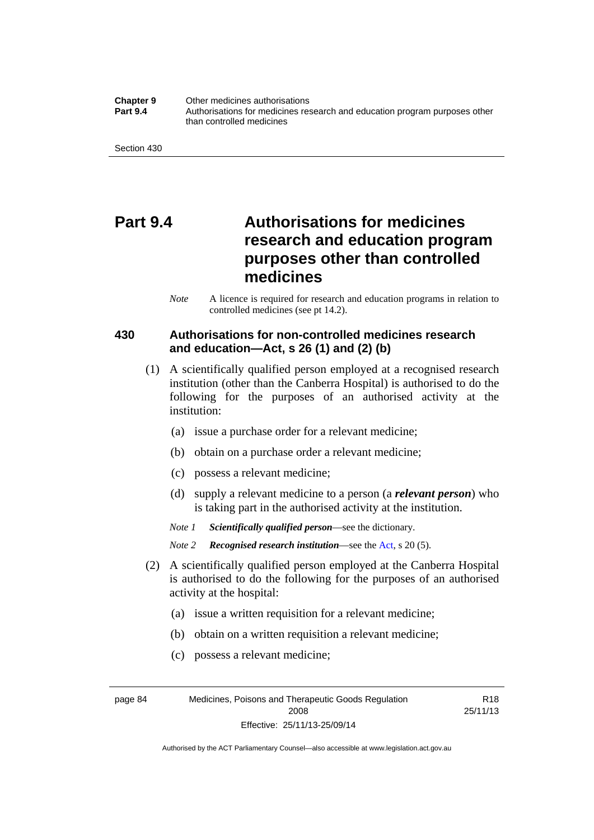**Chapter 9** Other medicines authorisations **Part 9.4** • **Authorisations for medicines research and education program purposes other** than controlled medicines

Section 430

# **Part 9.4 Authorisations for medicines research and education program purposes other than controlled medicines**

*Note* A licence is required for research and education programs in relation to controlled medicines (see pt 14.2).

### **430 Authorisations for non-controlled medicines research and education—Act, s 26 (1) and (2) (b)**

- (1) A scientifically qualified person employed at a recognised research institution (other than the Canberra Hospital) is authorised to do the following for the purposes of an authorised activity at the institution:
	- (a) issue a purchase order for a relevant medicine;
	- (b) obtain on a purchase order a relevant medicine;
	- (c) possess a relevant medicine;
	- (d) supply a relevant medicine to a person (a *relevant person*) who is taking part in the authorised activity at the institution.
	- *Note 1 Scientifically qualified person*—see the dictionary.

*Note 2 Recognised research institution*—see the [Act](http://www.legislation.act.gov.au/a/2008-26/default.asp), s 20 (5).

- (2) A scientifically qualified person employed at the Canberra Hospital is authorised to do the following for the purposes of an authorised activity at the hospital:
	- (a) issue a written requisition for a relevant medicine;
	- (b) obtain on a written requisition a relevant medicine;
	- (c) possess a relevant medicine;

page 84 Medicines, Poisons and Therapeutic Goods Regulation 2008 Effective: 25/11/13-25/09/14

R18 25/11/13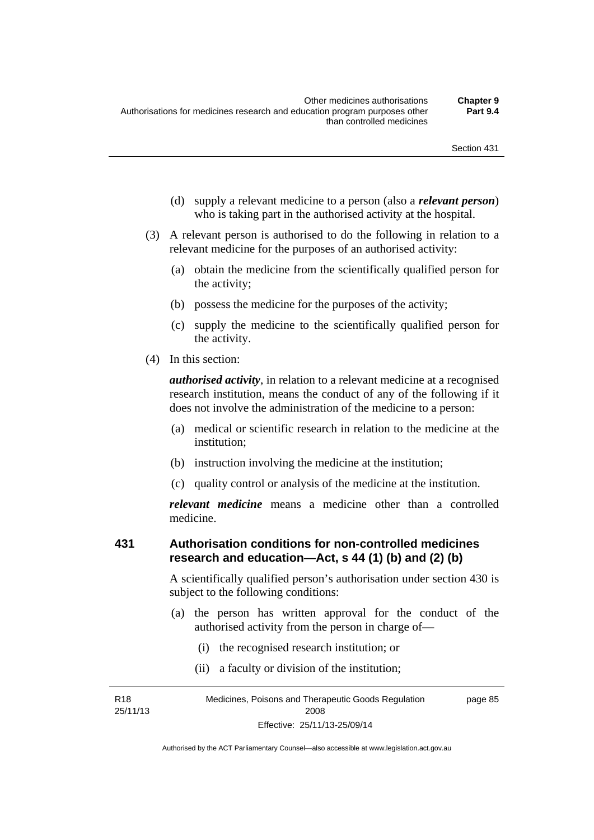- (d) supply a relevant medicine to a person (also a *relevant person*) who is taking part in the authorised activity at the hospital.
- (3) A relevant person is authorised to do the following in relation to a relevant medicine for the purposes of an authorised activity:
	- (a) obtain the medicine from the scientifically qualified person for the activity;
	- (b) possess the medicine for the purposes of the activity;
	- (c) supply the medicine to the scientifically qualified person for the activity.
- (4) In this section:

*authorised activity*, in relation to a relevant medicine at a recognised research institution, means the conduct of any of the following if it does not involve the administration of the medicine to a person:

- (a) medical or scientific research in relation to the medicine at the institution;
- (b) instruction involving the medicine at the institution;
- (c) quality control or analysis of the medicine at the institution.

*relevant medicine* means a medicine other than a controlled medicine.

#### **431 Authorisation conditions for non-controlled medicines research and education—Act, s 44 (1) (b) and (2) (b)**

A scientifically qualified person's authorisation under section 430 is subject to the following conditions:

- (a) the person has written approval for the conduct of the authorised activity from the person in charge of—
	- (i) the recognised research institution; or
	- (ii) a faculty or division of the institution;

R18 25/11/13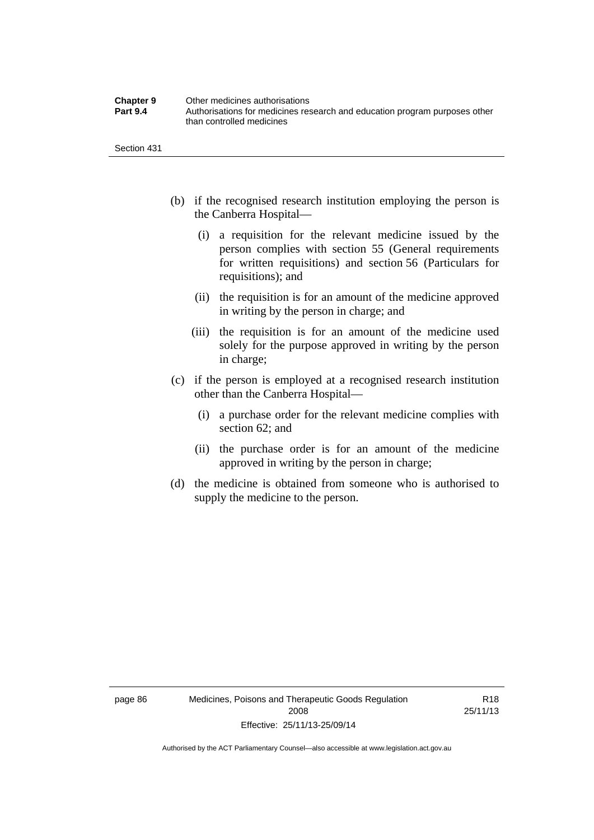| <b>Chapter 9</b> | Other medicines authorisations                                             |
|------------------|----------------------------------------------------------------------------|
| <b>Part 9.4</b>  | Authorisations for medicines research and education program purposes other |
|                  | than controlled medicines                                                  |

Section 431

- (b) if the recognised research institution employing the person is the Canberra Hospital—
	- (i) a requisition for the relevant medicine issued by the person complies with section 55 (General requirements for written requisitions) and section 56 (Particulars for requisitions); and
	- (ii) the requisition is for an amount of the medicine approved in writing by the person in charge; and
	- (iii) the requisition is for an amount of the medicine used solely for the purpose approved in writing by the person in charge;
- (c) if the person is employed at a recognised research institution other than the Canberra Hospital—
	- (i) a purchase order for the relevant medicine complies with section 62; and
	- (ii) the purchase order is for an amount of the medicine approved in writing by the person in charge;
- (d) the medicine is obtained from someone who is authorised to supply the medicine to the person.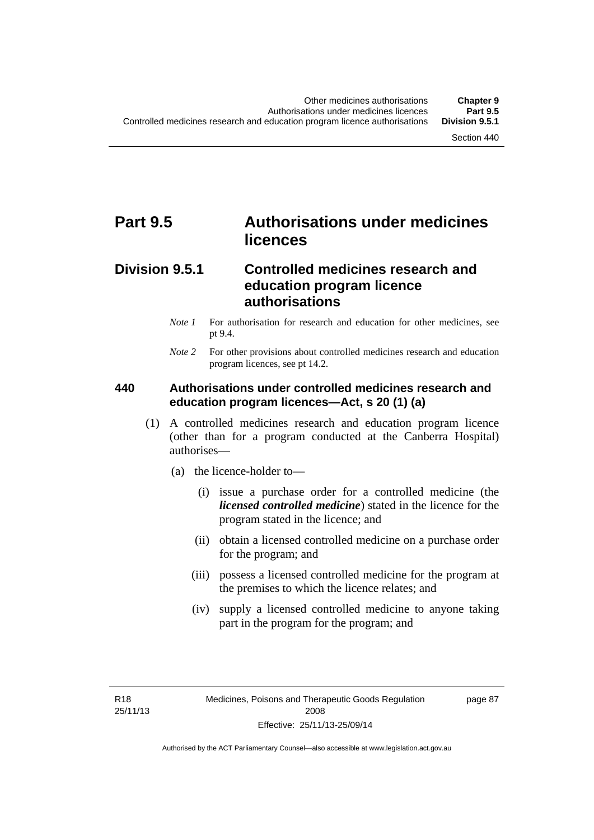# **Part 9.5 Authorisations under medicines licences**

## **Division 9.5.1 Controlled medicines research and education program licence authorisations**

- *Note 1* For authorisation for research and education for other medicines, see pt 9.4.
- *Note 2* For other provisions about controlled medicines research and education program licences, see pt 14.2.

### **440 Authorisations under controlled medicines research and education program licences—Act, s 20 (1) (a)**

- (1) A controlled medicines research and education program licence (other than for a program conducted at the Canberra Hospital) authorises—
	- (a) the licence-holder to—
		- (i) issue a purchase order for a controlled medicine (the *licensed controlled medicine*) stated in the licence for the program stated in the licence; and
		- (ii) obtain a licensed controlled medicine on a purchase order for the program; and
		- (iii) possess a licensed controlled medicine for the program at the premises to which the licence relates; and
		- (iv) supply a licensed controlled medicine to anyone taking part in the program for the program; and

R18 25/11/13 page 87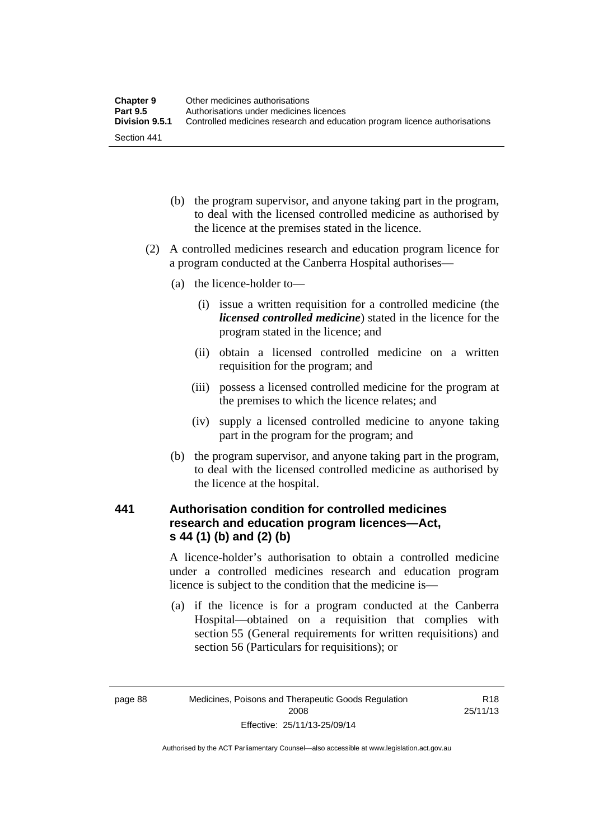| <b>Chapter 9</b> | Other medicines authorisations                                             |
|------------------|----------------------------------------------------------------------------|
| <b>Part 9.5</b>  | Authorisations under medicines licences                                    |
| Division 9.5.1   | Controlled medicines research and education program licence authorisations |
| Section 441      |                                                                            |

- (b) the program supervisor, and anyone taking part in the program, to deal with the licensed controlled medicine as authorised by the licence at the premises stated in the licence.
- (2) A controlled medicines research and education program licence for a program conducted at the Canberra Hospital authorises—
	- (a) the licence-holder to—
		- (i) issue a written requisition for a controlled medicine (the *licensed controlled medicine*) stated in the licence for the program stated in the licence; and
		- (ii) obtain a licensed controlled medicine on a written requisition for the program; and
		- (iii) possess a licensed controlled medicine for the program at the premises to which the licence relates; and
		- (iv) supply a licensed controlled medicine to anyone taking part in the program for the program; and
	- (b) the program supervisor, and anyone taking part in the program, to deal with the licensed controlled medicine as authorised by the licence at the hospital.

### **441 Authorisation condition for controlled medicines research and education program licences—Act, s 44 (1) (b) and (2) (b)**

A licence-holder's authorisation to obtain a controlled medicine under a controlled medicines research and education program licence is subject to the condition that the medicine is—

 (a) if the licence is for a program conducted at the Canberra Hospital—obtained on a requisition that complies with section 55 (General requirements for written requisitions) and section 56 (Particulars for requisitions); or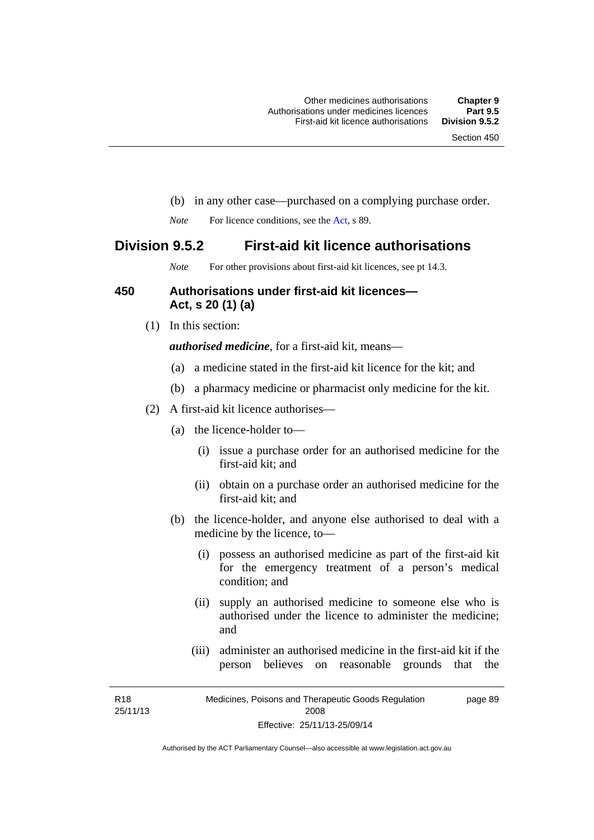- (b) in any other case—purchased on a complying purchase order.
- *Note* For licence conditions, see the [Act](http://www.legislation.act.gov.au/a/2008-26/default.asp), s 89.

### **Division 9.5.2 First-aid kit licence authorisations**

*Note* For other provisions about first-aid kit licences, see pt 14.3.

#### **450 Authorisations under first-aid kit licences— Act, s 20 (1) (a)**

(1) In this section:

*authorised medicine*, for a first-aid kit, means—

- (a) a medicine stated in the first-aid kit licence for the kit; and
- (b) a pharmacy medicine or pharmacist only medicine for the kit.
- (2) A first-aid kit licence authorises—
	- (a) the licence-holder to—
		- (i) issue a purchase order for an authorised medicine for the first-aid kit; and
		- (ii) obtain on a purchase order an authorised medicine for the first-aid kit; and
	- (b) the licence-holder, and anyone else authorised to deal with a medicine by the licence, to—
		- (i) possess an authorised medicine as part of the first-aid kit for the emergency treatment of a person's medical condition; and
		- (ii) supply an authorised medicine to someone else who is authorised under the licence to administer the medicine; and
		- (iii) administer an authorised medicine in the first-aid kit if the person believes on reasonable grounds that the

R18 25/11/13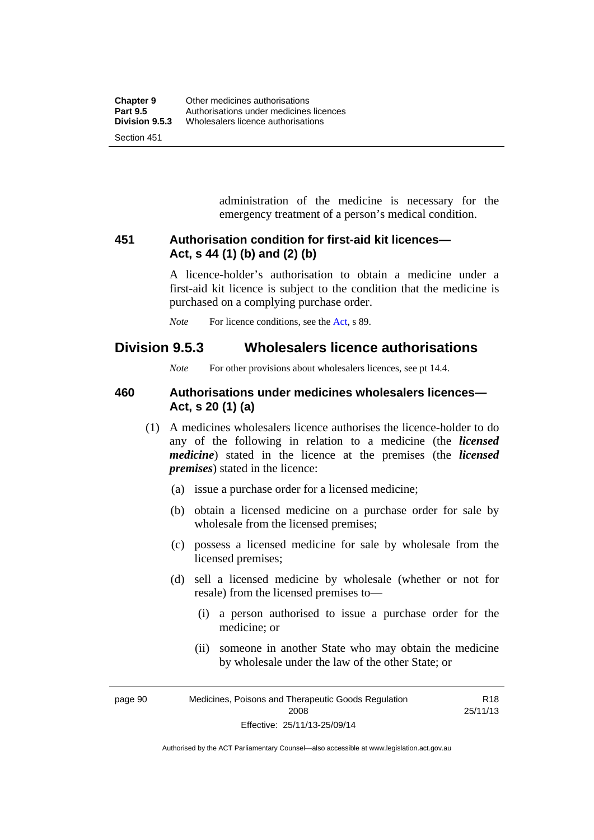administration of the medicine is necessary for the emergency treatment of a person's medical condition.

### **451 Authorisation condition for first-aid kit licences— Act, s 44 (1) (b) and (2) (b)**

A licence-holder's authorisation to obtain a medicine under a first-aid kit licence is subject to the condition that the medicine is purchased on a complying purchase order.

*Note* For licence conditions, see the [Act](http://www.legislation.act.gov.au/a/2008-26/default.asp), s 89.

## **Division 9.5.3 Wholesalers licence authorisations**

*Note* For other provisions about wholesalers licences, see pt 14.4.

### **460 Authorisations under medicines wholesalers licences— Act, s 20 (1) (a)**

- (1) A medicines wholesalers licence authorises the licence-holder to do any of the following in relation to a medicine (the *licensed medicine*) stated in the licence at the premises (the *licensed premises*) stated in the licence:
	- (a) issue a purchase order for a licensed medicine;
	- (b) obtain a licensed medicine on a purchase order for sale by wholesale from the licensed premises;
	- (c) possess a licensed medicine for sale by wholesale from the licensed premises;
	- (d) sell a licensed medicine by wholesale (whether or not for resale) from the licensed premises to—
		- (i) a person authorised to issue a purchase order for the medicine; or
		- (ii) someone in another State who may obtain the medicine by wholesale under the law of the other State; or

R18

page 90 Medicines, Poisons and Therapeutic Goods Regulation 2008 Effective: 25/11/13-25/09/14 25/11/13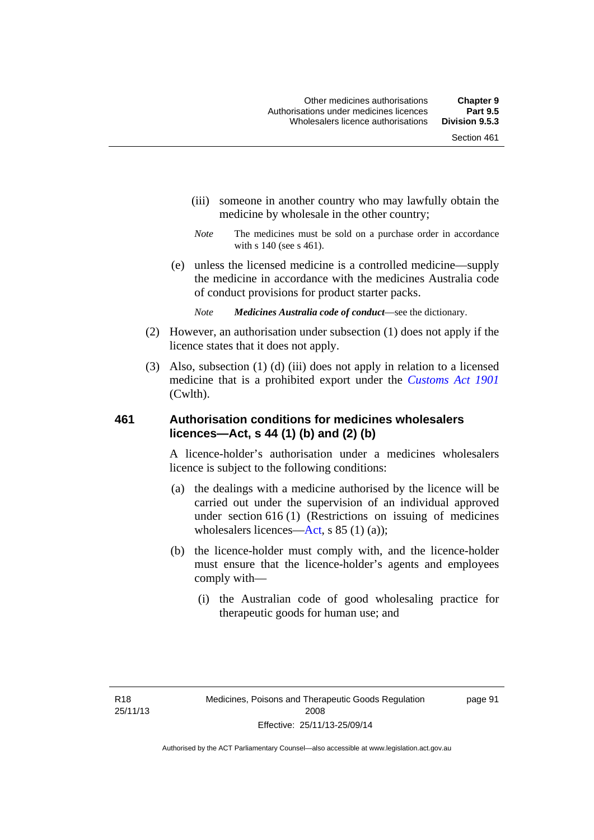- (iii) someone in another country who may lawfully obtain the medicine by wholesale in the other country;
- *Note* The medicines must be sold on a purchase order in accordance with s 140 (see s 461).
- (e) unless the licensed medicine is a controlled medicine—supply the medicine in accordance with the medicines Australia code of conduct provisions for product starter packs.
	- *Note Medicines Australia code of conduct*—see the dictionary.
- (2) However, an authorisation under subsection (1) does not apply if the licence states that it does not apply.
- (3) Also, subsection (1) (d) (iii) does not apply in relation to a licensed medicine that is a prohibited export under the *[Customs Act 1901](http://www.comlaw.gov.au/Series/C1901A00006)* (Cwlth).

#### **461 Authorisation conditions for medicines wholesalers licences—Act, s 44 (1) (b) and (2) (b)**

A licence-holder's authorisation under a medicines wholesalers licence is subject to the following conditions:

- (a) the dealings with a medicine authorised by the licence will be carried out under the supervision of an individual approved under section 616 (1) (Restrictions on issuing of medicines wholesalers licences[—Act,](http://www.legislation.act.gov.au/a/2008-26/default.asp) s 85 (1) (a));
- (b) the licence-holder must comply with, and the licence-holder must ensure that the licence-holder's agents and employees comply with—
	- (i) the Australian code of good wholesaling practice for therapeutic goods for human use; and

page 91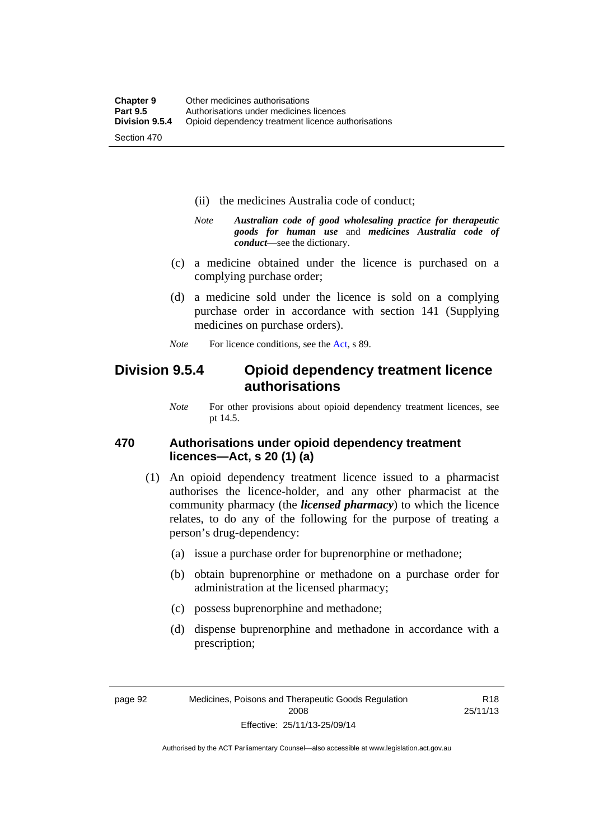- (ii) the medicines Australia code of conduct;
- *Note Australian code of good wholesaling practice for therapeutic goods for human use* and *medicines Australia code of conduct*—see the dictionary.
- (c) a medicine obtained under the licence is purchased on a complying purchase order;
- (d) a medicine sold under the licence is sold on a complying purchase order in accordance with section 141 (Supplying medicines on purchase orders).
- *Note* For licence conditions, see the [Act](http://www.legislation.act.gov.au/a/2008-26/default.asp), s 89.

## **Division 9.5.4 Opioid dependency treatment licence authorisations**

*Note* For other provisions about opioid dependency treatment licences, see pt 14.5.

#### **470 Authorisations under opioid dependency treatment licences—Act, s 20 (1) (a)**

- (1) An opioid dependency treatment licence issued to a pharmacist authorises the licence-holder, and any other pharmacist at the community pharmacy (the *licensed pharmacy*) to which the licence relates, to do any of the following for the purpose of treating a person's drug-dependency:
	- (a) issue a purchase order for buprenorphine or methadone;
	- (b) obtain buprenorphine or methadone on a purchase order for administration at the licensed pharmacy;
	- (c) possess buprenorphine and methadone;
	- (d) dispense buprenorphine and methadone in accordance with a prescription;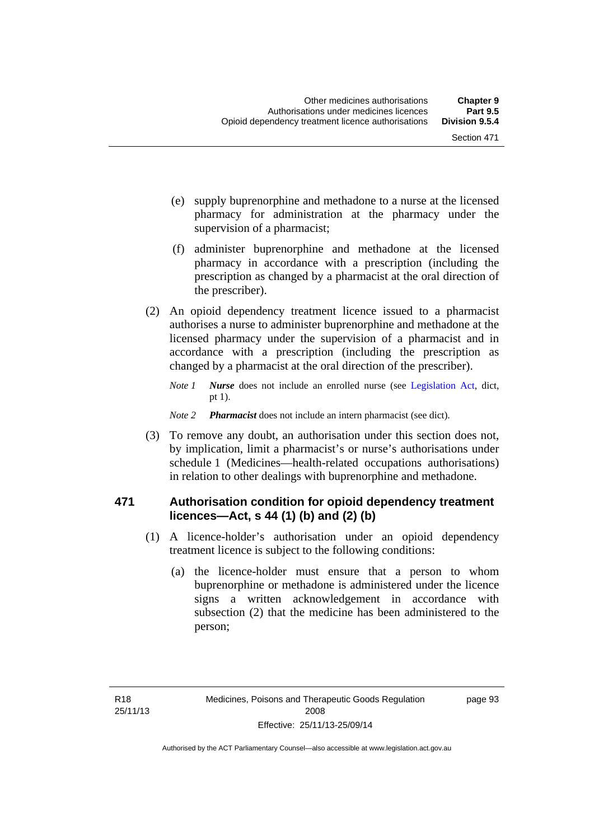- (e) supply buprenorphine and methadone to a nurse at the licensed pharmacy for administration at the pharmacy under the supervision of a pharmacist;
- (f) administer buprenorphine and methadone at the licensed pharmacy in accordance with a prescription (including the prescription as changed by a pharmacist at the oral direction of the prescriber).
- (2) An opioid dependency treatment licence issued to a pharmacist authorises a nurse to administer buprenorphine and methadone at the licensed pharmacy under the supervision of a pharmacist and in accordance with a prescription (including the prescription as changed by a pharmacist at the oral direction of the prescriber).
	- *Note 1 Nurse* does not include an enrolled nurse (see [Legislation Act,](http://www.legislation.act.gov.au/a/2001-14) dict, pt 1).
	- *Note 2 Pharmacist* does not include an intern pharmacist (see dict).
- (3) To remove any doubt, an authorisation under this section does not, by implication, limit a pharmacist's or nurse's authorisations under schedule 1 (Medicines—health-related occupations authorisations) in relation to other dealings with buprenorphine and methadone.

#### **471 Authorisation condition for opioid dependency treatment licences—Act, s 44 (1) (b) and (2) (b)**

- (1) A licence-holder's authorisation under an opioid dependency treatment licence is subject to the following conditions:
	- (a) the licence-holder must ensure that a person to whom buprenorphine or methadone is administered under the licence signs a written acknowledgement in accordance with subsection (2) that the medicine has been administered to the person;

page 93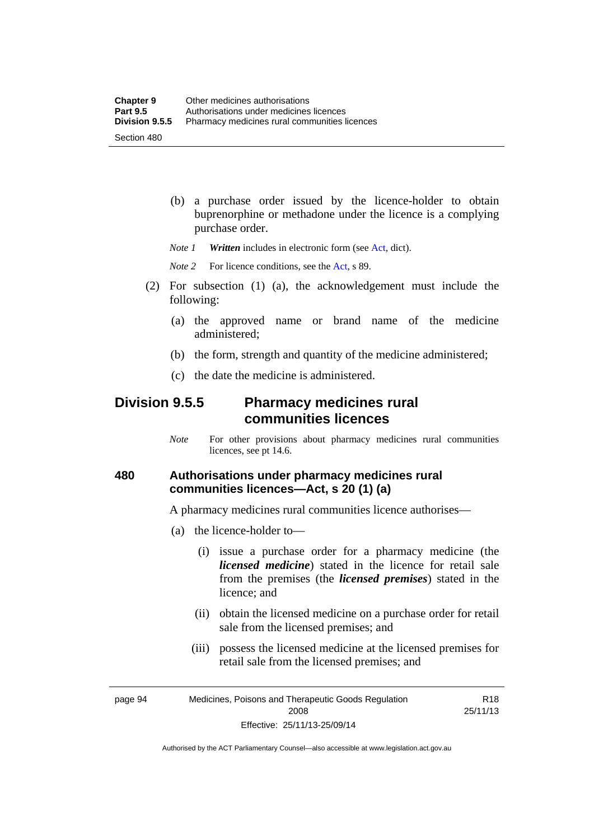(b) a purchase order issued by the licence-holder to obtain buprenorphine or methadone under the licence is a complying purchase order.

*Note 1 Written* includes in electronic form (see [Act,](http://www.legislation.act.gov.au/a/2008-26/default.asp) dict).

*Note* 2 For licence conditions, see the [Act](http://www.legislation.act.gov.au/a/2008-26/default.asp), s 89.

- (2) For subsection (1) (a), the acknowledgement must include the following:
	- (a) the approved name or brand name of the medicine administered;
	- (b) the form, strength and quantity of the medicine administered;
	- (c) the date the medicine is administered.

## **Division 9.5.5 Pharmacy medicines rural communities licences**

*Note* For other provisions about pharmacy medicines rural communities licences, see pt 14.6.

### **480 Authorisations under pharmacy medicines rural communities licences—Act, s 20 (1) (a)**

A pharmacy medicines rural communities licence authorises—

- (a) the licence-holder to—
	- (i) issue a purchase order for a pharmacy medicine (the *licensed medicine*) stated in the licence for retail sale from the premises (the *licensed premises*) stated in the licence; and
	- (ii) obtain the licensed medicine on a purchase order for retail sale from the licensed premises; and
	- (iii) possess the licensed medicine at the licensed premises for retail sale from the licensed premises; and

R18 25/11/13

page 94 Medicines, Poisons and Therapeutic Goods Regulation 2008 Effective: 25/11/13-25/09/14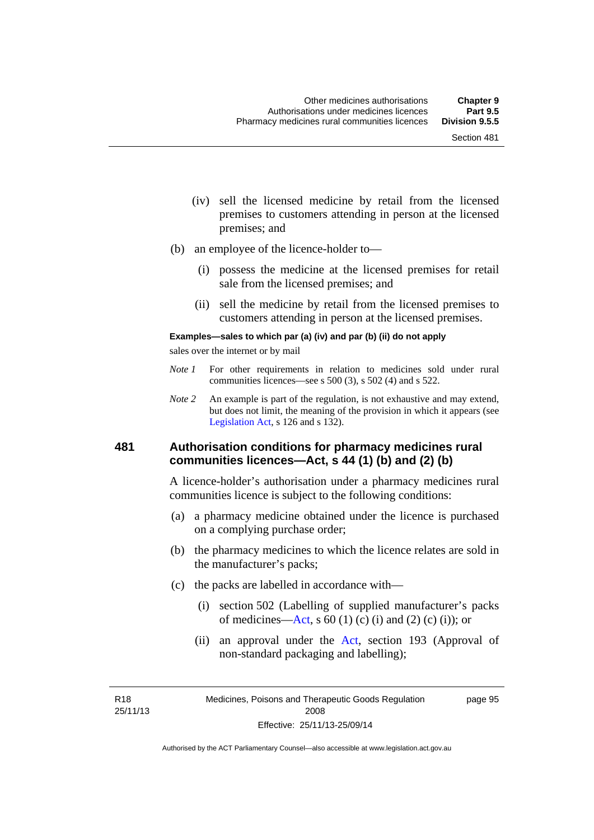- (iv) sell the licensed medicine by retail from the licensed premises to customers attending in person at the licensed premises; and
- (b) an employee of the licence-holder to—
	- (i) possess the medicine at the licensed premises for retail sale from the licensed premises; and
	- (ii) sell the medicine by retail from the licensed premises to customers attending in person at the licensed premises.

#### **Examples—sales to which par (a) (iv) and par (b) (ii) do not apply**

sales over the internet or by mail

- *Note 1* For other requirements in relation to medicines sold under rural communities licences—see s 500 (3), s 502 (4) and s 522.
- *Note 2* An example is part of the regulation, is not exhaustive and may extend, but does not limit, the meaning of the provision in which it appears (see [Legislation Act,](http://www.legislation.act.gov.au/a/2001-14) s 126 and s 132).

#### **481 Authorisation conditions for pharmacy medicines rural communities licences—Act, s 44 (1) (b) and (2) (b)**

A licence-holder's authorisation under a pharmacy medicines rural communities licence is subject to the following conditions:

- (a) a pharmacy medicine obtained under the licence is purchased on a complying purchase order;
- (b) the pharmacy medicines to which the licence relates are sold in the manufacturer's packs;
- (c) the packs are labelled in accordance with—
	- (i) section 502 (Labelling of supplied manufacturer's packs of medicines—[Act](http://www.legislation.act.gov.au/a/2008-26/default.asp), s  $60(1)$  (c) (i) and (2) (c) (i)); or
	- (ii) an approval under the [Act](http://www.legislation.act.gov.au/a/2008-26/default.asp), section 193 (Approval of non-standard packaging and labelling);

R18 25/11/13 page 95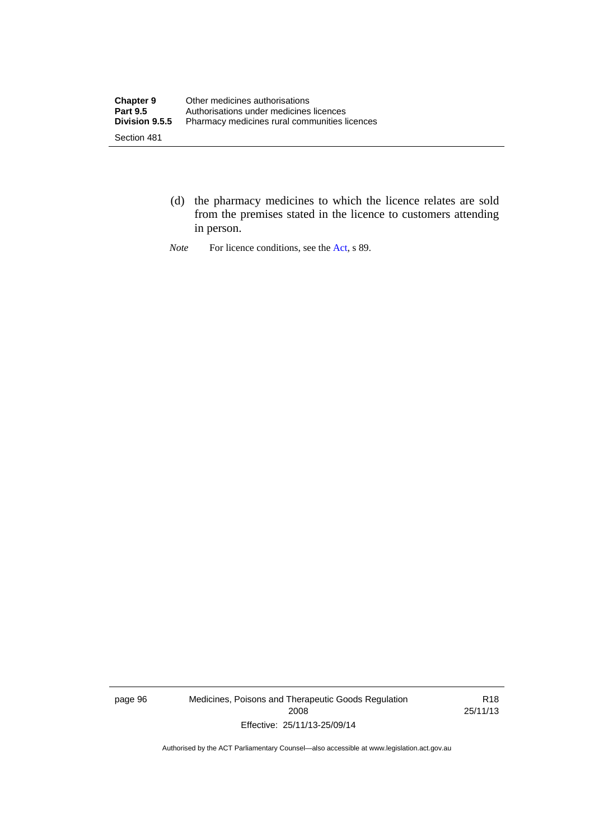- (d) the pharmacy medicines to which the licence relates are sold from the premises stated in the licence to customers attending in person.
- *Note* For licence conditions, see the [Act](http://www.legislation.act.gov.au/a/2008-26/default.asp), s 89.

page 96 Medicines, Poisons and Therapeutic Goods Regulation 2008 Effective: 25/11/13-25/09/14

R18 25/11/13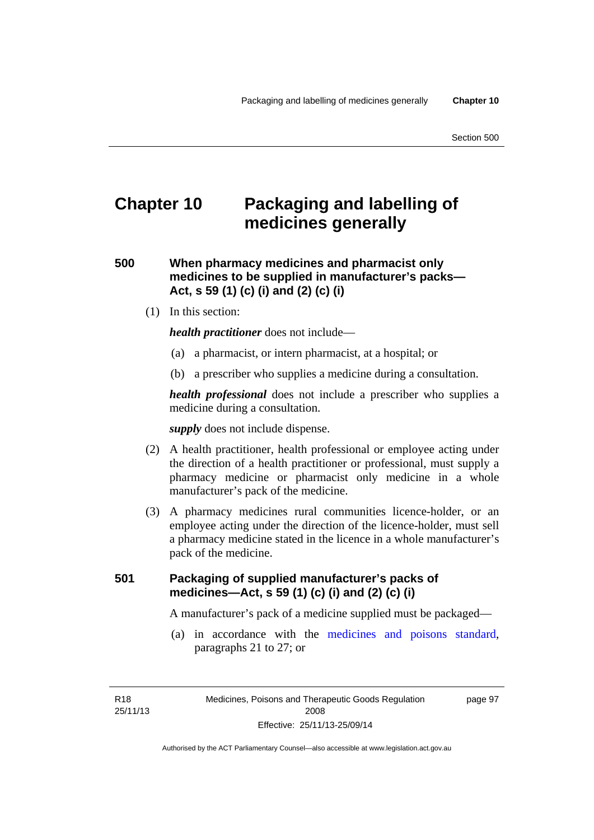# **Chapter 10 Packaging and labelling of medicines generally**

**500 When pharmacy medicines and pharmacist only medicines to be supplied in manufacturer's packs— Act, s 59 (1) (c) (i) and (2) (c) (i)** 

(1) In this section:

*health practitioner* does not include—

- (a) a pharmacist, or intern pharmacist, at a hospital; or
- (b) a prescriber who supplies a medicine during a consultation.

*health professional* does not include a prescriber who supplies a medicine during a consultation.

*supply* does not include dispense.

- (2) A health practitioner, health professional or employee acting under the direction of a health practitioner or professional, must supply a pharmacy medicine or pharmacist only medicine in a whole manufacturer's pack of the medicine.
- (3) A pharmacy medicines rural communities licence-holder, or an employee acting under the direction of the licence-holder, must sell a pharmacy medicine stated in the licence in a whole manufacturer's pack of the medicine.

### **501 Packaging of supplied manufacturer's packs of medicines—Act, s 59 (1) (c) (i) and (2) (c) (i)**

A manufacturer's pack of a medicine supplied must be packaged—

 (a) in accordance with the [medicines and poisons standard](http://www.comlaw.gov.au/Series/F2012L01200), paragraphs 21 to 27; or

R18 25/11/13 page 97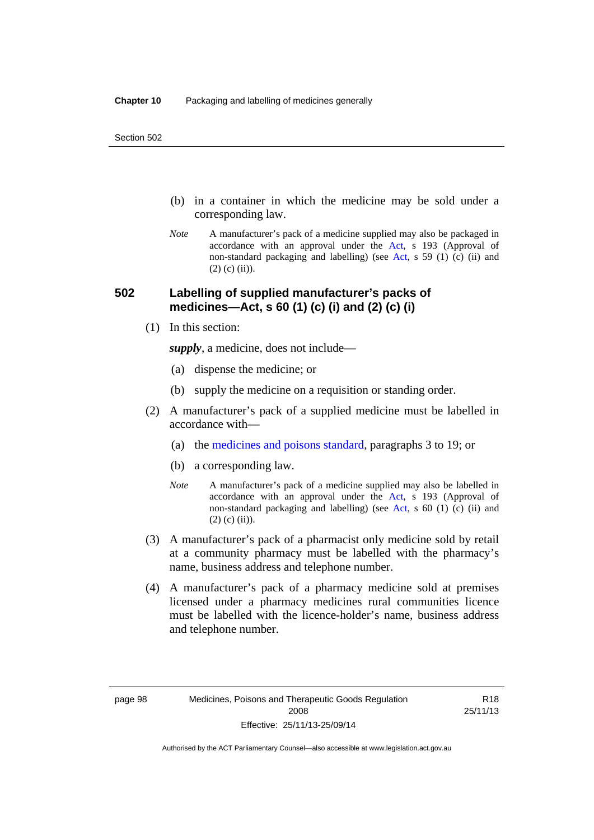- (b) in a container in which the medicine may be sold under a corresponding law.
- *Note* A manufacturer's pack of a medicine supplied may also be packaged in accordance with an approval under the [Act](http://www.legislation.act.gov.au/a/2008-26/default.asp), s 193 (Approval of non-standard packaging and labelling) (see [Act](http://www.legislation.act.gov.au/a/2008-26/default.asp), s 59 (1) (c) (ii) and  $(2)$  (c)  $(ii)$ ).

#### **502 Labelling of supplied manufacturer's packs of medicines—Act, s 60 (1) (c) (i) and (2) (c) (i)**

(1) In this section:

*supply*, a medicine, does not include—

- (a) dispense the medicine; or
- (b) supply the medicine on a requisition or standing order.
- (2) A manufacturer's pack of a supplied medicine must be labelled in accordance with—
	- (a) the [medicines and poisons standard](http://www.comlaw.gov.au/Series/F2012L01200), paragraphs 3 to 19; or
	- (b) a corresponding law.
	- *Note* A manufacturer's pack of a medicine supplied may also be labelled in accordance with an approval under the [Act](http://www.legislation.act.gov.au/a/2008-26/default.asp), s 193 (Approval of non-standard packaging and labelling) (see [Act](http://www.legislation.act.gov.au/a/2008-26/default.asp), s 60 (1) (c) (ii) and  $(2)$  (c) (ii)).
- (3) A manufacturer's pack of a pharmacist only medicine sold by retail at a community pharmacy must be labelled with the pharmacy's name, business address and telephone number.
- (4) A manufacturer's pack of a pharmacy medicine sold at premises licensed under a pharmacy medicines rural communities licence must be labelled with the licence-holder's name, business address and telephone number.

R18 25/11/13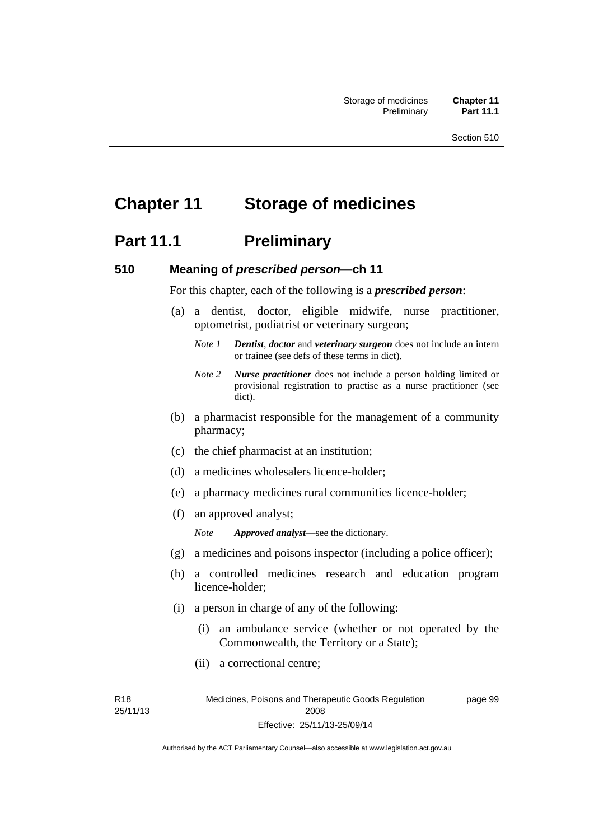# **Chapter 11 Storage of medicines**

## **Part 11.1** Preliminary

#### **510 Meaning of** *prescribed person***—ch 11**

For this chapter, each of the following is a *prescribed person*:

- (a) a dentist, doctor, eligible midwife, nurse practitioner, optometrist, podiatrist or veterinary surgeon;
	- *Note 1 Dentist*, *doctor* and *veterinary surgeon* does not include an intern or trainee (see defs of these terms in dict).
	- *Note 2 Nurse practitioner* does not include a person holding limited or provisional registration to practise as a nurse practitioner (see dict).
- (b) a pharmacist responsible for the management of a community pharmacy;
- (c) the chief pharmacist at an institution;
- (d) a medicines wholesalers licence-holder;
- (e) a pharmacy medicines rural communities licence-holder;
- (f) an approved analyst;

*Note Approved analyst*—see the dictionary.

- (g) a medicines and poisons inspector (including a police officer);
- (h) a controlled medicines research and education program licence-holder;
- (i) a person in charge of any of the following:
	- (i) an ambulance service (whether or not operated by the Commonwealth, the Territory or a State);
	- (ii) a correctional centre;

R18 25/11/13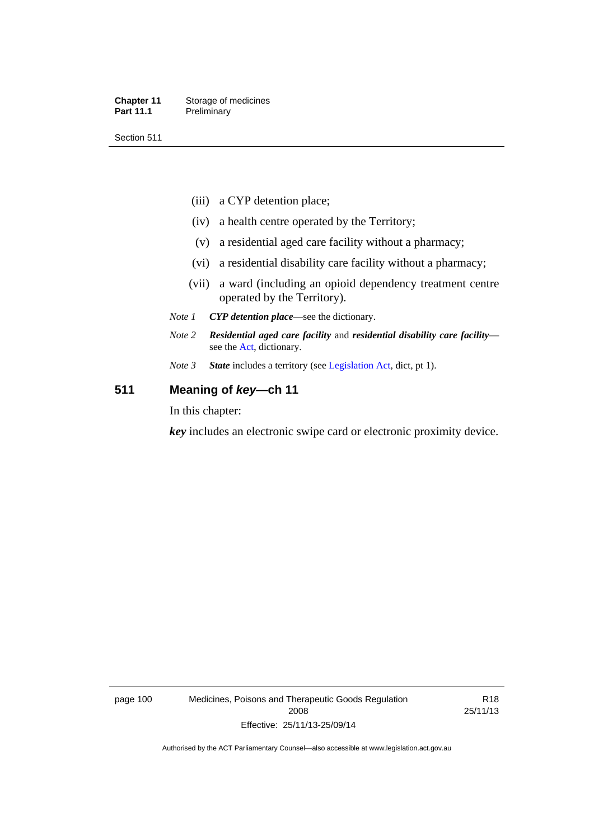#### **Chapter 11** Storage of medicines Part 11.1 Preliminary

Section 511

- (iii) a CYP detention place;
- (iv) a health centre operated by the Territory;
- (v) a residential aged care facility without a pharmacy;
- (vi) a residential disability care facility without a pharmacy;
- (vii) a ward (including an opioid dependency treatment centre operated by the Territory).
- *Note 1 CYP detention place*—see the dictionary.
- *Note 2 Residential aged care facility* and *residential disability care facility* see the [Act](http://www.legislation.act.gov.au/a/2008-26/default.asp), dictionary.
- *Note 3 State* includes a territory (see [Legislation Act,](http://www.legislation.act.gov.au/a/2001-14) dict, pt 1).

### **511 Meaning of** *key***—ch 11**

In this chapter:

*key* includes an electronic swipe card or electronic proximity device.

page 100 Medicines, Poisons and Therapeutic Goods Regulation 2008 Effective: 25/11/13-25/09/14

R18 25/11/13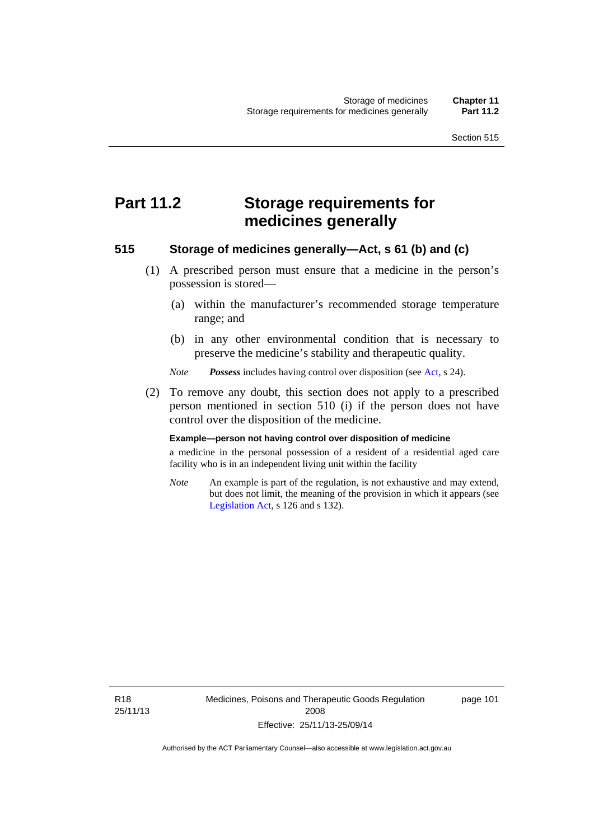# **Part 11.2 Storage requirements for medicines generally**

#### **515 Storage of medicines generally—Act, s 61 (b) and (c)**

- (1) A prescribed person must ensure that a medicine in the person's possession is stored—
	- (a) within the manufacturer's recommended storage temperature range; and
	- (b) in any other environmental condition that is necessary to preserve the medicine's stability and therapeutic quality.

*Note Possess* includes having control over disposition (see [Act,](http://www.legislation.act.gov.au/a/2008-26/default.asp) s 24).

 (2) To remove any doubt, this section does not apply to a prescribed person mentioned in section 510 (i) if the person does not have control over the disposition of the medicine.

#### **Example—person not having control over disposition of medicine**

a medicine in the personal possession of a resident of a residential aged care facility who is in an independent living unit within the facility

*Note* An example is part of the regulation, is not exhaustive and may extend, but does not limit, the meaning of the provision in which it appears (see [Legislation Act,](http://www.legislation.act.gov.au/a/2001-14) s 126 and s 132).

R18 25/11/13 Medicines, Poisons and Therapeutic Goods Regulation 2008 Effective: 25/11/13-25/09/14

page 101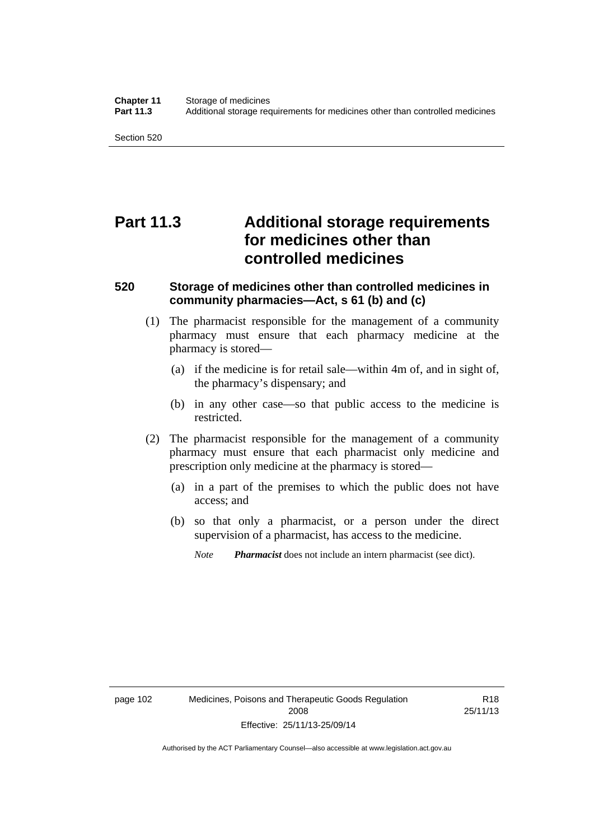Section 520

# **Part 11.3 Additional storage requirements for medicines other than controlled medicines**

#### **520 Storage of medicines other than controlled medicines in community pharmacies—Act, s 61 (b) and (c)**

- (1) The pharmacist responsible for the management of a community pharmacy must ensure that each pharmacy medicine at the pharmacy is stored—
	- (a) if the medicine is for retail sale—within 4m of, and in sight of, the pharmacy's dispensary; and
	- (b) in any other case—so that public access to the medicine is restricted.
- (2) The pharmacist responsible for the management of a community pharmacy must ensure that each pharmacist only medicine and prescription only medicine at the pharmacy is stored—
	- (a) in a part of the premises to which the public does not have access; and
	- (b) so that only a pharmacist, or a person under the direct supervision of a pharmacist, has access to the medicine.

*Note Pharmacist* does not include an intern pharmacist (see dict).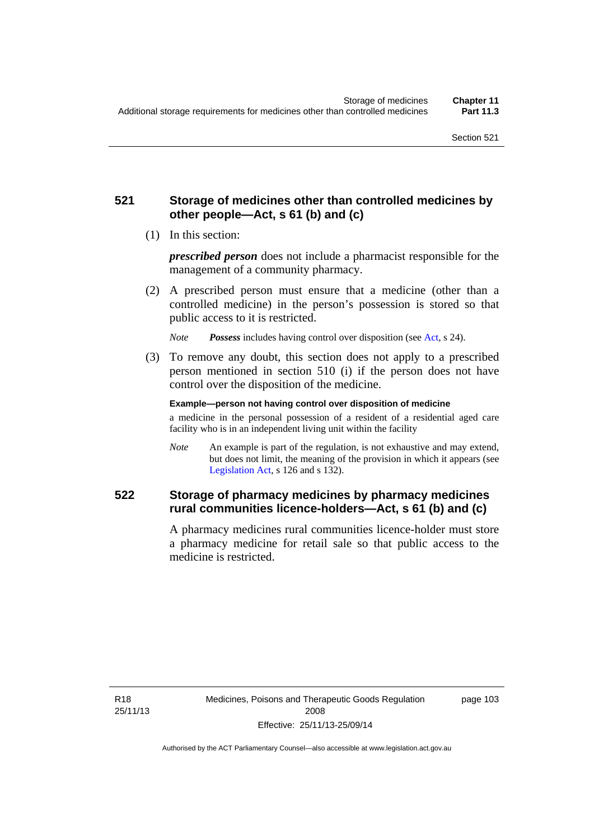### **521 Storage of medicines other than controlled medicines by other people—Act, s 61 (b) and (c)**

(1) In this section:

*prescribed person* does not include a pharmacist responsible for the management of a community pharmacy.

 (2) A prescribed person must ensure that a medicine (other than a controlled medicine) in the person's possession is stored so that public access to it is restricted.

*Note Possess* includes having control over disposition (see [Act,](http://www.legislation.act.gov.au/a/2008-26/default.asp) s 24).

 (3) To remove any doubt, this section does not apply to a prescribed person mentioned in section 510 (i) if the person does not have control over the disposition of the medicine.

**Example—person not having control over disposition of medicine** 

a medicine in the personal possession of a resident of a residential aged care facility who is in an independent living unit within the facility

*Note* An example is part of the regulation, is not exhaustive and may extend, but does not limit, the meaning of the provision in which it appears (see [Legislation Act,](http://www.legislation.act.gov.au/a/2001-14) s 126 and s 132).

### **522 Storage of pharmacy medicines by pharmacy medicines rural communities licence-holders—Act, s 61 (b) and (c)**

A pharmacy medicines rural communities licence-holder must store a pharmacy medicine for retail sale so that public access to the medicine is restricted.

R18 25/11/13 page 103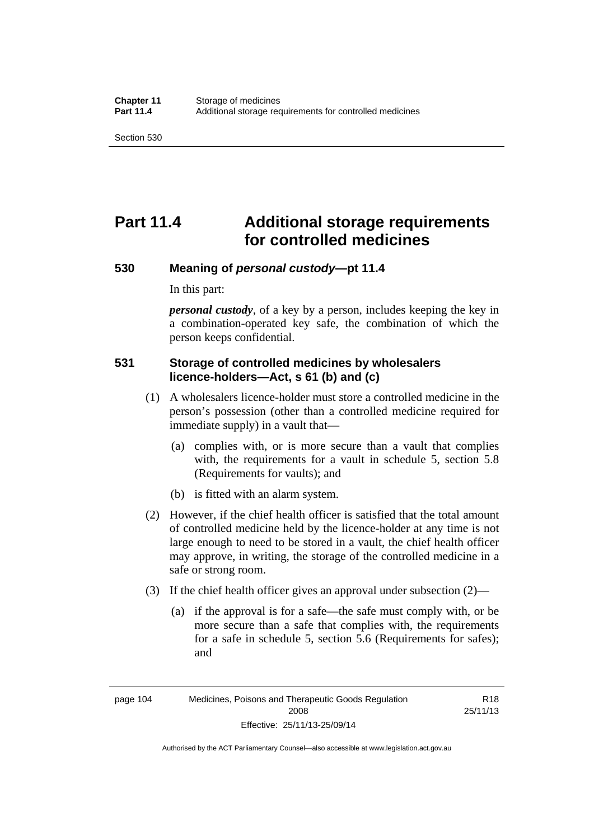Section 530

# **Part 11.4 Additional storage requirements for controlled medicines**

#### **530 Meaning of** *personal custody***—pt 11.4**

In this part:

*personal custody*, of a key by a person, includes keeping the key in a combination-operated key safe, the combination of which the person keeps confidential.

### **531 Storage of controlled medicines by wholesalers licence-holders—Act, s 61 (b) and (c)**

- (1) A wholesalers licence-holder must store a controlled medicine in the person's possession (other than a controlled medicine required for immediate supply) in a vault that—
	- (a) complies with, or is more secure than a vault that complies with, the requirements for a vault in schedule 5, section 5.8 (Requirements for vaults); and
	- (b) is fitted with an alarm system.
- (2) However, if the chief health officer is satisfied that the total amount of controlled medicine held by the licence-holder at any time is not large enough to need to be stored in a vault, the chief health officer may approve, in writing, the storage of the controlled medicine in a safe or strong room.
- (3) If the chief health officer gives an approval under subsection (2)—
	- (a) if the approval is for a safe—the safe must comply with, or be more secure than a safe that complies with, the requirements for a safe in schedule 5, section 5.6 (Requirements for safes); and

R18 25/11/13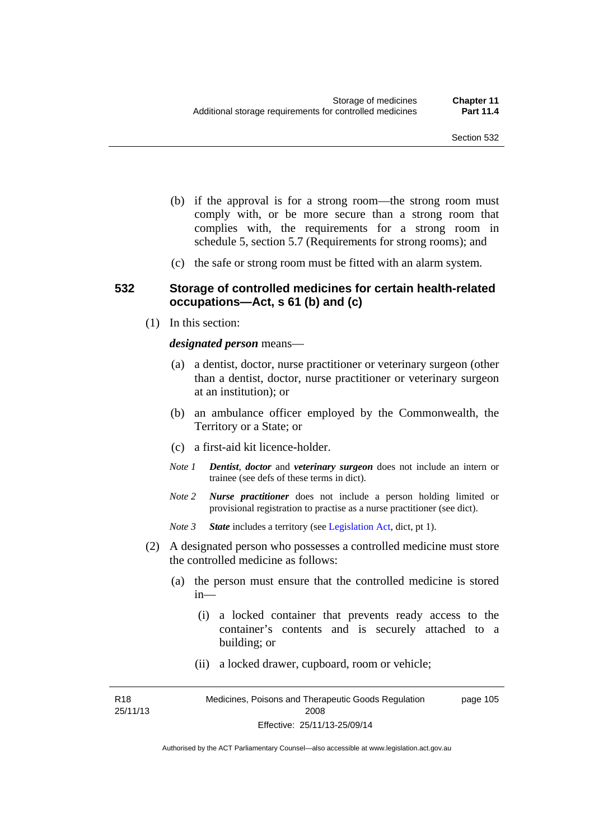- (b) if the approval is for a strong room—the strong room must comply with, or be more secure than a strong room that complies with, the requirements for a strong room in schedule 5, section 5.7 (Requirements for strong rooms); and
- (c) the safe or strong room must be fitted with an alarm system.

#### **532 Storage of controlled medicines for certain health-related occupations—Act, s 61 (b) and (c)**

(1) In this section:

#### *designated person* means—

- (a) a dentist, doctor, nurse practitioner or veterinary surgeon (other than a dentist, doctor, nurse practitioner or veterinary surgeon at an institution); or
- (b) an ambulance officer employed by the Commonwealth, the Territory or a State; or
- (c) a first-aid kit licence-holder.
- *Note 1 Dentist*, *doctor* and *veterinary surgeon* does not include an intern or trainee (see defs of these terms in dict).
- *Note 2 Nurse practitioner* does not include a person holding limited or provisional registration to practise as a nurse practitioner (see dict).
- *Note 3 State* includes a territory (see [Legislation Act,](http://www.legislation.act.gov.au/a/2001-14) dict, pt 1).
- (2) A designated person who possesses a controlled medicine must store the controlled medicine as follows:
	- (a) the person must ensure that the controlled medicine is stored in—
		- (i) a locked container that prevents ready access to the container's contents and is securely attached to a building; or
		- (ii) a locked drawer, cupboard, room or vehicle;

R18 25/11/13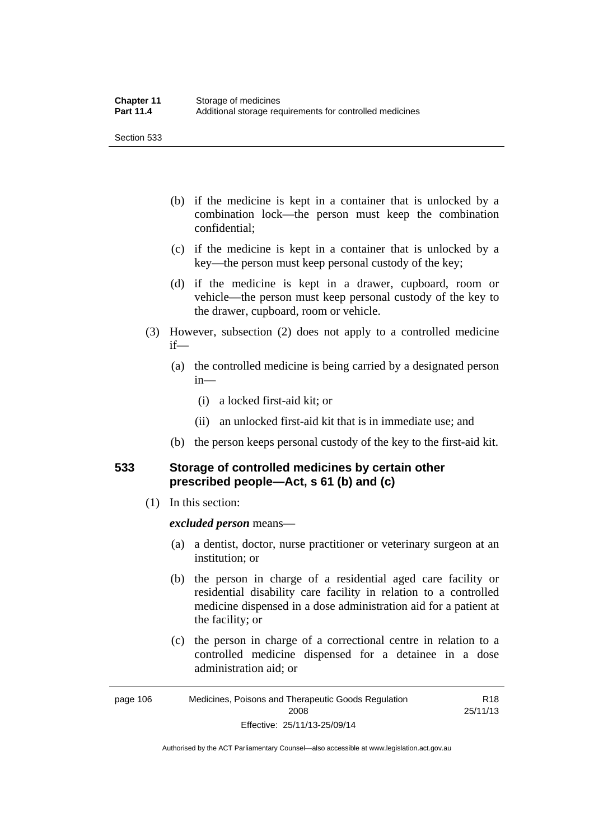Section 533

- (b) if the medicine is kept in a container that is unlocked by a combination lock—the person must keep the combination confidential;
- (c) if the medicine is kept in a container that is unlocked by a key—the person must keep personal custody of the key;
- (d) if the medicine is kept in a drawer, cupboard, room or vehicle—the person must keep personal custody of the key to the drawer, cupboard, room or vehicle.
- (3) However, subsection (2) does not apply to a controlled medicine if—
	- (a) the controlled medicine is being carried by a designated person in—
		- (i) a locked first-aid kit; or
		- (ii) an unlocked first-aid kit that is in immediate use; and
	- (b) the person keeps personal custody of the key to the first-aid kit.

### **533 Storage of controlled medicines by certain other prescribed people—Act, s 61 (b) and (c)**

(1) In this section:

#### *excluded person* means—

- (a) a dentist, doctor, nurse practitioner or veterinary surgeon at an institution; or
- (b) the person in charge of a residential aged care facility or residential disability care facility in relation to a controlled medicine dispensed in a dose administration aid for a patient at the facility; or
- (c) the person in charge of a correctional centre in relation to a controlled medicine dispensed for a detainee in a dose administration aid; or

Authorised by the ACT Parliamentary Counsel—also accessible at www.legislation.act.gov.au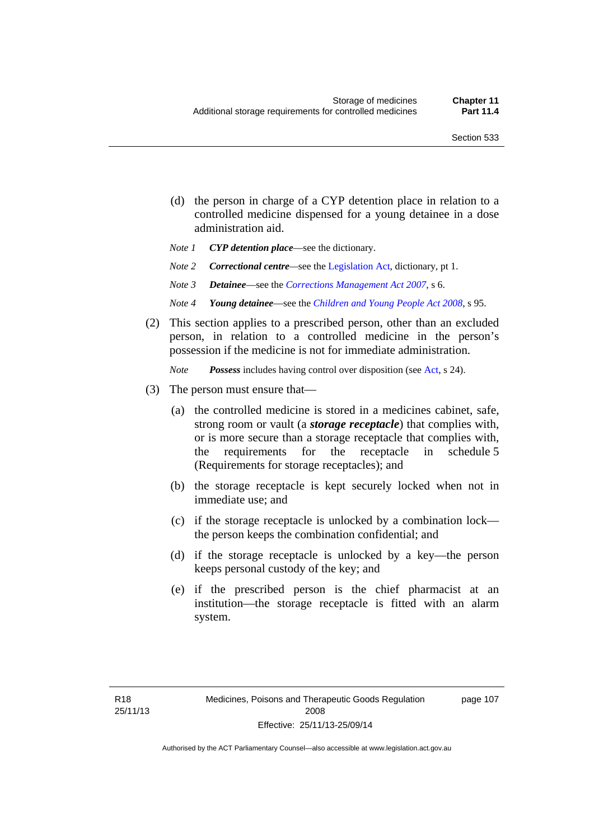page 107

- (d) the person in charge of a CYP detention place in relation to a controlled medicine dispensed for a young detainee in a dose administration aid.
- *Note 1 CYP detention place*—see the dictionary.
- *Note 2 Correctional centre—see the [Legislation Act](http://www.legislation.act.gov.au/a/2001-14), dictionary, pt 1.*
- *Note 3 Detainee*—see the *[Corrections Management Act 2007](http://www.legislation.act.gov.au/a/2007-15)*, s 6.
- *Note 4 Young detainee*—see the *[Children and Young People Act 2008](http://www.legislation.act.gov.au/a/2008-19)*, s 95.
- (2) This section applies to a prescribed person, other than an excluded person, in relation to a controlled medicine in the person's possession if the medicine is not for immediate administration.

*Note Possess* includes having control over disposition (see [Act,](http://www.legislation.act.gov.au/a/2008-26/default.asp) s 24).

- (3) The person must ensure that—
	- (a) the controlled medicine is stored in a medicines cabinet, safe, strong room or vault (a *storage receptacle*) that complies with, or is more secure than a storage receptacle that complies with, the requirements for the receptacle in schedule 5 (Requirements for storage receptacles); and
	- (b) the storage receptacle is kept securely locked when not in immediate use; and
	- (c) if the storage receptacle is unlocked by a combination lock the person keeps the combination confidential; and
	- (d) if the storage receptacle is unlocked by a key—the person keeps personal custody of the key; and
	- (e) if the prescribed person is the chief pharmacist at an institution—the storage receptacle is fitted with an alarm system.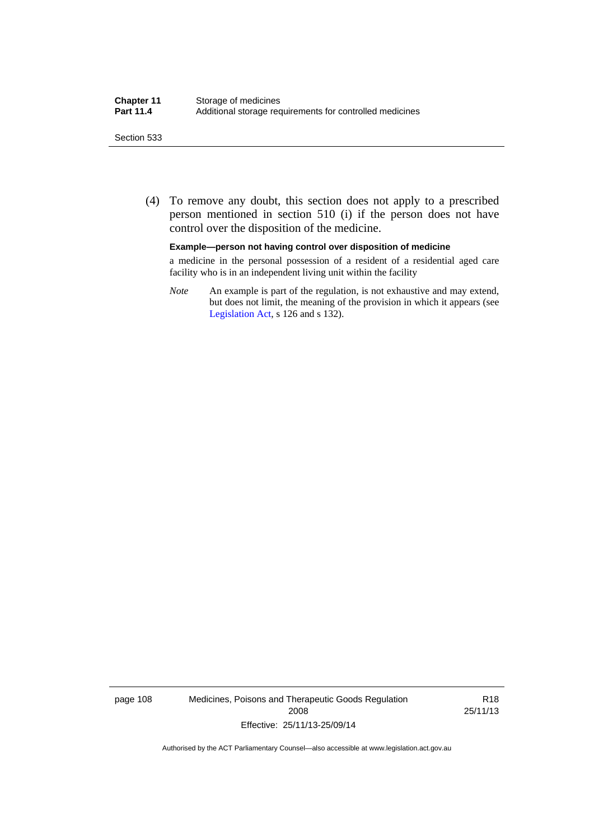#### Section 533

 (4) To remove any doubt, this section does not apply to a prescribed person mentioned in section 510 (i) if the person does not have control over the disposition of the medicine.

#### **Example—person not having control over disposition of medicine**

a medicine in the personal possession of a resident of a residential aged care facility who is in an independent living unit within the facility

*Note* An example is part of the regulation, is not exhaustive and may extend, but does not limit, the meaning of the provision in which it appears (see [Legislation Act,](http://www.legislation.act.gov.au/a/2001-14) s 126 and s 132).

page 108 Medicines, Poisons and Therapeutic Goods Regulation 2008 Effective: 25/11/13-25/09/14

R18 25/11/13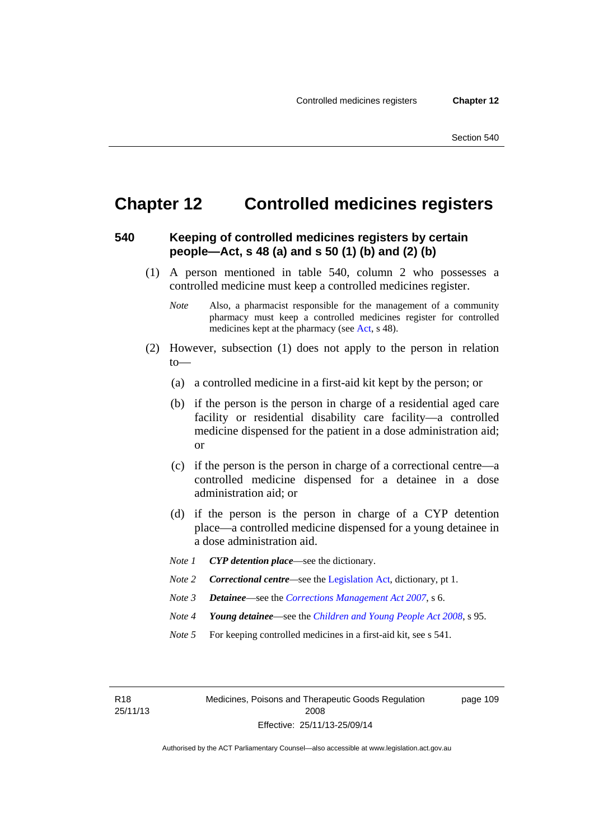page 109

# **Chapter 12 Controlled medicines registers**

#### **540 Keeping of controlled medicines registers by certain people—Act, s 48 (a) and s 50 (1) (b) and (2) (b)**

- (1) A person mentioned in table 540, column 2 who possesses a controlled medicine must keep a controlled medicines register.
	- *Note* Also, a pharmacist responsible for the management of a community pharmacy must keep a controlled medicines register for controlled medicines kept at the pharmacy (see [Act](http://www.legislation.act.gov.au/a/2008-26/default.asp), s 48).
- (2) However, subsection (1) does not apply to the person in relation to—
	- (a) a controlled medicine in a first-aid kit kept by the person; or
	- (b) if the person is the person in charge of a residential aged care facility or residential disability care facility—a controlled medicine dispensed for the patient in a dose administration aid; or
	- (c) if the person is the person in charge of a correctional centre—a controlled medicine dispensed for a detainee in a dose administration aid; or
	- (d) if the person is the person in charge of a CYP detention place—a controlled medicine dispensed for a young detainee in a dose administration aid.
	- *Note 1 CYP detention place*—see the dictionary.
	- *Note 2 Correctional centre—see the [Legislation Act](http://www.legislation.act.gov.au/a/2001-14), dictionary, pt 1.*
	- *Note 3 Detainee*—see the *[Corrections Management Act 2007](http://www.legislation.act.gov.au/a/2007-15)*, s 6.
	- *Note 4 Young detainee*—see the *[Children and Young People Act 2008](http://www.legislation.act.gov.au/a/2008-19)*, s 95.
	- *Note* 5 For keeping controlled medicines in a first-aid kit, see s 541.

R18 25/11/13 Medicines, Poisons and Therapeutic Goods Regulation 2008 Effective: 25/11/13-25/09/14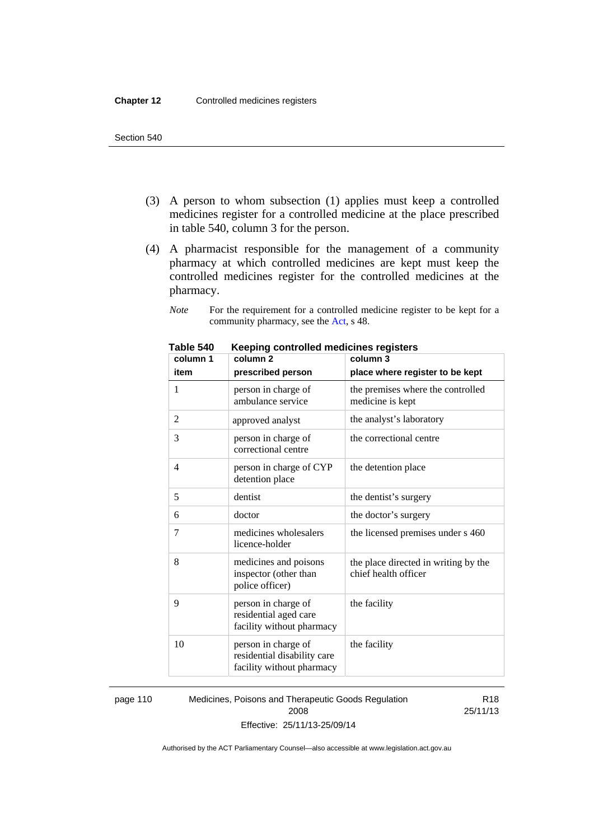- (3) A person to whom subsection (1) applies must keep a controlled medicines register for a controlled medicine at the place prescribed in table 540, column 3 for the person.
- (4) A pharmacist responsible for the management of a community pharmacy at which controlled medicines are kept must keep the controlled medicines register for the controlled medicines at the pharmacy.

*Note* For the requirement for a controlled medicine register to be kept for a community pharmacy, see the [Act,](http://www.legislation.act.gov.au/a/2008-26/default.asp) s 48.

| column 1 | column <sub>2</sub>                                                             | column 3                                                     |
|----------|---------------------------------------------------------------------------------|--------------------------------------------------------------|
| item     | prescribed person                                                               | place where register to be kept                              |
| 1        | person in charge of<br>ambulance service                                        | the premises where the controlled<br>medicine is kept        |
| 2        | approved analyst                                                                | the analyst's laboratory                                     |
| 3        | person in charge of<br>correctional centre                                      | the correctional centre                                      |
| 4        | person in charge of CYP<br>detention place                                      | the detention place                                          |
| 5        | dentist                                                                         | the dentist's surgery                                        |
| 6        | doctor                                                                          | the doctor's surgery                                         |
| 7        | medicines wholesalers<br>licence-holder                                         | the licensed premises under s 460                            |
| 8        | medicines and poisons<br>inspector (other than<br>police officer)               | the place directed in writing by the<br>chief health officer |
| 9        | person in charge of<br>residential aged care<br>facility without pharmacy       | the facility                                                 |
| 10       | person in charge of<br>residential disability care<br>facility without pharmacy | the facility                                                 |

**Table 540 Keeping controlled medicines registers** 

page 110 Medicines, Poisons and Therapeutic Goods Regulation 2008 Effective: 25/11/13-25/09/14

R18 25/11/13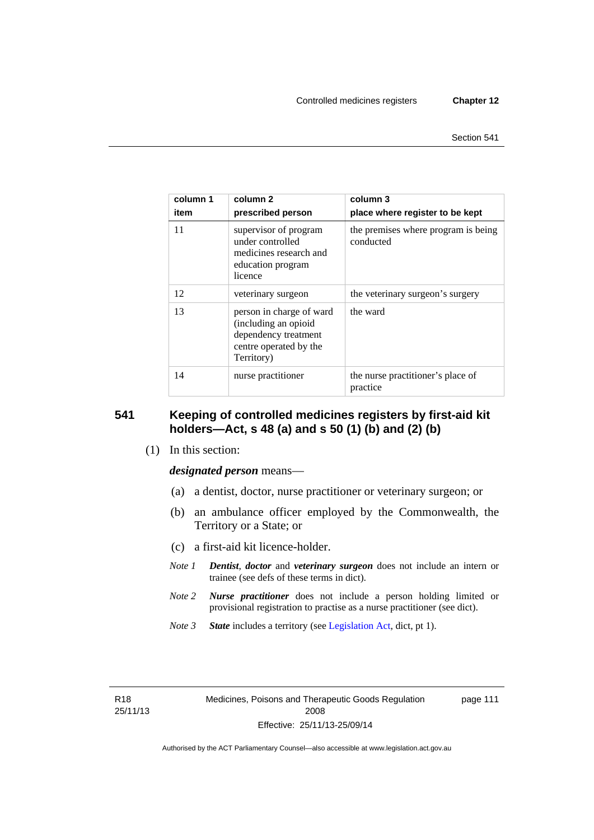| column 1<br>item | column 2<br>prescribed person                                                                                    | column 3<br>place where register to be kept      |
|------------------|------------------------------------------------------------------------------------------------------------------|--------------------------------------------------|
| 11               | supervisor of program<br>under controlled<br>medicines research and<br>education program<br>licence              | the premises where program is being<br>conducted |
| 12               | veterinary surgeon                                                                                               | the veterinary surgeon's surgery                 |
| 13               | person in charge of ward<br>(including an opioid<br>dependency treatment<br>centre operated by the<br>Territory) | the ward                                         |
| 14               | nurse practitioner                                                                                               | the nurse practitioner's place of<br>practice    |

#### **541 Keeping of controlled medicines registers by first-aid kit holders—Act, s 48 (a) and s 50 (1) (b) and (2) (b)**

(1) In this section:

*designated person* means—

- (a) a dentist, doctor, nurse practitioner or veterinary surgeon; or
- (b) an ambulance officer employed by the Commonwealth, the Territory or a State; or
- (c) a first-aid kit licence-holder.
- *Note 1 Dentist*, *doctor* and *veterinary surgeon* does not include an intern or trainee (see defs of these terms in dict).
- *Note 2 Nurse practitioner* does not include a person holding limited or provisional registration to practise as a nurse practitioner (see dict).
- *Note 3 State* includes a territory (see [Legislation Act,](http://www.legislation.act.gov.au/a/2001-14) dict, pt 1).

R18 25/11/13 page 111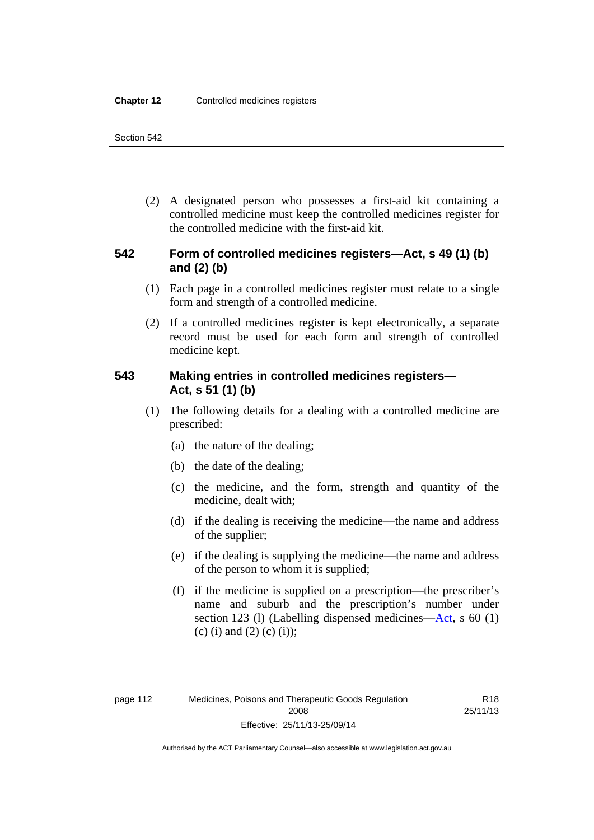(2) A designated person who possesses a first-aid kit containing a controlled medicine must keep the controlled medicines register for the controlled medicine with the first-aid kit.

### **542 Form of controlled medicines registers—Act, s 49 (1) (b) and (2) (b)**

- (1) Each page in a controlled medicines register must relate to a single form and strength of a controlled medicine.
- (2) If a controlled medicines register is kept electronically, a separate record must be used for each form and strength of controlled medicine kept.

### **543 Making entries in controlled medicines registers— Act, s 51 (1) (b)**

- (1) The following details for a dealing with a controlled medicine are prescribed:
	- (a) the nature of the dealing;
	- (b) the date of the dealing;
	- (c) the medicine, and the form, strength and quantity of the medicine, dealt with;
	- (d) if the dealing is receiving the medicine—the name and address of the supplier;
	- (e) if the dealing is supplying the medicine—the name and address of the person to whom it is supplied;
	- (f) if the medicine is supplied on a prescription—the prescriber's name and suburb and the prescription's number under section 123 (l) (Labelling dispensed medicines[—Act,](http://www.legislation.act.gov.au/a/2008-26/default.asp) s 60 (1) (c) (i) and (2) (c) (i));

R18 25/11/13

Authorised by the ACT Parliamentary Counsel—also accessible at www.legislation.act.gov.au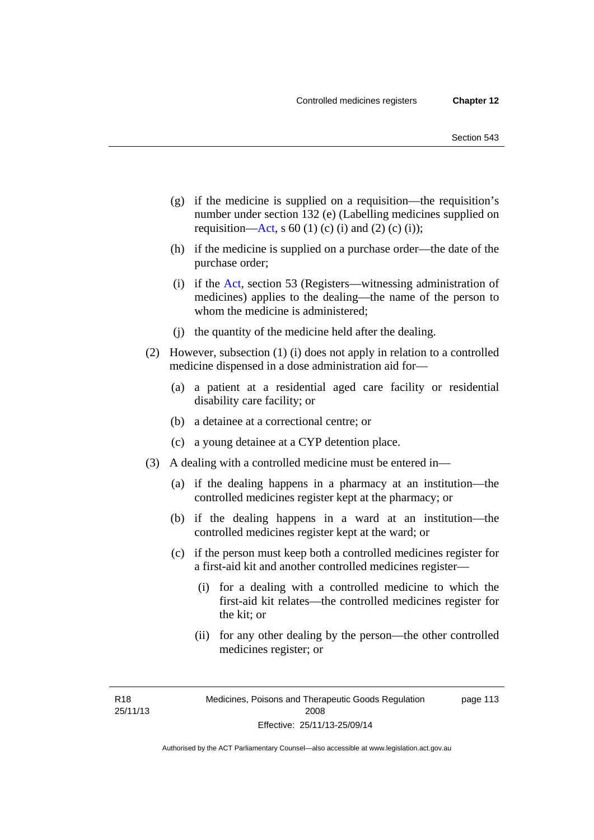- (g) if the medicine is supplied on a requisition—the requisition's number under section 132 (e) (Labelling medicines supplied on requisition[—Act,](http://www.legislation.act.gov.au/a/2008-26/default.asp) s 60 (1) (c) (i) and (2) (c) (i));
- (h) if the medicine is supplied on a purchase order—the date of the purchase order;
- (i) if the [Act,](http://www.legislation.act.gov.au/a/2008-26/default.asp) section 53 (Registers—witnessing administration of medicines) applies to the dealing—the name of the person to whom the medicine is administered;
- (j) the quantity of the medicine held after the dealing.
- (2) However, subsection (1) (i) does not apply in relation to a controlled medicine dispensed in a dose administration aid for—
	- (a) a patient at a residential aged care facility or residential disability care facility; or
	- (b) a detainee at a correctional centre; or
	- (c) a young detainee at a CYP detention place.
- (3) A dealing with a controlled medicine must be entered in—
	- (a) if the dealing happens in a pharmacy at an institution—the controlled medicines register kept at the pharmacy; or
	- (b) if the dealing happens in a ward at an institution—the controlled medicines register kept at the ward; or
	- (c) if the person must keep both a controlled medicines register for a first-aid kit and another controlled medicines register—
		- (i) for a dealing with a controlled medicine to which the first-aid kit relates—the controlled medicines register for the kit; or
		- (ii) for any other dealing by the person—the other controlled medicines register; or

R18 25/11/13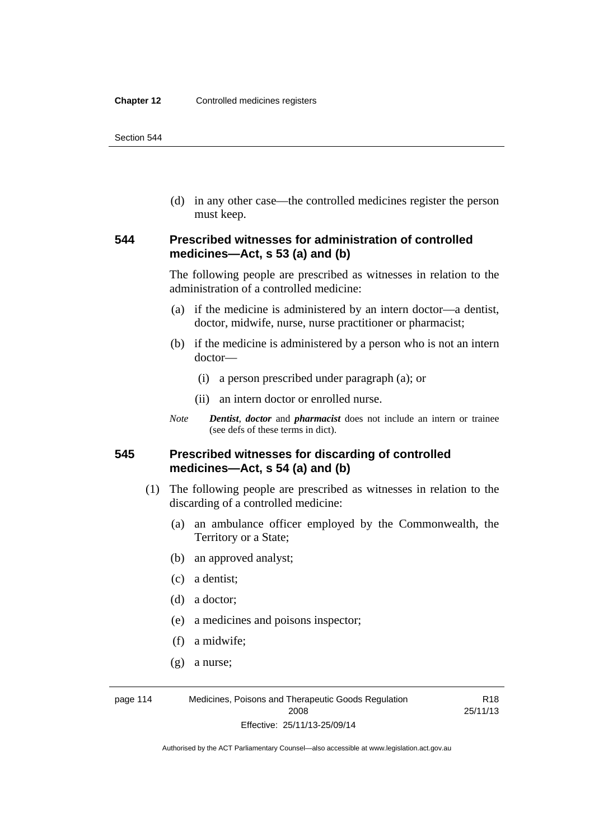(d) in any other case—the controlled medicines register the person must keep.

#### **544 Prescribed witnesses for administration of controlled medicines—Act, s 53 (a) and (b)**

The following people are prescribed as witnesses in relation to the administration of a controlled medicine:

- (a) if the medicine is administered by an intern doctor—a dentist, doctor, midwife, nurse, nurse practitioner or pharmacist;
- (b) if the medicine is administered by a person who is not an intern doctor—
	- (i) a person prescribed under paragraph (a); or
	- (ii) an intern doctor or enrolled nurse.
- *Note Dentist*, *doctor* and *pharmacist* does not include an intern or trainee (see defs of these terms in dict).

#### **545 Prescribed witnesses for discarding of controlled medicines—Act, s 54 (a) and (b)**

- (1) The following people are prescribed as witnesses in relation to the discarding of a controlled medicine:
	- (a) an ambulance officer employed by the Commonwealth, the Territory or a State;

R18

- (b) an approved analyst;
- (c) a dentist;
- (d) a doctor;
- (e) a medicines and poisons inspector;
- (f) a midwife;
- (g) a nurse;

page 114 Medicines, Poisons and Therapeutic Goods Regulation 2008 Effective: 25/11/13-25/09/14 25/11/13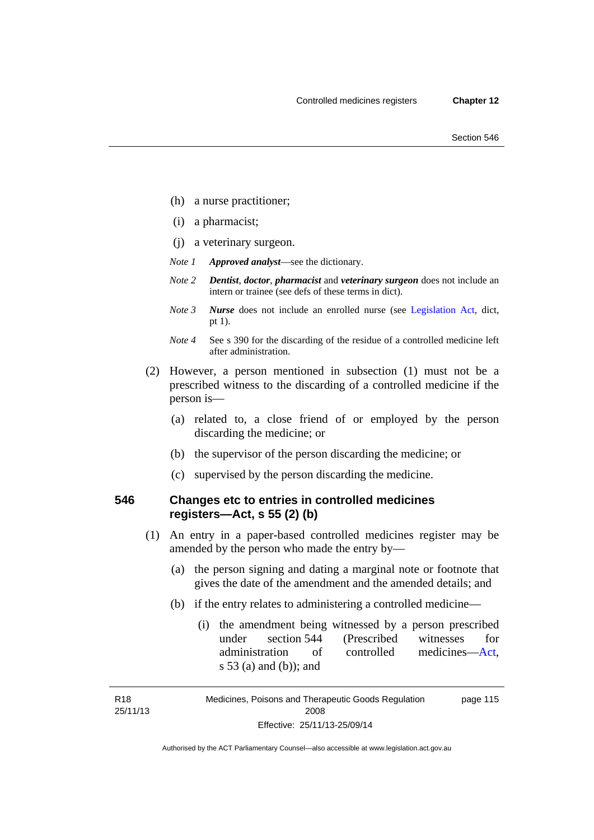- (h) a nurse practitioner;
- (i) a pharmacist;
- (j) a veterinary surgeon.
- *Note 1 Approved analyst*—see the dictionary.
- *Note 2 Dentist*, *doctor*, *pharmacist* and *veterinary surgeon* does not include an intern or trainee (see defs of these terms in dict).
- *Note 3 Nurse* does not include an enrolled nurse (see [Legislation Act,](http://www.legislation.act.gov.au/a/2001-14) dict, pt 1).
- *Note 4* See s 390 for the discarding of the residue of a controlled medicine left after administration.
- (2) However, a person mentioned in subsection (1) must not be a prescribed witness to the discarding of a controlled medicine if the person is—
	- (a) related to, a close friend of or employed by the person discarding the medicine; or
	- (b) the supervisor of the person discarding the medicine; or
	- (c) supervised by the person discarding the medicine.

#### **546 Changes etc to entries in controlled medicines registers—Act, s 55 (2) (b)**

- (1) An entry in a paper-based controlled medicines register may be amended by the person who made the entry by—
	- (a) the person signing and dating a marginal note or footnote that gives the date of the amendment and the amended details; and
	- (b) if the entry relates to administering a controlled medicine—
		- (i) the amendment being witnessed by a person prescribed under section 544 (Prescribed witnesses for administration of controlled medicines[—Act](http://www.legislation.act.gov.au/a/2008-26/default.asp), s 53 (a) and (b)); and

R18 25/11/13

Medicines, Poisons and Therapeutic Goods Regulation 2008 Effective: 25/11/13-25/09/14 page 115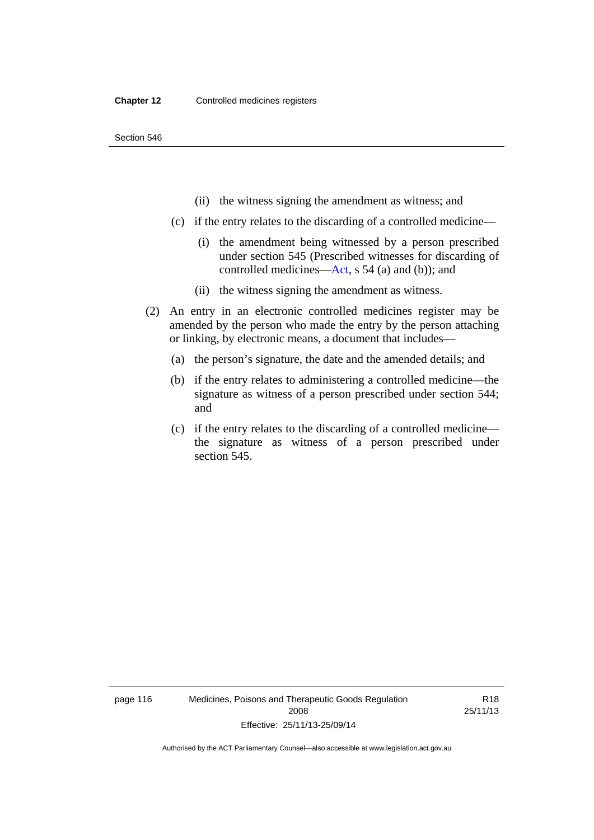- (ii) the witness signing the amendment as witness; and
- (c) if the entry relates to the discarding of a controlled medicine—
	- (i) the amendment being witnessed by a person prescribed under section 545 (Prescribed witnesses for discarding of controlled medicines[—Act,](http://www.legislation.act.gov.au/a/2008-26/default.asp) s 54 (a) and (b)); and
	- (ii) the witness signing the amendment as witness.
- (2) An entry in an electronic controlled medicines register may be amended by the person who made the entry by the person attaching or linking, by electronic means, a document that includes—
	- (a) the person's signature, the date and the amended details; and
	- (b) if the entry relates to administering a controlled medicine—the signature as witness of a person prescribed under section 544; and
	- (c) if the entry relates to the discarding of a controlled medicine the signature as witness of a person prescribed under section 545.

page 116 Medicines, Poisons and Therapeutic Goods Regulation 2008 Effective: 25/11/13-25/09/14

R18 25/11/13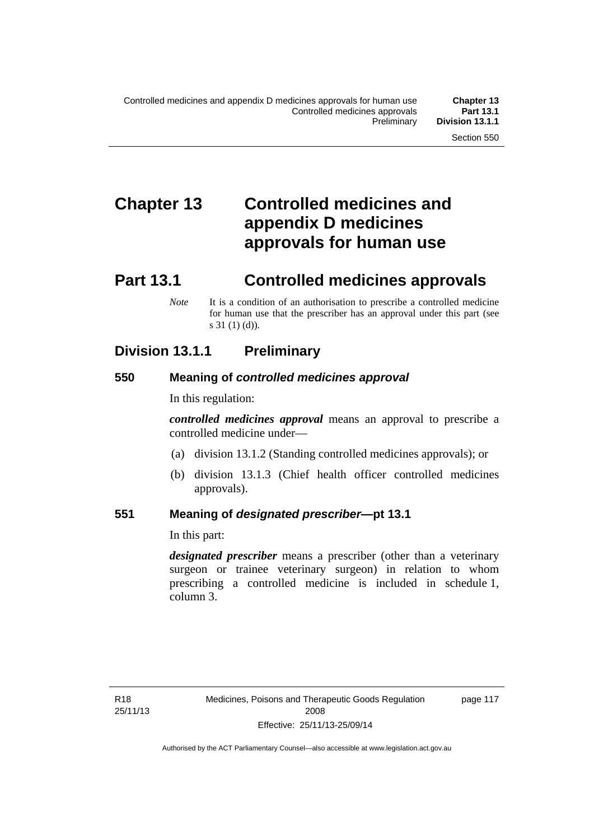# **Chapter 13 Controlled medicines and appendix D medicines approvals for human use**

# **Part 13.1 Controlled medicines approvals**

*Note* It is a condition of an authorisation to prescribe a controlled medicine for human use that the prescriber has an approval under this part (see s 31 (1) (d)).

## **Division 13.1.1 Preliminary**

#### **550 Meaning of** *controlled medicines approval*

In this regulation:

*controlled medicines approval* means an approval to prescribe a controlled medicine under—

- (a) division 13.1.2 (Standing controlled medicines approvals); or
- (b) division 13.1.3 (Chief health officer controlled medicines approvals).

#### **551 Meaning of** *designated prescriber***—pt 13.1**

In this part:

*designated prescriber* means a prescriber (other than a veterinary surgeon or trainee veterinary surgeon) in relation to whom prescribing a controlled medicine is included in schedule 1, column 3.

R18 25/11/13 page 117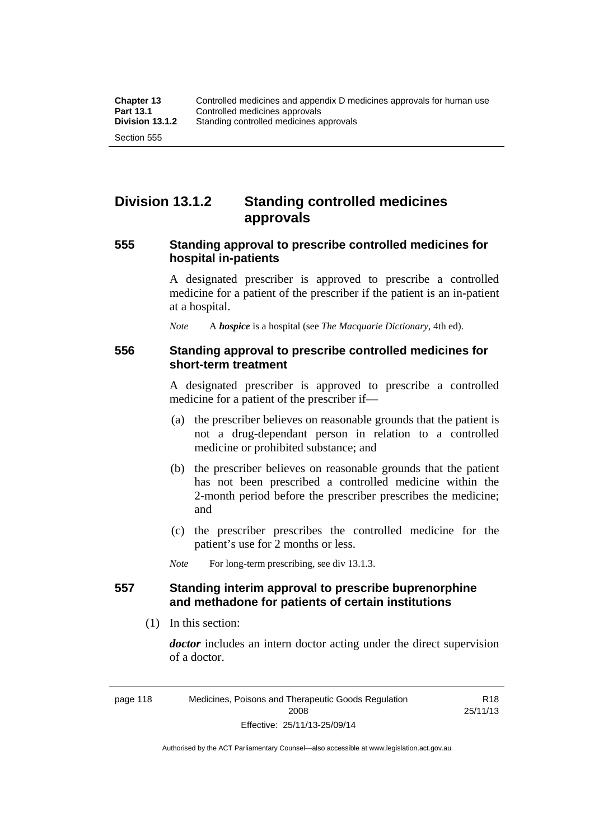## **Division 13.1.2 Standing controlled medicines approvals**

#### **555 Standing approval to prescribe controlled medicines for hospital in-patients**

A designated prescriber is approved to prescribe a controlled medicine for a patient of the prescriber if the patient is an in-patient at a hospital.

*Note* A *hospice* is a hospital (see *The Macquarie Dictionary*, 4th ed).

#### **556 Standing approval to prescribe controlled medicines for short-term treatment**

A designated prescriber is approved to prescribe a controlled medicine for a patient of the prescriber if—

- (a) the prescriber believes on reasonable grounds that the patient is not a drug-dependant person in relation to a controlled medicine or prohibited substance; and
- (b) the prescriber believes on reasonable grounds that the patient has not been prescribed a controlled medicine within the 2-month period before the prescriber prescribes the medicine; and
- (c) the prescriber prescribes the controlled medicine for the patient's use for 2 months or less.

*Note* For long-term prescribing, see div 13.1.3.

### **557 Standing interim approval to prescribe buprenorphine and methadone for patients of certain institutions**

(1) In this section:

*doctor* includes an intern doctor acting under the direct supervision of a doctor.

R18 25/11/13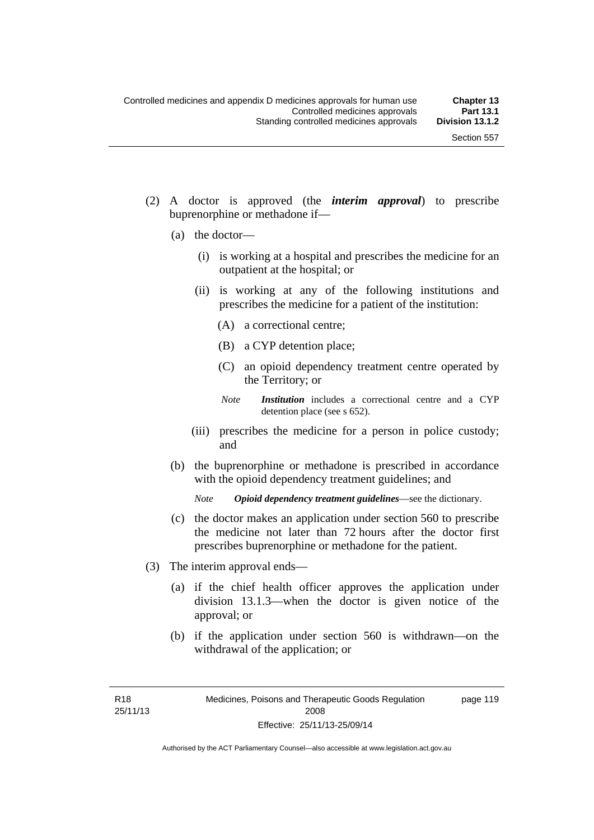- (2) A doctor is approved (the *interim approval*) to prescribe buprenorphine or methadone if—
	- (a) the doctor—
		- (i) is working at a hospital and prescribes the medicine for an outpatient at the hospital; or
		- (ii) is working at any of the following institutions and prescribes the medicine for a patient of the institution:
			- (A) a correctional centre;
			- (B) a CYP detention place;
			- (C) an opioid dependency treatment centre operated by the Territory; or
			- *Note Institution* includes a correctional centre and a CYP detention place (see s 652).
		- (iii) prescribes the medicine for a person in police custody; and
	- (b) the buprenorphine or methadone is prescribed in accordance with the opioid dependency treatment guidelines; and

*Note Opioid dependency treatment guidelines*—see the dictionary.

- (c) the doctor makes an application under section 560 to prescribe the medicine not later than 72 hours after the doctor first prescribes buprenorphine or methadone for the patient.
- (3) The interim approval ends—
	- (a) if the chief health officer approves the application under division 13.1.3—when the doctor is given notice of the approval; or
	- (b) if the application under section 560 is withdrawn—on the withdrawal of the application; or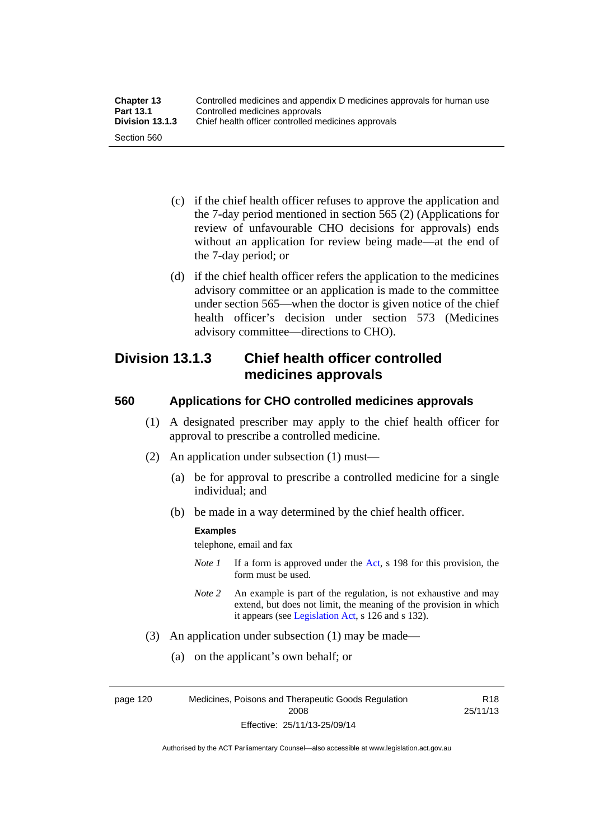| <b>Chapter 13</b> | Controlled medicines and appendix D medicines approvals for human use |
|-------------------|-----------------------------------------------------------------------|
| <b>Part 13.1</b>  | Controlled medicines approvals                                        |
| Division 13.1.3   | Chief health officer controlled medicines approvals                   |
| Section 560       |                                                                       |

- (c) if the chief health officer refuses to approve the application and the 7-day period mentioned in section 565 (2) (Applications for review of unfavourable CHO decisions for approvals) ends without an application for review being made—at the end of the 7-day period; or
- (d) if the chief health officer refers the application to the medicines advisory committee or an application is made to the committee under section 565—when the doctor is given notice of the chief health officer's decision under section 573 (Medicines advisory committee—directions to CHO).

## **Division 13.1.3 Chief health officer controlled medicines approvals**

### **560 Applications for CHO controlled medicines approvals**

- (1) A designated prescriber may apply to the chief health officer for approval to prescribe a controlled medicine.
- (2) An application under subsection (1) must—
	- (a) be for approval to prescribe a controlled medicine for a single individual; and
	- (b) be made in a way determined by the chief health officer.

#### **Examples**

telephone, email and fax

- *Note 1* If a form is approved under the [Act](http://www.legislation.act.gov.au/a/2008-26/default.asp), s 198 for this provision, the form must be used.
- *Note 2* An example is part of the regulation, is not exhaustive and may extend, but does not limit, the meaning of the provision in which it appears (see [Legislation Act,](http://www.legislation.act.gov.au/a/2001-14) s 126 and s 132).
- (3) An application under subsection (1) may be made—
	- (a) on the applicant's own behalf; or

page 120 Medicines, Poisons and Therapeutic Goods Regulation 2008 Effective: 25/11/13-25/09/14

R18 25/11/13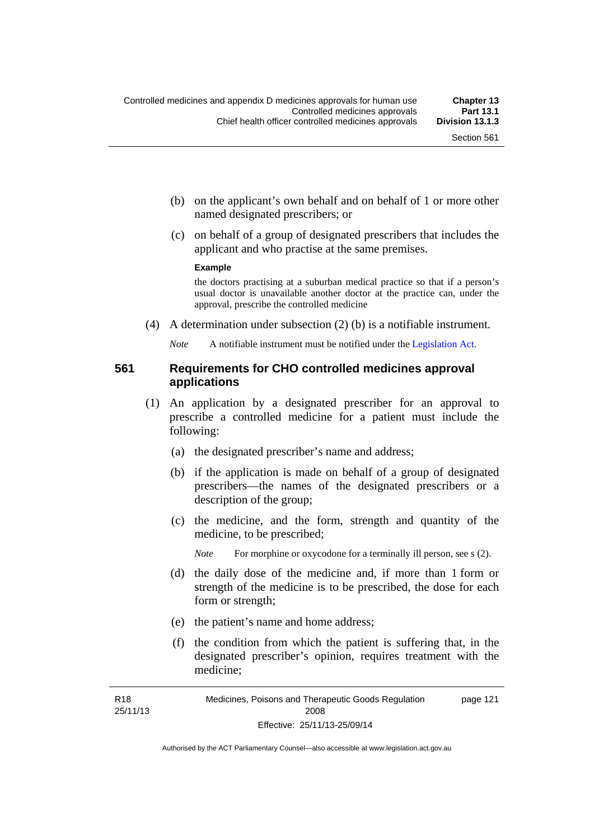- (b) on the applicant's own behalf and on behalf of 1 or more other named designated prescribers; or
- (c) on behalf of a group of designated prescribers that includes the applicant and who practise at the same premises.

#### **Example**

the doctors practising at a suburban medical practice so that if a person's usual doctor is unavailable another doctor at the practice can, under the approval, prescribe the controlled medicine

(4) A determination under subsection (2) (b) is a notifiable instrument.

*Note* A notifiable instrument must be notified under the [Legislation Act](http://www.legislation.act.gov.au/a/2001-14).

### **561 Requirements for CHO controlled medicines approval applications**

- (1) An application by a designated prescriber for an approval to prescribe a controlled medicine for a patient must include the following:
	- (a) the designated prescriber's name and address;
	- (b) if the application is made on behalf of a group of designated prescribers—the names of the designated prescribers or a description of the group;
	- (c) the medicine, and the form, strength and quantity of the medicine, to be prescribed;

*Note* For morphine or oxycodone for a terminally ill person, see s (2).

- (d) the daily dose of the medicine and, if more than 1 form or strength of the medicine is to be prescribed, the dose for each form or strength;
- (e) the patient's name and home address;
- (f) the condition from which the patient is suffering that, in the designated prescriber's opinion, requires treatment with the medicine;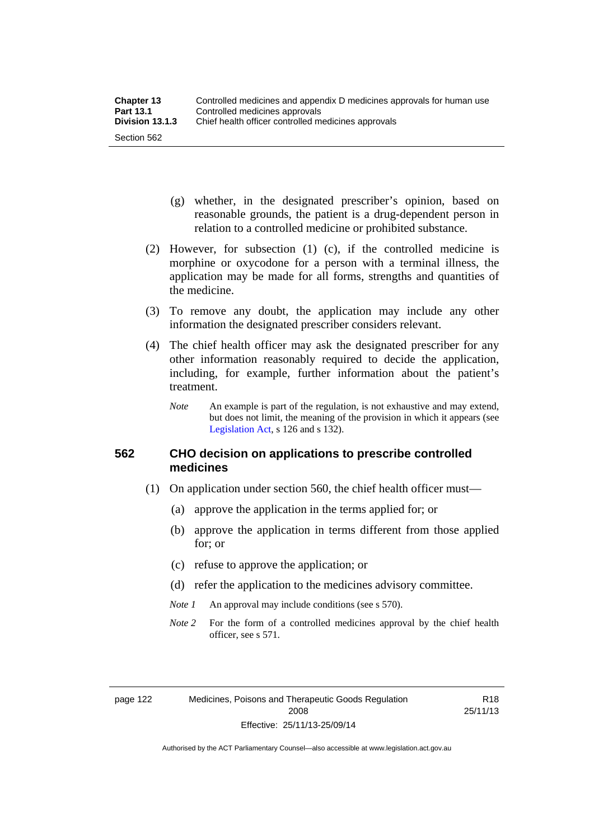- (g) whether, in the designated prescriber's opinion, based on reasonable grounds, the patient is a drug-dependent person in relation to a controlled medicine or prohibited substance.
- (2) However, for subsection (1) (c), if the controlled medicine is morphine or oxycodone for a person with a terminal illness, the application may be made for all forms, strengths and quantities of the medicine.
- (3) To remove any doubt, the application may include any other information the designated prescriber considers relevant.
- (4) The chief health officer may ask the designated prescriber for any other information reasonably required to decide the application, including, for example, further information about the patient's treatment.
	- *Note* An example is part of the regulation, is not exhaustive and may extend, but does not limit, the meaning of the provision in which it appears (see [Legislation Act,](http://www.legislation.act.gov.au/a/2001-14) s 126 and s 132).

### **562 CHO decision on applications to prescribe controlled medicines**

- (1) On application under section 560, the chief health officer must—
	- (a) approve the application in the terms applied for; or
	- (b) approve the application in terms different from those applied for; or
	- (c) refuse to approve the application; or
	- (d) refer the application to the medicines advisory committee.
	- *Note 1* An approval may include conditions (see s 570).
	- *Note* 2 For the form of a controlled medicines approval by the chief health officer, see s 571.

R18 25/11/13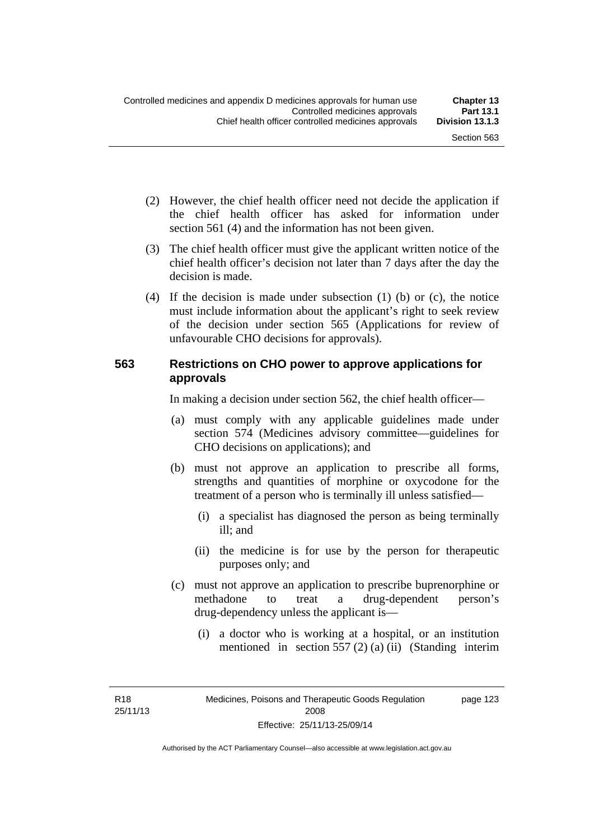- (2) However, the chief health officer need not decide the application if the chief health officer has asked for information under section 561 (4) and the information has not been given.
- (3) The chief health officer must give the applicant written notice of the chief health officer's decision not later than 7 days after the day the decision is made.
- (4) If the decision is made under subsection (1) (b) or (c), the notice must include information about the applicant's right to seek review of the decision under section 565 (Applications for review of unfavourable CHO decisions for approvals).

### **563 Restrictions on CHO power to approve applications for approvals**

In making a decision under section 562, the chief health officer—

- (a) must comply with any applicable guidelines made under section 574 (Medicines advisory committee—guidelines for CHO decisions on applications); and
- (b) must not approve an application to prescribe all forms, strengths and quantities of morphine or oxycodone for the treatment of a person who is terminally ill unless satisfied—
	- (i) a specialist has diagnosed the person as being terminally ill; and
	- (ii) the medicine is for use by the person for therapeutic purposes only; and
- (c) must not approve an application to prescribe buprenorphine or methadone to treat a drug-dependent person's drug-dependency unless the applicant is—
	- (i) a doctor who is working at a hospital, or an institution mentioned in section 557 (2) (a) (ii) (Standing interim

R18 25/11/13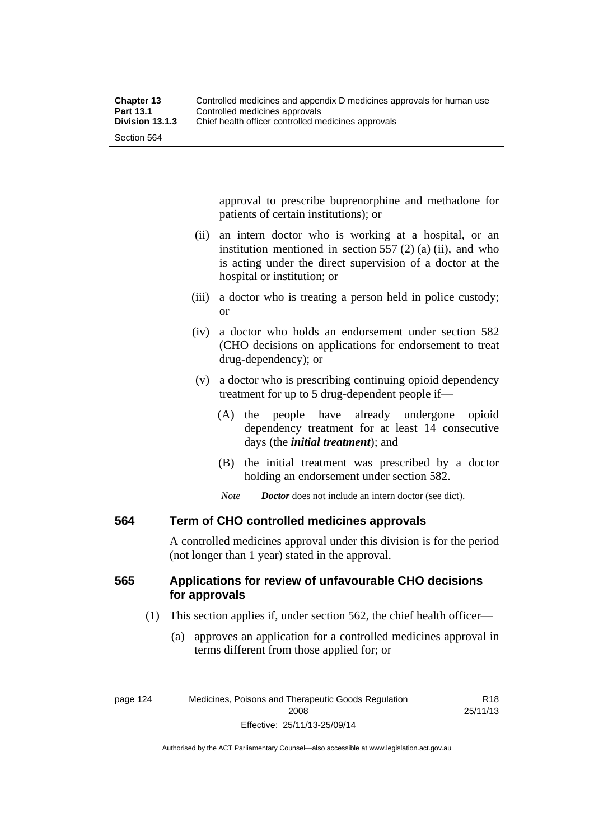approval to prescribe buprenorphine and methadone for patients of certain institutions); or

- (ii) an intern doctor who is working at a hospital, or an institution mentioned in section 557 (2) (a) (ii), and who is acting under the direct supervision of a doctor at the hospital or institution; or
- (iii) a doctor who is treating a person held in police custody; or
- (iv) a doctor who holds an endorsement under section 582 (CHO decisions on applications for endorsement to treat drug-dependency); or
- (v) a doctor who is prescribing continuing opioid dependency treatment for up to 5 drug-dependent people if—
	- (A) the people have already undergone opioid dependency treatment for at least 14 consecutive days (the *initial treatment*); and
	- (B) the initial treatment was prescribed by a doctor holding an endorsement under section 582.
	- *Note Doctor* does not include an intern doctor (see dict).

### **564 Term of CHO controlled medicines approvals**

A controlled medicines approval under this division is for the period (not longer than 1 year) stated in the approval.

## **565 Applications for review of unfavourable CHO decisions for approvals**

- (1) This section applies if, under section 562, the chief health officer—
	- (a) approves an application for a controlled medicines approval in terms different from those applied for; or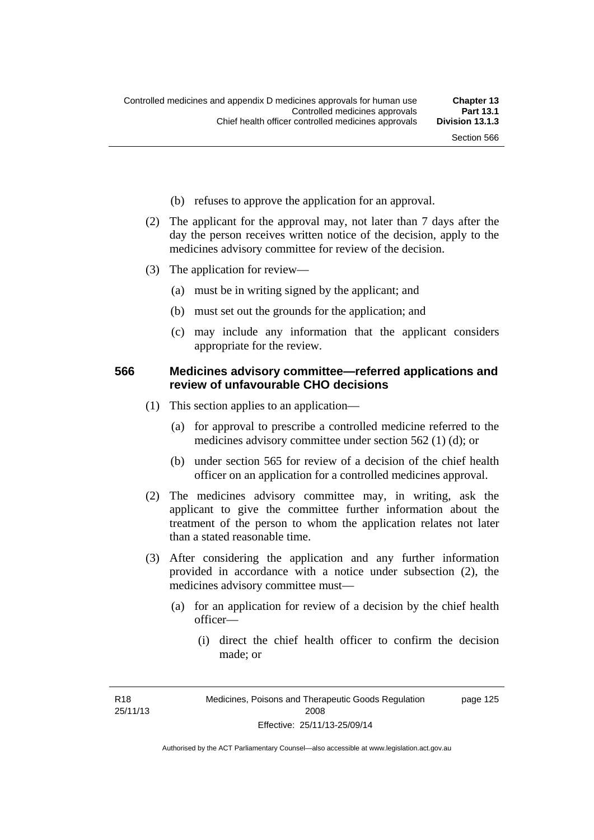- (b) refuses to approve the application for an approval.
- (2) The applicant for the approval may, not later than 7 days after the day the person receives written notice of the decision, apply to the medicines advisory committee for review of the decision.
- (3) The application for review—
	- (a) must be in writing signed by the applicant; and
	- (b) must set out the grounds for the application; and
	- (c) may include any information that the applicant considers appropriate for the review.

#### **566 Medicines advisory committee—referred applications and review of unfavourable CHO decisions**

- (1) This section applies to an application—
	- (a) for approval to prescribe a controlled medicine referred to the medicines advisory committee under section 562 (1) (d); or
	- (b) under section 565 for review of a decision of the chief health officer on an application for a controlled medicines approval.
- (2) The medicines advisory committee may, in writing, ask the applicant to give the committee further information about the treatment of the person to whom the application relates not later than a stated reasonable time.
- (3) After considering the application and any further information provided in accordance with a notice under subsection (2), the medicines advisory committee must—
	- (a) for an application for review of a decision by the chief health officer—
		- (i) direct the chief health officer to confirm the decision made; or

R18 25/11/13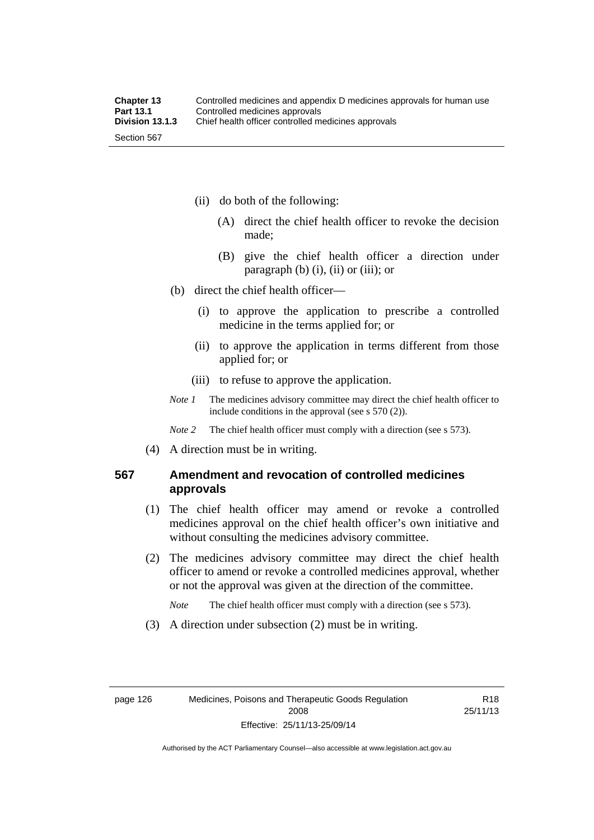- (ii) do both of the following:
	- (A) direct the chief health officer to revoke the decision made;
	- (B) give the chief health officer a direction under paragraph  $(b)$   $(i)$ ,  $(ii)$  or  $(iii)$ ; or
- (b) direct the chief health officer—
	- (i) to approve the application to prescribe a controlled medicine in the terms applied for; or
	- (ii) to approve the application in terms different from those applied for; or
	- (iii) to refuse to approve the application.
- *Note 1* The medicines advisory committee may direct the chief health officer to include conditions in the approval (see s 570 (2)).

*Note* 2 The chief health officer must comply with a direction (see s 573).

(4) A direction must be in writing.

## **567 Amendment and revocation of controlled medicines approvals**

- (1) The chief health officer may amend or revoke a controlled medicines approval on the chief health officer's own initiative and without consulting the medicines advisory committee.
- (2) The medicines advisory committee may direct the chief health officer to amend or revoke a controlled medicines approval, whether or not the approval was given at the direction of the committee.

*Note* The chief health officer must comply with a direction (see s 573).

(3) A direction under subsection (2) must be in writing.

R18 25/11/13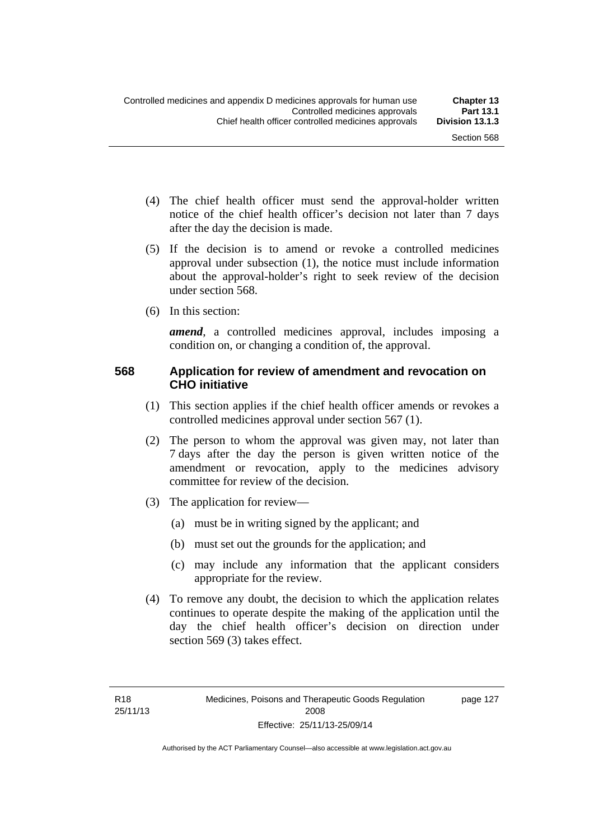page 127

- (4) The chief health officer must send the approval-holder written notice of the chief health officer's decision not later than 7 days after the day the decision is made.
- (5) If the decision is to amend or revoke a controlled medicines approval under subsection (1), the notice must include information about the approval-holder's right to seek review of the decision under section 568.
- (6) In this section:

*amend*, a controlled medicines approval, includes imposing a condition on, or changing a condition of, the approval.

### **568 Application for review of amendment and revocation on CHO initiative**

- (1) This section applies if the chief health officer amends or revokes a controlled medicines approval under section 567 (1).
- (2) The person to whom the approval was given may, not later than 7 days after the day the person is given written notice of the amendment or revocation, apply to the medicines advisory committee for review of the decision.
- (3) The application for review—
	- (a) must be in writing signed by the applicant; and
	- (b) must set out the grounds for the application; and
	- (c) may include any information that the applicant considers appropriate for the review.
- (4) To remove any doubt, the decision to which the application relates continues to operate despite the making of the application until the day the chief health officer's decision on direction under section 569 (3) takes effect.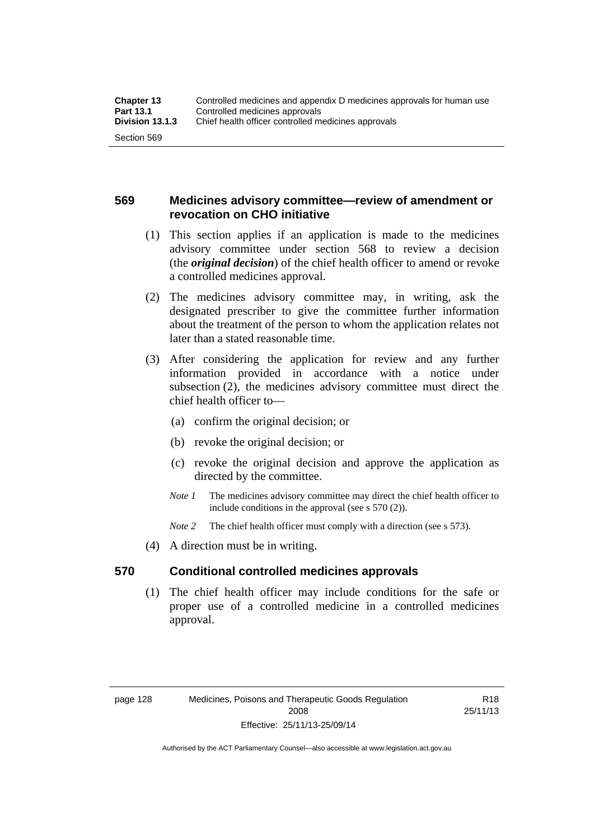## **569 Medicines advisory committee—review of amendment or revocation on CHO initiative**

- (1) This section applies if an application is made to the medicines advisory committee under section 568 to review a decision (the *original decision*) of the chief health officer to amend or revoke a controlled medicines approval.
- (2) The medicines advisory committee may, in writing, ask the designated prescriber to give the committee further information about the treatment of the person to whom the application relates not later than a stated reasonable time.
- (3) After considering the application for review and any further information provided in accordance with a notice under subsection (2), the medicines advisory committee must direct the chief health officer to—
	- (a) confirm the original decision; or
	- (b) revoke the original decision; or
	- (c) revoke the original decision and approve the application as directed by the committee.
	- *Note 1* The medicines advisory committee may direct the chief health officer to include conditions in the approval (see s 570 (2)).
	- *Note* 2 The chief health officer must comply with a direction (see s 573).
- (4) A direction must be in writing.

### **570 Conditional controlled medicines approvals**

(1) The chief health officer may include conditions for the safe or proper use of a controlled medicine in a controlled medicines approval.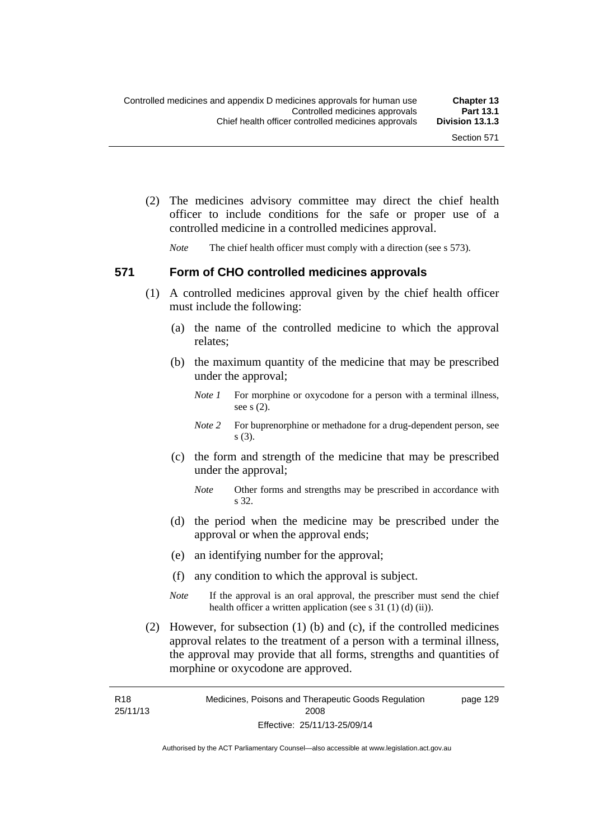(2) The medicines advisory committee may direct the chief health officer to include conditions for the safe or proper use of a controlled medicine in a controlled medicines approval.

*Note* The chief health officer must comply with a direction (see s 573).

#### **571 Form of CHO controlled medicines approvals**

- (1) A controlled medicines approval given by the chief health officer must include the following:
	- (a) the name of the controlled medicine to which the approval relates;
	- (b) the maximum quantity of the medicine that may be prescribed under the approval;
		- *Note 1* For morphine or oxycodone for a person with a terminal illness, see s (2).
		- *Note* 2 For buprenorphine or methadone for a drug-dependent person, see s (3).
	- (c) the form and strength of the medicine that may be prescribed under the approval;
		- *Note* Other forms and strengths may be prescribed in accordance with s 32.
	- (d) the period when the medicine may be prescribed under the approval or when the approval ends;
	- (e) an identifying number for the approval;
	- (f) any condition to which the approval is subject.
	- *Note* If the approval is an oral approval, the prescriber must send the chief health officer a written application (see s  $31(1)(d)(ii)$ ).
- (2) However, for subsection (1) (b) and (c), if the controlled medicines approval relates to the treatment of a person with a terminal illness, the approval may provide that all forms, strengths and quantities of morphine or oxycodone are approved.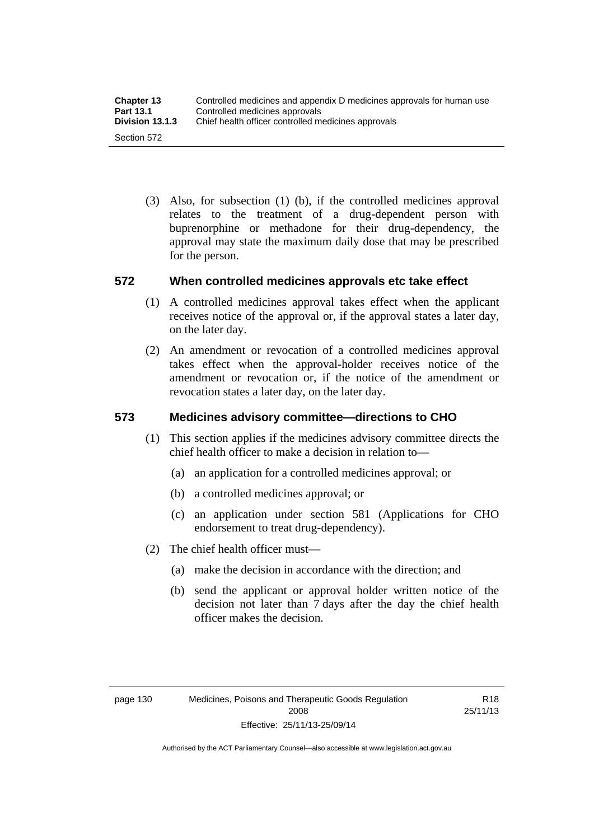(3) Also, for subsection (1) (b), if the controlled medicines approval relates to the treatment of a drug-dependent person with buprenorphine or methadone for their drug-dependency, the approval may state the maximum daily dose that may be prescribed for the person.

## **572 When controlled medicines approvals etc take effect**

- (1) A controlled medicines approval takes effect when the applicant receives notice of the approval or, if the approval states a later day, on the later day.
- (2) An amendment or revocation of a controlled medicines approval takes effect when the approval-holder receives notice of the amendment or revocation or, if the notice of the amendment or revocation states a later day, on the later day.

## **573 Medicines advisory committee—directions to CHO**

- (1) This section applies if the medicines advisory committee directs the chief health officer to make a decision in relation to—
	- (a) an application for a controlled medicines approval; or
	- (b) a controlled medicines approval; or
	- (c) an application under section 581 (Applications for CHO endorsement to treat drug-dependency).
- (2) The chief health officer must—
	- (a) make the decision in accordance with the direction; and
	- (b) send the applicant or approval holder written notice of the decision not later than 7 days after the day the chief health officer makes the decision.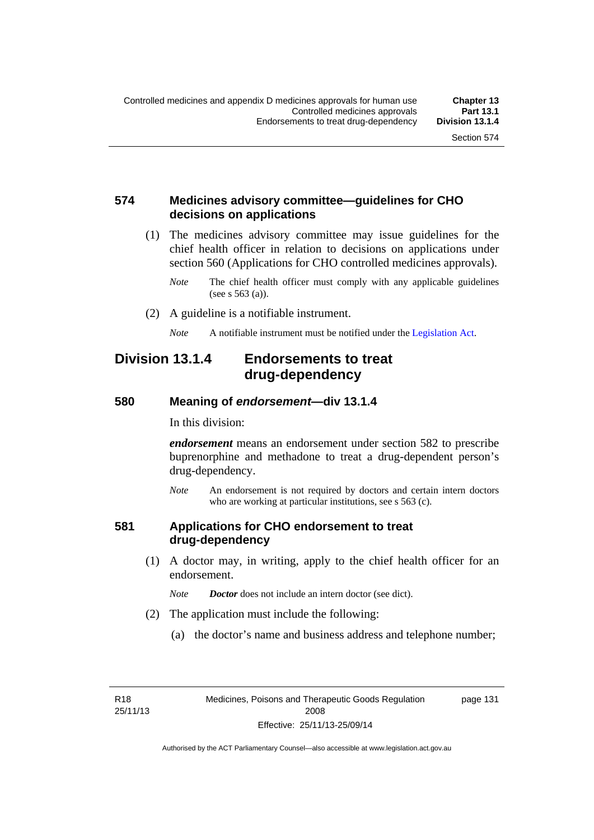## **574 Medicines advisory committee—guidelines for CHO decisions on applications**

 (1) The medicines advisory committee may issue guidelines for the chief health officer in relation to decisions on applications under section 560 (Applications for CHO controlled medicines approvals).

- (2) A guideline is a notifiable instrument.
	- *Note* A notifiable instrument must be notified under the [Legislation Act](http://www.legislation.act.gov.au/a/2001-14).

## **Division 13.1.4 Endorsements to treat drug-dependency**

#### **580 Meaning of** *endorsement***—div 13.1.4**

In this division:

*endorsement* means an endorsement under section 582 to prescribe buprenorphine and methadone to treat a drug-dependent person's drug-dependency.

*Note* An endorsement is not required by doctors and certain intern doctors who are working at particular institutions, see s 563 (c).

#### **581 Applications for CHO endorsement to treat drug-dependency**

 (1) A doctor may, in writing, apply to the chief health officer for an endorsement.

*Note Doctor* does not include an intern doctor (see dict).

- (2) The application must include the following:
	- (a) the doctor's name and business address and telephone number;

page 131

*Note* The chief health officer must comply with any applicable guidelines (see s 563 (a)).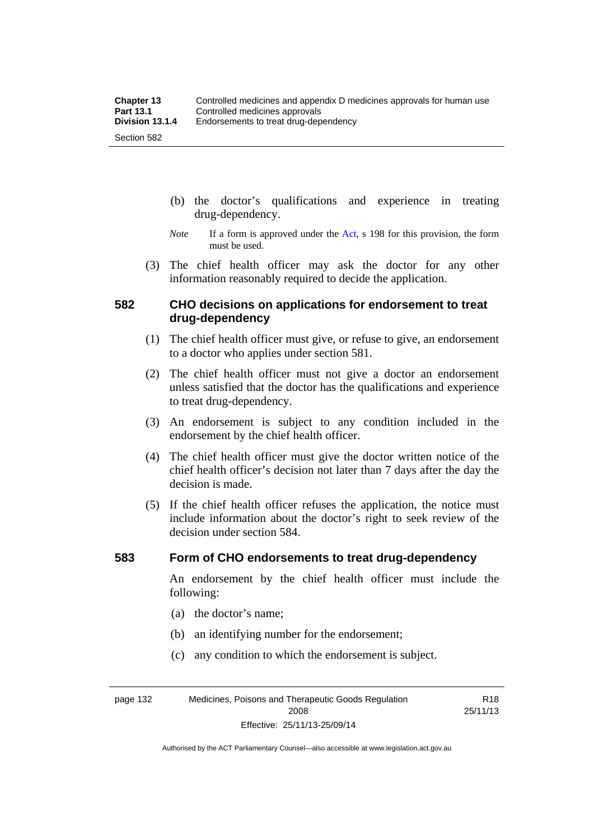- (b) the doctor's qualifications and experience in treating drug-dependency.
- *Note* If a form is approved under the [Act](http://www.legislation.act.gov.au/a/2008-26/default.asp), s 198 for this provision, the form must be used.
- (3) The chief health officer may ask the doctor for any other information reasonably required to decide the application.

## **582 CHO decisions on applications for endorsement to treat drug-dependency**

- (1) The chief health officer must give, or refuse to give, an endorsement to a doctor who applies under section 581.
- (2) The chief health officer must not give a doctor an endorsement unless satisfied that the doctor has the qualifications and experience to treat drug-dependency.
- (3) An endorsement is subject to any condition included in the endorsement by the chief health officer.
- (4) The chief health officer must give the doctor written notice of the chief health officer's decision not later than 7 days after the day the decision is made.
- (5) If the chief health officer refuses the application, the notice must include information about the doctor's right to seek review of the decision under section 584.

#### **583 Form of CHO endorsements to treat drug-dependency**

An endorsement by the chief health officer must include the following:

- (a) the doctor's name;
- (b) an identifying number for the endorsement;
- (c) any condition to which the endorsement is subject.

page 132 Medicines, Poisons and Therapeutic Goods Regulation 2008 Effective: 25/11/13-25/09/14

R18 25/11/13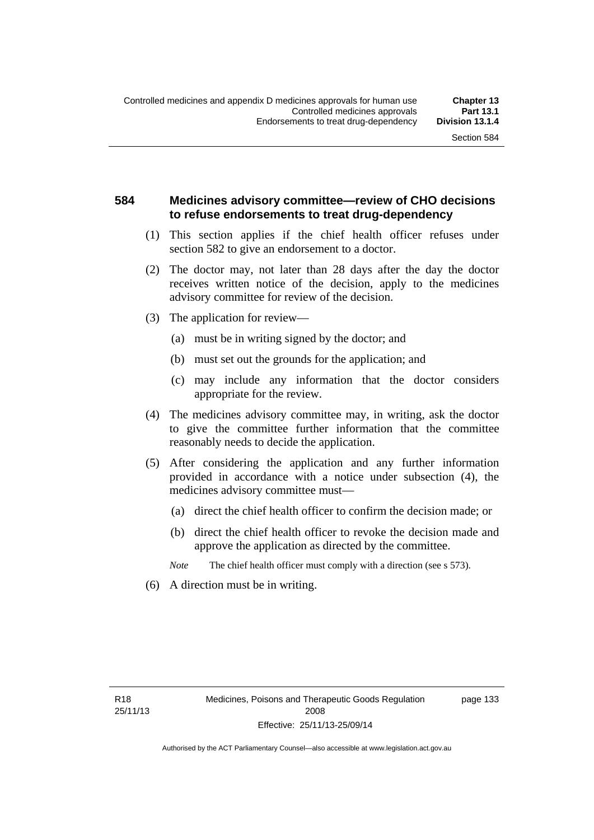## **584 Medicines advisory committee—review of CHO decisions to refuse endorsements to treat drug-dependency**

- (1) This section applies if the chief health officer refuses under section 582 to give an endorsement to a doctor.
- (2) The doctor may, not later than 28 days after the day the doctor receives written notice of the decision, apply to the medicines advisory committee for review of the decision.
- (3) The application for review—
	- (a) must be in writing signed by the doctor; and
	- (b) must set out the grounds for the application; and
	- (c) may include any information that the doctor considers appropriate for the review.
- (4) The medicines advisory committee may, in writing, ask the doctor to give the committee further information that the committee reasonably needs to decide the application.
- (5) After considering the application and any further information provided in accordance with a notice under subsection (4), the medicines advisory committee must—
	- (a) direct the chief health officer to confirm the decision made; or
	- (b) direct the chief health officer to revoke the decision made and approve the application as directed by the committee.
	- *Note* The chief health officer must comply with a direction (see s 573).
- (6) A direction must be in writing.

page 133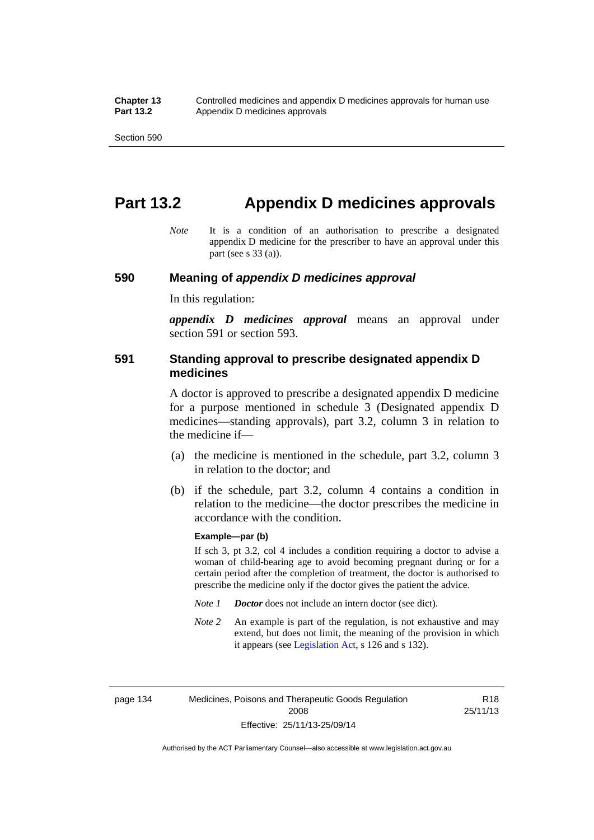# **Part 13.2 Appendix D medicines approvals**

*Note* It is a condition of an authorisation to prescribe a designated appendix D medicine for the prescriber to have an approval under this part (see s 33 (a)).

#### **590 Meaning of** *appendix D medicines approval*

In this regulation:

*appendix D medicines approval* means an approval under section 591 or section 593.

### **591 Standing approval to prescribe designated appendix D medicines**

A doctor is approved to prescribe a designated appendix D medicine for a purpose mentioned in schedule 3 (Designated appendix D medicines—standing approvals), part 3.2, column 3 in relation to the medicine if—

- (a) the medicine is mentioned in the schedule, part 3.2, column 3 in relation to the doctor; and
- (b) if the schedule, part 3.2, column 4 contains a condition in relation to the medicine—the doctor prescribes the medicine in accordance with the condition.

#### **Example—par (b)**

If sch 3, pt 3.2, col 4 includes a condition requiring a doctor to advise a woman of child-bearing age to avoid becoming pregnant during or for a certain period after the completion of treatment, the doctor is authorised to prescribe the medicine only if the doctor gives the patient the advice.

- *Note 1 Doctor* does not include an intern doctor (see dict).
- *Note 2* An example is part of the regulation, is not exhaustive and may extend, but does not limit, the meaning of the provision in which it appears (see [Legislation Act,](http://www.legislation.act.gov.au/a/2001-14) s 126 and s 132).

page 134 Medicines, Poisons and Therapeutic Goods Regulation 2008 Effective: 25/11/13-25/09/14

R18 25/11/13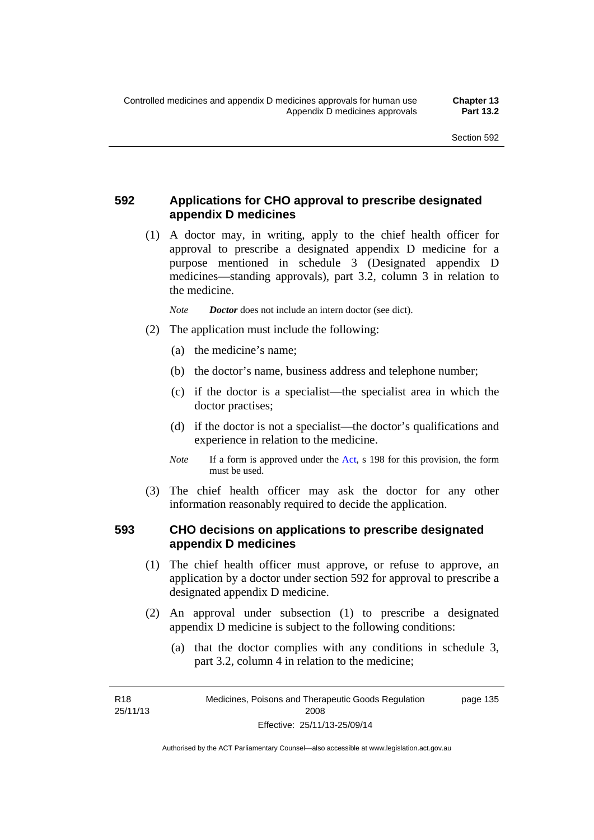## **592 Applications for CHO approval to prescribe designated appendix D medicines**

 (1) A doctor may, in writing, apply to the chief health officer for approval to prescribe a designated appendix D medicine for a purpose mentioned in schedule 3 (Designated appendix D medicines—standing approvals), part 3.2, column 3 in relation to the medicine.

*Note Doctor* does not include an intern doctor (see dict).

- (2) The application must include the following:
	- (a) the medicine's name;
	- (b) the doctor's name, business address and telephone number;
	- (c) if the doctor is a specialist—the specialist area in which the doctor practises;
	- (d) if the doctor is not a specialist—the doctor's qualifications and experience in relation to the medicine.
	- *Note* If a form is approved under the [Act](http://www.legislation.act.gov.au/a/2008-26/default.asp), s 198 for this provision, the form must be used.
- (3) The chief health officer may ask the doctor for any other information reasonably required to decide the application.

## **593 CHO decisions on applications to prescribe designated appendix D medicines**

- (1) The chief health officer must approve, or refuse to approve, an application by a doctor under section 592 for approval to prescribe a designated appendix D medicine.
- (2) An approval under subsection (1) to prescribe a designated appendix D medicine is subject to the following conditions:
	- (a) that the doctor complies with any conditions in schedule 3, part 3.2, column 4 in relation to the medicine;

R18 25/11/13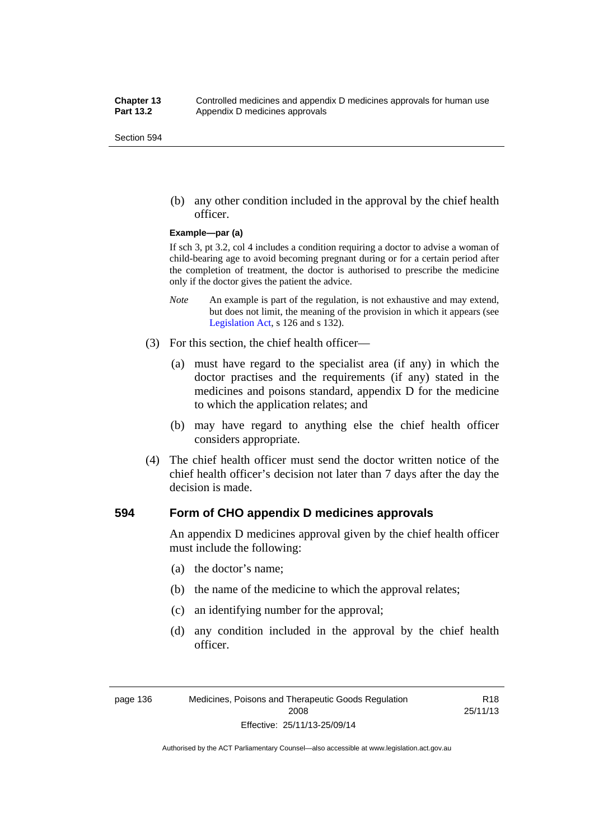(b) any other condition included in the approval by the chief health officer.

#### **Example—par (a)**

If sch 3, pt 3.2, col 4 includes a condition requiring a doctor to advise a woman of child-bearing age to avoid becoming pregnant during or for a certain period after the completion of treatment, the doctor is authorised to prescribe the medicine only if the doctor gives the patient the advice.

- *Note* An example is part of the regulation, is not exhaustive and may extend, but does not limit, the meaning of the provision in which it appears (see [Legislation Act,](http://www.legislation.act.gov.au/a/2001-14) s 126 and s 132).
- (3) For this section, the chief health officer—
	- (a) must have regard to the specialist area (if any) in which the doctor practises and the requirements (if any) stated in the medicines and poisons standard, appendix D for the medicine to which the application relates; and
	- (b) may have regard to anything else the chief health officer considers appropriate.
- (4) The chief health officer must send the doctor written notice of the chief health officer's decision not later than 7 days after the day the decision is made.

#### **594 Form of CHO appendix D medicines approvals**

An appendix D medicines approval given by the chief health officer must include the following:

- (a) the doctor's name;
- (b) the name of the medicine to which the approval relates;
- (c) an identifying number for the approval;
- (d) any condition included in the approval by the chief health officer.

R18 25/11/13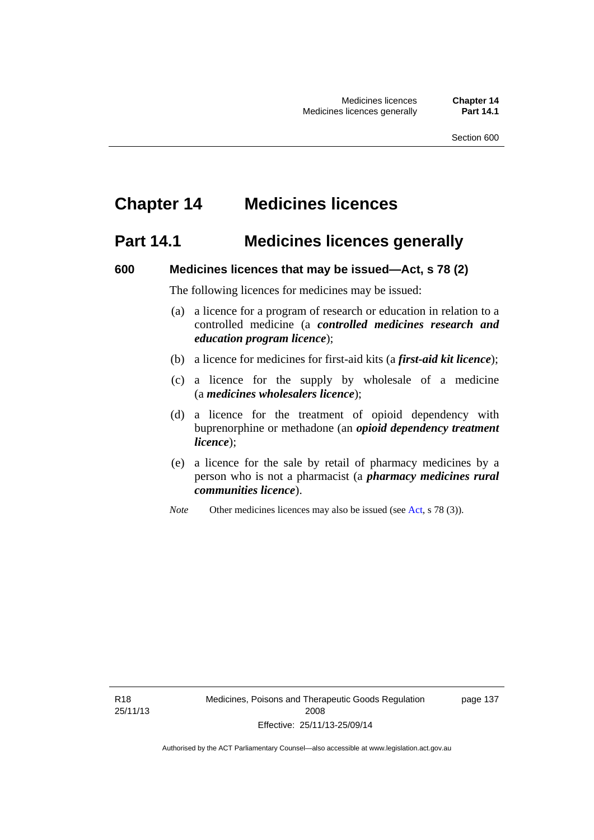# **Chapter 14 Medicines licences**

## **Part 14.1 Medicines licences generally**

#### **600 Medicines licences that may be issued—Act, s 78 (2)**

The following licences for medicines may be issued:

- (a) a licence for a program of research or education in relation to a controlled medicine (a *controlled medicines research and education program licence*);
- (b) a licence for medicines for first-aid kits (a *first-aid kit licence*);
- (c) a licence for the supply by wholesale of a medicine (a *medicines wholesalers licence*);
- (d) a licence for the treatment of opioid dependency with buprenorphine or methadone (an *opioid dependency treatment licence*);
- (e) a licence for the sale by retail of pharmacy medicines by a person who is not a pharmacist (a *pharmacy medicines rural communities licence*).
- *Note* Other medicines licences may also be issued (see [Act,](http://www.legislation.act.gov.au/a/2008-26/default.asp) s 78 (3)).

R18 25/11/13 page 137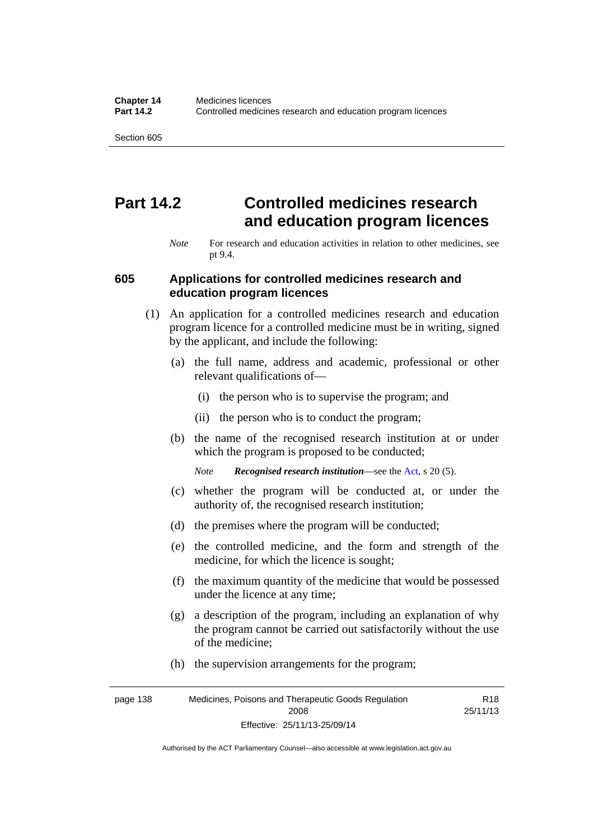# **Part 14.2 Controlled medicines research and education program licences**

*Note* For research and education activities in relation to other medicines, see pt 9.4.

#### **605 Applications for controlled medicines research and education program licences**

- (1) An application for a controlled medicines research and education program licence for a controlled medicine must be in writing, signed by the applicant, and include the following:
	- (a) the full name, address and academic, professional or other relevant qualifications of—
		- (i) the person who is to supervise the program; and
		- (ii) the person who is to conduct the program;
	- (b) the name of the recognised research institution at or under which the program is proposed to be conducted;
		- *Note Recognised research institution*—see the [Act](http://www.legislation.act.gov.au/a/2008-26/default.asp), s 20 (5).
	- (c) whether the program will be conducted at, or under the authority of, the recognised research institution;
	- (d) the premises where the program will be conducted;
	- (e) the controlled medicine, and the form and strength of the medicine, for which the licence is sought;
	- (f) the maximum quantity of the medicine that would be possessed under the licence at any time;
	- (g) a description of the program, including an explanation of why the program cannot be carried out satisfactorily without the use of the medicine;
	- (h) the supervision arrangements for the program;

page 138 Medicines, Poisons and Therapeutic Goods Regulation 2008 Effective: 25/11/13-25/09/14 R18 25/11/13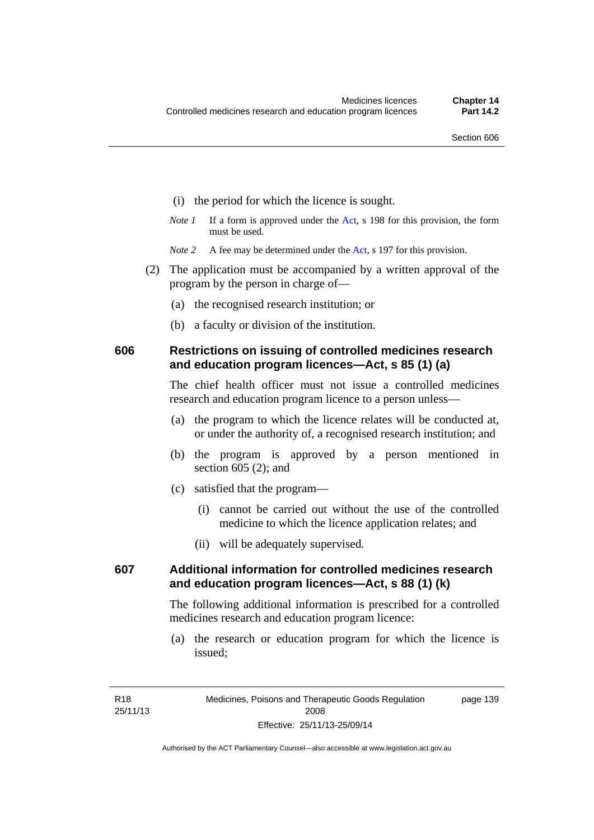- (i) the period for which the licence is sought.
- *Note 1* If a form is approved under the [Act](http://www.legislation.act.gov.au/a/2008-26/default.asp), s 198 for this provision, the form must be used.
- *Note* 2 A fee may be determined under the [Act,](http://www.legislation.act.gov.au/a/2008-26/default.asp) s 197 for this provision.
- (2) The application must be accompanied by a written approval of the program by the person in charge of—
	- (a) the recognised research institution; or
	- (b) a faculty or division of the institution.

### **606 Restrictions on issuing of controlled medicines research and education program licences—Act, s 85 (1) (a)**

The chief health officer must not issue a controlled medicines research and education program licence to a person unless—

- (a) the program to which the licence relates will be conducted at, or under the authority of, a recognised research institution; and
- (b) the program is approved by a person mentioned in section 605 (2); and
- (c) satisfied that the program—
	- (i) cannot be carried out without the use of the controlled medicine to which the licence application relates; and
	- (ii) will be adequately supervised.

## **607 Additional information for controlled medicines research and education program licences—Act, s 88 (1) (k)**

The following additional information is prescribed for a controlled medicines research and education program licence:

 (a) the research or education program for which the licence is issued;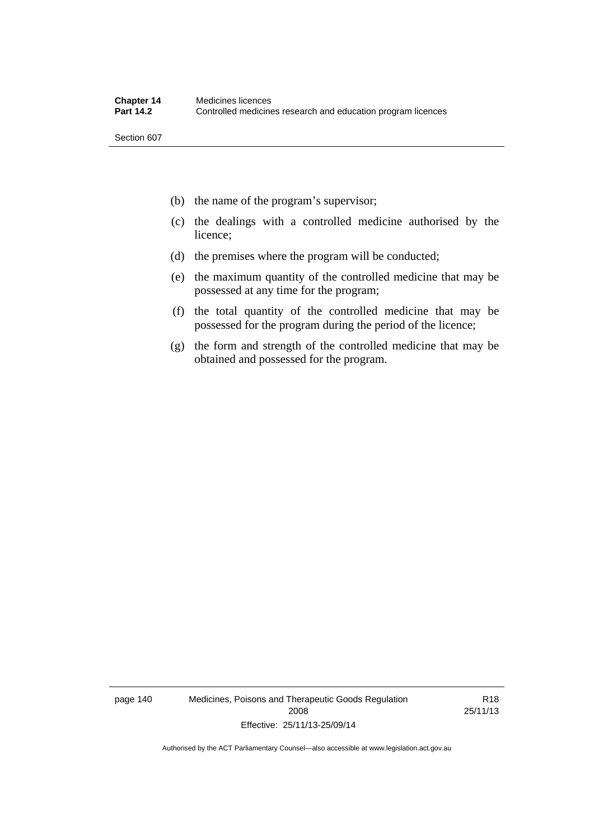- (b) the name of the program's supervisor;
- (c) the dealings with a controlled medicine authorised by the licence;
- (d) the premises where the program will be conducted;
- (e) the maximum quantity of the controlled medicine that may be possessed at any time for the program;
- (f) the total quantity of the controlled medicine that may be possessed for the program during the period of the licence;
- (g) the form and strength of the controlled medicine that may be obtained and possessed for the program.

page 140 Medicines, Poisons and Therapeutic Goods Regulation 2008 Effective: 25/11/13-25/09/14

R18 25/11/13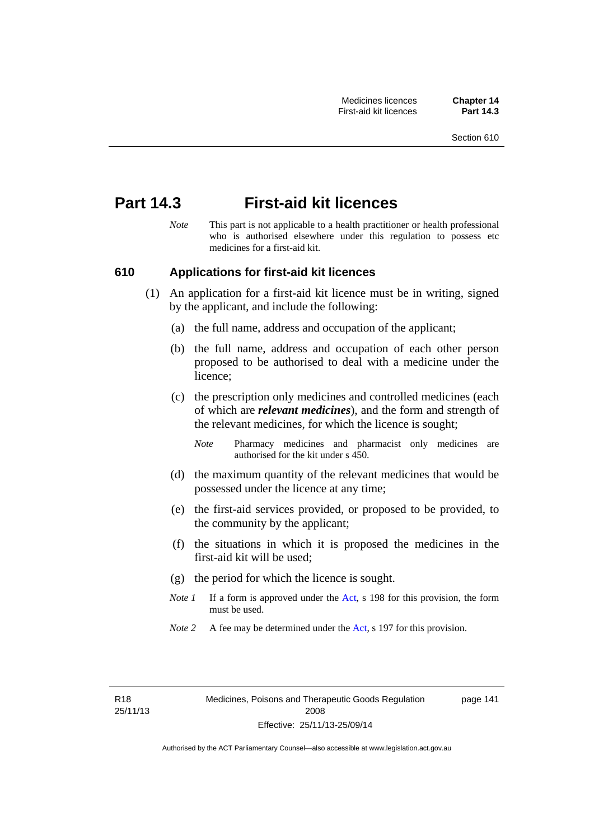## **Part 14.3 First-aid kit licences**

*Note* This part is not applicable to a health practitioner or health professional who is authorised elsewhere under this regulation to possess etc medicines for a first-aid kit.

### **610 Applications for first-aid kit licences**

- (1) An application for a first-aid kit licence must be in writing, signed by the applicant, and include the following:
	- (a) the full name, address and occupation of the applicant;
	- (b) the full name, address and occupation of each other person proposed to be authorised to deal with a medicine under the licence;
	- (c) the prescription only medicines and controlled medicines (each of which are *relevant medicines*), and the form and strength of the relevant medicines, for which the licence is sought;
		- *Note* Pharmacy medicines and pharmacist only medicines are authorised for the kit under s 450.
	- (d) the maximum quantity of the relevant medicines that would be possessed under the licence at any time;
	- (e) the first-aid services provided, or proposed to be provided, to the community by the applicant;
	- (f) the situations in which it is proposed the medicines in the first-aid kit will be used;
	- (g) the period for which the licence is sought.
	- *Note 1* If a form is approved under the [Act](http://www.legislation.act.gov.au/a/2008-26/default.asp), s 198 for this provision, the form must be used.
	- *Note 2* A fee may be determined under the [Act,](http://www.legislation.act.gov.au/a/2008-26/default.asp) s 197 for this provision.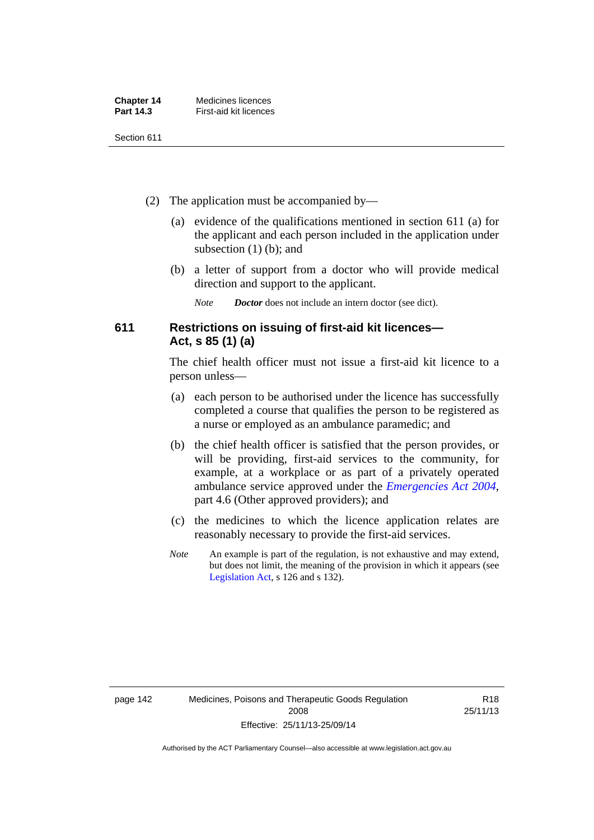| <b>Chapter 14</b> | Medicines licences     |
|-------------------|------------------------|
| <b>Part 14.3</b>  | First-aid kit licences |

- (2) The application must be accompanied by—
	- (a) evidence of the qualifications mentioned in section 611 (a) for the applicant and each person included in the application under subsection (1) (b); and
	- (b) a letter of support from a doctor who will provide medical direction and support to the applicant.
		- *Note Doctor* does not include an intern doctor (see dict).

## **611 Restrictions on issuing of first-aid kit licences— Act, s 85 (1) (a)**

The chief health officer must not issue a first-aid kit licence to a person unless—

- (a) each person to be authorised under the licence has successfully completed a course that qualifies the person to be registered as a nurse or employed as an ambulance paramedic; and
- (b) the chief health officer is satisfied that the person provides, or will be providing, first-aid services to the community, for example, at a workplace or as part of a privately operated ambulance service approved under the *[Emergencies Act 2004](http://www.legislation.act.gov.au/a/2004-28)*, part 4.6 (Other approved providers); and
- (c) the medicines to which the licence application relates are reasonably necessary to provide the first-aid services.
- *Note* An example is part of the regulation, is not exhaustive and may extend, but does not limit, the meaning of the provision in which it appears (see [Legislation Act,](http://www.legislation.act.gov.au/a/2001-14) s 126 and s 132).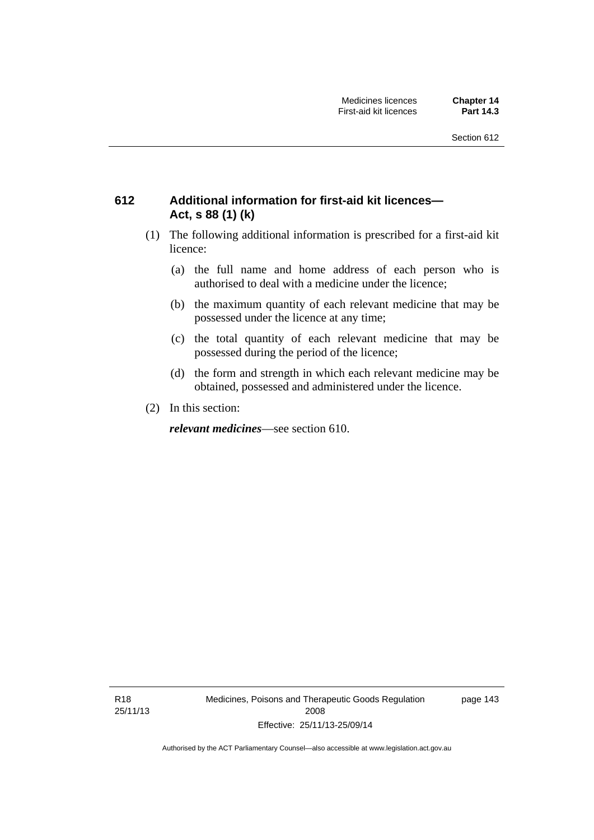## **612 Additional information for first-aid kit licences— Act, s 88 (1) (k)**

- (1) The following additional information is prescribed for a first-aid kit licence:
	- (a) the full name and home address of each person who is authorised to deal with a medicine under the licence;
	- (b) the maximum quantity of each relevant medicine that may be possessed under the licence at any time;
	- (c) the total quantity of each relevant medicine that may be possessed during the period of the licence;
	- (d) the form and strength in which each relevant medicine may be obtained, possessed and administered under the licence.
- (2) In this section:

*relevant medicines*—see section 610.

R18 25/11/13 Medicines, Poisons and Therapeutic Goods Regulation 2008 Effective: 25/11/13-25/09/14

page 143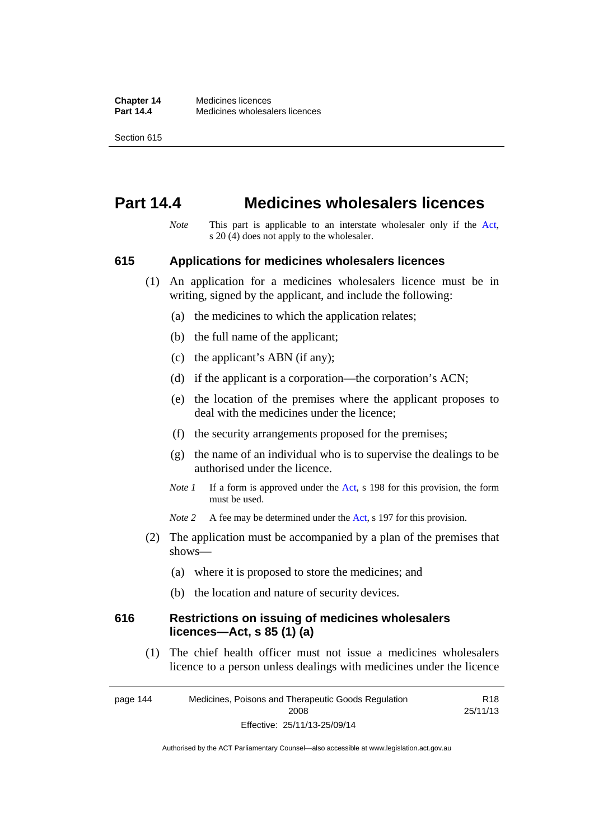# **Part 14.4 Medicines wholesalers licences**

*Note* This part is applicable to an interstate wholesaler only if the [Act,](http://www.legislation.act.gov.au/a/2008-26/default.asp) s 20 (4) does not apply to the wholesaler.

#### **615 Applications for medicines wholesalers licences**

- (1) An application for a medicines wholesalers licence must be in writing, signed by the applicant, and include the following:
	- (a) the medicines to which the application relates;
	- (b) the full name of the applicant;
	- (c) the applicant's ABN (if any);
	- (d) if the applicant is a corporation—the corporation's ACN;
	- (e) the location of the premises where the applicant proposes to deal with the medicines under the licence;
	- (f) the security arrangements proposed for the premises;
	- (g) the name of an individual who is to supervise the dealings to be authorised under the licence.
	- *Note 1* If a form is approved under the [Act](http://www.legislation.act.gov.au/a/2008-26/default.asp), s 198 for this provision, the form must be used.
	- *Note* 2 A fee may be determined under the [Act,](http://www.legislation.act.gov.au/a/2008-26/default.asp) s 197 for this provision.
- (2) The application must be accompanied by a plan of the premises that shows—
	- (a) where it is proposed to store the medicines; and
	- (b) the location and nature of security devices.

#### **616 Restrictions on issuing of medicines wholesalers licences—Act, s 85 (1) (a)**

 (1) The chief health officer must not issue a medicines wholesalers licence to a person unless dealings with medicines under the licence

page 144 Medicines, Poisons and Therapeutic Goods Regulation 2008 Effective: 25/11/13-25/09/14 R18 25/11/13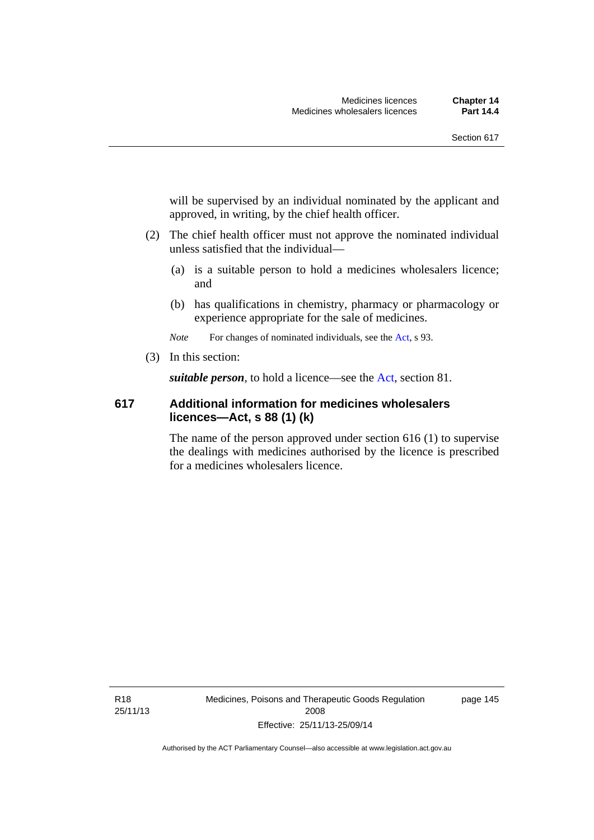will be supervised by an individual nominated by the applicant and approved, in writing, by the chief health officer.

- (2) The chief health officer must not approve the nominated individual unless satisfied that the individual—
	- (a) is a suitable person to hold a medicines wholesalers licence; and
	- (b) has qualifications in chemistry, pharmacy or pharmacology or experience appropriate for the sale of medicines.

*Note* For changes of nominated individuals, see the [Act,](http://www.legislation.act.gov.au/a/2008-26/default.asp) s 93.

(3) In this section:

*suitable person*, to hold a licence—see the [Act](http://www.legislation.act.gov.au/a/2008-26/default.asp), section 81.

### **617 Additional information for medicines wholesalers licences—Act, s 88 (1) (k)**

The name of the person approved under section 616 (1) to supervise the dealings with medicines authorised by the licence is prescribed for a medicines wholesalers licence.

R18 25/11/13 page 145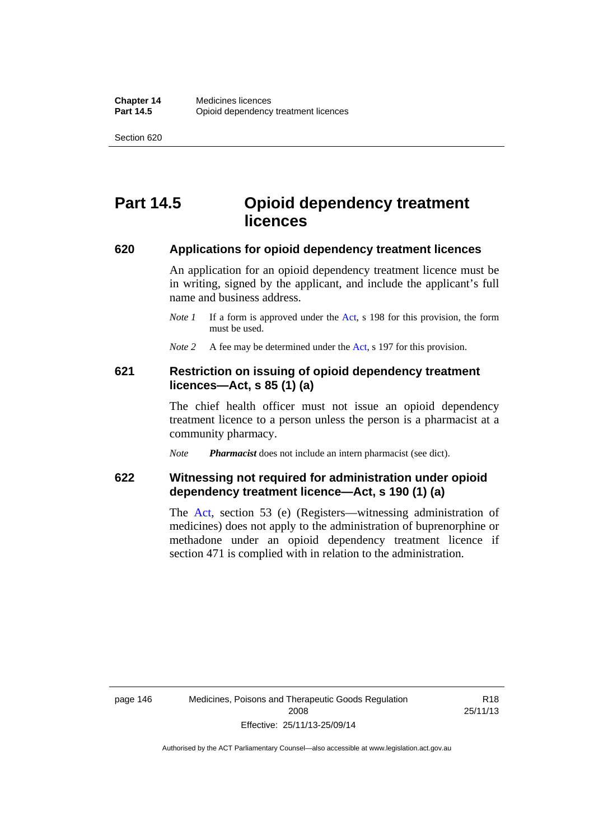# **Part 14.5 Opioid dependency treatment licences**

#### **620 Applications for opioid dependency treatment licences**

An application for an opioid dependency treatment licence must be in writing, signed by the applicant, and include the applicant's full name and business address.

- *Note 1* If a form is approved under the [Act](http://www.legislation.act.gov.au/a/2008-26/default.asp), s 198 for this provision, the form must be used.
- *Note 2* A fee may be determined under the [Act,](http://www.legislation.act.gov.au/a/2008-26/default.asp) s 197 for this provision.

### **621 Restriction on issuing of opioid dependency treatment licences—Act, s 85 (1) (a)**

The chief health officer must not issue an opioid dependency treatment licence to a person unless the person is a pharmacist at a community pharmacy.

*Note Pharmacist* does not include an intern pharmacist (see dict).

## **622 Witnessing not required for administration under opioid dependency treatment licence—Act, s 190 (1) (a)**

The [Act,](http://www.legislation.act.gov.au/a/2008-26/default.asp) section 53 (e) (Registers—witnessing administration of medicines) does not apply to the administration of buprenorphine or methadone under an opioid dependency treatment licence if section 471 is complied with in relation to the administration.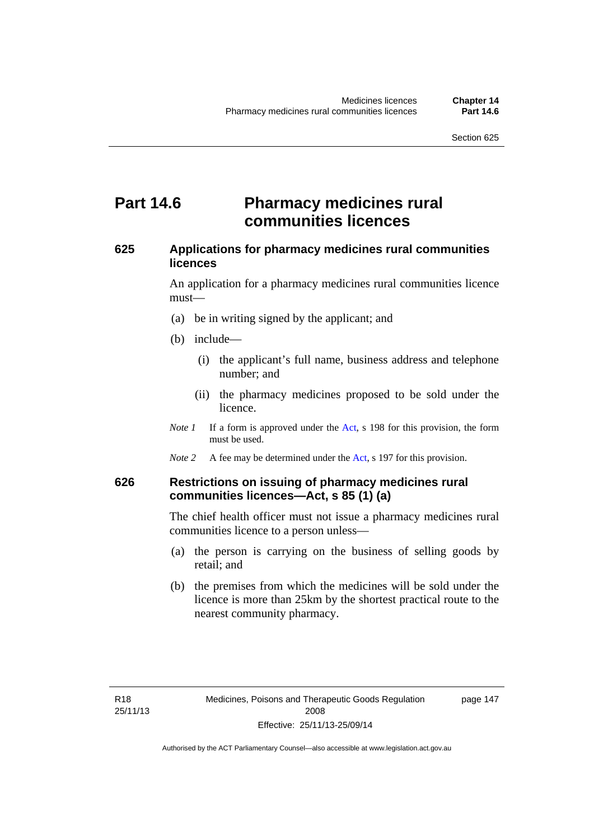## **Part 14.6 Pharmacy medicines rural communities licences**

## **625 Applications for pharmacy medicines rural communities licences**

An application for a pharmacy medicines rural communities licence must—

- (a) be in writing signed by the applicant; and
- (b) include—
	- (i) the applicant's full name, business address and telephone number; and
	- (ii) the pharmacy medicines proposed to be sold under the licence.
- *Note 1* If a form is approved under the [Act](http://www.legislation.act.gov.au/a/2008-26/default.asp), s 198 for this provision, the form must be used.
- *Note 2* A fee may be determined under the [Act,](http://www.legislation.act.gov.au/a/2008-26/default.asp) s 197 for this provision.

## **626 Restrictions on issuing of pharmacy medicines rural communities licences—Act, s 85 (1) (a)**

The chief health officer must not issue a pharmacy medicines rural communities licence to a person unless—

- (a) the person is carrying on the business of selling goods by retail; and
- (b) the premises from which the medicines will be sold under the licence is more than 25km by the shortest practical route to the nearest community pharmacy.

page 147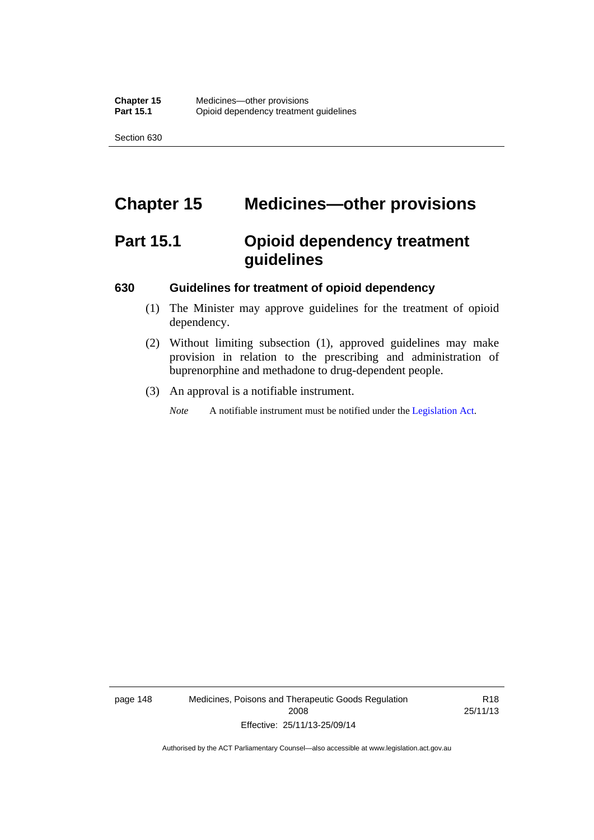# **Chapter 15 Medicines—other provisions**

# **Part 15.1 Opioid dependency treatment guidelines**

#### **630 Guidelines for treatment of opioid dependency**

- (1) The Minister may approve guidelines for the treatment of opioid dependency.
- (2) Without limiting subsection (1), approved guidelines may make provision in relation to the prescribing and administration of buprenorphine and methadone to drug-dependent people.
- (3) An approval is a notifiable instrument.

*Note* A notifiable instrument must be notified under the [Legislation Act](http://www.legislation.act.gov.au/a/2001-14).

page 148 Medicines, Poisons and Therapeutic Goods Regulation 2008 Effective: 25/11/13-25/09/14

R18 25/11/13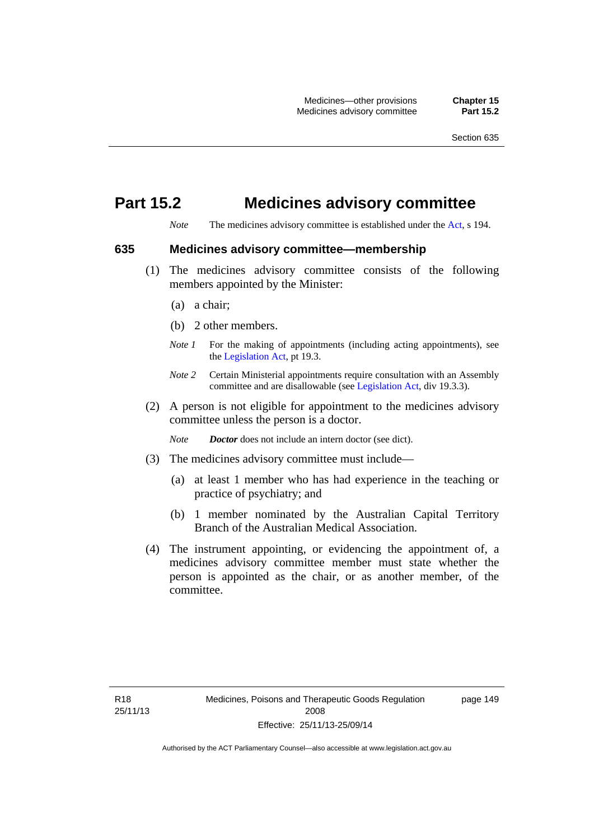## **Part 15.2 Medicines advisory committee**

*Note* The medicines advisory committee is established under the [Act](http://www.legislation.act.gov.au/a/2008-26/default.asp), s 194.

#### **635 Medicines advisory committee—membership**

- (1) The medicines advisory committee consists of the following members appointed by the Minister:
	- (a) a chair;
	- (b) 2 other members.
	- *Note 1* For the making of appointments (including acting appointments), see the [Legislation Act,](http://www.legislation.act.gov.au/a/2001-14) pt 19.3.
	- *Note 2* Certain Ministerial appointments require consultation with an Assembly committee and are disallowable (see [Legislation Act,](http://www.legislation.act.gov.au/a/2001-14) div 19.3.3).
- (2) A person is not eligible for appointment to the medicines advisory committee unless the person is a doctor.

*Note Doctor* does not include an intern doctor (see dict).

- (3) The medicines advisory committee must include—
	- (a) at least 1 member who has had experience in the teaching or practice of psychiatry; and
	- (b) 1 member nominated by the Australian Capital Territory Branch of the Australian Medical Association.
- (4) The instrument appointing, or evidencing the appointment of, a medicines advisory committee member must state whether the person is appointed as the chair, or as another member, of the committee.

page 149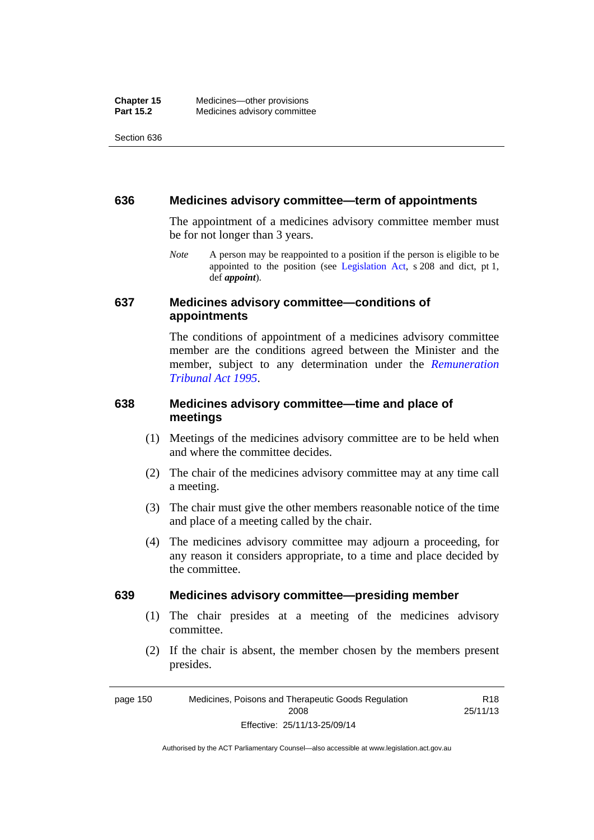#### **636 Medicines advisory committee—term of appointments**

The appointment of a medicines advisory committee member must be for not longer than 3 years.

*Note* A person may be reappointed to a position if the person is eligible to be appointed to the position (see [Legislation Act,](http://www.legislation.act.gov.au/a/2001-14) s 208 and dict, pt 1, def *appoint*).

#### **637 Medicines advisory committee—conditions of appointments**

The conditions of appointment of a medicines advisory committee member are the conditions agreed between the Minister and the member, subject to any determination under the *[Remuneration](http://www.legislation.act.gov.au/a/1995-55)  [Tribunal Act 1995](http://www.legislation.act.gov.au/a/1995-55)*.

### **638 Medicines advisory committee—time and place of meetings**

- (1) Meetings of the medicines advisory committee are to be held when and where the committee decides.
- (2) The chair of the medicines advisory committee may at any time call a meeting.
- (3) The chair must give the other members reasonable notice of the time and place of a meeting called by the chair.
- (4) The medicines advisory committee may adjourn a proceeding, for any reason it considers appropriate, to a time and place decided by the committee.

#### **639 Medicines advisory committee—presiding member**

- (1) The chair presides at a meeting of the medicines advisory committee.
- (2) If the chair is absent, the member chosen by the members present presides.

page 150 Medicines, Poisons and Therapeutic Goods Regulation 2008 Effective: 25/11/13-25/09/14 R18 25/11/13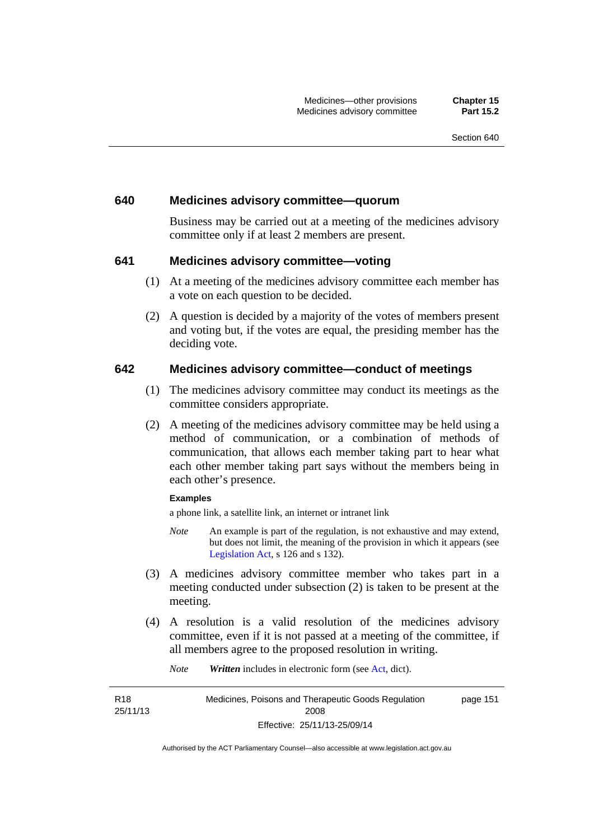#### **640 Medicines advisory committee—quorum**

Business may be carried out at a meeting of the medicines advisory committee only if at least 2 members are present.

#### **641 Medicines advisory committee—voting**

- (1) At a meeting of the medicines advisory committee each member has a vote on each question to be decided.
- (2) A question is decided by a majority of the votes of members present and voting but, if the votes are equal, the presiding member has the deciding vote.

#### **642 Medicines advisory committee—conduct of meetings**

- (1) The medicines advisory committee may conduct its meetings as the committee considers appropriate.
- (2) A meeting of the medicines advisory committee may be held using a method of communication, or a combination of methods of communication, that allows each member taking part to hear what each other member taking part says without the members being in each other's presence.

#### **Examples**

R18 25/11/13 a phone link, a satellite link, an internet or intranet link

- *Note* An example is part of the regulation, is not exhaustive and may extend, but does not limit, the meaning of the provision in which it appears (see [Legislation Act,](http://www.legislation.act.gov.au/a/2001-14) s 126 and s 132).
- (3) A medicines advisory committee member who takes part in a meeting conducted under subsection (2) is taken to be present at the meeting.
- (4) A resolution is a valid resolution of the medicines advisory committee, even if it is not passed at a meeting of the committee, if all members agree to the proposed resolution in writing.

*Note Written* includes in electronic form (see [Act,](http://www.legislation.act.gov.au/a/2008-26/default.asp) dict).

Medicines, Poisons and Therapeutic Goods Regulation 2008 Effective: 25/11/13-25/09/14 page 151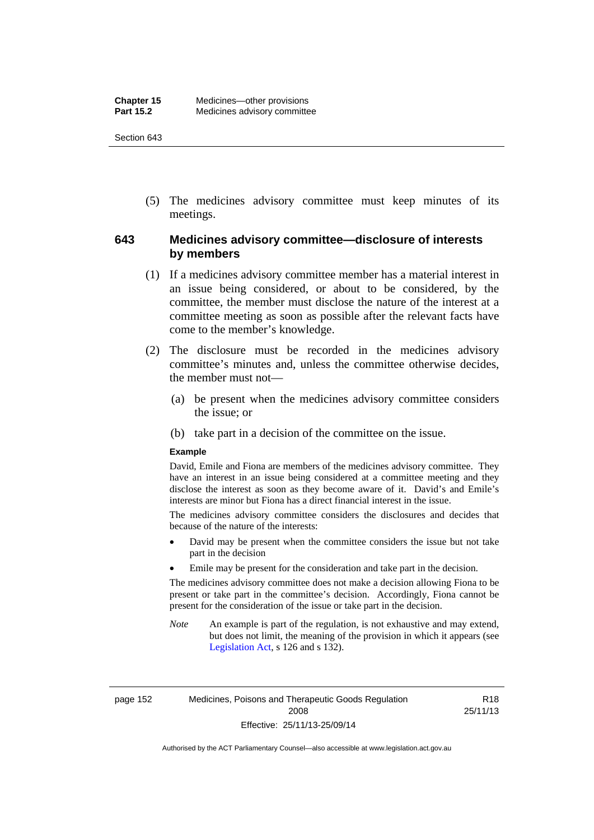(5) The medicines advisory committee must keep minutes of its meetings.

## **643 Medicines advisory committee—disclosure of interests by members**

- (1) If a medicines advisory committee member has a material interest in an issue being considered, or about to be considered, by the committee, the member must disclose the nature of the interest at a committee meeting as soon as possible after the relevant facts have come to the member's knowledge.
- (2) The disclosure must be recorded in the medicines advisory committee's minutes and, unless the committee otherwise decides, the member must not—
	- (a) be present when the medicines advisory committee considers the issue; or
	- (b) take part in a decision of the committee on the issue.

#### **Example**

David, Emile and Fiona are members of the medicines advisory committee. They have an interest in an issue being considered at a committee meeting and they disclose the interest as soon as they become aware of it. David's and Emile's interests are minor but Fiona has a direct financial interest in the issue.

The medicines advisory committee considers the disclosures and decides that because of the nature of the interests:

- David may be present when the committee considers the issue but not take part in the decision
- Emile may be present for the consideration and take part in the decision.

The medicines advisory committee does not make a decision allowing Fiona to be present or take part in the committee's decision. Accordingly, Fiona cannot be present for the consideration of the issue or take part in the decision.

*Note* An example is part of the regulation, is not exhaustive and may extend, but does not limit, the meaning of the provision in which it appears (see [Legislation Act,](http://www.legislation.act.gov.au/a/2001-14) s 126 and s 132).

page 152 Medicines, Poisons and Therapeutic Goods Regulation 2008 Effective: 25/11/13-25/09/14

R18 25/11/13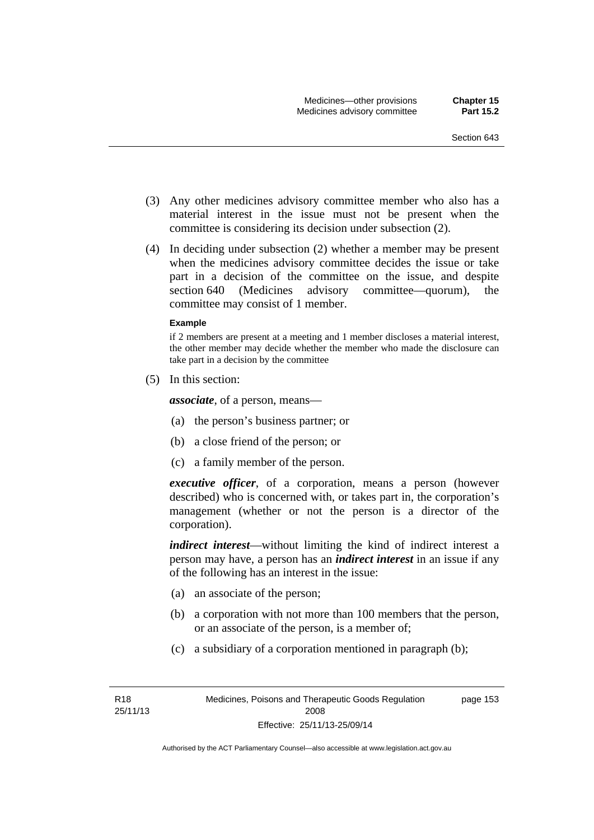- (3) Any other medicines advisory committee member who also has a material interest in the issue must not be present when the committee is considering its decision under subsection (2).
- (4) In deciding under subsection (2) whether a member may be present when the medicines advisory committee decides the issue or take part in a decision of the committee on the issue, and despite section 640 (Medicines advisory committee—quorum), the committee may consist of 1 member.

#### **Example**

if 2 members are present at a meeting and 1 member discloses a material interest, the other member may decide whether the member who made the disclosure can take part in a decision by the committee

(5) In this section:

*associate*, of a person, means—

- (a) the person's business partner; or
- (b) a close friend of the person; or
- (c) a family member of the person.

*executive officer*, of a corporation, means a person (however described) who is concerned with, or takes part in, the corporation's management (whether or not the person is a director of the corporation).

*indirect interest*—without limiting the kind of indirect interest a person may have, a person has an *indirect interest* in an issue if any of the following has an interest in the issue:

- (a) an associate of the person;
- (b) a corporation with not more than 100 members that the person, or an associate of the person, is a member of;
- (c) a subsidiary of a corporation mentioned in paragraph (b);

page 153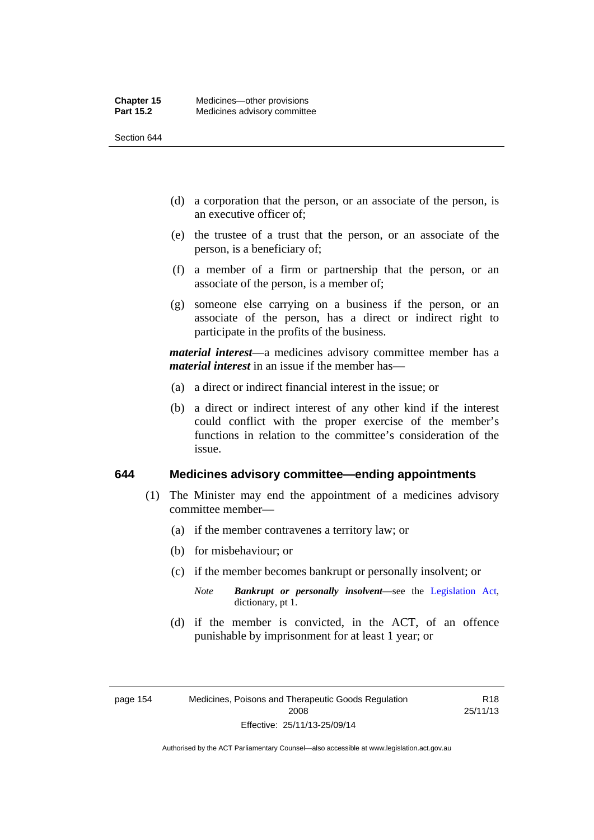- (d) a corporation that the person, or an associate of the person, is an executive officer of;
- (e) the trustee of a trust that the person, or an associate of the person, is a beneficiary of;
- (f) a member of a firm or partnership that the person, or an associate of the person, is a member of;
- (g) someone else carrying on a business if the person, or an associate of the person, has a direct or indirect right to participate in the profits of the business.

*material interest*—a medicines advisory committee member has a *material interest* in an issue if the member has—

- (a) a direct or indirect financial interest in the issue; or
- (b) a direct or indirect interest of any other kind if the interest could conflict with the proper exercise of the member's functions in relation to the committee's consideration of the issue.

#### **644 Medicines advisory committee—ending appointments**

- (1) The Minister may end the appointment of a medicines advisory committee member—
	- (a) if the member contravenes a territory law; or
	- (b) for misbehaviour; or
	- (c) if the member becomes bankrupt or personally insolvent; or
		- *Note Bankrupt or personally insolvent*—see the [Legislation Act,](http://www.legislation.act.gov.au/a/2001-14) dictionary, pt 1.
	- (d) if the member is convicted, in the ACT, of an offence punishable by imprisonment for at least 1 year; or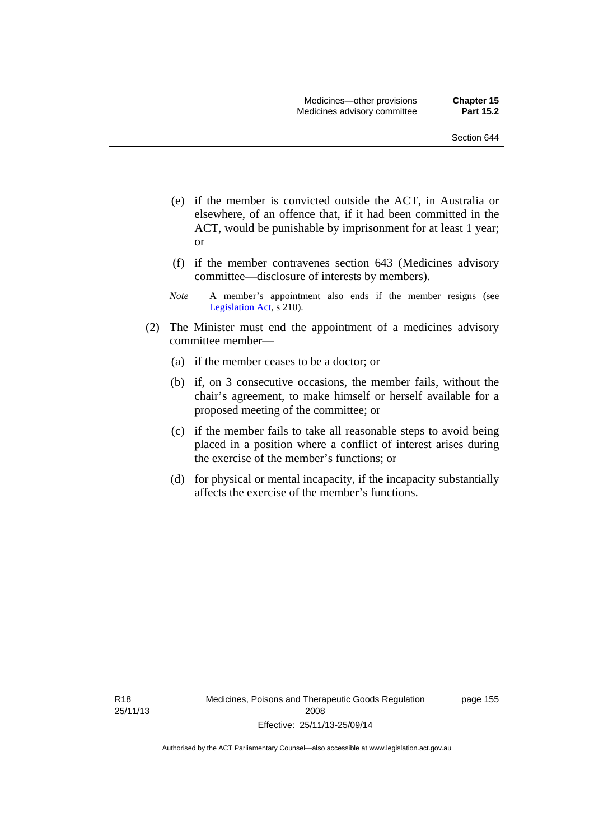- (e) if the member is convicted outside the ACT, in Australia or elsewhere, of an offence that, if it had been committed in the ACT, would be punishable by imprisonment for at least 1 year; or
- (f) if the member contravenes section 643 (Medicines advisory committee—disclosure of interests by members).
- *Note* A member's appointment also ends if the member resigns (see [Legislation Act,](http://www.legislation.act.gov.au/a/2001-14) s 210).
- (2) The Minister must end the appointment of a medicines advisory committee member—
	- (a) if the member ceases to be a doctor; or
	- (b) if, on 3 consecutive occasions, the member fails, without the chair's agreement, to make himself or herself available for a proposed meeting of the committee; or
	- (c) if the member fails to take all reasonable steps to avoid being placed in a position where a conflict of interest arises during the exercise of the member's functions; or
	- (d) for physical or mental incapacity, if the incapacity substantially affects the exercise of the member's functions.

R18 25/11/13 page 155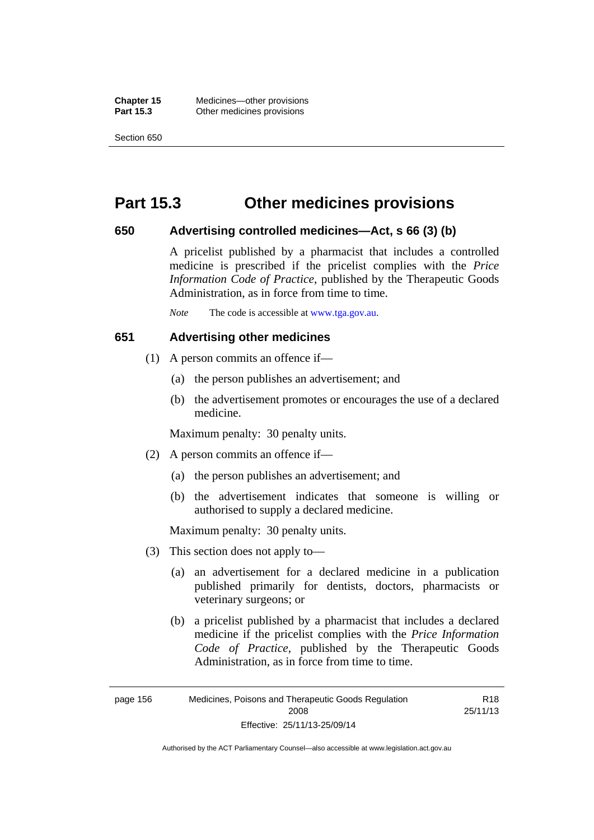**Chapter 15** Medicines—other provisions **Part 15.3 Other medicines provisions** 

Section 650

## **Part 15.3 Other medicines provisions**

### **650 Advertising controlled medicines—Act, s 66 (3) (b)**

A pricelist published by a pharmacist that includes a controlled medicine is prescribed if the pricelist complies with the *Price Information Code of Practice*, published by the Therapeutic Goods Administration, as in force from time to time.

*Note* The code is accessible at [www.tga.gov.au](http://www.tga.gov.au/).

## **651 Advertising other medicines**

- (1) A person commits an offence if—
	- (a) the person publishes an advertisement; and
	- (b) the advertisement promotes or encourages the use of a declared medicine.

Maximum penalty: 30 penalty units.

- (2) A person commits an offence if—
	- (a) the person publishes an advertisement; and
	- (b) the advertisement indicates that someone is willing or authorised to supply a declared medicine.

Maximum penalty: 30 penalty units.

- (3) This section does not apply to—
	- (a) an advertisement for a declared medicine in a publication published primarily for dentists, doctors, pharmacists or veterinary surgeons; or
	- (b) a pricelist published by a pharmacist that includes a declared medicine if the pricelist complies with the *Price Information Code of Practice*, published by the Therapeutic Goods Administration, as in force from time to time.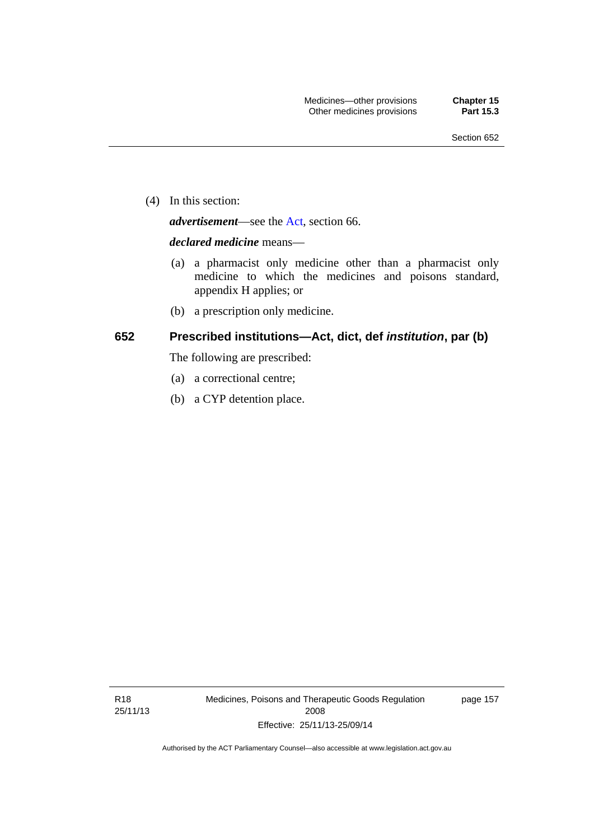(4) In this section:

*advertisement*—see the [Act,](http://www.legislation.act.gov.au/a/2008-26/default.asp) section 66.

#### *declared medicine* means—

- (a) a pharmacist only medicine other than a pharmacist only medicine to which the medicines and poisons standard, appendix H applies; or
- (b) a prescription only medicine.

#### **652 Prescribed institutions—Act, dict, def** *institution***, par (b)**

The following are prescribed:

- (a) a correctional centre;
- (b) a CYP detention place.

R18 25/11/13 Medicines, Poisons and Therapeutic Goods Regulation 2008 Effective: 25/11/13-25/09/14

page 157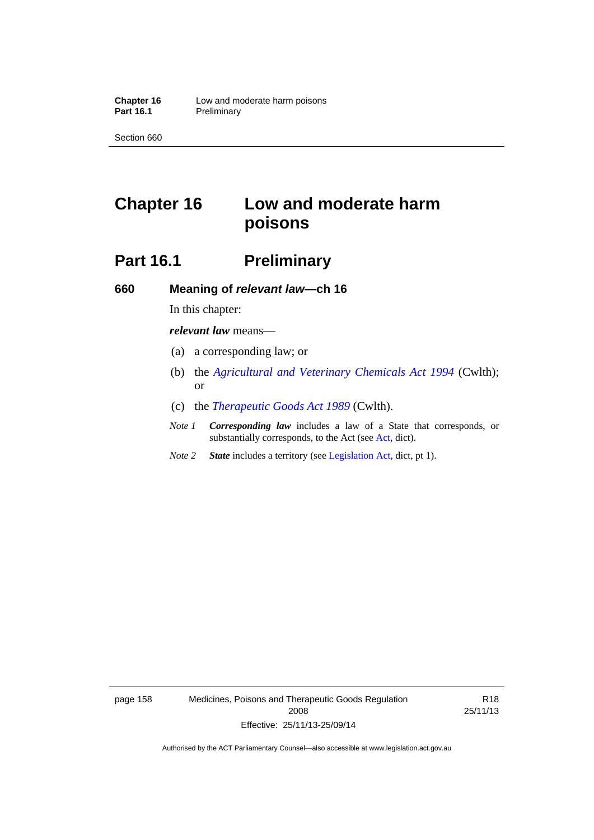# **Chapter 16 Low and moderate harm poisons**

# **Part 16.1** Preliminary

**660 Meaning of** *relevant law***—ch 16** 

In this chapter:

*relevant law* means—

- (a) a corresponding law; or
- (b) the *[Agricultural and Veterinary Chemicals Act 1994](http://www.comlaw.gov.au/Series/C2004A04712)* (Cwlth); or
- (c) the *[Therapeutic Goods Act 1989](http://www.comlaw.gov.au/Series/C2004A03952)* (Cwlth).
- *Note 1 Corresponding law* includes a law of a State that corresponds, or substantially corresponds, to the Act (see [Act](http://www.legislation.act.gov.au/a/2008-26/default.asp), dict).
- *Note 2 State* includes a territory (see [Legislation Act,](http://www.legislation.act.gov.au/a/2001-14) dict, pt 1).

page 158 Medicines, Poisons and Therapeutic Goods Regulation 2008 Effective: 25/11/13-25/09/14

R18 25/11/13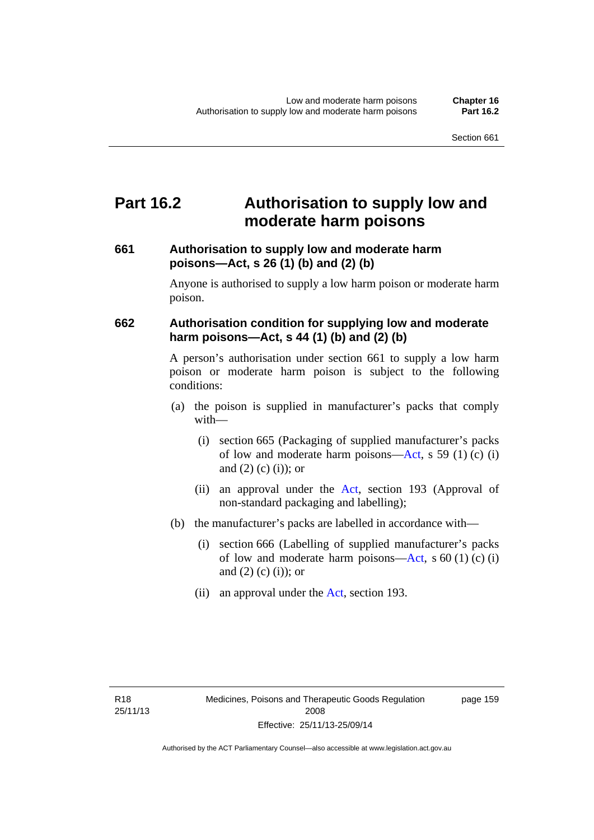## **Part 16.2 Authorisation to supply low and moderate harm poisons**

### **661 Authorisation to supply low and moderate harm poisons—Act, s 26 (1) (b) and (2) (b)**

Anyone is authorised to supply a low harm poison or moderate harm poison.

### **662 Authorisation condition for supplying low and moderate harm poisons—Act, s 44 (1) (b) and (2) (b)**

A person's authorisation under section 661 to supply a low harm poison or moderate harm poison is subject to the following conditions:

- (a) the poison is supplied in manufacturer's packs that comply with—
	- (i) section 665 (Packaging of supplied manufacturer's packs of low and moderate harm poisons—[Act](http://www.legislation.act.gov.au/a/2008-26/default.asp), s 59 (1) (c) (i) and  $(2)$  (c)  $(i)$ ; or
	- (ii) an approval under the [Act](http://www.legislation.act.gov.au/a/2008-26/default.asp), section 193 (Approval of non-standard packaging and labelling);
- (b) the manufacturer's packs are labelled in accordance with—
	- (i) section 666 (Labelling of supplied manufacturer's packs of low and moderate harm poisons—[Act](http://www.legislation.act.gov.au/a/2008-26/default.asp), s  $60(1)(c)(i)$ and  $(2)$  (c)  $(i)$ ; or
	- (ii) an approval under the [Act,](http://www.legislation.act.gov.au/a/2008-26/default.asp) section 193.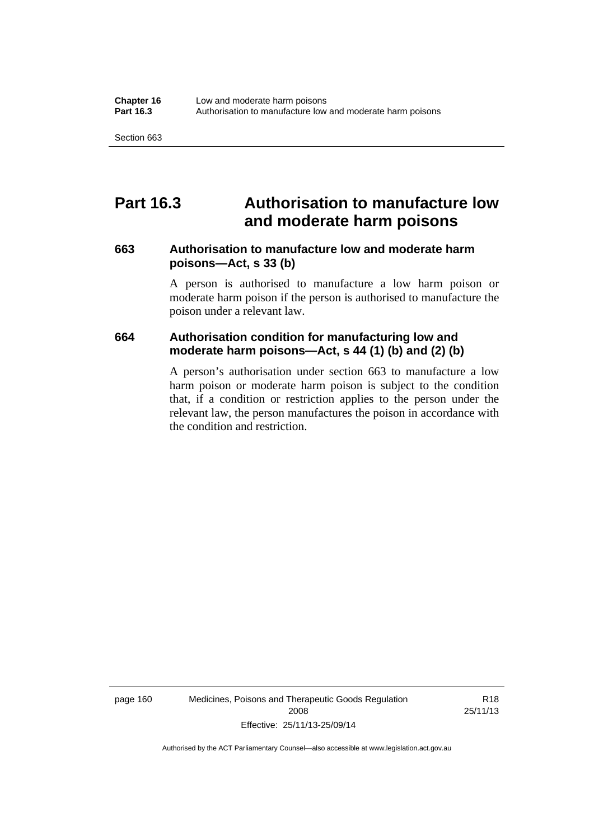## **Part 16.3 Authorisation to manufacture low and moderate harm poisons**

#### **663 Authorisation to manufacture low and moderate harm poisons—Act, s 33 (b)**

A person is authorised to manufacture a low harm poison or moderate harm poison if the person is authorised to manufacture the poison under a relevant law.

#### **664 Authorisation condition for manufacturing low and moderate harm poisons—Act, s 44 (1) (b) and (2) (b)**

A person's authorisation under section 663 to manufacture a low harm poison or moderate harm poison is subject to the condition that, if a condition or restriction applies to the person under the relevant law, the person manufactures the poison in accordance with the condition and restriction.

page 160 Medicines, Poisons and Therapeutic Goods Regulation 2008 Effective: 25/11/13-25/09/14

R18 25/11/13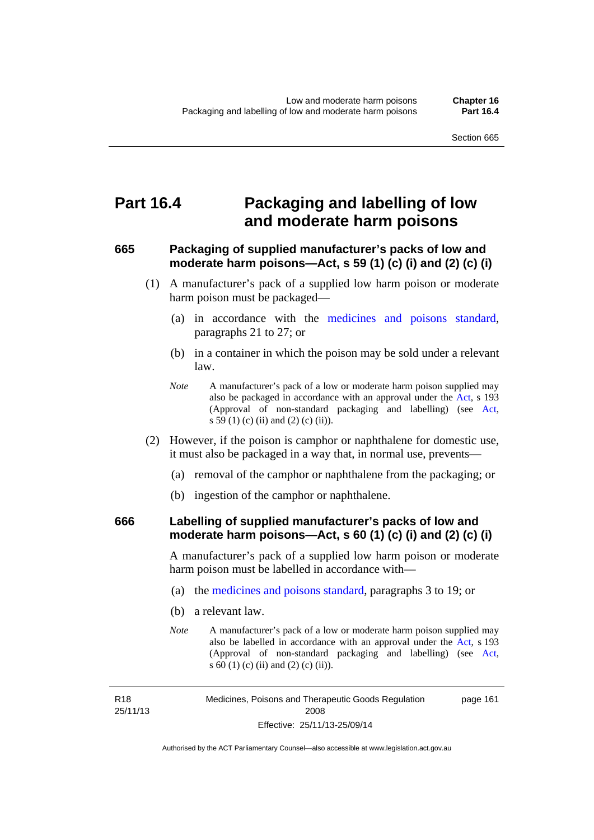## **Part 16.4 Packaging and labelling of low and moderate harm poisons**

### **665 Packaging of supplied manufacturer's packs of low and moderate harm poisons—Act, s 59 (1) (c) (i) and (2) (c) (i)**

- (1) A manufacturer's pack of a supplied low harm poison or moderate harm poison must be packaged—
	- (a) in accordance with the [medicines and poisons standard](http://www.comlaw.gov.au/Series/F2012L01200), paragraphs 21 to 27; or
	- (b) in a container in which the poison may be sold under a relevant law.
	- *Note* A manufacturer's pack of a low or moderate harm poison supplied may also be packaged in accordance with an approval under the [Act](http://www.legislation.act.gov.au/a/2008-26/default.asp), s 193 (Approval of non-standard packaging and labelling) (see [Act,](http://www.legislation.act.gov.au/a/2008-26/default.asp) s 59 (1) (c) (ii) and (2) (c) (ii)).
- (2) However, if the poison is camphor or naphthalene for domestic use, it must also be packaged in a way that, in normal use, prevents—
	- (a) removal of the camphor or naphthalene from the packaging; or
	- (b) ingestion of the camphor or naphthalene.

#### **666 Labelling of supplied manufacturer's packs of low and moderate harm poisons—Act, s 60 (1) (c) (i) and (2) (c) (i)**

A manufacturer's pack of a supplied low harm poison or moderate harm poison must be labelled in accordance with—

- (a) the [medicines and poisons standard](http://www.comlaw.gov.au/Series/F2012L01200), paragraphs 3 to 19; or
- (b) a relevant law.
- *Note* A manufacturer's pack of a low or moderate harm poison supplied may also be labelled in accordance with an approval under the [Act](http://www.legislation.act.gov.au/a/2008-26/default.asp), s 193 (Approval of non-standard packaging and labelling) (see [Act,](http://www.legislation.act.gov.au/a/2008-26/default.asp) s 60 (1) (c) (ii) and (2) (c) (ii)).

R18 25/11/13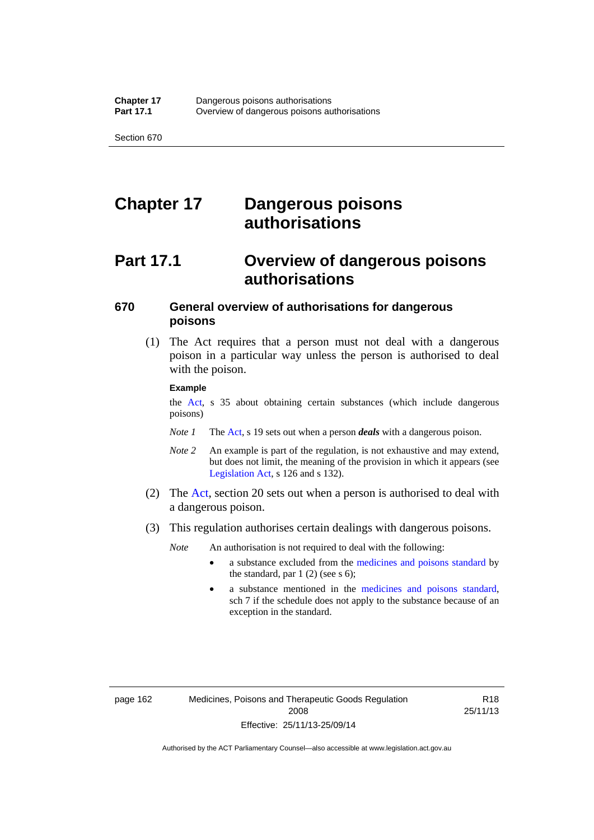# **Chapter 17 Dangerous poisons authorisations**

# **Part 17.1 Overview of dangerous poisons authorisations**

### **670 General overview of authorisations for dangerous poisons**

 (1) The Act requires that a person must not deal with a dangerous poison in a particular way unless the person is authorised to deal with the poison.

#### **Example**

the [Act,](http://www.legislation.act.gov.au/a/2008-26/default.asp) s 35 about obtaining certain substances (which include dangerous poisons)

- *Note 1* The [Act,](http://www.legislation.act.gov.au/a/2008-26/default.asp) s 19 sets out when a person *deals* with a dangerous poison.
- *Note 2* An example is part of the regulation, is not exhaustive and may extend, but does not limit, the meaning of the provision in which it appears (see [Legislation Act,](http://www.legislation.act.gov.au/a/2001-14) s 126 and s 132).
- (2) The [Act](http://www.legislation.act.gov.au/a/2008-26/default.asp), section 20 sets out when a person is authorised to deal with a dangerous poison.
- (3) This regulation authorises certain dealings with dangerous poisons.

*Note* An authorisation is not required to deal with the following:

- a substance excluded from the [medicines and poisons standard](http://www.comlaw.gov.au/Series/F2012L01200) by the standard, par  $1(2)$  (see s 6);
- a substance mentioned in the [medicines and poisons standard,](http://www.comlaw.gov.au/Series/F2012L01200) sch 7 if the schedule does not apply to the substance because of an exception in the standard.

R18 25/11/13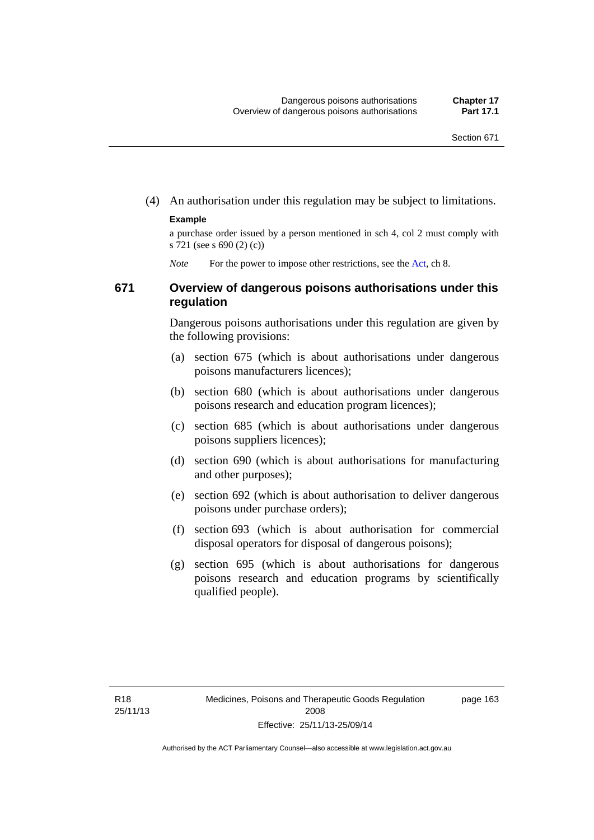(4) An authorisation under this regulation may be subject to limitations.

#### **Example**

a purchase order issued by a person mentioned in sch 4, col 2 must comply with s 721 (see s 690 (2) (c))

*Note* For the power to impose other restrictions, see the [Act](http://www.legislation.act.gov.au/a/2008-26/default.asp), ch 8.

#### **671 Overview of dangerous poisons authorisations under this regulation**

Dangerous poisons authorisations under this regulation are given by the following provisions:

- (a) section 675 (which is about authorisations under dangerous poisons manufacturers licences);
- (b) section 680 (which is about authorisations under dangerous poisons research and education program licences);
- (c) section 685 (which is about authorisations under dangerous poisons suppliers licences);
- (d) section 690 (which is about authorisations for manufacturing and other purposes);
- (e) section 692 (which is about authorisation to deliver dangerous poisons under purchase orders);
- (f) section 693 (which is about authorisation for commercial disposal operators for disposal of dangerous poisons);
- (g) section 695 (which is about authorisations for dangerous poisons research and education programs by scientifically qualified people).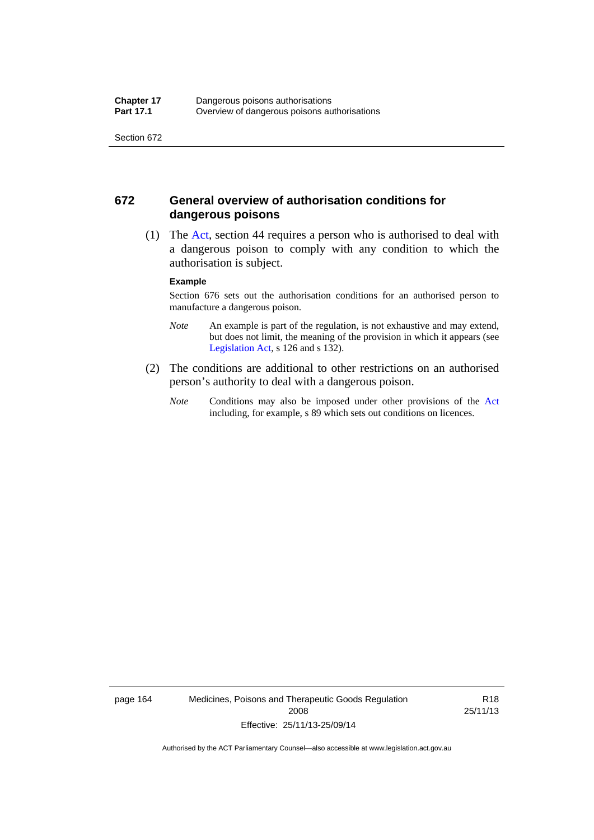#### **672 General overview of authorisation conditions for dangerous poisons**

 (1) The [Act](http://www.legislation.act.gov.au/a/2008-26/default.asp), section 44 requires a person who is authorised to deal with a dangerous poison to comply with any condition to which the authorisation is subject.

#### **Example**

Section 676 sets out the authorisation conditions for an authorised person to manufacture a dangerous poison.

- *Note* An example is part of the regulation, is not exhaustive and may extend, but does not limit, the meaning of the provision in which it appears (see [Legislation Act,](http://www.legislation.act.gov.au/a/2001-14) s 126 and s 132).
- (2) The conditions are additional to other restrictions on an authorised person's authority to deal with a dangerous poison.
	- *Note* Conditions may also be imposed under other provisions of the [Act](http://www.legislation.act.gov.au/a/2008-26/default.asp) including, for example, s 89 which sets out conditions on licences.

page 164 Medicines, Poisons and Therapeutic Goods Regulation 2008 Effective: 25/11/13-25/09/14

R18 25/11/13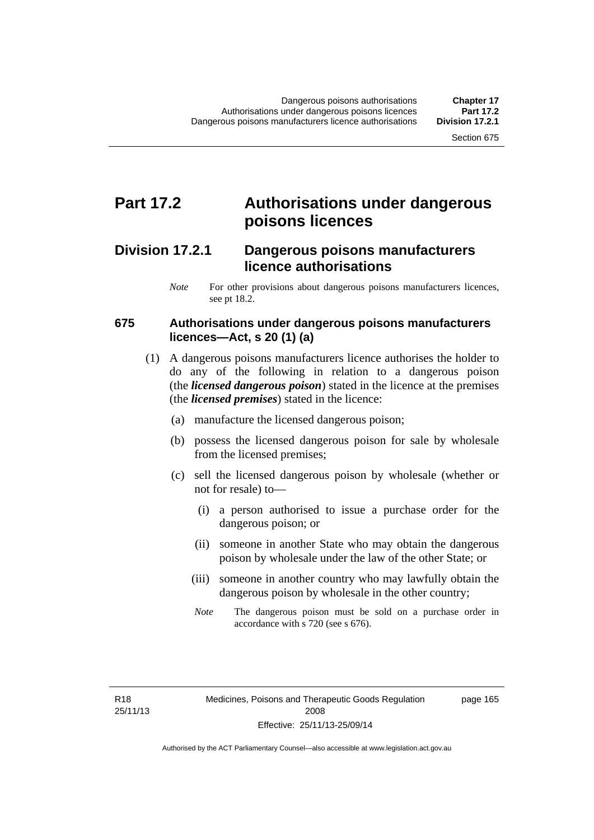### **Part 17.2 Authorisations under dangerous poisons licences**

### **Division 17.2.1 Dangerous poisons manufacturers licence authorisations**

*Note* For other provisions about dangerous poisons manufacturers licences, see pt 18.2.

#### **675 Authorisations under dangerous poisons manufacturers licences—Act, s 20 (1) (a)**

- (1) A dangerous poisons manufacturers licence authorises the holder to do any of the following in relation to a dangerous poison (the *licensed dangerous poison*) stated in the licence at the premises (the *licensed premises*) stated in the licence:
	- (a) manufacture the licensed dangerous poison;
	- (b) possess the licensed dangerous poison for sale by wholesale from the licensed premises;
	- (c) sell the licensed dangerous poison by wholesale (whether or not for resale) to—
		- (i) a person authorised to issue a purchase order for the dangerous poison; or
		- (ii) someone in another State who may obtain the dangerous poison by wholesale under the law of the other State; or
		- (iii) someone in another country who may lawfully obtain the dangerous poison by wholesale in the other country;
		- *Note* The dangerous poison must be sold on a purchase order in accordance with s 720 (see s 676).

R18 25/11/13 page 165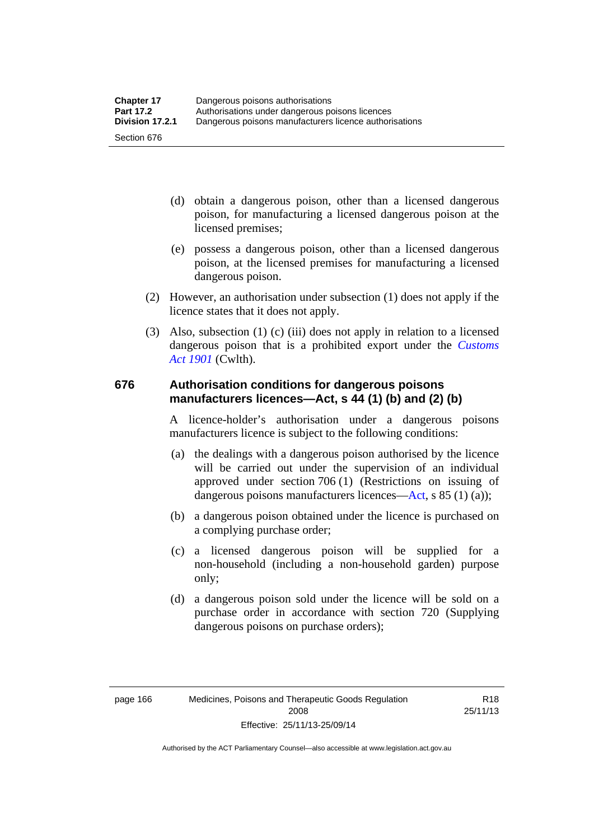- (d) obtain a dangerous poison, other than a licensed dangerous poison, for manufacturing a licensed dangerous poison at the licensed premises;
- (e) possess a dangerous poison, other than a licensed dangerous poison, at the licensed premises for manufacturing a licensed dangerous poison.
- (2) However, an authorisation under subsection (1) does not apply if the licence states that it does not apply.
- (3) Also, subsection (1) (c) (iii) does not apply in relation to a licensed dangerous poison that is a prohibited export under the *[Customs](http://www.comlaw.gov.au/Series/C1901A00006)  [Act 1901](http://www.comlaw.gov.au/Series/C1901A00006)* (Cwlth).

#### **676 Authorisation conditions for dangerous poisons manufacturers licences—Act, s 44 (1) (b) and (2) (b)**

A licence-holder's authorisation under a dangerous poisons manufacturers licence is subject to the following conditions:

- (a) the dealings with a dangerous poison authorised by the licence will be carried out under the supervision of an individual approved under section 706 (1) (Restrictions on issuing of dangerous poisons manufacturers licences[—Act,](http://www.legislation.act.gov.au/a/2008-26/default.asp) s 85 (1) (a));
- (b) a dangerous poison obtained under the licence is purchased on a complying purchase order;
- (c) a licensed dangerous poison will be supplied for a non-household (including a non-household garden) purpose only;
- (d) a dangerous poison sold under the licence will be sold on a purchase order in accordance with section 720 (Supplying dangerous poisons on purchase orders);

Authorised by the ACT Parliamentary Counsel—also accessible at www.legislation.act.gov.au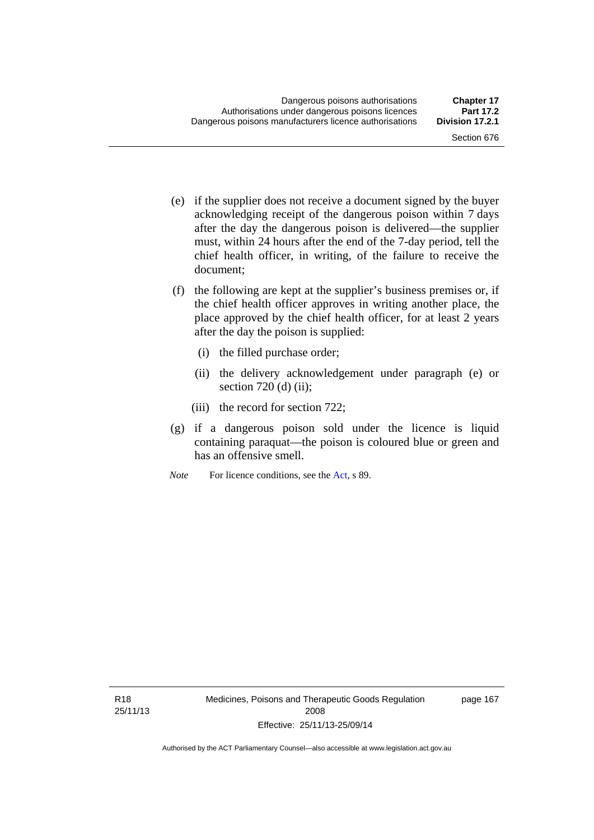- (e) if the supplier does not receive a document signed by the buyer acknowledging receipt of the dangerous poison within 7 days after the day the dangerous poison is delivered—the supplier must, within 24 hours after the end of the 7-day period, tell the chief health officer, in writing, of the failure to receive the document;
- (f) the following are kept at the supplier's business premises or, if the chief health officer approves in writing another place, the place approved by the chief health officer, for at least 2 years after the day the poison is supplied:
	- (i) the filled purchase order;
	- (ii) the delivery acknowledgement under paragraph (e) or section  $720$  (d) (ii);
	- (iii) the record for section 722;
- (g) if a dangerous poison sold under the licence is liquid containing paraquat—the poison is coloured blue or green and has an offensive smell.
- *Note* For licence conditions, see the [Act](http://www.legislation.act.gov.au/a/2008-26/default.asp), s 89.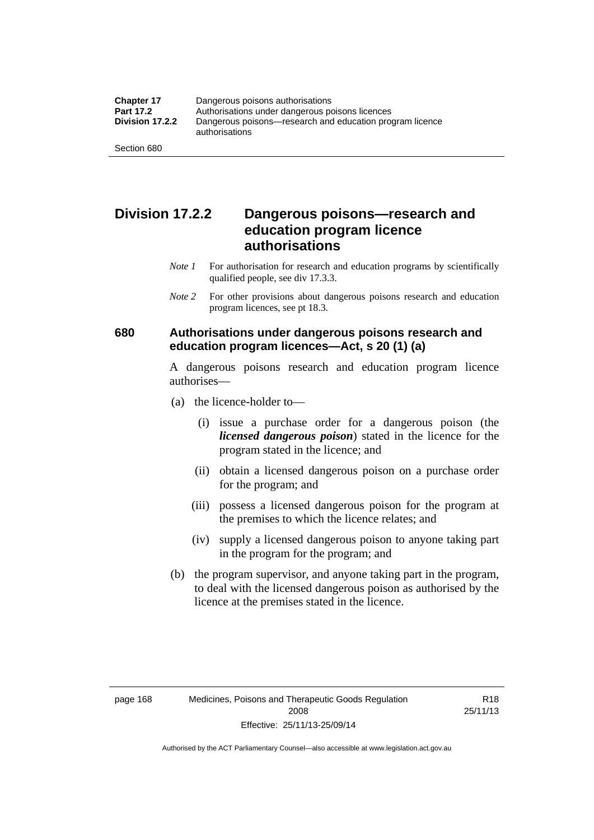### **Division 17.2.2 Dangerous poisons—research and education program licence authorisations**

- *Note 1* For authorisation for research and education programs by scientifically qualified people, see div 17.3.3.
- *Note 2* For other provisions about dangerous poisons research and education program licences, see pt 18.3.

#### **680 Authorisations under dangerous poisons research and education program licences—Act, s 20 (1) (a)**

A dangerous poisons research and education program licence authorises—

- (a) the licence-holder to—
	- (i) issue a purchase order for a dangerous poison (the *licensed dangerous poison*) stated in the licence for the program stated in the licence; and
	- (ii) obtain a licensed dangerous poison on a purchase order for the program; and
	- (iii) possess a licensed dangerous poison for the program at the premises to which the licence relates; and
	- (iv) supply a licensed dangerous poison to anyone taking part in the program for the program; and
- (b) the program supervisor, and anyone taking part in the program, to deal with the licensed dangerous poison as authorised by the licence at the premises stated in the licence.

Authorised by the ACT Parliamentary Counsel—also accessible at www.legislation.act.gov.au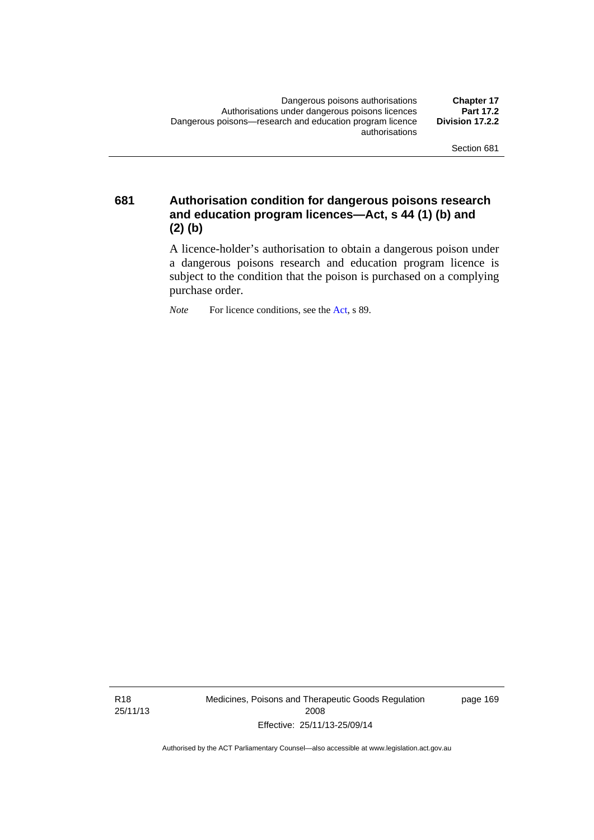**681 Authorisation condition for dangerous poisons research and education program licences—Act, s 44 (1) (b) and (2) (b)** 

> A licence-holder's authorisation to obtain a dangerous poison under a dangerous poisons research and education program licence is subject to the condition that the poison is purchased on a complying purchase order.

*Note* For licence conditions, see the [Act](http://www.legislation.act.gov.au/a/2008-26/default.asp), s 89.

R18 25/11/13 Medicines, Poisons and Therapeutic Goods Regulation 2008 Effective: 25/11/13-25/09/14

page 169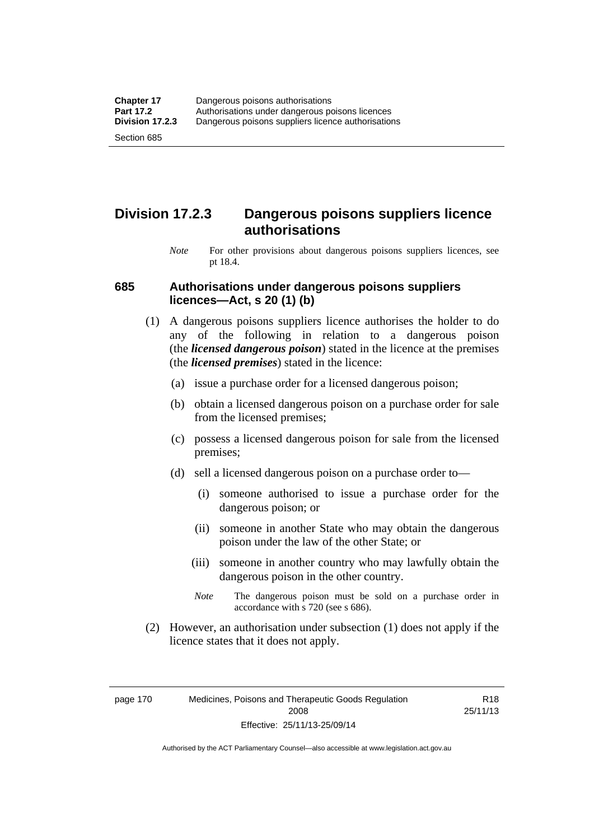### **Division 17.2.3 Dangerous poisons suppliers licence authorisations**

*Note* For other provisions about dangerous poisons suppliers licences, see pt 18.4.

#### **685 Authorisations under dangerous poisons suppliers licences—Act, s 20 (1) (b)**

- (1) A dangerous poisons suppliers licence authorises the holder to do any of the following in relation to a dangerous poison (the *licensed dangerous poison*) stated in the licence at the premises (the *licensed premises*) stated in the licence:
	- (a) issue a purchase order for a licensed dangerous poison;
	- (b) obtain a licensed dangerous poison on a purchase order for sale from the licensed premises;
	- (c) possess a licensed dangerous poison for sale from the licensed premises;
	- (d) sell a licensed dangerous poison on a purchase order to—
		- (i) someone authorised to issue a purchase order for the dangerous poison; or
		- (ii) someone in another State who may obtain the dangerous poison under the law of the other State; or
		- (iii) someone in another country who may lawfully obtain the dangerous poison in the other country.
		- *Note* The dangerous poison must be sold on a purchase order in accordance with s 720 (see s 686).
- (2) However, an authorisation under subsection (1) does not apply if the licence states that it does not apply.

page 170 Medicines, Poisons and Therapeutic Goods Regulation 2008 Effective: 25/11/13-25/09/14

R18 25/11/13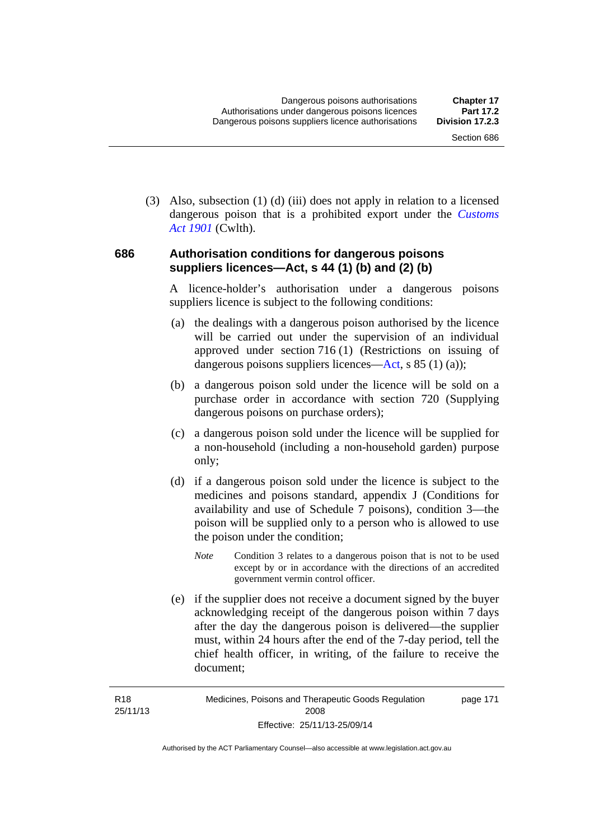(3) Also, subsection (1) (d) (iii) does not apply in relation to a licensed dangerous poison that is a prohibited export under the *[Customs](http://www.comlaw.gov.au/Series/C1901A00006)  [Act 1901](http://www.comlaw.gov.au/Series/C1901A00006)* (Cwlth).

#### **686 Authorisation conditions for dangerous poisons suppliers licences—Act, s 44 (1) (b) and (2) (b)**

A licence-holder's authorisation under a dangerous poisons suppliers licence is subject to the following conditions:

- (a) the dealings with a dangerous poison authorised by the licence will be carried out under the supervision of an individual approved under section 716 (1) (Restrictions on issuing of dangerous poisons suppliers licences—[Act](http://www.legislation.act.gov.au/a/2008-26/default.asp), s 85 (1) (a));
- (b) a dangerous poison sold under the licence will be sold on a purchase order in accordance with section 720 (Supplying dangerous poisons on purchase orders);
- (c) a dangerous poison sold under the licence will be supplied for a non-household (including a non-household garden) purpose only;
- (d) if a dangerous poison sold under the licence is subject to the medicines and poisons standard, appendix J (Conditions for availability and use of Schedule 7 poisons), condition 3—the poison will be supplied only to a person who is allowed to use the poison under the condition;
	- *Note* Condition 3 relates to a dangerous poison that is not to be used except by or in accordance with the directions of an accredited government vermin control officer.
- (e) if the supplier does not receive a document signed by the buyer acknowledging receipt of the dangerous poison within 7 days after the day the dangerous poison is delivered—the supplier must, within 24 hours after the end of the 7-day period, tell the chief health officer, in writing, of the failure to receive the document;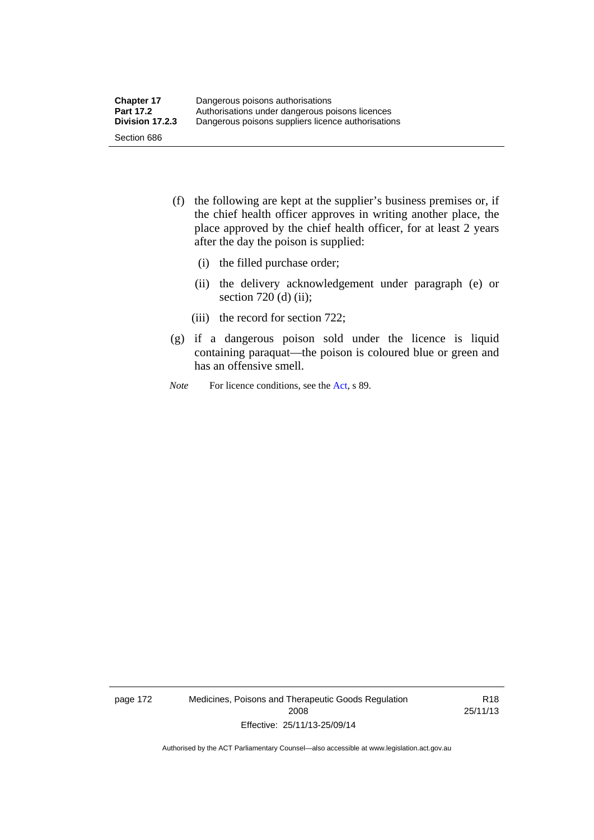- (f) the following are kept at the supplier's business premises or, if the chief health officer approves in writing another place, the place approved by the chief health officer, for at least 2 years after the day the poison is supplied:
	- (i) the filled purchase order;
	- (ii) the delivery acknowledgement under paragraph (e) or section 720 (d) (ii);
	- (iii) the record for section 722;
- (g) if a dangerous poison sold under the licence is liquid containing paraquat—the poison is coloured blue or green and has an offensive smell.
- *Note* For licence conditions, see the [Act](http://www.legislation.act.gov.au/a/2008-26/default.asp), s 89.

page 172 Medicines, Poisons and Therapeutic Goods Regulation 2008 Effective: 25/11/13-25/09/14

R18 25/11/13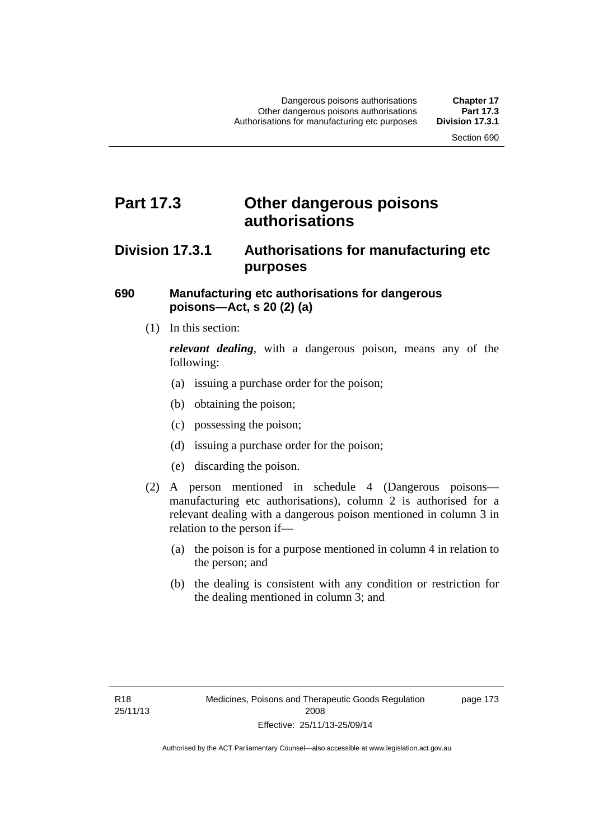### **Part 17.3 Other dangerous poisons authorisations**

### **Division 17.3.1 Authorisations for manufacturing etc purposes**

#### **690 Manufacturing etc authorisations for dangerous poisons—Act, s 20 (2) (a)**

(1) In this section:

*relevant dealing*, with a dangerous poison, means any of the following:

- (a) issuing a purchase order for the poison;
- (b) obtaining the poison;
- (c) possessing the poison;
- (d) issuing a purchase order for the poison;
- (e) discarding the poison.
- (2) A person mentioned in schedule 4 (Dangerous poisons manufacturing etc authorisations), column 2 is authorised for a relevant dealing with a dangerous poison mentioned in column 3 in relation to the person if—
	- (a) the poison is for a purpose mentioned in column 4 in relation to the person; and
	- (b) the dealing is consistent with any condition or restriction for the dealing mentioned in column 3; and

page 173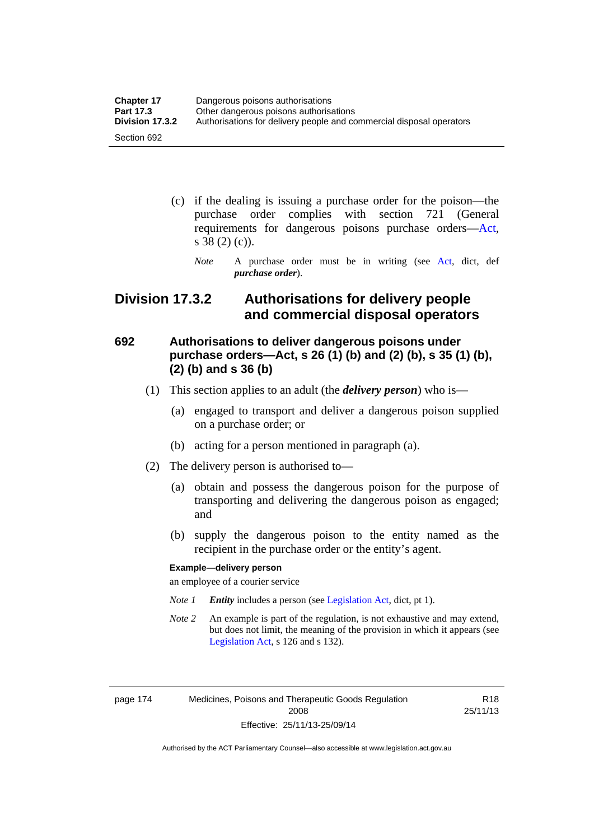| <b>Chapter 17</b> | Dangerous poisons authorisations                                     |
|-------------------|----------------------------------------------------------------------|
| <b>Part 17.3</b>  | Other dangerous poisons authorisations                               |
| Division 17.3.2   | Authorisations for delivery people and commercial disposal operators |
| Section 692       |                                                                      |

- (c) if the dealing is issuing a purchase order for the poison—the purchase order complies with section 721 (General requirements for dangerous poisons purchase orders[—Act](http://www.legislation.act.gov.au/a/2008-26/default.asp), s 38 (2) (c)).
	- *Note* A purchase order must be in writing (see [Act](http://www.legislation.act.gov.au/a/2008-26/default.asp), dict, def *purchase order*).

### **Division 17.3.2 Authorisations for delivery people and commercial disposal operators**

### **692 Authorisations to deliver dangerous poisons under purchase orders—Act, s 26 (1) (b) and (2) (b), s 35 (1) (b), (2) (b) and s 36 (b)**

- (1) This section applies to an adult (the *delivery person*) who is—
	- (a) engaged to transport and deliver a dangerous poison supplied on a purchase order; or
	- (b) acting for a person mentioned in paragraph (a).
- (2) The delivery person is authorised to—
	- (a) obtain and possess the dangerous poison for the purpose of transporting and delivering the dangerous poison as engaged; and
	- (b) supply the dangerous poison to the entity named as the recipient in the purchase order or the entity's agent.

#### **Example—delivery person**

an employee of a courier service

- *Note 1 Entity* includes a person (see [Legislation Act,](http://www.legislation.act.gov.au/a/2001-14) dict, pt 1).
- *Note 2* An example is part of the regulation, is not exhaustive and may extend, but does not limit, the meaning of the provision in which it appears (see [Legislation Act,](http://www.legislation.act.gov.au/a/2001-14) s 126 and s 132).

page 174 Medicines, Poisons and Therapeutic Goods Regulation 2008 Effective: 25/11/13-25/09/14

R18 25/11/13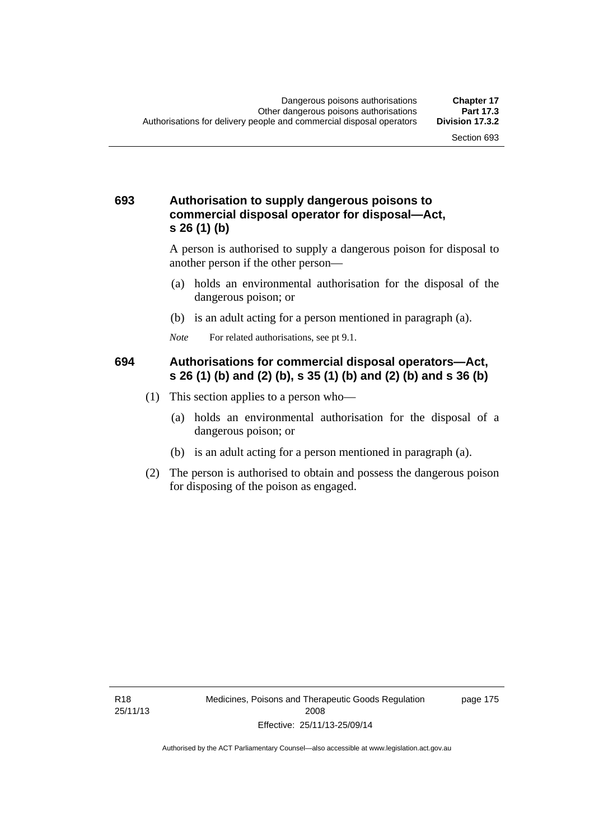#### **693 Authorisation to supply dangerous poisons to commercial disposal operator for disposal—Act, s 26 (1) (b)**

A person is authorised to supply a dangerous poison for disposal to another person if the other person—

- (a) holds an environmental authorisation for the disposal of the dangerous poison; or
- (b) is an adult acting for a person mentioned in paragraph (a).
- *Note* For related authorisations, see pt 9.1.

#### **694 Authorisations for commercial disposal operators—Act, s 26 (1) (b) and (2) (b), s 35 (1) (b) and (2) (b) and s 36 (b)**

- (1) This section applies to a person who—
	- (a) holds an environmental authorisation for the disposal of a dangerous poison; or
	- (b) is an adult acting for a person mentioned in paragraph (a).
- (2) The person is authorised to obtain and possess the dangerous poison for disposing of the poison as engaged.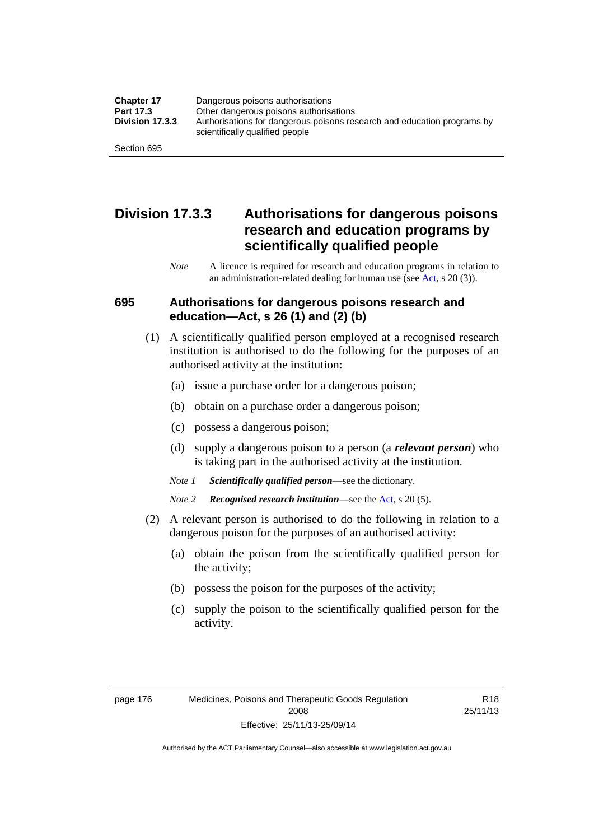| <b>Chapter 17</b> | Dangerous poisons authorisations                                                                           |
|-------------------|------------------------------------------------------------------------------------------------------------|
| Part 17.3         | Other dangerous poisons authorisations                                                                     |
| Division 17.3.3   | Authorisations for dangerous poisons research and education programs by<br>scientifically qualified people |
| Section 695       |                                                                                                            |

### **Division 17.3.3 Authorisations for dangerous poisons research and education programs by scientifically qualified people**

*Note* A licence is required for research and education programs in relation to an administration-related dealing for human use (see [Act](http://www.legislation.act.gov.au/a/2008-26/default.asp), s 20 (3)).

#### **695 Authorisations for dangerous poisons research and education—Act, s 26 (1) and (2) (b)**

- (1) A scientifically qualified person employed at a recognised research institution is authorised to do the following for the purposes of an authorised activity at the institution:
	- (a) issue a purchase order for a dangerous poison;
	- (b) obtain on a purchase order a dangerous poison;
	- (c) possess a dangerous poison;
	- (d) supply a dangerous poison to a person (a *relevant person*) who is taking part in the authorised activity at the institution.
	- *Note 1 Scientifically qualified person*—see the dictionary.
	- *Note 2 Recognised research institution*—see the [Act](http://www.legislation.act.gov.au/a/2008-26/default.asp), s 20 (5).
- (2) A relevant person is authorised to do the following in relation to a dangerous poison for the purposes of an authorised activity:
	- (a) obtain the poison from the scientifically qualified person for the activity;
	- (b) possess the poison for the purposes of the activity;
	- (c) supply the poison to the scientifically qualified person for the activity.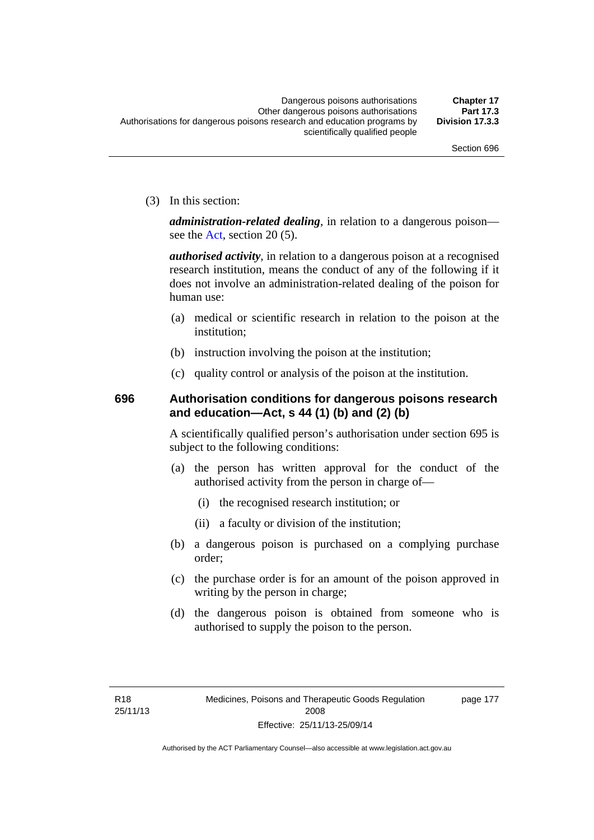(3) In this section:

*administration-related dealing*, in relation to a dangerous poison— see the [Act](http://www.legislation.act.gov.au/a/2008-26/default.asp), section 20 (5).

*authorised activity*, in relation to a dangerous poison at a recognised research institution, means the conduct of any of the following if it does not involve an administration-related dealing of the poison for human use:

- (a) medical or scientific research in relation to the poison at the institution;
- (b) instruction involving the poison at the institution;
- (c) quality control or analysis of the poison at the institution.

### **696 Authorisation conditions for dangerous poisons research and education—Act, s 44 (1) (b) and (2) (b)**

A scientifically qualified person's authorisation under section 695 is subject to the following conditions:

- (a) the person has written approval for the conduct of the authorised activity from the person in charge of—
	- (i) the recognised research institution; or
	- (ii) a faculty or division of the institution;
- (b) a dangerous poison is purchased on a complying purchase order;
- (c) the purchase order is for an amount of the poison approved in writing by the person in charge;
- (d) the dangerous poison is obtained from someone who is authorised to supply the poison to the person.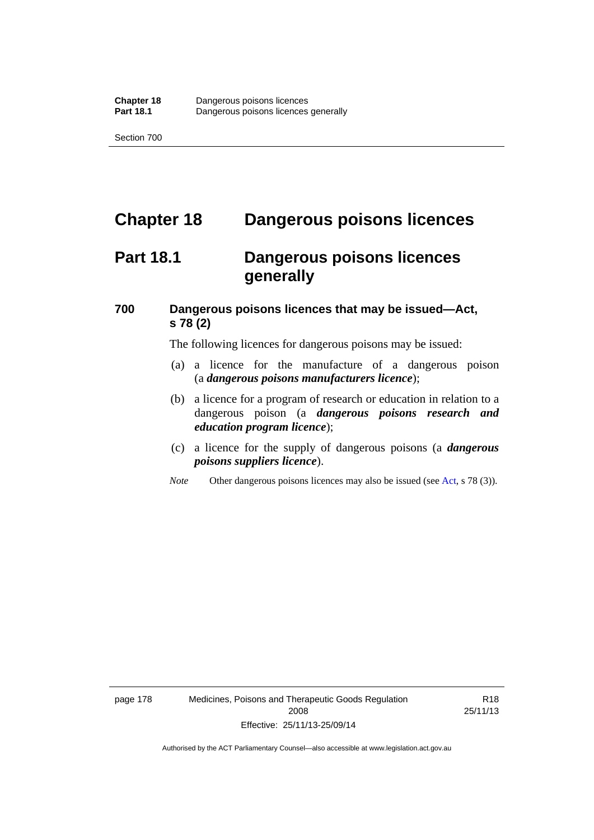# **Chapter 18 Dangerous poisons licences**

## **Part 18.1 Dangerous poisons licences generally**

### **700 Dangerous poisons licences that may be issued—Act, s 78 (2)**

The following licences for dangerous poisons may be issued:

- (a) a licence for the manufacture of a dangerous poison (a *dangerous poisons manufacturers licence*);
- (b) a licence for a program of research or education in relation to a dangerous poison (a *dangerous poisons research and education program licence*);
- (c) a licence for the supply of dangerous poisons (a *dangerous poisons suppliers licence*).
- *Note* Other dangerous poisons licences may also be issued (see [Act](http://www.legislation.act.gov.au/a/2008-26/default.asp), s 78 (3)).

page 178 Medicines, Poisons and Therapeutic Goods Regulation 2008 Effective: 25/11/13-25/09/14

R18 25/11/13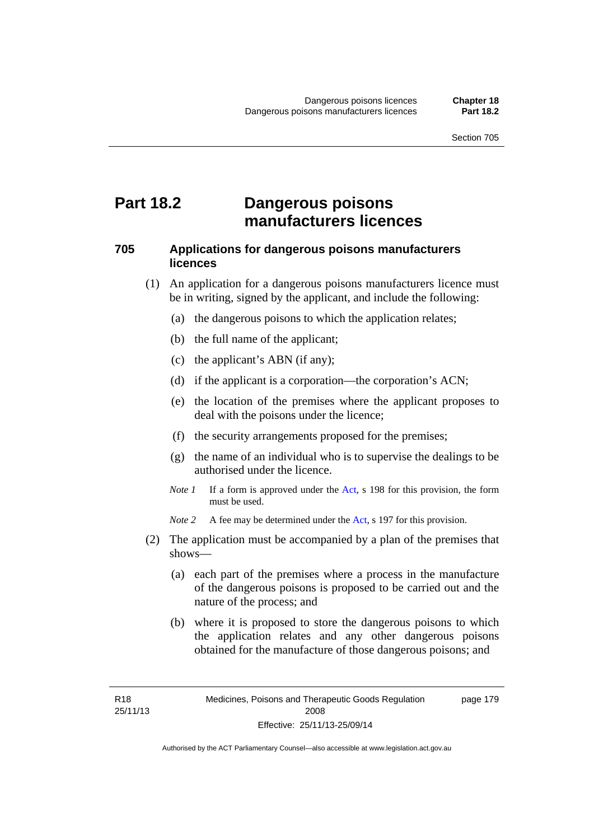### **Part 18.2 Dangerous poisons manufacturers licences**

#### **705 Applications for dangerous poisons manufacturers licences**

- (1) An application for a dangerous poisons manufacturers licence must be in writing, signed by the applicant, and include the following:
	- (a) the dangerous poisons to which the application relates;
	- (b) the full name of the applicant;
	- (c) the applicant's ABN (if any);
	- (d) if the applicant is a corporation—the corporation's ACN;
	- (e) the location of the premises where the applicant proposes to deal with the poisons under the licence;
	- (f) the security arrangements proposed for the premises;
	- (g) the name of an individual who is to supervise the dealings to be authorised under the licence.
	- *Note 1* If a form is approved under the [Act](http://www.legislation.act.gov.au/a/2008-26/default.asp), s 198 for this provision, the form must be used.

*Note 2* A fee may be determined under the [Act,](http://www.legislation.act.gov.au/a/2008-26/default.asp) s 197 for this provision.

- (2) The application must be accompanied by a plan of the premises that shows—
	- (a) each part of the premises where a process in the manufacture of the dangerous poisons is proposed to be carried out and the nature of the process; and
	- (b) where it is proposed to store the dangerous poisons to which the application relates and any other dangerous poisons obtained for the manufacture of those dangerous poisons; and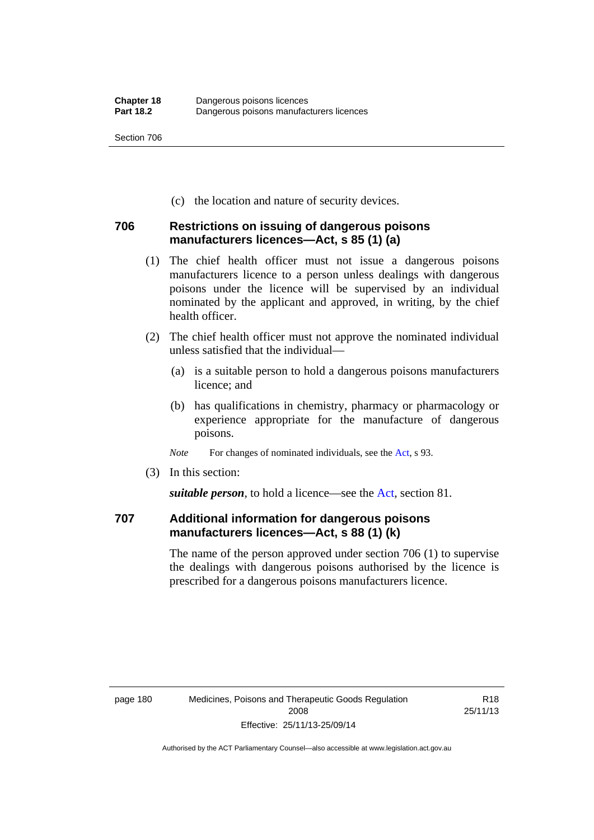(c) the location and nature of security devices.

#### **706 Restrictions on issuing of dangerous poisons manufacturers licences—Act, s 85 (1) (a)**

- (1) The chief health officer must not issue a dangerous poisons manufacturers licence to a person unless dealings with dangerous poisons under the licence will be supervised by an individual nominated by the applicant and approved, in writing, by the chief health officer.
- (2) The chief health officer must not approve the nominated individual unless satisfied that the individual—
	- (a) is a suitable person to hold a dangerous poisons manufacturers licence; and
	- (b) has qualifications in chemistry, pharmacy or pharmacology or experience appropriate for the manufacture of dangerous poisons.
	- *Note* For changes of nominated individuals, see the [Act,](http://www.legislation.act.gov.au/a/2008-26/default.asp) s 93.
- (3) In this section:

*suitable person*, to hold a licence—see the [Act](http://www.legislation.act.gov.au/a/2008-26/default.asp), section 81.

### **707 Additional information for dangerous poisons manufacturers licences—Act, s 88 (1) (k)**

The name of the person approved under section 706 (1) to supervise the dealings with dangerous poisons authorised by the licence is prescribed for a dangerous poisons manufacturers licence.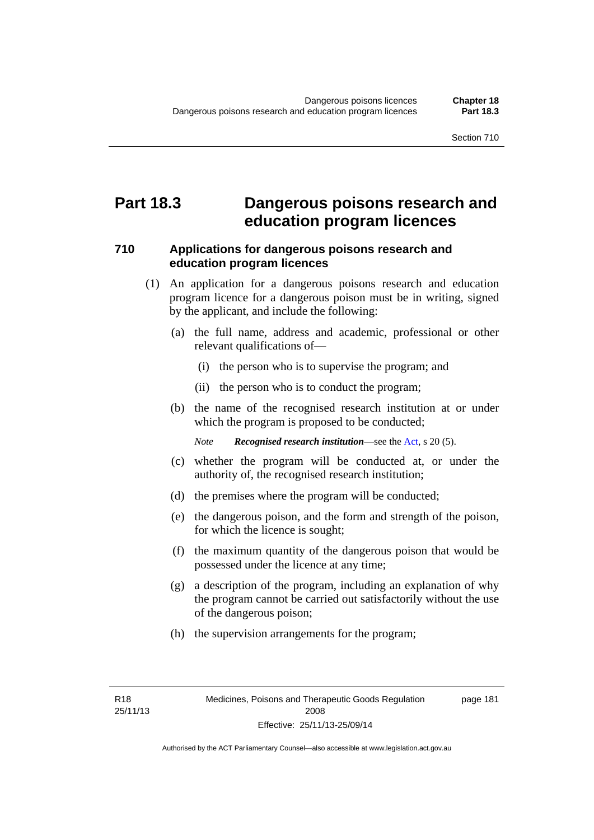### **Part 18.3 Dangerous poisons research and education program licences**

#### **710 Applications for dangerous poisons research and education program licences**

- (1) An application for a dangerous poisons research and education program licence for a dangerous poison must be in writing, signed by the applicant, and include the following:
	- (a) the full name, address and academic, professional or other relevant qualifications of—
		- (i) the person who is to supervise the program; and
		- (ii) the person who is to conduct the program;
	- (b) the name of the recognised research institution at or under which the program is proposed to be conducted;

*Note Recognised research institution*—see the [Act](http://www.legislation.act.gov.au/a/2008-26/default.asp), s 20 (5).

- (c) whether the program will be conducted at, or under the authority of, the recognised research institution;
- (d) the premises where the program will be conducted;
- (e) the dangerous poison, and the form and strength of the poison, for which the licence is sought;
- (f) the maximum quantity of the dangerous poison that would be possessed under the licence at any time;
- (g) a description of the program, including an explanation of why the program cannot be carried out satisfactorily without the use of the dangerous poison;
- (h) the supervision arrangements for the program;

page 181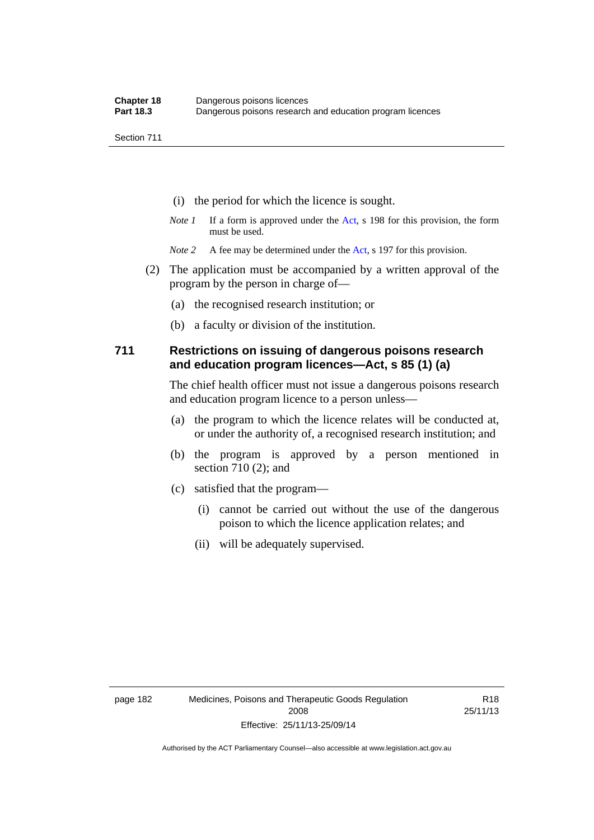- (i) the period for which the licence is sought.
- *Note 1* If a form is approved under the [Act](http://www.legislation.act.gov.au/a/2008-26/default.asp), s 198 for this provision, the form must be used.
- *Note* 2 A fee may be determined under the [Act,](http://www.legislation.act.gov.au/a/2008-26/default.asp) s 197 for this provision.
- (2) The application must be accompanied by a written approval of the program by the person in charge of—
	- (a) the recognised research institution; or
	- (b) a faculty or division of the institution.

#### **711 Restrictions on issuing of dangerous poisons research and education program licences—Act, s 85 (1) (a)**

The chief health officer must not issue a dangerous poisons research and education program licence to a person unless—

- (a) the program to which the licence relates will be conducted at, or under the authority of, a recognised research institution; and
- (b) the program is approved by a person mentioned in section 710 (2); and
- (c) satisfied that the program—
	- (i) cannot be carried out without the use of the dangerous poison to which the licence application relates; and
	- (ii) will be adequately supervised.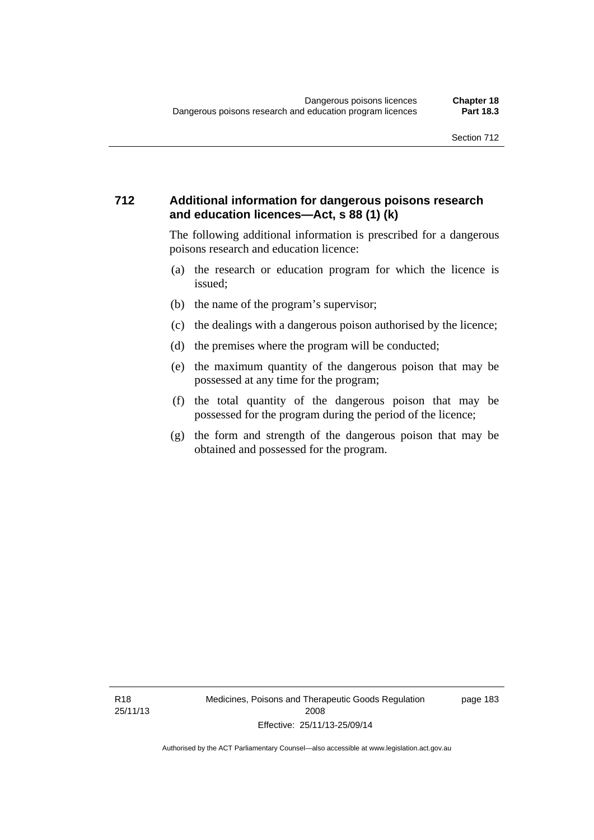#### **712 Additional information for dangerous poisons research and education licences—Act, s 88 (1) (k)**

The following additional information is prescribed for a dangerous poisons research and education licence:

- (a) the research or education program for which the licence is issued;
- (b) the name of the program's supervisor;
- (c) the dealings with a dangerous poison authorised by the licence;
- (d) the premises where the program will be conducted;
- (e) the maximum quantity of the dangerous poison that may be possessed at any time for the program;
- (f) the total quantity of the dangerous poison that may be possessed for the program during the period of the licence;
- (g) the form and strength of the dangerous poison that may be obtained and possessed for the program.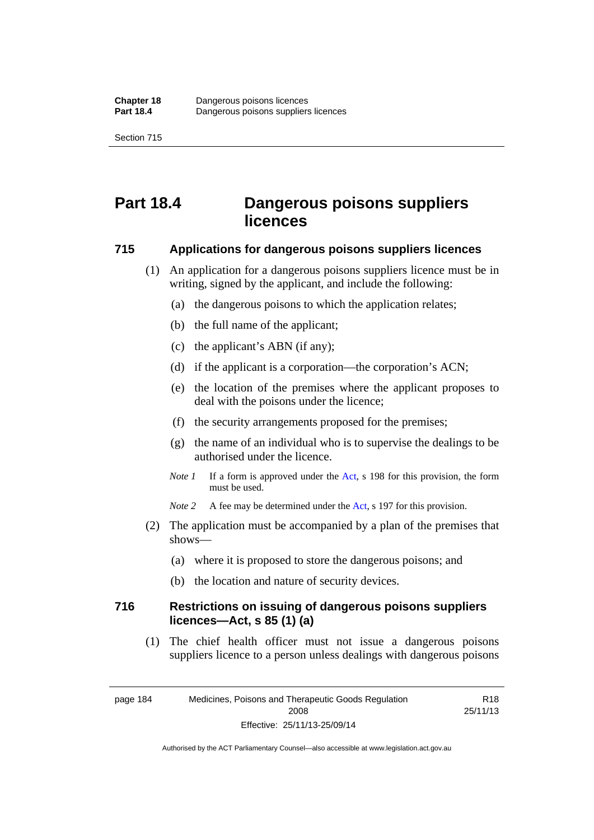# **Part 18.4 Dangerous poisons suppliers licences**

#### **715 Applications for dangerous poisons suppliers licences**

- (1) An application for a dangerous poisons suppliers licence must be in writing, signed by the applicant, and include the following:
	- (a) the dangerous poisons to which the application relates;
	- (b) the full name of the applicant;
	- (c) the applicant's ABN (if any);
	- (d) if the applicant is a corporation—the corporation's ACN;
	- (e) the location of the premises where the applicant proposes to deal with the poisons under the licence;
	- (f) the security arrangements proposed for the premises;
	- (g) the name of an individual who is to supervise the dealings to be authorised under the licence.
	- *Note 1* If a form is approved under the [Act](http://www.legislation.act.gov.au/a/2008-26/default.asp), s 198 for this provision, the form must be used.
	- *Note* 2 A fee may be determined under the [Act,](http://www.legislation.act.gov.au/a/2008-26/default.asp) s 197 for this provision.
- (2) The application must be accompanied by a plan of the premises that shows—
	- (a) where it is proposed to store the dangerous poisons; and
	- (b) the location and nature of security devices.

#### **716 Restrictions on issuing of dangerous poisons suppliers licences—Act, s 85 (1) (a)**

(1) The chief health officer must not issue a dangerous poisons suppliers licence to a person unless dealings with dangerous poisons

Authorised by the ACT Parliamentary Counsel—also accessible at www.legislation.act.gov.au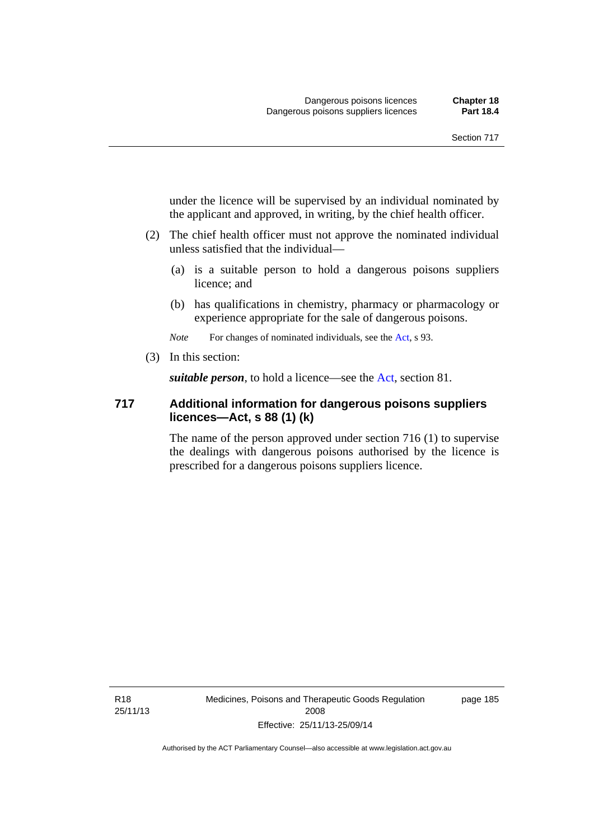under the licence will be supervised by an individual nominated by the applicant and approved, in writing, by the chief health officer.

- (2) The chief health officer must not approve the nominated individual unless satisfied that the individual—
	- (a) is a suitable person to hold a dangerous poisons suppliers licence; and
	- (b) has qualifications in chemistry, pharmacy or pharmacology or experience appropriate for the sale of dangerous poisons.

*Note* For changes of nominated individuals, see the [Act,](http://www.legislation.act.gov.au/a/2008-26/default.asp) s 93.

(3) In this section:

*suitable person*, to hold a licence—see the [Act](http://www.legislation.act.gov.au/a/2008-26/default.asp), section 81.

#### **717 Additional information for dangerous poisons suppliers licences—Act, s 88 (1) (k)**

The name of the person approved under section 716 (1) to supervise the dealings with dangerous poisons authorised by the licence is prescribed for a dangerous poisons suppliers licence.

R18 25/11/13 Medicines, Poisons and Therapeutic Goods Regulation 2008 Effective: 25/11/13-25/09/14

page 185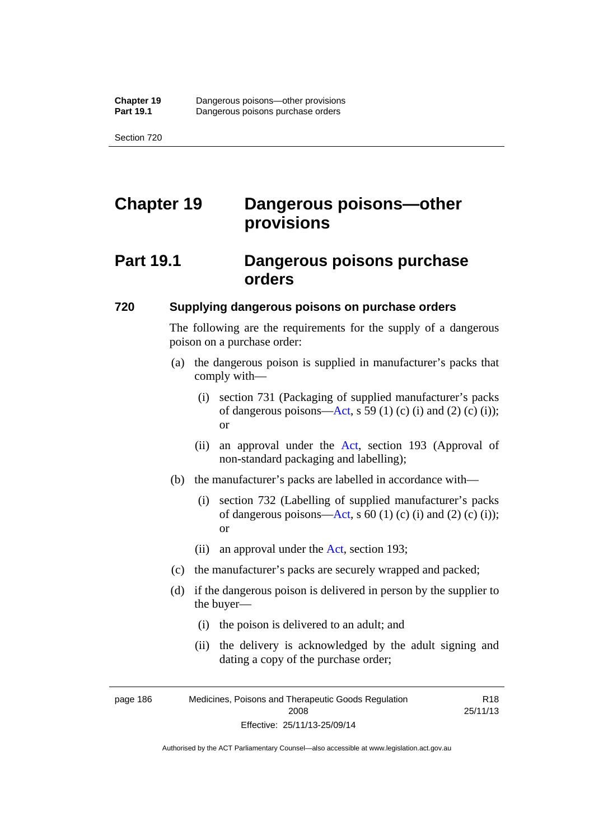# **Chapter 19 Dangerous poisons—other provisions**

## **Part 19.1 Dangerous poisons purchase orders**

#### **720 Supplying dangerous poisons on purchase orders**

The following are the requirements for the supply of a dangerous poison on a purchase order:

- (a) the dangerous poison is supplied in manufacturer's packs that comply with—
	- (i) section 731 (Packaging of supplied manufacturer's packs of dangerous poisons[—Act](http://www.legislation.act.gov.au/a/2008-26/default.asp), s 59 (1) (c) (i) and (2) (c) (i)); or
	- (ii) an approval under the [Act](http://www.legislation.act.gov.au/a/2008-26/default.asp), section 193 (Approval of non-standard packaging and labelling);
- (b) the manufacturer's packs are labelled in accordance with—
	- (i) section 732 (Labelling of supplied manufacturer's packs of dangerous poisons[—Act](http://www.legislation.act.gov.au/a/2008-26/default.asp), s  $60$  (1) (c) (i) and (2) (c) (i)); or
	- (ii) an approval under the [Act,](http://www.legislation.act.gov.au/a/2008-26/default.asp) section 193;
- (c) the manufacturer's packs are securely wrapped and packed;
- (d) if the dangerous poison is delivered in person by the supplier to the buyer—
	- (i) the poison is delivered to an adult; and
	- (ii) the delivery is acknowledged by the adult signing and dating a copy of the purchase order;

R18 25/11/13

page 186 Medicines, Poisons and Therapeutic Goods Regulation 2008 Effective: 25/11/13-25/09/14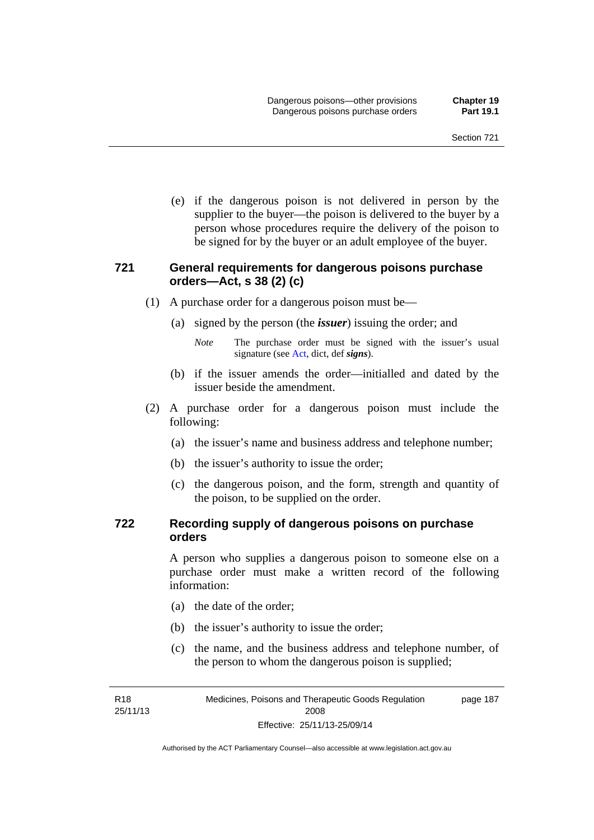(e) if the dangerous poison is not delivered in person by the supplier to the buyer—the poison is delivered to the buyer by a person whose procedures require the delivery of the poison to be signed for by the buyer or an adult employee of the buyer.

#### **721 General requirements for dangerous poisons purchase orders—Act, s 38 (2) (c)**

- (1) A purchase order for a dangerous poison must be—
	- (a) signed by the person (the *issuer*) issuing the order; and
		- *Note* The purchase order must be signed with the issuer's usual signature (see [Act](http://www.legislation.act.gov.au/a/2008-26/default.asp), dict, def *signs*).
	- (b) if the issuer amends the order—initialled and dated by the issuer beside the amendment.
- (2) A purchase order for a dangerous poison must include the following:
	- (a) the issuer's name and business address and telephone number;
	- (b) the issuer's authority to issue the order;
	- (c) the dangerous poison, and the form, strength and quantity of the poison, to be supplied on the order.

#### **722 Recording supply of dangerous poisons on purchase orders**

A person who supplies a dangerous poison to someone else on a purchase order must make a written record of the following information:

- (a) the date of the order;
- (b) the issuer's authority to issue the order;
- (c) the name, and the business address and telephone number, of the person to whom the dangerous poison is supplied;

R18 25/11/13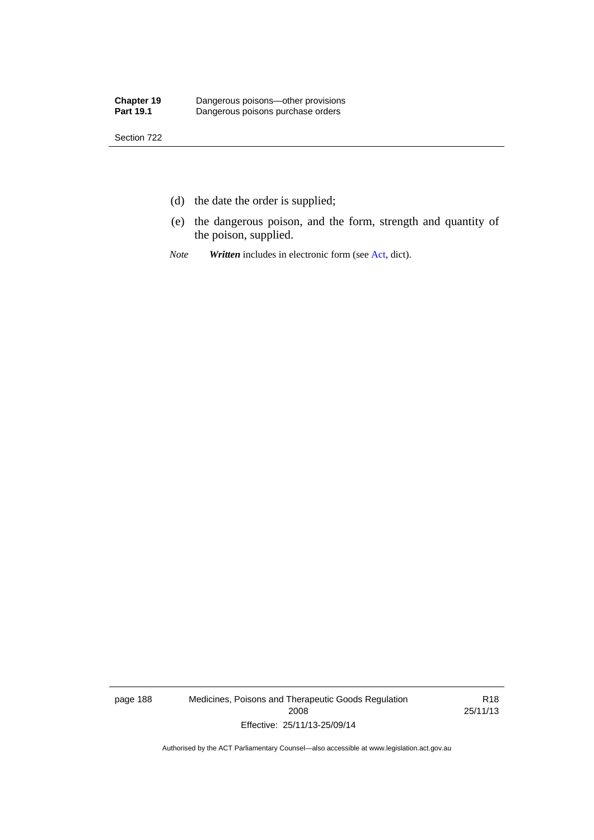- (d) the date the order is supplied;
- (e) the dangerous poison, and the form, strength and quantity of the poison, supplied.
- *Note Written* includes in electronic form (see [Act,](http://www.legislation.act.gov.au/a/2008-26/default.asp) dict).

page 188 Medicines, Poisons and Therapeutic Goods Regulation 2008 Effective: 25/11/13-25/09/14

R18 25/11/13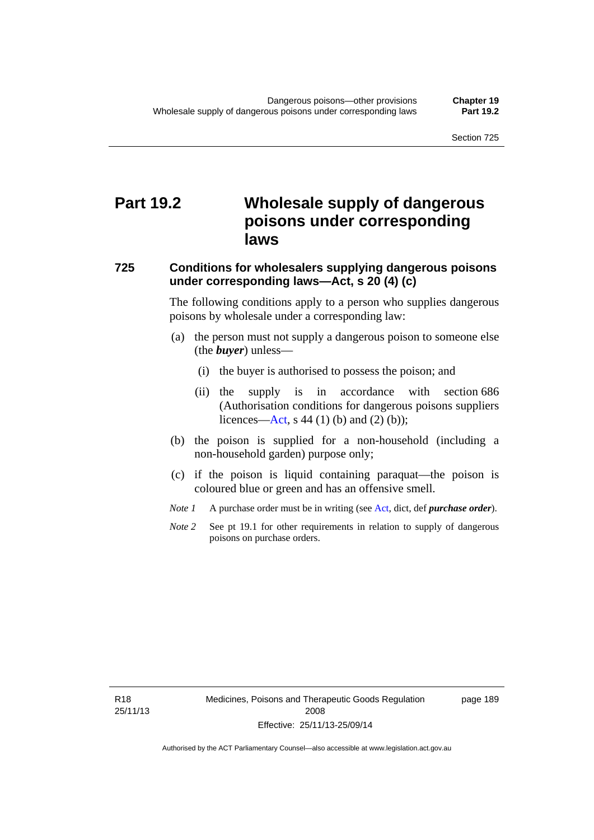# **Part 19.2 Wholesale supply of dangerous poisons under corresponding laws**

#### **725 Conditions for wholesalers supplying dangerous poisons under corresponding laws—Act, s 20 (4) (c)**

The following conditions apply to a person who supplies dangerous poisons by wholesale under a corresponding law:

- (a) the person must not supply a dangerous poison to someone else (the *buyer*) unless—
	- (i) the buyer is authorised to possess the poison; and
	- (ii) the supply is in accordance with section 686 (Authorisation conditions for dangerous poisons suppliers licences—[Act,](http://www.legislation.act.gov.au/a/2008-26/default.asp) s 44 (1) (b) and (2) (b));
- (b) the poison is supplied for a non-household (including a non-household garden) purpose only;
- (c) if the poison is liquid containing paraquat—the poison is coloured blue or green and has an offensive smell.
- *Note 1* A purchase order must be in writing (see [Act,](http://www.legislation.act.gov.au/a/2008-26/default.asp) dict, def *purchase order*).
- *Note* 2 See pt 19.1 for other requirements in relation to supply of dangerous poisons on purchase orders.

R18 25/11/13 page 189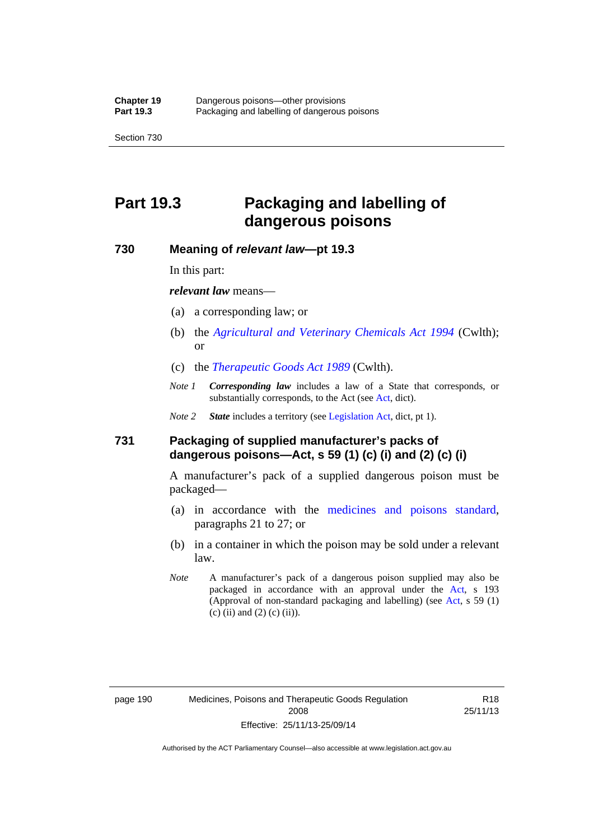# **Part 19.3 Packaging and labelling of dangerous poisons**

#### **730 Meaning of** *relevant law***—pt 19.3**

In this part:

*relevant law* means—

- (a) a corresponding law; or
- (b) the *[Agricultural and Veterinary Chemicals Act 1994](http://www.comlaw.gov.au/Series/C2004A04712)* (Cwlth); or
- (c) the *[Therapeutic Goods Act 1989](http://www.comlaw.gov.au/Series/C2004A03952)* (Cwlth).
- *Note 1 Corresponding law* includes a law of a State that corresponds, or substantially corresponds, to the [Act](http://www.legislation.act.gov.au/a/2008-26/default.asp) (see Act, dict).

*Note 2 State* includes a territory (see [Legislation Act,](http://www.legislation.act.gov.au/a/2001-14) dict, pt 1).

#### **731 Packaging of supplied manufacturer's packs of dangerous poisons—Act, s 59 (1) (c) (i) and (2) (c) (i)**

A manufacturer's pack of a supplied dangerous poison must be packaged—

- (a) in accordance with the [medicines and poisons standard](http://www.comlaw.gov.au/Series/F2012L01200), paragraphs 21 to 27; or
- (b) in a container in which the poison may be sold under a relevant law.
- *Note* A manufacturer's pack of a dangerous poison supplied may also be packaged in accordance with an approval under the [Act,](http://www.legislation.act.gov.au/a/2008-26/default.asp) s 193 (Approval of non-standard packaging and labelling) (see [Act](http://www.legislation.act.gov.au/a/2008-26/default.asp), s 59 (1)  $(c)$  (ii) and (2) (c) (ii)).

page 190 Medicines, Poisons and Therapeutic Goods Regulation 2008 Effective: 25/11/13-25/09/14

R18 25/11/13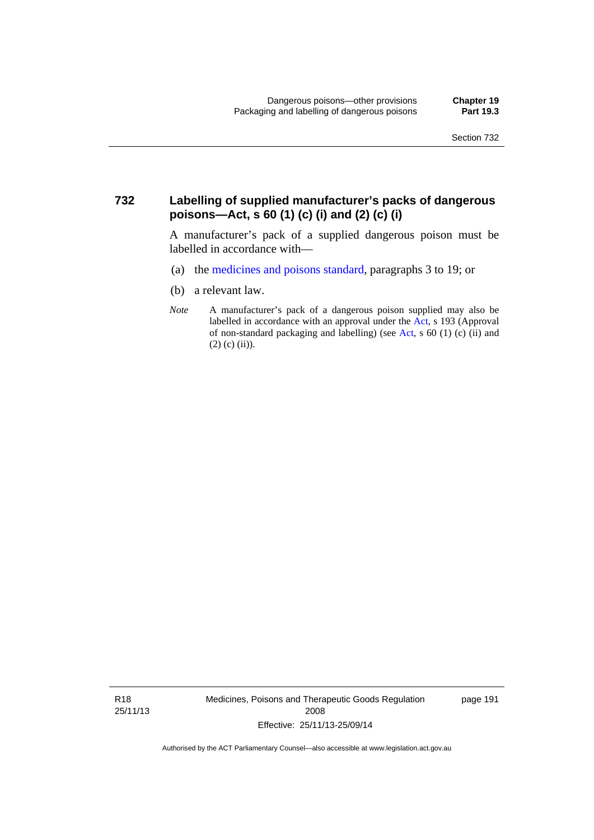#### **732 Labelling of supplied manufacturer's packs of dangerous poisons—Act, s 60 (1) (c) (i) and (2) (c) (i)**

A manufacturer's pack of a supplied dangerous poison must be labelled in accordance with—

- (a) the [medicines and poisons standard](http://www.comlaw.gov.au/Series/F2012L01200), paragraphs 3 to 19; or
- (b) a relevant law.
- *Note* A manufacturer's pack of a dangerous poison supplied may also be labelled in accordance with an approval under the [Act](http://www.legislation.act.gov.au/a/2008-26/default.asp), s 193 (Approval of non-standard packaging and labelling) (see [Act,](http://www.legislation.act.gov.au/a/2008-26/default.asp) s 60 (1) (c) (ii) and  $(2)$  (c) (ii)).

R18 25/11/13 Medicines, Poisons and Therapeutic Goods Regulation 2008 Effective: 25/11/13-25/09/14

page 191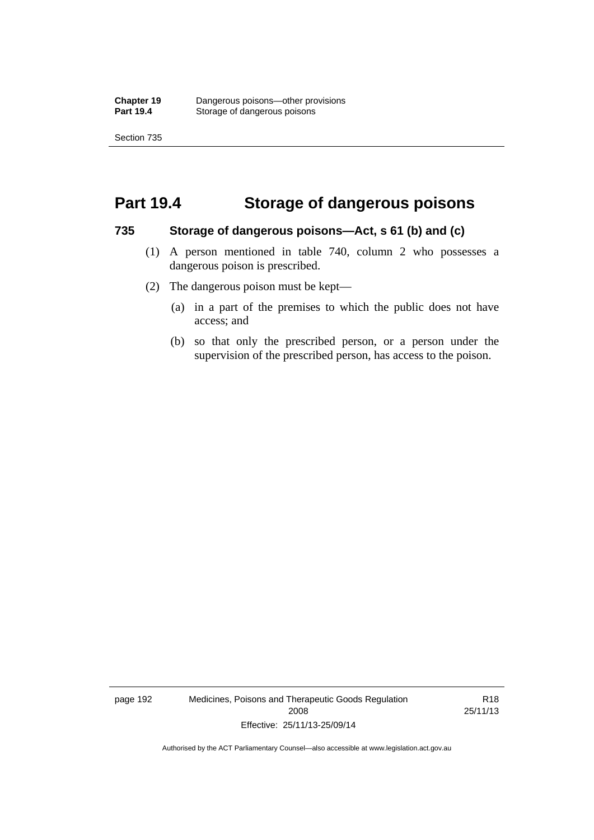### **Part 19.4 Storage of dangerous poisons**

#### **735 Storage of dangerous poisons—Act, s 61 (b) and (c)**

- (1) A person mentioned in table 740, column 2 who possesses a dangerous poison is prescribed.
- (2) The dangerous poison must be kept—
	- (a) in a part of the premises to which the public does not have access; and
	- (b) so that only the prescribed person, or a person under the supervision of the prescribed person, has access to the poison.

page 192 Medicines, Poisons and Therapeutic Goods Regulation 2008 Effective: 25/11/13-25/09/14

R18 25/11/13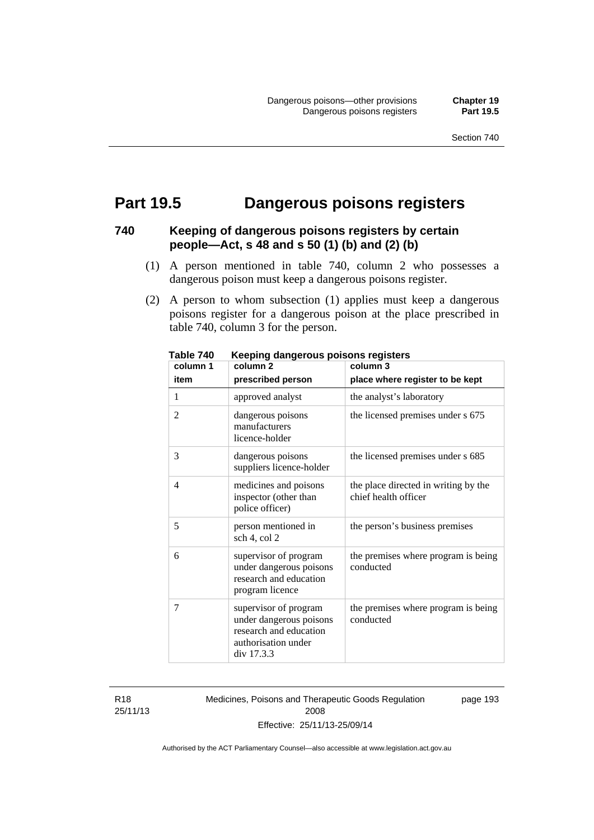## **Part 19.5 Dangerous poisons registers**

## **740 Keeping of dangerous poisons registers by certain people—Act, s 48 and s 50 (1) (b) and (2) (b)**

- (1) A person mentioned in table 740, column 2 who possesses a dangerous poison must keep a dangerous poisons register.
- (2) A person to whom subsection (1) applies must keep a dangerous poisons register for a dangerous poison at the place prescribed in table 740, column 3 for the person.

| יז טושטו<br>column 1 | nooping aangoroas poisons registers<br>column <sub>2</sub>                                                      | column 3                                                     |
|----------------------|-----------------------------------------------------------------------------------------------------------------|--------------------------------------------------------------|
| item                 | prescribed person                                                                                               | place where register to be kept                              |
| 1                    | approved analyst                                                                                                | the analyst's laboratory                                     |
| $\overline{2}$       | dangerous poisons<br>manufacturers<br>licence-holder                                                            | the licensed premises under s 675                            |
| 3                    | dangerous poisons<br>suppliers licence-holder                                                                   | the licensed premises under s 685                            |
| $\overline{4}$       | medicines and poisons<br>inspector (other than<br>police officer)                                               | the place directed in writing by the<br>chief health officer |
| 5                    | person mentioned in<br>sch 4, col 2                                                                             | the person's business premises                               |
| 6                    | supervisor of program<br>under dangerous poisons<br>research and education<br>program licence                   | the premises where program is being<br>conducted             |
| 7                    | supervisor of program<br>under dangerous poisons<br>research and education<br>authorisation under<br>div 17.3.3 | the premises where program is being<br>conducted             |

**Table 740 Keeping dangerous poisons registers** 

R18 25/11/13 Medicines, Poisons and Therapeutic Goods Regulation 2008 Effective: 25/11/13-25/09/14

page 193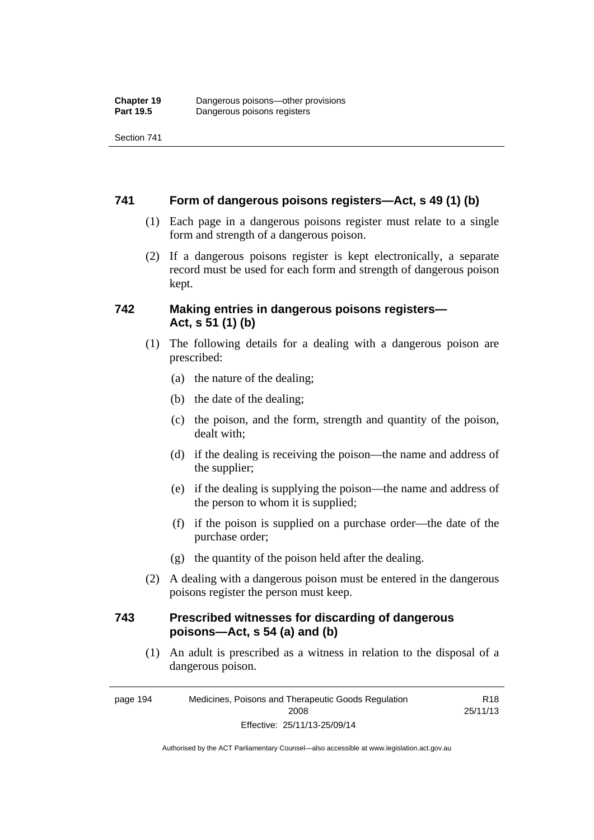Section 741

#### **741 Form of dangerous poisons registers—Act, s 49 (1) (b)**

- (1) Each page in a dangerous poisons register must relate to a single form and strength of a dangerous poison.
- (2) If a dangerous poisons register is kept electronically, a separate record must be used for each form and strength of dangerous poison kept.

#### **742 Making entries in dangerous poisons registers— Act, s 51 (1) (b)**

- (1) The following details for a dealing with a dangerous poison are prescribed:
	- (a) the nature of the dealing;
	- (b) the date of the dealing;
	- (c) the poison, and the form, strength and quantity of the poison, dealt with;
	- (d) if the dealing is receiving the poison—the name and address of the supplier;
	- (e) if the dealing is supplying the poison—the name and address of the person to whom it is supplied;
	- (f) if the poison is supplied on a purchase order—the date of the purchase order;
	- (g) the quantity of the poison held after the dealing.
- (2) A dealing with a dangerous poison must be entered in the dangerous poisons register the person must keep.

#### **743 Prescribed witnesses for discarding of dangerous poisons—Act, s 54 (a) and (b)**

 (1) An adult is prescribed as a witness in relation to the disposal of a dangerous poison.

R18

page 194 Medicines, Poisons and Therapeutic Goods Regulation 2008 Effective: 25/11/13-25/09/14 25/11/13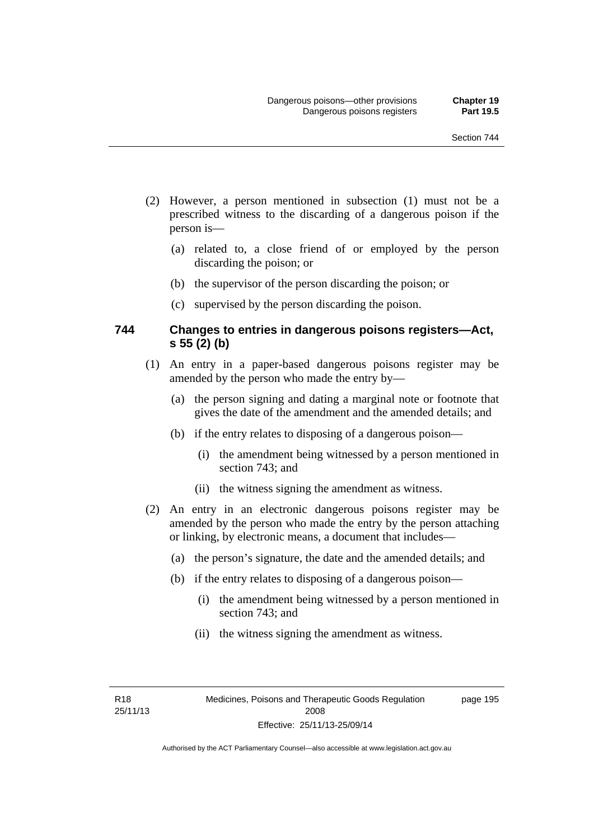- (2) However, a person mentioned in subsection (1) must not be a prescribed witness to the discarding of a dangerous poison if the person is—
	- (a) related to, a close friend of or employed by the person discarding the poison; or
	- (b) the supervisor of the person discarding the poison; or
	- (c) supervised by the person discarding the poison.

#### **744 Changes to entries in dangerous poisons registers—Act, s 55 (2) (b)**

- (1) An entry in a paper-based dangerous poisons register may be amended by the person who made the entry by—
	- (a) the person signing and dating a marginal note or footnote that gives the date of the amendment and the amended details; and
	- (b) if the entry relates to disposing of a dangerous poison—
		- (i) the amendment being witnessed by a person mentioned in section 743; and
		- (ii) the witness signing the amendment as witness.
- (2) An entry in an electronic dangerous poisons register may be amended by the person who made the entry by the person attaching or linking, by electronic means, a document that includes—
	- (a) the person's signature, the date and the amended details; and
	- (b) if the entry relates to disposing of a dangerous poison—
		- (i) the amendment being witnessed by a person mentioned in section 743; and
		- (ii) the witness signing the amendment as witness.

R18 25/11/13 page 195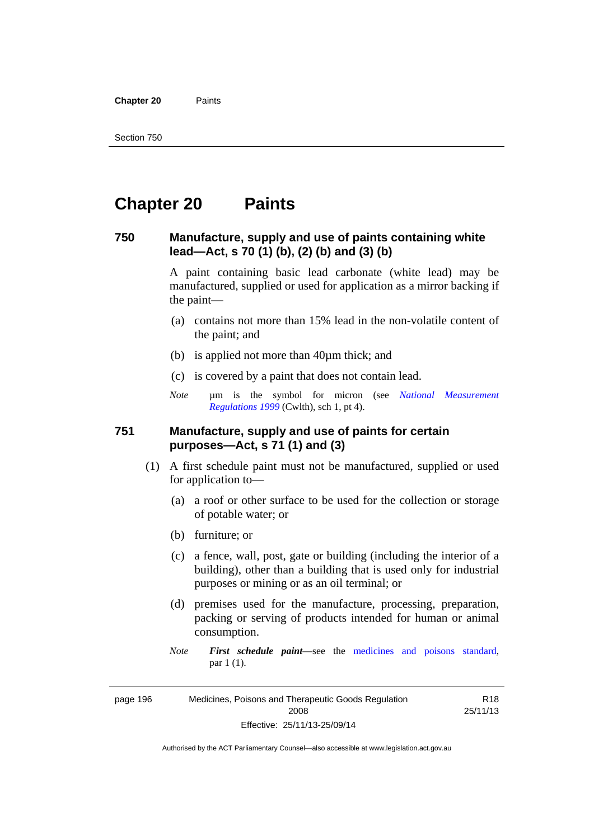**Chapter 20** Paints

## **Chapter 20 Paints**

#### **750 Manufacture, supply and use of paints containing white lead—Act, s 70 (1) (b), (2) (b) and (3) (b)**

A paint containing basic lead carbonate (white lead) may be manufactured, supplied or used for application as a mirror backing if the paint—

- (a) contains not more than 15% lead in the non-volatile content of the paint; and
- (b) is applied not more than 40µm thick; and
- (c) is covered by a paint that does not contain lead.
- *Note* um is the symbol for micron (see *National Measurement [Regulations 1999](http://www.comlaw.gov.au/Series/F1999B00110)* (Cwlth), sch 1, pt 4).

#### **751 Manufacture, supply and use of paints for certain purposes—Act, s 71 (1) and (3)**

- (1) A first schedule paint must not be manufactured, supplied or used for application to—
	- (a) a roof or other surface to be used for the collection or storage of potable water; or
	- (b) furniture; or
	- (c) a fence, wall, post, gate or building (including the interior of a building), other than a building that is used only for industrial purposes or mining or as an oil terminal; or
	- (d) premises used for the manufacture, processing, preparation, packing or serving of products intended for human or animal consumption.
	- *Note First schedule paint*—see the [medicines and poisons standard,](http://www.comlaw.gov.au/Series/F2012L01200) par 1 (1).

page 196 Medicines, Poisons and Therapeutic Goods Regulation 2008 Effective: 25/11/13-25/09/14

R18 25/11/13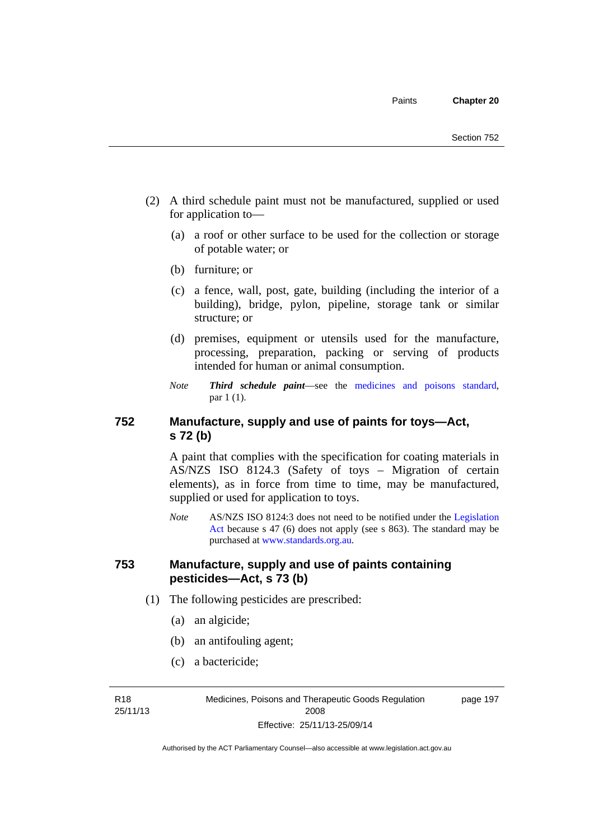- (2) A third schedule paint must not be manufactured, supplied or used for application to—
	- (a) a roof or other surface to be used for the collection or storage of potable water; or
	- (b) furniture; or
	- (c) a fence, wall, post, gate, building (including the interior of a building), bridge, pylon, pipeline, storage tank or similar structure; or
	- (d) premises, equipment or utensils used for the manufacture, processing, preparation, packing or serving of products intended for human or animal consumption.
	- *Note Third schedule paint*—see the [medicines and poisons standard,](http://www.comlaw.gov.au/Series/F2012L01200) par 1 (1).

## **752 Manufacture, supply and use of paints for toys—Act, s 72 (b)**

A paint that complies with the specification for coating materials in AS/NZS ISO 8124.3 (Safety of toys – Migration of certain elements), as in force from time to time, may be manufactured, supplied or used for application to toys.

*Note* AS/NZS ISO 8124:3 does not need to be notified under the [Legislation](http://www.legislation.act.gov.au/a/2001-14)  [Act](http://www.legislation.act.gov.au/a/2001-14) because s 47 (6) does not apply (see s 863). The standard may be purchased at [www.standards.org.au.](http://www.standards.org.au/)

#### **753 Manufacture, supply and use of paints containing pesticides—Act, s 73 (b)**

- (1) The following pesticides are prescribed:
	- (a) an algicide;
	- (b) an antifouling agent;
	- (c) a bactericide;

R18 25/11/13 Medicines, Poisons and Therapeutic Goods Regulation 2008 Effective: 25/11/13-25/09/14

page 197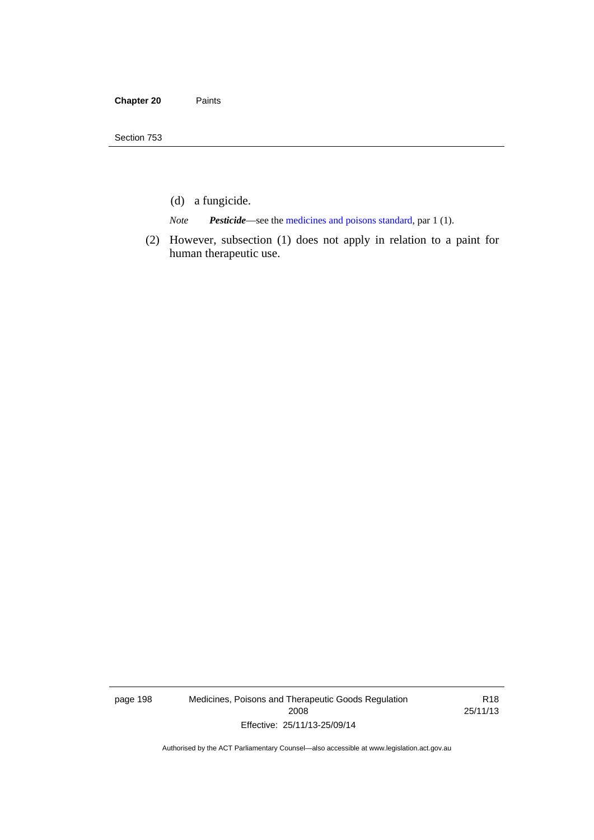- (d) a fungicide.
- *Note Pesticide*—see the [medicines and poisons standard,](http://www.comlaw.gov.au/Series/F2012L01200) par 1 (1).
- (2) However, subsection (1) does not apply in relation to a paint for human therapeutic use.

page 198 Medicines, Poisons and Therapeutic Goods Regulation 2008 Effective: 25/11/13-25/09/14

R18 25/11/13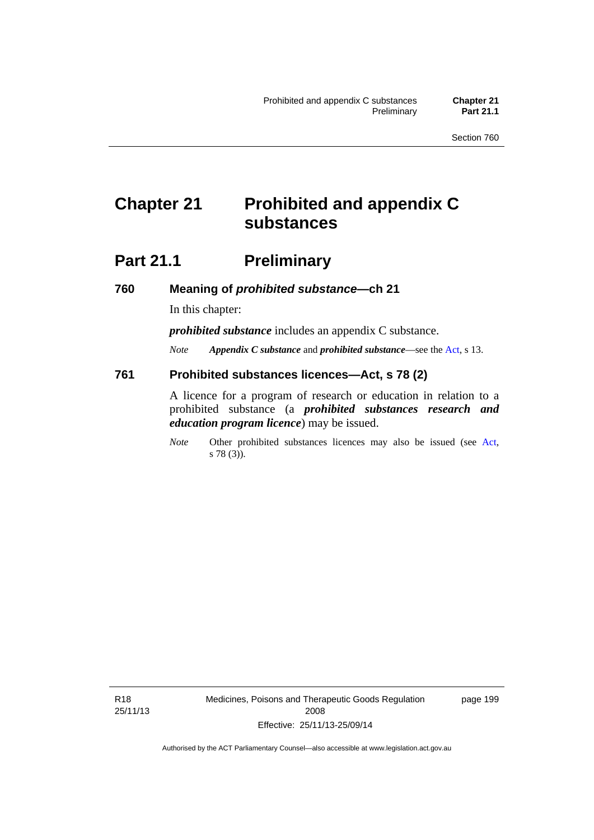# **Chapter 21 Prohibited and appendix C substances**

## **Part 21.1** Preliminary

**760 Meaning of** *prohibited substance***—ch 21** 

In this chapter:

*prohibited substance* includes an appendix C substance.

*Note Appendix C substance* and *prohibited substance*—see the [Act,](http://www.legislation.act.gov.au/a/2008-26/default.asp) s 13.

#### **761 Prohibited substances licences—Act, s 78 (2)**

A licence for a program of research or education in relation to a prohibited substance (a *prohibited substances research and education program licence*) may be issued.

*Note* Other prohibited substances licences may also be issued (see [Act,](http://www.legislation.act.gov.au/a/2008-26/default.asp) s 78 (3)).

R18 25/11/13 Medicines, Poisons and Therapeutic Goods Regulation 2008 Effective: 25/11/13-25/09/14

page 199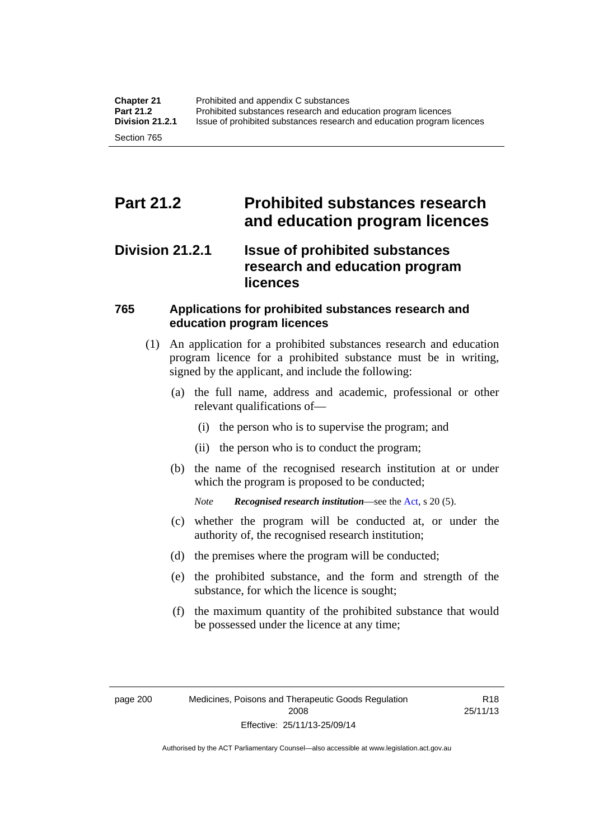## **Part 21.2 Prohibited substances research and education program licences**

## **Division 21.2.1 Issue of prohibited substances research and education program licences**

## **765 Applications for prohibited substances research and education program licences**

- (1) An application for a prohibited substances research and education program licence for a prohibited substance must be in writing, signed by the applicant, and include the following:
	- (a) the full name, address and academic, professional or other relevant qualifications of—
		- (i) the person who is to supervise the program; and
		- (ii) the person who is to conduct the program;
	- (b) the name of the recognised research institution at or under which the program is proposed to be conducted;
		- *Note Recognised research institution*—see the [Act](http://www.legislation.act.gov.au/a/2008-26/default.asp), s 20 (5).
	- (c) whether the program will be conducted at, or under the authority of, the recognised research institution;
	- (d) the premises where the program will be conducted;
	- (e) the prohibited substance, and the form and strength of the substance, for which the licence is sought;
	- (f) the maximum quantity of the prohibited substance that would be possessed under the licence at any time;

Authorised by the ACT Parliamentary Counsel—also accessible at www.legislation.act.gov.au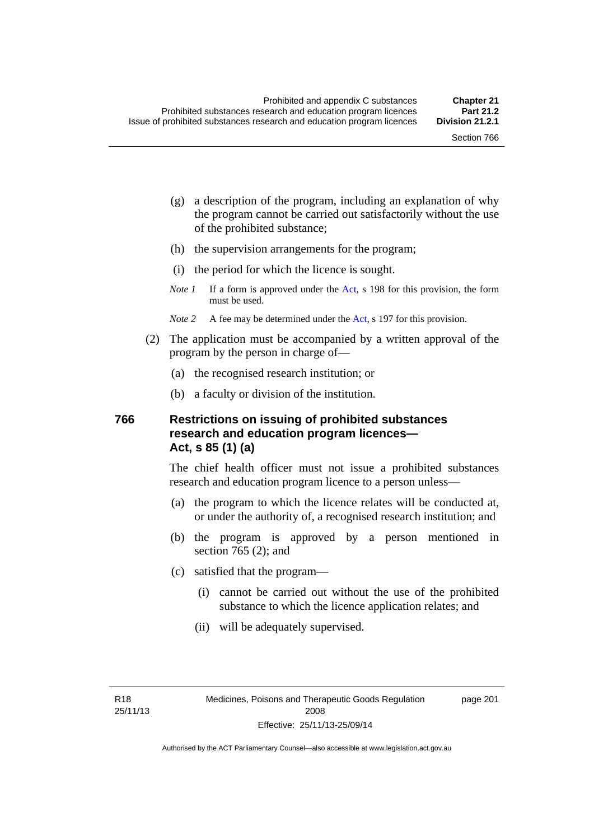page 201

- (g) a description of the program, including an explanation of why the program cannot be carried out satisfactorily without the use of the prohibited substance;
- (h) the supervision arrangements for the program;
- (i) the period for which the licence is sought.
- *Note 1* If a form is approved under the [Act](http://www.legislation.act.gov.au/a/2008-26/default.asp), s 198 for this provision, the form must be used.
- *Note* 2 A fee may be determined under the [Act,](http://www.legislation.act.gov.au/a/2008-26/default.asp) s 197 for this provision.
- (2) The application must be accompanied by a written approval of the program by the person in charge of—
	- (a) the recognised research institution; or
	- (b) a faculty or division of the institution.

#### **766 Restrictions on issuing of prohibited substances research and education program licences— Act, s 85 (1) (a)**

The chief health officer must not issue a prohibited substances research and education program licence to a person unless—

- (a) the program to which the licence relates will be conducted at, or under the authority of, a recognised research institution; and
- (b) the program is approved by a person mentioned in section 765 (2); and
- (c) satisfied that the program—
	- (i) cannot be carried out without the use of the prohibited substance to which the licence application relates; and
	- (ii) will be adequately supervised.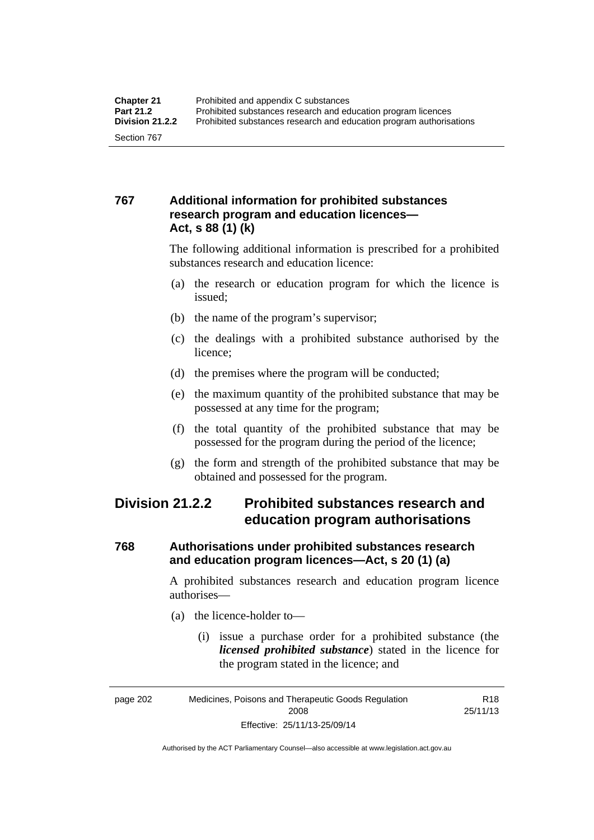## **767 Additional information for prohibited substances research program and education licences— Act, s 88 (1) (k)**

The following additional information is prescribed for a prohibited substances research and education licence:

- (a) the research or education program for which the licence is issued;
- (b) the name of the program's supervisor;
- (c) the dealings with a prohibited substance authorised by the licence;
- (d) the premises where the program will be conducted;
- (e) the maximum quantity of the prohibited substance that may be possessed at any time for the program;
- (f) the total quantity of the prohibited substance that may be possessed for the program during the period of the licence;
- (g) the form and strength of the prohibited substance that may be obtained and possessed for the program.

## **Division 21.2.2 Prohibited substances research and education program authorisations**

## **768 Authorisations under prohibited substances research and education program licences—Act, s 20 (1) (a)**

A prohibited substances research and education program licence authorises—

- (a) the licence-holder to—
	- (i) issue a purchase order for a prohibited substance (the *licensed prohibited substance*) stated in the licence for the program stated in the licence; and

R18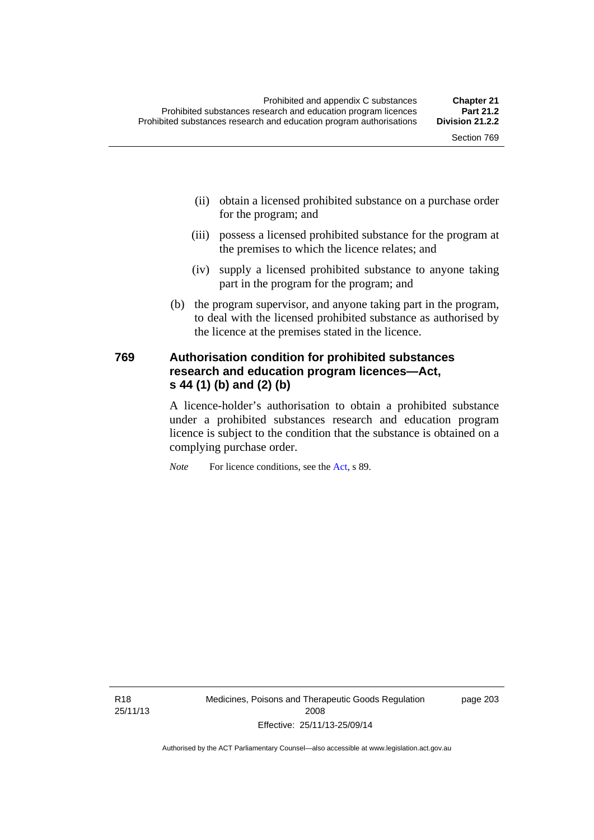- (ii) obtain a licensed prohibited substance on a purchase order for the program; and
- (iii) possess a licensed prohibited substance for the program at the premises to which the licence relates; and
- (iv) supply a licensed prohibited substance to anyone taking part in the program for the program; and
- (b) the program supervisor, and anyone taking part in the program, to deal with the licensed prohibited substance as authorised by the licence at the premises stated in the licence.

#### **769 Authorisation condition for prohibited substances research and education program licences—Act, s 44 (1) (b) and (2) (b)**

A licence-holder's authorisation to obtain a prohibited substance under a prohibited substances research and education program licence is subject to the condition that the substance is obtained on a complying purchase order.

*Note* For licence conditions, see the [Act](http://www.legislation.act.gov.au/a/2008-26/default.asp), s 89.

R18 25/11/13 Medicines, Poisons and Therapeutic Goods Regulation 2008 Effective: 25/11/13-25/09/14

page 203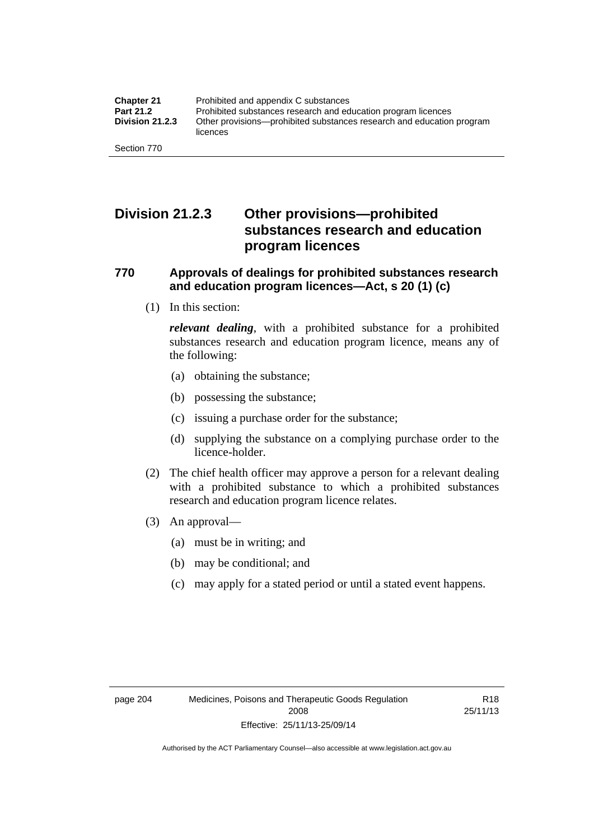## **Division 21.2.3 Other provisions—prohibited substances research and education program licences**

#### **770 Approvals of dealings for prohibited substances research and education program licences—Act, s 20 (1) (c)**

(1) In this section:

*relevant dealing*, with a prohibited substance for a prohibited substances research and education program licence, means any of the following:

- (a) obtaining the substance;
- (b) possessing the substance;
- (c) issuing a purchase order for the substance;
- (d) supplying the substance on a complying purchase order to the licence-holder.
- (2) The chief health officer may approve a person for a relevant dealing with a prohibited substance to which a prohibited substances research and education program licence relates.
- (3) An approval—
	- (a) must be in writing; and
	- (b) may be conditional; and
	- (c) may apply for a stated period or until a stated event happens.

R18 25/11/13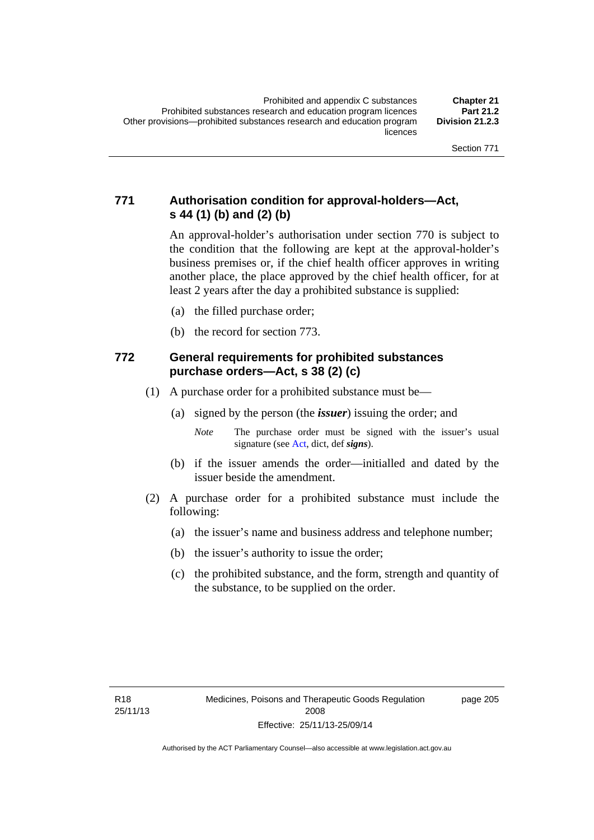## **771 Authorisation condition for approval-holders—Act, s 44 (1) (b) and (2) (b)**

An approval-holder's authorisation under section 770 is subject to the condition that the following are kept at the approval-holder's business premises or, if the chief health officer approves in writing another place, the place approved by the chief health officer, for at least 2 years after the day a prohibited substance is supplied:

- (a) the filled purchase order;
- (b) the record for section 773.

#### **772 General requirements for prohibited substances purchase orders—Act, s 38 (2) (c)**

- (1) A purchase order for a prohibited substance must be—
	- (a) signed by the person (the *issuer*) issuing the order; and
		- *Note* The purchase order must be signed with the issuer's usual signature (see [Act](http://www.legislation.act.gov.au/a/2008-26/default.asp), dict, def *signs*).
	- (b) if the issuer amends the order—initialled and dated by the issuer beside the amendment.
- (2) A purchase order for a prohibited substance must include the following:
	- (a) the issuer's name and business address and telephone number;
	- (b) the issuer's authority to issue the order;
	- (c) the prohibited substance, and the form, strength and quantity of the substance, to be supplied on the order.

page 205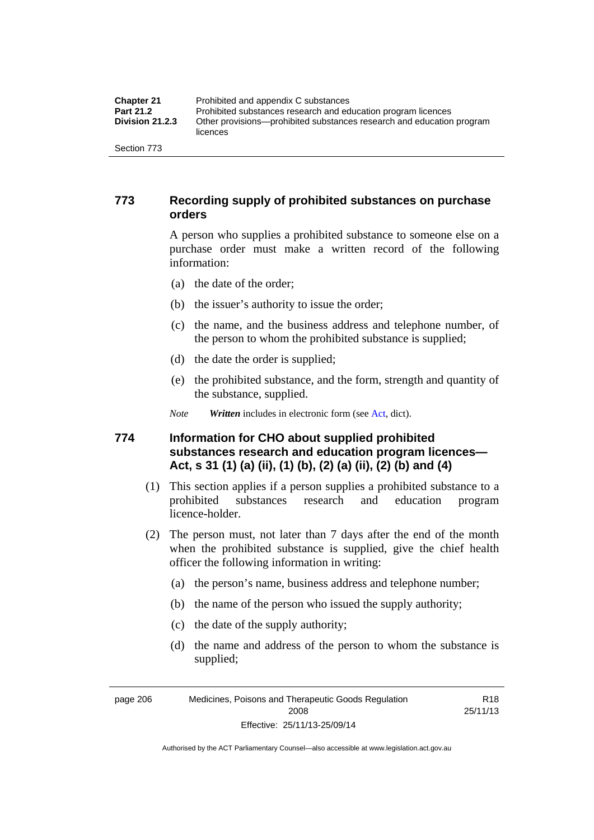| <b>Chapter 21</b>      | Prohibited and appendix C substances                                              |
|------------------------|-----------------------------------------------------------------------------------|
| <b>Part 21.2</b>       | Prohibited substances research and education program licences                     |
| <b>Division 21.2.3</b> | Other provisions—prohibited substances research and education program<br>licences |
| Section 773            |                                                                                   |

#### **773 Recording supply of prohibited substances on purchase orders**

A person who supplies a prohibited substance to someone else on a purchase order must make a written record of the following information:

- (a) the date of the order;
- (b) the issuer's authority to issue the order;
- (c) the name, and the business address and telephone number, of the person to whom the prohibited substance is supplied;
- (d) the date the order is supplied;
- (e) the prohibited substance, and the form, strength and quantity of the substance, supplied.
- *Note Written* includes in electronic form (see [Act,](http://www.legislation.act.gov.au/a/2008-26/default.asp) dict).

#### **774 Information for CHO about supplied prohibited substances research and education program licences— Act, s 31 (1) (a) (ii), (1) (b), (2) (a) (ii), (2) (b) and (4)**

- (1) This section applies if a person supplies a prohibited substance to a prohibited substances research and education program licence-holder.
- (2) The person must, not later than 7 days after the end of the month when the prohibited substance is supplied, give the chief health officer the following information in writing:
	- (a) the person's name, business address and telephone number;
	- (b) the name of the person who issued the supply authority;
	- (c) the date of the supply authority;
	- (d) the name and address of the person to whom the substance is supplied;

R18 25/11/13

page 206 Medicines, Poisons and Therapeutic Goods Regulation 2008 Effective: 25/11/13-25/09/14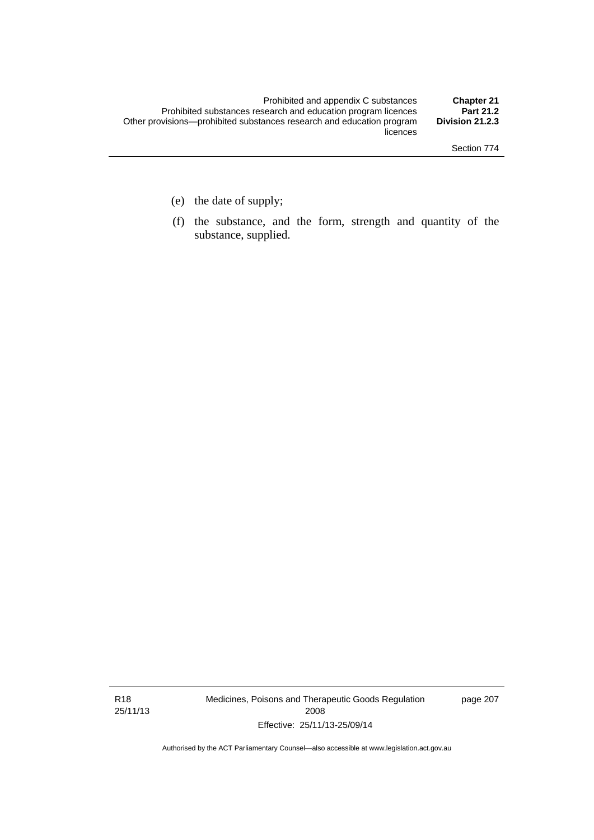- (e) the date of supply;
- (f) the substance, and the form, strength and quantity of the substance, supplied.

R18 25/11/13 Medicines, Poisons and Therapeutic Goods Regulation 2008 Effective: 25/11/13-25/09/14

page 207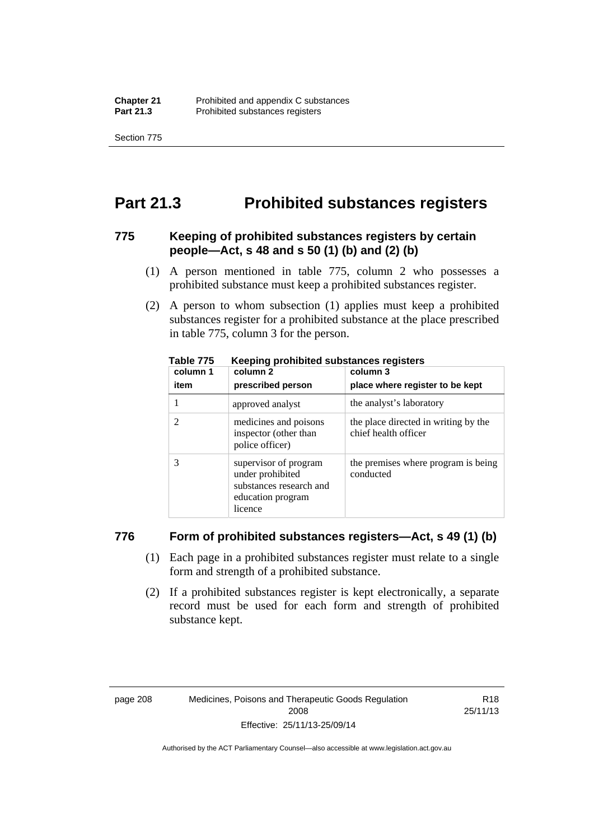Section 775

## **Part 21.3 Prohibited substances registers**

#### **775 Keeping of prohibited substances registers by certain people—Act, s 48 and s 50 (1) (b) and (2) (b)**

- (1) A person mentioned in table 775, column 2 who possesses a prohibited substance must keep a prohibited substances register.
- (2) A person to whom subsection (1) applies must keep a prohibited substances register for a prohibited substance at the place prescribed in table 775, column 3 for the person.

| column 1 | .<br>column 2                                                                                        | column 3                                                     |
|----------|------------------------------------------------------------------------------------------------------|--------------------------------------------------------------|
| item     | prescribed person                                                                                    | place where register to be kept                              |
|          | approved analyst                                                                                     | the analyst's laboratory                                     |
|          | medicines and poisons<br>inspector (other than<br>police officer)                                    | the place directed in writing by the<br>chief health officer |
|          | supervisor of program<br>under prohibited<br>substances research and<br>education program<br>licence | the premises where program is being<br>conducted             |

**Table 775 Keeping prohibited substances registers** 

#### **776 Form of prohibited substances registers—Act, s 49 (1) (b)**

- (1) Each page in a prohibited substances register must relate to a single form and strength of a prohibited substance.
- (2) If a prohibited substances register is kept electronically, a separate record must be used for each form and strength of prohibited substance kept.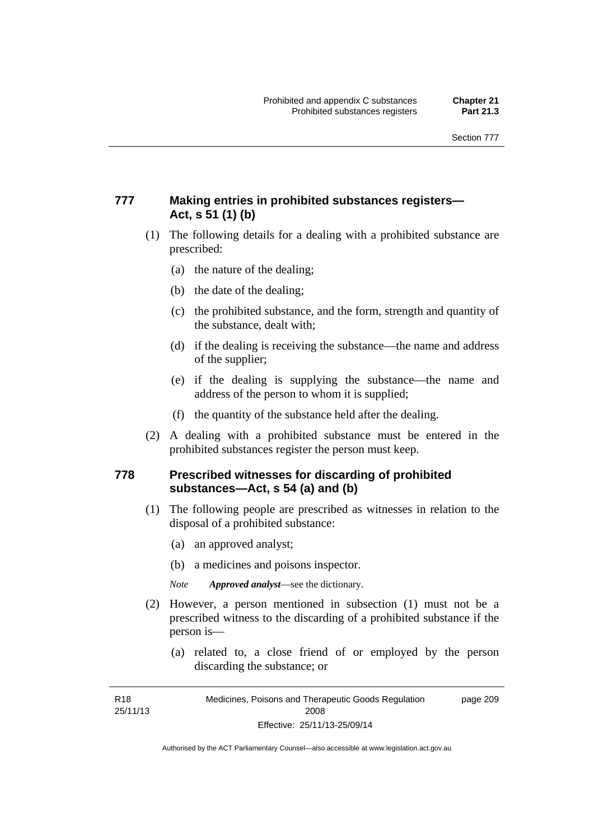## **777 Making entries in prohibited substances registers— Act, s 51 (1) (b)**

- (1) The following details for a dealing with a prohibited substance are prescribed:
	- (a) the nature of the dealing;
	- (b) the date of the dealing;
	- (c) the prohibited substance, and the form, strength and quantity of the substance, dealt with;
	- (d) if the dealing is receiving the substance—the name and address of the supplier;
	- (e) if the dealing is supplying the substance—the name and address of the person to whom it is supplied;
	- (f) the quantity of the substance held after the dealing.
- (2) A dealing with a prohibited substance must be entered in the prohibited substances register the person must keep.

#### **778 Prescribed witnesses for discarding of prohibited substances—Act, s 54 (a) and (b)**

- (1) The following people are prescribed as witnesses in relation to the disposal of a prohibited substance:
	- (a) an approved analyst;
	- (b) a medicines and poisons inspector.

*Note Approved analyst*—see the dictionary.

- (2) However, a person mentioned in subsection (1) must not be a prescribed witness to the discarding of a prohibited substance if the person is—
	- (a) related to, a close friend of or employed by the person discarding the substance; or

R18 25/11/13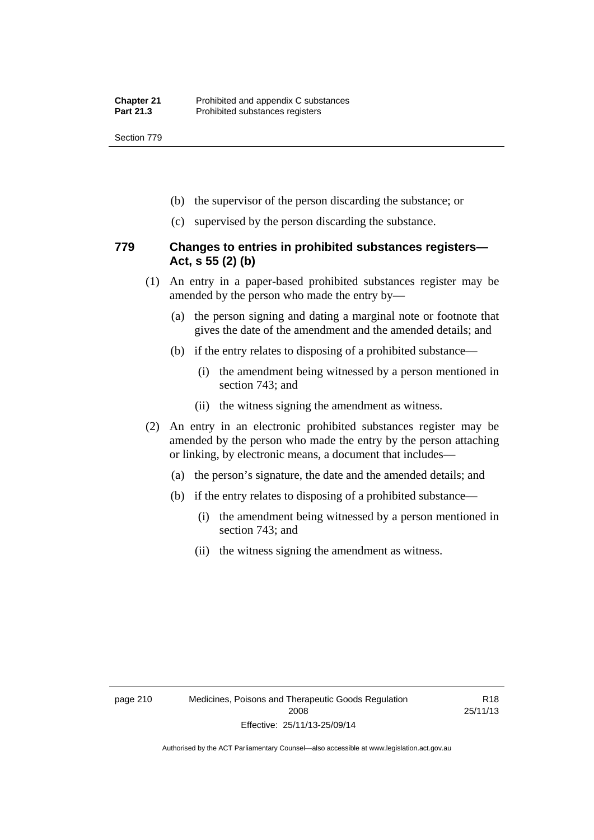Section 779

- (b) the supervisor of the person discarding the substance; or
- (c) supervised by the person discarding the substance.

#### **779 Changes to entries in prohibited substances registers— Act, s 55 (2) (b)**

- (1) An entry in a paper-based prohibited substances register may be amended by the person who made the entry by—
	- (a) the person signing and dating a marginal note or footnote that gives the date of the amendment and the amended details; and
	- (b) if the entry relates to disposing of a prohibited substance—
		- (i) the amendment being witnessed by a person mentioned in section 743; and
		- (ii) the witness signing the amendment as witness.
- (2) An entry in an electronic prohibited substances register may be amended by the person who made the entry by the person attaching or linking, by electronic means, a document that includes—
	- (a) the person's signature, the date and the amended details; and
	- (b) if the entry relates to disposing of a prohibited substance—
		- (i) the amendment being witnessed by a person mentioned in section 743; and
		- (ii) the witness signing the amendment as witness.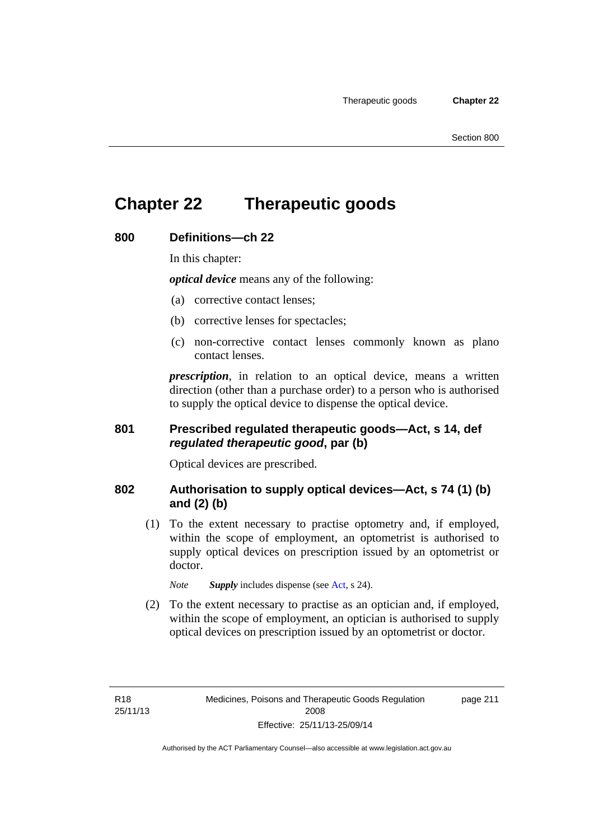# **Chapter 22 Therapeutic goods**

#### **800 Definitions—ch 22**

In this chapter:

*optical device* means any of the following:

- (a) corrective contact lenses;
- (b) corrective lenses for spectacles;
- (c) non-corrective contact lenses commonly known as plano contact lenses.

*prescription*, in relation to an optical device, means a written direction (other than a purchase order) to a person who is authorised to supply the optical device to dispense the optical device.

## **801 Prescribed regulated therapeutic goods—Act, s 14, def**  *regulated therapeutic good***, par (b)**

Optical devices are prescribed.

#### **802 Authorisation to supply optical devices—Act, s 74 (1) (b) and (2) (b)**

 (1) To the extent necessary to practise optometry and, if employed, within the scope of employment, an optometrist is authorised to supply optical devices on prescription issued by an optometrist or doctor.

*Note Supply* includes dispense (see [Act,](http://www.legislation.act.gov.au/a/2008-26/default.asp) s 24).

 (2) To the extent necessary to practise as an optician and, if employed, within the scope of employment, an optician is authorised to supply optical devices on prescription issued by an optometrist or doctor.

page 211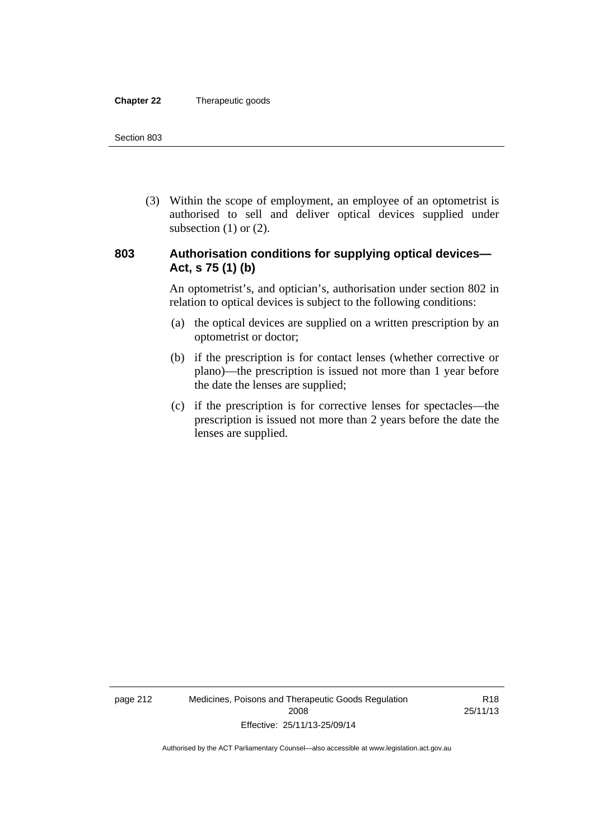#### **Chapter 22** Therapeutic goods

 (3) Within the scope of employment, an employee of an optometrist is authorised to sell and deliver optical devices supplied under subsection  $(1)$  or  $(2)$ .

#### **803 Authorisation conditions for supplying optical devices— Act, s 75 (1) (b)**

An optometrist's, and optician's, authorisation under section 802 in relation to optical devices is subject to the following conditions:

- (a) the optical devices are supplied on a written prescription by an optometrist or doctor;
- (b) if the prescription is for contact lenses (whether corrective or plano)—the prescription is issued not more than 1 year before the date the lenses are supplied;
- (c) if the prescription is for corrective lenses for spectacles—the prescription is issued not more than 2 years before the date the lenses are supplied.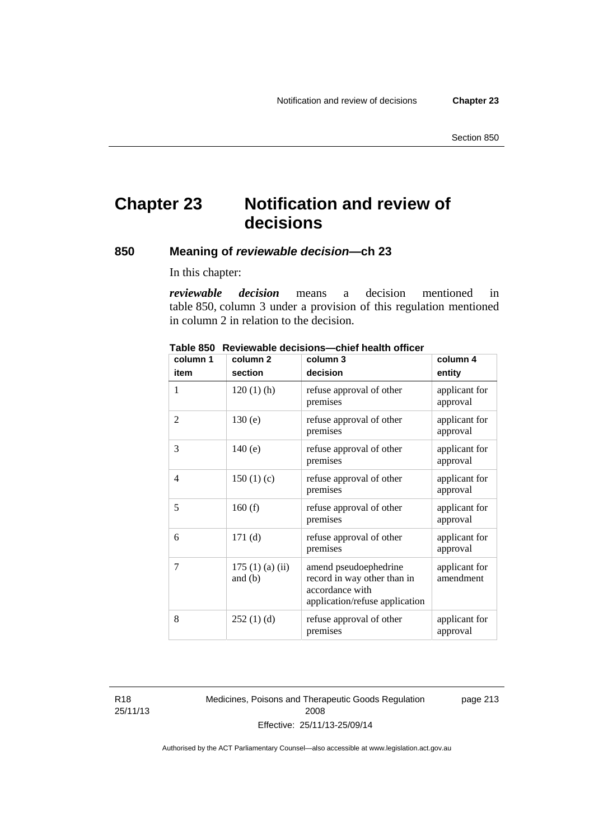# **Chapter 23 Notification and review of decisions**

#### **850 Meaning of** *reviewable decision—***ch 23**

In this chapter:

*reviewable decision* means a decision mentioned in table 850, column 3 under a provision of this regulation mentioned in column 2 in relation to the decision.

| column 1 | column <sub>2</sub>        | column 3                                                                                                  | column 4                   |
|----------|----------------------------|-----------------------------------------------------------------------------------------------------------|----------------------------|
| item     | section                    | decision                                                                                                  | entity                     |
| 1        | $120(1)$ (h)               | refuse approval of other<br>premises                                                                      | applicant for<br>approval  |
| 2        | 130(e)                     | refuse approval of other<br>premises                                                                      | applicant for<br>approval  |
| 3        | 140(e)                     | refuse approval of other<br>premises                                                                      | applicant for<br>approval  |
| 4        | 150(1)(c)                  | refuse approval of other<br>premises                                                                      | applicant for<br>approval  |
| 5        | 160(f)                     | refuse approval of other<br>premises                                                                      | applicant for<br>approval  |
| 6        | 171(d)                     | refuse approval of other<br>premises                                                                      | applicant for<br>approval  |
| 7        | 175(1)(a)(ii)<br>and $(b)$ | amend pseudoephedrine<br>record in way other than in<br>accordance with<br>application/refuse application | applicant for<br>amendment |
| 8        | 252(1)(d)                  | refuse approval of other<br>premises                                                                      | applicant for<br>approval  |

**Table 850 Reviewable decisions—chief health officer** 

R18 25/11/13 Medicines, Poisons and Therapeutic Goods Regulation 2008 Effective: 25/11/13-25/09/14

page 213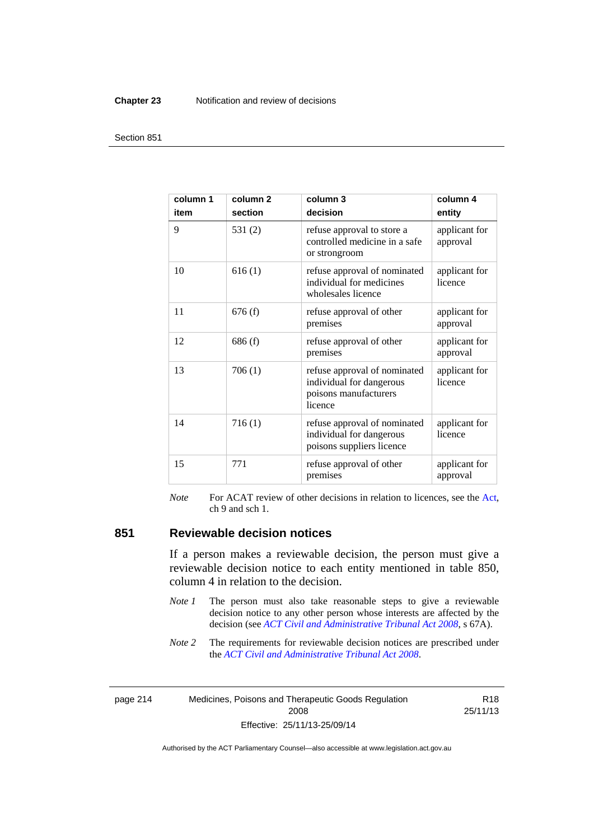#### **Chapter 23** Notification and review of decisions

#### Section 851

| column 1<br>item | column <sub>2</sub><br>section | column 3<br>decision                                                                         | column 4<br>entity        |
|------------------|--------------------------------|----------------------------------------------------------------------------------------------|---------------------------|
| 9                | 531(2)                         | refuse approval to store a<br>controlled medicine in a safe<br>or strongroom                 | applicant for<br>approval |
| 10               | 616(1)                         | refuse approval of nominated<br>individual for medicines<br>wholesales licence               | applicant for<br>licence  |
| 11               | 676(f)                         | refuse approval of other<br>premises                                                         | applicant for<br>approval |
| 12               | 686(f)                         | refuse approval of other<br>premises                                                         | applicant for<br>approval |
| 13               | 706(1)                         | refuse approval of nominated<br>individual for dangerous<br>poisons manufacturers<br>licence | applicant for<br>licence  |
| 14               | 716(1)                         | refuse approval of nominated<br>individual for dangerous<br>poisons suppliers licence        | applicant for<br>licence  |
| 15               | 771                            | refuse approval of other<br>premises                                                         | applicant for<br>approval |

*Note* For ACAT review of other decisions in relation to licences, see the [Act,](http://www.legislation.act.gov.au/a/2008-26/default.asp) ch 9 and sch 1.

#### **851 Reviewable decision notices**

If a person makes a reviewable decision, the person must give a reviewable decision notice to each entity mentioned in table 850, column 4 in relation to the decision.

- *Note 1* The person must also take reasonable steps to give a reviewable decision notice to any other person whose interests are affected by the decision (see *[ACT Civil and Administrative Tribunal Act 2008](http://www.legislation.act.gov.au/a/2008-35)*, s 67A).
- *Note* 2 The requirements for reviewable decision notices are prescribed under the *[ACT Civil and Administrative Tribunal Act 2008](http://www.legislation.act.gov.au/a/2008-35)*.

page 214 Medicines, Poisons and Therapeutic Goods Regulation 2008 Effective: 25/11/13-25/09/14

R18 25/11/13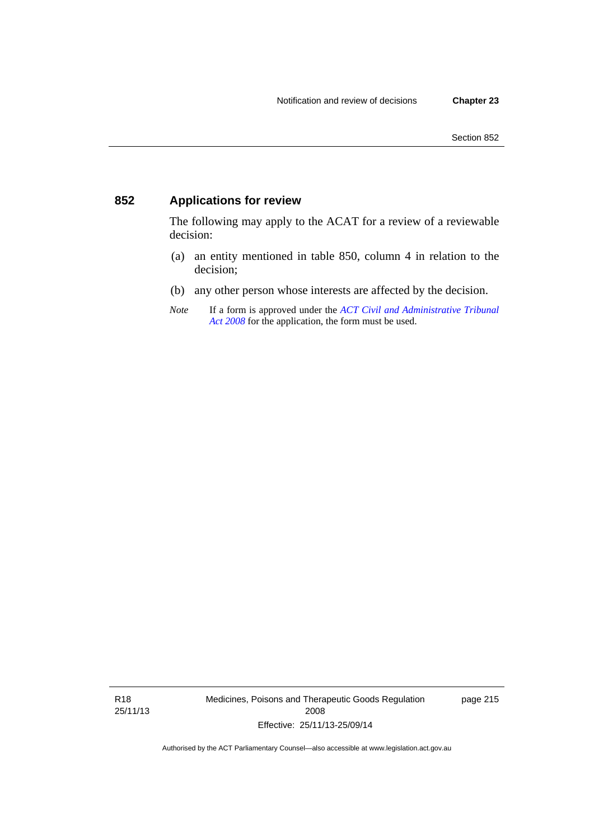## **852 Applications for review**

The following may apply to the ACAT for a review of a reviewable decision:

- (a) an entity mentioned in table 850, column 4 in relation to the decision;
- (b) any other person whose interests are affected by the decision.
- *Note* If a form is approved under the *[ACT Civil and Administrative Tribunal](http://www.legislation.act.gov.au/a/2008-35)  [Act 2008](http://www.legislation.act.gov.au/a/2008-35)* for the application, the form must be used.

R18 25/11/13 Medicines, Poisons and Therapeutic Goods Regulation 2008 Effective: 25/11/13-25/09/14

page 215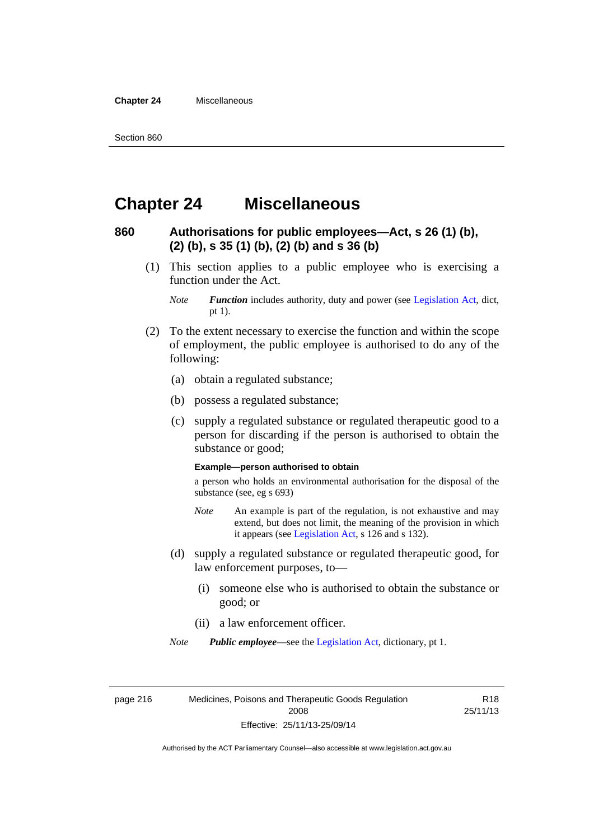**Chapter 24** Miscellaneous

## **Chapter 24 Miscellaneous**

#### **860 Authorisations for public employees—Act, s 26 (1) (b), (2) (b), s 35 (1) (b), (2) (b) and s 36 (b)**

 (1) This section applies to a public employee who is exercising a function under the Act.

- (2) To the extent necessary to exercise the function and within the scope of employment, the public employee is authorised to do any of the following:
	- (a) obtain a regulated substance;
	- (b) possess a regulated substance;
	- (c) supply a regulated substance or regulated therapeutic good to a person for discarding if the person is authorised to obtain the substance or good;

#### **Example—person authorised to obtain**

a person who holds an environmental authorisation for the disposal of the substance (see, eg s 693)

- *Note* An example is part of the regulation, is not exhaustive and may extend, but does not limit, the meaning of the provision in which it appears (see [Legislation Act,](http://www.legislation.act.gov.au/a/2001-14) s 126 and s 132).
- (d) supply a regulated substance or regulated therapeutic good, for law enforcement purposes, to—
	- (i) someone else who is authorised to obtain the substance or good; or
	- (ii) a law enforcement officer.

*Note Public employee*—see the [Legislation Act,](http://www.legislation.act.gov.au/a/2001-14) dictionary, pt 1.

page 216 Medicines, Poisons and Therapeutic Goods Regulation 2008 Effective: 25/11/13-25/09/14

R18 25/11/13

*Note Function* includes authority, duty and power (see [Legislation Act](http://www.legislation.act.gov.au/a/2001-14), dict, pt 1).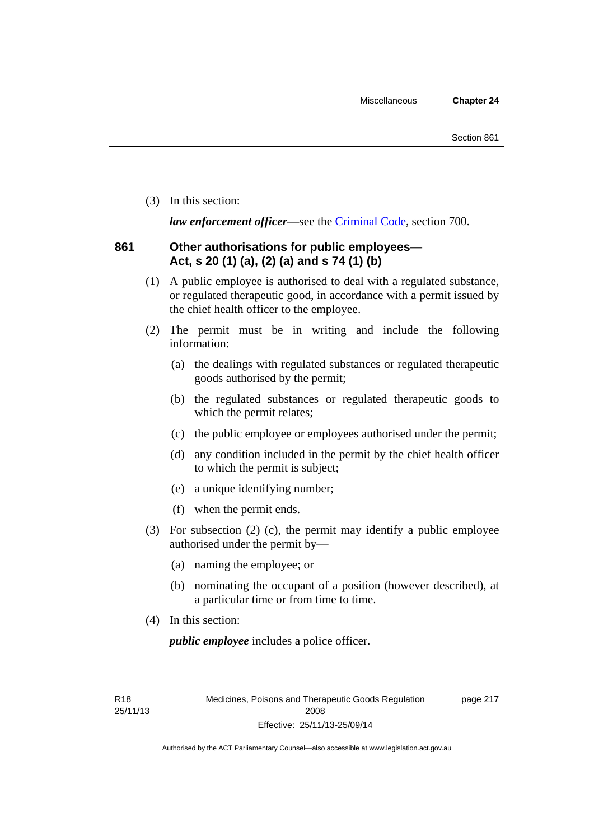(3) In this section:

*law enforcement officer*—see the [Criminal Code,](http://www.legislation.act.gov.au/a/2002-51) section 700.

## **861 Other authorisations for public employees— Act, s 20 (1) (a), (2) (a) and s 74 (1) (b)**

- (1) A public employee is authorised to deal with a regulated substance, or regulated therapeutic good, in accordance with a permit issued by the chief health officer to the employee.
- (2) The permit must be in writing and include the following information:
	- (a) the dealings with regulated substances or regulated therapeutic goods authorised by the permit;
	- (b) the regulated substances or regulated therapeutic goods to which the permit relates;
	- (c) the public employee or employees authorised under the permit;
	- (d) any condition included in the permit by the chief health officer to which the permit is subject;
	- (e) a unique identifying number;
	- (f) when the permit ends.
- (3) For subsection (2) (c), the permit may identify a public employee authorised under the permit by—
	- (a) naming the employee; or
	- (b) nominating the occupant of a position (however described), at a particular time or from time to time.
- (4) In this section:

*public employee* includes a police officer.

R18 25/11/13 page 217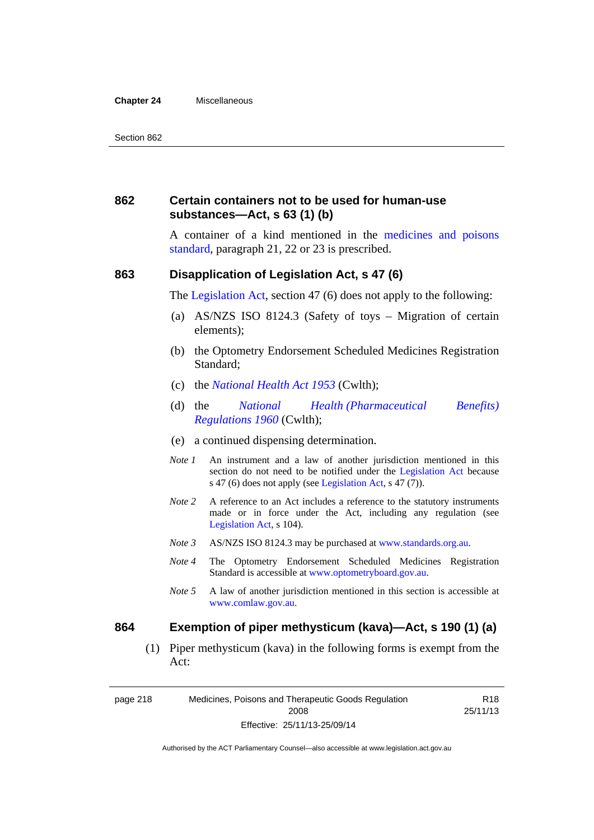#### **Chapter 24** Miscellaneous

#### **862 Certain containers not to be used for human-use substances—Act, s 63 (1) (b)**

A container of a kind mentioned in the [medicines and poisons](http://www.comlaw.gov.au/Series/F2012L01200)  [standard,](http://www.comlaw.gov.au/Series/F2012L01200) paragraph 21, 22 or 23 is prescribed.

#### **863 Disapplication of Legislation Act, s 47 (6)**

The [Legislation Act](http://www.legislation.act.gov.au/a/2001-14), section 47 (6) does not apply to the following:

- (a) AS/NZS ISO 8124.3 (Safety of toys Migration of certain elements);
- (b) the Optometry Endorsement Scheduled Medicines Registration Standard;
- (c) the *[National Health Act 1953](http://www.comlaw.gov.au/Series/C1953A00095)* (Cwlth);
- (d) the *[National Health \(Pharmaceutical Benefits\)](http://www.comlaw.gov.au/Series/F1996B02844)  [Regulations 1960](http://www.comlaw.gov.au/Series/F1996B02844)* (Cwlth);
- (e) a continued dispensing determination.
- *Note 1* An instrument and a law of another jurisdiction mentioned in this section do not need to be notified under the [Legislation Act](http://www.legislation.act.gov.au/a/2001-14) because s 47 (6) does not apply (see [Legislation Act](http://www.legislation.act.gov.au/a/2001-14), s 47 (7)).
- *Note 2* A reference to an Act includes a reference to the statutory instruments made or in force under the Act, including any regulation (see [Legislation Act,](http://www.legislation.act.gov.au/a/2001-14) s 104).
- *Note 3* AS/NZS ISO 8124.3 may be purchased at [www.standards.org.au.](http://www.standards.org.au/)
- *Note 4* The Optometry Endorsement Scheduled Medicines Registration Standard is accessible at [www.optometryboard.gov.au](http://www.optometryboard.gov.au/).
- *Note 5* A law of another jurisdiction mentioned in this section is accessible at [www.comlaw.gov.au](http://www.comlaw.gov.au/).

#### **864 Exemption of piper methysticum (kava)—Act, s 190 (1) (a)**

 (1) Piper methysticum (kava) in the following forms is exempt from the Act:

page 218 Medicines, Poisons and Therapeutic Goods Regulation 2008 Effective: 25/11/13-25/09/14

R18 25/11/13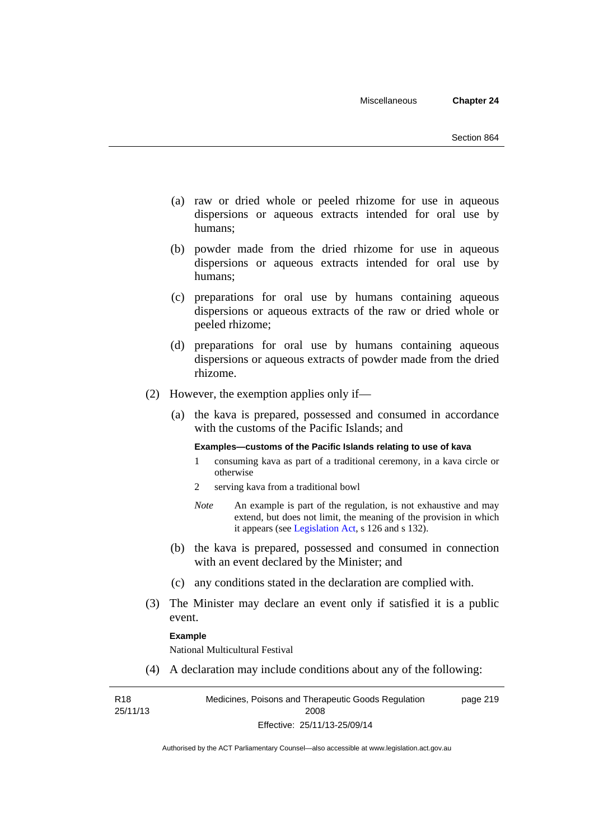- (a) raw or dried whole or peeled rhizome for use in aqueous dispersions or aqueous extracts intended for oral use by humans;
- (b) powder made from the dried rhizome for use in aqueous dispersions or aqueous extracts intended for oral use by humans;
- (c) preparations for oral use by humans containing aqueous dispersions or aqueous extracts of the raw or dried whole or peeled rhizome;
- (d) preparations for oral use by humans containing aqueous dispersions or aqueous extracts of powder made from the dried rhizome.
- (2) However, the exemption applies only if—
	- (a) the kava is prepared, possessed and consumed in accordance with the customs of the Pacific Islands; and

#### **Examples—customs of the Pacific Islands relating to use of kava**

- 1 consuming kava as part of a traditional ceremony, in a kava circle or otherwise
- 2 serving kava from a traditional bowl
- *Note* An example is part of the regulation, is not exhaustive and may extend, but does not limit, the meaning of the provision in which it appears (see [Legislation Act,](http://www.legislation.act.gov.au/a/2001-14) s 126 and s 132).
- (b) the kava is prepared, possessed and consumed in connection with an event declared by the Minister; and
- (c) any conditions stated in the declaration are complied with.
- (3) The Minister may declare an event only if satisfied it is a public event.

#### **Example**

National Multicultural Festival

(4) A declaration may include conditions about any of the following:

R18 25/11/13

Medicines, Poisons and Therapeutic Goods Regulation 2008 Effective: 25/11/13-25/09/14 page 219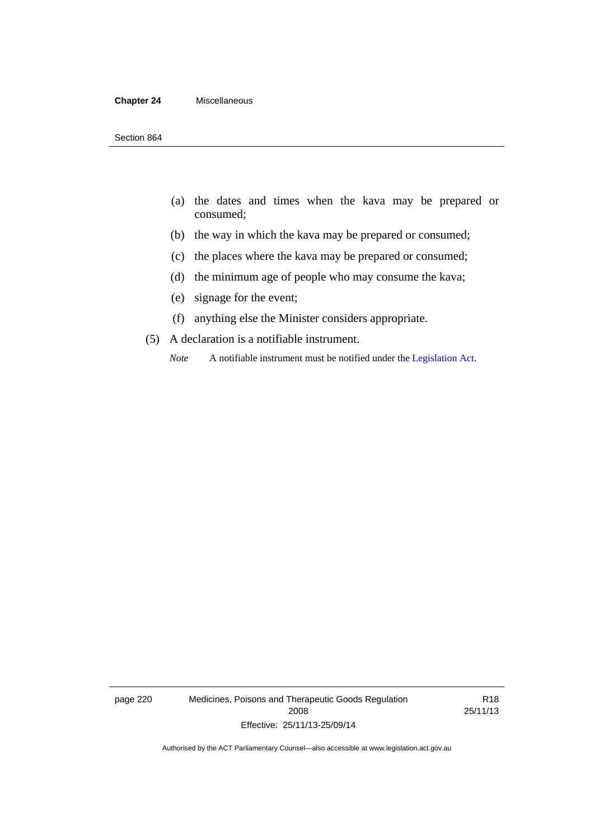#### **Chapter 24** Miscellaneous

- (a) the dates and times when the kava may be prepared or consumed;
- (b) the way in which the kava may be prepared or consumed;
- (c) the places where the kava may be prepared or consumed;
- (d) the minimum age of people who may consume the kava;
- (e) signage for the event;
- (f) anything else the Minister considers appropriate.
- (5) A declaration is a notifiable instrument.
	- *Note* A notifiable instrument must be notified under the [Legislation Act](http://www.legislation.act.gov.au/a/2001-14).

page 220 Medicines, Poisons and Therapeutic Goods Regulation 2008 Effective: 25/11/13-25/09/14

R18 25/11/13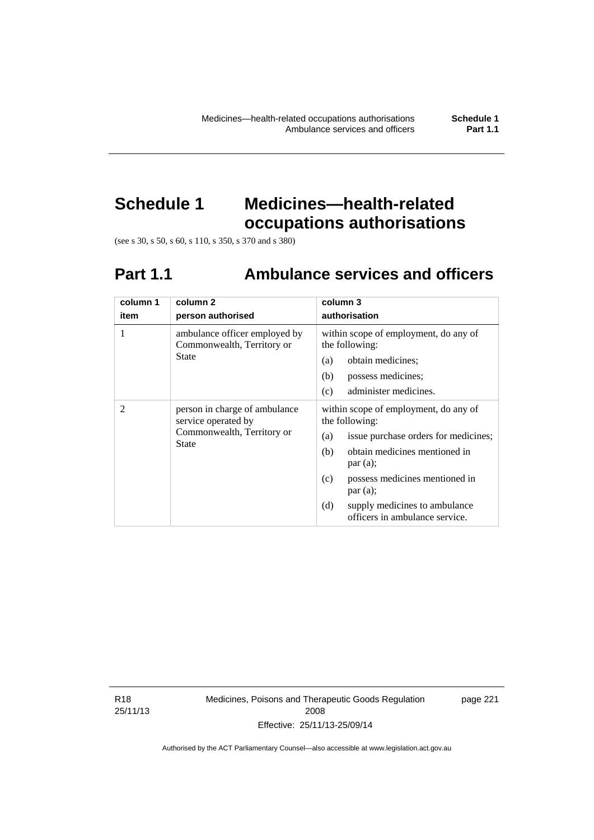# **Schedule 1 Medicines—health-related occupations authorisations**

(see s 30, s 50, s 60, s 110, s 350, s 370 and s 380)

# **Part 1.1 Ambulance services and officers**

| column 1<br>item | column <sub>2</sub><br>person authorised                                                    | column 3<br>authorisation                                                                                                                      |
|------------------|---------------------------------------------------------------------------------------------|------------------------------------------------------------------------------------------------------------------------------------------------|
| 1                | ambulance officer employed by<br>Commonwealth, Territory or                                 | within scope of employment, do any of<br>the following:                                                                                        |
|                  | <b>State</b>                                                                                | obtain medicines;<br>(a)                                                                                                                       |
|                  |                                                                                             | possess medicines;<br>(b)                                                                                                                      |
|                  |                                                                                             | administer medicines.<br>(c)                                                                                                                   |
| $\mathfrak{D}$   | person in charge of ambulance<br>service operated by<br>Commonwealth, Territory or<br>State | within scope of employment, do any of<br>the following:<br>issue purchase orders for medicines;<br>(a)<br>obtain medicines mentioned in<br>(b) |
|                  |                                                                                             | par(a);                                                                                                                                        |
|                  |                                                                                             | possess medicines mentioned in<br>(c)<br>par(a);                                                                                               |
|                  |                                                                                             | (d)<br>supply medicines to ambulance<br>officers in ambulance service.                                                                         |

R18 25/11/13 Medicines, Poisons and Therapeutic Goods Regulation 2008 Effective: 25/11/13-25/09/14

page 221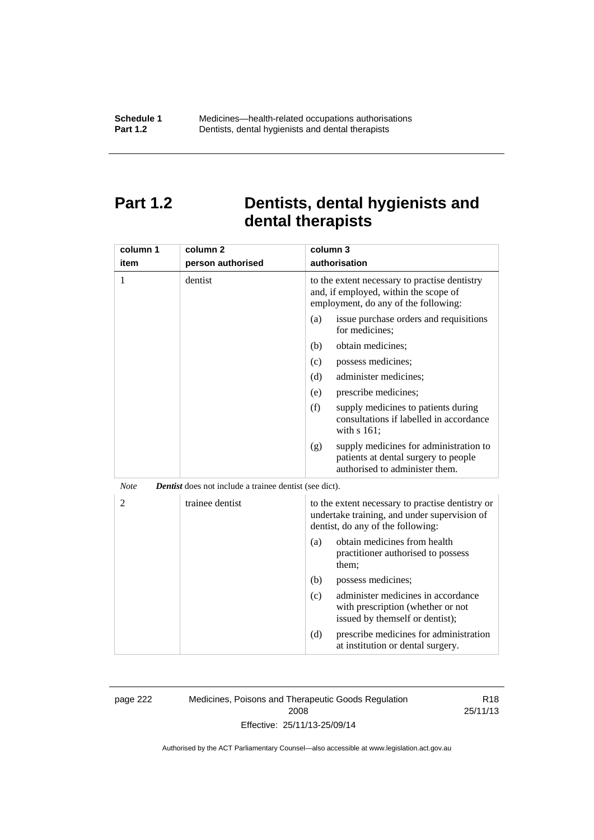## **Part 1.2 Dentists, dental hygienists and dental therapists**

| column 1       | column <sub>2</sub>                                           | column 3                                                                                                                              |
|----------------|---------------------------------------------------------------|---------------------------------------------------------------------------------------------------------------------------------------|
| item           | person authorised                                             | authorisation                                                                                                                         |
| 1              | dentist                                                       | to the extent necessary to practise dentistry<br>and, if employed, within the scope of<br>employment, do any of the following:        |
|                |                                                               | issue purchase orders and requisitions<br>(a)<br>for medicines;                                                                       |
|                |                                                               | obtain medicines;<br>(b)                                                                                                              |
|                |                                                               | possess medicines;<br>(c)                                                                                                             |
|                |                                                               | administer medicines;<br>(d)                                                                                                          |
|                |                                                               | prescribe medicines;<br>(e)                                                                                                           |
|                |                                                               | (f)<br>supply medicines to patients during<br>consultations if labelled in accordance<br>with s 161;                                  |
|                |                                                               | supply medicines for administration to<br>(g)<br>patients at dental surgery to people<br>authorised to administer them.               |
| <b>Note</b>    | <b>Dentist</b> does not include a trainee dentist (see dict). |                                                                                                                                       |
| $\overline{2}$ | trainee dentist                                               | to the extent necessary to practise dentistry or<br>undertake training, and under supervision of<br>dentist, do any of the following: |
|                |                                                               | obtain medicines from health<br>(a)<br>practitioner authorised to possess<br>them:                                                    |
|                |                                                               | (b)<br>possess medicines;                                                                                                             |
|                |                                                               | administer medicines in accordance<br>(c)<br>with prescription (whether or not<br>issued by themself or dentist);                     |
|                |                                                               | (d)<br>prescribe medicines for administration<br>at institution or dental surgery.                                                    |

page 222 Medicines, Poisons and Therapeutic Goods Regulation 2008 Effective: 25/11/13-25/09/14

R18 25/11/13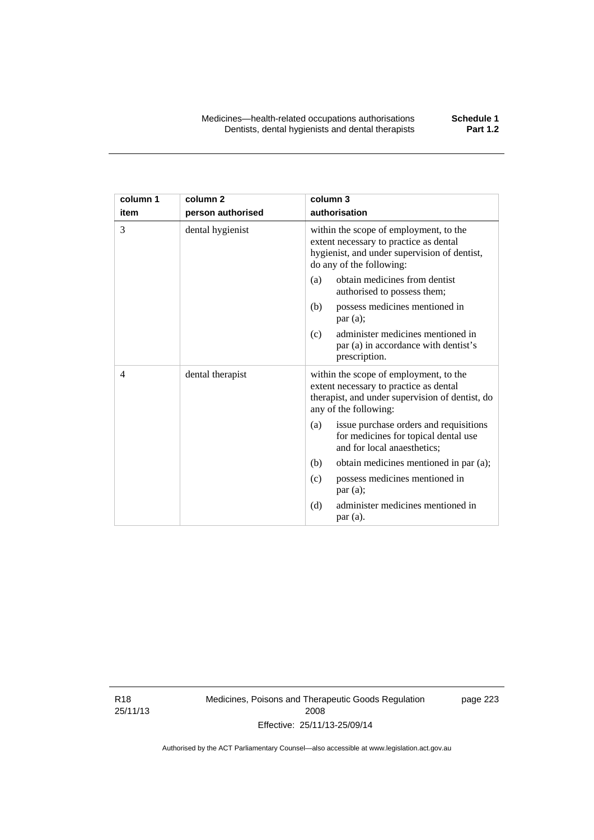| column 1 | column <sub>2</sub> | column 3                                                                                                                                                     |
|----------|---------------------|--------------------------------------------------------------------------------------------------------------------------------------------------------------|
| item     | person authorised   | authorisation                                                                                                                                                |
| 3        | dental hygienist    | within the scope of employment, to the<br>extent necessary to practice as dental<br>hygienist, and under supervision of dentist,<br>do any of the following: |
|          |                     | obtain medicines from dentist<br>(a)<br>authorised to possess them;                                                                                          |
|          |                     | possess medicines mentioned in<br>(b)<br>par(a);                                                                                                             |
|          |                     | administer medicines mentioned in<br>(c)<br>par (a) in accordance with dentist's<br>prescription.                                                            |
| 4        | dental therapist    | within the scope of employment, to the<br>extent necessary to practice as dental<br>therapist, and under supervision of dentist, do<br>any of the following: |
|          |                     | issue purchase orders and requisitions<br>(a)<br>for medicines for topical dental use<br>and for local anaesthetics;                                         |
|          |                     | obtain medicines mentioned in par (a);<br>(b)                                                                                                                |
|          |                     | possess medicines mentioned in<br>(c)<br>par (a);                                                                                                            |
|          |                     | administer medicines mentioned in<br>(d)<br>par(a).                                                                                                          |

R18 25/11/13 Medicines, Poisons and Therapeutic Goods Regulation 2008 Effective: 25/11/13-25/09/14

page 223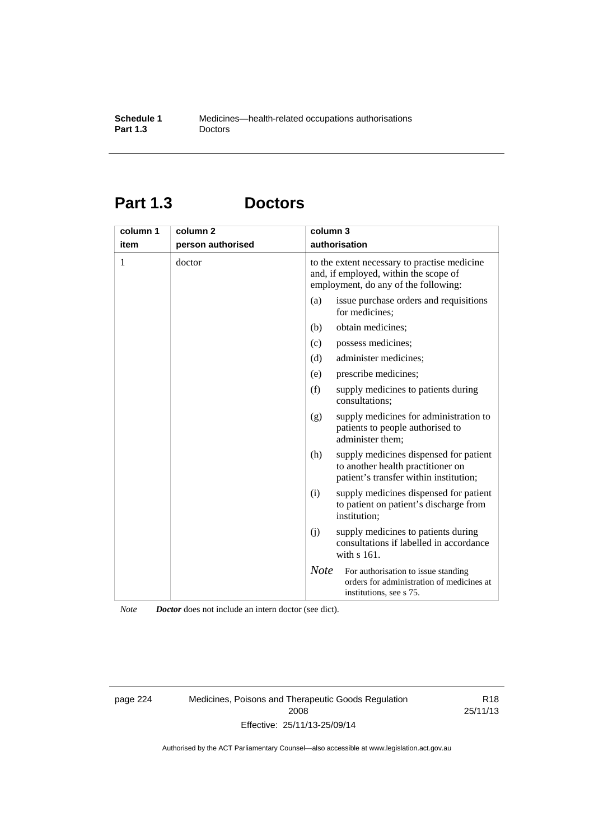# **Part 1.3 Doctors**

| column 1<br>item | column 2<br>person authorised | column 3    | authorisation                                                                                                                 |
|------------------|-------------------------------|-------------|-------------------------------------------------------------------------------------------------------------------------------|
| 1                | doctor                        |             | to the extent necessary to practise medicine<br>and, if employed, within the scope of<br>employment, do any of the following: |
|                  |                               | (a)         | issue purchase orders and requisitions<br>for medicines;                                                                      |
|                  |                               | (b)         | obtain medicines;                                                                                                             |
|                  |                               | (c)         | possess medicines;                                                                                                            |
|                  |                               | (d)         | administer medicines;                                                                                                         |
|                  |                               | (e)         | prescribe medicines;                                                                                                          |
|                  |                               | (f)         | supply medicines to patients during<br>consultations;                                                                         |
|                  |                               | (g)         | supply medicines for administration to<br>patients to people authorised to<br>administer them;                                |
|                  |                               | (h)         | supply medicines dispensed for patient<br>to another health practitioner on<br>patient's transfer within institution;         |
|                  |                               | (i)         | supply medicines dispensed for patient<br>to patient on patient's discharge from<br>institution;                              |
|                  |                               | (i)         | supply medicines to patients during<br>consultations if labelled in accordance<br>with s 161.                                 |
|                  |                               | <b>Note</b> | For authorisation to issue standing<br>orders for administration of medicines at<br>institutions, see s 75.                   |

*Note Doctor* does not include an intern doctor (see dict).

page 224 Medicines, Poisons and Therapeutic Goods Regulation 2008 Effective: 25/11/13-25/09/14

R18 25/11/13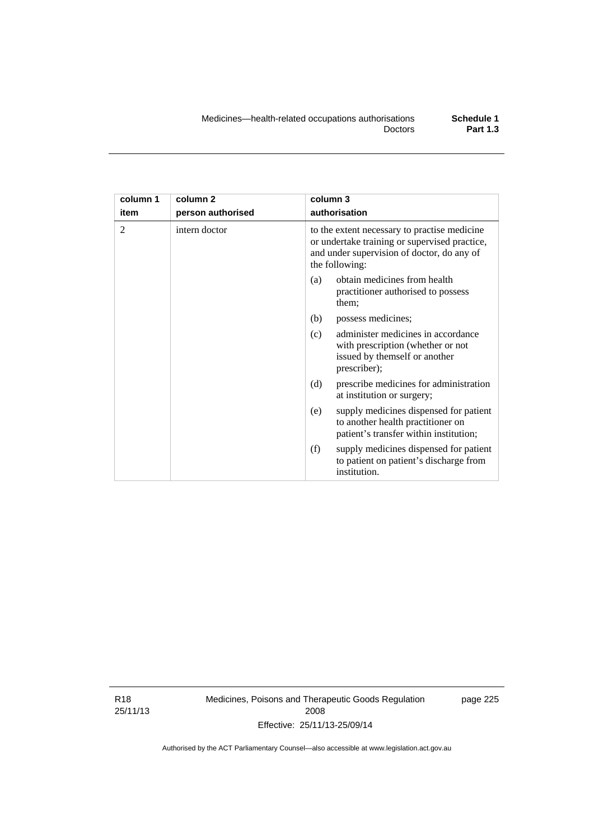| column 1 | column <sub>2</sub> | column 3                                                                                                                                                      |  |
|----------|---------------------|---------------------------------------------------------------------------------------------------------------------------------------------------------------|--|
| item     | person authorised   | authorisation                                                                                                                                                 |  |
| 2        | intern doctor       | to the extent necessary to practise medicine<br>or undertake training or supervised practice,<br>and under supervision of doctor, do any of<br>the following: |  |
|          |                     | obtain medicines from health<br>(a)<br>practitioner authorised to possess<br>them;                                                                            |  |
|          |                     | possess medicines;<br>(b)                                                                                                                                     |  |
|          |                     | administer medicines in accordance<br>(c)<br>with prescription (whether or not<br>issued by themself or another<br>prescriber);                               |  |
|          |                     | (d)<br>prescribe medicines for administration<br>at institution or surgery;                                                                                   |  |
|          |                     | supply medicines dispensed for patient<br>(e)<br>to another health practitioner on<br>patient's transfer within institution;                                  |  |
|          |                     | (f)<br>supply medicines dispensed for patient<br>to patient on patient's discharge from<br>institution.                                                       |  |

R18 25/11/13 Medicines, Poisons and Therapeutic Goods Regulation 2008 Effective: 25/11/13-25/09/14

page 225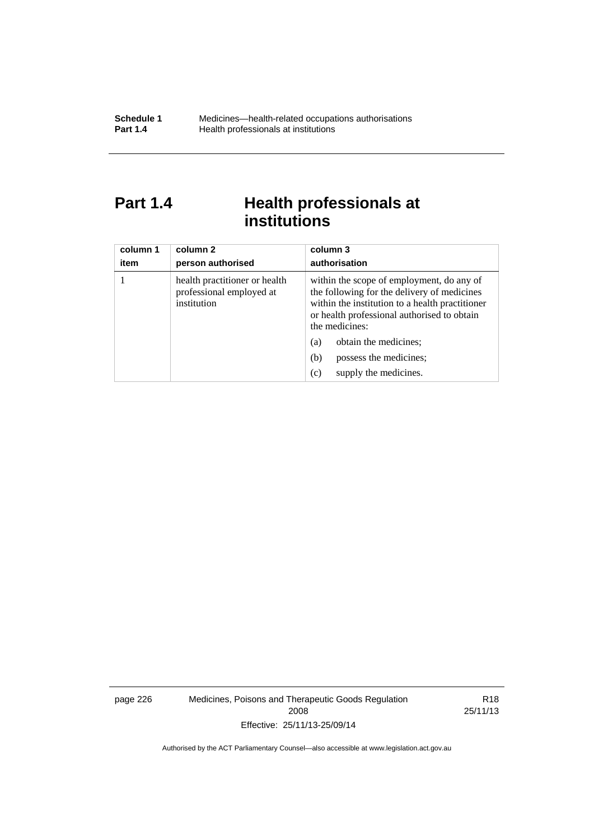# Part 1.4 **Health professionals at institutions**

| column 1<br>item | column 2<br>person authorised                                            | column 3<br>authorisation                                                                                                                                                                                    |
|------------------|--------------------------------------------------------------------------|--------------------------------------------------------------------------------------------------------------------------------------------------------------------------------------------------------------|
|                  | health practitioner or health<br>professional employed at<br>institution | within the scope of employment, do any of<br>the following for the delivery of medicines<br>within the institution to a health practitioner<br>or health professional authorised to obtain<br>the medicines: |
|                  |                                                                          | obtain the medicines;<br>(a)                                                                                                                                                                                 |
|                  |                                                                          | possess the medicines;<br>(b)                                                                                                                                                                                |
|                  |                                                                          | supply the medicines.<br>(c)                                                                                                                                                                                 |

page 226 Medicines, Poisons and Therapeutic Goods Regulation 2008 Effective: 25/11/13-25/09/14

R18 25/11/13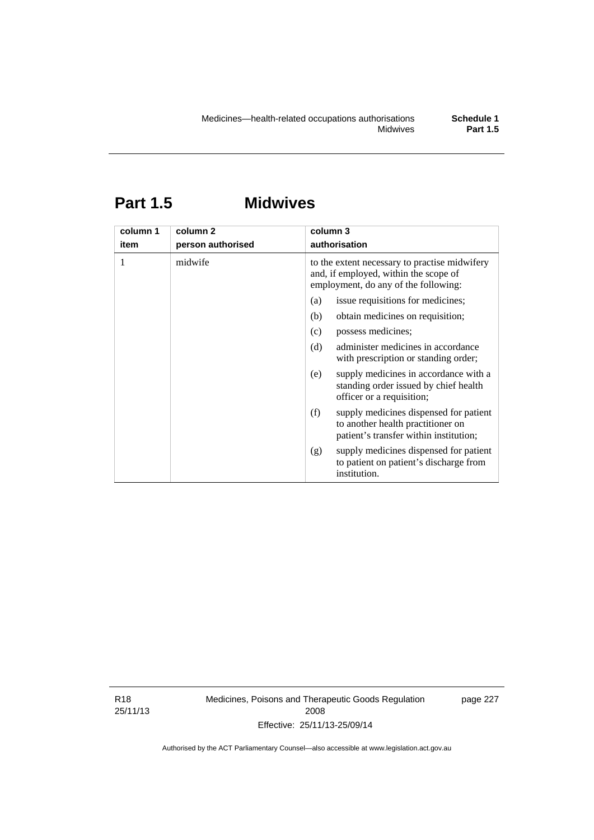# **Part 1.5 Midwives**

| column 1<br>item | column 2<br>person authorised | column 3<br>authorisation                                                                                                      |  |
|------------------|-------------------------------|--------------------------------------------------------------------------------------------------------------------------------|--|
|                  | midwife                       | to the extent necessary to practise midwifery<br>and, if employed, within the scope of<br>employment, do any of the following: |  |
|                  |                               | issue requisitions for medicines;<br>(a)                                                                                       |  |
|                  |                               | obtain medicines on requisition;<br>(b)                                                                                        |  |
|                  |                               | possess medicines;<br>(c)                                                                                                      |  |
|                  |                               | administer medicines in accordance<br>(d)<br>with prescription or standing order;                                              |  |
|                  |                               | supply medicines in accordance with a<br>(e)<br>standing order issued by chief health<br>officer or a requisition;             |  |
|                  |                               | (f)<br>supply medicines dispensed for patient<br>to another health practitioner on<br>patient's transfer within institution;   |  |
|                  |                               | supply medicines dispensed for patient<br>(g)<br>to patient on patient's discharge from<br>institution.                        |  |

R18 25/11/13 Medicines, Poisons and Therapeutic Goods Regulation 2008 Effective: 25/11/13-25/09/14

page 227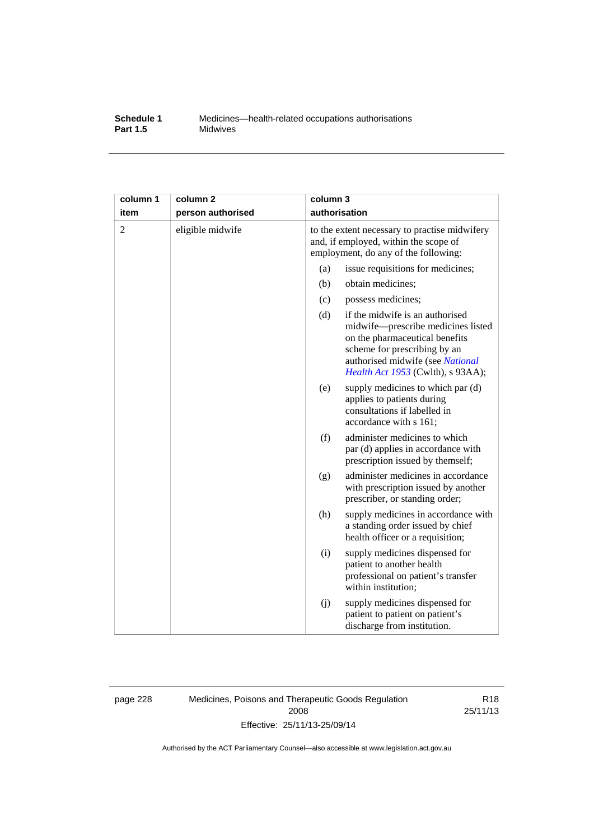#### **Schedule 1** Medicines—health-related occupations authorisations<br>**Part 1.5** Midwives **Midwives**

| column 1       | column <sub>2</sub> | column 3                                                                                                                       |                                                                                                                                                                                                                  |
|----------------|---------------------|--------------------------------------------------------------------------------------------------------------------------------|------------------------------------------------------------------------------------------------------------------------------------------------------------------------------------------------------------------|
| item           | person authorised   | authorisation                                                                                                                  |                                                                                                                                                                                                                  |
| $\overline{2}$ | eligible midwife    | to the extent necessary to practise midwifery<br>and, if employed, within the scope of<br>employment, do any of the following: |                                                                                                                                                                                                                  |
|                |                     | (a)                                                                                                                            | issue requisitions for medicines;                                                                                                                                                                                |
|                |                     | (b)                                                                                                                            | obtain medicines;                                                                                                                                                                                                |
|                |                     | (c)                                                                                                                            | possess medicines;                                                                                                                                                                                               |
|                |                     | (d)                                                                                                                            | if the midwife is an authorised<br>midwife-prescribe medicines listed<br>on the pharmaceutical benefits<br>scheme for prescribing by an<br>authorised midwife (see National<br>Health Act 1953 (Cwlth), s 93AA); |
|                |                     | (e)                                                                                                                            | supply medicines to which par (d)<br>applies to patients during<br>consultations if labelled in<br>accordance with s 161;                                                                                        |
|                |                     | (f)                                                                                                                            | administer medicines to which<br>par (d) applies in accordance with<br>prescription issued by themself;                                                                                                          |
|                |                     | (g)                                                                                                                            | administer medicines in accordance<br>with prescription issued by another<br>prescriber, or standing order;                                                                                                      |
|                |                     | (h)                                                                                                                            | supply medicines in accordance with<br>a standing order issued by chief<br>health officer or a requisition;                                                                                                      |
|                |                     | (i)                                                                                                                            | supply medicines dispensed for<br>patient to another health<br>professional on patient's transfer<br>within institution;                                                                                         |
|                |                     | (j)                                                                                                                            | supply medicines dispensed for<br>patient to patient on patient's<br>discharge from institution.                                                                                                                 |

page 228 Medicines, Poisons and Therapeutic Goods Regulation 2008 Effective: 25/11/13-25/09/14

R18 25/11/13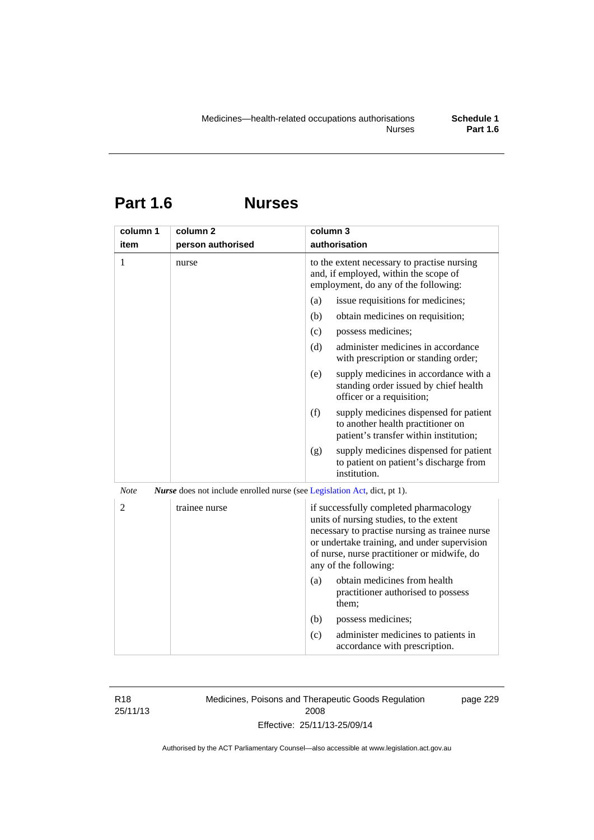# **Part 1.6 Nurses**

| column 1    | column <sub>2</sub>                                                             | column 3                                                                                                                                                                                                                                                    |
|-------------|---------------------------------------------------------------------------------|-------------------------------------------------------------------------------------------------------------------------------------------------------------------------------------------------------------------------------------------------------------|
| item        | person authorised                                                               | authorisation                                                                                                                                                                                                                                               |
| 1           | nurse                                                                           | to the extent necessary to practise nursing<br>and, if employed, within the scope of<br>employment, do any of the following:                                                                                                                                |
|             |                                                                                 | issue requisitions for medicines;<br>(a)                                                                                                                                                                                                                    |
|             |                                                                                 | (b)<br>obtain medicines on requisition;                                                                                                                                                                                                                     |
|             |                                                                                 | possess medicines;<br>(c)                                                                                                                                                                                                                                   |
|             |                                                                                 | administer medicines in accordance<br>(d)<br>with prescription or standing order;                                                                                                                                                                           |
|             |                                                                                 | supply medicines in accordance with a<br>(e)<br>standing order issued by chief health<br>officer or a requisition;                                                                                                                                          |
|             |                                                                                 | (f)<br>supply medicines dispensed for patient<br>to another health practitioner on<br>patient's transfer within institution;                                                                                                                                |
|             |                                                                                 | supply medicines dispensed for patient<br>(g)<br>to patient on patient's discharge from<br>institution.                                                                                                                                                     |
| <b>Note</b> | <i>Nurse</i> does not include enrolled nurse (see Legislation Act, dict, pt 1). |                                                                                                                                                                                                                                                             |
| 2           | trainee nurse                                                                   | if successfully completed pharmacology<br>units of nursing studies, to the extent<br>necessary to practise nursing as trainee nurse<br>or undertake training, and under supervision<br>of nurse, nurse practitioner or midwife, do<br>any of the following: |
|             |                                                                                 | obtain medicines from health<br>(a)<br>practitioner authorised to possess<br>them;                                                                                                                                                                          |
|             |                                                                                 | (b)<br>possess medicines;                                                                                                                                                                                                                                   |
|             |                                                                                 | administer medicines to patients in<br>(c)<br>accordance with prescription.                                                                                                                                                                                 |

R18 25/11/13 Medicines, Poisons and Therapeutic Goods Regulation 2008 Effective: 25/11/13-25/09/14

page 229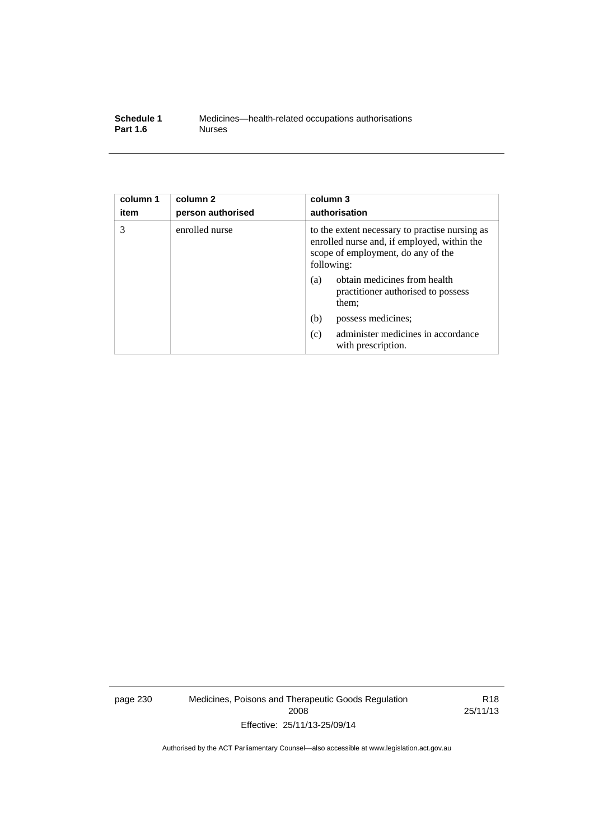| Schedule 1      | Medicines—health-related occupations authorisations |
|-----------------|-----------------------------------------------------|
| <b>Part 1.6</b> | <b>Nurses</b>                                       |

| column 1<br>item | column <sub>2</sub><br>person authorised | column 3<br>authorisation                                                                                                                         |
|------------------|------------------------------------------|---------------------------------------------------------------------------------------------------------------------------------------------------|
| 3                | enrolled nurse                           | to the extent necessary to practise nursing as<br>enrolled nurse and, if employed, within the<br>scope of employment, do any of the<br>following: |
|                  |                                          | obtain medicines from health<br>(a)<br>practitioner authorised to possess<br>them;                                                                |
|                  |                                          | (b)<br>possess medicines;                                                                                                                         |
|                  |                                          | administer medicines in accordance<br>(c)<br>with prescription.                                                                                   |

page 230 Medicines, Poisons and Therapeutic Goods Regulation 2008 Effective: 25/11/13-25/09/14

R18 25/11/13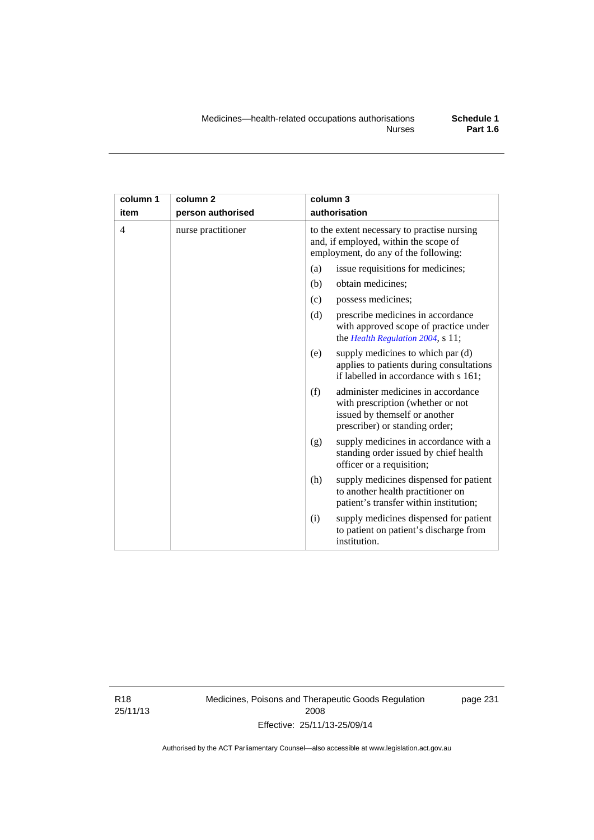| column 1       | column <sub>2</sub> | column 3                                                                                                                                          |
|----------------|---------------------|---------------------------------------------------------------------------------------------------------------------------------------------------|
| item           | person authorised   | authorisation                                                                                                                                     |
| $\overline{4}$ | nurse practitioner  | to the extent necessary to practise nursing<br>and, if employed, within the scope of<br>employment, do any of the following:                      |
|                |                     | issue requisitions for medicines;<br>(a)                                                                                                          |
|                |                     | (b)<br>obtain medicines;                                                                                                                          |
|                |                     | possess medicines;<br>(c)                                                                                                                         |
|                |                     | (d)<br>prescribe medicines in accordance<br>with approved scope of practice under<br>the Health Regulation 2004, s 11;                            |
|                |                     | supply medicines to which par (d)<br>(e)<br>applies to patients during consultations<br>if labelled in accordance with s 161;                     |
|                |                     | administer medicines in accordance<br>(f)<br>with prescription (whether or not<br>issued by themself or another<br>prescriber) or standing order; |
|                |                     | supply medicines in accordance with a<br>(g)<br>standing order issued by chief health<br>officer or a requisition;                                |
|                |                     | supply medicines dispensed for patient<br>(h)<br>to another health practitioner on<br>patient's transfer within institution;                      |
|                |                     | supply medicines dispensed for patient<br>(i)<br>to patient on patient's discharge from<br>institution.                                           |

R18 25/11/13 Medicines, Poisons and Therapeutic Goods Regulation 2008 Effective: 25/11/13-25/09/14

page 231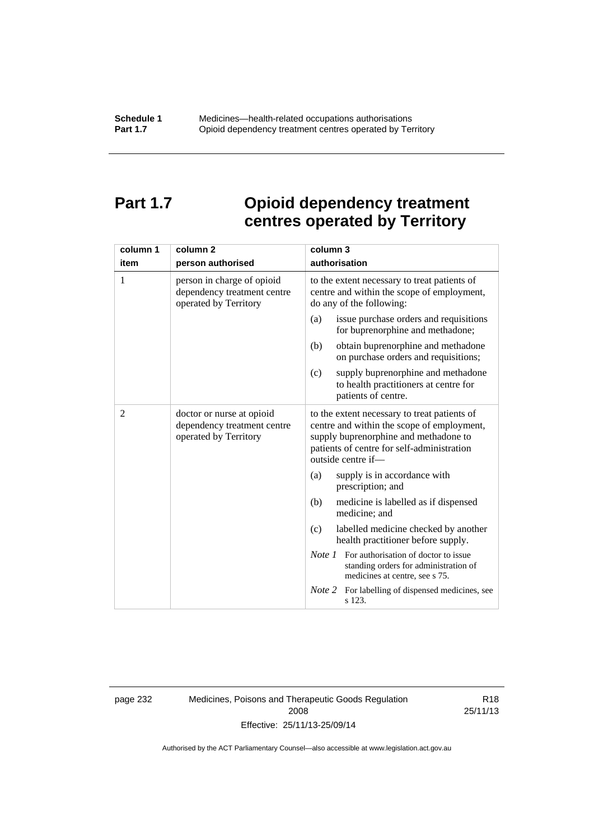# **Part 1.7 Opioid dependency treatment centres operated by Territory**

| column 1       | column <sub>2</sub>                                                                | column 3                                                                                                                                                                                                |
|----------------|------------------------------------------------------------------------------------|---------------------------------------------------------------------------------------------------------------------------------------------------------------------------------------------------------|
| item           | person authorised                                                                  | authorisation                                                                                                                                                                                           |
| 1              | person in charge of opioid<br>dependency treatment centre<br>operated by Territory | to the extent necessary to treat patients of<br>centre and within the scope of employment,<br>do any of the following:                                                                                  |
|                |                                                                                    | issue purchase orders and requisitions<br>(a)<br>for buprenorphine and methadone;                                                                                                                       |
|                |                                                                                    | obtain buprenorphine and methadone<br>(b)<br>on purchase orders and requisitions;                                                                                                                       |
|                |                                                                                    | supply buprenorphine and methadone<br>(c)<br>to health practitioners at centre for<br>patients of centre.                                                                                               |
| $\overline{2}$ | doctor or nurse at opioid<br>dependency treatment centre<br>operated by Territory  | to the extent necessary to treat patients of<br>centre and within the scope of employment,<br>supply buprenorphine and methadone to<br>patients of centre for self-administration<br>outside centre if- |
|                |                                                                                    | supply is in accordance with<br>(a)<br>prescription; and                                                                                                                                                |
|                |                                                                                    | (b)<br>medicine is labelled as if dispensed<br>medicine; and                                                                                                                                            |
|                |                                                                                    | (c)<br>labelled medicine checked by another<br>health practitioner before supply.                                                                                                                       |
|                |                                                                                    | <i>Note 1</i> For authorisation of doctor to issue<br>standing orders for administration of<br>medicines at centre, see s 75.                                                                           |
|                |                                                                                    | Note 2<br>For labelling of dispensed medicines, see<br>s 123.                                                                                                                                           |

page 232 Medicines, Poisons and Therapeutic Goods Regulation 2008 Effective: 25/11/13-25/09/14

R18 25/11/13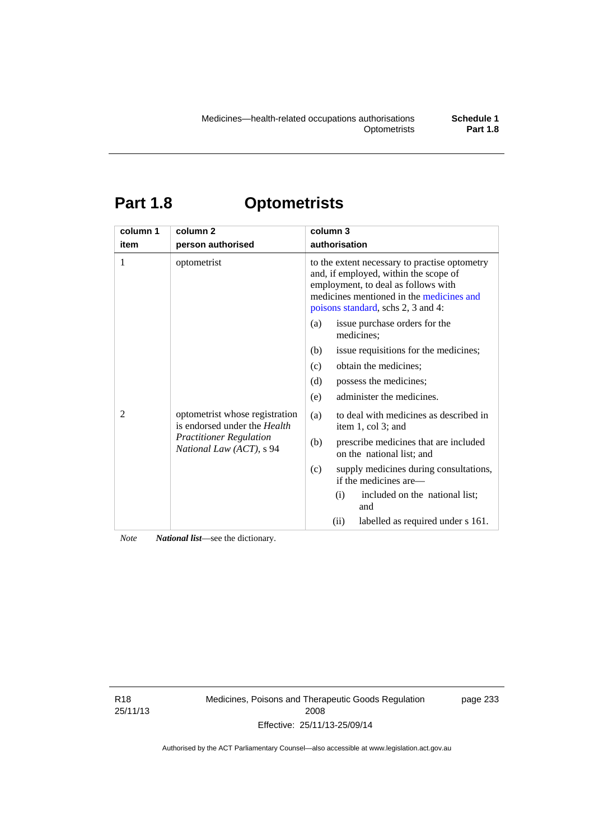# **Part 1.8 Optometrists**

| column 1 | column <sub>2</sub>                                                                                                          | column 3                                                                                                                                                                                                        |
|----------|------------------------------------------------------------------------------------------------------------------------------|-----------------------------------------------------------------------------------------------------------------------------------------------------------------------------------------------------------------|
| item     | person authorised                                                                                                            | authorisation                                                                                                                                                                                                   |
| 1        | optometrist                                                                                                                  | to the extent necessary to practise optometry<br>and, if employed, within the scope of<br>employment, to deal as follows with<br>medicines mentioned in the medicines and<br>poisons standard, schs 2, 3 and 4: |
|          | optometrist whose registration<br>is endorsed under the Health<br><b>Practitioner Regulation</b><br>National Law (ACT), s 94 | issue purchase orders for the<br>(a)<br>medicines;                                                                                                                                                              |
|          |                                                                                                                              | issue requisitions for the medicines;<br>(b)                                                                                                                                                                    |
| 2        |                                                                                                                              | obtain the medicines;<br>(c)                                                                                                                                                                                    |
|          |                                                                                                                              | possess the medicines;<br>(d)                                                                                                                                                                                   |
|          |                                                                                                                              | administer the medicines.<br>(e)                                                                                                                                                                                |
|          |                                                                                                                              | to deal with medicines as described in<br>(a)<br>item 1, col 3; and                                                                                                                                             |
|          |                                                                                                                              | prescribe medicines that are included<br>(b)<br>on the national list; and                                                                                                                                       |
|          |                                                                                                                              | (c)<br>supply medicines during consultations,<br>if the medicines are—                                                                                                                                          |
|          |                                                                                                                              | included on the national list;<br>(i)<br>and                                                                                                                                                                    |
|          |                                                                                                                              | labelled as required under s 161.<br>(ii)                                                                                                                                                                       |

*Note National list*—see the dictionary.

R18 25/11/13 Medicines, Poisons and Therapeutic Goods Regulation 2008 Effective: 25/11/13-25/09/14

page 233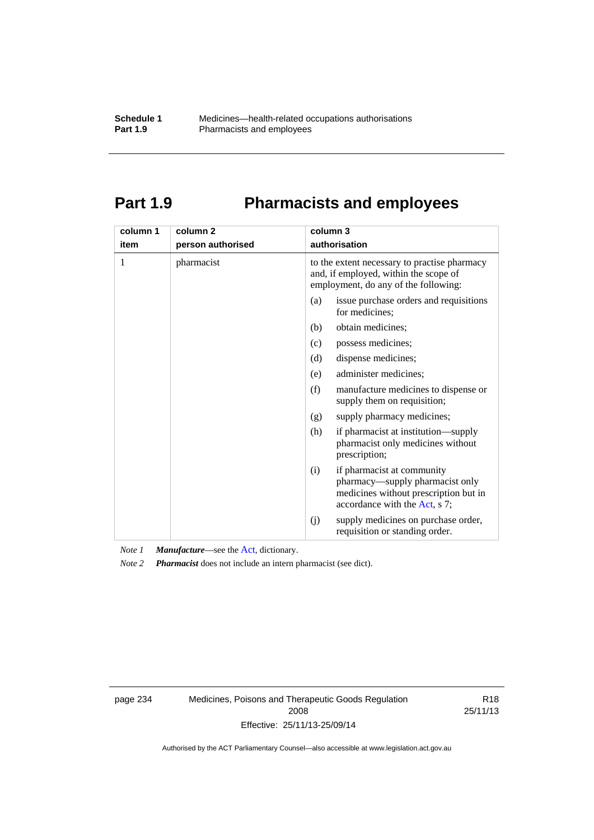# **Part 1.9 Pharmacists and employees**

| column 1<br>item | column <sub>2</sub><br>person authorised | column 3<br>authorisation                                                                                                                      |
|------------------|------------------------------------------|------------------------------------------------------------------------------------------------------------------------------------------------|
|                  |                                          |                                                                                                                                                |
| 1                | pharmacist                               | to the extent necessary to practise pharmacy<br>and, if employed, within the scope of<br>employment, do any of the following:                  |
|                  |                                          | issue purchase orders and requisitions<br>(a)<br>for medicines:                                                                                |
|                  |                                          | obtain medicines;<br>(b)                                                                                                                       |
|                  |                                          | (c)<br>possess medicines;                                                                                                                      |
|                  |                                          | (d)<br>dispense medicines;                                                                                                                     |
|                  |                                          | administer medicines;<br>(e)                                                                                                                   |
|                  |                                          | (f)<br>manufacture medicines to dispense or<br>supply them on requisition;                                                                     |
|                  |                                          | supply pharmacy medicines;<br>(g)                                                                                                              |
|                  |                                          | (h)<br>if pharmacist at institution—supply<br>pharmacist only medicines without<br>prescription;                                               |
|                  |                                          | if pharmacist at community<br>(i)<br>pharmacy—supply pharmacist only<br>medicines without prescription but in<br>accordance with the Act, s 7; |
|                  |                                          | supply medicines on purchase order,<br>(j)<br>requisition or standing order.                                                                   |

*Note 1 Manufacture*—see the [Act,](http://www.legislation.act.gov.au/a/2008-26/default.asp) dictionary.

*Note 2 Pharmacist* does not include an intern pharmacist (see dict).

page 234 Medicines, Poisons and Therapeutic Goods Regulation 2008 Effective: 25/11/13-25/09/14

R18 25/11/13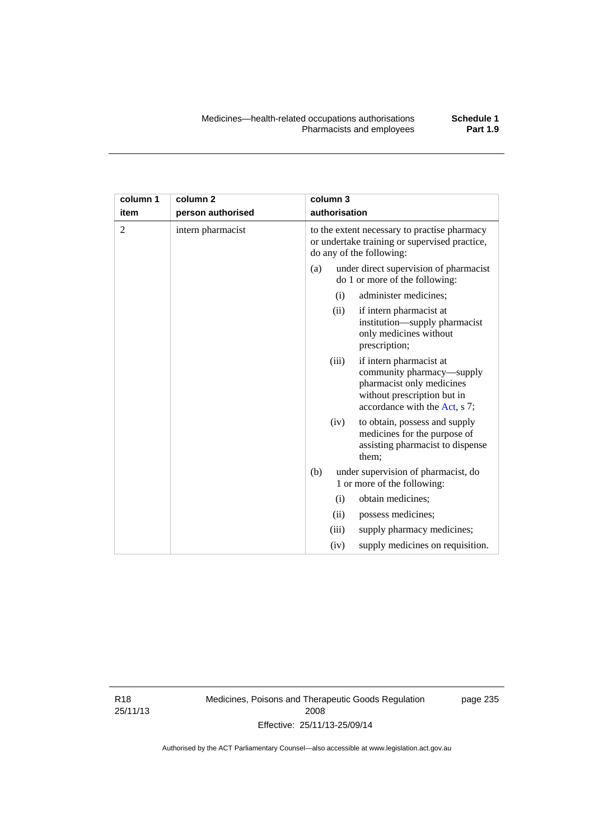| column 1<br>item | column <sub>2</sub><br>person authorised | column 3<br>authorisation                                                                                                                                  |
|------------------|------------------------------------------|------------------------------------------------------------------------------------------------------------------------------------------------------------|
| $\overline{2}$   | intern pharmacist                        | to the extent necessary to practise pharmacy<br>or undertake training or supervised practice,<br>do any of the following:                                  |
|                  |                                          | under direct supervision of pharmacist<br>(a)<br>do 1 or more of the following:                                                                            |
|                  |                                          | administer medicines;<br>(i)                                                                                                                               |
|                  |                                          | (ii)<br>if intern pharmacist at<br>institution-supply pharmacist<br>only medicines without<br>prescription;                                                |
|                  |                                          | if intern pharmacist at<br>(iii)<br>community pharmacy—supply<br>pharmacist only medicines<br>without prescription but in<br>accordance with the Act, s 7; |
|                  |                                          | to obtain, possess and supply<br>(iv)<br>medicines for the purpose of<br>assisting pharmacist to dispense<br>them;                                         |
|                  |                                          | under supervision of pharmacist, do<br>(b)                                                                                                                 |

1 or more of the following: (i) obtain medicines; (ii) possess medicines;

(iii) supply pharmacy medicines; (iv) supply medicines on requisition.

R18 25/11/13 Medicines, Poisons and Therapeutic Goods Regulation 2008 Effective: 25/11/13-25/09/14

page 235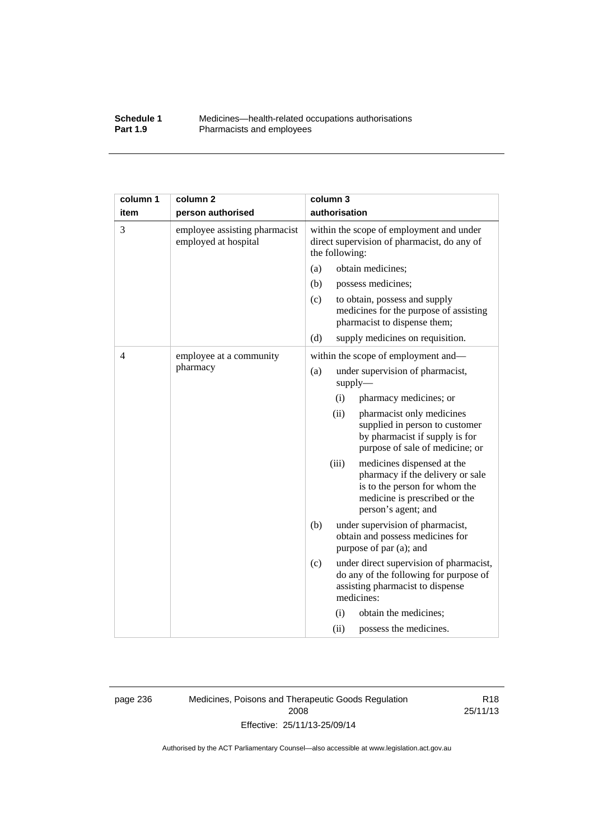#### **Schedule 1** Medicines—health-related occupations authorisations<br>**Part 1.9** Pharmacists and employees **Pharmacists and employees**

| column 1 | column <sub>2</sub>                                   | column 3                                                                                                                                                         |
|----------|-------------------------------------------------------|------------------------------------------------------------------------------------------------------------------------------------------------------------------|
| item     | person authorised                                     | authorisation                                                                                                                                                    |
| 3        | employee assisting pharmacist<br>employed at hospital | within the scope of employment and under<br>direct supervision of pharmacist, do any of<br>the following:                                                        |
|          |                                                       | obtain medicines;<br>(a)                                                                                                                                         |
|          |                                                       | (b)<br>possess medicines;                                                                                                                                        |
|          |                                                       | (c)<br>to obtain, possess and supply<br>medicines for the purpose of assisting<br>pharmacist to dispense them;                                                   |
|          |                                                       | (d)<br>supply medicines on requisition.                                                                                                                          |
| 4        | employee at a community                               | within the scope of employment and-                                                                                                                              |
|          | pharmacy                                              | (a)<br>under supervision of pharmacist,<br>$supply$ —                                                                                                            |
|          |                                                       | (i)<br>pharmacy medicines; or                                                                                                                                    |
|          |                                                       | (ii)<br>pharmacist only medicines<br>supplied in person to customer<br>by pharmacist if supply is for<br>purpose of sale of medicine; or                         |
|          |                                                       | (iii)<br>medicines dispensed at the<br>pharmacy if the delivery or sale<br>is to the person for whom the<br>medicine is prescribed or the<br>person's agent; and |
|          |                                                       | (b)<br>under supervision of pharmacist,<br>obtain and possess medicines for<br>purpose of par (a); and                                                           |
|          |                                                       | (c)<br>under direct supervision of pharmacist,<br>do any of the following for purpose of<br>assisting pharmacist to dispense<br>medicines:                       |
|          |                                                       | obtain the medicines;<br>(i)                                                                                                                                     |
|          |                                                       | (ii)<br>possess the medicines.                                                                                                                                   |

page 236 Medicines, Poisons and Therapeutic Goods Regulation 2008 Effective: 25/11/13-25/09/14

R18 25/11/13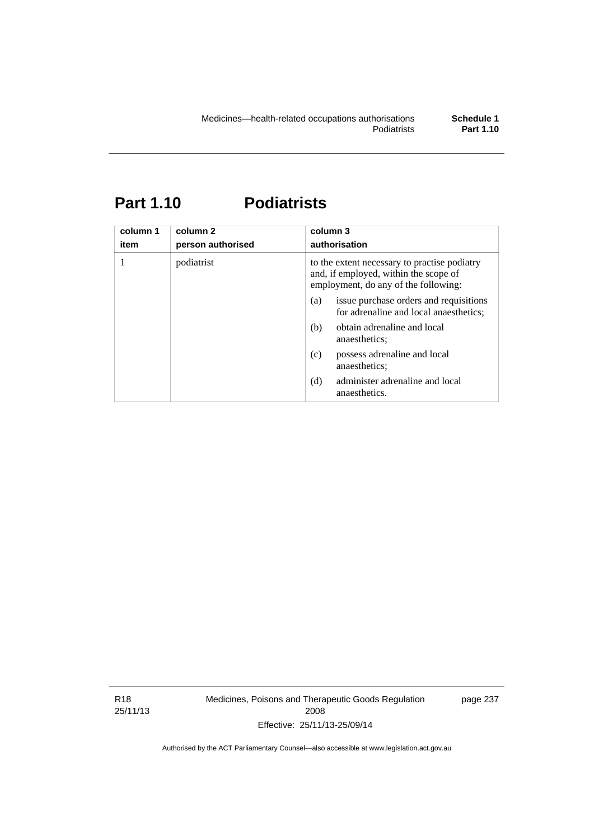# **Part 1.10 Podiatrists**

| column 1<br>item | column 2<br>person authorised | column 3<br>authorisation                                                                                                     |
|------------------|-------------------------------|-------------------------------------------------------------------------------------------------------------------------------|
| 1                | podiatrist                    | to the extent necessary to practise podiatry<br>and, if employed, within the scope of<br>employment, do any of the following: |
|                  |                               | issue purchase orders and requisitions<br>(a)<br>for adrenaline and local anaesthetics;                                       |
|                  |                               | obtain adrenaline and local<br>(b)<br>anaesthetics:                                                                           |
|                  |                               | possess adrenaline and local<br>(c)<br>anaesthetics;                                                                          |
|                  |                               | administer adrenaline and local<br>(d)<br>anaesthetics.                                                                       |

R18 25/11/13 Medicines, Poisons and Therapeutic Goods Regulation 2008 Effective: 25/11/13-25/09/14

page 237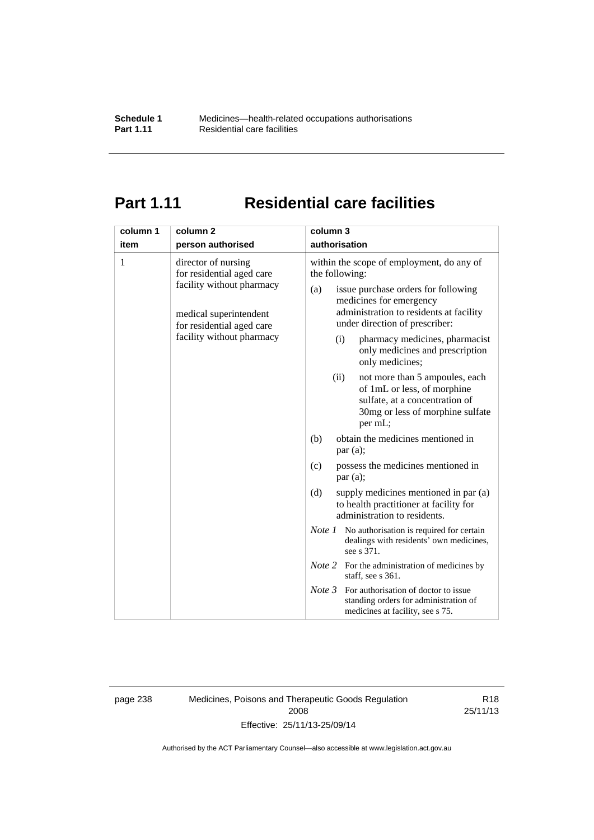## **Part 1.11 Residential care facilities**

| column 1<br>item                                                                                                                                                       | column <sub>2</sub><br>person authorised                                                                                                                                                                                                                                                                                                                   | column 3<br>authorisation                                                                                                   |
|------------------------------------------------------------------------------------------------------------------------------------------------------------------------|------------------------------------------------------------------------------------------------------------------------------------------------------------------------------------------------------------------------------------------------------------------------------------------------------------------------------------------------------------|-----------------------------------------------------------------------------------------------------------------------------|
| 1<br>director of nursing<br>for residential aged care<br>facility without pharmacy<br>medical superintendent<br>for residential aged care<br>facility without pharmacy | within the scope of employment, do any of<br>the following:<br>issue purchase orders for following<br>(a)<br>medicines for emergency<br>administration to residents at facility<br>under direction of prescriber:<br>pharmacy medicines, pharmacist<br>(i)<br>only medicines and prescription<br>only medicines;<br>not more than 5 ampoules, each<br>(ii) |                                                                                                                             |
|                                                                                                                                                                        |                                                                                                                                                                                                                                                                                                                                                            | of 1mL or less, of morphine<br>sulfate, at a concentration of<br>30mg or less of morphine sulfate<br>per mL;                |
|                                                                                                                                                                        |                                                                                                                                                                                                                                                                                                                                                            | obtain the medicines mentioned in<br>(b)<br>par(a);                                                                         |
|                                                                                                                                                                        |                                                                                                                                                                                                                                                                                                                                                            | possess the medicines mentioned in<br>(c)<br>par(a);                                                                        |
|                                                                                                                                                                        |                                                                                                                                                                                                                                                                                                                                                            | (d)<br>supply medicines mentioned in par (a)<br>to health practitioner at facility for<br>administration to residents.      |
|                                                                                                                                                                        |                                                                                                                                                                                                                                                                                                                                                            | <i>Note 1</i> No authorisation is required for certain<br>dealings with residents' own medicines,<br>see s 371.             |
|                                                                                                                                                                        |                                                                                                                                                                                                                                                                                                                                                            | <i>Note</i> 2 For the administration of medicines by<br>staff, see s 361.                                                   |
|                                                                                                                                                                        |                                                                                                                                                                                                                                                                                                                                                            | Note 3<br>For authorisation of doctor to issue<br>standing orders for administration of<br>medicines at facility, see s 75. |

page 238 Medicines, Poisons and Therapeutic Goods Regulation 2008 Effective: 25/11/13-25/09/14

R18 25/11/13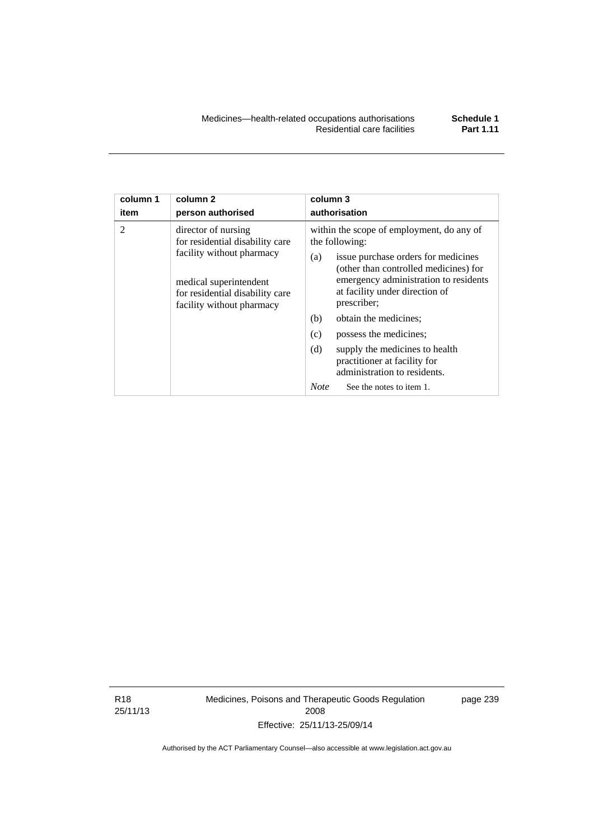| column 1       | column <sub>2</sub>                                                                                                                                                           | column 3                                                                                                                                                                                                                                                                                                                                                                                                                                                          |
|----------------|-------------------------------------------------------------------------------------------------------------------------------------------------------------------------------|-------------------------------------------------------------------------------------------------------------------------------------------------------------------------------------------------------------------------------------------------------------------------------------------------------------------------------------------------------------------------------------------------------------------------------------------------------------------|
| item           | person authorised                                                                                                                                                             | authorisation                                                                                                                                                                                                                                                                                                                                                                                                                                                     |
| $\mathfrak{D}$ | director of nursing<br>for residential disability care<br>facility without pharmacy<br>medical superintendent<br>for residential disability care<br>facility without pharmacy | within the scope of employment, do any of<br>the following:<br>issue purchase orders for medicines<br>(a)<br>(other than controlled medicines) for<br>emergency administration to residents<br>at facility under direction of<br>prescriber;<br>obtain the medicines;<br>(b)<br>(c)<br>possess the medicines;<br>(d)<br>supply the medicines to health<br>practitioner at facility for<br>administration to residents.<br><b>Note</b><br>See the notes to item 1. |

R18 25/11/13 Medicines, Poisons and Therapeutic Goods Regulation 2008 Effective: 25/11/13-25/09/14

page 239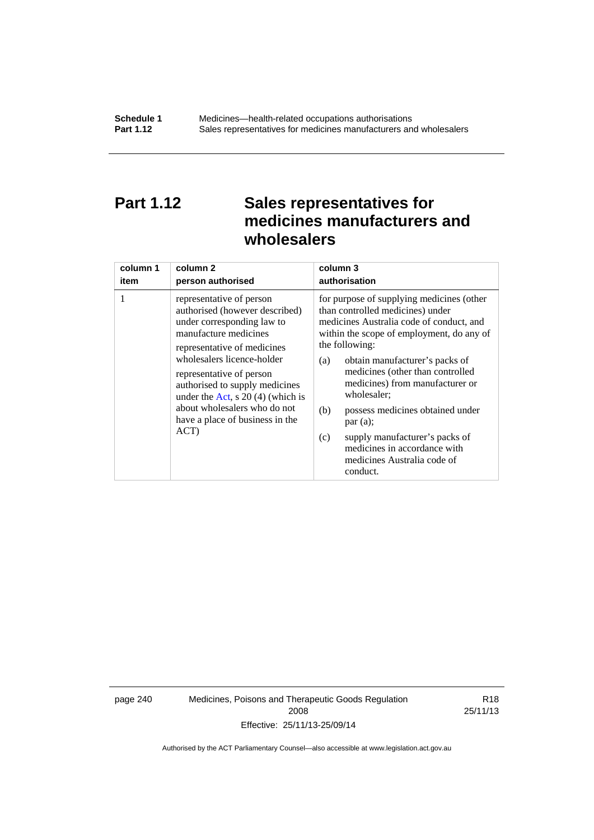## **Part 1.12 Sales representatives for medicines manufacturers and wholesalers**

| column 1 | column <sub>2</sub>                                                                                                                                                                                                                                                                                                                                           | column 3      |
|----------|---------------------------------------------------------------------------------------------------------------------------------------------------------------------------------------------------------------------------------------------------------------------------------------------------------------------------------------------------------------|---------------|
| item     | person authorised                                                                                                                                                                                                                                                                                                                                             | authorisation |
| 1        | representative of person<br>authorised (however described)<br>under corresponding law to<br>manufacture medicines<br>representative of medicines<br>wholesalers licence-holder<br>representative of person<br>authorised to supply medicines<br>under the Act, s $20(4)$ (which is<br>about wholesalers who do not<br>have a place of business in the<br>ACT) |               |

page 240 Medicines, Poisons and Therapeutic Goods Regulation 2008 Effective: 25/11/13-25/09/14

R18 25/11/13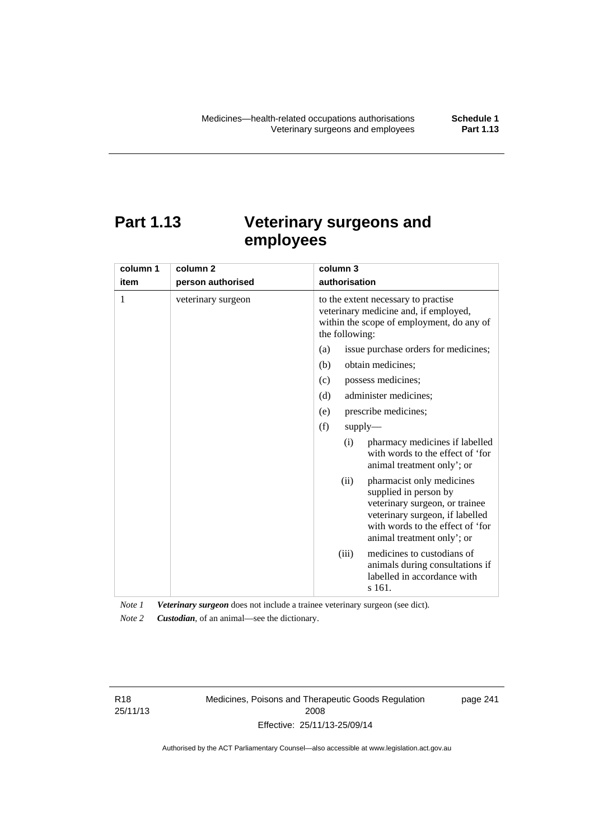# **Part 1.13 Veterinary surgeons and employees**

| column 1 | column 2           | column 3                                                                                                                                                                                          |  |  |
|----------|--------------------|---------------------------------------------------------------------------------------------------------------------------------------------------------------------------------------------------|--|--|
| item     | person authorised  | authorisation                                                                                                                                                                                     |  |  |
| 1        | veterinary surgeon | to the extent necessary to practise<br>veterinary medicine and, if employed,<br>within the scope of employment, do any of<br>the following:                                                       |  |  |
|          |                    | (a)<br>issue purchase orders for medicines;                                                                                                                                                       |  |  |
|          |                    | (b)<br>obtain medicines;                                                                                                                                                                          |  |  |
|          |                    | possess medicines;<br>(c)                                                                                                                                                                         |  |  |
|          |                    | administer medicines;<br>(d)                                                                                                                                                                      |  |  |
|          |                    | prescribe medicines;<br>(e)                                                                                                                                                                       |  |  |
|          |                    | (f)<br>supply                                                                                                                                                                                     |  |  |
|          |                    | pharmacy medicines if labelled<br>(i)<br>with words to the effect of 'for<br>animal treatment only'; or                                                                                           |  |  |
|          |                    | pharmacist only medicines<br>(ii)<br>supplied in person by<br>veterinary surgeon, or trainee<br>veterinary surgeon, if labelled<br>with words to the effect of 'for<br>animal treatment only'; or |  |  |
|          |                    | medicines to custodians of<br>(iii)<br>animals during consultations if<br>labelled in accordance with<br>s 161.                                                                                   |  |  |

*Note 1 Veterinary surgeon* does not include a trainee veterinary surgeon (see dict). *Note 2 Custodian*, of an animal—see the dictionary.

R18 25/11/13 Medicines, Poisons and Therapeutic Goods Regulation 2008 Effective: 25/11/13-25/09/14

page 241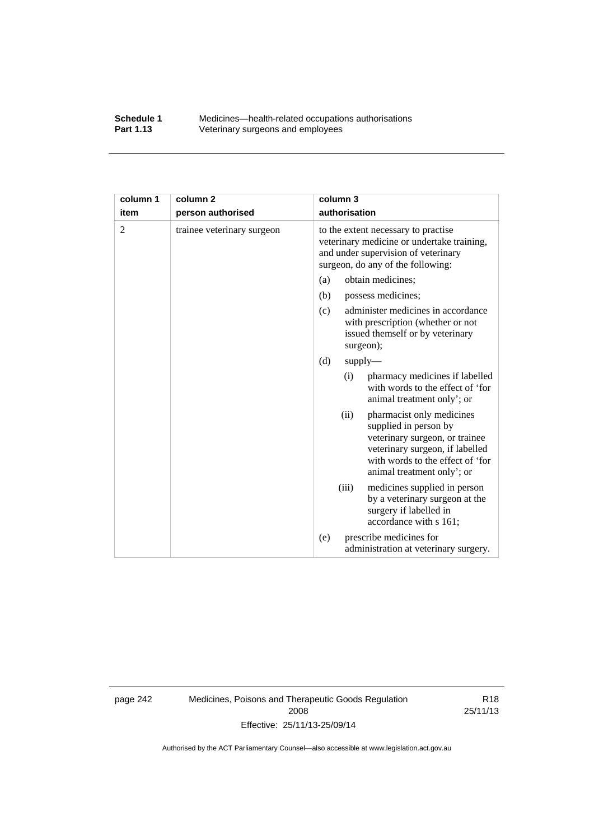### **Schedule 1** Medicines—health-related occupations authorisations<br>**Part 1.13** Veterinary surgeons and employees Veterinary surgeons and employees

| column 1       | column <sub>2</sub>        | column 3                                                                                                                                                                                          |  |
|----------------|----------------------------|---------------------------------------------------------------------------------------------------------------------------------------------------------------------------------------------------|--|
| item           | person authorised          | authorisation                                                                                                                                                                                     |  |
| $\overline{2}$ | trainee veterinary surgeon | to the extent necessary to practise<br>veterinary medicine or undertake training,<br>and under supervision of veterinary<br>surgeon, do any of the following:                                     |  |
|                |                            | (a)<br>obtain medicines;                                                                                                                                                                          |  |
|                |                            | (b)<br>possess medicines;                                                                                                                                                                         |  |
|                |                            | administer medicines in accordance<br>(c)<br>with prescription (whether or not<br>issued themself or by veterinary<br>surgeon);                                                                   |  |
|                |                            | (d)<br>$supply$ —                                                                                                                                                                                 |  |
|                |                            | pharmacy medicines if labelled<br>(i)<br>with words to the effect of 'for<br>animal treatment only'; or                                                                                           |  |
|                |                            | (ii)<br>pharmacist only medicines<br>supplied in person by<br>veterinary surgeon, or trainee<br>veterinary surgeon, if labelled<br>with words to the effect of 'for<br>animal treatment only'; or |  |
|                |                            | (iii)<br>medicines supplied in person<br>by a veterinary surgeon at the<br>surgery if labelled in<br>accordance with s 161;                                                                       |  |
|                |                            | prescribe medicines for<br>(e)<br>administration at veterinary surgery.                                                                                                                           |  |

page 242 Medicines, Poisons and Therapeutic Goods Regulation 2008 Effective: 25/11/13-25/09/14

R18 25/11/13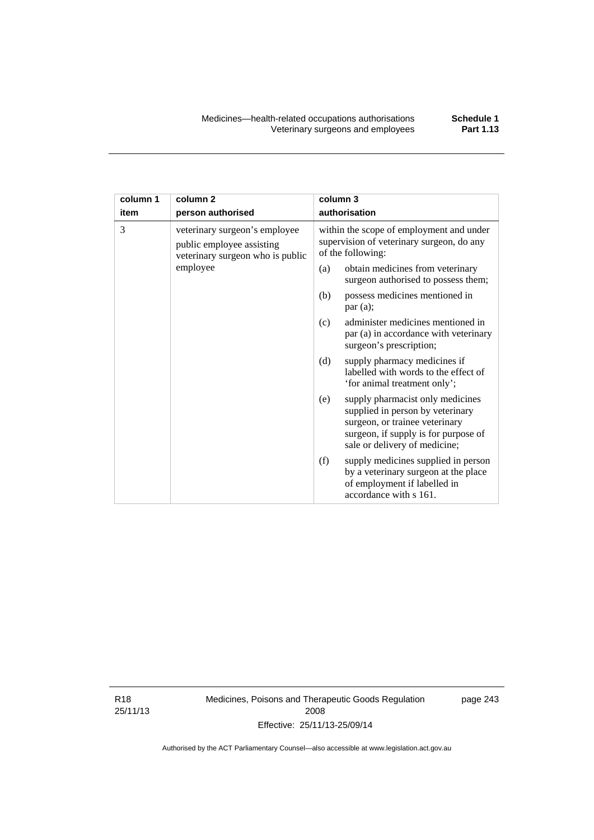| column 1 | column <sub>2</sub>                                                                            | column 3                                                                                                                                                                               |  |
|----------|------------------------------------------------------------------------------------------------|----------------------------------------------------------------------------------------------------------------------------------------------------------------------------------------|--|
| item     | person authorised                                                                              | authorisation                                                                                                                                                                          |  |
| 3        | veterinary surgeon's employee<br>public employee assisting<br>veterinary surgeon who is public | within the scope of employment and under<br>supervision of veterinary surgeon, do any<br>of the following:                                                                             |  |
|          | employee                                                                                       | (a)<br>obtain medicines from veterinary<br>surgeon authorised to possess them;                                                                                                         |  |
|          |                                                                                                | possess medicines mentioned in<br>(b)<br>par(a);                                                                                                                                       |  |
|          |                                                                                                | administer medicines mentioned in<br>(c)<br>par (a) in accordance with veterinary<br>surgeon's prescription;                                                                           |  |
|          |                                                                                                | (d)<br>supply pharmacy medicines if<br>labelled with words to the effect of<br>'for animal treatment only';                                                                            |  |
|          |                                                                                                | supply pharmacist only medicines<br>(e)<br>supplied in person by veterinary<br>surgeon, or trainee veterinary<br>surgeon, if supply is for purpose of<br>sale or delivery of medicine; |  |
|          |                                                                                                | (f)<br>supply medicines supplied in person<br>by a veterinary surgeon at the place<br>of employment if labelled in<br>accordance with s 161.                                           |  |

R18 25/11/13 Medicines, Poisons and Therapeutic Goods Regulation 2008 Effective: 25/11/13-25/09/14

page 243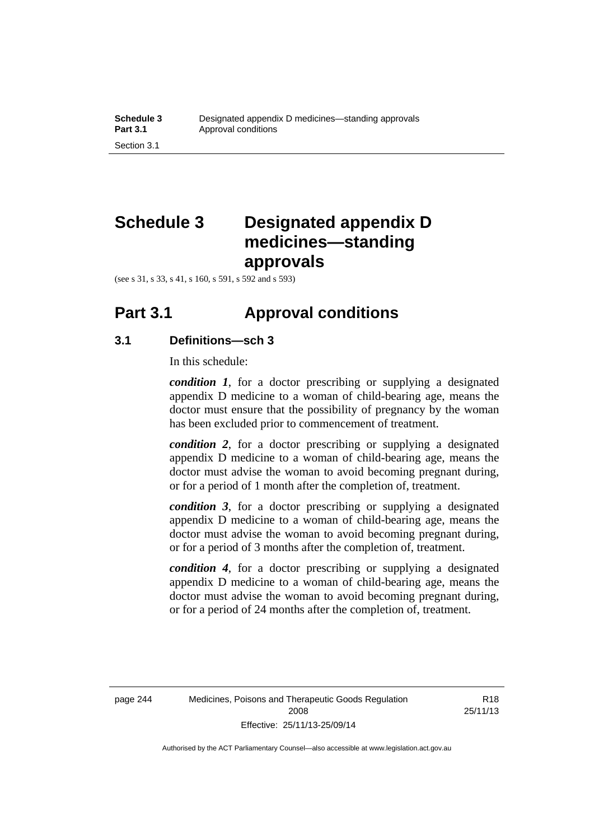# **Schedule 3 Designated appendix D medicines—standing approvals**

(see s 31, s 33, s 41, s 160, s 591, s 592 and s 593)

### **Part 3.1 Approval conditions**

### **3.1 Definitions—sch 3**

In this schedule:

*condition 1*, for a doctor prescribing or supplying a designated appendix D medicine to a woman of child-bearing age, means the doctor must ensure that the possibility of pregnancy by the woman has been excluded prior to commencement of treatment.

*condition 2*, for a doctor prescribing or supplying a designated appendix D medicine to a woman of child-bearing age, means the doctor must advise the woman to avoid becoming pregnant during, or for a period of 1 month after the completion of, treatment.

*condition 3*, for a doctor prescribing or supplying a designated appendix D medicine to a woman of child-bearing age, means the doctor must advise the woman to avoid becoming pregnant during, or for a period of 3 months after the completion of, treatment.

*condition 4*, for a doctor prescribing or supplying a designated appendix D medicine to a woman of child-bearing age, means the doctor must advise the woman to avoid becoming pregnant during, or for a period of 24 months after the completion of, treatment.

R18 25/11/13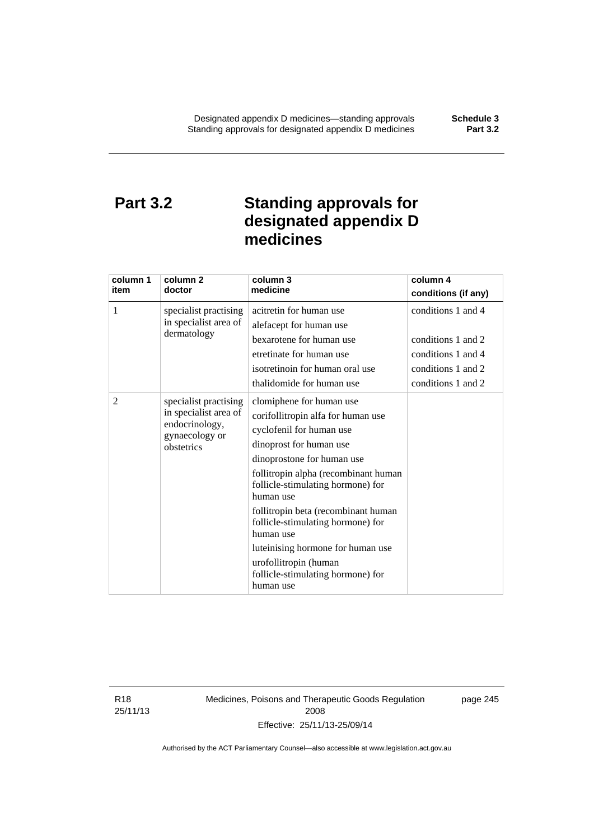## **Part 3.2 Standing approvals for designated appendix D medicines**

| column 1<br>item | column <sub>2</sub><br>doctor                                                                    | column 3<br>medicine                                                                                                                                                                                                                                                                                                                                                                                                                                   | column 4<br>conditions (if any)                                                                            |
|------------------|--------------------------------------------------------------------------------------------------|--------------------------------------------------------------------------------------------------------------------------------------------------------------------------------------------------------------------------------------------------------------------------------------------------------------------------------------------------------------------------------------------------------------------------------------------------------|------------------------------------------------------------------------------------------------------------|
| 1                | specialist practising<br>in specialist area of<br>dermatology                                    | acitretin for human use<br>alefacept for human use<br>bexarotene for human use<br>etretinate for human use<br>isotretinoin for human oral use<br>thalidomide for human use                                                                                                                                                                                                                                                                             | conditions 1 and 4<br>conditions 1 and 2<br>conditions 1 and 4<br>conditions 1 and 2<br>conditions 1 and 2 |
| 2                | specialist practising<br>in specialist area of<br>endocrinology,<br>gynaecology or<br>obstetrics | clomiphene for human use<br>corifollitropin alfa for human use<br>cyclofenil for human use<br>dinoprost for human use<br>dinoprostone for human use<br>follitropin alpha (recombinant human<br>follicle-stimulating hormone) for<br>human use<br>follitropin beta (recombinant human<br>follicle-stimulating hormone) for<br>human use<br>luteinising hormone for human use<br>urofollitropin (human<br>follicle-stimulating hormone) for<br>human use |                                                                                                            |

R18 25/11/13 Medicines, Poisons and Therapeutic Goods Regulation 2008 Effective: 25/11/13-25/09/14

page 245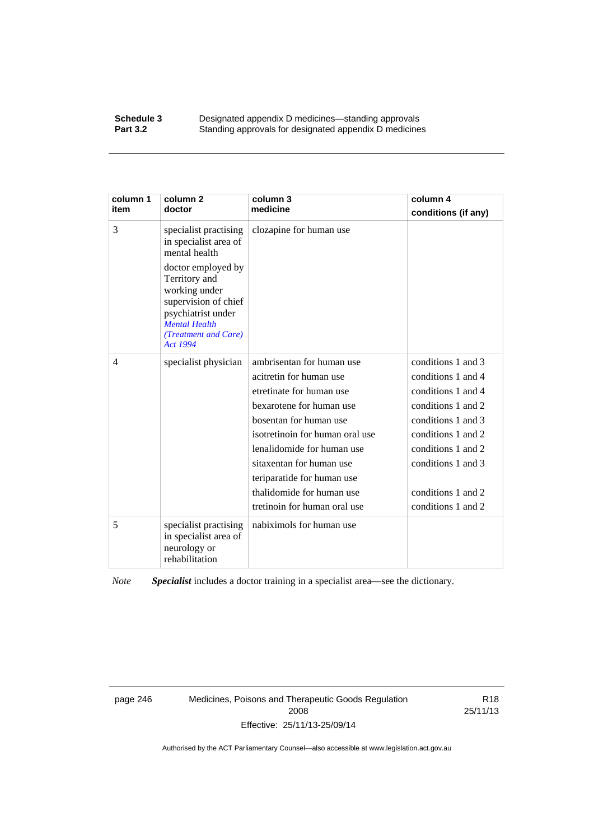#### **Schedule 3 Designated appendix D medicines—standing approvals**<br>**Part 3.2 Standing approvals for designated appendix D medicine** Standing approvals for designated appendix D medicines

| column 1<br>item | column 2<br>doctor                                                                                                                                             | column 3<br>medicine            | column 4<br>conditions (if any) |
|------------------|----------------------------------------------------------------------------------------------------------------------------------------------------------------|---------------------------------|---------------------------------|
| 3                | specialist practising<br>in specialist area of<br>mental health                                                                                                | clozapine for human use         |                                 |
|                  | doctor employed by<br>Territory and<br>working under<br>supervision of chief<br>psychiatrist under<br><b>Mental Health</b><br>(Treatment and Care)<br>Act 1994 |                                 |                                 |
| $\overline{4}$   | specialist physician                                                                                                                                           | ambrisentan for human use       | conditions 1 and 3              |
|                  |                                                                                                                                                                | acitretin for human use         | conditions 1 and 4              |
|                  |                                                                                                                                                                | etretinate for human use        | conditions 1 and 4              |
|                  |                                                                                                                                                                | bexarotene for human use        | conditions 1 and 2              |
|                  |                                                                                                                                                                | bosentan for human use          | conditions 1 and 3              |
|                  |                                                                                                                                                                | isotretinoin for human oral use | conditions 1 and 2              |
|                  |                                                                                                                                                                | lenalidomide for human use      | conditions 1 and 2              |
|                  |                                                                                                                                                                | sitaxentan for human use        | conditions 1 and 3              |
|                  |                                                                                                                                                                | teriparatide for human use      |                                 |
|                  |                                                                                                                                                                | thalidomide for human use       | conditions 1 and 2              |
|                  |                                                                                                                                                                | tretinoin for human oral use    | conditions 1 and 2              |
| 5                | specialist practising<br>in specialist area of<br>neurology or<br>rehabilitation                                                                               | nabiximols for human use        |                                 |

*Note Specialist* includes a doctor training in a specialist area—see the dictionary.

page 246 Medicines, Poisons and Therapeutic Goods Regulation 2008 Effective: 25/11/13-25/09/14

R18 25/11/13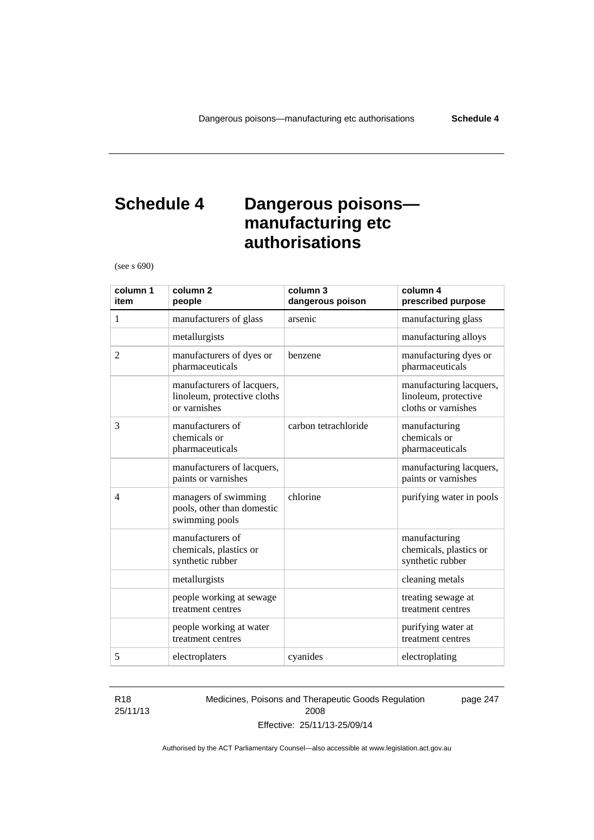## **Schedule 4 Dangerous poisons manufacturing etc authorisations**

(see s 690)

| column 1<br>item | column <sub>2</sub><br>people                                             | column 3<br>dangerous poison | column 4<br>prescribed purpose                                         |
|------------------|---------------------------------------------------------------------------|------------------------------|------------------------------------------------------------------------|
| 1                | manufacturers of glass                                                    | arsenic                      | manufacturing glass                                                    |
|                  | metallurgists                                                             |                              | manufacturing alloys                                                   |
| $\overline{2}$   | manufacturers of dyes or<br>pharmaceuticals                               | benzene                      | manufacturing dyes or<br>pharmaceuticals                               |
|                  | manufacturers of lacquers,<br>linoleum, protective cloths<br>or varnishes |                              | manufacturing lacquers,<br>linoleum, protective<br>cloths or varnishes |
| 3                | manufacturers of<br>chemicals or<br>pharmaceuticals                       | carbon tetrachloride         | manufacturing<br>chemicals or<br>pharmaceuticals                       |
|                  | manufacturers of lacquers,<br>paints or varnishes                         |                              | manufacturing lacquers,<br>paints or varnishes                         |
| $\overline{4}$   | managers of swimming<br>pools, other than domestic<br>swimming pools      | chlorine                     | purifying water in pools                                               |
|                  | manufacturers of<br>chemicals, plastics or<br>synthetic rubber            |                              | manufacturing<br>chemicals, plastics or<br>synthetic rubber            |
|                  | metallurgists                                                             |                              | cleaning metals                                                        |
|                  | people working at sewage<br>treatment centres                             |                              | treating sewage at<br>treatment centres                                |
|                  | people working at water<br>treatment centres                              |                              | purifying water at<br>treatment centres                                |
| 5                | electroplaters                                                            | cyanides                     | electroplating                                                         |

#### R18 25/11/13

Medicines, Poisons and Therapeutic Goods Regulation 2008 Effective: 25/11/13-25/09/14

page 247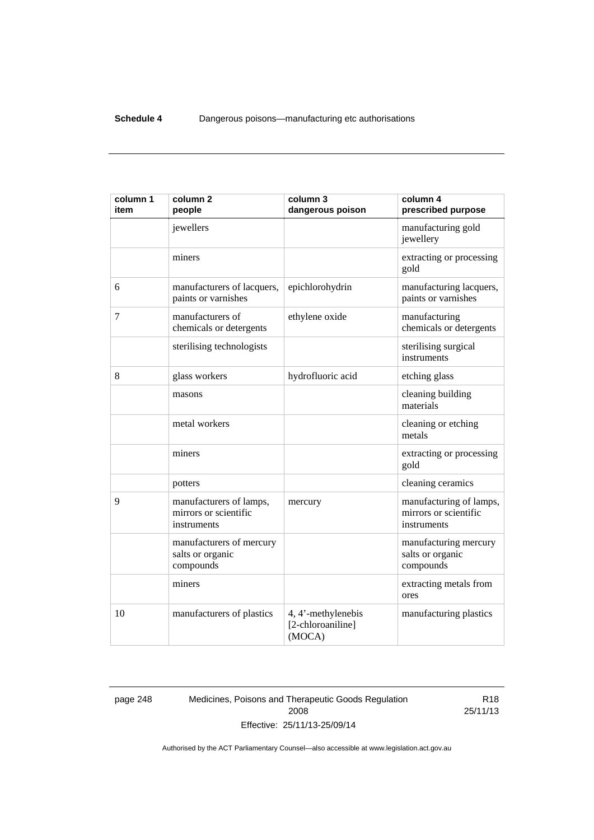| column 1<br>item | column <sub>2</sub><br>people                                   | column 3<br>dangerous poison                      | column 4<br>prescribed purpose                                  |
|------------------|-----------------------------------------------------------------|---------------------------------------------------|-----------------------------------------------------------------|
|                  | jewellers                                                       |                                                   | manufacturing gold<br>jewellery                                 |
|                  | miners                                                          |                                                   | extracting or processing<br>gold                                |
| 6                | manufacturers of lacquers,<br>paints or varnishes               | epichlorohydrin                                   | manufacturing lacquers,<br>paints or varnishes                  |
| 7                | manufacturers of<br>chemicals or detergents                     | ethylene oxide                                    | manufacturing<br>chemicals or detergents                        |
|                  | sterilising technologists                                       |                                                   | sterilising surgical<br>instruments                             |
| 8                | glass workers                                                   | hydrofluoric acid                                 | etching glass                                                   |
|                  | masons                                                          |                                                   | cleaning building<br>materials                                  |
|                  | metal workers                                                   |                                                   | cleaning or etching<br>metals                                   |
|                  | miners                                                          |                                                   | extracting or processing<br>gold                                |
|                  | potters                                                         |                                                   | cleaning ceramics                                               |
| 9                | manufacturers of lamps,<br>mirrors or scientific<br>instruments | mercury                                           | manufacturing of lamps,<br>mirrors or scientific<br>instruments |
|                  | manufacturers of mercury<br>salts or organic<br>compounds       |                                                   | manufacturing mercury<br>salts or organic<br>compounds          |
|                  | miners                                                          |                                                   | extracting metals from<br>ores                                  |
| 10               | manufacturers of plastics                                       | 4, 4'-methylenebis<br>[2-chloroaniline]<br>(MOCA) | manufacturing plastics                                          |

page 248 Medicines, Poisons and Therapeutic Goods Regulation 2008 Effective: 25/11/13-25/09/14

R18 25/11/13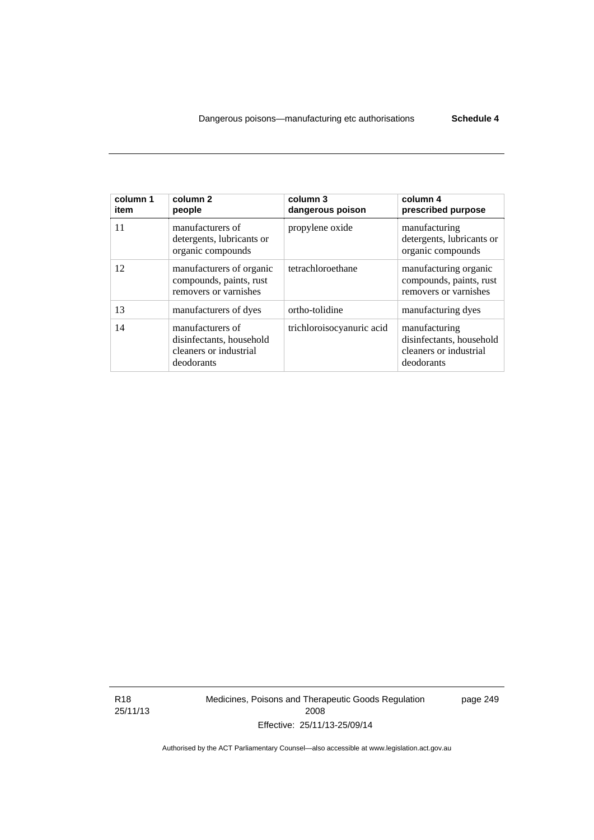| column 1<br>item | column <sub>2</sub><br>people                                                        | column 3<br>dangerous poison | column 4<br>prescribed purpose                                                    |
|------------------|--------------------------------------------------------------------------------------|------------------------------|-----------------------------------------------------------------------------------|
| 11               | manufacturers of<br>detergents, lubricants or<br>organic compounds                   | propylene oxide              | manufacturing<br>detergents, lubricants or<br>organic compounds                   |
| 12               | manufacturers of organic<br>compounds, paints, rust<br>removers or varnishes         | tetrachloroethane            | manufacturing organic<br>compounds, paints, rust<br>removers or varnishes         |
| 13               | manufacturers of dyes                                                                | ortho-tolidine               | manufacturing dyes                                                                |
| 14               | manufacturers of<br>disinfectants, household<br>cleaners or industrial<br>deodorants | trichloroisocyanuric acid    | manufacturing<br>disinfectants, household<br>cleaners or industrial<br>deodorants |

R18 25/11/13 Medicines, Poisons and Therapeutic Goods Regulation 2008 Effective: 25/11/13-25/09/14

page 249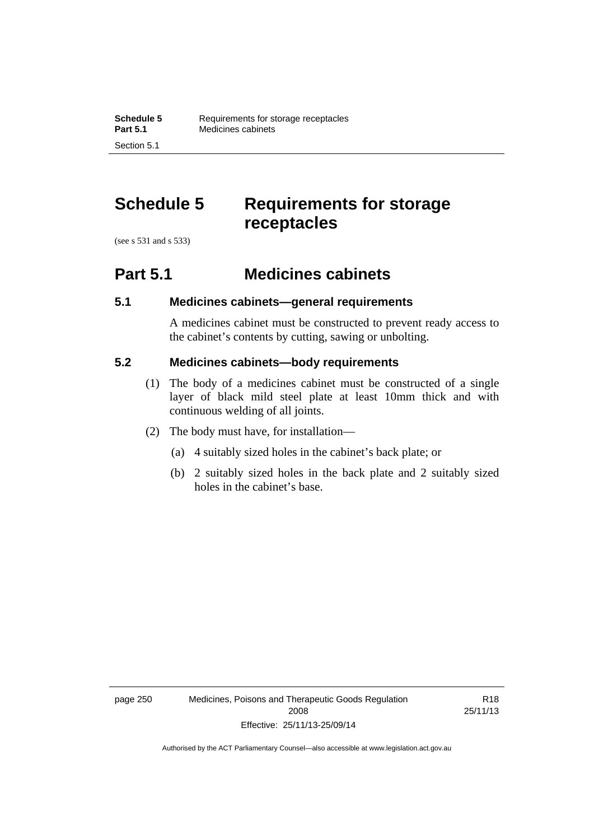## **Schedule 5 Requirements for storage receptacles**

(see s 531 and s 533)

Section 5.1

### **Part 5.1 Medicines cabinets**

### **5.1 Medicines cabinets—general requirements**

A medicines cabinet must be constructed to prevent ready access to the cabinet's contents by cutting, sawing or unbolting.

### **5.2 Medicines cabinets—body requirements**

- (1) The body of a medicines cabinet must be constructed of a single layer of black mild steel plate at least 10mm thick and with continuous welding of all joints.
- (2) The body must have, for installation—
	- (a) 4 suitably sized holes in the cabinet's back plate; or
	- (b) 2 suitably sized holes in the back plate and 2 suitably sized holes in the cabinet's base.

page 250 Medicines, Poisons and Therapeutic Goods Regulation 2008 Effective: 25/11/13-25/09/14

R18 25/11/13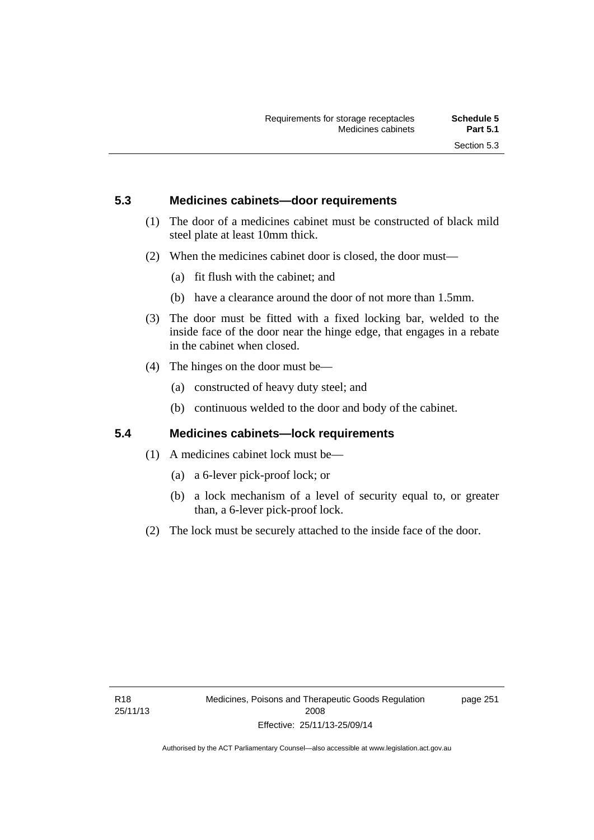### **5.3 Medicines cabinets—door requirements**

- (1) The door of a medicines cabinet must be constructed of black mild steel plate at least 10mm thick.
- (2) When the medicines cabinet door is closed, the door must—
	- (a) fit flush with the cabinet; and
	- (b) have a clearance around the door of not more than 1.5mm.
- (3) The door must be fitted with a fixed locking bar, welded to the inside face of the door near the hinge edge, that engages in a rebate in the cabinet when closed.
- (4) The hinges on the door must be—
	- (a) constructed of heavy duty steel; and
	- (b) continuous welded to the door and body of the cabinet.

### **5.4 Medicines cabinets—lock requirements**

- (1) A medicines cabinet lock must be—
	- (a) a 6-lever pick-proof lock; or
	- (b) a lock mechanism of a level of security equal to, or greater than, a 6-lever pick-proof lock.
- (2) The lock must be securely attached to the inside face of the door.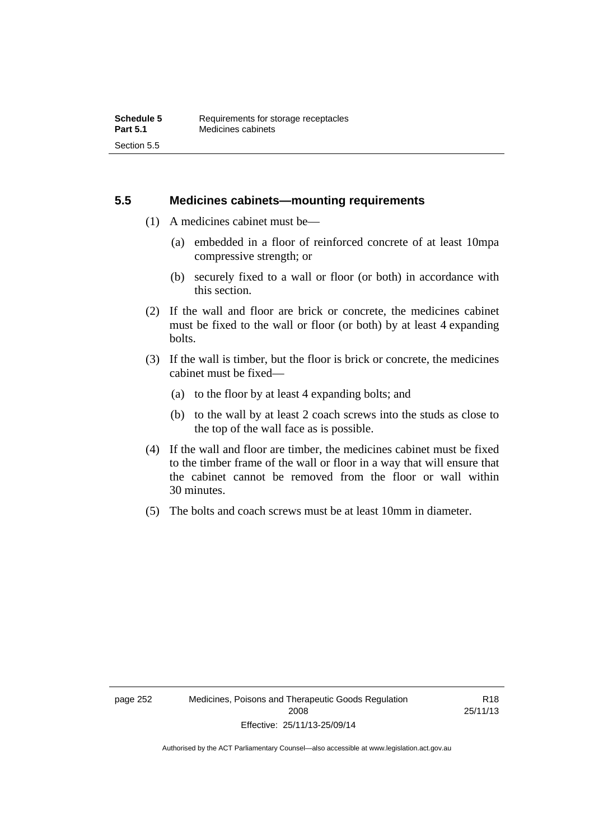### **5.5 Medicines cabinets—mounting requirements**

- (1) A medicines cabinet must be—
	- (a) embedded in a floor of reinforced concrete of at least 10mpa compressive strength; or
	- (b) securely fixed to a wall or floor (or both) in accordance with this section.
- (2) If the wall and floor are brick or concrete, the medicines cabinet must be fixed to the wall or floor (or both) by at least 4 expanding bolts.
- (3) If the wall is timber, but the floor is brick or concrete, the medicines cabinet must be fixed—
	- (a) to the floor by at least 4 expanding bolts; and
	- (b) to the wall by at least 2 coach screws into the studs as close to the top of the wall face as is possible.
- (4) If the wall and floor are timber, the medicines cabinet must be fixed to the timber frame of the wall or floor in a way that will ensure that the cabinet cannot be removed from the floor or wall within 30 minutes.
- (5) The bolts and coach screws must be at least 10mm in diameter.

R18 25/11/13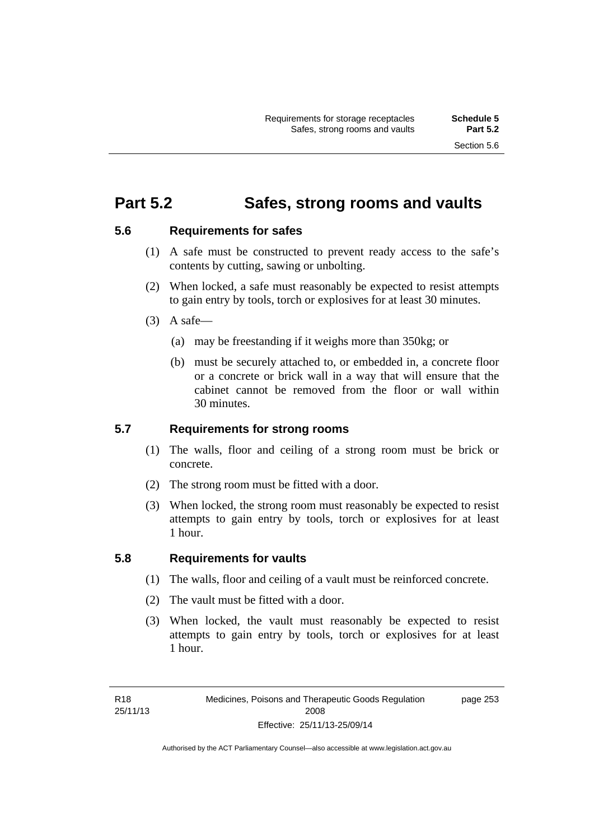### **Part 5.2 Safes, strong rooms and vaults**

### **5.6 Requirements for safes**

- (1) A safe must be constructed to prevent ready access to the safe's contents by cutting, sawing or unbolting.
- (2) When locked, a safe must reasonably be expected to resist attempts to gain entry by tools, torch or explosives for at least 30 minutes.
- $(3)$  A safe-
	- (a) may be freestanding if it weighs more than 350kg; or
	- (b) must be securely attached to, or embedded in, a concrete floor or a concrete or brick wall in a way that will ensure that the cabinet cannot be removed from the floor or wall within 30 minutes.

### **5.7 Requirements for strong rooms**

- (1) The walls, floor and ceiling of a strong room must be brick or concrete.
- (2) The strong room must be fitted with a door.
- (3) When locked, the strong room must reasonably be expected to resist attempts to gain entry by tools, torch or explosives for at least 1 hour.

### **5.8 Requirements for vaults**

- (1) The walls, floor and ceiling of a vault must be reinforced concrete.
- (2) The vault must be fitted with a door.
- (3) When locked, the vault must reasonably be expected to resist attempts to gain entry by tools, torch or explosives for at least 1 hour.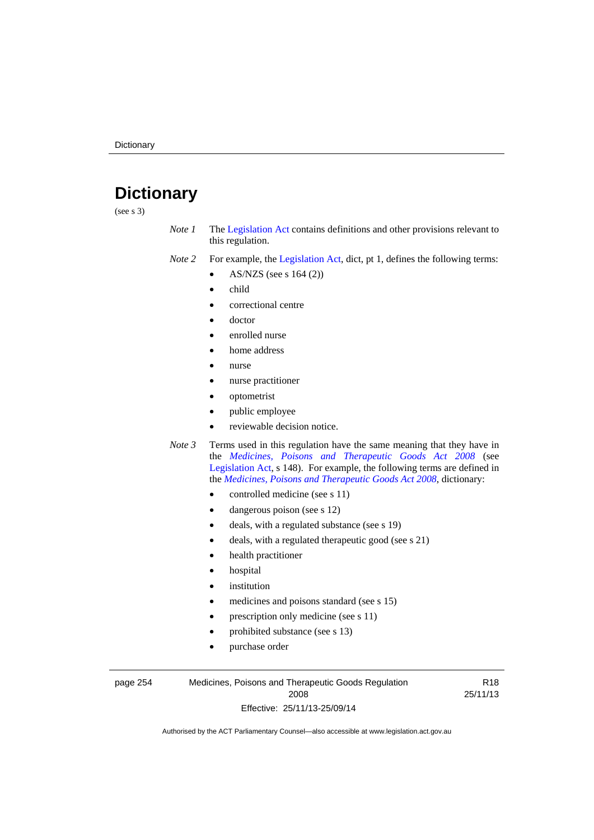# **Dictionary**

(see s 3)

- *Note 1* The [Legislation Act](http://www.legislation.act.gov.au/a/2001-14) contains definitions and other provisions relevant to this regulation.
- *Note 2* For example, the [Legislation Act,](http://www.legislation.act.gov.au/a/2001-14) dict, pt 1, defines the following terms:
	- AS/NZS (see s 164 (2))
	- child
	- correctional centre
	- doctor
	- enrolled nurse
	- home address
	- nurse
	- nurse practitioner
	- optometrist
	- public employee
	- reviewable decision notice.
- *Note 3* Terms used in this regulation have the same meaning that they have in the *[Medicines, Poisons and Therapeutic Goods Act 2008](http://www.legislation.act.gov.au/a/2008-26)* (see [Legislation Act,](http://www.legislation.act.gov.au/a/2001-14) s 148). For example, the following terms are defined in the *[Medicines, Poisons and Therapeutic Goods Act 2008](http://www.legislation.act.gov.au/a/2008-26)*, dictionary:
	- controlled medicine (see s 11)
	- dangerous poison (see s 12)
	- deals, with a regulated substance (see s 19)
	- deals, with a regulated therapeutic good (see s 21)
	- health practitioner
	- hospital
	- institution
	- medicines and poisons standard (see s 15)
	- prescription only medicine (see s 11)
	- prohibited substance (see s 13)
	- purchase order

#### page 254 Medicines, Poisons and Therapeutic Goods Regulation 2008 Effective: 25/11/13-25/09/14

R18 25/11/13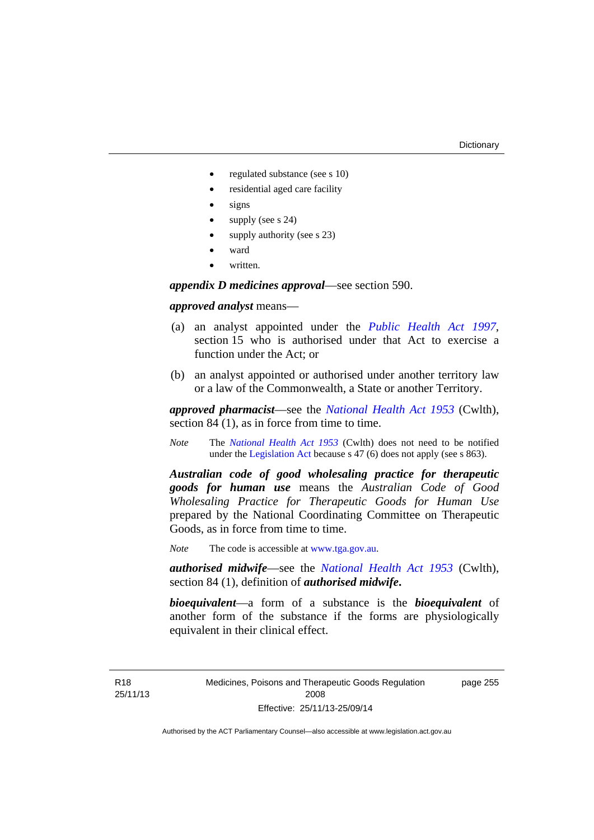- regulated substance (see s 10)
- residential aged care facility
- signs
- supply (see s 24)
- supply authority (see s 23)
- ward
- written.

*appendix D medicines approval*—see section 590.

### *approved analyst* means—

- (a) an analyst appointed under the *[Public Health Act 1997](http://www.legislation.act.gov.au/a/1997-69)*, section 15 who is authorised under that Act to exercise a function under the Act; or
- (b) an analyst appointed or authorised under another territory law or a law of the Commonwealth, a State or another Territory.

*approved pharmacist*––see the *[National Health Act 1953](http://www.comlaw.gov.au/Series/C1953A00095)* (Cwlth), section 84 (1), as in force from time to time.

*Note* The *[National Health Act 1953](http://www.comlaw.gov.au/Series/C1953A00095)* (Cwlth) does not need to be notified under the [Legislation Act](http://www.legislation.act.gov.au/a/2001-14) because s 47 (6) does not apply (see s 863).

*Australian code of good wholesaling practice for therapeutic goods for human use* means the *Australian Code of Good Wholesaling Practice for Therapeutic Goods for Human Use*  prepared by the National Coordinating Committee on Therapeutic Goods, as in force from time to time.

*Note* The code is accessible at [www.tga.gov.au](http://www.tga.gov.au/).

*authorised midwife*—see the *[National Health Act 1953](http://www.comlaw.gov.au/Series/C1953A00095)* (Cwlth), section 84 (1), definition of *authorised midwife***.**

*bioequivalent*—a form of a substance is the *bioequivalent* of another form of the substance if the forms are physiologically equivalent in their clinical effect.

Medicines, Poisons and Therapeutic Goods Regulation 2008 Effective: 25/11/13-25/09/14

page 255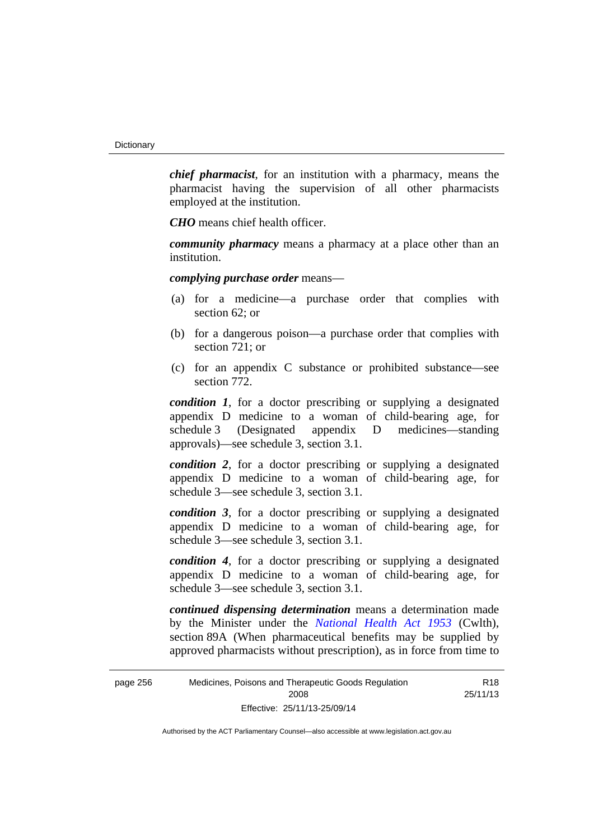*chief pharmacist*, for an institution with a pharmacy, means the pharmacist having the supervision of all other pharmacists employed at the institution.

*CHO* means chief health officer.

*community pharmacy* means a pharmacy at a place other than an institution.

*complying purchase order* means—

- (a) for a medicine—a purchase order that complies with section 62; or
- (b) for a dangerous poison—a purchase order that complies with section 721; or
- (c) for an appendix C substance or prohibited substance—see section 772.

*condition 1*, for a doctor prescribing or supplying a designated appendix D medicine to a woman of child-bearing age, for schedule 3 (Designated appendix D medicines—standing approvals)—see schedule 3, section 3.1.

*condition 2*, for a doctor prescribing or supplying a designated appendix D medicine to a woman of child-bearing age, for schedule 3—see schedule 3, section 3.1.

*condition 3*, for a doctor prescribing or supplying a designated appendix D medicine to a woman of child-bearing age, for schedule 3—see schedule 3, section 3.1.

*condition 4*, for a doctor prescribing or supplying a designated appendix D medicine to a woman of child-bearing age, for schedule 3—see schedule 3, section 3.1.

*continued dispensing determination* means a determination made by the Minister under the *[National Health Act 1953](http://www.comlaw.gov.au/Series/C1953A00095)* (Cwlth), section 89A (When pharmaceutical benefits may be supplied by approved pharmacists without prescription), as in force from time to

> R18 25/11/13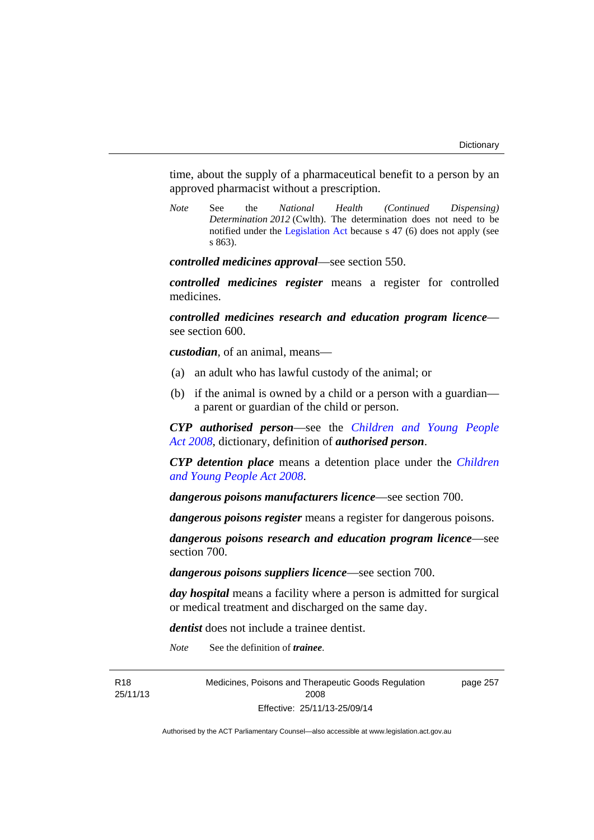time, about the supply of a pharmaceutical benefit to a person by an approved pharmacist without a prescription.

*Note* See the *National Health (Continued Dispensing) Determination 2012* (Cwlth). The determination does not need to be notified under the [Legislation Act](http://www.legislation.act.gov.au/a/2001-14) because s 47 (6) does not apply (see s 863).

*controlled medicines approval*—see section 550.

*controlled medicines register* means a register for controlled medicines.

*controlled medicines research and education program licence* see section 600.

*custodian*, of an animal, means—

- (a) an adult who has lawful custody of the animal; or
- (b) if the animal is owned by a child or a person with a guardian a parent or guardian of the child or person.

*CYP authorised person*—see the *[Children and Young People](http://www.legislation.act.gov.au/a/2008-19)  [Act 2008](http://www.legislation.act.gov.au/a/2008-19)*, dictionary, definition of *authorised person*.

*CYP detention place* means a detention place under the *[Children](http://www.legislation.act.gov.au/a/2008-19)  [and Young People Act 2008](http://www.legislation.act.gov.au/a/2008-19)*.

*dangerous poisons manufacturers licence*—see section 700.

*dangerous poisons register* means a register for dangerous poisons.

*dangerous poisons research and education program licence*—see section 700.

*dangerous poisons suppliers licence*—see section 700.

*day hospital* means a facility where a person is admitted for surgical or medical treatment and discharged on the same day.

*dentist* does not include a trainee dentist.

*Note* See the definition of *trainee*.

R18 25/11/13 Medicines, Poisons and Therapeutic Goods Regulation 2008 Effective: 25/11/13-25/09/14

page 257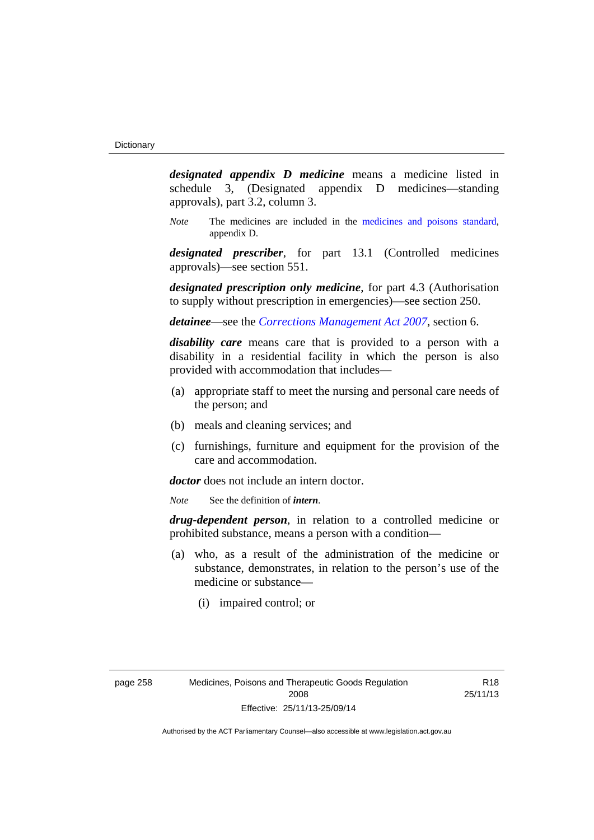*designated appendix D medicine* means a medicine listed in schedule 3, (Designated appendix D medicines—standing approvals), part 3.2, column 3.

*Note* The medicines are included in the [medicines and poisons standard,](http://www.comlaw.gov.au/Series/F2012L01200) appendix D.

*designated prescriber*, for part 13.1 (Controlled medicines approvals)—see section 551.

*designated prescription only medicine*, for part 4.3 (Authorisation to supply without prescription in emergencies)—see section 250.

*detainee*—see the *[Corrections Management Act 2007](http://www.legislation.act.gov.au/a/2007-15)*, section 6.

*disability care* means care that is provided to a person with a disability in a residential facility in which the person is also provided with accommodation that includes—

- (a) appropriate staff to meet the nursing and personal care needs of the person; and
- (b) meals and cleaning services; and
- (c) furnishings, furniture and equipment for the provision of the care and accommodation.

*doctor* does not include an intern doctor.

*Note* See the definition of *intern*.

*drug-dependent person*, in relation to a controlled medicine or prohibited substance, means a person with a condition—

- (a) who, as a result of the administration of the medicine or substance, demonstrates, in relation to the person's use of the medicine or substance—
	- (i) impaired control; or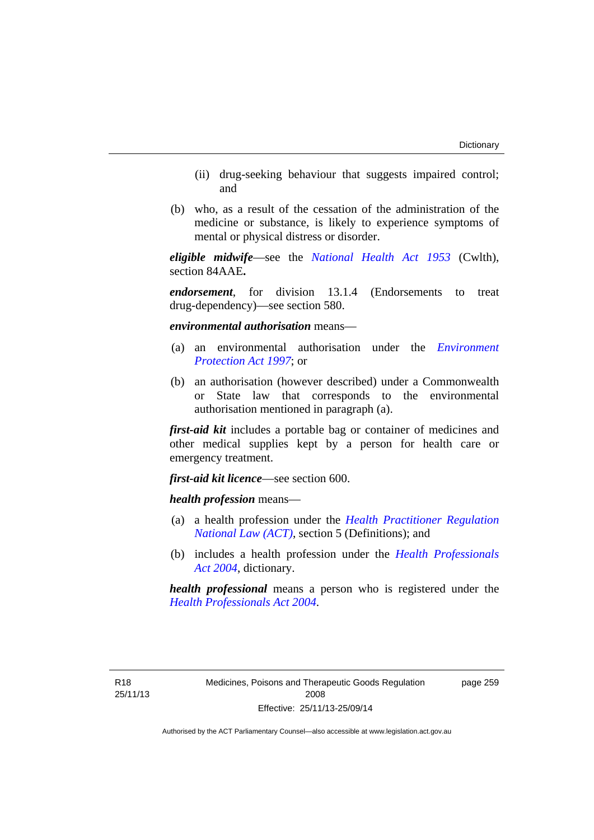- (ii) drug-seeking behaviour that suggests impaired control; and
- (b) who, as a result of the cessation of the administration of the medicine or substance, is likely to experience symptoms of mental or physical distress or disorder.

*eligible midwife*—see the *[National Health Act 1953](http://www.comlaw.gov.au/Series/C1953A00095)* (Cwlth), section 84AAE**.**

*endorsement*, for division 13.1.4 (Endorsements to treat drug-dependency)—see section 580.

*environmental authorisation* means—

- (a) an environmental authorisation under the *[Environment](http://www.legislation.act.gov.au/a/1997-92)  [Protection Act 1997](http://www.legislation.act.gov.au/a/1997-92)*; or
- (b) an authorisation (however described) under a Commonwealth or State law that corresponds to the environmental authorisation mentioned in paragraph (a).

*first-aid kit* includes a portable bag or container of medicines and other medical supplies kept by a person for health care or emergency treatment.

*first-aid kit licence*—see section 600.

*health profession* means—

- (a) a health profession under the *[Health Practitioner Regulation](http://www.legislation.act.gov.au/a/db_39269/default.asp)  [National Law \(ACT\)](http://www.legislation.act.gov.au/a/db_39269/default.asp)*, section 5 (Definitions); and
- (b) includes a health profession under the *[Health Professionals](http://www.legislation.act.gov.au/a/2004-38)  [Act 2004](http://www.legislation.act.gov.au/a/2004-38)*, dictionary.

*health professional* means a person who is registered under the *[Health Professionals Act 2004](http://www.legislation.act.gov.au/a/2004-38)*.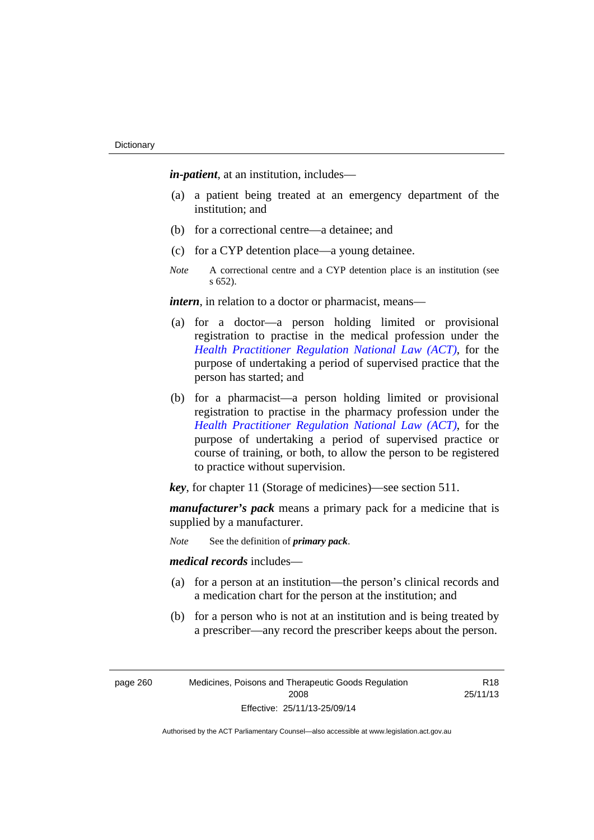*in-patient*, at an institution, includes—

- (a) a patient being treated at an emergency department of the institution; and
- (b) for a correctional centre—a detainee; and
- (c) for a CYP detention place—a young detainee.
- *Note* A correctional centre and a CYP detention place is an institution (see s 652).

*intern*, in relation to a doctor or pharmacist, means—

- (a) for a doctor—a person holding limited or provisional registration to practise in the medical profession under the *[Health Practitioner Regulation National Law \(ACT\)](http://www.legislation.act.gov.au/a/db_39269/default.asp)*, for the purpose of undertaking a period of supervised practice that the person has started; and
- (b) for a pharmacist—a person holding limited or provisional registration to practise in the pharmacy profession under the *[Health Practitioner Regulation National Law \(ACT\)](http://www.legislation.act.gov.au/a/db_39269/default.asp)*, for the purpose of undertaking a period of supervised practice or course of training, or both, to allow the person to be registered to practice without supervision.

*key*, for chapter 11 (Storage of medicines)—see section 511.

*manufacturer's pack* means a primary pack for a medicine that is supplied by a manufacturer.

*Note* See the definition of *primary pack*.

*medical records* includes—

- (a) for a person at an institution—the person's clinical records and a medication chart for the person at the institution; and
- (b) for a person who is not at an institution and is being treated by a prescriber—any record the prescriber keeps about the person.

page 260 Medicines, Poisons and Therapeutic Goods Regulation 2008 Effective: 25/11/13-25/09/14

R18 25/11/13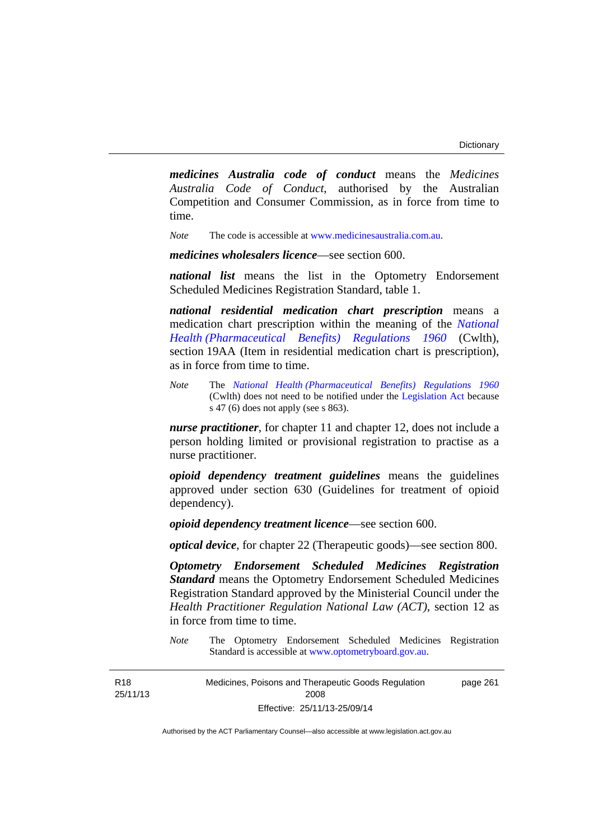*medicines Australia code of conduct* means the *Medicines Australia Code of Conduct*, authorised by the Australian Competition and Consumer Commission, as in force from time to time.

*Note* The code is accessible at [www.medicinesaustralia.com.au.](http://www.medicinesaustralia.com.au/)

*medicines wholesalers licence*—see section 600.

*national list* means the list in the Optometry Endorsement Scheduled Medicines Registration Standard, table 1.

*national residential medication chart prescription* means a medication chart prescription within the meaning of the *[National](http://www.comlaw.gov.au/Series/F1996B02844)  [Health \(Pharmaceutical Benefits\) Regulations 1960](http://www.comlaw.gov.au/Series/F1996B02844)* (Cwlth), section 19AA (Item in residential medication chart is prescription), as in force from time to time.

*Note* The *[National Health \(Pharmaceutical Benefits\) Regulations 1960](http://www.comlaw.gov.au/Series/F1996B02844)* (Cwlth) does not need to be notified under the [Legislation Act](http://www.legislation.act.gov.au/a/2001-14) because s 47 (6) does not apply (see s 863).

*nurse practitioner*, for chapter 11 and chapter 12, does not include a person holding limited or provisional registration to practise as a nurse practitioner.

*opioid dependency treatment guidelines* means the guidelines approved under section 630 (Guidelines for treatment of opioid dependency).

*opioid dependency treatment licence*—see section 600.

*optical device*, for chapter 22 (Therapeutic goods)—see section 800.

*Optometry Endorsement Scheduled Medicines Registration Standard* means the Optometry Endorsement Scheduled Medicines Registration Standard approved by the Ministerial Council under the *Health Practitioner Regulation National Law (ACT)*, section 12 as in force from time to time.

*Note* The Optometry Endorsement Scheduled Medicines Registration Standard is accessible at [www.optometryboard.gov.au](http://www.optometryboard.gov.au/).

R18 25/11/13 Medicines, Poisons and Therapeutic Goods Regulation 2008 Effective: 25/11/13-25/09/14 page 261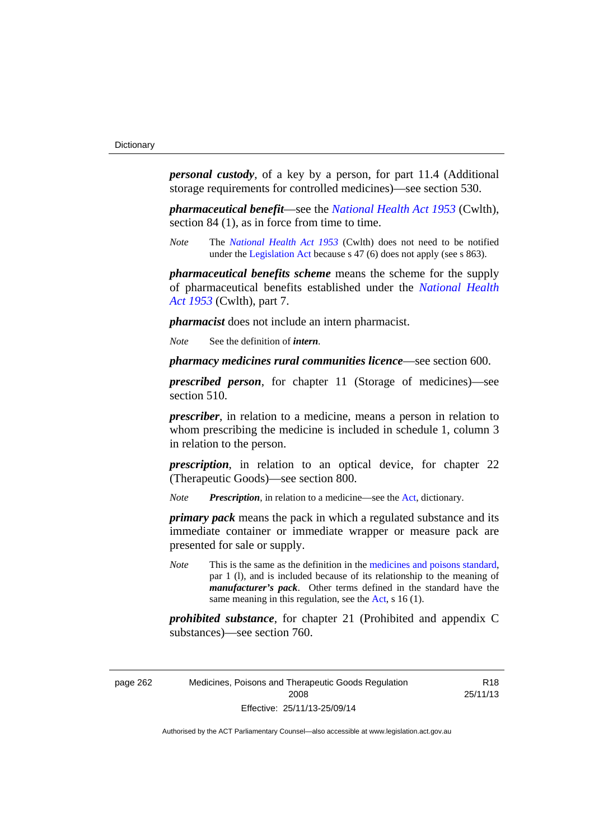*personal custody*, of a key by a person, for part 11.4 (Additional storage requirements for controlled medicines)—see section 530.

*pharmaceutical benefit*—see the *[National Health Act 1953](http://www.comlaw.gov.au/Series/C1953A00095)* (Cwlth), section 84 (1), as in force from time to time.

*Note* The *[National Health Act 1953](http://www.comlaw.gov.au/Series/C1953A00095)* (Cwlth) does not need to be notified under the [Legislation Act](http://www.legislation.act.gov.au/a/2001-14) because s 47 (6) does not apply (see s 863).

*pharmaceutical benefits scheme* means the scheme for the supply of pharmaceutical benefits established under the *[National Health](http://www.comlaw.gov.au/Series/C1953A00095)  [Act 1953](http://www.comlaw.gov.au/Series/C1953A00095)* (Cwlth), part 7.

*pharmacist* does not include an intern pharmacist.

*Note* See the definition of *intern*.

*pharmacy medicines rural communities licence*—see section 600.

*prescribed person*, for chapter 11 (Storage of medicines)—see section 510.

*prescriber*, in relation to a medicine, means a person in relation to whom prescribing the medicine is included in schedule 1, column 3 in relation to the person.

*prescription*, in relation to an optical device, for chapter 22 (Therapeutic Goods)—see section 800.

*Note Prescription*, in relation to a medicine—see the [Act](http://www.legislation.act.gov.au/a/2008-26/default.asp), dictionary.

*primary pack* means the pack in which a regulated substance and its immediate container or immediate wrapper or measure pack are presented for sale or supply.

*Note* This is the same as the definition in the [medicines and poisons standard,](http://www.comlaw.gov.au/Series/F2012L01200) par 1 (l), and is included because of its relationship to the meaning of *manufacturer's pack*. Other terms defined in the standard have the same meaning in this regulation, see the [Act](http://www.legislation.act.gov.au/a/2008-26/default.asp), s 16 (1).

*prohibited substance*, for chapter 21 (Prohibited and appendix C substances)—see section 760.

R18 25/11/13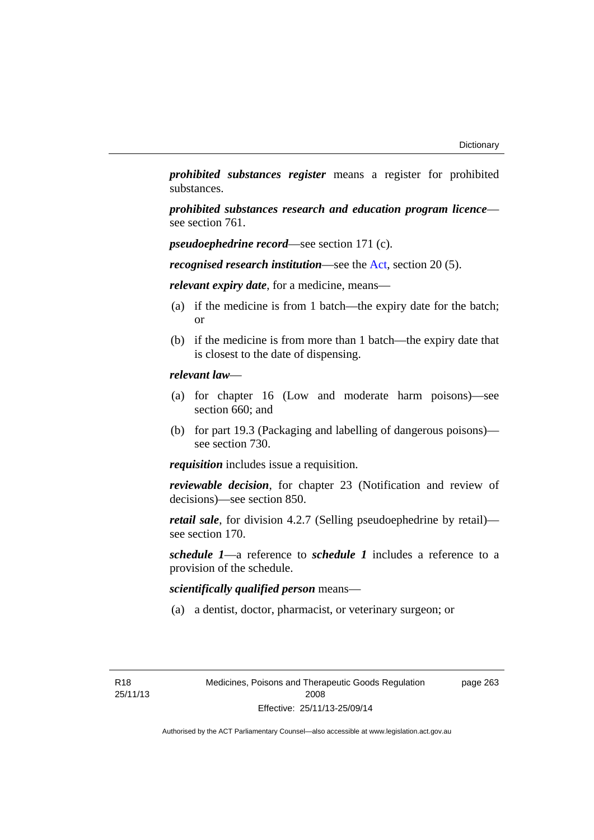*prohibited substances register* means a register for prohibited substances.

*prohibited substances research and education program licence* see section 761.

*pseudoephedrine record*—see section 171 (c).

*recognised research institution*—see the [Act](http://www.legislation.act.gov.au/a/2008-26/default.asp), section 20 (5).

*relevant expiry date*, for a medicine, means—

- (a) if the medicine is from 1 batch—the expiry date for the batch; or
- (b) if the medicine is from more than 1 batch—the expiry date that is closest to the date of dispensing.

#### *relevant law*—

- (a) for chapter 16 (Low and moderate harm poisons)—see section 660; and
- (b) for part 19.3 (Packaging and labelling of dangerous poisons) see section 730.

*requisition* includes issue a requisition.

*reviewable decision*, for chapter 23 (Notification and review of decisions)—see section 850.

*retail sale*, for division 4.2.7 (Selling pseudoephedrine by retail) see section 170.

*schedule 1*—a reference to *schedule 1* includes a reference to a provision of the schedule.

*scientifically qualified person* means—

(a) a dentist, doctor, pharmacist, or veterinary surgeon; or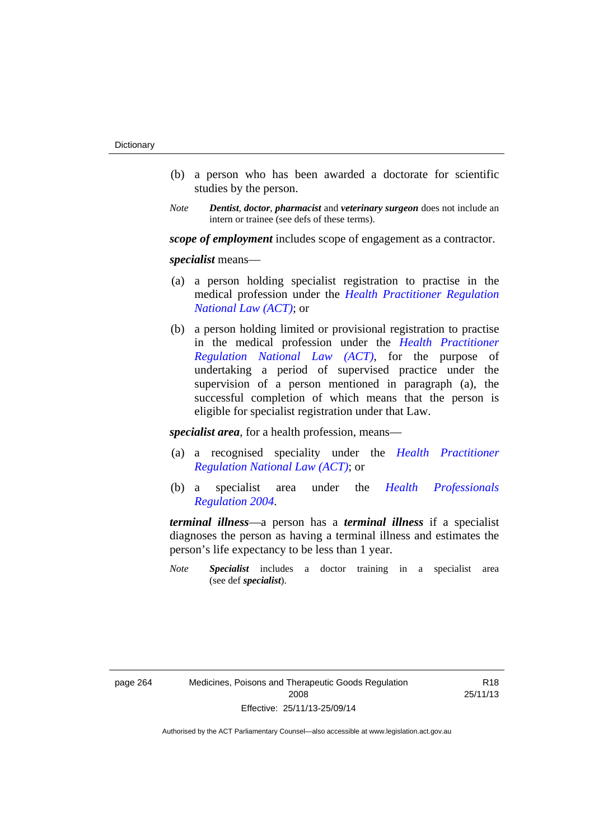- (b) a person who has been awarded a doctorate for scientific studies by the person.
- *Note Dentist*, *doctor*, *pharmacist* and *veterinary surgeon* does not include an intern or trainee (see defs of these terms).

*scope of employment* includes scope of engagement as a contractor.

*specialist* means—

- (a) a person holding specialist registration to practise in the medical profession under the *[Health Practitioner Regulation](http://www.legislation.act.gov.au/a/db_39269/default.asp)  [National Law \(ACT\)](http://www.legislation.act.gov.au/a/db_39269/default.asp)*; or
- (b) a person holding limited or provisional registration to practise in the medical profession under the *[Health Practitioner](http://www.legislation.act.gov.au/a/db_39269/default.asp)  [Regulation National Law \(ACT\)](http://www.legislation.act.gov.au/a/db_39269/default.asp)*, for the purpose of undertaking a period of supervised practice under the supervision of a person mentioned in paragraph (a), the successful completion of which means that the person is eligible for specialist registration under that Law.

*specialist area*, for a health profession, means—

- (a) a recognised speciality under the *[Health Practitioner](http://www.legislation.act.gov.au/a/db_39269/default.asp)  [Regulation National Law \(ACT\)](http://www.legislation.act.gov.au/a/db_39269/default.asp)*; or
- (b) a specialist area under the *[Health Professionals](http://www.legislation.act.gov.au/sl/2004-41)  [Regulation 2004](http://www.legislation.act.gov.au/sl/2004-41)*.

*terminal illness*—a person has a *terminal illness* if a specialist diagnoses the person as having a terminal illness and estimates the person's life expectancy to be less than 1 year.

*Note Specialist* includes a doctor training in a specialist area (see def *specialist*).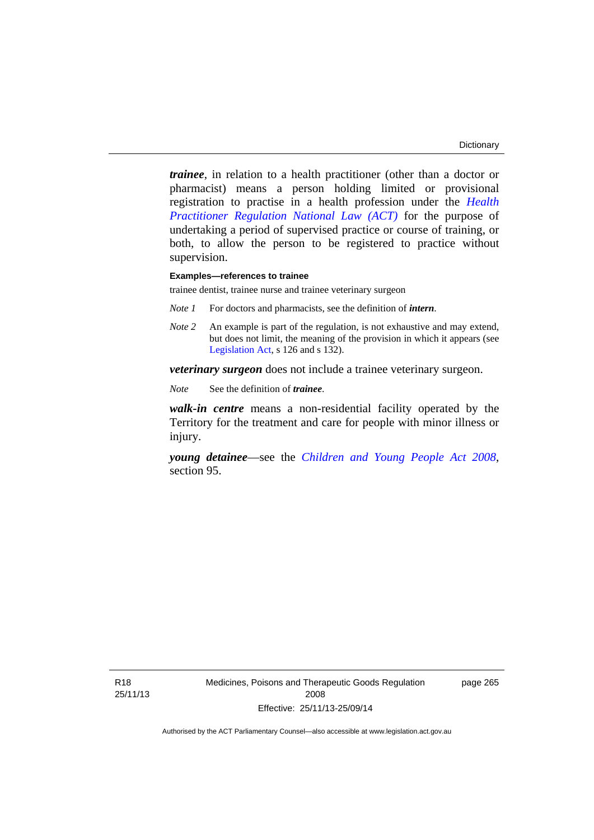*trainee*, in relation to a health practitioner (other than a doctor or pharmacist) means a person holding limited or provisional registration to practise in a health profession under the *[Health](http://www.legislation.act.gov.au/a/db_39269/default.asp)  [Practitioner Regulation National Law \(ACT\)](http://www.legislation.act.gov.au/a/db_39269/default.asp)* for the purpose of undertaking a period of supervised practice or course of training, or both, to allow the person to be registered to practice without supervision.

#### **Examples—references to trainee**

trainee dentist, trainee nurse and trainee veterinary surgeon

- *Note 1* For doctors and pharmacists, see the definition of *intern*.
- *Note 2* An example is part of the regulation, is not exhaustive and may extend, but does not limit, the meaning of the provision in which it appears (see [Legislation Act,](http://www.legislation.act.gov.au/a/2001-14) s 126 and s 132).

*veterinary surgeon* does not include a trainee veterinary surgeon.

*Note* See the definition of *trainee*.

*walk-in centre* means a non-residential facility operated by the Territory for the treatment and care for people with minor illness or injury.

*young detainee*—see the *[Children and Young People Act 2008](http://www.legislation.act.gov.au/a/2008-19)*, section 95.

page 265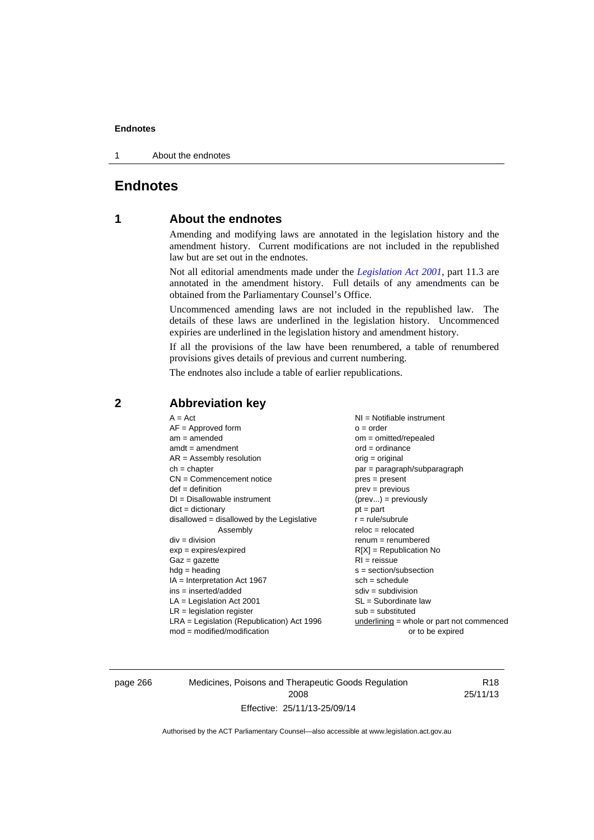1 About the endnotes

# **Endnotes**

# **1 About the endnotes**

Amending and modifying laws are annotated in the legislation history and the amendment history. Current modifications are not included in the republished law but are set out in the endnotes.

Not all editorial amendments made under the *[Legislation Act 2001](http://www.legislation.act.gov.au/a/2001-14)*, part 11.3 are annotated in the amendment history. Full details of any amendments can be obtained from the Parliamentary Counsel's Office.

Uncommenced amending laws are not included in the republished law. The details of these laws are underlined in the legislation history. Uncommenced expiries are underlined in the legislation history and amendment history.

If all the provisions of the law have been renumbered, a table of renumbered provisions gives details of previous and current numbering.

The endnotes also include a table of earlier republications.

| $A = Act$<br>$AF =$ Approved form<br>$am = amended$<br>$amdt = amendment$<br>$AR = Assembly resolution$<br>$ch = chapter$<br>$CN =$ Commencement notice<br>$def = definition$<br>$DI = Disallowable instrument$<br>$dict = dictionary$<br>disallowed = disallowed by the Legislative<br>Assembly<br>$div = division$<br>$exp = expires/expired$<br>$Gaz = gazette$<br>$hdg = heading$<br>$IA = Interpretation Act 1967$<br>$ins = inserted/added$<br>$LA =$ Legislation Act 2001<br>$LR =$ legislation register | NI = Notifiable instrument<br>$o = order$<br>$om = omitted/repealed$<br>$ord = ordinance$<br>$orig = original$<br>par = paragraph/subparagraph<br>$pres = present$<br>$prev = previous$<br>$(\text{prev}) = \text{previously}$<br>$pt = part$<br>$r = rule/subrule$<br>$reloc = relocated$<br>$renum = renumbered$<br>$R[X]$ = Republication No<br>$RI = reissue$<br>$s = section/subsection$<br>$sch = schedule$<br>$sdiv = subdivision$<br>$SL = Subordinate$ law<br>$sub =$ substituted |
|-----------------------------------------------------------------------------------------------------------------------------------------------------------------------------------------------------------------------------------------------------------------------------------------------------------------------------------------------------------------------------------------------------------------------------------------------------------------------------------------------------------------|--------------------------------------------------------------------------------------------------------------------------------------------------------------------------------------------------------------------------------------------------------------------------------------------------------------------------------------------------------------------------------------------------------------------------------------------------------------------------------------------|
| $LRA =$ Legislation (Republication) Act 1996<br>$mod = modified/modification$                                                                                                                                                                                                                                                                                                                                                                                                                                   | underlining = whole or part not commenced<br>or to be expired                                                                                                                                                                                                                                                                                                                                                                                                                              |
|                                                                                                                                                                                                                                                                                                                                                                                                                                                                                                                 |                                                                                                                                                                                                                                                                                                                                                                                                                                                                                            |

# **2 Abbreviation key**

page 266 Medicines, Poisons and Therapeutic Goods Regulation 2008 Effective: 25/11/13-25/09/14

R18 25/11/13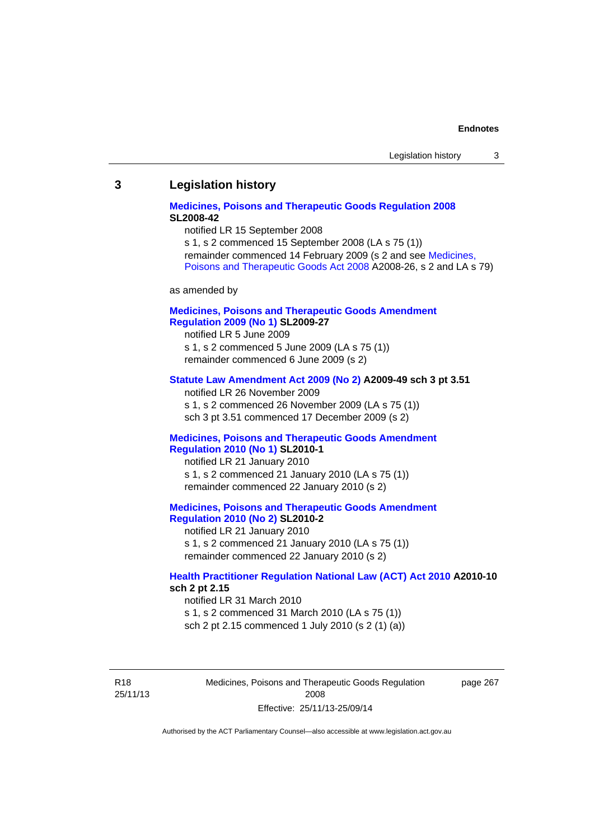#### **3 Legislation history**

### **[Medicines, Poisons and Therapeutic Goods Regulation 2008](http://www.legislation.act.gov.au/sl/2008-42) SL2008-42**

notified LR 15 September 2008

s 1, s 2 commenced 15 September 2008 (LA s 75 (1)) remainder commenced 14 February 2009 (s 2 and see [Medicines,](http://www.legislation.act.gov.au/a/2008-26)  [Poisons and Therapeutic Goods Act 2008](http://www.legislation.act.gov.au/a/2008-26) A2008-26, s 2 and LA s 79)

as amended by

### **[Medicines, Poisons and Therapeutic Goods Amendment](http://www.legislation.act.gov.au/sl/2009-27)  [Regulation 2009 \(No 1\)](http://www.legislation.act.gov.au/sl/2009-27) SL2009-27**

notified LR 5 June 2009 s 1, s 2 commenced 5 June 2009 (LA s 75 (1)) remainder commenced 6 June 2009 (s 2)

#### **[Statute Law Amendment Act 2009 \(No 2\)](http://www.legislation.act.gov.au/a/2009-49) A2009-49 sch 3 pt 3.51**

notified LR 26 November 2009 s 1, s 2 commenced 26 November 2009 (LA s 75 (1)) sch 3 pt 3.51 commenced 17 December 2009 (s 2)

#### **[Medicines, Poisons and Therapeutic Goods Amendment](http://www.legislation.act.gov.au/sl/2010-1)  [Regulation 2010 \(No 1\)](http://www.legislation.act.gov.au/sl/2010-1) SL2010-1**

notified LR 21 January 2010 s 1, s 2 commenced 21 January 2010 (LA s 75 (1)) remainder commenced 22 January 2010 (s 2)

#### **[Medicines, Poisons and Therapeutic Goods Amendment](http://www.legislation.act.gov.au/sl/2010-2)  [Regulation 2010 \(No 2\)](http://www.legislation.act.gov.au/sl/2010-2) SL2010-2**

notified LR 21 January 2010 s 1, s 2 commenced 21 January 2010 (LA s 75 (1)) remainder commenced 22 January 2010 (s 2)

#### **[Health Practitioner Regulation National Law \(ACT\) Act 2010](http://www.legislation.act.gov.au/a/2010-10) A2010-10 sch 2 pt 2.15**

notified LR 31 March 2010 s 1, s 2 commenced 31 March 2010 (LA s 75 (1)) sch 2 pt 2.15 commenced 1 July 2010 (s 2 (1) (a))

R18 25/11/13 Medicines, Poisons and Therapeutic Goods Regulation 2008 Effective: 25/11/13-25/09/14

page 267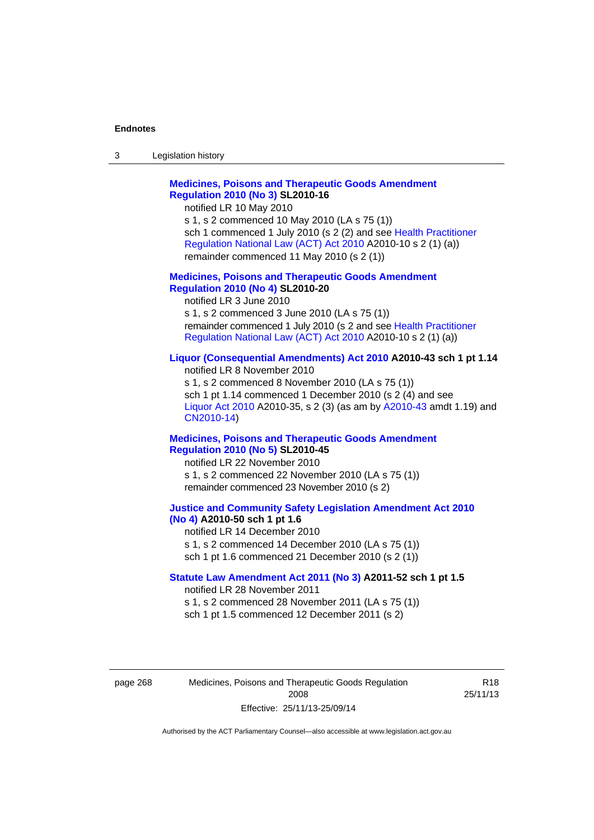| 3 | Legislation history |  |
|---|---------------------|--|
|---|---------------------|--|

# **[Medicines, Poisons and Therapeutic Goods Amendment](http://www.legislation.act.gov.au/sl/2010-16)  [Regulation 2010 \(No 3\)](http://www.legislation.act.gov.au/sl/2010-16) SL2010-16**

notified LR 10 May 2010

s 1, s 2 commenced 10 May 2010 (LA s 75 (1)) sch 1 commenced 1 July 2010 (s 2 (2) and see [Health Practitioner](http://www.legislation.act.gov.au/a/2010-10)  [Regulation National Law \(ACT\) Act 2010](http://www.legislation.act.gov.au/a/2010-10) A2010-10 s 2 (1) (a)) remainder commenced 11 May 2010 (s 2 (1))

#### **[Medicines, Poisons and Therapeutic Goods Amendment](http://www.legislation.act.gov.au/sl/2010-20)  [Regulation 2010 \(No 4\)](http://www.legislation.act.gov.au/sl/2010-20) SL2010-20**

notified LR 3 June 2010 s 1, s 2 commenced 3 June 2010 (LA s 75 (1)) remainder commenced 1 July 2010 (s 2 and see [Health Practitioner](http://www.legislation.act.gov.au/a/2010-10)  [Regulation National Law \(ACT\) Act 2010](http://www.legislation.act.gov.au/a/2010-10) A2010-10 s 2 (1) (a))

#### **[Liquor \(Consequential Amendments\) Act 2010](http://www.legislation.act.gov.au/a/2010-43) A2010-43 sch 1 pt 1.14**

notified LR 8 November 2010 s 1, s 2 commenced 8 November 2010 (LA s 75 (1)) sch 1 pt 1.14 commenced 1 December 2010 (s 2 (4) and see [Liquor Act 2010](http://www.legislation.act.gov.au/a/2010-35) A2010-35, s 2 (3) (as am by [A2010-43](http://www.legislation.act.gov.au/a/2010-43) amdt 1.19) and [CN2010-14](http://www.legislation.act.gov.au/cn/2010-14/default.asp))

#### **[Medicines, Poisons and Therapeutic Goods Amendment](http://www.legislation.act.gov.au/sl/2010-45)  [Regulation 2010 \(No 5\)](http://www.legislation.act.gov.au/sl/2010-45) SL2010-45**

notified LR 22 November 2010 s 1, s 2 commenced 22 November 2010 (LA s 75 (1)) remainder commenced 23 November 2010 (s 2)

#### **[Justice and Community Safety Legislation Amendment Act 2010](http://www.legislation.act.gov.au/a/2010-50)  [\(No 4\)](http://www.legislation.act.gov.au/a/2010-50) A2010-50 sch 1 pt 1.6**

notified LR 14 December 2010 s 1, s 2 commenced 14 December 2010 (LA s 75 (1)) sch 1 pt 1.6 commenced 21 December 2010 (s 2 (1))

#### **[Statute Law Amendment Act 2011 \(No 3\)](http://www.legislation.act.gov.au/a/2011-52) A2011-52 sch 1 pt 1.5**  notified LR 28 November 2011

s 1, s 2 commenced 28 November 2011 (LA s 75 (1)) sch 1 pt 1.5 commenced 12 December 2011 (s 2)

page 268 Medicines, Poisons and Therapeutic Goods Regulation 2008 Effective: 25/11/13-25/09/14

R18 25/11/13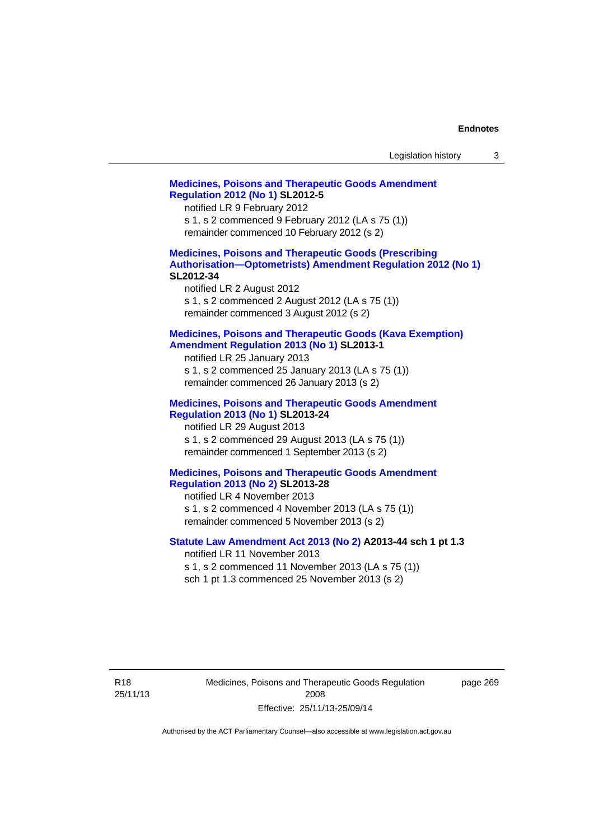| Legislation history |  |  |
|---------------------|--|--|
|---------------------|--|--|

# **[Medicines, Poisons and Therapeutic Goods Amendment](http://www.legislation.act.gov.au/sl/2012-5)  [Regulation 2012 \(No 1\)](http://www.legislation.act.gov.au/sl/2012-5) SL2012-5**  notified LR 9 February 2012 s 1, s 2 commenced 9 February 2012 (LA s 75 (1)) remainder commenced 10 February 2012 (s 2) **[Medicines, Poisons and Therapeutic Goods \(Prescribing](http://www.legislation.act.gov.au/sl/2012-34)  [Authorisation—Optometrists\) Amendment Regulation 2012 \(No 1\)](http://www.legislation.act.gov.au/sl/2012-34) SL2012-34**  notified LR 2 August 2012 s 1, s 2 commenced 2 August 2012 (LA s 75 (1)) remainder commenced 3 August 2012 (s 2) **[Medicines, Poisons and Therapeutic Goods \(Kava Exemption\)](http://www.legislation.act.gov.au/sl/2013-1/default.asp)  [Amendment Regulation 2013 \(No 1\)](http://www.legislation.act.gov.au/sl/2013-1/default.asp) SL2013-1**  notified LR 25 January 2013 s 1, s 2 commenced 25 January 2013 (LA s 75 (1)) remainder commenced 26 January 2013 (s 2) **[Medicines, Poisons and Therapeutic Goods Amendment](http://www.legislation.act.gov.au/sl/2013-24/default.asp)  [Regulation 2013 \(No 1\)](http://www.legislation.act.gov.au/sl/2013-24/default.asp) SL2013-24**  notified LR 29 August 2013 s 1, s 2 commenced 29 August 2013 (LA s 75 (1)) remainder commenced 1 September 2013 (s 2) **[Medicines, Poisons and Therapeutic Goods Amendment](http://www.legislation.act.gov.au/sl/2013-28)  [Regulation 2013 \(No 2\)](http://www.legislation.act.gov.au/sl/2013-28) SL2013-28**  notified LR 4 November 2013 s 1, s 2 commenced 4 November 2013 (LA s 75 (1)) remainder commenced 5 November 2013 (s 2) **[Statute Law Amendment Act 2013 \(No 2\)](http://www.legislation.act.gov.au/a/2013-44) A2013-44 sch 1 pt 1.3**  notified LR 11 November 2013 s 1, s 2 commenced 11 November 2013 (LA s 75 (1)) sch 1 pt 1.3 commenced 25 November 2013 (s 2)

Medicines, Poisons and Therapeutic Goods Regulation 2008 Effective: 25/11/13-25/09/14

page 269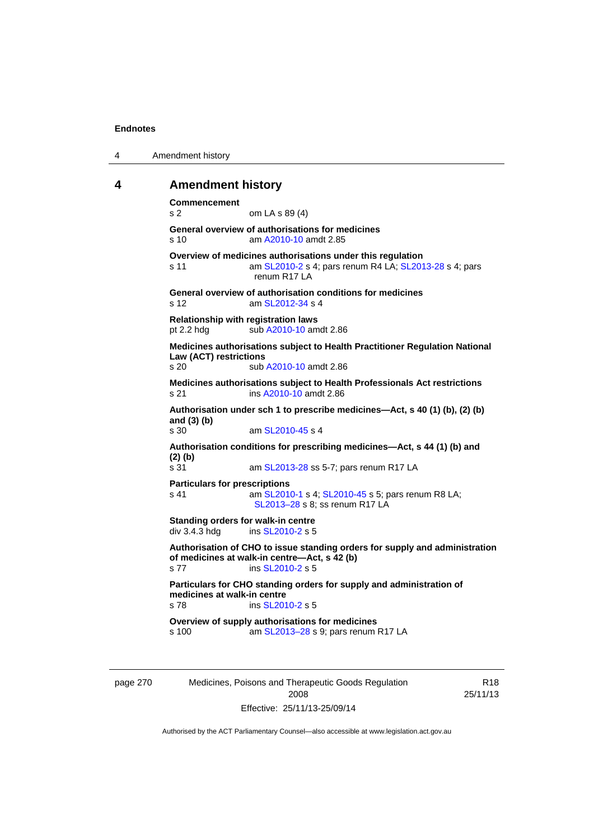| 4 | Amendment history |
|---|-------------------|
|---|-------------------|

### **4 Amendment history**

**Commencement**  s 2 om LA s 89 (4) **General overview of authorisations for medicines**  s 10 am [A2010-10](http://www.legislation.act.gov.au/a/2010-10) amdt 2.85 **Overview of medicines authorisations under this regulation**  s 11 am [SL2010-2](http://www.legislation.act.gov.au/sl/2010-2) s 4; pars renum R4 LA; [SL2013-28](http://www.legislation.act.gov.au/sl/2013-28) s 4; pars renum R17 LA **General overview of authorisation conditions for medicines**  s 12 am [SL2012-34](http://www.legislation.act.gov.au/sl/2012-34) s 4 **Relationship with registration laws**  pt 2.2 hdg sub [A2010-10](http://www.legislation.act.gov.au/a/2010-10) amdt 2.86 **Medicines authorisations subject to Health Practitioner Regulation National Law (ACT) restrictions**  sub [A2010-10](http://www.legislation.act.gov.au/a/2010-10) amdt 2.86 **Medicines authorisations subject to Health Professionals Act restrictions**  s 21 ins [A2010-10](http://www.legislation.act.gov.au/a/2010-10) amdt 2.86 **Authorisation under sch 1 to prescribe medicines—Act, s 40 (1) (b), (2) (b) and (3) (b)**  s 30 am [SL2010-45](http://www.legislation.act.gov.au/sl/2010-45) s 4 **Authorisation conditions for prescribing medicines—Act, s 44 (1) (b) and (2) (b)**  s 31 am [SL2013-28](http://www.legislation.act.gov.au/sl/2013-28) ss 5-7; pars renum R17 LA **Particulars for prescriptions**  s 41 **am [SL2010-1](http://www.legislation.act.gov.au/sl/2010-1) s 4; [SL2010-45](http://www.legislation.act.gov.au/sl/2010-45) s 5; pars renum R8 LA;** [SL2013–28](http://www.legislation.act.gov.au/sl/2013-28) s 8; ss renum R17 LA **Standing orders for walk-in centre**   $div 3.4.3$  hdg ins [SL2010-2](http://www.legislation.act.gov.au/sl/2010-2) s 5 **Authorisation of CHO to issue standing orders for supply and administration of medicines at walk-in centre—Act, s 42 (b)**  s 77 ins [SL2010-2](http://www.legislation.act.gov.au/sl/2010-2) s 5 **Particulars for CHO standing orders for supply and administration of medicines at walk-in centre**  s 78 ins [SL2010-2](http://www.legislation.act.gov.au/sl/2010-2) s 5 **Overview of supply authorisations for medicines**  s 100 am [SL2013–28](http://www.legislation.act.gov.au/sl/2013-28) s 9; pars renum R17 LA

page 270 Medicines, Poisons and Therapeutic Goods Regulation 2008 Effective: 25/11/13-25/09/14

R18 25/11/13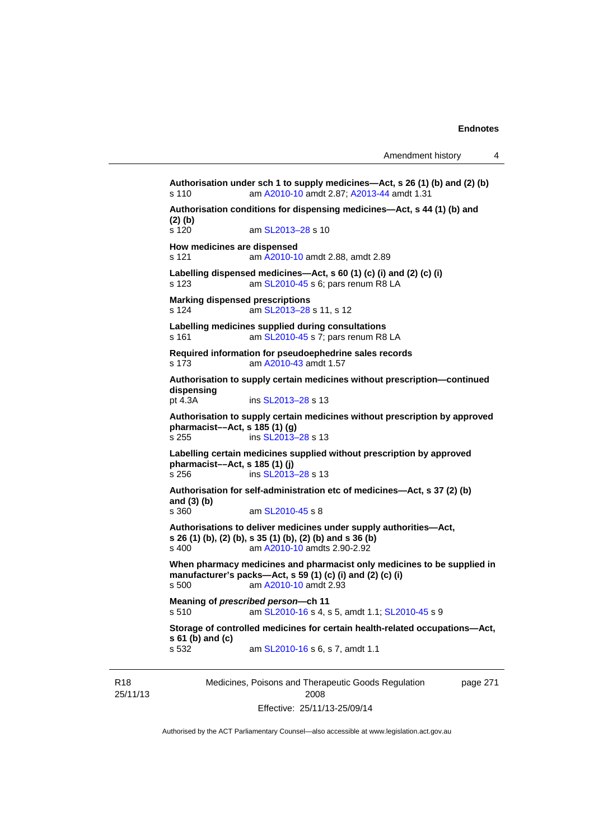```
Medicines, Poisons and Therapeutic Goods Regulation 
                                                              page 271 
Authorisation under sch 1 to supply medicines—Act, s 26 (1) (b) and (2) (b) 
s 110 am A2010-10 amdt 2.87; A2013-44 amdt 1.31 
Authorisation conditions for dispensing medicines—Act, s 44 (1) (b) and 
(2) (b) 
s 120 am SL2013-28 s 10
How medicines are dispensed 
s 121 am A2010-10 amdt 2.88, amdt 2.89 
Labelling dispensed medicines—Act, s 60 (1) (c) (i) and (2) (c) (i) 
s 123  SL2010-45 s 6; pars renum R8 LA
Marking dispensed prescriptions 
s 124  SL2013–28 s 11, s 12
Labelling medicines supplied during consultations 
s 161  SL2010-45 s 7; pars renum R8 LA
Required information for pseudoephedrine sales records 
s 173 am A2010-43 amdt 1.57
Authorisation to supply certain medicines without prescription—continued 
dispensing 
                  SL2013–28 s 13
Authorisation to supply certain medicines without prescription by approved 
pharmacist––Act, s 185 (1) (g) 
SL2013–28 s 13
Labelling certain medicines supplied without prescription by approved 
pharmacist––Act, s 185 (1) (j) 
SL2013–28 s 13
Authorisation for self-administration etc of medicines—Act, s 37 (2) (b) 
and (3) (b) 
                 SL2010-45 s 8
Authorisations to deliver medicines under supply authorities—Act, 
s 26 (1) (b), (2) (b), s 35 (1) (b), (2) (b) and s 36 (b) 
s 400 am A2010-10 amdts 2.90-2.92 
When pharmacy medicines and pharmacist only medicines to be supplied in 
manufacturer's packs—Act, s 59 (1) (c) (i) and (2) (c) (i) 
s 500 am A2010-10 amdt 2.93
Meaning of prescribed person—ch 11 
s 510 am SL2010-16 s 4, s 5, amdt 1.1; SL2010-45 s 9 
Storage of controlled medicines for certain health-related occupations—Act, 
s 61 (b) and (c) 
s 532 am SL2010-16 s 6, s 7, amdt 1.1
```
R18 25/11/13

Authorised by the ACT Parliamentary Counsel—also accessible at www.legislation.act.gov.au

2008 Effective: 25/11/13-25/09/14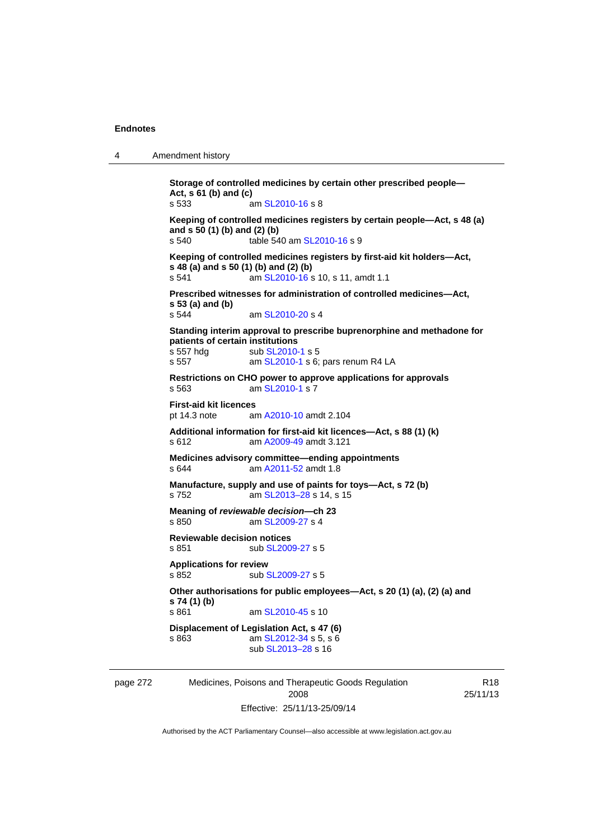```
4 Amendment history
```

```
Storage of controlled medicines by certain other prescribed people—
Act, s 61 (b) and (c) 
s 533 am SL2010-16 s 8 
Keeping of controlled medicines registers by certain people—Act, s 48 (a) 
and s 50 (1) (b) and (2) (b) 
s 540 table 540 am SL2010-16 s 9 
Keeping of controlled medicines registers by first-aid kit holders—Act, 
s 48 (a) and s 50 (1) (b) and (2) (b)<br>s 541 am SL 2010-16 s
                SL2010-16 s 10, s 11, amdt 1.1
Prescribed witnesses for administration of controlled medicines—Act, 
s 53 (a) and (b) 
                 SL2010-20 s 4
Standing interim approval to prescribe buprenorphine and methadone for 
patients of certain institutions 
SL2010-1 s 5
 SL2010-1 s 6; pars renum R4 LA
Restrictions on CHO power to approve applications for approvals 
s 563 am SL2010-1 s 7 
First-aid kit licences 
pt 14.3 note am A2010-10 amdt 2.104
Additional information for first-aid kit licences—Act, s 88 (1) (k) 
s 612 am A2009-49 amdt 3.121
Medicines advisory committee—ending appointments 
s 644 am A2011-52 amdt 1.8
Manufacture, supply and use of paints for toys—Act, s 72 (b) 
s 752 am SL2013–28 s 14, s 15 
Meaning of reviewable decision—ch 23 
s 850  SL2009-27 s 4
Reviewable decision notices 
SL2009-27 s 5
Applications for review 
SL2009-27 s 5
Other authorisations for public employees—Act, s 20 (1) (a), (2) (a) and 
s 74 (1) (b) 
                 SL2010-45 s 10
Displacement of Legislation Act, s 47 (6) 
s 863 SL2012-34 s 5, s 6
                 sub SL2013–28 s 16
```
page 272 Medicines, Poisons and Therapeutic Goods Regulation 2008 Effective: 25/11/13-25/09/14

R18 25/11/13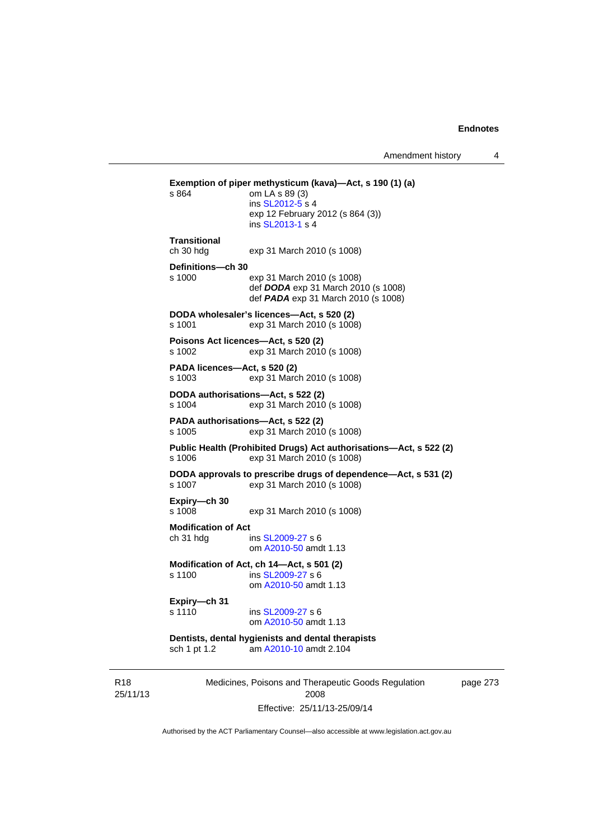```
Exemption of piper methysticum (kava)—Act, s 190 (1) (a) s 864 om LA s 89 (3)
                 om LA s 89 (3)
                  ins SL2012-5 s 4
                 exp 12 February 2012 (s 864 (3)) 
                  ins SL2013-1 s 4
Transitional 
ch 30 hdg exp 31 March 2010 (s 1008) 
Definitions—ch 30 
s 1000 exp 31 March 2010 (s 1008) 
                  def DODA exp 31 March 2010 (s 1008) 
                  def PADA exp 31 March 2010 (s 1008) 
DODA wholesaler's licences—Act, s 520 (2) 
s 1001 exp 31 March 2010 (s 1008) 
Poisons Act licences—Act, s 520 (2) 
s 1002 exp 31 March 2010 (s 1008) 
PADA licences—Act, s 520 (2) 
s 1003 exp 31 March 2010 (s 1008) 
DODA authorisations—Act, s 522 (2) 
s 1004 exp 31 March 2010 (s 1008) 
PADA authorisations—Act, s 522 (2) 
s 1005 exp 31 March 2010 (s 1008) 
Public Health (Prohibited Drugs) Act authorisations—Act, s 522 (2) 
s 1006 exp 31 March 2010 (s 1008) 
DODA approvals to prescribe drugs of dependence—Act, s 531 (2) 
                 exp 31 March 2010 (s 1008)
Expiry—ch 30 
s 1008 exp 31 March 2010 (s 1008) 
Modification of Act 
ch 31 hdg ins SL2009-27 s 6 
                  om A2010-50 amdt 1.13
Modification of Act, ch 14—Act, s 501 (2) 
s 1100 ins SL2009-27 s 6 
                  om A2010-50 amdt 1.13
Expiry—ch 31 
s 1110 SL2009-27 s 6
                  om A2010-50 amdt 1.13
Dentists, dental hygienists and dental therapists 
sch 1 pt 1.2 am A2010-10 amdt 2.104
```
R18 25/11/13 Medicines, Poisons and Therapeutic Goods Regulation 2008 Effective: 25/11/13-25/09/14

page 273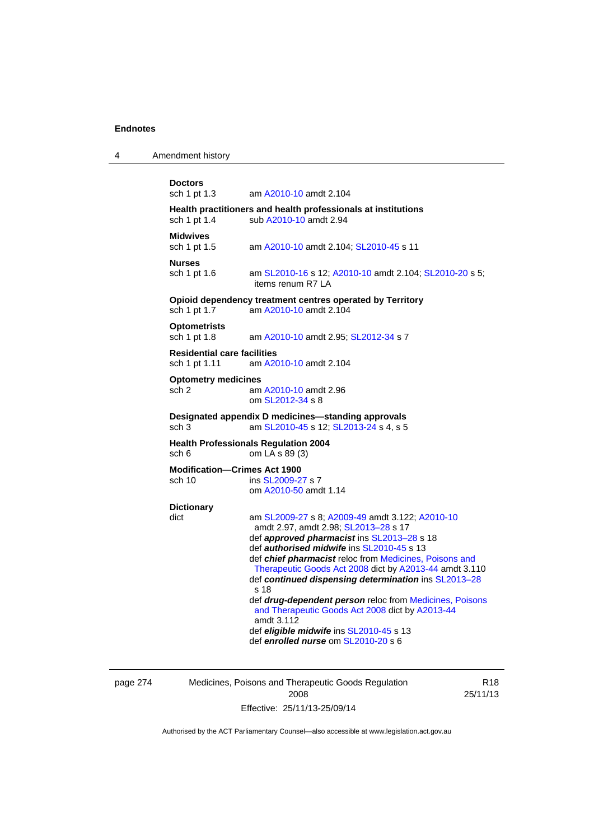4 Amendment history

```
Doctors 
sch 1 pt 1.3 am A2010-10 amdt 2.104
Health practitioners and health professionals at institutions 
 A2010-10 amdt 2.94
Midwives<br>sch 1 pt 1.5
                 A2010-10SL2010-45 s 11
Nurses 
 SL2010-16A2010-10  SL2010-20 s 5;
                 items renum R7 LA 
Opioid dependency treatment centres operated by Territory 
sch 1 pt 1.7 am A2010-10 amdt 2.104
Optometrists 
sch 1 pt 1.8 am A2010-10 amdt 2.95; SL2012-34 s 7 
Residential care facilities 
sch 1 pt 1.11 am A2010-10 amdt 2.104
Optometry medicines 
sch 2 am A2010-10 amdt 2.96
                 om SL2012-34 s 8 
Designated appendix D medicines—standing approvals 
 SL2010-45SL2013-24 s 4, s 5
Health Professionals Regulation 2004 
sch 6 om LA s 89 (3) 
Modification—Crimes Act 1900 
 SL2009-27 s 7
                 om A2010-50 amdt 1.14
Dictionary 
dict am SL2009-27 s 8; A2009-49 amdt 3.122; A2010-10
                 amdt 2.97, amdt 2.98; SL2013–28 s 17 
                 def approved pharmacist ins SL2013–28 s 18 
                 def authorised midwife ins SL2010-45 s 13 
                 def chief pharmacist reloc from Medicines, Poisons and 
                 Therapeutic Goods Act 2008 dict by A2013-44 amdt 3.110 
                 def continued dispensing determination ins SL2013–28
                 s 18
                 def drug-dependent person reloc from Medicines, Poisons 
                 and Therapeutic Goods Act 2008 dict by A2013-44
                 amdt 3.112
                 def eligible midwife ins SL2010-45 s 13 
                 def enrolled nurse om SL2010-20 s 6
```
page 274 Medicines, Poisons and Therapeutic Goods Regulation 2008 Effective: 25/11/13-25/09/14

R18 25/11/13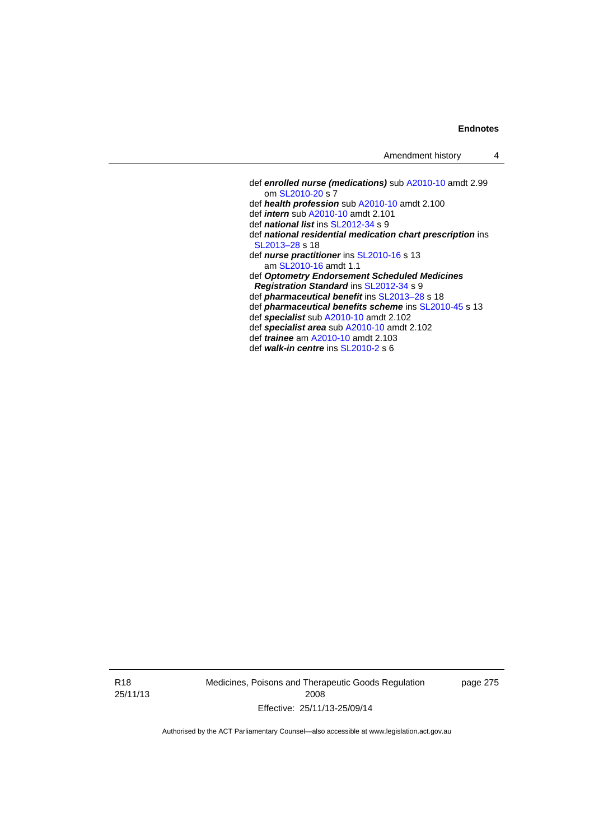def *enrolled nurse (medications)* sub [A2010-10](http://www.legislation.act.gov.au/a/2010-10) amdt 2.99 om [SL2010-20](http://www.legislation.act.gov.au/sl/2010-20) s 7 def *health profession* sub [A2010-10](http://www.legislation.act.gov.au/a/2010-10) amdt 2.100 def *intern* sub [A2010-10](http://www.legislation.act.gov.au/a/2010-10) amdt 2.101 def *national list* ins [SL2012-34](http://www.legislation.act.gov.au/sl/2012-34) s 9 def *national residential medication chart prescription* ins [SL2013–28](http://www.legislation.act.gov.au/sl/2013-28) s 18 def *nurse practitioner* ins [SL2010-16](http://www.legislation.act.gov.au/sl/2010-16) s 13 am [SL2010-16](http://www.legislation.act.gov.au/sl/2010-16) amdt 1.1 def *Optometry Endorsement Scheduled Medicines Registration Standard* ins [SL2012-34](http://www.legislation.act.gov.au/sl/2012-34) s 9 def *pharmaceutical benefit* ins [SL2013–28](http://www.legislation.act.gov.au/sl/2013-28) s 18 def *pharmaceutical benefits scheme* ins [SL2010-45](http://www.legislation.act.gov.au/sl/2010-45) s 13 def *specialist* sub [A2010-10](http://www.legislation.act.gov.au/a/2010-10) amdt 2.102 def *specialist area* sub [A2010-10](http://www.legislation.act.gov.au/a/2010-10) amdt 2.102 def *trainee* am [A2010-10](http://www.legislation.act.gov.au/a/2010-10) amdt 2.103 def *walk-in centre* ins [SL2010-2](http://www.legislation.act.gov.au/sl/2010-2) s 6

R18 25/11/13 Medicines, Poisons and Therapeutic Goods Regulation 2008 Effective: 25/11/13-25/09/14

page 275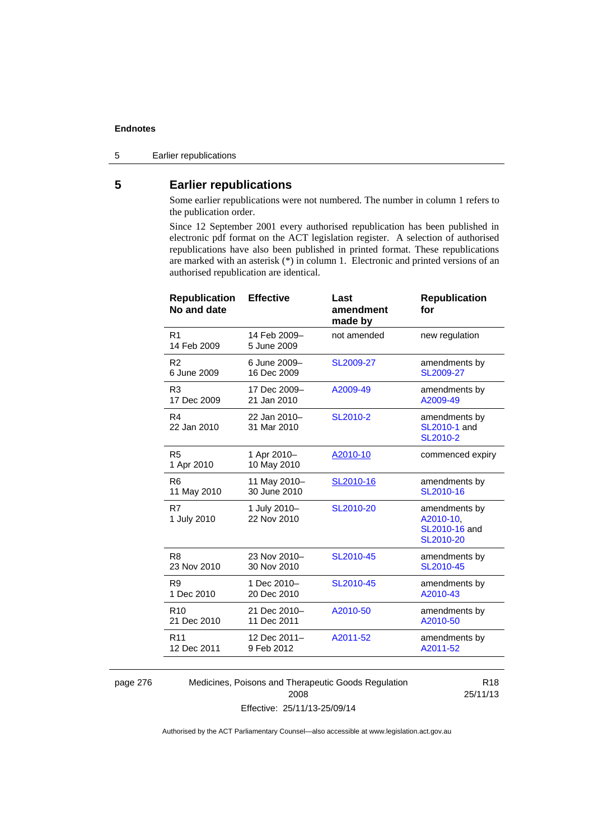5 Earlier republications

# **5 Earlier republications**

Some earlier republications were not numbered. The number in column 1 refers to the publication order.

Since 12 September 2001 every authorised republication has been published in electronic pdf format on the ACT legislation register. A selection of authorised republications have also been published in printed format. These republications are marked with an asterisk (\*) in column 1. Electronic and printed versions of an authorised republication are identical.

| <b>Republication</b><br>No and date | <b>Effective</b>            | Last<br>amendment<br>made by | <b>Republication</b><br>for                              |
|-------------------------------------|-----------------------------|------------------------------|----------------------------------------------------------|
| R <sub>1</sub><br>14 Feb 2009       | 14 Feb 2009-<br>5 June 2009 | not amended                  | new regulation                                           |
| R <sub>2</sub>                      | 6 June 2009-                | SL2009-27                    | amendments by                                            |
| 6 June 2009                         | 16 Dec 2009                 |                              | SL2009-27                                                |
| R <sub>3</sub>                      | 17 Dec 2009-                | A2009-49                     | amendments by                                            |
| 17 Dec 2009                         | 21 Jan 2010                 |                              | A2009-49                                                 |
| R <sub>4</sub><br>22 Jan 2010       | 22 Jan 2010-<br>31 Mar 2010 | SL2010-2                     | amendments by<br>SL2010-1 and<br>SL2010-2                |
| R <sub>5</sub><br>1 Apr 2010        | 1 Apr 2010-<br>10 May 2010  | A2010-10                     | commenced expiry                                         |
| R <sub>6</sub>                      | 11 May 2010-                | SL2010-16                    | amendments by                                            |
| 11 May 2010                         | 30 June 2010                |                              | SL2010-16                                                |
| R7<br>1 July 2010                   | 1 July 2010-<br>22 Nov 2010 | SL2010-20                    | amendments by<br>A2010-10,<br>SL2010-16 and<br>SL2010-20 |
| R <sub>8</sub>                      | 23 Nov 2010-                | SL2010-45                    | amendments by                                            |
| 23 Nov 2010                         | 30 Nov 2010                 |                              | SL2010-45                                                |
| R <sub>9</sub>                      | 1 Dec 2010-                 | SL2010-45                    | amendments by                                            |
| 1 Dec 2010                          | 20 Dec 2010                 |                              | A2010-43                                                 |
| R <sub>10</sub>                     | 21 Dec 2010-                | A2010-50                     | amendments by                                            |
| 21 Dec 2010                         | 11 Dec 2011                 |                              | A2010-50                                                 |
| R <sub>11</sub>                     | 12 Dec 2011-                | A2011-52                     | amendments by                                            |
| 12 Dec 2011                         | 9 Feb 2012                  |                              | A2011-52                                                 |
|                                     |                             |                              |                                                          |

page 276 Medicines, Poisons and Therapeutic Goods Regulation 2008 Effective: 25/11/13-25/09/14

R18 25/11/13